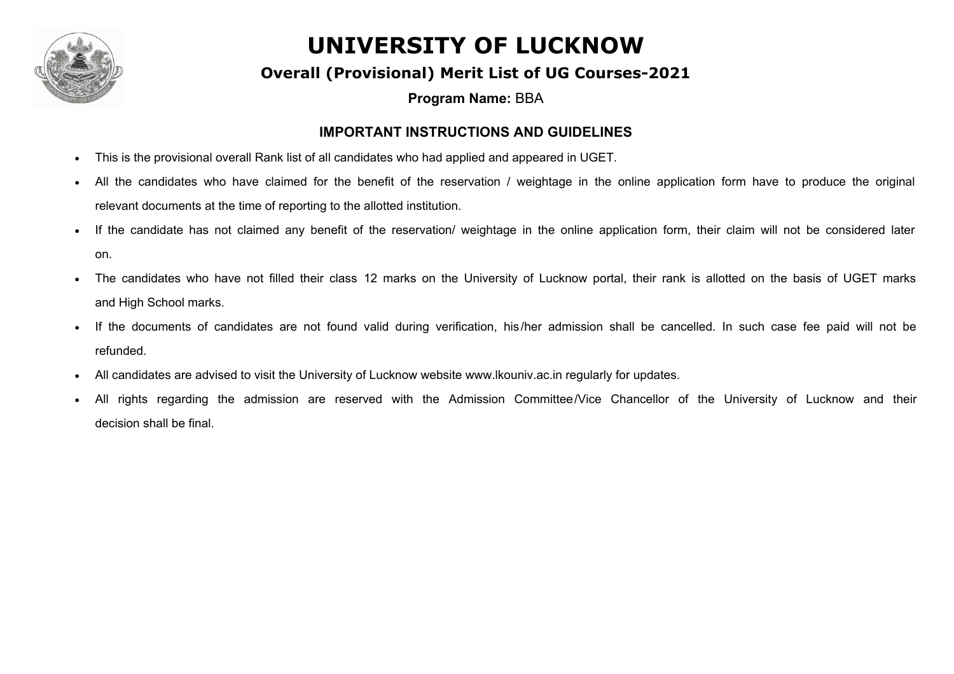

#### **Overall (Provisional) Merit List of UG Courses-2021**

**Program Name:** BBA

#### **IMPORTANT INSTRUCTIONS AND GUIDELINES**

- This is the provisional overall Rank list of all candidates who had applied and appeared in UGET.
- All the candidates who have claimed for the benefit of the reservation / weightage in the online application form have to produce the original relevant documents at the time of reporting to the allotted institution.
- If the candidate has not claimed any benefit of the reservation/ weightage in the online application form, their claim will not be considered later on.
- The candidates who have not filled their class 12 marks on the University of Lucknow portal, their rank is allotted on the basis of UGET marks and High School marks.
- If the documents of candidates are not found valid during verification, his/her admission shall be cancelled. In such case fee paid will not be refunded.
- · All candidates are advised to visit the University of Lucknow website www.lkouniv.ac.in regularly for updates.
- All rights regarding the admission are reserved with the Admission Committee/Vice Chancellor of the University of Lucknow and their decision shall be final.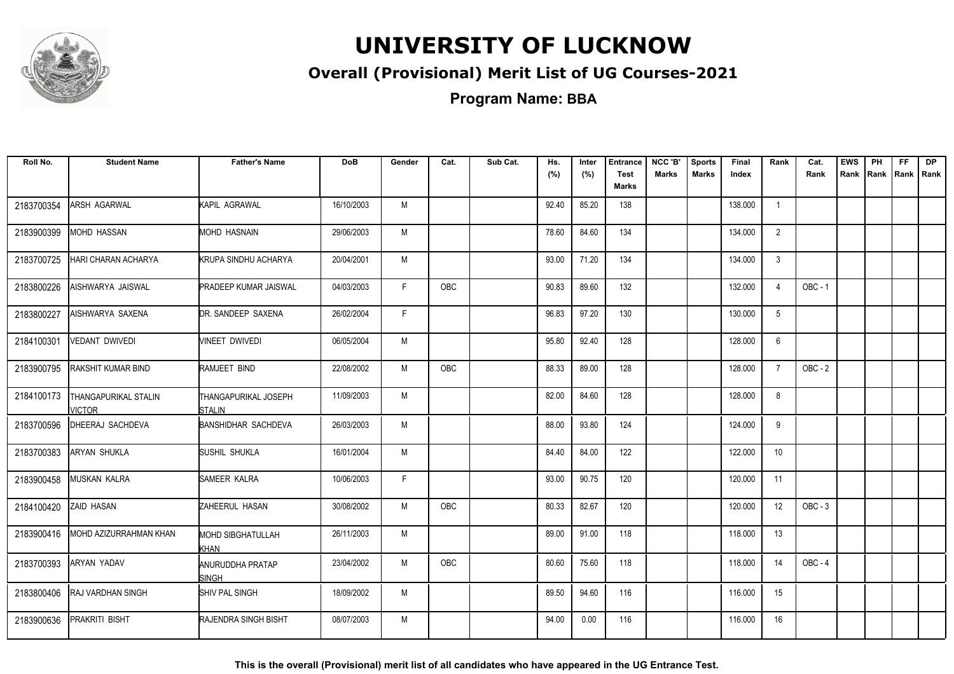

### **Overall (Provisional) Merit List of UG Courses-2021**

**Program Name: BBA**

| Roll No.   | <b>Student Name</b>                    | <b>Father's Name</b>              | <b>DoB</b> | Gender | Cat.       | Sub Cat. | Hs.<br>(%) | Inter<br>(%) | <b>Entrance</b><br><b>Test</b> | NCC 'B'<br><b>Marks</b> | <b>Sports</b><br><b>Marks</b> | Final<br>Index | Rank           | Cat.<br>Rank | <b>EWS</b><br>Rank | PH | <b>FF</b><br>Rank   Rank   Rank | <b>DP</b> |
|------------|----------------------------------------|-----------------------------------|------------|--------|------------|----------|------------|--------------|--------------------------------|-------------------------|-------------------------------|----------------|----------------|--------------|--------------------|----|---------------------------------|-----------|
|            |                                        |                                   |            |        |            |          |            |              | Marks                          |                         |                               |                |                |              |                    |    |                                 |           |
| 2183700354 | <b>ARSH AGARWAL</b>                    | KAPIL AGRAWAL                     | 16/10/2003 | M      |            |          | 92.40      | 85.20        | 138                            |                         |                               | 138.000        | $\overline{1}$ |              |                    |    |                                 |           |
| 2183900399 | <b>IMOHD HASSAN</b>                    | MOHD HASNAIN                      | 29/06/2003 | М      |            |          | 78.60      | 84.60        | 134                            |                         |                               | 134.000        | 2              |              |                    |    |                                 |           |
| 2183700725 | <b>HARI CHARAN ACHARYA</b>             | <b>KRUPA SINDHU ACHARYA</b>       | 20/04/2001 | M      |            |          | 93.00      | 71.20        | 134                            |                         |                               | 134.000        | 3              |              |                    |    |                                 |           |
| 2183800226 | AISHWARYA JAISWAL                      | <b>PRADEEP KUMAR JAISWAL</b>      | 04/03/2003 | F.     | <b>OBC</b> |          | 90.83      | 89.60        | 132                            |                         |                               | 132.000        | $\overline{4}$ | $OBC - 1$    |                    |    |                                 |           |
| 2183800227 | AISHWARYA SAXENA                       | DR. SANDEEP SAXENA                | 26/02/2004 | F.     |            |          | 96.83      | 97.20        | 130                            |                         |                               | 130.000        | 5              |              |                    |    |                                 |           |
| 2184100301 | <b>VEDANT DWIVEDI</b>                  | VINEET DWIVEDI                    | 06/05/2004 | M      |            |          | 95.80      | 92.40        | 128                            |                         |                               | 128.000        | 6              |              |                    |    |                                 |           |
| 2183900795 | <b>RAKSHIT KUMAR BIND</b>              | RAMJEET BIND                      | 22/08/2002 | M      | <b>OBC</b> |          | 88.33      | 89.00        | 128                            |                         |                               | 128.000        | $\overline{7}$ | OBC - 2      |                    |    |                                 |           |
| 2184100173 | <b>THANGAPURIKAL STALIN</b><br>VICTOR. | THANGAPURIKAL JOSEPH<br>ISTALIN   | 11/09/2003 | M      |            |          | 82.00      | 84.60        | 128                            |                         |                               | 128.000        | 8              |              |                    |    |                                 |           |
| 2183700596 | DHEERAJ SACHDEVA                       | <b>BANSHIDHAR SACHDEVA</b>        | 26/03/2003 | M      |            |          | 88.00      | 93.80        | 124                            |                         |                               | 124.000        | 9              |              |                    |    |                                 |           |
| 2183700383 | <b>ARYAN SHUKLA</b>                    | SUSHIL SHUKLA                     | 16/01/2004 | М      |            |          | 84.40      | 84.00        | 122                            |                         |                               | 122.000        | 10             |              |                    |    |                                 |           |
| 2183900458 | <b>MUSKAN KALRA</b>                    | SAMEER KALRA                      | 10/06/2003 | F.     |            |          | 93.00      | 90.75        | 120                            |                         |                               | 120.000        | 11             |              |                    |    |                                 |           |
| 2184100420 | <b>ZAID HASAN</b>                      | ZAHEERUL HASAN                    | 30/08/2002 | M      | <b>OBC</b> |          | 80.33      | 82.67        | 120                            |                         |                               | 120.000        | 12             | $OBC - 3$    |                    |    |                                 |           |
| 2183900416 | MOHD AZIZURRAHMAN KHAN                 | <b>MOHD SIBGHATULLAH</b><br>KHAN  | 26/11/2003 | M      |            |          | 89.00      | 91.00        | 118                            |                         |                               | 118.000        | 13             |              |                    |    |                                 |           |
| 2183700393 | <b>ARYAN YADAV</b>                     | <b>ANURUDDHA PRATAP</b><br>Isingh | 23/04/2002 | M      | <b>OBC</b> |          | 80.60      | 75.60        | 118                            |                         |                               | 118.000        | 14             | $OBC - 4$    |                    |    |                                 |           |
| 2183800406 | <b>RAJ VARDHAN SINGH</b>               | SHIV PAL SINGH                    | 18/09/2002 | M      |            |          | 89.50      | 94.60        | 116                            |                         |                               | 116.000        | 15             |              |                    |    |                                 |           |
| 2183900636 | <b>PRAKRITI BISHT</b>                  | RAJENDRA SINGH BISHT              | 08/07/2003 | M      |            |          | 94.00      | 0.00         | 116                            |                         |                               | 116.000        | 16             |              |                    |    |                                 |           |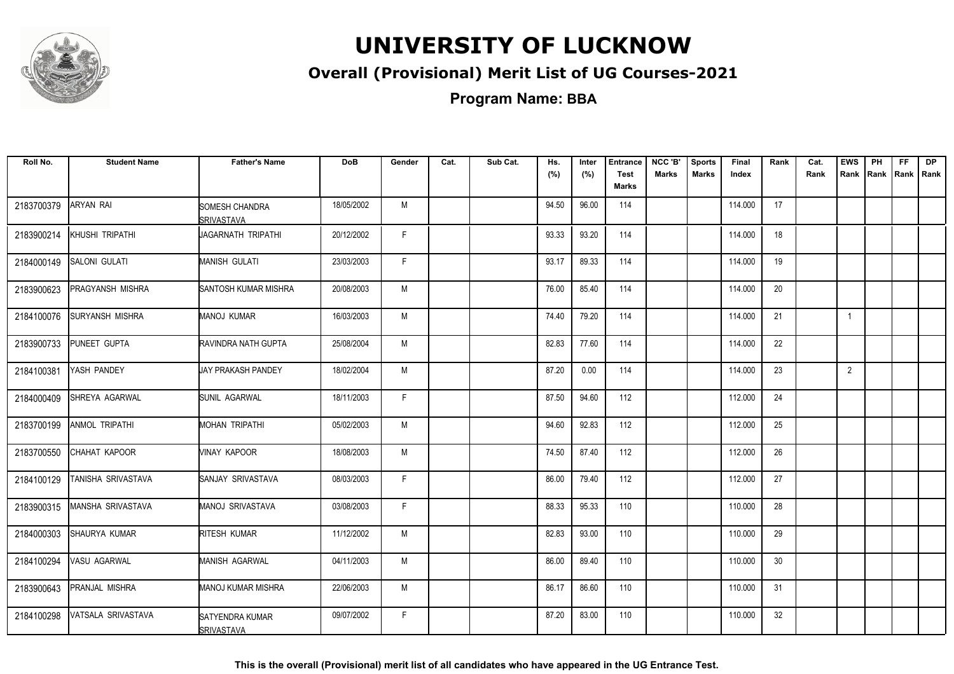

### **Overall (Provisional) Merit List of UG Courses-2021**

**Program Name: BBA**

| Roll No.   | <b>Student Name</b>    | <b>Father's Name</b>                 | <b>DoB</b> | Gender | Cat. | Sub Cat. | Hs.<br>(%) | Inter | <b>Entrance</b>             | NCC 'B'<br><b>Marks</b> | <b>Sports</b><br><b>Marks</b> | Final   | Rank | Cat.<br>Rank | <b>EWS</b>     | PH | <b>FF</b> | <b>DP</b><br>Rank Rank Rank Rank |
|------------|------------------------|--------------------------------------|------------|--------|------|----------|------------|-------|-----------------------------|-------------------------|-------------------------------|---------|------|--------------|----------------|----|-----------|----------------------------------|
|            |                        |                                      |            |        |      |          |            | (%)   | <b>Test</b><br><b>Marks</b> |                         |                               | Index   |      |              |                |    |           |                                  |
| 2183700379 | <b>ARYAN RAI</b>       | SOMESH CHANDRA<br><b>SRIVASTAVA</b>  | 18/05/2002 | M      |      |          | 94.50      | 96.00 | 114                         |                         |                               | 114.000 | 17   |              |                |    |           |                                  |
| 2183900214 | KHUSHI TRIPATHI        | JAGARNATH TRIPATHI                   | 20/12/2002 | F.     |      |          | 93.33      | 93.20 | 114                         |                         |                               | 114.000 | 18   |              |                |    |           |                                  |
| 2184000149 | SALONI GULATI          | MANISH GULATI                        | 23/03/2003 | F.     |      |          | 93.17      | 89.33 | 114                         |                         |                               | 114.000 | 19   |              |                |    |           |                                  |
| 2183900623 | PRAGYANSH MISHRA       | SANTOSH KUMAR MISHRA                 | 20/08/2003 | M      |      |          | 76.00      | 85.40 | 114                         |                         |                               | 114.000 | 20   |              |                |    |           |                                  |
| 2184100076 | <b>SURYANSH MISHRA</b> | <b>MANOJ KUMAR</b>                   | 16/03/2003 | M      |      |          | 74.40      | 79.20 | 114                         |                         |                               | 114.000 | 21   |              | $\overline{1}$ |    |           |                                  |
| 2183900733 | PUNEET GUPTA           | RAVINDRA NATH GUPTA                  | 25/08/2004 | M      |      |          | 82.83      | 77.60 | 114                         |                         |                               | 114.000 | 22   |              |                |    |           |                                  |
| 2184100381 | YASH PANDEY            | UAY PRAKASH PANDEY                   | 18/02/2004 | M      |      |          | 87.20      | 0.00  | 114                         |                         |                               | 114.000 | 23   |              | $\overline{2}$ |    |           |                                  |
| 2184000409 | SHREYA AGARWAL         | SUNIL AGARWAL                        | 18/11/2003 | F.     |      |          | 87.50      | 94.60 | 112                         |                         |                               | 112.000 | 24   |              |                |    |           |                                  |
| 2183700199 | <b>ANMOL TRIPATHI</b>  | MOHAN TRIPATHI                       | 05/02/2003 | M      |      |          | 94.60      | 92.83 | 112                         |                         |                               | 112.000 | 25   |              |                |    |           |                                  |
| 2183700550 | CHAHAT KAPOOR          | VINAY KAPOOR                         | 18/08/2003 | M      |      |          | 74.50      | 87.40 | 112                         |                         |                               | 112.000 | 26   |              |                |    |           |                                  |
| 2184100129 | TANISHA SRIVASTAVA     | SANJAY SRIVASTAVA                    | 08/03/2003 | F.     |      |          | 86.00      | 79.40 | 112                         |                         |                               | 112.000 | 27   |              |                |    |           |                                  |
| 2183900315 | MANSHA SRIVASTAVA      | MANOJ SRIVASTAVA                     | 03/08/2003 | F.     |      |          | 88.33      | 95.33 | 110                         |                         |                               | 110.000 | 28   |              |                |    |           |                                  |
| 2184000303 | SHAURYA KUMAR          | RITESH KUMAR                         | 11/12/2002 | M      |      |          | 82.83      | 93.00 | 110                         |                         |                               | 110.000 | 29   |              |                |    |           |                                  |
| 2184100294 | VASU AGARWAL           | MANISH AGARWAL                       | 04/11/2003 | M      |      |          | 86.00      | 89.40 | 110                         |                         |                               | 110.000 | 30   |              |                |    |           |                                  |
| 2183900643 | <b>PRANJAL MISHRA</b>  | <b>MANOJ KUMAR MISHRA</b>            | 22/06/2003 | M      |      |          | 86.17      | 86.60 | 110                         |                         |                               | 110.000 | 31   |              |                |    |           |                                  |
| 2184100298 | VATSALA SRIVASTAVA     | SATYENDRA KUMAR<br><b>SRIVASTAVA</b> | 09/07/2002 | F.     |      |          | 87.20      | 83.00 | 110                         |                         |                               | 110.000 | 32   |              |                |    |           |                                  |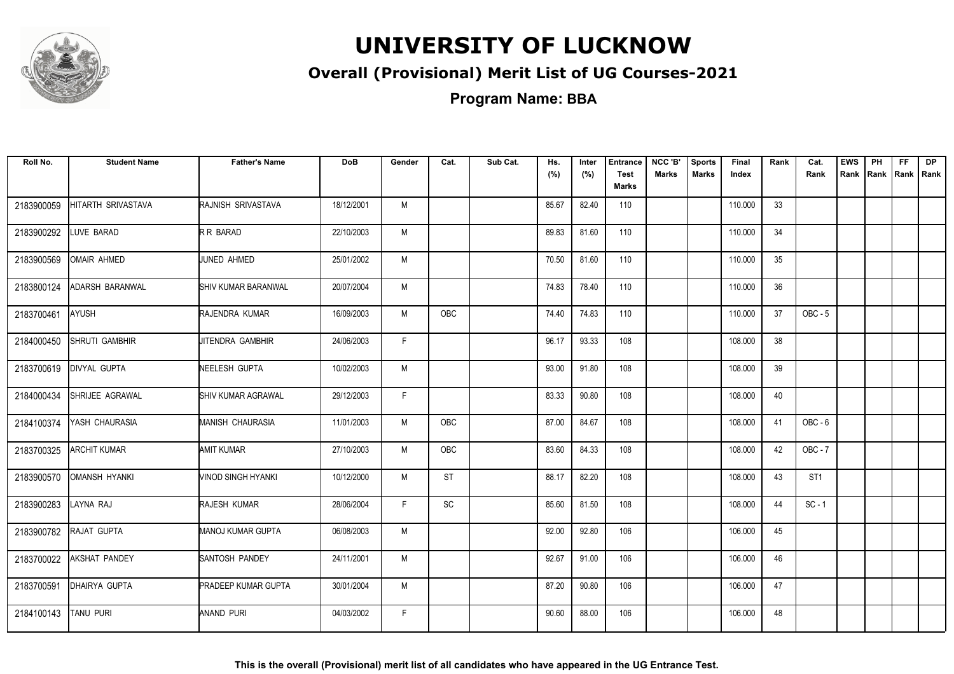

### **Overall (Provisional) Merit List of UG Courses-2021**

| Roll No.   | <b>Student Name</b>  | <b>Father's Name</b>       | <b>DoB</b> | Gender | Cat.       | Sub Cat. | Hs.<br>(%) | Inter<br>(%) | <b>Entrance</b><br><b>Test</b><br><b>Marks</b> | NCC 'B'<br><b>Marks</b> | <b>Sports</b><br><b>Marks</b> | Final<br>Index | Rank | Cat.<br>Rank    | <b>EWS</b><br>Rank | PH<br>Rank Rank Rank | <b>FF</b> | DP |
|------------|----------------------|----------------------------|------------|--------|------------|----------|------------|--------------|------------------------------------------------|-------------------------|-------------------------------|----------------|------|-----------------|--------------------|----------------------|-----------|----|
| 2183900059 | HITARTH SRIVASTAVA   | RAJNISH SRIVASTAVA         | 18/12/2001 | M      |            |          | 85.67      | 82.40        | 110                                            |                         |                               | 110.000        | 33   |                 |                    |                      |           |    |
| 2183900292 | LUVE BARAD           | R R BARAD                  | 22/10/2003 | M      |            |          | 89.83      | 81.60        | 110                                            |                         |                               | 110.000        | 34   |                 |                    |                      |           |    |
| 2183900569 | OMAIR AHMED          | JUNED AHMED                | 25/01/2002 | M      |            |          | 70.50      | 81.60        | 110                                            |                         |                               | 110.000        | 35   |                 |                    |                      |           |    |
| 2183800124 | ADARSH BARANWAL      | <b>SHIV KUMAR BARANWAL</b> | 20/07/2004 | M      |            |          | 74.83      | 78.40        | 110                                            |                         |                               | 110.000        | 36   |                 |                    |                      |           |    |
| 2183700461 | <b>AYUSH</b>         | RAJENDRA KUMAR             | 16/09/2003 | M      | <b>OBC</b> |          | 74.40      | 74.83        | 110                                            |                         |                               | 110.000        | 37   | OBC-5           |                    |                      |           |    |
| 2184000450 | SHRUTI GAMBHIR       | JITENDRA GAMBHIR           | 24/06/2003 | F.     |            |          | 96.17      | 93.33        | 108                                            |                         |                               | 108.000        | 38   |                 |                    |                      |           |    |
| 2183700619 | <b>DIVYAL GUPTA</b>  | NEELESH GUPTA              | 10/02/2003 | M      |            |          | 93.00      | 91.80        | 108                                            |                         |                               | 108.000        | 39   |                 |                    |                      |           |    |
| 2184000434 | SHRIJEE AGRAWAL      | <b>SHIV KUMAR AGRAWAL</b>  | 29/12/2003 | F.     |            |          | 83.33      | 90.80        | 108                                            |                         |                               | 108.000        | 40   |                 |                    |                      |           |    |
| 2184100374 | YASH CHAURASIA       | <b>MANISH CHAURASIA</b>    | 11/01/2003 | M      | OBC        |          | 87.00      | 84.67        | 108                                            |                         |                               | 108.000        | 41   | $OBC - 6$       |                    |                      |           |    |
| 2183700325 | <b>ARCHIT KUMAR</b>  | AMIT KUMAR                 | 27/10/2003 | M      | <b>OBC</b> |          | 83.60      | 84.33        | 108                                            |                         |                               | 108.000        | 42   | $OBC - 7$       |                    |                      |           |    |
| 2183900570 | <b>OMANSH HYANKI</b> | VINOD SINGH HYANKI         | 10/12/2000 | M      | <b>ST</b>  |          | 88.17      | 82.20        | 108                                            |                         |                               | 108.000        | 43   | ST <sub>1</sub> |                    |                      |           |    |
| 2183900283 | LAYNA RAJ            | RAJESH KUMAR               | 28/06/2004 | F      | SC         |          | 85.60      | 81.50        | 108                                            |                         |                               | 108.000        | 44   | $SC - 1$        |                    |                      |           |    |
| 2183900782 | RAJAT GUPTA          | MANOJ KUMAR GUPTA          | 06/08/2003 | M      |            |          | 92.00      | 92.80        | 106                                            |                         |                               | 106.000        | 45   |                 |                    |                      |           |    |
| 2183700022 | AKSHAT PANDEY        | <b>SANTOSH PANDEY</b>      | 24/11/2001 | M      |            |          | 92.67      | 91.00        | 106                                            |                         |                               | 106.000        | 46   |                 |                    |                      |           |    |
| 2183700591 | DHAIRYA GUPTA        | <b>PRADEEP KUMAR GUPTA</b> | 30/01/2004 | M      |            |          | 87.20      | 90.80        | 106                                            |                         |                               | 106.000        | 47   |                 |                    |                      |           |    |
| 2184100143 | <b>TANU PURI</b>     | ANAND PURI                 | 04/03/2002 | F.     |            |          | 90.60      | 88.00        | 106                                            |                         |                               | 106.000        | 48   |                 |                    |                      |           |    |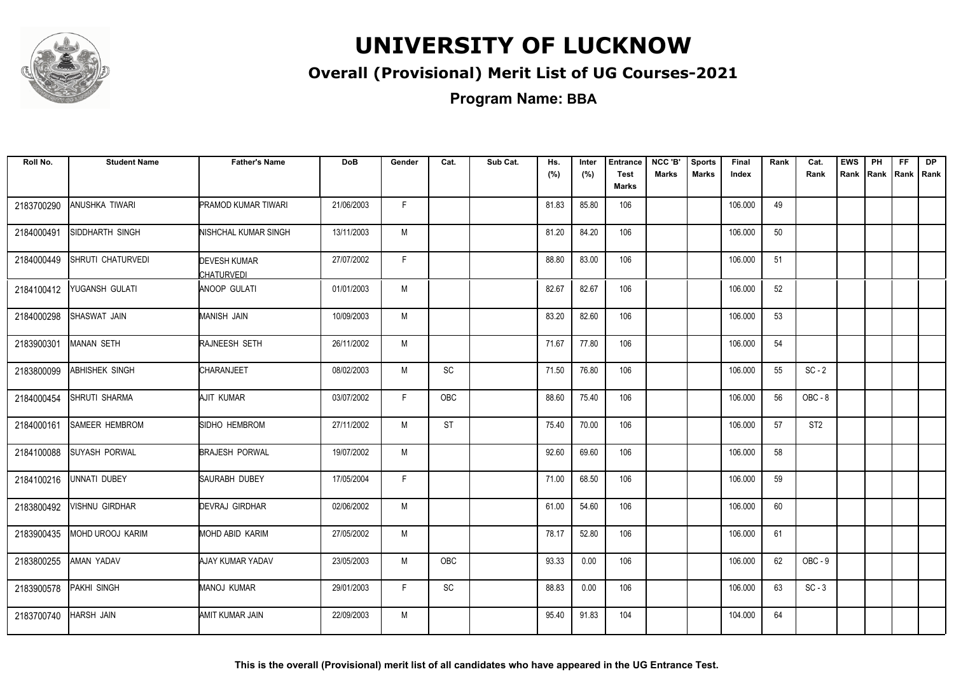

### **Overall (Provisional) Merit List of UG Courses-2021**

| Roll No.   | <b>Student Name</b>      | <b>Father's Name</b>                     | <b>DoB</b> | Gender | Cat.      | Sub Cat. | Hs.<br>(%) | Inter<br>(%) | <b>Entrance</b><br><b>Test</b><br>Marks | NCC 'B'<br><b>Marks</b> | <b>Sports</b><br><b>Marks</b> | Final<br>Index | Rank | Cat.<br>Rank    | <b>EWS</b><br>Rank | PH | FF. | <b>DP</b><br>Rank   Rank   Rank |
|------------|--------------------------|------------------------------------------|------------|--------|-----------|----------|------------|--------------|-----------------------------------------|-------------------------|-------------------------------|----------------|------|-----------------|--------------------|----|-----|---------------------------------|
| 2183700290 | ANUSHKA TIWARI           | <b>PRAMOD KUMAR TIWARI</b>               | 21/06/2003 | F.     |           |          | 81.83      | 85.80        | 106                                     |                         |                               | 106.000        | 49   |                 |                    |    |     |                                 |
| 2184000491 | SIDDHARTH SINGH          | NISHCHAL KUMAR SINGH                     | 13/11/2003 | M      |           |          | 81.20      | 84.20        | 106                                     |                         |                               | 106.000        | 50   |                 |                    |    |     |                                 |
| 2184000449 | <b>SHRUTI CHATURVEDI</b> | <b>DEVESH KUMAR</b><br><b>CHATURVEDI</b> | 27/07/2002 | F      |           |          | 88.80      | 83.00        | 106                                     |                         |                               | 106.000        | 51   |                 |                    |    |     |                                 |
| 2184100412 | YUGANSH GULATI           | <b>ANOOP GULATI</b>                      | 01/01/2003 | M      |           |          | 82.67      | 82.67        | 106                                     |                         |                               | 106.000        | 52   |                 |                    |    |     |                                 |
| 2184000298 | SHASWAT JAIN             | MANISH JAIN                              | 10/09/2003 | M      |           |          | 83.20      | 82.60        | 106                                     |                         |                               | 106.000        | 53   |                 |                    |    |     |                                 |
| 2183900301 | <b>MANAN SETH</b>        | RAJNEESH SETH                            | 26/11/2002 | M      |           |          | 71.67      | 77.80        | 106                                     |                         |                               | 106.000        | 54   |                 |                    |    |     |                                 |
| 2183800099 | ABHISHEK SINGH           | CHARANJEET                               | 08/02/2003 | M      | SC        |          | 71.50      | 76.80        | 106                                     |                         |                               | 106.000        | 55   | $SC - 2$        |                    |    |     |                                 |
| 2184000454 | <b>SHRUTI SHARMA</b>     | AJIT KUMAR                               | 03/07/2002 | F.     | OBC       |          | 88.60      | 75.40        | 106                                     |                         |                               | 106.000        | 56   | OBC-8           |                    |    |     |                                 |
| 2184000161 | <b>SAMEER HEMBROM</b>    | SIDHO HEMBROM                            | 27/11/2002 | M      | <b>ST</b> |          | 75.40      | 70.00        | 106                                     |                         |                               | 106.000        | 57   | ST <sub>2</sub> |                    |    |     |                                 |
| 2184100088 | <b>SUYASH PORWAL</b>     | <b>BRAJESH PORWAL</b>                    | 19/07/2002 | M      |           |          | 92.60      | 69.60        | 106                                     |                         |                               | 106.000        | 58   |                 |                    |    |     |                                 |
| 2184100216 | <b>UNNATI DUBEY</b>      | SAURABH DUBEY                            | 17/05/2004 | F.     |           |          | 71.00      | 68.50        | 106                                     |                         |                               | 106.000        | 59   |                 |                    |    |     |                                 |
| 2183800492 | <b>VISHNU GIRDHAR</b>    | DEVRAJ GIRDHAR                           | 02/06/2002 | M      |           |          | 61.00      | 54.60        | 106                                     |                         |                               | 106.000        | 60   |                 |                    |    |     |                                 |
| 2183900435 | MOHD UROOJ KARIM         | MOHD ABID KARIM                          | 27/05/2002 | M      |           |          | 78.17      | 52.80        | 106                                     |                         |                               | 106.000        | 61   |                 |                    |    |     |                                 |
| 2183800255 | AMAN YADAV               | AJAY KUMAR YADAV                         | 23/05/2003 | M      | OBC       |          | 93.33      | 0.00         | 106                                     |                         |                               | 106.000        | 62   | OBC-9           |                    |    |     |                                 |
| 2183900578 | <b>PAKHI SINGH</b>       | <b>MANOJ KUMAR</b>                       | 29/01/2003 | F.     | SC        |          | 88.83      | 0.00         | 106                                     |                         |                               | 106.000        | 63   | $SC - 3$        |                    |    |     |                                 |
| 2183700740 | <b>HARSH JAIN</b>        | AMIT KUMAR JAIN                          | 22/09/2003 | M      |           |          | 95.40      | 91.83        | 104                                     |                         |                               | 104.000        | 64   |                 |                    |    |     |                                 |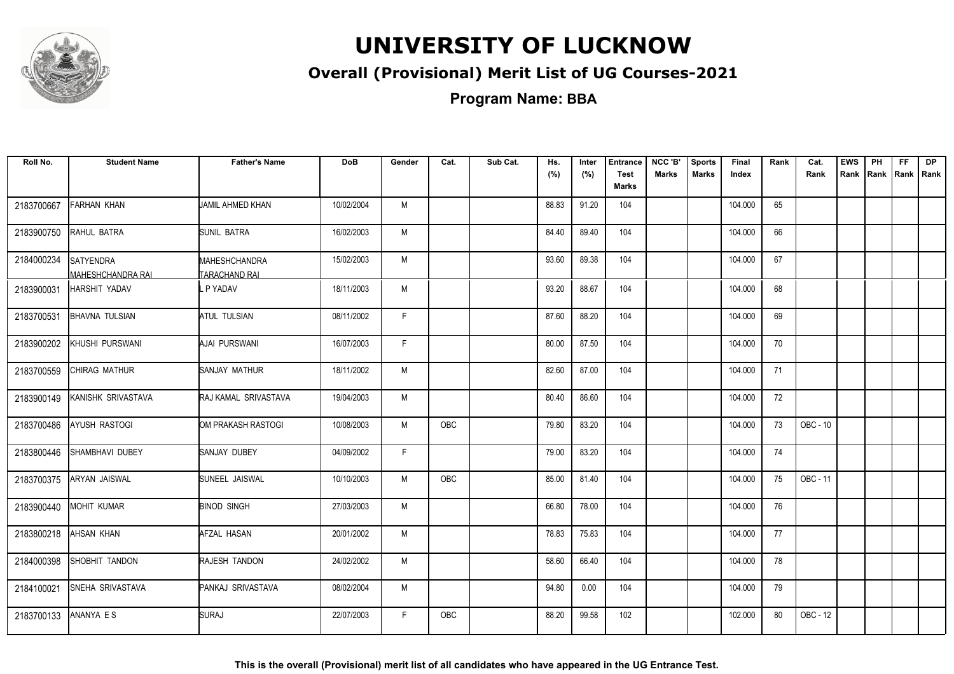

### **Overall (Provisional) Merit List of UG Courses-2021**

**Program Name: BBA**

| Roll No.   | <b>Student Name</b>                   | <b>Father's Name</b>                  | <b>DoB</b> | Gender | Cat.       | Sub Cat. | Hs.<br>(%) | Inter<br>(%) | <b>Entrance</b><br><b>Test</b> | NCC 'B'<br>Marks | <b>Sports</b><br><b>Marks</b> | Final<br>Index | Rank | Cat.<br>Rank    | <b>EWS</b><br>Rank | PH | <b>FF</b><br>Rank   Rank   Rank | <b>DP</b> |
|------------|---------------------------------------|---------------------------------------|------------|--------|------------|----------|------------|--------------|--------------------------------|------------------|-------------------------------|----------------|------|-----------------|--------------------|----|---------------------------------|-----------|
|            |                                       |                                       |            |        |            |          |            |              | <b>Marks</b>                   |                  |                               |                |      |                 |                    |    |                                 |           |
| 2183700667 | FARHAN KHAN                           | JAMIL AHMED KHAN                      | 10/02/2004 | M      |            |          | 88.83      | 91.20        | 104                            |                  |                               | 104.000        | 65   |                 |                    |    |                                 |           |
| 2183900750 | RAHUL BATRA                           | <b>SUNIL BATRA</b>                    | 16/02/2003 | M      |            |          | 84.40      | 89.40        | 104                            |                  |                               | 104.000        | 66   |                 |                    |    |                                 |           |
| 2184000234 | <b>SATYENDRA</b><br>MAHESHCHANDRA RAI | MAHESHCHANDRA<br><b>TARACHAND RAI</b> | 15/02/2003 | M      |            |          | 93.60      | 89.38        | 104                            |                  |                               | 104.000        | 67   |                 |                    |    |                                 |           |
| 2183900031 | HARSHIT YADAV                         | P YADAV                               | 18/11/2003 | M      |            |          | 93.20      | 88.67        | 104                            |                  |                               | 104.000        | 68   |                 |                    |    |                                 |           |
| 2183700531 | <b>BHAVNA TULSIAN</b>                 | <b>ATUL TULSIAN</b>                   | 08/11/2002 | F      |            |          | 87.60      | 88.20        | 104                            |                  |                               | 104.000        | 69   |                 |                    |    |                                 |           |
| 2183900202 | KHUSHI PURSWANI                       | AJAI PURSWANI                         | 16/07/2003 | F      |            |          | 80.00      | 87.50        | 104                            |                  |                               | 104.000        | 70   |                 |                    |    |                                 |           |
| 2183700559 | CHIRAG MATHUR                         | SANJAY MATHUR                         | 18/11/2002 | M      |            |          | 82.60      | 87.00        | 104                            |                  |                               | 104.000        | 71   |                 |                    |    |                                 |           |
| 2183900149 | KANISHK SRIVASTAVA                    | <b>RAJ KAMAL SRIVASTAVA</b>           | 19/04/2003 | M      |            |          | 80.40      | 86.60        | 104                            |                  |                               | 104.000        | 72   |                 |                    |    |                                 |           |
| 2183700486 | AYUSH RASTOGI                         | OM PRAKASH RASTOGI                    | 10/08/2003 | M      | <b>OBC</b> |          | 79.80      | 83.20        | 104                            |                  |                               | 104.000        | 73   | <b>OBC - 10</b> |                    |    |                                 |           |
| 2183800446 | SHAMBHAVI DUBEY                       | <b>SANJAY DUBEY</b>                   | 04/09/2002 | F      |            |          | 79.00      | 83.20        | 104                            |                  |                               | 104.000        | 74   |                 |                    |    |                                 |           |
| 2183700375 | ARYAN JAISWAL                         | SUNEEL JAISWAL                        | 10/10/2003 | M      | <b>OBC</b> |          | 85.00      | 81.40        | 104                            |                  |                               | 104.000        | 75   | OBC - 11        |                    |    |                                 |           |
| 2183900440 | MOHIT KUMAR                           | <b>BINOD SINGH</b>                    | 27/03/2003 | M      |            |          | 66.80      | 78.00        | 104                            |                  |                               | 104.000        | 76   |                 |                    |    |                                 |           |
| 2183800218 | AHSAN KHAN                            | AFZAL HASAN                           | 20/01/2002 | M      |            |          | 78.83      | 75.83        | 104                            |                  |                               | 104.000        | 77   |                 |                    |    |                                 |           |
| 2184000398 | SHOBHIT TANDON                        | RAJESH TANDON                         | 24/02/2002 | M      |            |          | 58.60      | 66.40        | 104                            |                  |                               | 104.000        | 78   |                 |                    |    |                                 |           |
| 2184100021 | <b>SNEHA SRIVASTAVA</b>               | PANKAJ SRIVASTAVA                     | 08/02/2004 | M      |            |          | 94.80      | 0.00         | 104                            |                  |                               | 104.000        | 79   |                 |                    |    |                                 |           |
| 2183700133 | ANANYA ES                             | SURAJ                                 | 22/07/2003 | F      | <b>OBC</b> |          | 88.20      | 99.58        | 102                            |                  |                               | 102.000        | 80   | OBC - 12        |                    |    |                                 |           |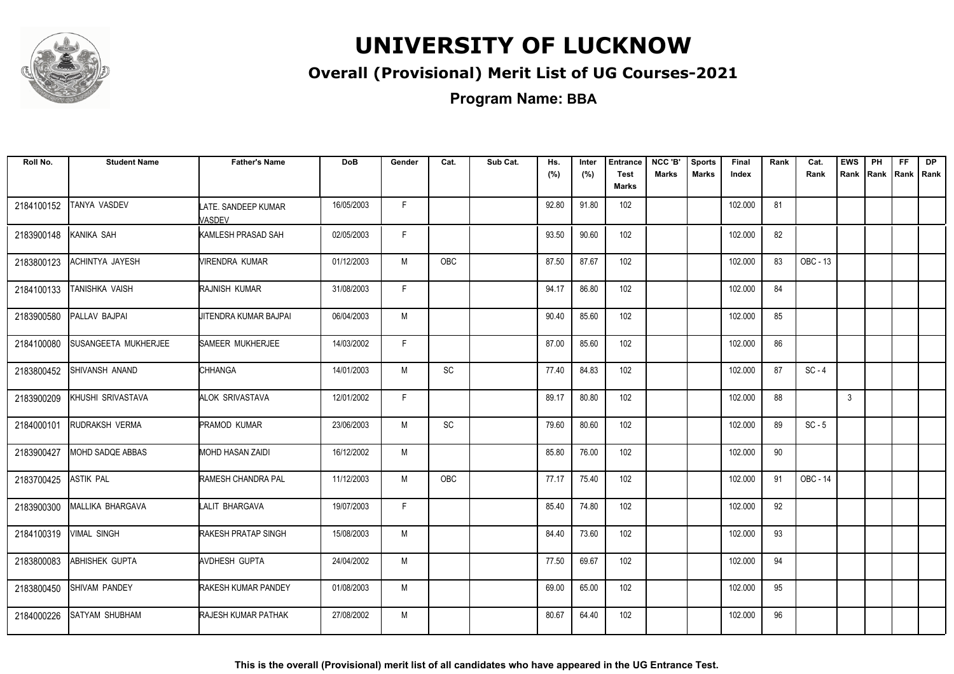

### **Overall (Provisional) Merit List of UG Courses-2021**

**Program Name: BBA**

| Roll No.   | <b>Student Name</b>         | <b>Father's Name</b>          | <b>DoB</b> | Gender | Cat.       | Sub Cat. | Hs.<br>(%) | Inter<br>(%) | <b>Entrance</b><br><b>Test</b><br>Marks | NCC 'B'<br><b>Marks</b> | <b>Sports</b><br><b>Marks</b> | Final<br>Index | Rank | Cat.<br>Rank | <b>EWS</b> | PH | <b>FF</b> | <b>DP</b><br>Rank Rank Rank Rank |
|------------|-----------------------------|-------------------------------|------------|--------|------------|----------|------------|--------------|-----------------------------------------|-------------------------|-------------------------------|----------------|------|--------------|------------|----|-----------|----------------------------------|
| 2184100152 | TANYA VASDEV                | LATE. SANDEEP KUMAR<br>VASDEV | 16/05/2003 | F.     |            |          | 92.80      | 91.80        | 102                                     |                         |                               | 102.000        | 81   |              |            |    |           |                                  |
| 2183900148 | KANIKA SAH                  | KAMLESH PRASAD SAH            | 02/05/2003 | F.     |            |          | 93.50      | 90.60        | 102                                     |                         |                               | 102.000        | 82   |              |            |    |           |                                  |
| 2183800123 | ACHINTYA JAYESH             | <b>VIRENDRA KUMAR</b>         | 01/12/2003 | M      | <b>OBC</b> |          | 87.50      | 87.67        | 102                                     |                         |                               | 102.000        | 83   | OBC - 13     |            |    |           |                                  |
| 2184100133 | TANISHKA VAISH              | RAJNISH KUMAR                 | 31/08/2003 | F      |            |          | 94.17      | 86.80        | 102                                     |                         |                               | 102.000        | 84   |              |            |    |           |                                  |
| 2183900580 | PALLAV BAJPAI               | JITENDRA KUMAR BAJPAI         | 06/04/2003 | M      |            |          | 90.40      | 85.60        | 102                                     |                         |                               | 102.000        | 85   |              |            |    |           |                                  |
| 2184100080 | <b>SUSANGEETA MUKHERJEE</b> | SAMEER MUKHERJEE              | 14/03/2002 | F.     |            |          | 87.00      | 85.60        | 102                                     |                         |                               | 102.000        | 86   |              |            |    |           |                                  |
| 2183800452 | SHIVANSH ANAND              | CHHANGA                       | 14/01/2003 | M      | SC         |          | 77.40      | 84.83        | 102                                     |                         |                               | 102.000        | 87   | $SC - 4$     |            |    |           |                                  |
| 2183900209 | KHUSHI SRIVASTAVA           | ALOK SRIVASTAVA               | 12/01/2002 | F.     |            |          | 89.17      | 80.80        | 102                                     |                         |                               | 102.000        | 88   |              | 3          |    |           |                                  |
| 2184000101 | RUDRAKSH VERMA              | PRAMOD KUMAR                  | 23/06/2003 | M      | SC         |          | 79.60      | 80.60        | 102                                     |                         |                               | 102.000        | 89   | $SC - 5$     |            |    |           |                                  |
| 2183900427 | MOHD SADQE ABBAS            | MOHD HASAN ZAIDI              | 16/12/2002 | M      |            |          | 85.80      | 76.00        | 102                                     |                         |                               | 102.000        | 90   |              |            |    |           |                                  |
| 2183700425 | <b>ASTIK PAL</b>            | <b>RAMESH CHANDRA PAL</b>     | 11/12/2003 | M      | <b>OBC</b> |          | 77.17      | 75.40        | 102                                     |                         |                               | 102.000        | 91   | OBC - 14     |            |    |           |                                  |
| 2183900300 | MALLIKA BHARGAVA            | LALIT BHARGAVA                | 19/07/2003 | F.     |            |          | 85.40      | 74.80        | 102                                     |                         |                               | 102.000        | 92   |              |            |    |           |                                  |
| 2184100319 | <b>VIMAL SINGH</b>          | RAKESH PRATAP SINGH           | 15/08/2003 | M      |            |          | 84.40      | 73.60        | 102                                     |                         |                               | 102.000        | 93   |              |            |    |           |                                  |
| 2183800083 | <b>ABHISHEK GUPTA</b>       | AVDHESH GUPTA                 | 24/04/2002 | M      |            |          | 77.50      | 69.67        | 102                                     |                         |                               | 102.000        | 94   |              |            |    |           |                                  |
| 2183800450 | SHIVAM PANDEY               | RAKESH KUMAR PANDEY           | 01/08/2003 | M      |            |          | 69.00      | 65.00        | 102                                     |                         |                               | 102.000        | 95   |              |            |    |           |                                  |
| 2184000226 | <b>SATYAM SHUBHAM</b>       | RAJESH KUMAR PATHAK           | 27/08/2002 | M      |            |          | 80.67      | 64.40        | 102                                     |                         |                               | 102.000        | 96   |              |            |    |           |                                  |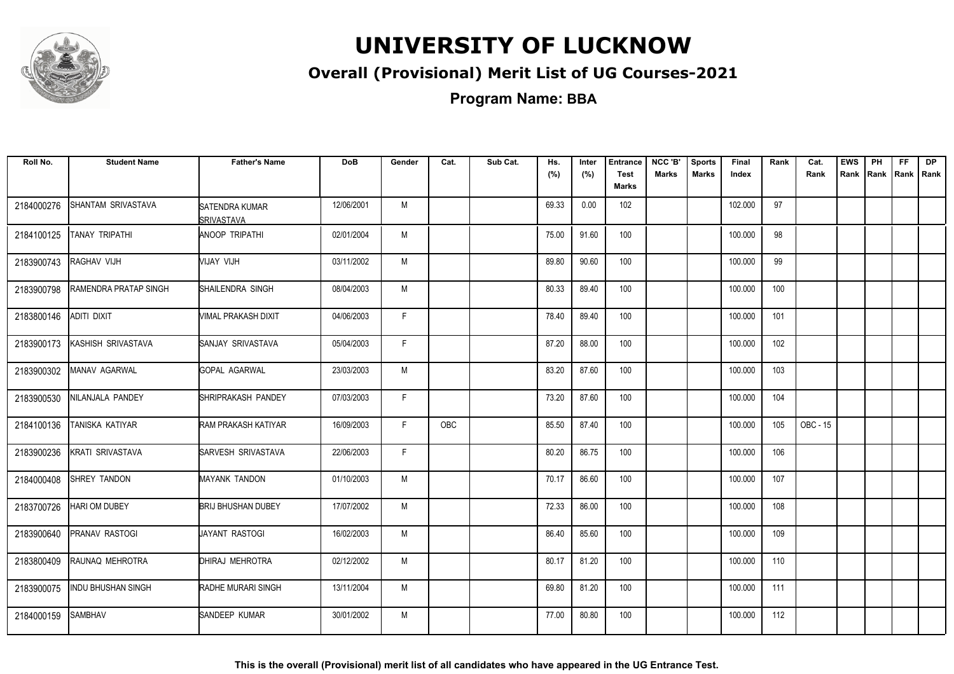

### **Overall (Provisional) Merit List of UG Courses-2021**

| Roll No.   | <b>Student Name</b>       | <b>Father's Name</b>                | <b>DoB</b> | Gender       | Cat. | Sub Cat. | Hs.<br>(%) | Inter<br>(%) | <b>Entrance</b><br><b>Test</b><br>Marks | NCC 'B'<br>Marks | <b>Sports</b><br><b>Marks</b> | Final<br>Index | Rank | Cat.<br>Rank | <b>EWS</b><br>Rank | PH | <b>FF</b><br>Rank   Rank   Rank | <b>DP</b> |
|------------|---------------------------|-------------------------------------|------------|--------------|------|----------|------------|--------------|-----------------------------------------|------------------|-------------------------------|----------------|------|--------------|--------------------|----|---------------------------------|-----------|
| 2184000276 | SHANTAM SRIVASTAVA        | SATENDRA KUMAR<br><b>SRIVASTAVA</b> | 12/06/2001 | M            |      |          | 69.33      | 0.00         | 102                                     |                  |                               | 102.000        | 97   |              |                    |    |                                 |           |
| 2184100125 | TANAY TRIPATHI            | <b>ANOOP TRIPATHI</b>               | 02/01/2004 | M            |      |          | 75.00      | 91.60        | 100                                     |                  |                               | 100.000        | 98   |              |                    |    |                                 |           |
| 2183900743 | RAGHAV VIJH               | VIJAY VIJH                          | 03/11/2002 | M            |      |          | 89.80      | 90.60        | 100                                     |                  |                               | 100.000        | 99   |              |                    |    |                                 |           |
| 2183900798 | RAMENDRA PRATAP SINGH     | SHAILENDRA SINGH                    | 08/04/2003 | М            |      |          | 80.33      | 89.40        | 100                                     |                  |                               | 100.000        | 100  |              |                    |    |                                 |           |
| 2183800146 | ADITI DIXIT               | VIMAL PRAKASH DIXIT                 | 04/06/2003 | F            |      |          | 78.40      | 89.40        | 100                                     |                  |                               | 100.000        | 101  |              |                    |    |                                 |           |
| 2183900173 | KASHISH SRIVASTAVA        | <b>SANJAY SRIVASTAVA</b>            | 05/04/2003 | F            |      |          | 87.20      | 88.00        | 100                                     |                  |                               | 100.000        | 102  |              |                    |    |                                 |           |
| 2183900302 | MANAV AGARWAL             | GOPAL AGARWAL                       | 23/03/2003 | M            |      |          | 83.20      | 87.60        | 100                                     |                  |                               | 100.000        | 103  |              |                    |    |                                 |           |
| 2183900530 | NILANJALA PANDEY          | SHRIPRAKASH PANDEY                  | 07/03/2003 | F.           |      |          | 73.20      | 87.60        | 100                                     |                  |                               | 100.000        | 104  |              |                    |    |                                 |           |
| 2184100136 | TANISKA KATIYAR           | RAM PRAKASH KATIYAR                 | 16/09/2003 | F            | OBC  |          | 85.50      | 87.40        | 100                                     |                  |                               | 100.000        | 105  | OBC - 15     |                    |    |                                 |           |
| 2183900236 | KRATI SRIVASTAVA          | SARVESH SRIVASTAVA                  | 22/06/2003 | $\mathsf{F}$ |      |          | 80.20      | 86.75        | 100                                     |                  |                               | 100.000        | 106  |              |                    |    |                                 |           |
| 2184000408 | SHREY TANDON              | <b>MAYANK TANDON</b>                | 01/10/2003 | M            |      |          | 70.17      | 86.60        | 100                                     |                  |                               | 100.000        | 107  |              |                    |    |                                 |           |
| 2183700726 | <b>HARI OM DUBEY</b>      | <b>BRIJ BHUSHAN DUBEY</b>           | 17/07/2002 | M            |      |          | 72.33      | 86.00        | 100                                     |                  |                               | 100.000        | 108  |              |                    |    |                                 |           |
| 2183900640 | PRANAV RASTOGI            | <b>JAYANT RASTOGI</b>               | 16/02/2003 | M            |      |          | 86.40      | 85.60        | 100                                     |                  |                               | 100.000        | 109  |              |                    |    |                                 |           |
| 2183800409 | RAUNAQ MEHROTRA           | DHIRAJ MEHROTRA                     | 02/12/2002 | M            |      |          | 80.17      | 81.20        | 100                                     |                  |                               | 100.000        | 110  |              |                    |    |                                 |           |
| 2183900075 | <b>INDU BHUSHAN SINGH</b> | RADHE MURARI SINGH                  | 13/11/2004 | M            |      |          | 69.80      | 81.20        | 100                                     |                  |                               | 100.000        | 111  |              |                    |    |                                 |           |
| 2184000159 | <b>SAMBHAV</b>            | SANDEEP KUMAR                       | 30/01/2002 | M            |      |          | 77.00      | 80.80        | 100                                     |                  |                               | 100.000        | 112  |              |                    |    |                                 |           |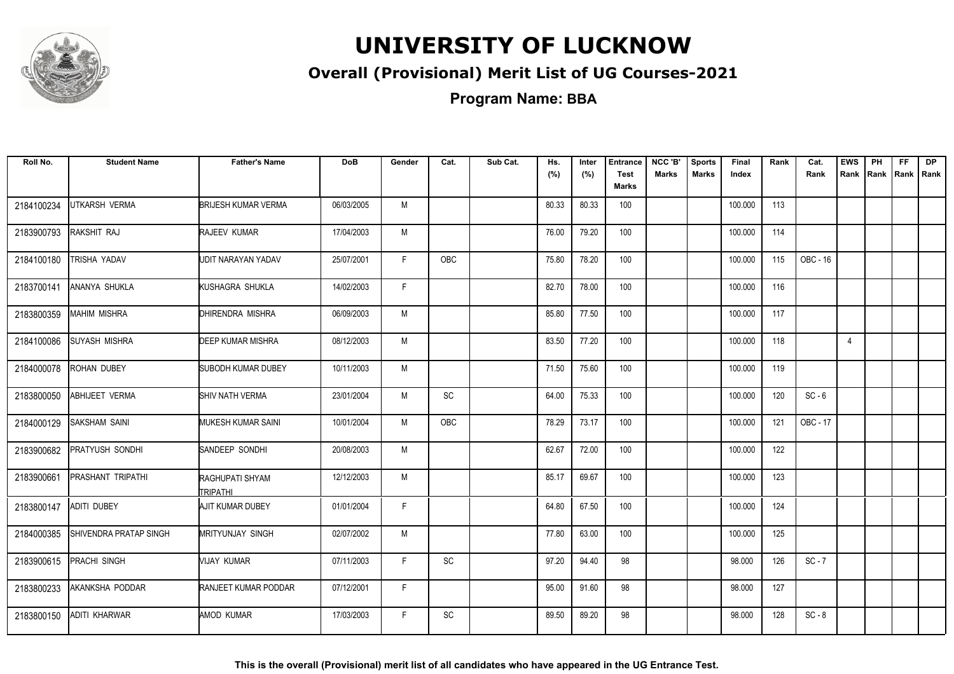

### **Overall (Provisional) Merit List of UG Courses-2021**

**Program Name: BBA**

| Roll No.   | <b>Student Name</b>    | <b>Father's Name</b>        | <b>DoB</b> | Gender | Cat.                         | Sub Cat. | Hs.<br>(%) | Inter<br>(%) | <b>Entrance</b><br><b>Test</b><br>Marks | NCC 'B'<br><b>Marks</b> | <b>Sports</b><br><b>Marks</b> | Final<br>Index | Rank | Cat.<br>Rank | <b>EWS</b>     | PH | <b>FF</b> | <b>DP</b><br>Rank Rank Rank Rank |
|------------|------------------------|-----------------------------|------------|--------|------------------------------|----------|------------|--------------|-----------------------------------------|-------------------------|-------------------------------|----------------|------|--------------|----------------|----|-----------|----------------------------------|
| 2184100234 | UTKARSH VERMA          | <b>BRIJESH KUMAR VERMA</b>  | 06/03/2005 | M      |                              |          | 80.33      | 80.33        | 100                                     |                         |                               | 100.000        | 113  |              |                |    |           |                                  |
| 2183900793 | RAKSHIT RAJ            | RAJEEV KUMAR                | 17/04/2003 | M      |                              |          | 76.00      | 79.20        | 100                                     |                         |                               | 100.000        | 114  |              |                |    |           |                                  |
| 2184100180 | TRISHA YADAV           | UDIT NARAYAN YADAV          | 25/07/2001 | F.     | <b>OBC</b>                   |          | 75.80      | 78.20        | 100                                     |                         |                               | 100.000        | 115  | OBC - 16     |                |    |           |                                  |
| 2183700141 | ANANYA SHUKLA          | KUSHAGRA SHUKLA             | 14/02/2003 | F.     |                              |          | 82.70      | 78.00        | 100                                     |                         |                               | 100.000        | 116  |              |                |    |           |                                  |
| 2183800359 | <b>MAHIM MISHRA</b>    | DHIRENDRA MISHRA            | 06/09/2003 | M      |                              |          | 85.80      | 77.50        | 100                                     |                         |                               | 100.000        | 117  |              |                |    |           |                                  |
| 2184100086 | <b>SUYASH MISHRA</b>   | <b>DEEP KUMAR MISHRA</b>    | 08/12/2003 | M      |                              |          | 83.50      | 77.20        | 100                                     |                         |                               | 100.000        | 118  |              | $\overline{4}$ |    |           |                                  |
| 2184000078 | ROHAN DUBEY            | SUBODH KUMAR DUBEY          | 10/11/2003 | M      |                              |          | 71.50      | 75.60        | 100                                     |                         |                               | 100.000        | 119  |              |                |    |           |                                  |
| 2183800050 | <b>ABHIJEET VERMA</b>  | SHIV NATH VERMA             | 23/01/2004 | M      | SC                           |          | 64.00      | 75.33        | 100                                     |                         |                               | 100.000        | 120  | $SC - 6$     |                |    |           |                                  |
| 2184000129 | <b>SAKSHAM SAINI</b>   | MUKESH KUMAR SAINI          | 10/01/2004 | M      | OBC                          |          | 78.29      | 73.17        | 100                                     |                         |                               | 100.000        | 121  | OBC - 17     |                |    |           |                                  |
| 2183900682 | PRATYUSH SONDHI        | SANDEEP SONDHI              | 20/08/2003 | M      |                              |          | 62.67      | 72.00        | 100                                     |                         |                               | 100.000        | 122  |              |                |    |           |                                  |
| 2183900661 | PRASHANT TRIPATHI      | RAGHUPATI SHYAM<br>TRIPATHI | 12/12/2003 | M      |                              |          | 85.17      | 69.67        | 100                                     |                         |                               | 100.000        | 123  |              |                |    |           |                                  |
| 2183800147 | <b>ADITI DUBEY</b>     | AJIT KUMAR DUBEY            | 01/01/2004 | F.     |                              |          | 64.80      | 67.50        | 100                                     |                         |                               | 100.000        | 124  |              |                |    |           |                                  |
| 2184000385 | SHIVENDRA PRATAP SINGH | <b>MRITYUNJAY SINGH</b>     | 02/07/2002 | M      |                              |          | 77.80      | 63.00        | 100                                     |                         |                               | 100.000        | 125  |              |                |    |           |                                  |
| 2183900615 | <b>PRACHI SINGH</b>    | VIJAY KUMAR                 | 07/11/2003 | F.     | $\operatorname{\textsf{SC}}$ |          | 97.20      | 94.40        | 98                                      |                         |                               | 98.000         | 126  | $SC - 7$     |                |    |           |                                  |
| 2183800233 | AKANKSHA PODDAR        | RANJEET KUMAR PODDAR        | 07/12/2001 | F.     |                              |          | 95.00      | 91.60        | 98                                      |                         |                               | 98.000         | 127  |              |                |    |           |                                  |
| 2183800150 | ADITI KHARWAR          | AMOD KUMAR                  | 17/03/2003 | F.     | SC                           |          | 89.50      | 89.20        | 98                                      |                         |                               | 98.000         | 128  | $SC - 8$     |                |    |           |                                  |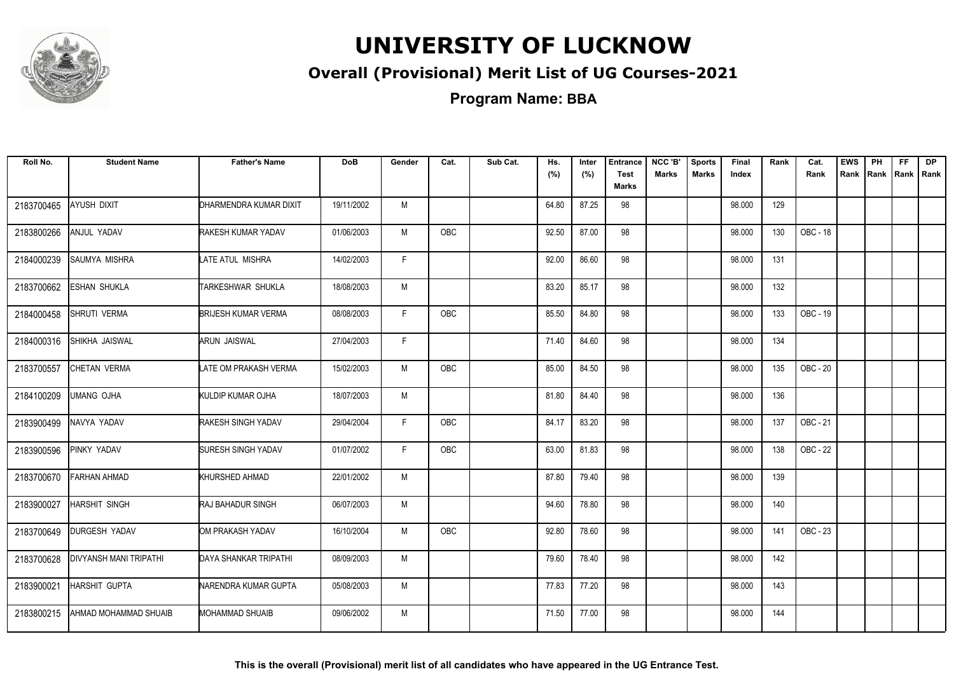

### **Overall (Provisional) Merit List of UG Courses-2021**

**Program Name: BBA**

| Roll No.   | <b>Student Name</b>           | <b>Father's Name</b>       | <b>DoB</b> | Gender | Cat.       | Sub Cat. | Hs.<br>(%) | Inter<br>(%) | <b>Entrance</b><br><b>Test</b><br><b>Marks</b> | NCC 'B'<br><b>Marks</b> | <b>Sports</b><br><b>Marks</b> | Final<br>Index | Rank | Cat.<br>Rank | <b>EWS</b><br>Rank | PH<br>Rank | FF.<br>Rank   Rank | <b>DP</b> |
|------------|-------------------------------|----------------------------|------------|--------|------------|----------|------------|--------------|------------------------------------------------|-------------------------|-------------------------------|----------------|------|--------------|--------------------|------------|--------------------|-----------|
| 2183700465 | AYUSH DIXIT                   | DHARMENDRA KUMAR DIXIT     | 19/11/2002 | M      |            |          | 64.80      | 87.25        | 98                                             |                         |                               | 98.000         | 129  |              |                    |            |                    |           |
| 2183800266 | <b>ANJUL YADAV</b>            | RAKESH KUMAR YADAV         | 01/06/2003 | M      | <b>OBC</b> |          | 92.50      | 87.00        | 98                                             |                         |                               | 98.000         | 130  | OBC - 18     |                    |            |                    |           |
| 2184000239 | SAUMYA MISHRA                 | LATE ATUL MISHRA           | 14/02/2003 | F      |            |          | 92.00      | 86.60        | 98                                             |                         |                               | 98.000         | 131  |              |                    |            |                    |           |
| 2183700662 | ESHAN SHUKLA                  | TARKESHWAR SHUKLA          | 18/08/2003 | M      |            |          | 83.20      | 85.17        | 98                                             |                         |                               | 98.000         | 132  |              |                    |            |                    |           |
| 2184000458 | SHRUTI VERMA                  | <b>BRIJESH KUMAR VERMA</b> | 08/08/2003 | F      | OBC        |          | 85.50      | 84.80        | 98                                             |                         |                               | 98.000         | 133  | OBC - 19     |                    |            |                    |           |
| 2184000316 | SHIKHA JAISWAL                | <b>ARUN JAISWAL</b>        | 27/04/2003 | F.     |            |          | 71.40      | 84.60        | 98                                             |                         |                               | 98.000         | 134  |              |                    |            |                    |           |
| 2183700557 | CHETAN VERMA                  | LATE OM PRAKASH VERMA      | 15/02/2003 | M      | OBC        |          | 85.00      | 84.50        | 98                                             |                         |                               | 98.000         | 135  | OBC - 20     |                    |            |                    |           |
| 2184100209 | UMANG OJHA                    | KULDIP KUMAR OJHA          | 18/07/2003 | M      |            |          | 81.80      | 84.40        | 98                                             |                         |                               | 98.000         | 136  |              |                    |            |                    |           |
| 2183900499 | NAVYA YADAV                   | RAKESH SINGH YADAV         | 29/04/2004 | F.     | <b>OBC</b> |          | 84.17      | 83.20        | 98                                             |                         |                               | 98.000         | 137  | OBC - 21     |                    |            |                    |           |
| 2183900596 | PINKY YADAV                   | <b>SURESH SINGH YADAV</b>  | 01/07/2002 | F      | <b>OBC</b> |          | 63.00      | 81.83        | 98                                             |                         |                               | 98.000         | 138  | OBC - 22     |                    |            |                    |           |
| 2183700670 | <b>FARHAN AHMAD</b>           | KHURSHED AHMAD             | 22/01/2002 | M      |            |          | 87.80      | 79.40        | 98                                             |                         |                               | 98.000         | 139  |              |                    |            |                    |           |
| 2183900027 | HARSHIT SINGH                 | <b>RAJ BAHADUR SINGH</b>   | 06/07/2003 | M      |            |          | 94.60      | 78.80        | 98                                             |                         |                               | 98.000         | 140  |              |                    |            |                    |           |
| 2183700649 | <b>DURGESH YADAV</b>          | OM PRAKASH YADAV           | 16/10/2004 | M      | <b>OBC</b> |          | 92.80      | 78.60        | 98                                             |                         |                               | 98.000         | 141  | OBC - 23     |                    |            |                    |           |
| 2183700628 | <b>DIVYANSH MANI TRIPATHI</b> | DAYA SHANKAR TRIPATHI      | 08/09/2003 | M      |            |          | 79.60      | 78.40        | 98                                             |                         |                               | 98.000         | 142  |              |                    |            |                    |           |
| 2183900021 | HARSHIT GUPTA                 | NARENDRA KUMAR GUPTA       | 05/08/2003 | M      |            |          | 77.83      | 77.20        | 98                                             |                         |                               | 98.000         | 143  |              |                    |            |                    |           |
| 2183800215 | AHMAD MOHAMMAD SHUAIB         | MOHAMMAD SHUAIB            | 09/06/2002 | M      |            |          | 71.50      | 77.00        | 98                                             |                         |                               | 98.000         | 144  |              |                    |            |                    |           |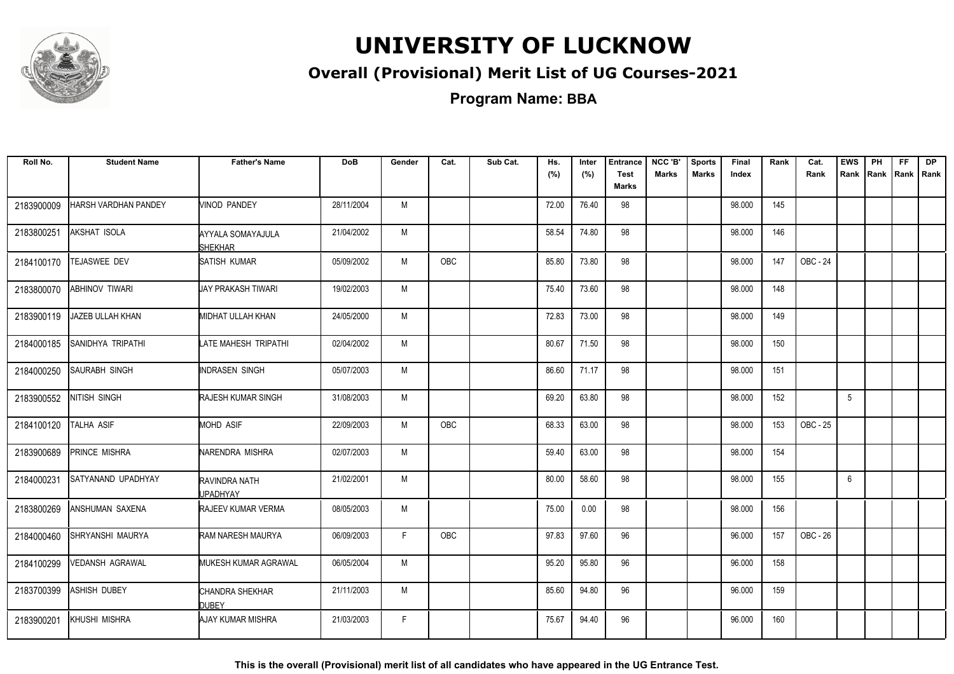

### **Overall (Provisional) Merit List of UG Courses-2021**

**Program Name: BBA**

| Roll No.   | <b>Student Name</b>    | <b>Father's Name</b>                | <b>DoB</b> | Gender | Cat.       | Sub Cat. | Hs.<br>(%) | Inter<br>(%) | <b>Entrance</b><br><b>Test</b><br>Marks | NCC 'B'<br><b>Marks</b> | <b>Sports</b><br><b>Marks</b> | Final<br>Index | Rank | Cat.<br>Rank | <b>EWS</b><br>Rank | PH<br>Rank Rank Rank | FF. | <b>DP</b> |
|------------|------------------------|-------------------------------------|------------|--------|------------|----------|------------|--------------|-----------------------------------------|-------------------------|-------------------------------|----------------|------|--------------|--------------------|----------------------|-----|-----------|
| 2183900009 | HARSH VARDHAN PANDEY   | VINOD PANDEY                        | 28/11/2004 | M      |            |          | 72.00      | 76.40        | 98                                      |                         |                               | 98.000         | 145  |              |                    |                      |     |           |
| 2183800251 | AKSHAT ISOLA           | AYYALA SOMAYAJULA<br><b>SHEKHAR</b> | 21/04/2002 | M      |            |          | 58.54      | 74.80        | 98                                      |                         |                               | 98.000         | 146  |              |                    |                      |     |           |
| 2184100170 | <b>TEJASWEE DEV</b>    | SATISH KUMAR                        | 05/09/2002 | M      | <b>OBC</b> |          | 85.80      | 73.80        | 98                                      |                         |                               | 98.000         | 147  | OBC - 24     |                    |                      |     |           |
| 2183800070 | ABHINOV TIWARI         | UAY PRAKASH TIWARI                  | 19/02/2003 | M      |            |          | 75.40      | 73.60        | 98                                      |                         |                               | 98.000         | 148  |              |                    |                      |     |           |
| 2183900119 | JAZEB ULLAH KHAN       | MIDHAT ULLAH KHAN                   | 24/05/2000 | M      |            |          | 72.83      | 73.00        | 98                                      |                         |                               | 98.000         | 149  |              |                    |                      |     |           |
| 2184000185 | SANIDHYA TRIPATHI      | LATE MAHESH TRIPATHI                | 02/04/2002 | M      |            |          | 80.67      | 71.50        | 98                                      |                         |                               | 98.000         | 150  |              |                    |                      |     |           |
| 2184000250 | SAURABH SINGH          | INDRASEN SINGH                      | 05/07/2003 | M      |            |          | 86.60      | 71.17        | 98                                      |                         |                               | 98.000         | 151  |              |                    |                      |     |           |
| 2183900552 | NITISH SINGH           | RAJESH KUMAR SINGH                  | 31/08/2003 | M      |            |          | 69.20      | 63.80        | 98                                      |                         |                               | 98.000         | 152  |              | 5                  |                      |     |           |
| 2184100120 | TALHA ASIF             | MOHD ASIF                           | 22/09/2003 | M      | <b>OBC</b> |          | 68.33      | 63.00        | 98                                      |                         |                               | 98.000         | 153  | OBC - 25     |                    |                      |     |           |
| 2183900689 | PRINCE MISHRA          | NARENDRA MISHRA                     | 02/07/2003 | M      |            |          | 59.40      | 63.00        | 98                                      |                         |                               | 98.000         | 154  |              |                    |                      |     |           |
| 2184000231 | SATYANAND UPADHYAY     | RAVINDRA NATH<br>UPADHYAY           | 21/02/2001 | M      |            |          | 80.00      | 58.60        | 98                                      |                         |                               | 98.000         | 155  |              | 6                  |                      |     |           |
| 2183800269 | ANSHUMAN SAXENA        | <b>RAJEEV KUMAR VERMA</b>           | 08/05/2003 | M      |            |          | 75.00      | 0.00         | 98                                      |                         |                               | 98.000         | 156  |              |                    |                      |     |           |
| 2184000460 | SHRYANSHI MAURYA       | RAM NARESH MAURYA                   | 06/09/2003 | F.     | <b>OBC</b> |          | 97.83      | 97.60        | 96                                      |                         |                               | 96.000         | 157  | OBC - 26     |                    |                      |     |           |
| 2184100299 | <b>VEDANSH AGRAWAL</b> | MUKESH KUMAR AGRAWAL                | 06/05/2004 | M      |            |          | 95.20      | 95.80        | 96                                      |                         |                               | 96.000         | 158  |              |                    |                      |     |           |
| 2183700399 | ASHISH DUBEY           | CHANDRA SHEKHAR<br><b>DUBEY</b>     | 21/11/2003 | M      |            |          | 85.60      | 94.80        | 96                                      |                         |                               | 96.000         | 159  |              |                    |                      |     |           |
| 2183900201 | KHUSHI MISHRA          | AJAY KUMAR MISHRA                   | 21/03/2003 | F      |            |          | 75.67      | 94.40        | 96                                      |                         |                               | 96.000         | 160  |              |                    |                      |     |           |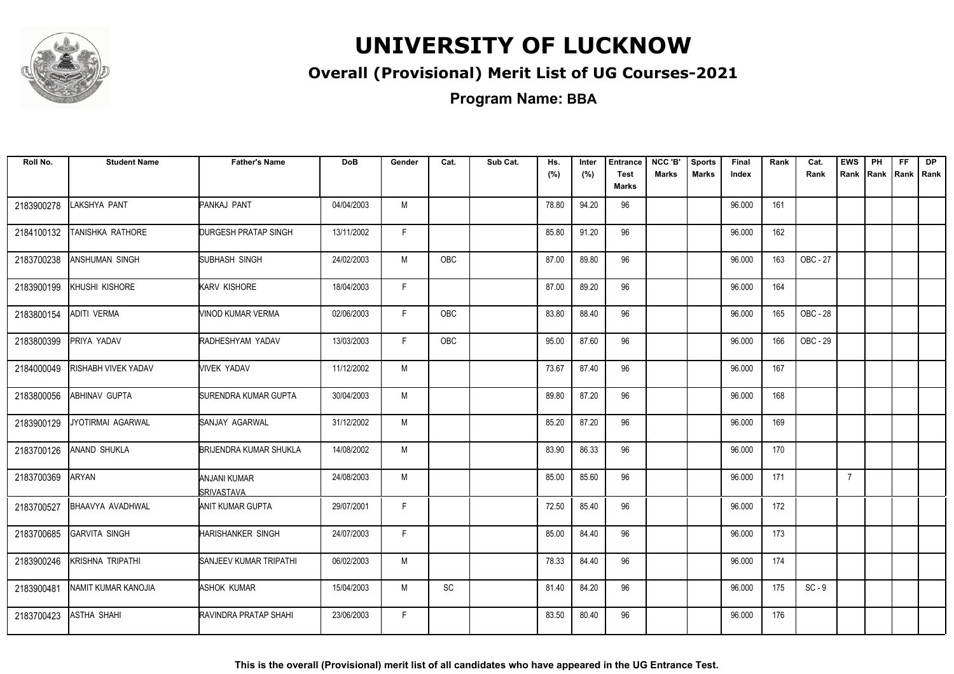

### **Overall (Provisional) Merit List of UG Courses-2021**

**Program Name: BBA**

| Roll No.   | <b>Student Name</b>     | <b>Father's Name</b>              | <b>DoB</b> | Gender | Cat.       | Sub Cat. | Hs.<br>(%) | Inter<br>(%) | <b>Entrance</b><br><b>Test</b><br>Marks | NCC 'B'<br><b>Marks</b> | <b>Sports</b><br><b>Marks</b> | Final<br>Index | Rank | Cat.<br>Rank | <b>EWS</b>     | PH<br>Rank Rank Rank Rank | FF. | <b>DP</b> |
|------------|-------------------------|-----------------------------------|------------|--------|------------|----------|------------|--------------|-----------------------------------------|-------------------------|-------------------------------|----------------|------|--------------|----------------|---------------------------|-----|-----------|
| 2183900278 | LAKSHYA PANT            | PANKAJ PANT                       | 04/04/2003 | M      |            |          | 78.80      | 94.20        | 96                                      |                         |                               | 96.000         | 161  |              |                |                           |     |           |
| 2184100132 | TANISHKA RATHORE        | DURGESH PRATAP SINGH              | 13/11/2002 | F.     |            |          | 85.80      | 91.20        | 96                                      |                         |                               | 96.000         | 162  |              |                |                           |     |           |
| 2183700238 | <b>ANSHUMAN SINGH</b>   | SUBHASH SINGH                     | 24/02/2003 | M      | <b>OBC</b> |          | 87.00      | 89.80        | 96                                      |                         |                               | 96.000         | 163  | OBC - 27     |                |                           |     |           |
| 2183900199 | KHUSHI KISHORE          | <b>KARV KISHORE</b>               | 18/04/2003 | F.     |            |          | 87.00      | 89.20        | 96                                      |                         |                               | 96.000         | 164  |              |                |                           |     |           |
| 2183800154 | <b>ADITI VERMA</b>      | VINOD KUMAR VERMA                 | 02/06/2003 | F.     | <b>OBC</b> |          | 83.80      | 88.40        | 96                                      |                         |                               | 96.000         | 165  | OBC - 28     |                |                           |     |           |
| 2183800399 | PRIYA YADAV             | RADHESHYAM YADAV                  | 13/03/2003 | F.     | OBC        |          | 95.00      | 87.60        | 96                                      |                         |                               | 96.000         | 166  | OBC - 29     |                |                           |     |           |
| 2184000049 | RISHABH VIVEK YADAV     | <b>VIVEK YADAV</b>                | 11/12/2002 | M      |            |          | 73.67      | 87.40        | 96                                      |                         |                               | 96.000         | 167  |              |                |                           |     |           |
| 2183800056 | <b>ABHINAV GUPTA</b>    | SURENDRA KUMAR GUPTA              | 30/04/2003 | M      |            |          | 89.80      | 87.20        | 96                                      |                         |                               | 96.000         | 168  |              |                |                           |     |           |
| 2183900129 | JYOTIRMAI AGARWAL       | SANJAY AGARWAL                    | 31/12/2002 | M      |            |          | 85.20      | 87.20        | 96                                      |                         |                               | 96.000         | 169  |              |                |                           |     |           |
| 2183700126 | ANAND SHUKLA            | <b>BRIJENDRA KUMAR SHUKLA</b>     | 14/08/2002 | M      |            |          | 83.90      | 86.33        | 96                                      |                         |                               | 96.000         | 170  |              |                |                           |     |           |
| 2183700369 | ARYAN                   | ANJANI KUMAR<br><b>SRIVASTAVA</b> | 24/08/2003 | M      |            |          | 85.00      | 85.60        | 96                                      |                         |                               | 96.000         | 171  |              | $\overline{7}$ |                           |     |           |
| 2183700527 | <b>BHAAVYA AVADHWAL</b> | ANIT KUMAR GUPTA                  | 29/07/2001 | F      |            |          | 72.50      | 85.40        | 96                                      |                         |                               | 96.000         | 172  |              |                |                           |     |           |
| 2183700685 | <b>GARVITA SINGH</b>    | <b>HARISHANKER SINGH</b>          | 24/07/2003 | F.     |            |          | 85.00      | 84.40        | 96                                      |                         |                               | 96.000         | 173  |              |                |                           |     |           |
| 2183900246 | <b>KRISHNA TRIPATHI</b> | <b>SANJEEV KUMAR TRIPATHI</b>     | 06/02/2003 | M      |            |          | 78.33      | 84.40        | 96                                      |                         |                               | 96.000         | 174  |              |                |                           |     |           |
| 2183900481 | NAMIT KUMAR KANOJIA     | ASHOK KUMAR                       | 15/04/2003 | M      | SC         |          | 81.40      | 84.20        | 96                                      |                         |                               | 96.000         | 175  | $SC - 9$     |                |                           |     |           |
| 2183700423 | <b>ASTHA SHAHI</b>      | RAVINDRA PRATAP SHAHI             | 23/06/2003 | F.     |            |          | 83.50      | 80.40        | 96                                      |                         |                               | 96.000         | 176  |              |                |                           |     |           |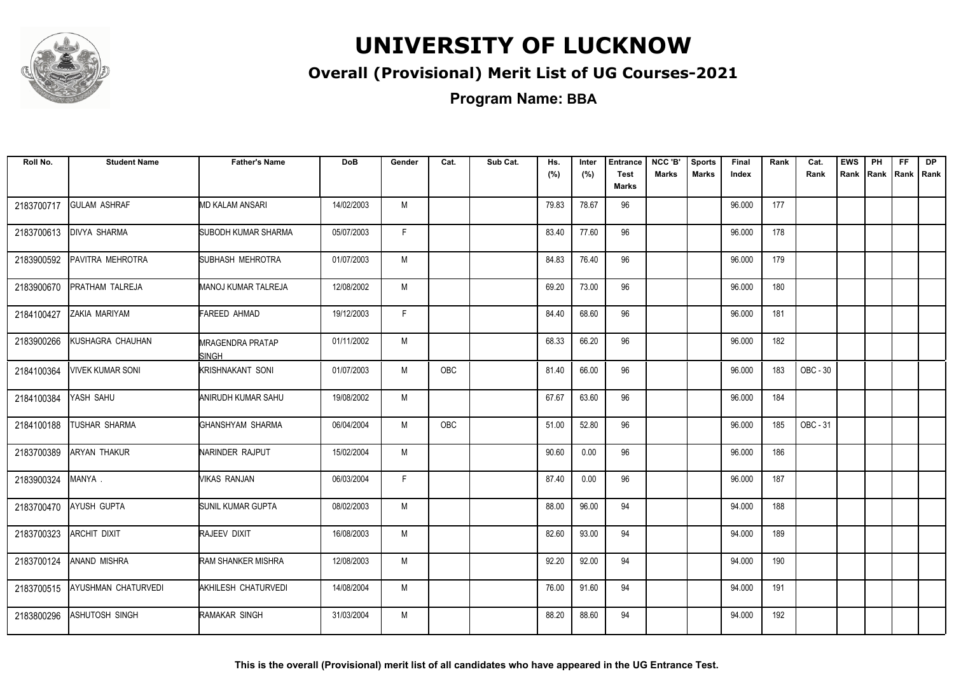

### **Overall (Provisional) Merit List of UG Courses-2021**

**Program Name: BBA**

| Roll No.   | <b>Student Name</b>        | <b>Father's Name</b>                    | <b>DoB</b> | Gender | Cat.       | Sub Cat. | Hs.<br>(%) | Inter<br>(%) | <b>Entrance</b><br><b>Test</b><br><b>Marks</b> | NCC 'B'<br><b>Marks</b> | <b>Sports</b><br><b>Marks</b> | Final<br>Index | Rank | Cat.<br>Rank | <b>EWS</b><br>Rank | PH<br>Rank | <b>FF</b><br>Rank   Rank | <b>DP</b> |
|------------|----------------------------|-----------------------------------------|------------|--------|------------|----------|------------|--------------|------------------------------------------------|-------------------------|-------------------------------|----------------|------|--------------|--------------------|------------|--------------------------|-----------|
| 2183700717 | <b>GULAM ASHRAF</b>        | <b>MD KALAM ANSARI</b>                  | 14/02/2003 | M      |            |          | 79.83      | 78.67        | 96                                             |                         |                               | 96.000         | 177  |              |                    |            |                          |           |
| 2183700613 | <b>DIVYA SHARMA</b>        | SUBODH KUMAR SHARMA                     | 05/07/2003 | F.     |            |          | 83.40      | 77.60        | 96                                             |                         |                               | 96.000         | 178  |              |                    |            |                          |           |
| 2183900592 | PAVITRA MEHROTRA           | SUBHASH MEHROTRA                        | 01/07/2003 | M      |            |          | 84.83      | 76.40        | 96                                             |                         |                               | 96.000         | 179  |              |                    |            |                          |           |
| 2183900670 | PRATHAM TALREJA            | <b>MANOJ KUMAR TALREJA</b>              | 12/08/2002 | M      |            |          | 69.20      | 73.00        | 96                                             |                         |                               | 96.000         | 180  |              |                    |            |                          |           |
| 2184100427 | ZAKIA MARIYAM              | FAREED AHMAD                            | 19/12/2003 | F.     |            |          | 84.40      | 68.60        | 96                                             |                         |                               | 96.000         | 181  |              |                    |            |                          |           |
| 2183900266 | KUSHAGRA CHAUHAN           | <b>MRAGENDRA PRATAP</b><br><b>SINGH</b> | 01/11/2002 | M      |            |          | 68.33      | 66.20        | 96                                             |                         |                               | 96.000         | 182  |              |                    |            |                          |           |
| 2184100364 | <b>VIVEK KUMAR SONI</b>    | <b>KRISHNAKANT SONI</b>                 | 01/07/2003 | M      | <b>OBC</b> |          | 81.40      | 66.00        | 96                                             |                         |                               | 96.000         | 183  | OBC - 30     |                    |            |                          |           |
| 2184100384 | YASH SAHU                  | ANIRUDH KUMAR SAHU                      | 19/08/2002 | M      |            |          | 67.67      | 63.60        | 96                                             |                         |                               | 96.000         | 184  |              |                    |            |                          |           |
| 2184100188 | <b>TUSHAR SHARMA</b>       | GHANSHYAM SHARMA                        | 06/04/2004 | M      | OBC        |          | 51.00      | 52.80        | 96                                             |                         |                               | 96.000         | 185  | OBC - 31     |                    |            |                          |           |
| 2183700389 | ARYAN THAKUR               | NARINDER RAJPUT                         | 15/02/2004 | M      |            |          | 90.60      | 0.00         | 96                                             |                         |                               | 96.000         | 186  |              |                    |            |                          |           |
| 2183900324 | MANYA.                     | VIKAS RANJAN                            | 06/03/2004 | F.     |            |          | 87.40      | 0.00         | 96                                             |                         |                               | 96.000         | 187  |              |                    |            |                          |           |
| 2183700470 | <b>AYUSH GUPTA</b>         | SUNIL KUMAR GUPTA                       | 08/02/2003 | M      |            |          | 88.00      | 96.00        | 94                                             |                         |                               | 94.000         | 188  |              |                    |            |                          |           |
| 2183700323 | ARCHIT DIXIT               | RAJEEV DIXIT                            | 16/08/2003 | M      |            |          | 82.60      | 93.00        | 94                                             |                         |                               | 94.000         | 189  |              |                    |            |                          |           |
| 2183700124 | <b>ANAND MISHRA</b>        | <b>RAM SHANKER MISHRA</b>               | 12/08/2003 | M      |            |          | 92.20      | 92.00        | 94                                             |                         |                               | 94.000         | 190  |              |                    |            |                          |           |
| 2183700515 | <b>AYUSHMAN CHATURVEDI</b> | AKHILESH CHATURVEDI                     | 14/08/2004 | M      |            |          | 76.00      | 91.60        | 94                                             |                         |                               | 94.000         | 191  |              |                    |            |                          |           |
| 2183800296 | ASHUTOSH SINGH             | <b>RAMAKAR SINGH</b>                    | 31/03/2004 | M      |            |          | 88.20      | 88.60        | 94                                             |                         |                               | 94.000         | 192  |              |                    |            |                          |           |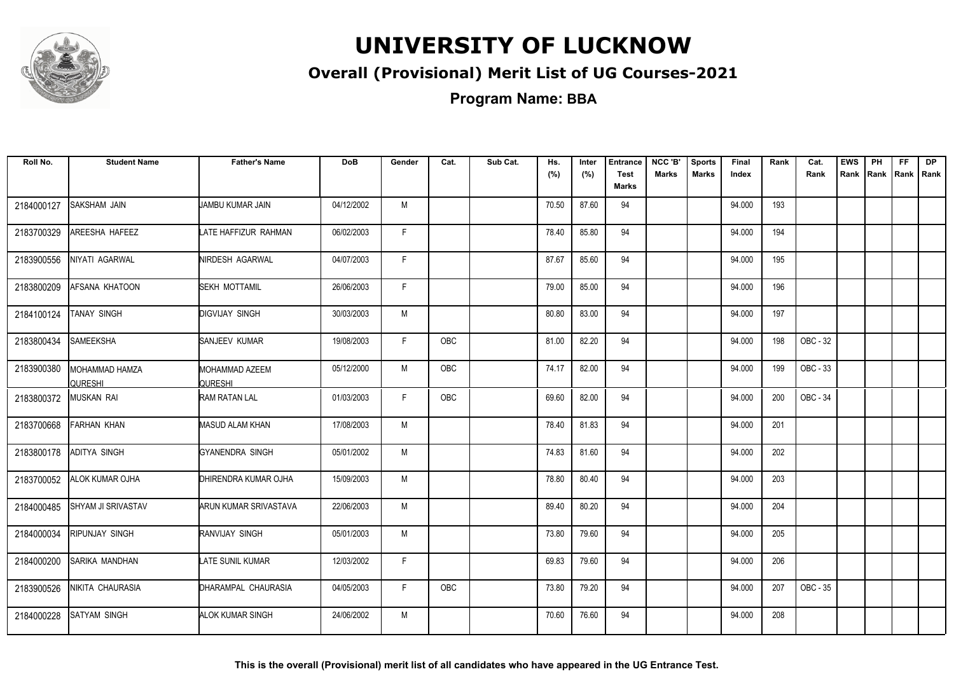

### **Overall (Provisional) Merit List of UG Courses-2021**

**Program Name: BBA**

| Roll No.   | <b>Student Name</b>              | <b>Father's Name</b>             | <b>DoB</b> | Gender | Cat. | Sub Cat. | Hs.<br>(%) | Inter<br>(%) | <b>Entrance</b><br><b>Test</b><br><b>Marks</b> | NCC 'B'<br><b>Marks</b> | <b>Sports</b><br><b>Marks</b> | Final<br>Index | Rank | Cat.<br>Rank | <b>EWS</b><br>Rank | PH<br>Rank | <b>FF</b><br>Rank   Rank | <b>DP</b> |
|------------|----------------------------------|----------------------------------|------------|--------|------|----------|------------|--------------|------------------------------------------------|-------------------------|-------------------------------|----------------|------|--------------|--------------------|------------|--------------------------|-----------|
| 2184000127 | SAKSHAM JAIN                     | JAMBU KUMAR JAIN                 | 04/12/2002 | M      |      |          | 70.50      | 87.60        | 94                                             |                         |                               | 94.000         | 193  |              |                    |            |                          |           |
| 2183700329 | AREESHA HAFEEZ                   | LATE HAFFIZUR RAHMAN             | 06/02/2003 | F.     |      |          | 78.40      | 85.80        | 94                                             |                         |                               | 94.000         | 194  |              |                    |            |                          |           |
| 2183900556 | NIYATI AGARWAL                   | NIRDESH AGARWAL                  | 04/07/2003 | F.     |      |          | 87.67      | 85.60        | 94                                             |                         |                               | 94.000         | 195  |              |                    |            |                          |           |
| 2183800209 | AFSANA KHATOON                   | <b>SEKH MOTTAMIL</b>             | 26/06/2003 | F.     |      |          | 79.00      | 85.00        | 94                                             |                         |                               | 94.000         | 196  |              |                    |            |                          |           |
| 2184100124 | TANAY SINGH                      | <b>DIGVIJAY SINGH</b>            | 30/03/2003 | M      |      |          | 80.80      | 83.00        | 94                                             |                         |                               | 94.000         | 197  |              |                    |            |                          |           |
| 2183800434 | SAMEEKSHA                        | SANJEEV KUMAR                    | 19/08/2003 | F.     | OBC  |          | 81.00      | 82.20        | 94                                             |                         |                               | 94.000         | 198  | OBC - 32     |                    |            |                          |           |
| 2183900380 | MOHAMMAD HAMZA<br><b>QURESHI</b> | MOHAMMAD AZEEM<br><b>QURESHI</b> | 05/12/2000 | M      | OBC  |          | 74.17      | 82.00        | 94                                             |                         |                               | 94.000         | 199  | OBC - 33     |                    |            |                          |           |
| 2183800372 | <b>MUSKAN RAI</b>                | <b>RAM RATAN LAL</b>             | 01/03/2003 | F      | OBC  |          | 69.60      | 82.00        | 94                                             |                         |                               | 94.000         | 200  | OBC - 34     |                    |            |                          |           |
| 2183700668 | <b>FARHAN KHAN</b>               | <b>MASUD ALAM KHAN</b>           | 17/08/2003 | M      |      |          | 78.40      | 81.83        | 94                                             |                         |                               | 94.000         | 201  |              |                    |            |                          |           |
| 2183800178 | ADITYA SINGH                     | GYANENDRA SINGH                  | 05/01/2002 | M      |      |          | 74.83      | 81.60        | 94                                             |                         |                               | 94.000         | 202  |              |                    |            |                          |           |
| 2183700052 | ALOK KUMAR OJHA                  | DHIRENDRA KUMAR OJHA             | 15/09/2003 | M      |      |          | 78.80      | 80.40        | 94                                             |                         |                               | 94.000         | 203  |              |                    |            |                          |           |
| 2184000485 | <b>SHYAM JI SRIVASTAV</b>        | <b>ARUN KUMAR SRIVASTAVA</b>     | 22/06/2003 | M      |      |          | 89.40      | 80.20        | 94                                             |                         |                               | 94.000         | 204  |              |                    |            |                          |           |
| 2184000034 | RIPUNJAY SINGH                   | RANVIJAY SINGH                   | 05/01/2003 | M      |      |          | 73.80      | 79.60        | 94                                             |                         |                               | 94.000         | 205  |              |                    |            |                          |           |
| 2184000200 | SARIKA MANDHAN                   | <b>LATE SUNIL KUMAR</b>          | 12/03/2002 | F.     |      |          | 69.83      | 79.60        | 94                                             |                         |                               | 94.000         | 206  |              |                    |            |                          |           |
| 2183900526 | NIKITA CHAURASIA                 | DHARAMPAL CHAURASIA              | 04/05/2003 | F.     | OBC  |          | 73.80      | 79.20        | 94                                             |                         |                               | 94.000         | 207  | OBC - 35     |                    |            |                          |           |
| 2184000228 | <b>SATYAM SINGH</b>              | <b>ALOK KUMAR SINGH</b>          | 24/06/2002 | M      |      |          | 70.60      | 76.60        | 94                                             |                         |                               | 94.000         | 208  |              |                    |            |                          |           |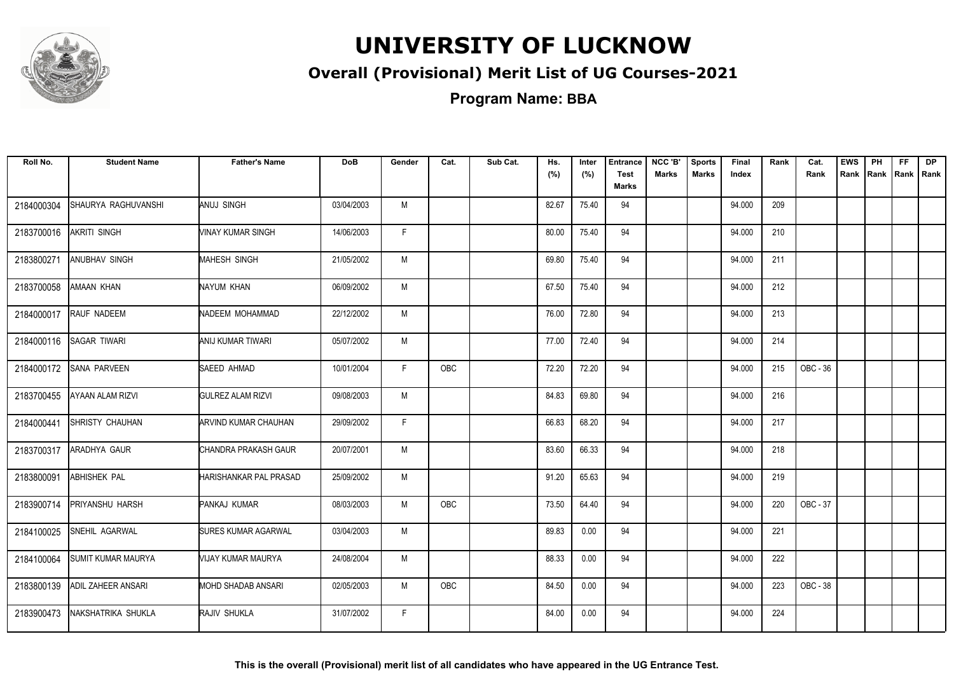

### **Overall (Provisional) Merit List of UG Courses-2021**

**Program Name: BBA**

| Roll No.   | <b>Student Name</b>       | <b>Father's Name</b>       | <b>DoB</b> | Gender | Cat.       | Sub Cat. | Hs.<br>(%) | Inter<br>(%) | <b>Entrance</b><br><b>Test</b><br><b>Marks</b> | NCC 'B'<br><b>Marks</b> | <b>Sports</b><br><b>Marks</b> | Final<br>Index | Rank | Cat.<br>Rank | <b>EWS</b><br>Rank | PH<br>Rank | FF.<br>Rank   Rank | <b>DP</b> |
|------------|---------------------------|----------------------------|------------|--------|------------|----------|------------|--------------|------------------------------------------------|-------------------------|-------------------------------|----------------|------|--------------|--------------------|------------|--------------------|-----------|
| 2184000304 | SHAURYA RAGHUVANSHI       | ANUJ SINGH                 | 03/04/2003 | M      |            |          | 82.67      | 75.40        | 94                                             |                         |                               | 94.000         | 209  |              |                    |            |                    |           |
| 2183700016 | AKRITI SINGH              | VINAY KUMAR SINGH          | 14/06/2003 | F.     |            |          | 80.00      | 75.40        | 94                                             |                         |                               | 94.000         | 210  |              |                    |            |                    |           |
| 2183800271 | <b>ANUBHAV SINGH</b>      | <b>MAHESH SINGH</b>        | 21/05/2002 | M      |            |          | 69.80      | 75.40        | 94                                             |                         |                               | 94.000         | 211  |              |                    |            |                    |           |
| 2183700058 | AMAAN KHAN                | NAYUM KHAN                 | 06/09/2002 | M      |            |          | 67.50      | 75.40        | 94                                             |                         |                               | 94.000         | 212  |              |                    |            |                    |           |
| 2184000017 | RAUF NADEEM               | NADEEM MOHAMMAD            | 22/12/2002 | M      |            |          | 76.00      | 72.80        | 94                                             |                         |                               | 94.000         | 213  |              |                    |            |                    |           |
| 2184000116 | SAGAR TIWARI              | ANIJ KUMAR TIWARI          | 05/07/2002 | M      |            |          | 77.00      | 72.40        | 94                                             |                         |                               | 94.000         | 214  |              |                    |            |                    |           |
| 2184000172 | <b>SANA PARVEEN</b>       | SAEED AHMAD                | 10/01/2004 | F.     | OBC        |          | 72.20      | 72.20        | 94                                             |                         |                               | 94.000         | 215  | OBC - 36     |                    |            |                    |           |
| 2183700455 | <b>AYAAN ALAM RIZVI</b>   | <b>GULREZ ALAM RIZVI</b>   | 09/08/2003 | M      |            |          | 84.83      | 69.80        | 94                                             |                         |                               | 94.000         | 216  |              |                    |            |                    |           |
| 2184000441 | <b>SHRISTY CHAUHAN</b>    | ARVIND KUMAR CHAUHAN       | 29/09/2002 | F.     |            |          | 66.83      | 68.20        | 94                                             |                         |                               | 94.000         | 217  |              |                    |            |                    |           |
| 2183700317 | <b>ARADHYA GAUR</b>       | CHANDRA PRAKASH GAUR       | 20/07/2001 | M      |            |          | 83.60      | 66.33        | 94                                             |                         |                               | 94.000         | 218  |              |                    |            |                    |           |
| 2183800091 | <b>ABHISHEK PAL</b>       | HARISHANKAR PAL PRASAD     | 25/09/2002 | M      |            |          | 91.20      | 65.63        | 94                                             |                         |                               | 94.000         | 219  |              |                    |            |                    |           |
| 2183900714 | PRIYANSHU HARSH           | PANKAJ KUMAR               | 08/03/2003 | M      | OBC        |          | 73.50      | 64.40        | 94                                             |                         |                               | 94.000         | 220  | OBC - 37     |                    |            |                    |           |
| 2184100025 | SNEHIL AGARWAL            | <b>SURES KUMAR AGARWAL</b> | 03/04/2003 | M      |            |          | 89.83      | 0.00         | 94                                             |                         |                               | 94.000         | 221  |              |                    |            |                    |           |
| 2184100064 | <b>SUMIT KUMAR MAURYA</b> | VIJAY KUMAR MAURYA         | 24/08/2004 | M      |            |          | 88.33      | 0.00         | 94                                             |                         |                               | 94.000         | 222  |              |                    |            |                    |           |
| 2183800139 | <b>ADIL ZAHEER ANSARI</b> | MOHD SHADAB ANSARI         | 02/05/2003 | M      | <b>OBC</b> |          | 84.50      | 0.00         | 94                                             |                         |                               | 94.000         | 223  | OBC - 38     |                    |            |                    |           |
| 2183900473 | NAKSHATRIKA SHUKLA        | RAJIV SHUKLA               | 31/07/2002 | F.     |            |          | 84.00      | 0.00         | 94                                             |                         |                               | 94.000         | 224  |              |                    |            |                    |           |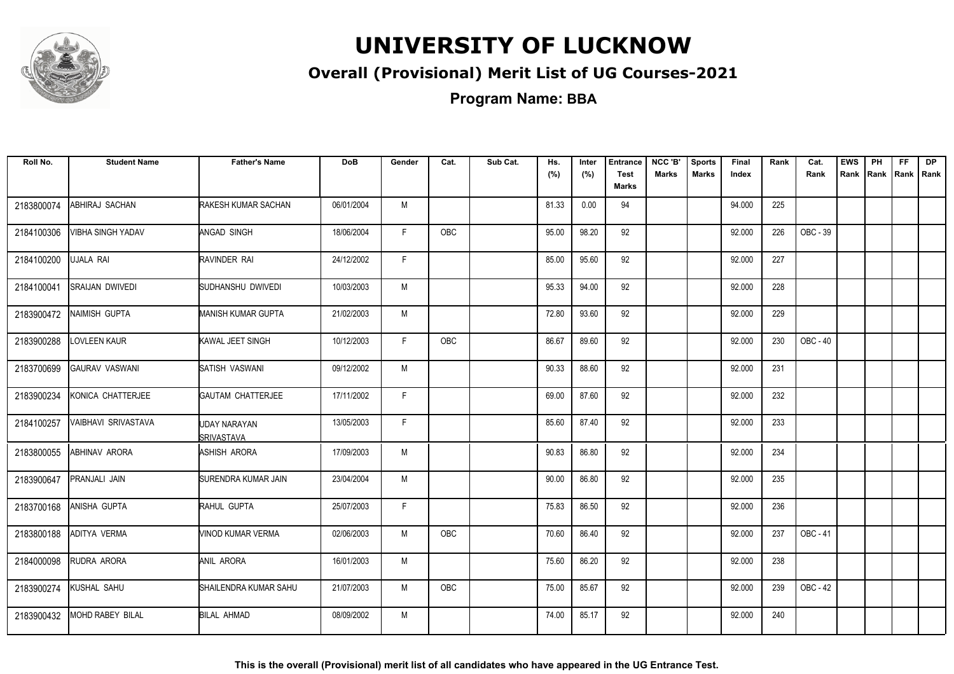

### **Overall (Provisional) Merit List of UG Courses-2021**

**Program Name: BBA**

| Roll No.   | <b>Student Name</b>        | <b>Father's Name</b>              | <b>DoB</b> | Gender | Cat.       | Sub Cat. | Hs.<br>(%) | Inter<br>(%) | <b>Entrance</b><br><b>Test</b><br>Marks | NCC 'B'<br><b>Marks</b> | <b>Sports</b><br><b>Marks</b> | Final<br>Index | Rank | Cat.<br>Rank | <b>EWS</b><br>Rank | PH<br>Rank   Rank   Rank | FF. | <b>DP</b> |
|------------|----------------------------|-----------------------------------|------------|--------|------------|----------|------------|--------------|-----------------------------------------|-------------------------|-------------------------------|----------------|------|--------------|--------------------|--------------------------|-----|-----------|
| 2183800074 | ABHIRAJ SACHAN             | RAKESH KUMAR SACHAN               | 06/01/2004 | M      |            |          | 81.33      | 0.00         | 94                                      |                         |                               | 94.000         | 225  |              |                    |                          |     |           |
| 2184100306 | <b>VIBHA SINGH YADAV</b>   | ANGAD SINGH                       | 18/06/2004 | F.     | OBC        |          | 95.00      | 98.20        | 92                                      |                         |                               | 92.000         | 226  | OBC - 39     |                    |                          |     |           |
| 2184100200 | <b>UJALA RAI</b>           | RAVINDER RAI                      | 24/12/2002 | F      |            |          | 85.00      | 95.60        | 92                                      |                         |                               | 92.000         | 227  |              |                    |                          |     |           |
| 2184100041 | <b>SRAIJAN DWIVEDI</b>     | SUDHANSHU DWIVEDI                 | 10/03/2003 | M      |            |          | 95.33      | 94.00        | 92                                      |                         |                               | 92.000         | 228  |              |                    |                          |     |           |
| 2183900472 | NAIMISH GUPTA              | <b>MANISH KUMAR GUPTA</b>         | 21/02/2003 | M      |            |          | 72.80      | 93.60        | 92                                      |                         |                               | 92.000         | 229  |              |                    |                          |     |           |
| 2183900288 | <b>LOVLEEN KAUR</b>        | KAWAL JEET SINGH                  | 10/12/2003 | F.     | <b>OBC</b> |          | 86.67      | 89.60        | 92                                      |                         |                               | 92.000         | 230  | OBC - 40     |                    |                          |     |           |
| 2183700699 | <b>GAURAV VASWANI</b>      | SATISH VASWANI                    | 09/12/2002 | M      |            |          | 90.33      | 88.60        | 92                                      |                         |                               | 92.000         | 231  |              |                    |                          |     |           |
| 2183900234 | KONICA CHATTERJEE          | <b>GAUTAM CHATTERJEE</b>          | 17/11/2002 | F.     |            |          | 69.00      | 87.60        | 92                                      |                         |                               | 92.000         | 232  |              |                    |                          |     |           |
| 2184100257 | <b>VAIBHAVI SRIVASTAVA</b> | UDAY NARAYAN<br><b>SRIVASTAVA</b> | 13/05/2003 | F.     |            |          | 85.60      | 87.40        | 92                                      |                         |                               | 92.000         | 233  |              |                    |                          |     |           |
| 2183800055 | ABHINAV ARORA              | ASHISH ARORA                      | 17/09/2003 | M      |            |          | 90.83      | 86.80        | 92                                      |                         |                               | 92.000         | 234  |              |                    |                          |     |           |
| 2183900647 | PRANJALI JAIN              | SURENDRA KUMAR JAIN               | 23/04/2004 | M      |            |          | 90.00      | 86.80        | 92                                      |                         |                               | 92.000         | 235  |              |                    |                          |     |           |
| 2183700168 | ANISHA GUPTA               | RAHUL GUPTA                       | 25/07/2003 | F.     |            |          | 75.83      | 86.50        | 92                                      |                         |                               | 92.000         | 236  |              |                    |                          |     |           |
| 2183800188 | ADITYA VERMA               | VINOD KUMAR VERMA                 | 02/06/2003 | M      | OBC        |          | 70.60      | 86.40        | 92                                      |                         |                               | 92.000         | 237  | OBC - 41     |                    |                          |     |           |
| 2184000098 | RUDRA ARORA                | ANIL ARORA                        | 16/01/2003 | М      |            |          | 75.60      | 86.20        | 92                                      |                         |                               | 92.000         | 238  |              |                    |                          |     |           |
| 2183900274 | KUSHAL SAHU                | SHAILENDRA KUMAR SAHU             | 21/07/2003 | M      | OBC        |          | 75.00      | 85.67        | 92                                      |                         |                               | 92.000         | 239  | OBC - 42     |                    |                          |     |           |
| 2183900432 | <b>MOHD RABEY BILAL</b>    | <b>BILAL AHMAD</b>                | 08/09/2002 | M      |            |          | 74.00      | 85.17        | 92                                      |                         |                               | 92.000         | 240  |              |                    |                          |     |           |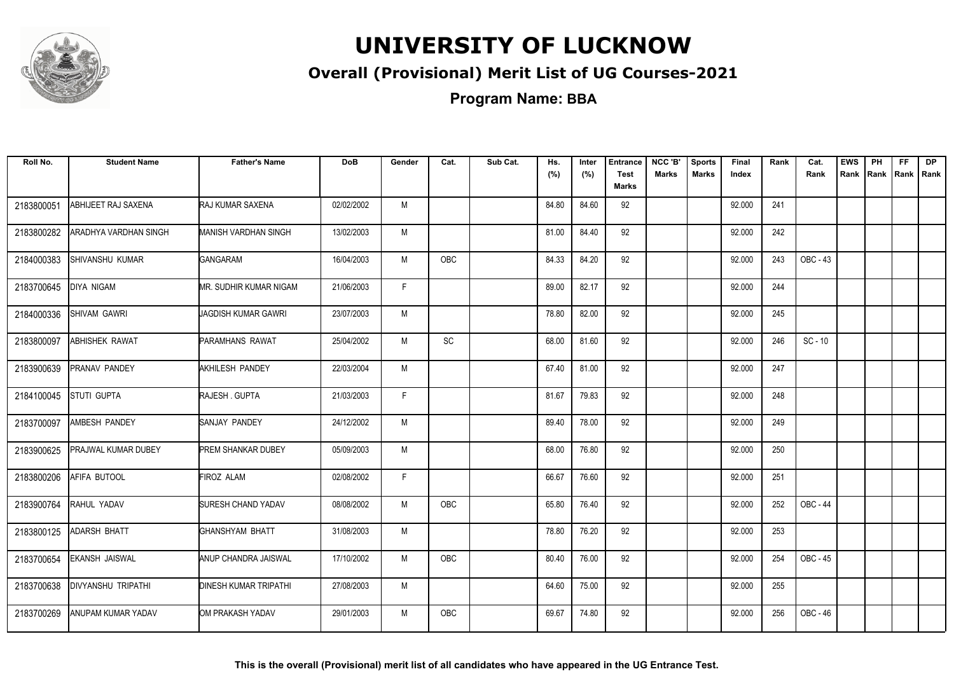

### **Overall (Provisional) Merit List of UG Courses-2021**

**Program Name: BBA**

| Roll No.   | <b>Student Name</b>       | <b>Father's Name</b>         | <b>DoB</b> | Gender | Cat.       | Sub Cat. | Hs.<br>(%) | Inter<br>(%) | <b>Entrance</b><br><b>Test</b><br><b>Marks</b> | NCC 'B'<br><b>Marks</b> | <b>Sports</b><br><b>Marks</b> | Final<br>Index | Rank | Cat.<br>Rank | <b>EWS</b><br>Rank | PH<br>Rank | FF.<br>Rank   Rank | <b>DP</b> |
|------------|---------------------------|------------------------------|------------|--------|------------|----------|------------|--------------|------------------------------------------------|-------------------------|-------------------------------|----------------|------|--------------|--------------------|------------|--------------------|-----------|
| 2183800051 | ABHIJEET RAJ SAXENA       | <b>RAJ KUMAR SAXENA</b>      | 02/02/2002 | M      |            |          | 84.80      | 84.60        | 92                                             |                         |                               | 92.000         | 241  |              |                    |            |                    |           |
| 2183800282 | ARADHYA VARDHAN SINGH     | MANISH VARDHAN SINGH         | 13/02/2003 | M      |            |          | 81.00      | 84.40        | 92                                             |                         |                               | 92.000         | 242  |              |                    |            |                    |           |
| 2184000383 | SHIVANSHU KUMAR           | <b>GANGARAM</b>              | 16/04/2003 | M      | <b>OBC</b> |          | 84.33      | 84.20        | 92                                             |                         |                               | 92.000         | 243  | OBC - 43     |                    |            |                    |           |
| 2183700645 | <b>DIYA NIGAM</b>         | MR. SUDHIR KUMAR NIGAM       | 21/06/2003 | F      |            |          | 89.00      | 82.17        | 92                                             |                         |                               | 92.000         | 244  |              |                    |            |                    |           |
| 2184000336 | <b>SHIVAM GAWRI</b>       | JAGDISH KUMAR GAWRI          | 23/07/2003 | M      |            |          | 78.80      | 82.00        | 92                                             |                         |                               | 92.000         | 245  |              |                    |            |                    |           |
| 2183800097 | ABHISHEK RAWAT            | <b>PARAMHANS RAWAT</b>       | 25/04/2002 | M      | SC         |          | 68.00      | 81.60        | 92                                             |                         |                               | 92.000         | 246  | $SC - 10$    |                    |            |                    |           |
| 2183900639 | <b>PRANAV PANDEY</b>      | AKHILESH PANDEY              | 22/03/2004 | M      |            |          | 67.40      | 81.00        | 92                                             |                         |                               | 92.000         | 247  |              |                    |            |                    |           |
| 2184100045 | STUTI GUPTA               | RAJESH. GUPTA                | 21/03/2003 | F.     |            |          | 81.67      | 79.83        | 92                                             |                         |                               | 92.000         | 248  |              |                    |            |                    |           |
| 2183700097 | AMBESH PANDEY             | SANJAY PANDEY                | 24/12/2002 | M      |            |          | 89.40      | 78.00        | 92                                             |                         |                               | 92.000         | 249  |              |                    |            |                    |           |
| 2183900625 | PRAJWAL KUMAR DUBEY       | PREM SHANKAR DUBEY           | 05/09/2003 | M      |            |          | 68.00      | 76.80        | 92                                             |                         |                               | 92.000         | 250  |              |                    |            |                    |           |
| 2183800206 | AFIFA BUTOOL              | <b>FIROZ ALAM</b>            | 02/08/2002 | F.     |            |          | 66.67      | 76.60        | 92                                             |                         |                               | 92.000         | 251  |              |                    |            |                    |           |
| 2183900764 | RAHUL YADAV               | <b>SURESH CHAND YADAV</b>    | 08/08/2002 | M      | OBC        |          | 65.80      | 76.40        | 92                                             |                         |                               | 92.000         | 252  | OBC - 44     |                    |            |                    |           |
| 2183800125 | ADARSH BHATT              | GHANSHYAM BHATT              | 31/08/2003 | M      |            |          | 78.80      | 76.20        | 92                                             |                         |                               | 92.000         | 253  |              |                    |            |                    |           |
| 2183700654 | EKANSH JAISWAL            | ANUP CHANDRA JAISWAL         | 17/10/2002 | M      | OBC        |          | 80.40      | 76.00        | 92                                             |                         |                               | 92.000         | 254  | OBC - 45     |                    |            |                    |           |
| 2183700638 | <b>DIVYANSHU TRIPATHI</b> | <b>DINESH KUMAR TRIPATHI</b> | 27/08/2003 | M      |            |          | 64.60      | 75.00        | 92                                             |                         |                               | 92.000         | 255  |              |                    |            |                    |           |
| 2183700269 | ANUPAM KUMAR YADAV        | OM PRAKASH YADAV             | 29/01/2003 | M      | <b>OBC</b> |          | 69.67      | 74.80        | 92                                             |                         |                               | 92.000         | 256  | OBC - 46     |                    |            |                    |           |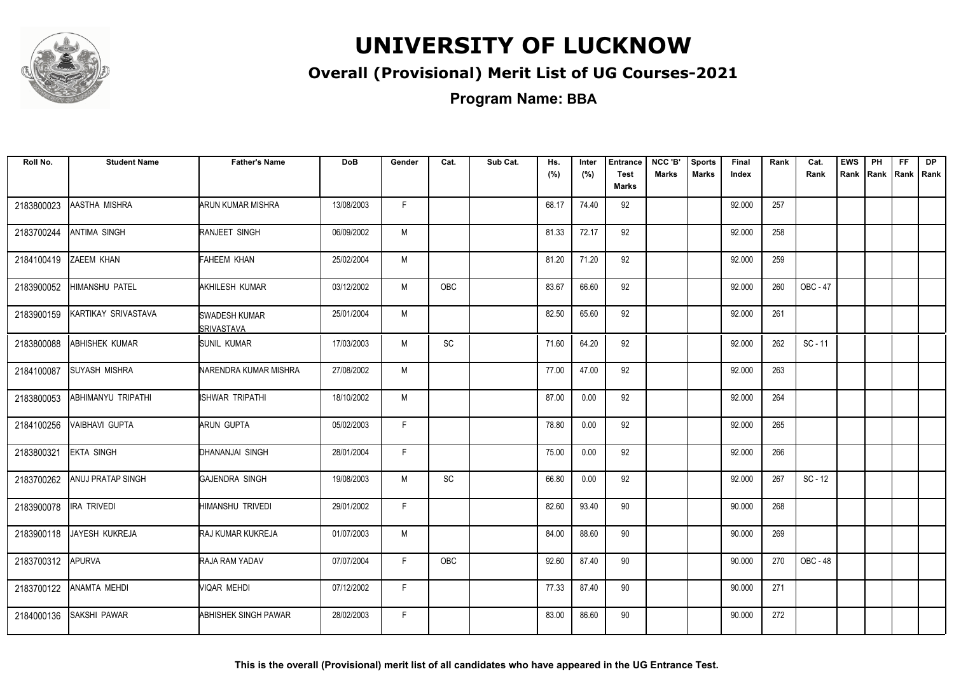

### **Overall (Provisional) Merit List of UG Courses-2021**

**Program Name: BBA**

| Roll No.   | <b>Student Name</b>       | <b>Father's Name</b>                       | <b>DoB</b> | Gender | Cat.      | Sub Cat. | Hs.<br>(%) | Inter<br>(%) | <b>Entrance</b><br><b>Test</b><br>Marks | NCC 'B'<br><b>Marks</b> | <b>Sports</b><br><b>Marks</b> | Final<br>Index | Rank | Cat.<br>Rank | <b>EWS</b><br>Rank | PH | <b>FF</b><br>Rank   Rank   Rank | <b>DP</b> |
|------------|---------------------------|--------------------------------------------|------------|--------|-----------|----------|------------|--------------|-----------------------------------------|-------------------------|-------------------------------|----------------|------|--------------|--------------------|----|---------------------------------|-----------|
| 2183800023 | AASTHA MISHRA             | <b>ARUN KUMAR MISHRA</b>                   | 13/08/2003 | F.     |           |          | 68.17      | 74.40        | 92                                      |                         |                               | 92.000         | 257  |              |                    |    |                                 |           |
| 2183700244 | <b>ANTIMA SINGH</b>       | <b>RANJEET SINGH</b>                       | 06/09/2002 | М      |           |          | 81.33      | 72.17        | 92                                      |                         |                               | 92.000         | 258  |              |                    |    |                                 |           |
| 2184100419 | <b>ZAEEM KHAN</b>         | FAHEEM KHAN                                | 25/02/2004 | M      |           |          | 81.20      | 71.20        | 92                                      |                         |                               | 92.000         | 259  |              |                    |    |                                 |           |
| 2183900052 | <b>HIMANSHU PATEL</b>     | <b>AKHILESH KUMAR</b>                      | 03/12/2002 | M      | OBC       |          | 83.67      | 66.60        | 92                                      |                         |                               | 92.000         | 260  | OBC - 47     |                    |    |                                 |           |
| 2183900159 | KARTIKAY SRIVASTAVA       | <b>SWADESH KUMAR</b><br><b>ISRIVASTAVA</b> | 25/01/2004 | M      |           |          | 82.50      | 65.60        | 92                                      |                         |                               | 92.000         | 261  |              |                    |    |                                 |           |
| 2183800088 | <b>ABHISHEK KUMAR</b>     | <b>SUNIL KUMAR</b>                         | 17/03/2003 | M      | <b>SC</b> |          | 71.60      | 64.20        | 92                                      |                         |                               | 92.000         | 262  | $SC - 11$    |                    |    |                                 |           |
| 2184100087 | <b>SUYASH MISHRA</b>      | NARENDRA KUMAR MISHRA                      | 27/08/2002 | M      |           |          | 77.00      | 47.00        | 92                                      |                         |                               | 92.000         | 263  |              |                    |    |                                 |           |
| 2183800053 | <b>ABHIMANYU TRIPATHI</b> | <b>ISHWAR TRIPATHI</b>                     | 18/10/2002 | M      |           |          | 87.00      | 0.00         | 92                                      |                         |                               | 92.000         | 264  |              |                    |    |                                 |           |
| 2184100256 | VAIBHAVI GUPTA            | <b>ARUN GUPTA</b>                          | 05/02/2003 | F.     |           |          | 78.80      | 0.00         | 92                                      |                         |                               | 92.000         | 265  |              |                    |    |                                 |           |
| 2183800321 | <b>EKTA SINGH</b>         | DHANANJAI SINGH                            | 28/01/2004 | F.     |           |          | 75.00      | 0.00         | 92                                      |                         |                               | 92.000         | 266  |              |                    |    |                                 |           |
| 2183700262 | <b>ANUJ PRATAP SINGH</b>  | <b>GAJENDRA SINGH</b>                      | 19/08/2003 | M      | SC        |          | 66.80      | 0.00         | 92                                      |                         |                               | 92.000         | 267  | $SC - 12$    |                    |    |                                 |           |
| 2183900078 | IRA TRIVEDI               | HIMANSHU TRIVEDI                           | 29/01/2002 | F.     |           |          | 82.60      | 93.40        | 90                                      |                         |                               | 90.000         | 268  |              |                    |    |                                 |           |
| 2183900118 | JAYESH KUKREJA            | <b>RAJ KUMAR KUKREJA</b>                   | 01/07/2003 | M      |           |          | 84.00      | 88.60        | 90                                      |                         |                               | 90.000         | 269  |              |                    |    |                                 |           |
| 2183700312 | <b>APURVA</b>             | RAJA RAM YADAV                             | 07/07/2004 | F.     | OBC       |          | 92.60      | 87.40        | 90                                      |                         |                               | 90.000         | 270  | OBC - 48     |                    |    |                                 |           |
| 2183700122 | ANAMTA MEHDI              | VIQAR MEHDI                                | 07/12/2002 | F.     |           |          | 77.33      | 87.40        | 90                                      |                         |                               | 90.000         | 271  |              |                    |    |                                 |           |
| 2184000136 | <b>SAKSHI PAWAR</b>       | <b>ABHISHEK SINGH PAWAR</b>                | 28/02/2003 | F.     |           |          | 83.00      | 86.60        | 90                                      |                         |                               | 90.000         | 272  |              |                    |    |                                 |           |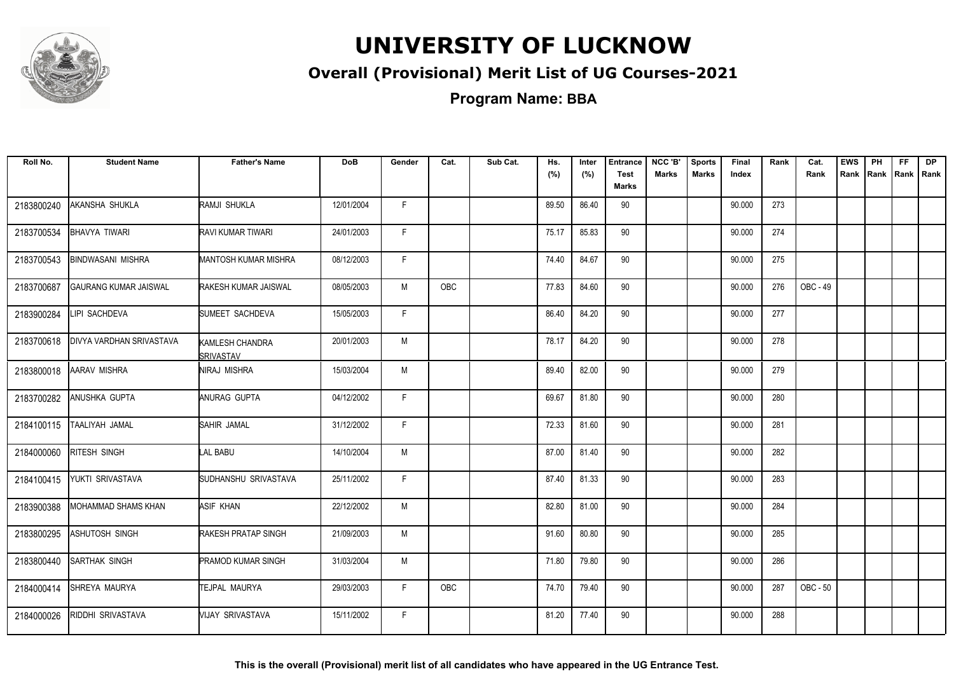

### **Overall (Provisional) Merit List of UG Courses-2021**

**Program Name: BBA**

| Roll No.   | <b>Student Name</b>             | <b>Father's Name</b>                | <b>DoB</b> | Gender | Cat.       | Sub Cat. | Hs.<br>(%) | Inter<br>(%) | <b>Entrance</b><br><b>Test</b><br>Marks | NCC 'B'<br><b>Marks</b> | <b>Sports</b><br><b>Marks</b> | Final<br>Index | Rank | Cat.<br>Rank | <b>EWS</b><br>Rank | PH | FF. | <b>DP</b><br>Rank   Rank   Rank |
|------------|---------------------------------|-------------------------------------|------------|--------|------------|----------|------------|--------------|-----------------------------------------|-------------------------|-------------------------------|----------------|------|--------------|--------------------|----|-----|---------------------------------|
| 2183800240 | AKANSHA SHUKLA                  | RAMJI SHUKLA                        | 12/01/2004 | F.     |            |          | 89.50      | 86.40        | 90                                      |                         |                               | 90.000         | 273  |              |                    |    |     |                                 |
| 2183700534 | <b>BHAVYA TIWARI</b>            | RAVI KUMAR TIWARI                   | 24/01/2003 | F.     |            |          | 75.17      | 85.83        | 90                                      |                         |                               | 90.000         | 274  |              |                    |    |     |                                 |
| 2183700543 | <b>BINDWASANI MISHRA</b>        | <b>MANTOSH KUMAR MISHRA</b>         | 08/12/2003 | F      |            |          | 74.40      | 84.67        | 90                                      |                         |                               | 90.000         | 275  |              |                    |    |     |                                 |
| 2183700687 | <b>GAURANG KUMAR JAISWAL</b>    | RAKESH KUMAR JAISWAL                | 08/05/2003 | M      | <b>OBC</b> |          | 77.83      | 84.60        | 90                                      |                         |                               | 90.000         | 276  | OBC - 49     |                    |    |     |                                 |
| 2183900284 | LIPI SACHDEVA                   | SUMEET SACHDEVA                     | 15/05/2003 | F      |            |          | 86.40      | 84.20        | 90                                      |                         |                               | 90.000         | 277  |              |                    |    |     |                                 |
| 2183700618 | <b>DIVYA VARDHAN SRIVASTAVA</b> | KAMLESH CHANDRA<br><b>SRIVASTAV</b> | 20/01/2003 | M      |            |          | 78.17      | 84.20        | 90                                      |                         |                               | 90.000         | 278  |              |                    |    |     |                                 |
| 2183800018 | <b>AARAV MISHRA</b>             | NIRAJ MISHRA                        | 15/03/2004 | M      |            |          | 89.40      | 82.00        | 90                                      |                         |                               | 90.000         | 279  |              |                    |    |     |                                 |
| 2183700282 | ANUSHKA GUPTA                   | ANURAG GUPTA                        | 04/12/2002 | F.     |            |          | 69.67      | 81.80        | 90                                      |                         |                               | 90.000         | 280  |              |                    |    |     |                                 |
| 2184100115 | TAALIYAH JAMAL                  | SAHIR JAMAL                         | 31/12/2002 | F.     |            |          | 72.33      | 81.60        | 90                                      |                         |                               | 90.000         | 281  |              |                    |    |     |                                 |
| 2184000060 | RITESH SINGH                    | <b>LAL BABU</b>                     | 14/10/2004 | M      |            |          | 87.00      | 81.40        | 90                                      |                         |                               | 90.000         | 282  |              |                    |    |     |                                 |
| 2184100415 | YUKTI SRIVASTAVA                | SUDHANSHU SRIVASTAVA                | 25/11/2002 | F.     |            |          | 87.40      | 81.33        | 90                                      |                         |                               | 90.000         | 283  |              |                    |    |     |                                 |
| 2183900388 | MOHAMMAD SHAMS KHAN             | ASIF KHAN                           | 22/12/2002 | M      |            |          | 82.80      | 81.00        | 90                                      |                         |                               | 90.000         | 284  |              |                    |    |     |                                 |
| 2183800295 | ASHUTOSH SINGH                  | RAKESH PRATAP SINGH                 | 21/09/2003 | M      |            |          | 91.60      | 80.80        | 90                                      |                         |                               | 90.000         | 285  |              |                    |    |     |                                 |
| 2183800440 | <b>SARTHAK SINGH</b>            | <b>PRAMOD KUMAR SINGH</b>           | 31/03/2004 | М      |            |          | 71.80      | 79.80        | 90                                      |                         |                               | 90.000         | 286  |              |                    |    |     |                                 |
| 2184000414 | SHREYA MAURYA                   | TEJPAL MAURYA                       | 29/03/2003 | F.     | <b>OBC</b> |          | 74.70      | 79.40        | 90                                      |                         |                               | 90.000         | 287  | OBC - 50     |                    |    |     |                                 |
| 2184000026 | RIDDHI SRIVASTAVA               | VIJAY SRIVASTAVA                    | 15/11/2002 | F.     |            |          | 81.20      | 77.40        | 90                                      |                         |                               | 90.000         | 288  |              |                    |    |     |                                 |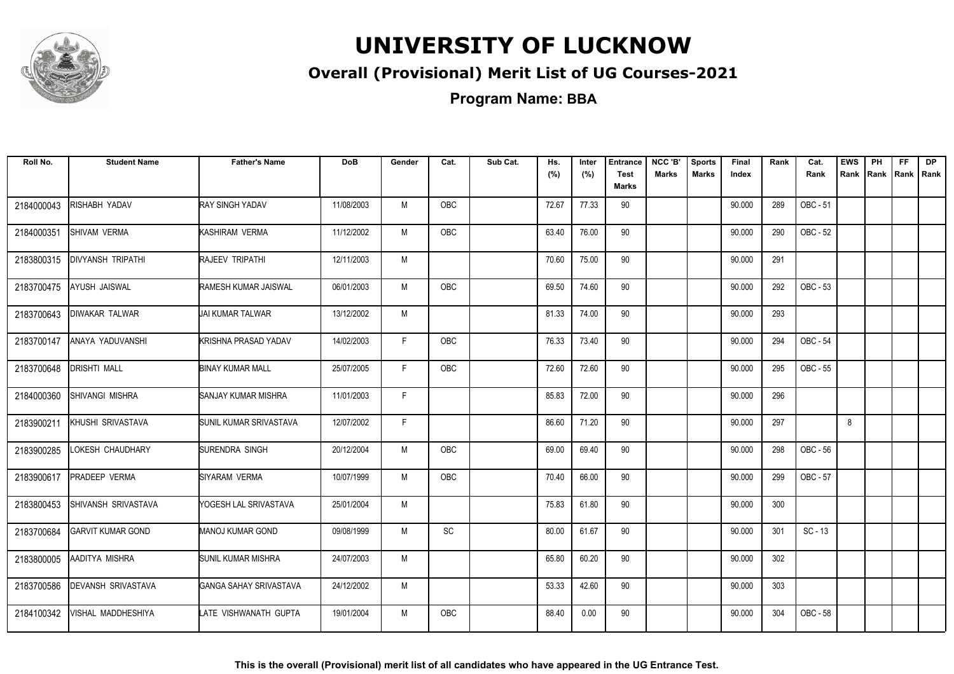

### **Overall (Provisional) Merit List of UG Courses-2021**

| Roll No.   | <b>Student Name</b>       | <b>Father's Name</b>        | <b>DoB</b> | Gender | Cat.       | Sub Cat. | Hs.<br>(%) | Inter<br>(%) | <b>Entrance</b><br><b>Test</b><br>Marks | NCC 'B'<br><b>Marks</b> | <b>Sports</b><br><b>Marks</b> | Final<br>Index | Rank | Cat.<br>Rank | <b>EWS</b><br>Rank | PH<br>Rank Rank Rank | FF. | <b>DP</b> |
|------------|---------------------------|-----------------------------|------------|--------|------------|----------|------------|--------------|-----------------------------------------|-------------------------|-------------------------------|----------------|------|--------------|--------------------|----------------------|-----|-----------|
| 2184000043 | RISHABH YADAV             | <b>RAY SINGH YADAV</b>      | 11/08/2003 | M      | <b>OBC</b> |          | 72.67      | 77.33        | 90                                      |                         |                               | 90.000         | 289  | OBC - 51     |                    |                      |     |           |
| 2184000351 | <b>SHIVAM VERMA</b>       | KASHIRAM VERMA              | 11/12/2002 | M      | <b>OBC</b> |          | 63.40      | 76.00        | 90                                      |                         |                               | 90.000         | 290  | OBC - 52     |                    |                      |     |           |
| 2183800315 | <b>DIVYANSH TRIPATHI</b>  | RAJEEV TRIPATHI             | 12/11/2003 | M      |            |          | 70.60      | 75.00        | 90                                      |                         |                               | 90.000         | 291  |              |                    |                      |     |           |
| 2183700475 | AYUSH JAISWAL             | RAMESH KUMAR JAISWAL        | 06/01/2003 | М      | <b>OBC</b> |          | 69.50      | 74.60        | 90                                      |                         |                               | 90.000         | 292  | OBC - 53     |                    |                      |     |           |
| 2183700643 | <b>DIWAKAR TALWAR</b>     | <b>JAI KUMAR TALWAR</b>     | 13/12/2002 | M      |            |          | 81.33      | 74.00        | 90                                      |                         |                               | 90.000         | 293  |              |                    |                      |     |           |
| 2183700147 | ANAYA YADUVANSHI          | <b>KRISHNA PRASAD YADAV</b> | 14/02/2003 | F.     | <b>OBC</b> |          | 76.33      | 73.40        | 90                                      |                         |                               | 90.000         | 294  | OBC - 54     |                    |                      |     |           |
| 2183700648 | <b>DRISHTI MALL</b>       | <b>BINAY KUMAR MALL</b>     | 25/07/2005 | F.     | OBC        |          | 72.60      | 72.60        | 90                                      |                         |                               | 90.000         | 295  | OBC - 55     |                    |                      |     |           |
| 2184000360 | <b>SHIVANGI MISHRA</b>    | SANJAY KUMAR MISHRA         | 11/01/2003 | F      |            |          | 85.83      | 72.00        | 90                                      |                         |                               | 90.000         | 296  |              |                    |                      |     |           |
| 2183900211 | KHUSHI SRIVASTAVA         | SUNIL KUMAR SRIVASTAVA      | 12/07/2002 | F.     |            |          | 86.60      | 71.20        | 90                                      |                         |                               | 90.000         | 297  |              | 8                  |                      |     |           |
| 2183900285 | LOKESH CHAUDHARY          | SURENDRA SINGH              | 20/12/2004 | M      | OBC        |          | 69.00      | 69.40        | 90                                      |                         |                               | 90.000         | 298  | OBC - 56     |                    |                      |     |           |
| 2183900617 | <b>PRADEEP VERMA</b>      | SIYARAM VERMA               | 10/07/1999 | M      | <b>OBC</b> |          | 70.40      | 66.00        | 90                                      |                         |                               | 90.000         | 299  | OBC - 57     |                    |                      |     |           |
| 2183800453 | SHIVANSH SRIVASTAVA       | YOGESH LAL SRIVASTAVA       | 25/01/2004 | М      |            |          | 75.83      | 61.80        | 90                                      |                         |                               | 90.000         | 300  |              |                    |                      |     |           |
| 2183700684 | <b>GARVIT KUMAR GOND</b>  | <b>MANOJ KUMAR GOND</b>     | 09/08/1999 | M      | SC         |          | 80.00      | 61.67        | 90                                      |                         |                               | 90.000         | 301  | $SC - 13$    |                    |                      |     |           |
| 2183800005 | AADITYA MISHRA            | <b>SUNIL KUMAR MISHRA</b>   | 24/07/2003 | M      |            |          | 65.80      | 60.20        | 90                                      |                         |                               | 90.000         | 302  |              |                    |                      |     |           |
| 2183700586 | <b>DEVANSH SRIVASTAVA</b> | GANGA SAHAY SRIVASTAVA      | 24/12/2002 | M      |            |          | 53.33      | 42.60        | 90                                      |                         |                               | 90.000         | 303  |              |                    |                      |     |           |
| 2184100342 | VISHAL MADDHESHIYA        | LATE VISHWANATH GUPTA       | 19/01/2004 | M      | <b>OBC</b> |          | 88.40      | 0.00         | 90                                      |                         |                               | 90.000         | 304  | OBC - 58     |                    |                      |     |           |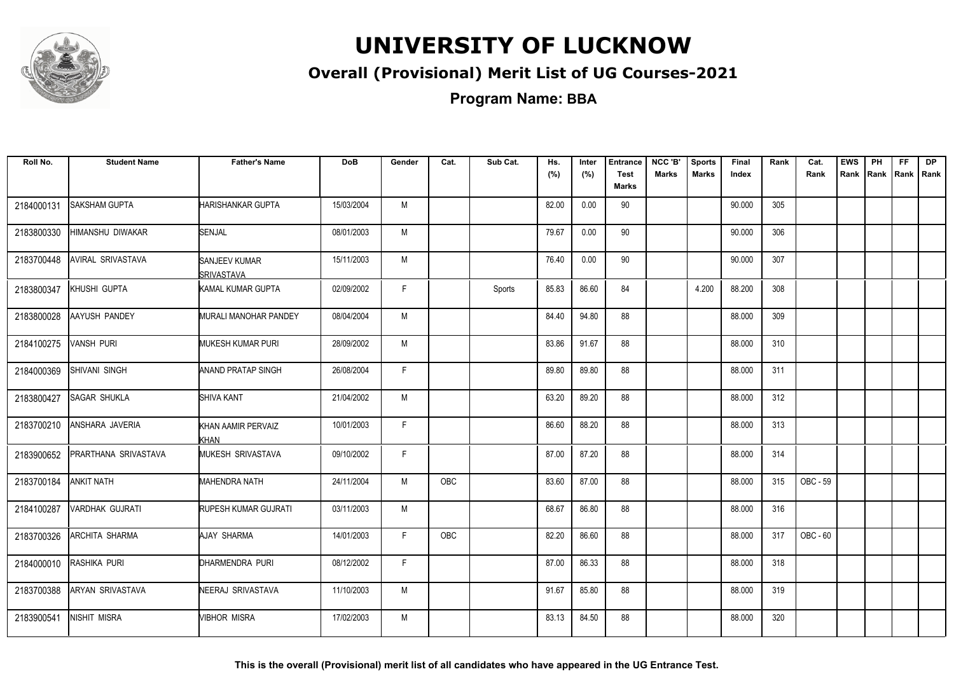

### **Overall (Provisional) Merit List of UG Courses-2021**

| Roll No.   | <b>Student Name</b>    | <b>Father's Name</b>                | <b>DoB</b> | Gender | Cat.       | Sub Cat. | Hs.<br>(%) | Inter<br>(%) | <b>Entrance</b><br><b>Test</b><br>Marks | NCC 'B'<br><b>Marks</b> | <b>Sports</b><br><b>Marks</b> | Final<br>Index | Rank | Cat.<br>Rank | <b>EWS</b><br>Rank | PH | FF.<br>Rank Rank Rank | <b>DP</b> |
|------------|------------------------|-------------------------------------|------------|--------|------------|----------|------------|--------------|-----------------------------------------|-------------------------|-------------------------------|----------------|------|--------------|--------------------|----|-----------------------|-----------|
| 2184000131 | <b>SAKSHAM GUPTA</b>   | <b>HARISHANKAR GUPTA</b>            | 15/03/2004 | M      |            |          | 82.00      | 0.00         | 90                                      |                         |                               | 90.000         | 305  |              |                    |    |                       |           |
| 2183800330 | HIMANSHU DIWAKAR       | <b>SENJAL</b>                       | 08/01/2003 | M      |            |          | 79.67      | 0.00         | 90                                      |                         |                               | 90.000         | 306  |              |                    |    |                       |           |
| 2183700448 | AVIRAL SRIVASTAVA      | SANJEEV KUMAR<br><b>ISRIVASTAVA</b> | 15/11/2003 | M      |            |          | 76.40      | 0.00         | 90                                      |                         |                               | 90.000         | 307  |              |                    |    |                       |           |
| 2183800347 | KHUSHI GUPTA           | KAMAL KUMAR GUPTA                   | 02/09/2002 | F      |            | Sports   | 85.83      | 86.60        | 84                                      |                         | 4.200                         | 88.200         | 308  |              |                    |    |                       |           |
| 2183800028 | <b>AAYUSH PANDEY</b>   | <b>MURALI MANOHAR PANDEY</b>        | 08/04/2004 | M      |            |          | 84.40      | 94.80        | 88                                      |                         |                               | 88.000         | 309  |              |                    |    |                       |           |
| 2184100275 | <b>VANSH PURI</b>      | <b>MUKESH KUMAR PURI</b>            | 28/09/2002 | M      |            |          | 83.86      | 91.67        | 88                                      |                         |                               | 88.000         | 310  |              |                    |    |                       |           |
| 2184000369 | SHIVANI SINGH          | <b>ANAND PRATAP SINGH</b>           | 26/08/2004 | F.     |            |          | 89.80      | 89.80        | 88                                      |                         |                               | 88.000         | 311  |              |                    |    |                       |           |
| 2183800427 | <b>SAGAR SHUKLA</b>    | SHIVA KANT                          | 21/04/2002 | M      |            |          | 63.20      | 89.20        | 88                                      |                         |                               | 88.000         | 312  |              |                    |    |                       |           |
| 2183700210 | ANSHARA JAVERIA        | KHAN AAMIR PERVAIZ<br>KHAN          | 10/01/2003 | F.     |            |          | 86.60      | 88.20        | 88                                      |                         |                               | 88.000         | 313  |              |                    |    |                       |           |
| 2183900652 | PRARTHANA SRIVASTAVA   | MUKESH SRIVASTAVA                   | 09/10/2002 | F      |            |          | 87.00      | 87.20        | 88                                      |                         |                               | 88.000         | 314  |              |                    |    |                       |           |
| 2183700184 | <b>ANKIT NATH</b>      | MAHENDRA NATH                       | 24/11/2004 | M      | <b>OBC</b> |          | 83.60      | 87.00        | 88                                      |                         |                               | 88.000         | 315  | OBC - 59     |                    |    |                       |           |
| 2184100287 | <b>VARDHAK GUJRATI</b> | RUPESH KUMAR GUJRATI                | 03/11/2003 | M      |            |          | 68.67      | 86.80        | 88                                      |                         |                               | 88.000         | 316  |              |                    |    |                       |           |
| 2183700326 | <b>ARCHITA SHARMA</b>  | AJAY SHARMA                         | 14/01/2003 | F.     | OBC        |          | 82.20      | 86.60        | 88                                      |                         |                               | 88.000         | 317  | OBC - 60     |                    |    |                       |           |
| 2184000010 | RASHIKA PURI           | DHARMENDRA PURI                     | 08/12/2002 | F.     |            |          | 87.00      | 86.33        | 88                                      |                         |                               | 88.000         | 318  |              |                    |    |                       |           |
| 2183700388 | ARYAN SRIVASTAVA       | NEERAJ SRIVASTAVA                   | 11/10/2003 | M      |            |          | 91.67      | 85.80        | 88                                      |                         |                               | 88.000         | 319  |              |                    |    |                       |           |
| 2183900541 | <b>NISHIT MISRA</b>    | <b>VIBHOR MISRA</b>                 | 17/02/2003 | M      |            |          | 83.13      | 84.50        | 88                                      |                         |                               | 88.000         | 320  |              |                    |    |                       |           |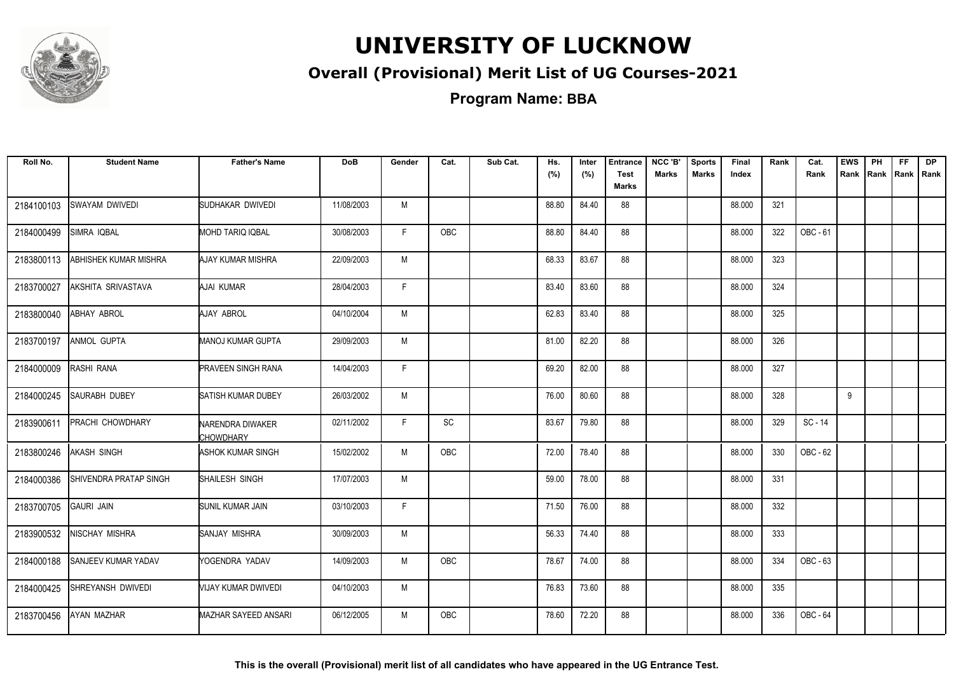

### **Overall (Provisional) Merit List of UG Courses-2021**

**Program Name: BBA**

| Roll No.   | <b>Student Name</b>        | <b>Father's Name</b>                 | <b>DoB</b> | Gender | Cat. | Sub Cat. | Hs.<br>(%) | Inter<br>(%) | <b>Entrance</b><br><b>Test</b> | NCC 'B'<br><b>Marks</b> | <b>Sports</b><br><b>Marks</b> | <b>Final</b><br>Index | Rank | Cat.<br>Rank | <b>EWS</b><br>Rank | PH<br>Rank | FF.<br>Rank   Rank | DP |
|------------|----------------------------|--------------------------------------|------------|--------|------|----------|------------|--------------|--------------------------------|-------------------------|-------------------------------|-----------------------|------|--------------|--------------------|------------|--------------------|----|
|            |                            |                                      |            |        |      |          |            |              | <b>Marks</b>                   |                         |                               |                       |      |              |                    |            |                    |    |
| 2184100103 | SWAYAM DWIVEDI             | SUDHAKAR DWIVEDI                     | 11/08/2003 | M      |      |          | 88.80      | 84.40        | 88                             |                         |                               | 88.000                | 321  |              |                    |            |                    |    |
| 2184000499 | SIMRA IQBAL                | <b>MOHD TARIQ IQBAL</b>              | 30/08/2003 | F.     | OBC  |          | 88.80      | 84.40        | 88                             |                         |                               | 88.000                | 322  | OBC - 61     |                    |            |                    |    |
| 2183800113 | ABHISHEK KUMAR MISHRA      | AJAY KUMAR MISHRA                    | 22/09/2003 | M      |      |          | 68.33      | 83.67        | 88                             |                         |                               | 88.000                | 323  |              |                    |            |                    |    |
| 2183700027 | AKSHITA SRIVASTAVA         | AJAI KUMAR                           | 28/04/2003 | F.     |      |          | 83.40      | 83.60        | 88                             |                         |                               | 88.000                | 324  |              |                    |            |                    |    |
| 2183800040 | ABHAY ABROL                | AJAY ABROL                           | 04/10/2004 | M      |      |          | 62.83      | 83.40        | 88                             |                         |                               | 88.000                | 325  |              |                    |            |                    |    |
| 2183700197 | <b>ANMOL GUPTA</b>         | MANOJ KUMAR GUPTA                    | 29/09/2003 | M      |      |          | 81.00      | 82.20        | 88                             |                         |                               | 88.000                | 326  |              |                    |            |                    |    |
| 2184000009 | RASHI RANA                 | <b>PRAVEEN SINGH RANA</b>            | 14/04/2003 | F.     |      |          | 69.20      | 82.00        | 88                             |                         |                               | 88.000                | 327  |              |                    |            |                    |    |
| 2184000245 | <b>SAURABH DUBEY</b>       | SATISH KUMAR DUBEY                   | 26/03/2002 | M      |      |          | 76.00      | 80.60        | 88                             |                         |                               | 88.000                | 328  |              | 9                  |            |                    |    |
| 2183900611 | PRACHI CHOWDHARY           | NARENDRA DIWAKER<br><b>CHOWDHARY</b> | 02/11/2002 | F      | SC   |          | 83.67      | 79.80        | 88                             |                         |                               | 88.000                | 329  | SC - 14      |                    |            |                    |    |
| 2183800246 | AKASH SINGH                | <b>ASHOK KUMAR SINGH</b>             | 15/02/2002 | M      | OBC  |          | 72.00      | 78.40        | 88                             |                         |                               | 88.000                | 330  | OBC - 62     |                    |            |                    |    |
| 2184000386 | SHIVENDRA PRATAP SINGH     | SHAILESH SINGH                       | 17/07/2003 | M      |      |          | 59.00      | 78.00        | 88                             |                         |                               | 88.000                | 331  |              |                    |            |                    |    |
| 2183700705 | <b>GAURI JAIN</b>          | SUNIL KUMAR JAIN                     | 03/10/2003 | F.     |      |          | 71.50      | 76.00        | 88                             |                         |                               | 88.000                | 332  |              |                    |            |                    |    |
| 2183900532 | NISCHAY MISHRA             | <b>SANJAY MISHRA</b>                 | 30/09/2003 | M      |      |          | 56.33      | 74.40        | 88                             |                         |                               | 88.000                | 333  |              |                    |            |                    |    |
| 2184000188 | <b>SANJEEV KUMAR YADAV</b> | YOGENDRA YADAV                       | 14/09/2003 | M      | OBC  |          | 78.67      | 74.00        | 88                             |                         |                               | 88.000                | 334  | OBC - 63     |                    |            |                    |    |
| 2184000425 | SHREYANSH DWIVEDI          | VIJAY KUMAR DWIVEDI                  | 04/10/2003 | M      |      |          | 76.83      | 73.60        | 88                             |                         |                               | 88.000                | 335  |              |                    |            |                    |    |
| 2183700456 | AYAN MAZHAR                | <b>MAZHAR SAYEED ANSARI</b>          | 06/12/2005 | M      | OBC  |          | 78.60      | 72.20        | 88                             |                         |                               | 88.000                | 336  | OBC - 64     |                    |            |                    |    |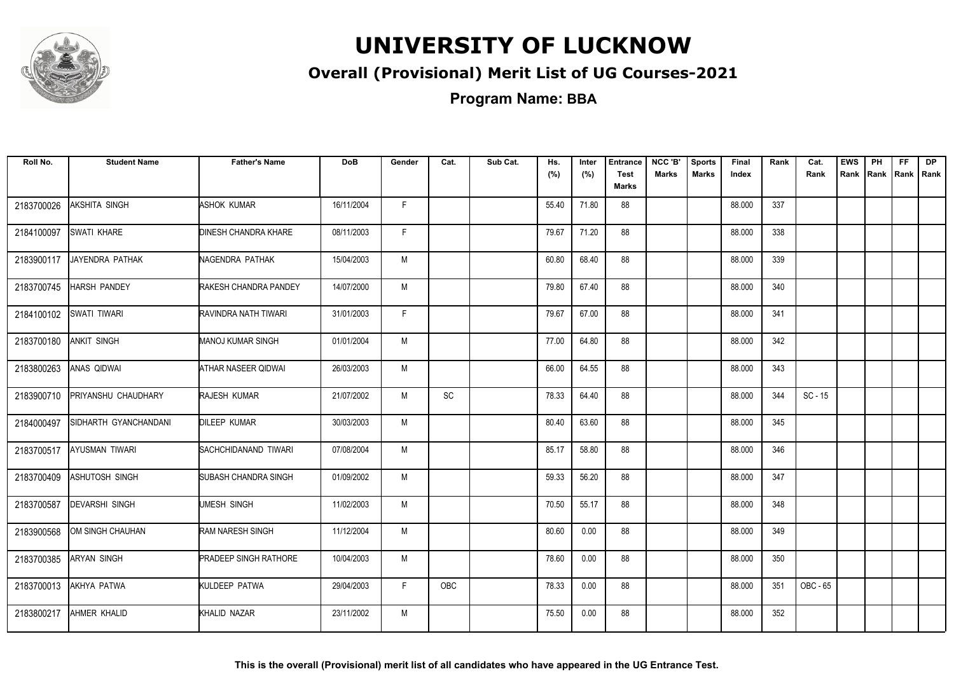

### **Overall (Provisional) Merit List of UG Courses-2021**

**Program Name: BBA**

| Roll No.   | <b>Student Name</b>   | <b>Father's Name</b>         | <b>DoB</b> | Gender | Cat.                         | Sub Cat. | Hs.<br>(%) | Inter<br>(%) | <b>Entrance</b><br><b>Test</b><br><b>Marks</b> | NCC 'B'<br><b>Marks</b> | <b>Sports</b><br><b>Marks</b> | Final<br>Index | Rank | Cat.<br>Rank | <b>EWS</b><br>Rank | PH<br>Rank | FF.<br>Rank   Rank | <b>DP</b> |
|------------|-----------------------|------------------------------|------------|--------|------------------------------|----------|------------|--------------|------------------------------------------------|-------------------------|-------------------------------|----------------|------|--------------|--------------------|------------|--------------------|-----------|
| 2183700026 | AKSHITA SINGH         | <b>ASHOK KUMAR</b>           | 16/11/2004 | F      |                              |          | 55.40      | 71.80        | 88                                             |                         |                               | 88.000         | 337  |              |                    |            |                    |           |
| 2184100097 | <b>SWATI KHARE</b>    | DINESH CHANDRA KHARE         | 08/11/2003 | F.     |                              |          | 79.67      | 71.20        | 88                                             |                         |                               | 88.000         | 338  |              |                    |            |                    |           |
| 2183900117 | JAYENDRA PATHAK       | NAGENDRA PATHAK              | 15/04/2003 | M      |                              |          | 60.80      | 68.40        | 88                                             |                         |                               | 88.000         | 339  |              |                    |            |                    |           |
| 2183700745 | <b>HARSH PANDEY</b>   | RAKESH CHANDRA PANDEY        | 14/07/2000 | M      |                              |          | 79.80      | 67.40        | 88                                             |                         |                               | 88.000         | 340  |              |                    |            |                    |           |
| 2184100102 | SWATI TIWARI          | RAVINDRA NATH TIWARI         | 31/01/2003 | F.     |                              |          | 79.67      | 67.00        | 88                                             |                         |                               | 88.000         | 341  |              |                    |            |                    |           |
| 2183700180 | ANKIT SINGH           | <b>MANOJ KUMAR SINGH</b>     | 01/01/2004 | M      |                              |          | 77.00      | 64.80        | 88                                             |                         |                               | 88.000         | 342  |              |                    |            |                    |           |
| 2183800263 | ANAS QIDWAI           | ATHAR NASEER QIDWAI          | 26/03/2003 | M      |                              |          | 66.00      | 64.55        | 88                                             |                         |                               | 88.000         | 343  |              |                    |            |                    |           |
| 2183900710 | PRIYANSHU CHAUDHARY   | <b>RAJESH KUMAR</b>          | 21/07/2002 | M      | $\operatorname{\textsf{SC}}$ |          | 78.33      | 64.40        | 88                                             |                         |                               | 88.000         | 344  | $SC - 15$    |                    |            |                    |           |
| 2184000497 | SIDHARTH GYANCHANDANI | <b>DILEEP KUMAR</b>          | 30/03/2003 | M      |                              |          | 80.40      | 63.60        | 88                                             |                         |                               | 88.000         | 345  |              |                    |            |                    |           |
| 2183700517 | AYUSMAN TIWARI        | SACHCHIDANAND TIWARI         | 07/08/2004 | M      |                              |          | 85.17      | 58.80        | 88                                             |                         |                               | 88.000         | 346  |              |                    |            |                    |           |
| 2183700409 | ASHUTOSH SINGH        | SUBASH CHANDRA SINGH         | 01/09/2002 | M      |                              |          | 59.33      | 56.20        | 88                                             |                         |                               | 88.000         | 347  |              |                    |            |                    |           |
| 2183700587 | <b>DEVARSHI SINGH</b> | UMESH SINGH                  | 11/02/2003 | M      |                              |          | 70.50      | 55.17        | 88                                             |                         |                               | 88.000         | 348  |              |                    |            |                    |           |
| 2183900568 | OM SINGH CHAUHAN      | <b>RAM NARESH SINGH</b>      | 11/12/2004 | M      |                              |          | 80.60      | 0.00         | 88                                             |                         |                               | 88.000         | 349  |              |                    |            |                    |           |
| 2183700385 | <b>ARYAN SINGH</b>    | <b>PRADEEP SINGH RATHORE</b> | 10/04/2003 | M      |                              |          | 78.60      | 0.00         | 88                                             |                         |                               | 88.000         | 350  |              |                    |            |                    |           |
| 2183700013 | AKHYA PATWA           | KULDEEP PATWA                | 29/04/2003 | F.     | <b>OBC</b>                   |          | 78.33      | 0.00         | 88                                             |                         |                               | 88.000         | 351  | OBC - 65     |                    |            |                    |           |
| 2183800217 | AHMER KHALID          | KHALID NAZAR                 | 23/11/2002 | M      |                              |          | 75.50      | 0.00         | 88                                             |                         |                               | 88.000         | 352  |              |                    |            |                    |           |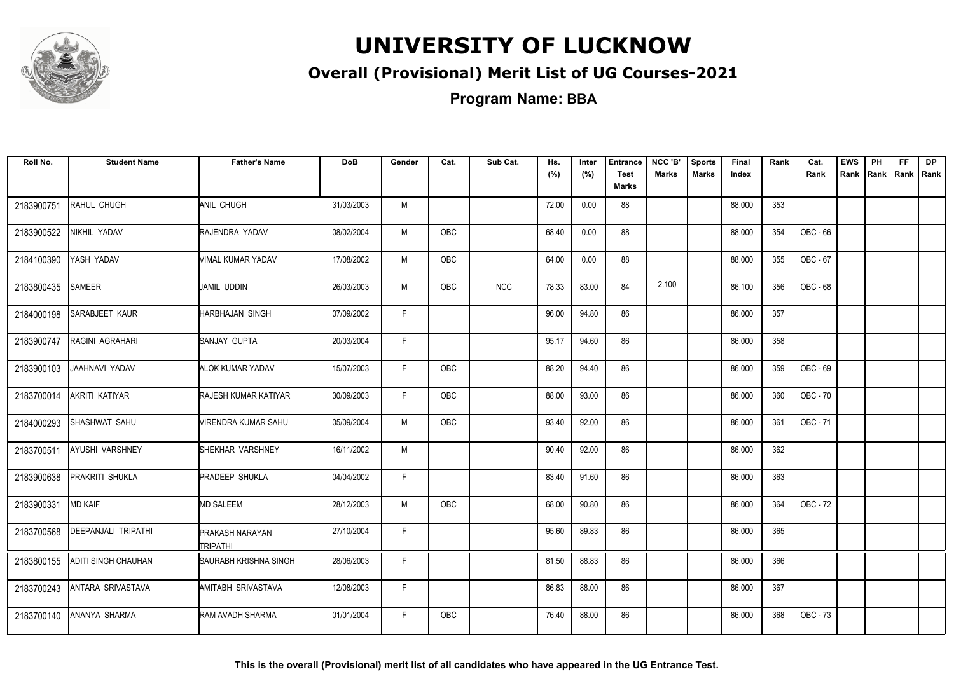

### **Overall (Provisional) Merit List of UG Courses-2021**

**Program Name: BBA**

| Roll No.   | <b>Student Name</b>        | <b>Father's Name</b>               | <b>DoB</b> | Gender | Cat.       | Sub Cat.   | Hs.<br>(%) | Inter<br>(%) | <b>Entrance</b><br><b>Test</b> | NCC 'B'<br><b>Marks</b> | <b>Sports</b><br><b>Marks</b> | Final<br>Index | Rank | Cat.<br>Rank | <b>EWS</b><br>Rank | PH | FF.<br>Rank   Rank   Rank | DP |
|------------|----------------------------|------------------------------------|------------|--------|------------|------------|------------|--------------|--------------------------------|-------------------------|-------------------------------|----------------|------|--------------|--------------------|----|---------------------------|----|
|            |                            |                                    |            |        |            |            |            |              | Marks                          |                         |                               |                |      |              |                    |    |                           |    |
| 2183900751 | RAHUL CHUGH                | ANIL CHUGH                         | 31/03/2003 | M      |            |            | 72.00      | 0.00         | 88                             |                         |                               | 88.000         | 353  |              |                    |    |                           |    |
| 2183900522 | NIKHIL YADAV               | RAJENDRA YADAV                     | 08/02/2004 | M      | OBC        |            | 68.40      | 0.00         | 88                             |                         |                               | 88.000         | 354  | OBC - 66     |                    |    |                           |    |
| 2184100390 | YASH YADAV                 | VIMAL KUMAR YADAV                  | 17/08/2002 | M      | OBC        |            | 64.00      | 0.00         | 88                             |                         |                               | 88.000         | 355  | OBC - 67     |                    |    |                           |    |
| 2183800435 | <b>SAMEER</b>              | <b>J</b> AMIL UDDIN                | 26/03/2003 | M      | <b>OBC</b> | <b>NCC</b> | 78.33      | 83.00        | 84                             | 2.100                   |                               | 86.100         | 356  | OBC - 68     |                    |    |                           |    |
| 2184000198 | <b>SARABJEET KAUR</b>      | <b>HARBHAJAN SINGH</b>             | 07/09/2002 | F.     |            |            | 96.00      | 94.80        | 86                             |                         |                               | 86.000         | 357  |              |                    |    |                           |    |
| 2183900747 | <b>RAGINI AGRAHARI</b>     | SANJAY GUPTA                       | 20/03/2004 | F.     |            |            | 95.17      | 94.60        | 86                             |                         |                               | 86.000         | 358  |              |                    |    |                           |    |
| 2183900103 | JAAHNAVI YADAV             | <b>ALOK KUMAR YADAV</b>            | 15/07/2003 | F.     | <b>OBC</b> |            | 88.20      | 94.40        | 86                             |                         |                               | 86.000         | 359  | OBC - 69     |                    |    |                           |    |
| 2183700014 | AKRITI KATIYAR             | <b>RAJESH KUMAR KATIYAR</b>        | 30/09/2003 | F.     | <b>OBC</b> |            | 88.00      | 93.00        | 86                             |                         |                               | 86.000         | 360  | OBC - 70     |                    |    |                           |    |
| 2184000293 | SHASHWAT SAHU              | VIRENDRA KUMAR SAHU                | 05/09/2004 | M      | OBC        |            | 93.40      | 92.00        | 86                             |                         |                               | 86.000         | 361  | OBC - 71     |                    |    |                           |    |
| 2183700511 | <b>AYUSHI VARSHNEY</b>     | SHEKHAR VARSHNEY                   | 16/11/2002 | M      |            |            | 90.40      | 92.00        | 86                             |                         |                               | 86.000         | 362  |              |                    |    |                           |    |
| 2183900638 | <b>PRAKRITI SHUKLA</b>     | <b>PRADEEP SHUKLA</b>              | 04/04/2002 | F.     |            |            | 83.40      | 91.60        | 86                             |                         |                               | 86.000         | 363  |              |                    |    |                           |    |
| 2183900331 | <b>MD KAIF</b>             | <b>MD SALEEM</b>                   | 28/12/2003 | M      | <b>OBC</b> |            | 68.00      | 90.80        | 86                             |                         |                               | 86.000         | 364  | OBC - 72     |                    |    |                           |    |
| 2183700568 | <b>DEEPANJALI TRIPATHI</b> | <b>PRAKASH NARAYAN</b><br>TRIPATHI | 27/10/2004 | F.     |            |            | 95.60      | 89.83        | 86                             |                         |                               | 86.000         | 365  |              |                    |    |                           |    |
| 2183800155 | <b>ADITI SINGH CHAUHAN</b> | SAURABH KRISHNA SINGH              | 28/06/2003 | F      |            |            | 81.50      | 88.83        | 86                             |                         |                               | 86.000         | 366  |              |                    |    |                           |    |
| 2183700243 | ANTARA SRIVASTAVA          | AMITABH SRIVASTAVA                 | 12/08/2003 | F.     |            |            | 86.83      | 88.00        | 86                             |                         |                               | 86.000         | 367  |              |                    |    |                           |    |
| 2183700140 | <b>ANANYA SHARMA</b>       | RAM AVADH SHARMA                   | 01/01/2004 | F.     | <b>OBC</b> |            | 76.40      | 88.00        | 86                             |                         |                               | 86.000         | 368  | OBC - 73     |                    |    |                           |    |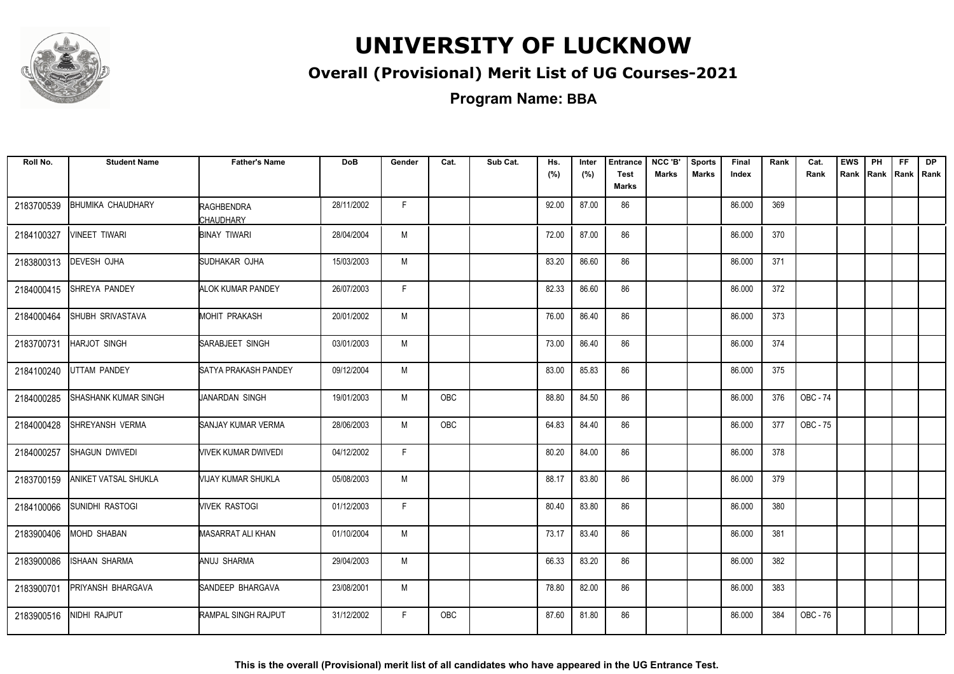

### **Overall (Provisional) Merit List of UG Courses-2021**

| Roll No.   | <b>Student Name</b>      | <b>Father's Name</b>           | <b>DoB</b> | Gender | Cat.       | Sub Cat. | Hs.<br>(%) | Inter<br>(%) | <b>Entrance</b><br><b>Test</b><br>Marks | NCC 'B'<br><b>Marks</b> | <b>Sports</b><br><b>Marks</b> | Final<br>Index | Rank | Cat.<br>Rank | <b>EWS</b> | PH | <b>FF</b> | <b>DP</b><br>Rank Rank Rank Rank |
|------------|--------------------------|--------------------------------|------------|--------|------------|----------|------------|--------------|-----------------------------------------|-------------------------|-------------------------------|----------------|------|--------------|------------|----|-----------|----------------------------------|
| 2183700539 | <b>BHUMIKA CHAUDHARY</b> | <b>RAGHBENDRA</b><br>CHAUDHARY | 28/11/2002 | F.     |            |          | 92.00      | 87.00        | 86                                      |                         |                               | 86.000         | 369  |              |            |    |           |                                  |
| 2184100327 | <b>VINEET TIWARI</b>     | <b>BINAY TIWARI</b>            | 28/04/2004 | M      |            |          | 72.00      | 87.00        | 86                                      |                         |                               | 86.000         | 370  |              |            |    |           |                                  |
| 2183800313 | DEVESH OJHA              | SUDHAKAR OJHA                  | 15/03/2003 | M      |            |          | 83.20      | 86.60        | 86                                      |                         |                               | 86.000         | 371  |              |            |    |           |                                  |
| 2184000415 | SHREYA PANDEY            | <b>ALOK KUMAR PANDEY</b>       | 26/07/2003 | F      |            |          | 82.33      | 86.60        | 86                                      |                         |                               | 86.000         | 372  |              |            |    |           |                                  |
| 2184000464 | SHUBH SRIVASTAVA         | <b>MOHIT PRAKASH</b>           | 20/01/2002 | M      |            |          | 76.00      | 86.40        | 86                                      |                         |                               | 86.000         | 373  |              |            |    |           |                                  |
| 2183700731 | <b>HARJOT SINGH</b>      | <b>SARABJEET SINGH</b>         | 03/01/2003 | M      |            |          | 73.00      | 86.40        | 86                                      |                         |                               | 86.000         | 374  |              |            |    |           |                                  |
| 2184100240 | UTTAM PANDEY             | SATYA PRAKASH PANDEY           | 09/12/2004 | M      |            |          | 83.00      | 85.83        | 86                                      |                         |                               | 86.000         | 375  |              |            |    |           |                                  |
| 2184000285 | SHASHANK KUMAR SINGH     | JANARDAN SINGH                 | 19/01/2003 | M      | OBC        |          | 88.80      | 84.50        | 86                                      |                         |                               | 86.000         | 376  | OBC - 74     |            |    |           |                                  |
| 2184000428 | SHREYANSH VERMA          | SANJAY KUMAR VERMA             | 28/06/2003 | M      | OBC        |          | 64.83      | 84.40        | 86                                      |                         |                               | 86.000         | 377  | OBC - 75     |            |    |           |                                  |
| 2184000257 | SHAGUN DWIVEDI           | VIVEK KUMAR DWIVEDI            | 04/12/2002 | F.     |            |          | 80.20      | 84.00        | 86                                      |                         |                               | 86.000         | 378  |              |            |    |           |                                  |
| 2183700159 | ANIKET VATSAL SHUKLA     | VIJAY KUMAR SHUKLA             | 05/08/2003 | M      |            |          | 88.17      | 83.80        | 86                                      |                         |                               | 86.000         | 379  |              |            |    |           |                                  |
| 2184100066 | <b>SUNIDHI RASTOGI</b>   | <b>VIVEK RASTOGI</b>           | 01/12/2003 | F.     |            |          | 80.40      | 83.80        | 86                                      |                         |                               | 86.000         | 380  |              |            |    |           |                                  |
| 2183900406 | <b>MOHD SHABAN</b>       | MASARRAT ALI KHAN              | 01/10/2004 | M      |            |          | 73.17      | 83.40        | 86                                      |                         |                               | 86.000         | 381  |              |            |    |           |                                  |
| 2183900086 | ISHAAN SHARMA            | ANUJ SHARMA                    | 29/04/2003 | M      |            |          | 66.33      | 83.20        | 86                                      |                         |                               | 86.000         | 382  |              |            |    |           |                                  |
| 2183900701 | PRIYANSH BHARGAVA        | SANDEEP BHARGAVA               | 23/08/2001 | M      |            |          | 78.80      | 82.00        | 86                                      |                         |                               | 86.000         | 383  |              |            |    |           |                                  |
| 2183900516 | NIDHI RAJPUT             | RAMPAL SINGH RAJPUT            | 31/12/2002 | F.     | <b>OBC</b> |          | 87.60      | 81.80        | 86                                      |                         |                               | 86.000         | 384  | OBC - 76     |            |    |           |                                  |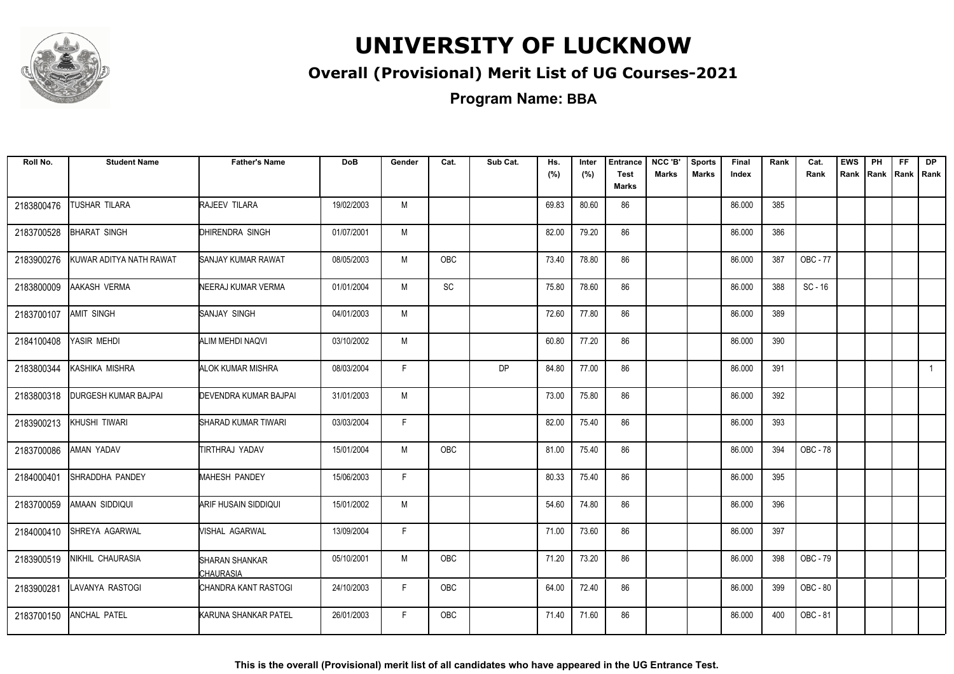

### **Overall (Provisional) Merit List of UG Courses-2021**

**Program Name: BBA**

| Roll No.   | <b>Student Name</b>     | <b>Father's Name</b>               | <b>DoB</b> | Gender | Cat.          | Sub Cat.  | Hs.<br>(%) | Inter<br>(%) | <b>Entrance</b><br><b>Test</b><br><b>Marks</b> | NCC 'B'<br><b>Marks</b> | <b>Sports</b><br><b>Marks</b> | Final<br>Index | Rank | Cat.<br>Rank    | <b>EWS</b><br>Rank | PH<br>Rank | FF.<br>Rank   Rank | <b>DP</b>    |
|------------|-------------------------|------------------------------------|------------|--------|---------------|-----------|------------|--------------|------------------------------------------------|-------------------------|-------------------------------|----------------|------|-----------------|--------------------|------------|--------------------|--------------|
| 2183800476 | TUSHAR TILARA           | RAJEEV TILARA                      | 19/02/2003 | M      |               |           | 69.83      | 80.60        | 86                                             |                         |                               | 86.000         | 385  |                 |                    |            |                    |              |
| 2183700528 | <b>BHARAT SINGH</b>     | DHIRENDRA SINGH                    | 01/07/2001 | M      |               |           | 82.00      | 79.20        | 86                                             |                         |                               | 86.000         | 386  |                 |                    |            |                    |              |
| 2183900276 | KUWAR ADITYA NATH RAWAT | <b>SANJAY KUMAR RAWAT</b>          | 08/05/2003 | M      | <b>OBC</b>    |           | 73.40      | 78.80        | 86                                             |                         |                               | 86.000         | 387  | OBC - 77        |                    |            |                    |              |
| 2183800009 | AAKASH VERMA            | NEERAJ KUMAR VERMA                 | 01/01/2004 | M      | $\mathsf{SC}$ |           | 75.80      | 78.60        | 86                                             |                         |                               | 86.000         | 388  | $SC - 16$       |                    |            |                    |              |
| 2183700107 | AMIT SINGH              | SANJAY SINGH                       | 04/01/2003 | M      |               |           | 72.60      | 77.80        | 86                                             |                         |                               | 86.000         | 389  |                 |                    |            |                    |              |
| 2184100408 | YASIR MEHDI             | ALIM MEHDI NAQVI                   | 03/10/2002 | M      |               |           | 60.80      | 77.20        | 86                                             |                         |                               | 86.000         | 390  |                 |                    |            |                    |              |
| 2183800344 | KASHIKA MISHRA          | <b>ALOK KUMAR MISHRA</b>           | 08/03/2004 | F.     |               | <b>DP</b> | 84.80      | 77.00        | 86                                             |                         |                               | 86.000         | 391  |                 |                    |            |                    | $\mathbf{1}$ |
| 2183800318 | DURGESH KUMAR BAJPAI    | <b>DEVENDRA KUMAR BAJPAL</b>       | 31/01/2003 | M      |               |           | 73.00      | 75.80        | 86                                             |                         |                               | 86.000         | 392  |                 |                    |            |                    |              |
| 2183900213 | KHUSHI TIWARI           | SHARAD KUMAR TIWARI                | 03/03/2004 | F      |               |           | 82.00      | 75.40        | 86                                             |                         |                               | 86.000         | 393  |                 |                    |            |                    |              |
| 2183700086 | AMAN YADAV              | TIRTHRAJ YADAV                     | 15/01/2004 | M      | <b>OBC</b>    |           | 81.00      | 75.40        | 86                                             |                         |                               | 86.000         | 394  | <b>OBC - 78</b> |                    |            |                    |              |
| 2184000401 | SHRADDHA PANDEY         | <b>MAHESH PANDEY</b>               | 15/06/2003 | F      |               |           | 80.33      | 75.40        | 86                                             |                         |                               | 86.000         | 395  |                 |                    |            |                    |              |
| 2183700059 | AMAAN SIDDIQUI          | ARIF HUSAIN SIDDIQUI               | 15/01/2002 | M      |               |           | 54.60      | 74.80        | 86                                             |                         |                               | 86.000         | 396  |                 |                    |            |                    |              |
| 2184000410 | <b>SHREYA AGARWAL</b>   | VISHAL AGARWAL                     | 13/09/2004 | F      |               |           | 71.00      | 73.60        | 86                                             |                         |                               | 86.000         | 397  |                 |                    |            |                    |              |
| 2183900519 | NIKHIL CHAURASIA        | <b>SHARAN SHANKAR</b><br>CHAURASIA | 05/10/2001 | M      | OBC           |           | 71.20      | 73.20        | 86                                             |                         |                               | 86.000         | 398  | OBC - 79        |                    |            |                    |              |
| 2183900281 | LAVANYA RASTOGI         | CHANDRA KANT RASTOGI               | 24/10/2003 | F      | OBC           |           | 64.00      | 72.40        | 86                                             |                         |                               | 86.000         | 399  | OBC - 80        |                    |            |                    |              |
| 2183700150 | <b>ANCHAL PATEL</b>     | KARUNA SHANKAR PATEL               | 26/01/2003 | F.     | <b>OBC</b>    |           | 71.40      | 71.60        | 86                                             |                         |                               | 86.000         | 400  | OBC - 81        |                    |            |                    |              |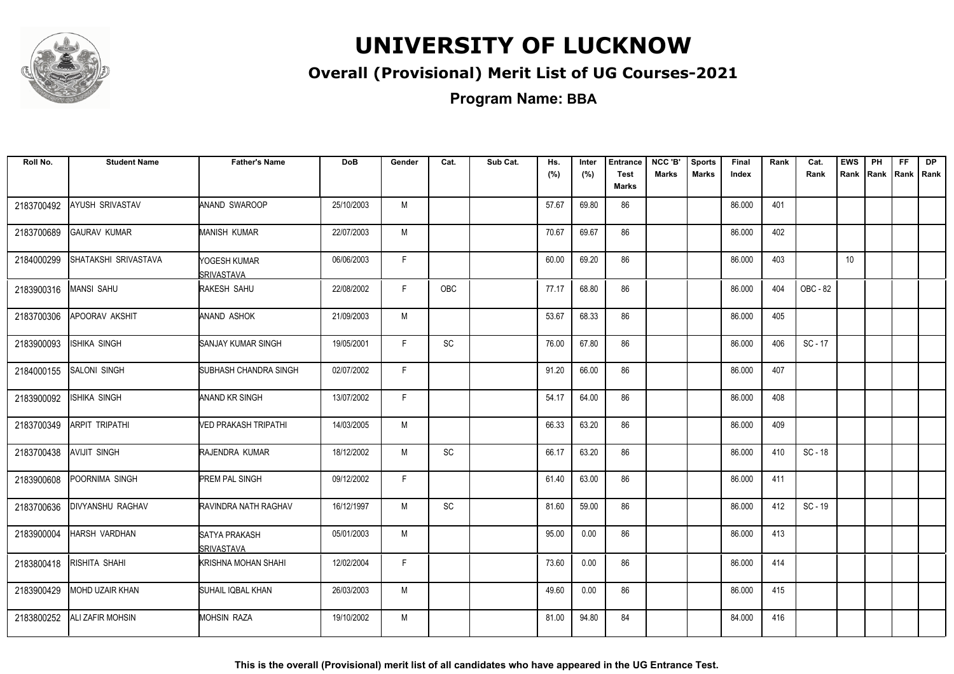

### **Overall (Provisional) Merit List of UG Courses-2021**

**Program Name: BBA**

| Roll No.   | <b>Student Name</b>   | <b>Father's Name</b>               | <b>DoB</b> | Gender | Cat.          | Sub Cat. | Hs.<br>(%) | Inter<br>(%) | <b>Entrance</b><br><b>Test</b><br><b>Marks</b> | NCC 'B'<br><b>Marks</b> | <b>Sports</b><br><b>Marks</b> | Final<br>Index | Rank | Cat.<br>Rank | <b>EWS</b> | PH<br>Rank Rank | FF.<br>Rank   Rank | <b>DP</b> |
|------------|-----------------------|------------------------------------|------------|--------|---------------|----------|------------|--------------|------------------------------------------------|-------------------------|-------------------------------|----------------|------|--------------|------------|-----------------|--------------------|-----------|
| 2183700492 | AYUSH SRIVASTAV       | <b>ANAND SWAROOP</b>               | 25/10/2003 | M      |               |          | 57.67      | 69.80        | 86                                             |                         |                               | 86.000         | 401  |              |            |                 |                    |           |
| 2183700689 | <b>GAURAV KUMAR</b>   | <b>MANISH KUMAR</b>                | 22/07/2003 | M      |               |          | 70.67      | 69.67        | 86                                             |                         |                               | 86.000         | 402  |              |            |                 |                    |           |
| 2184000299 | SHATAKSHI SRIVASTAVA  | YOGESH KUMAR<br><b>SRIVASTAVA</b>  | 06/06/2003 | F.     |               |          | 60.00      | 69.20        | 86                                             |                         |                               | 86.000         | 403  |              | 10         |                 |                    |           |
| 2183900316 | <b>MANSI SAHU</b>     | RAKESH SAHU                        | 22/08/2002 | F      | <b>OBC</b>    |          | 77.17      | 68.80        | 86                                             |                         |                               | 86.000         | 404  | OBC - 82     |            |                 |                    |           |
| 2183700306 | APOORAV AKSHIT        | ANAND ASHOK                        | 21/09/2003 | M      |               |          | 53.67      | 68.33        | 86                                             |                         |                               | 86.000         | 405  |              |            |                 |                    |           |
| 2183900093 | ISHIKA SINGH          | <b>SANJAY KUMAR SINGH</b>          | 19/05/2001 | F.     | SC            |          | 76.00      | 67.80        | 86                                             |                         |                               | 86.000         | 406  | $SC - 17$    |            |                 |                    |           |
| 2184000155 | <b>SALONI SINGH</b>   | SUBHASH CHANDRA SINGH              | 02/07/2002 | F.     |               |          | 91.20      | 66.00        | 86                                             |                         |                               | 86.000         | 407  |              |            |                 |                    |           |
| 2183900092 | ISHIKA SINGH          | ANAND KR SINGH                     | 13/07/2002 | F.     |               |          | 54.17      | 64.00        | 86                                             |                         |                               | 86.000         | 408  |              |            |                 |                    |           |
| 2183700349 | <b>ARPIT TRIPATHI</b> | VED PRAKASH TRIPATHI               | 14/03/2005 | M      |               |          | 66.33      | 63.20        | 86                                             |                         |                               | 86.000         | 409  |              |            |                 |                    |           |
| 2183700438 | <b>AVIJIT SINGH</b>   | RAJENDRA KUMAR                     | 18/12/2002 | M      | SC            |          | 66.17      | 63.20        | 86                                             |                         |                               | 86.000         | 410  | $SC - 18$    |            |                 |                    |           |
| 2183900608 | POORNIMA SINGH        | <b>PREM PAL SINGH</b>              | 09/12/2002 | F.     |               |          | 61.40      | 63.00        | 86                                             |                         |                               | 86.000         | 411  |              |            |                 |                    |           |
| 2183700636 | DIVYANSHU RAGHAV      | RAVINDRA NATH RAGHAV               | 16/12/1997 | M      | $\mathsf{SC}$ |          | 81.60      | 59.00        | 86                                             |                         |                               | 86.000         | 412  | SC - 19      |            |                 |                    |           |
| 2183900004 | HARSH VARDHAN         | SATYA PRAKASH<br><b>SRIVASTAVA</b> | 05/01/2003 | M      |               |          | 95.00      | 0.00         | 86                                             |                         |                               | 86.000         | 413  |              |            |                 |                    |           |
| 2183800418 | RISHITA SHAHI         | KRISHNA MOHAN SHAHI                | 12/02/2004 | F      |               |          | 73.60      | 0.00         | 86                                             |                         |                               | 86.000         | 414  |              |            |                 |                    |           |
| 2183900429 | MOHD UZAIR KHAN       | SUHAIL IQBAL KHAN                  | 26/03/2003 | M      |               |          | 49.60      | 0.00         | 86                                             |                         |                               | 86.000         | 415  |              |            |                 |                    |           |
| 2183800252 | ALI ZAFIR MOHSIN      | <b>MOHSIN RAZA</b>                 | 19/10/2002 | M      |               |          | 81.00      | 94.80        | 84                                             |                         |                               | 84.000         | 416  |              |            |                 |                    |           |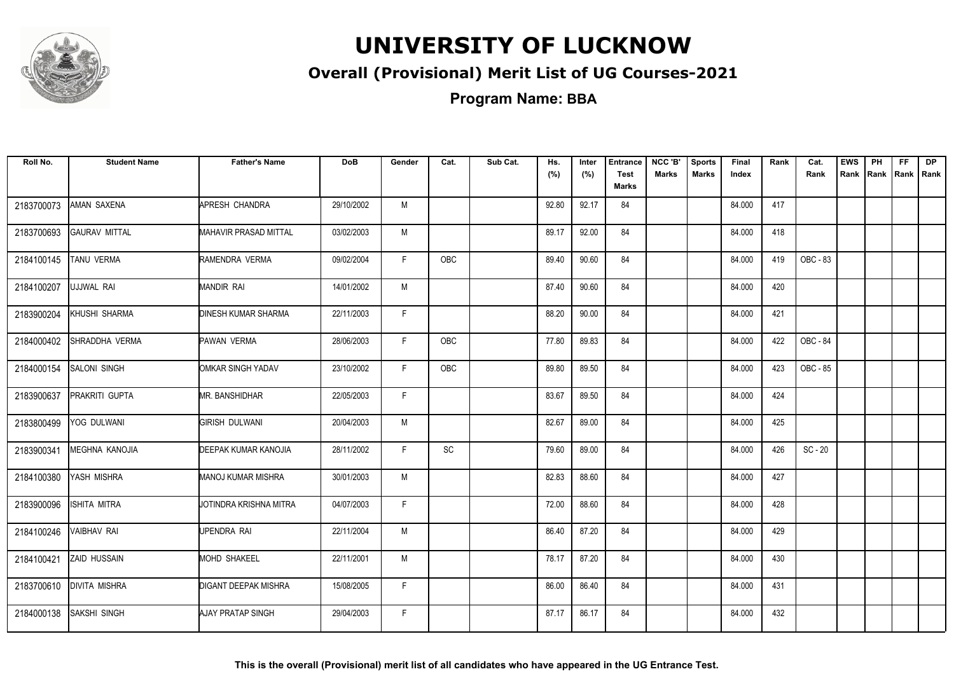

### **Overall (Provisional) Merit List of UG Courses-2021**

**Program Name: BBA**

| Roll No.   | <b>Student Name</b>  | <b>Father's Name</b>         | <b>DoB</b> | Gender | Cat.       | Sub Cat. | Hs.<br>(%) | Inter<br>(%) | <b>Entrance</b><br><b>Test</b> | NCC 'B'<br><b>Marks</b> | <b>Sports</b><br><b>Marks</b> | Final<br>Index | Rank | Cat.<br>Rank | <b>EWS</b><br>Rank | PH<br>Rank | FF.<br>Rank   Rank | <b>DP</b> |
|------------|----------------------|------------------------------|------------|--------|------------|----------|------------|--------------|--------------------------------|-------------------------|-------------------------------|----------------|------|--------------|--------------------|------------|--------------------|-----------|
|            |                      |                              |            |        |            |          |            |              | <b>Marks</b>                   |                         |                               |                |      |              |                    |            |                    |           |
| 2183700073 | AMAN SAXENA          | APRESH CHANDRA               | 29/10/2002 | M      |            |          | 92.80      | 92.17        | 84                             |                         |                               | 84.000         | 417  |              |                    |            |                    |           |
| 2183700693 | <b>GAURAV MITTAL</b> | <b>MAHAVIR PRASAD MITTAL</b> | 03/02/2003 | M      |            |          | 89.17      | 92.00        | 84                             |                         |                               | 84.000         | 418  |              |                    |            |                    |           |
| 2184100145 | TANU VERMA           | RAMENDRA VERMA               | 09/02/2004 | F.     | <b>OBC</b> |          | 89.40      | 90.60        | 84                             |                         |                               | 84.000         | 419  | OBC - 83     |                    |            |                    |           |
| 2184100207 | UJJWAL RAI           | MANDIR RAI                   | 14/01/2002 | M      |            |          | 87.40      | 90.60        | 84                             |                         |                               | 84.000         | 420  |              |                    |            |                    |           |
| 2183900204 | KHUSHI SHARMA        | <b>DINESH KUMAR SHARMA</b>   | 22/11/2003 | F.     |            |          | 88.20      | 90.00        | 84                             |                         |                               | 84.000         | 421  |              |                    |            |                    |           |
| 2184000402 | SHRADDHA VERMA       | <b>PAWAN VERMA</b>           | 28/06/2003 | F.     | OBC        |          | 77.80      | 89.83        | 84                             |                         |                               | 84.000         | 422  | OBC - 84     |                    |            |                    |           |
| 2184000154 | <b>SALONI SINGH</b>  | OMKAR SINGH YADAV            | 23/10/2002 | F.     | <b>OBC</b> |          | 89.80      | 89.50        | 84                             |                         |                               | 84.000         | 423  | OBC - 85     |                    |            |                    |           |
| 2183900637 | PRAKRITI GUPTA       | <b>MR. BANSHIDHAR</b>        | 22/05/2003 | F.     |            |          | 83.67      | 89.50        | 84                             |                         |                               | 84.000         | 424  |              |                    |            |                    |           |
| 2183800499 | YOG DULWANI          | <b>GIRISH DULWANI</b>        | 20/04/2003 | M      |            |          | 82.67      | 89.00        | 84                             |                         |                               | 84.000         | 425  |              |                    |            |                    |           |
| 2183900341 | MEGHNA KANOJIA       | DEEPAK KUMAR KANOJIA         | 28/11/2002 | F      | SC         |          | 79.60      | 89.00        | 84                             |                         |                               | 84.000         | 426  | $SC - 20$    |                    |            |                    |           |
| 2184100380 | YASH MISHRA          | <b>MANOJ KUMAR MISHRA</b>    | 30/01/2003 | M      |            |          | 82.83      | 88.60        | 84                             |                         |                               | 84.000         | 427  |              |                    |            |                    |           |
| 2183900096 | ISHITA MITRA         | JOTINDRA KRISHNA MITRA       | 04/07/2003 | F      |            |          | 72.00      | 88.60        | 84                             |                         |                               | 84.000         | 428  |              |                    |            |                    |           |
| 2184100246 | VAIBHAV RAI          | UPENDRA RAI                  | 22/11/2004 | M      |            |          | 86.40      | 87.20        | 84                             |                         |                               | 84.000         | 429  |              |                    |            |                    |           |
| 2184100421 | <b>ZAID HUSSAIN</b>  | MOHD SHAKEEL                 | 22/11/2001 | M      |            |          | 78.17      | 87.20        | 84                             |                         |                               | 84.000         | 430  |              |                    |            |                    |           |
| 2183700610 | <b>DIVITA MISHRA</b> | <b>DIGANT DEEPAK MISHRA</b>  | 15/08/2005 | F.     |            |          | 86.00      | 86.40        | 84                             |                         |                               | 84.000         | 431  |              |                    |            |                    |           |
| 2184000138 | SAKSHI SINGH         | AJAY PRATAP SINGH            | 29/04/2003 | F.     |            |          | 87.17      | 86.17        | 84                             |                         |                               | 84.000         | 432  |              |                    |            |                    |           |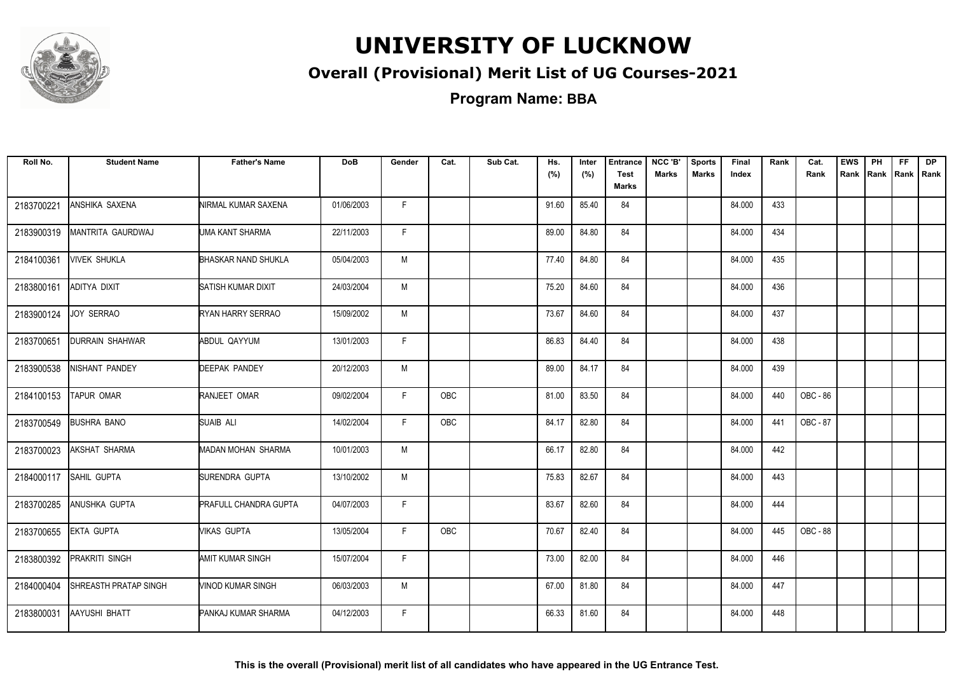

### **Overall (Provisional) Merit List of UG Courses-2021**

**Program Name: BBA**

| Roll No.   | <b>Student Name</b>          | <b>Father's Name</b>         | <b>DoB</b> | Gender | Cat.       | Sub Cat. | Hs.<br>(%) | Inter<br>(%) | <b>Entrance</b><br><b>Test</b><br><b>Marks</b> | NCC 'B'<br><b>Marks</b> | <b>Sports</b><br><b>Marks</b> | Final<br>Index | Rank | Cat.<br>Rank | <b>EWS</b> | PH<br>Rank Rank | <b>FF</b><br> Rank   Rank | <b>DP</b> |
|------------|------------------------------|------------------------------|------------|--------|------------|----------|------------|--------------|------------------------------------------------|-------------------------|-------------------------------|----------------|------|--------------|------------|-----------------|---------------------------|-----------|
| 2183700221 | ANSHIKA SAXENA               | <b>NIRMAL KUMAR SAXENA</b>   | 01/06/2003 | F.     |            |          | 91.60      | 85.40        | 84                                             |                         |                               | 84.000         | 433  |              |            |                 |                           |           |
| 2183900319 | MANTRITA GAURDWAJ            | UMA KANT SHARMA              | 22/11/2003 | F.     |            |          | 89.00      | 84.80        | 84                                             |                         |                               | 84.000         | 434  |              |            |                 |                           |           |
| 2184100361 | <b>VIVEK SHUKLA</b>          | <b>BHASKAR NAND SHUKLA</b>   | 05/04/2003 | M      |            |          | 77.40      | 84.80        | 84                                             |                         |                               | 84.000         | 435  |              |            |                 |                           |           |
| 2183800161 | ADITYA DIXIT                 | SATISH KUMAR DIXIT           | 24/03/2004 | M      |            |          | 75.20      | 84.60        | 84                                             |                         |                               | 84.000         | 436  |              |            |                 |                           |           |
| 2183900124 | JOY SERRAO                   | RYAN HARRY SERRAO            | 15/09/2002 | M      |            |          | 73.67      | 84.60        | 84                                             |                         |                               | 84.000         | 437  |              |            |                 |                           |           |
| 2183700651 | <b>IDURRAIN SHAHWAR</b>      | ABDUL QAYYUM                 | 13/01/2003 | F.     |            |          | 86.83      | 84.40        | 84                                             |                         |                               | 84.000         | 438  |              |            |                 |                           |           |
| 2183900538 | NISHANT PANDEY               | <b>DEEPAK PANDEY</b>         | 20/12/2003 | M      |            |          | 89.00      | 84.17        | 84                                             |                         |                               | 84.000         | 439  |              |            |                 |                           |           |
| 2184100153 | <b>TAPUR OMAR</b>            | RANJEET OMAR                 | 09/02/2004 | F.     | OBC        |          | 81.00      | 83.50        | 84                                             |                         |                               | 84.000         | 440  | OBC - 86     |            |                 |                           |           |
| 2183700549 | <b>BUSHRA BANO</b>           | <b>SUAIB ALI</b>             | 14/02/2004 | F.     | OBC        |          | 84.17      | 82.80        | 84                                             |                         |                               | 84.000         | 441  | OBC - 87     |            |                 |                           |           |
| 2183700023 | <b>AKSHAT SHARMA</b>         | MADAN MOHAN SHARMA           | 10/01/2003 | M      |            |          | 66.17      | 82.80        | 84                                             |                         |                               | 84.000         | 442  |              |            |                 |                           |           |
| 2184000117 | <b>SAHIL GUPTA</b>           | SURENDRA GUPTA               | 13/10/2002 | M      |            |          | 75.83      | 82.67        | 84                                             |                         |                               | 84.000         | 443  |              |            |                 |                           |           |
| 2183700285 | <b>ANUSHKA GUPTA</b>         | <b>PRAFULL CHANDRA GUPTA</b> | 04/07/2003 | F.     |            |          | 83.67      | 82.60        | 84                                             |                         |                               | 84.000         | 444  |              |            |                 |                           |           |
| 2183700655 | <b>EKTA GUPTA</b>            | MIKAS GUPTA                  | 13/05/2004 | F.     | <b>OBC</b> |          | 70.67      | 82.40        | 84                                             |                         |                               | 84.000         | 445  | OBC - 88     |            |                 |                           |           |
| 2183800392 | <b>PRAKRITI SINGH</b>        | AMIT KUMAR SINGH             | 15/07/2004 | F.     |            |          | 73.00      | 82.00        | 84                                             |                         |                               | 84.000         | 446  |              |            |                 |                           |           |
| 2184000404 | <b>SHREASTH PRATAP SINGH</b> | VINOD KUMAR SINGH            | 06/03/2003 | M      |            |          | 67.00      | 81.80        | 84                                             |                         |                               | 84.000         | 447  |              |            |                 |                           |           |
| 2183800031 | <b>AAYUSHI BHATT</b>         | PANKAJ KUMAR SHARMA          | 04/12/2003 | F.     |            |          | 66.33      | 81.60        | 84                                             |                         |                               | 84.000         | 448  |              |            |                 |                           |           |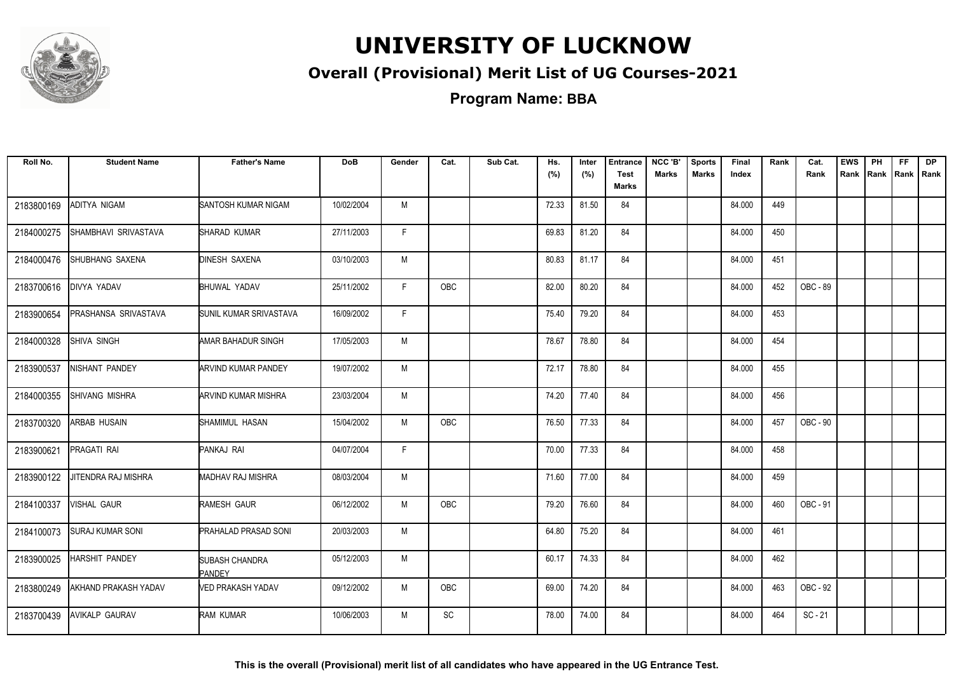

### **Overall (Provisional) Merit List of UG Courses-2021**

| Roll No.   | <b>Student Name</b>         | <b>Father's Name</b>                   | <b>DoB</b> | Gender | Cat.       | Sub Cat. | Hs.<br>(%) | Inter<br>(%) | <b>Entrance</b><br><b>Test</b><br>Marks | NCC 'B'<br><b>Marks</b> | <b>Sports</b><br><b>Marks</b> | Final<br>Index | Rank | Cat.<br>Rank | <b>EWS</b><br>Rank | PH<br>Rank   Rank   Rank | FF. | <b>DP</b> |
|------------|-----------------------------|----------------------------------------|------------|--------|------------|----------|------------|--------------|-----------------------------------------|-------------------------|-------------------------------|----------------|------|--------------|--------------------|--------------------------|-----|-----------|
| 2183800169 | ADITYA NIGAM                | SANTOSH KUMAR NIGAM                    | 10/02/2004 | M      |            |          | 72.33      | 81.50        | 84                                      |                         |                               | 84.000         | 449  |              |                    |                          |     |           |
| 2184000275 | SHAMBHAVI SRIVASTAVA        | SHARAD KUMAR                           | 27/11/2003 | F.     |            |          | 69.83      | 81.20        | 84                                      |                         |                               | 84.000         | 450  |              |                    |                          |     |           |
| 2184000476 | SHUBHANG SAXENA             | <b>DINESH SAXENA</b>                   | 03/10/2003 | M      |            |          | 80.83      | 81.17        | 84                                      |                         |                               | 84.000         | 451  |              |                    |                          |     |           |
| 2183700616 | <b>DIVYA YADAV</b>          | <b>BHUWAL YADAV</b>                    | 25/11/2002 | F.     | <b>OBC</b> |          | 82.00      | 80.20        | 84                                      |                         |                               | 84.000         | 452  | OBC - 89     |                    |                          |     |           |
| 2183900654 | PRASHANSA SRIVASTAVA        | SUNIL KUMAR SRIVASTAVA                 | 16/09/2002 | F.     |            |          | 75.40      | 79.20        | 84                                      |                         |                               | 84.000         | 453  |              |                    |                          |     |           |
| 2184000328 | SHIVA SINGH                 | AMAR BAHADUR SINGH                     | 17/05/2003 | M      |            |          | 78.67      | 78.80        | 84                                      |                         |                               | 84.000         | 454  |              |                    |                          |     |           |
| 2183900537 | NISHANT PANDEY              | <b>ARVIND KUMAR PANDEY</b>             | 19/07/2002 | M      |            |          | 72.17      | 78.80        | 84                                      |                         |                               | 84.000         | 455  |              |                    |                          |     |           |
| 2184000355 | SHIVANG MISHRA              | ARVIND KUMAR MISHRA                    | 23/03/2004 | M      |            |          | 74.20      | 77.40        | 84                                      |                         |                               | 84.000         | 456  |              |                    |                          |     |           |
| 2183700320 | ARBAB HUSAIN                | SHAMIMUL HASAN                         | 15/04/2002 | М      | OBC        |          | 76.50      | 77.33        | 84                                      |                         |                               | 84.000         | 457  | OBC - 90     |                    |                          |     |           |
| 2183900621 | PRAGATI RAI                 | PANKAJ RAI                             | 04/07/2004 | F      |            |          | 70.00      | 77.33        | 84                                      |                         |                               | 84.000         | 458  |              |                    |                          |     |           |
| 2183900122 | JITENDRA RAJ MISHRA         | MADHAV RAJ MISHRA                      | 08/03/2004 | M      |            |          | 71.60      | 77.00        | 84                                      |                         |                               | 84.000         | 459  |              |                    |                          |     |           |
| 2184100337 | VISHAL GAUR                 | RAMESH GAUR                            | 06/12/2002 | M      | <b>OBC</b> |          | 79.20      | 76.60        | 84                                      |                         |                               | 84.000         | 460  | OBC - 91     |                    |                          |     |           |
| 2184100073 | <b>SURAJ KUMAR SONI</b>     | <b>PRAHALAD PRASAD SONI</b>            | 20/03/2003 | M      |            |          | 64.80      | 75.20        | 84                                      |                         |                               | 84.000         | 461  |              |                    |                          |     |           |
| 2183900025 | <b>HARSHIT PANDEY</b>       | <b>SUBASH CHANDRA</b><br><b>PANDEY</b> | 05/12/2003 | M      |            |          | 60.17      | 74.33        | 84                                      |                         |                               | 84.000         | 462  |              |                    |                          |     |           |
| 2183800249 | <b>AKHAND PRAKASH YADAV</b> | VED PRAKASH YADAV                      | 09/12/2002 | M      | <b>OBC</b> |          | 69.00      | 74.20        | 84                                      |                         |                               | 84.000         | 463  | OBC - 92     |                    |                          |     |           |
| 2183700439 | <b>AVIKALP GAURAV</b>       | RAM KUMAR                              | 10/06/2003 | M      | SC         |          | 78.00      | 74.00        | 84                                      |                         |                               | 84.000         | 464  | $SC - 21$    |                    |                          |     |           |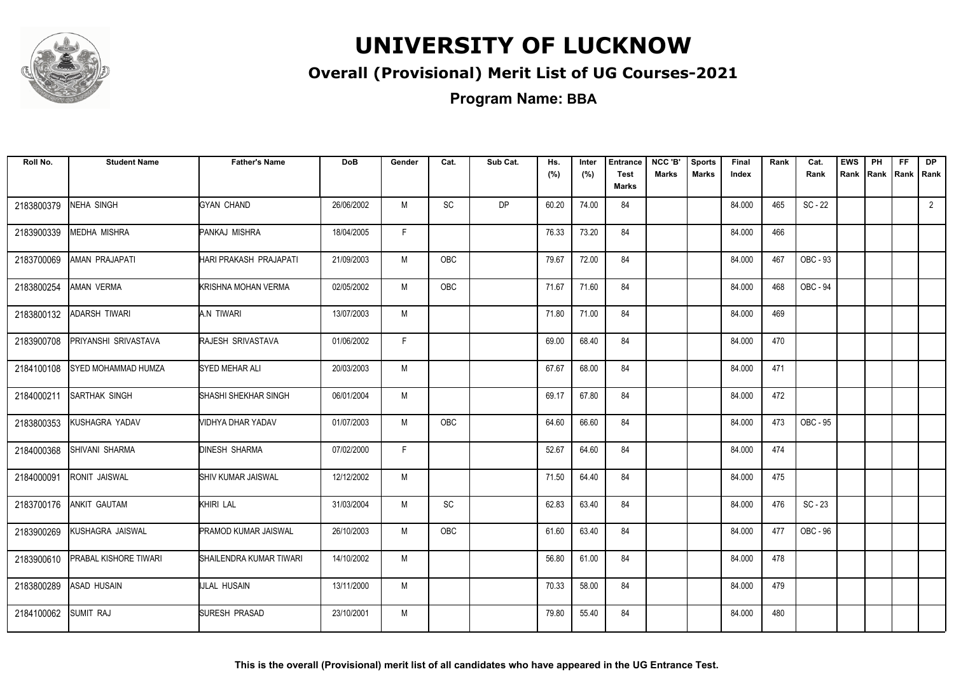

### **Overall (Provisional) Merit List of UG Courses-2021**

| Roll No.   | <b>Student Name</b>        | <b>Father's Name</b>    | <b>DoB</b> | Gender | Cat.       | Sub Cat.  | Hs.<br>(%) | Inter<br>(%) | <b>Entrance</b><br><b>Test</b><br>Marks | NCC 'B'<br><b>Marks</b> | <b>Sports</b><br><b>Marks</b> | Final<br>Index | Rank | Cat.<br>Rank | <b>EWS</b><br>Rank | PH<br>Rank Rank Rank | FF. | <b>DP</b>   |
|------------|----------------------------|-------------------------|------------|--------|------------|-----------|------------|--------------|-----------------------------------------|-------------------------|-------------------------------|----------------|------|--------------|--------------------|----------------------|-----|-------------|
| 2183800379 | <b>NEHA SINGH</b>          | <b>GYAN CHAND</b>       | 26/06/2002 | M      | SC         | <b>DP</b> | 60.20      | 74.00        | 84                                      |                         |                               | 84.000         | 465  | $SC - 22$    |                    |                      |     | $2^{\circ}$ |
| 2183900339 | <b>MEDHA MISHRA</b>        | PANKAJ MISHRA           | 18/04/2005 | F.     |            |           | 76.33      | 73.20        | 84                                      |                         |                               | 84.000         | 466  |              |                    |                      |     |             |
| 2183700069 | AMAN PRAJAPATI             | HARI PRAKASH PRAJAPATI  | 21/09/2003 | M      | <b>OBC</b> |           | 79.67      | 72.00        | 84                                      |                         |                               | 84.000         | 467  | OBC - 93     |                    |                      |     |             |
| 2183800254 | AMAN VERMA                 | KRISHNA MOHAN VERMA     | 02/05/2002 | M      | OBC        |           | 71.67      | 71.60        | 84                                      |                         |                               | 84.000         | 468  | OBC - 94     |                    |                      |     |             |
| 2183800132 | ADARSH TIWARI              | A.N TIWARI              | 13/07/2003 | M      |            |           | 71.80      | 71.00        | 84                                      |                         |                               | 84.000         | 469  |              |                    |                      |     |             |
| 2183900708 | PRIYANSHI SRIVASTAVA       | RAJESH SRIVASTAVA       | 01/06/2002 | F.     |            |           | 69.00      | 68.40        | 84                                      |                         |                               | 84.000         | 470  |              |                    |                      |     |             |
| 2184100108 | <b>SYED MOHAMMAD HUMZA</b> | SYED MEHAR ALI          | 20/03/2003 | M      |            |           | 67.67      | 68.00        | 84                                      |                         |                               | 84.000         | 471  |              |                    |                      |     |             |
| 2184000211 | <b>SARTHAK SINGH</b>       | SHASHI SHEKHAR SINGH    | 06/01/2004 | M      |            |           | 69.17      | 67.80        | 84                                      |                         |                               | 84.000         | 472  |              |                    |                      |     |             |
| 2183800353 | KUSHAGRA YADAV             | VIDHYA DHAR YADAV       | 01/07/2003 | M      | <b>OBC</b> |           | 64.60      | 66.60        | 84                                      |                         |                               | 84.000         | 473  | OBC - 95     |                    |                      |     |             |
| 2184000368 | SHIVANI SHARMA             | <b>DINESH SHARMA</b>    | 07/02/2000 | F      |            |           | 52.67      | 64.60        | 84                                      |                         |                               | 84.000         | 474  |              |                    |                      |     |             |
| 2184000091 | RONIT JAISWAL              | SHIV KUMAR JAISWAL      | 12/12/2002 | M      |            |           | 71.50      | 64.40        | 84                                      |                         |                               | 84.000         | 475  |              |                    |                      |     |             |
| 2183700176 | ANKIT GAUTAM               | <b>KHIRI LAL</b>        | 31/03/2004 | М      | SC         |           | 62.83      | 63.40        | 84                                      |                         |                               | 84.000         | 476  | $SC - 23$    |                    |                      |     |             |
| 2183900269 | KUSHAGRA JAISWAL           | PRAMOD KUMAR JAISWAL    | 26/10/2003 | M      | OBC        |           | 61.60      | 63.40        | 84                                      |                         |                               | 84.000         | 477  | OBC - 96     |                    |                      |     |             |
| 2183900610 | PRABAL KISHORE TIWARI      | SHAILENDRA KUMAR TIWARI | 14/10/2002 | M      |            |           | 56.80      | 61.00        | 84                                      |                         |                               | 84.000         | 478  |              |                    |                      |     |             |
| 2183800289 | <b>ASAD HUSAIN</b>         | <b>IJLAL HUSAIN</b>     | 13/11/2000 | M      |            |           | 70.33      | 58.00        | 84                                      |                         |                               | 84.000         | 479  |              |                    |                      |     |             |
| 2184100062 | <b>SUMIT RAJ</b>           | SURESH PRASAD           | 23/10/2001 | M      |            |           | 79.80      | 55.40        | 84                                      |                         |                               | 84.000         | 480  |              |                    |                      |     |             |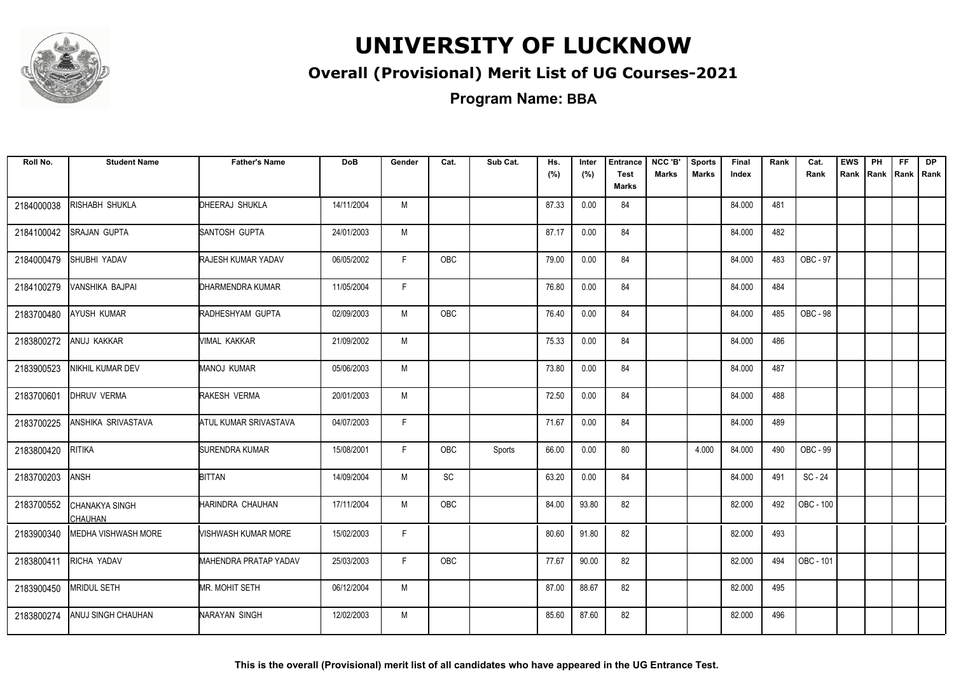

### **Overall (Provisional) Merit List of UG Courses-2021**

**Program Name: BBA**

| Roll No.   | <b>Student Name</b>              | <b>Father's Name</b>  | <b>DoB</b> | Gender | Cat.          | Sub Cat. | Hs.<br>(%) | Inter<br>(%) | <b>Entrance</b><br><b>Test</b><br>Marks | NCC 'B'<br><b>Marks</b> | <b>Sports</b><br><b>Marks</b> | Final<br>Index | Rank | Cat.<br>Rank | <b>EWS</b><br>Rank | PH | FF. | DP.<br>Rank   Rank   Rank |
|------------|----------------------------------|-----------------------|------------|--------|---------------|----------|------------|--------------|-----------------------------------------|-------------------------|-------------------------------|----------------|------|--------------|--------------------|----|-----|---------------------------|
| 2184000038 | RISHABH SHUKLA                   | DHEERAJ SHUKLA        | 14/11/2004 | M      |               |          | 87.33      | 0.00         | 84                                      |                         |                               | 84.000         | 481  |              |                    |    |     |                           |
| 2184100042 | <b>SRAJAN GUPTA</b>              | SANTOSH GUPTA         | 24/01/2003 | M      |               |          | 87.17      | 0.00         | 84                                      |                         |                               | 84.000         | 482  |              |                    |    |     |                           |
| 2184000479 | SHUBHI YADAV                     | RAJESH KUMAR YADAV    | 06/05/2002 | F      | OBC           |          | 79.00      | 0.00         | 84                                      |                         |                               | 84.000         | 483  | OBC - 97     |                    |    |     |                           |
| 2184100279 | VANSHIKA BAJPAI                  | DHARMENDRA KUMAR      | 11/05/2004 | F.     |               |          | 76.80      | 0.00         | 84                                      |                         |                               | 84.000         | 484  |              |                    |    |     |                           |
| 2183700480 | <b>AYUSH KUMAR</b>               | RADHESHYAM GUPTA      | 02/09/2003 | M      | OBC           |          | 76.40      | 0.00         | 84                                      |                         |                               | 84.000         | 485  | OBC - 98     |                    |    |     |                           |
| 2183800272 | ANUJ KAKKAR                      | VIMAL KAKKAR          | 21/09/2002 | M      |               |          | 75.33      | 0.00         | 84                                      |                         |                               | 84.000         | 486  |              |                    |    |     |                           |
| 2183900523 | NIKHIL KUMAR DEV                 | <b>MANOJ KUMAR</b>    | 05/06/2003 | M      |               |          | 73.80      | 0.00         | 84                                      |                         |                               | 84.000         | 487  |              |                    |    |     |                           |
| 2183700601 | <b>DHRUV VERMA</b>               | RAKESH VERMA          | 20/01/2003 | M      |               |          | 72.50      | 0.00         | 84                                      |                         |                               | 84.000         | 488  |              |                    |    |     |                           |
| 2183700225 | <b>ANSHIKA SRIVASTAVA</b>        | ATUL KUMAR SRIVASTAVA | 04/07/2003 | F      |               |          | 71.67      | 0.00         | 84                                      |                         |                               | 84.000         | 489  |              |                    |    |     |                           |
| 2183800420 | <b>RITIKA</b>                    | <b>SURENDRA KUMAR</b> | 15/08/2001 | F.     | OBC           | Sports   | 66.00      | 0.00         | 80                                      |                         | 4.000                         | 84.000         | 490  | OBC - 99     |                    |    |     |                           |
| 2183700203 | <b>ANSH</b>                      | <b>BITTAN</b>         | 14/09/2004 | M      | $\mathsf{SC}$ |          | 63.20      | 0.00         | 84                                      |                         |                               | 84.000         | 491  | SC - 24      |                    |    |     |                           |
| 2183700552 | <b>CHANAKYA SINGH</b><br>CHAUHAN | HARINDRA CHAUHAN      | 17/11/2004 | M      | OBC           |          | 84.00      | 93.80        | 82                                      |                         |                               | 82.000         | 492  | OBC - 100    |                    |    |     |                           |
| 2183900340 | MEDHA VISHWASH MORE              | VISHWASH KUMAR MORE   | 15/02/2003 | F      |               |          | 80.60      | 91.80        | 82                                      |                         |                               | 82.000         | 493  |              |                    |    |     |                           |
| 2183800411 | RICHA YADAV                      | MAHENDRA PRATAP YADAV | 25/03/2003 | F.     | OBC           |          | 77.67      | 90.00        | 82                                      |                         |                               | 82.000         | 494  | OBC - 101    |                    |    |     |                           |
| 2183900450 | <b>MRIDUL SETH</b>               | MR. MOHIT SETH        | 06/12/2004 | М      |               |          | 87.00      | 88.67        | 82                                      |                         |                               | 82.000         | 495  |              |                    |    |     |                           |
| 2183800274 | ANUJ SINGH CHAUHAN               | NARAYAN SINGH         | 12/02/2003 | M      |               |          | 85.60      | 87.60        | 82                                      |                         |                               | 82.000         | 496  |              |                    |    |     |                           |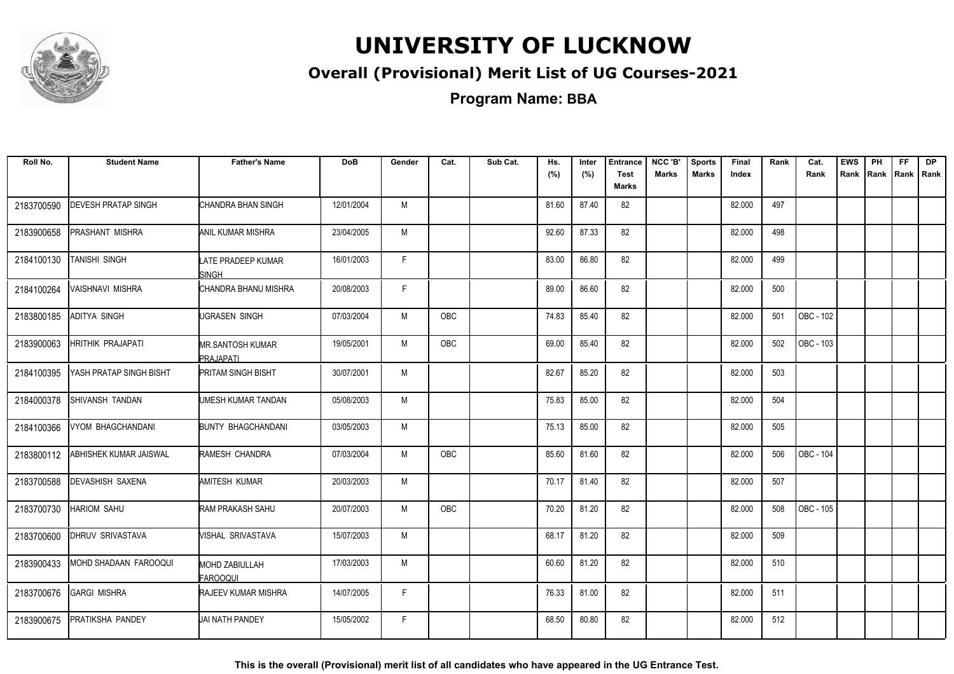

#### **Overall (Provisional) Merit List of UG Courses-2021**

**Program Name: BBA**

| Roll No.   | <b>Student Name</b>        | <b>Father's Name</b>                 | <b>DoB</b> | Gender | Cat.       | Sub Cat. | Hs.<br>(%) | Inter<br>(%) | <b>Entrance</b><br><b>Test</b><br>Marks | NCC 'B'<br><b>Marks</b> | <b>Sports</b><br><b>Marks</b> | Final<br>Index | Rank | Cat.<br>Rank | <b>EWS</b><br>Rank | PH<br>Rank Rank Rank | FF. | <b>DP</b> |
|------------|----------------------------|--------------------------------------|------------|--------|------------|----------|------------|--------------|-----------------------------------------|-------------------------|-------------------------------|----------------|------|--------------|--------------------|----------------------|-----|-----------|
| 2183700590 | <b>DEVESH PRATAP SINGH</b> | CHANDRA BHAN SINGH                   | 12/01/2004 | M      |            |          | 81.60      | 87.40        | 82                                      |                         |                               | 82.000         | 497  |              |                    |                      |     |           |
| 2183900658 | PRASHANT MISHRA            | ANIL KUMAR MISHRA                    | 23/04/2005 | М      |            |          | 92.60      | 87.33        | 82                                      |                         |                               | 82.000         | 498  |              |                    |                      |     |           |
| 2184100130 | TANISHI SINGH              | LATE PRADEEP KUMAR<br><b>SINGH</b>   | 16/01/2003 | F.     |            |          | 83.00      | 86.80        | 82                                      |                         |                               | 82.000         | 499  |              |                    |                      |     |           |
| 2184100264 | VAISHNAVI MISHRA           | CHANDRA BHANU MISHRA                 | 20/08/2003 | F      |            |          | 89.00      | 86.60        | 82                                      |                         |                               | 82.000         | 500  |              |                    |                      |     |           |
| 2183800185 | <b>ADITYA SINGH</b>        | UGRASEN SINGH                        | 07/03/2004 | M      | <b>OBC</b> |          | 74.83      | 85.40        | 82                                      |                         |                               | 82.000         | 501  | OBC - 102    |                    |                      |     |           |
| 2183900063 | <b>HRITHIK PRAJAPATI</b>   | <b>MR.SANTOSH KUMAR</b><br>PRAJAPATI | 19/05/2001 | M      | <b>OBC</b> |          | 69.00      | 85.40        | 82                                      |                         |                               | 82.000         | 502  | OBC - 103    |                    |                      |     |           |
| 2184100395 | YASH PRATAP SINGH BISHT    | <b>PRITAM SINGH BISHT</b>            | 30/07/2001 | M      |            |          | 82.67      | 85.20        | 82                                      |                         |                               | 82.000         | 503  |              |                    |                      |     |           |
| 2184000378 | SHIVANSH TANDAN            | UMESH KUMAR TANDAN                   | 05/08/2003 | М      |            |          | 75.83      | 85.00        | 82                                      |                         |                               | 82.000         | 504  |              |                    |                      |     |           |
| 2184100366 | <b>VYOM BHAGCHANDANI</b>   | <b>BUNTY BHAGCHANDANI</b>            | 03/05/2003 | M      |            |          | 75.13      | 85.00        | 82                                      |                         |                               | 82.000         | 505  |              |                    |                      |     |           |
| 2183800112 | ABHISHEK KUMAR JAISWAL     | RAMESH CHANDRA                       | 07/03/2004 | M      | <b>OBC</b> |          | 85.60      | 81.60        | 82                                      |                         |                               | 82.000         | 506  | OBC - 104    |                    |                      |     |           |
| 2183700588 | <b>DEVASHISH SAXENA</b>    | <b>AMITESH KUMAR</b>                 | 20/03/2003 | M      |            |          | 70.17      | 81.40        | 82                                      |                         |                               | 82.000         | 507  |              |                    |                      |     |           |
| 2183700730 | <b>HARIOM SAHU</b>         | <b>RAM PRAKASH SAHU</b>              | 20/07/2003 | M      | <b>OBC</b> |          | 70.20      | 81.20        | 82                                      |                         |                               | 82.000         | 508  | OBC - 105    |                    |                      |     |           |
| 2183700600 | <b>DHRUV SRIVASTAVA</b>    | VISHAL SRIVASTAVA                    | 15/07/2003 | M      |            |          | 68.17      | 81.20        | 82                                      |                         |                               | 82.000         | 509  |              |                    |                      |     |           |
| 2183900433 | MOHD SHADAAN FAROOQUI      | <b>MOHD ZABIULLAH</b><br>FAROOQUI    | 17/03/2003 | M      |            |          | 60.60      | 81.20        | 82                                      |                         |                               | 82.000         | 510  |              |                    |                      |     |           |
| 2183700676 | <b>GARGI MISHRA</b>        | <b>RAJEEV KUMAR MISHRA</b>           | 14/07/2005 | F      |            |          | 76.33      | 81.00        | 82                                      |                         |                               | 82.000         | 511  |              |                    |                      |     |           |
| 2183900675 | PRATIKSHA PANDEY           | <b>JAI NATH PANDEY</b>               | 15/05/2002 | F.     |            |          | 68.50      | 80.80        | 82                                      |                         |                               | 82.000         | 512  |              |                    |                      |     |           |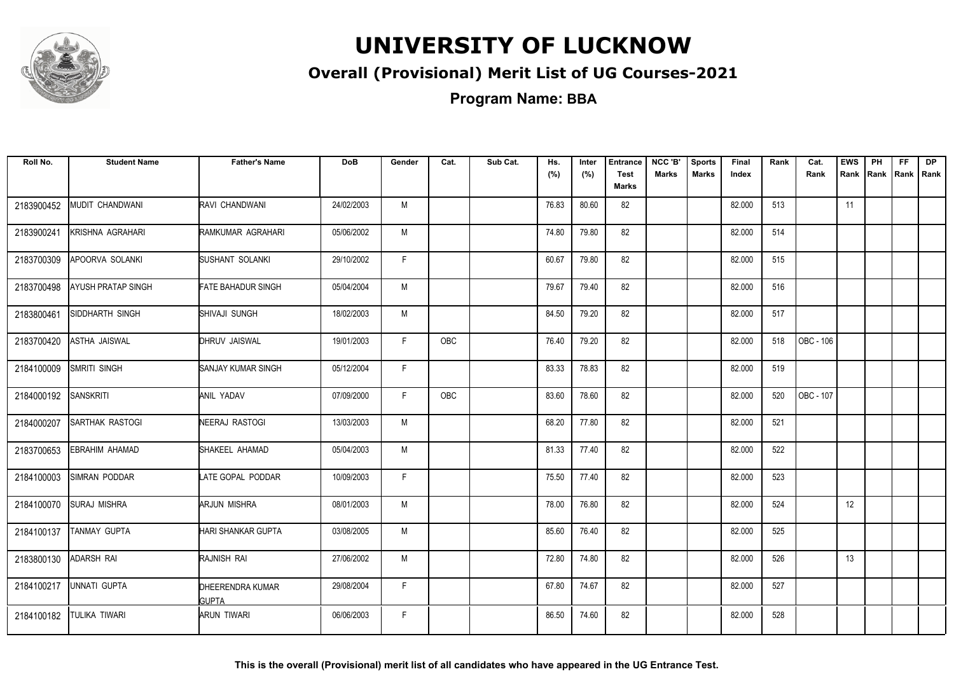

### **Overall (Provisional) Merit List of UG Courses-2021**

| Roll No.   | <b>Student Name</b>       | <b>Father's Name</b>             | <b>DoB</b> | Gender | Cat.       | Sub Cat. | Hs.<br>(%) | Inter<br>(%) | <b>Entrance</b><br><b>Test</b><br>Marks | NCC 'B'<br><b>Marks</b> | <b>Sports</b><br><b>Marks</b> | Final<br>Index | Rank | Cat.<br>Rank | <b>EWS</b> | PH | <b>FF</b> | <b>DP</b><br>Rank Rank Rank Rank |
|------------|---------------------------|----------------------------------|------------|--------|------------|----------|------------|--------------|-----------------------------------------|-------------------------|-------------------------------|----------------|------|--------------|------------|----|-----------|----------------------------------|
| 2183900452 | MUDIT CHANDWANI           | RAVI CHANDWANI                   | 24/02/2003 | M      |            |          | 76.83      | 80.60        | 82                                      |                         |                               | 82.000         | 513  |              | 11         |    |           |                                  |
| 2183900241 | KRISHNA AGRAHARI          | RAMKUMAR AGRAHARI                | 05/06/2002 | M      |            |          | 74.80      | 79.80        | 82                                      |                         |                               | 82.000         | 514  |              |            |    |           |                                  |
| 2183700309 | APOORVA SOLANKI           | SUSHANT SOLANKI                  | 29/10/2002 | F.     |            |          | 60.67      | 79.80        | 82                                      |                         |                               | 82.000         | 515  |              |            |    |           |                                  |
| 2183700498 | <b>AYUSH PRATAP SINGH</b> | <b>FATE BAHADUR SINGH</b>        | 05/04/2004 | M      |            |          | 79.67      | 79.40        | 82                                      |                         |                               | 82.000         | 516  |              |            |    |           |                                  |
| 2183800461 | <b>SIDDHARTH SINGH</b>    | SHIVAJI SUNGH                    | 18/02/2003 | M      |            |          | 84.50      | 79.20        | 82                                      |                         |                               | 82.000         | 517  |              |            |    |           |                                  |
| 2183700420 | <b>ASTHA JAISWAL</b>      | DHRUV JAISWAL                    | 19/01/2003 | F.     | OBC        |          | 76.40      | 79.20        | 82                                      |                         |                               | 82.000         | 518  | OBC - 106    |            |    |           |                                  |
| 2184100009 | SMRITI SINGH              | <b>SANJAY KUMAR SINGH</b>        | 05/12/2004 | F.     |            |          | 83.33      | 78.83        | 82                                      |                         |                               | 82.000         | 519  |              |            |    |           |                                  |
| 2184000192 | <b>SANSKRITI</b>          | <b>ANIL YADAV</b>                | 07/09/2000 | F.     | <b>OBC</b> |          | 83.60      | 78.60        | 82                                      |                         |                               | 82.000         | 520  | OBC - 107    |            |    |           |                                  |
| 2184000207 | <b>SARTHAK RASTOGI</b>    | NEERAJ RASTOGI                   | 13/03/2003 | M      |            |          | 68.20      | 77.80        | 82                                      |                         |                               | 82.000         | 521  |              |            |    |           |                                  |
| 2183700653 | EBRAHIM AHAMAD            | SHAKEEL AHAMAD                   | 05/04/2003 | M      |            |          | 81.33      | 77.40        | 82                                      |                         |                               | 82.000         | 522  |              |            |    |           |                                  |
| 2184100003 | <b>SIMRAN PODDAR</b>      | LATE GOPAL PODDAR                | 10/09/2003 | F.     |            |          | 75.50      | 77.40        | 82                                      |                         |                               | 82.000         | 523  |              |            |    |           |                                  |
| 2184100070 | <b>SURAJ MISHRA</b>       | ARJUN MISHRA                     | 08/01/2003 | M      |            |          | 78.00      | 76.80        | 82                                      |                         |                               | 82.000         | 524  |              | 12         |    |           |                                  |
| 2184100137 | TANMAY GUPTA              | HARI SHANKAR GUPTA               | 03/08/2005 | M      |            |          | 85.60      | 76.40        | 82                                      |                         |                               | 82.000         | 525  |              |            |    |           |                                  |
| 2183800130 | <b>ADARSH RAI</b>         | RAJNISH RAI                      | 27/06/2002 | M      |            |          | 72.80      | 74.80        | 82                                      |                         |                               | 82.000         | 526  |              | 13         |    |           |                                  |
| 2184100217 | UNNATI GUPTA              | DHEERENDRA KUMAR<br><b>GUPTA</b> | 29/08/2004 | F.     |            |          | 67.80      | 74.67        | 82                                      |                         |                               | 82.000         | 527  |              |            |    |           |                                  |
| 2184100182 | <b>TULIKA TIWARI</b>      | <b>ARUN TIWARI</b>               | 06/06/2003 | F.     |            |          | 86.50      | 74.60        | 82                                      |                         |                               | 82.000         | 528  |              |            |    |           |                                  |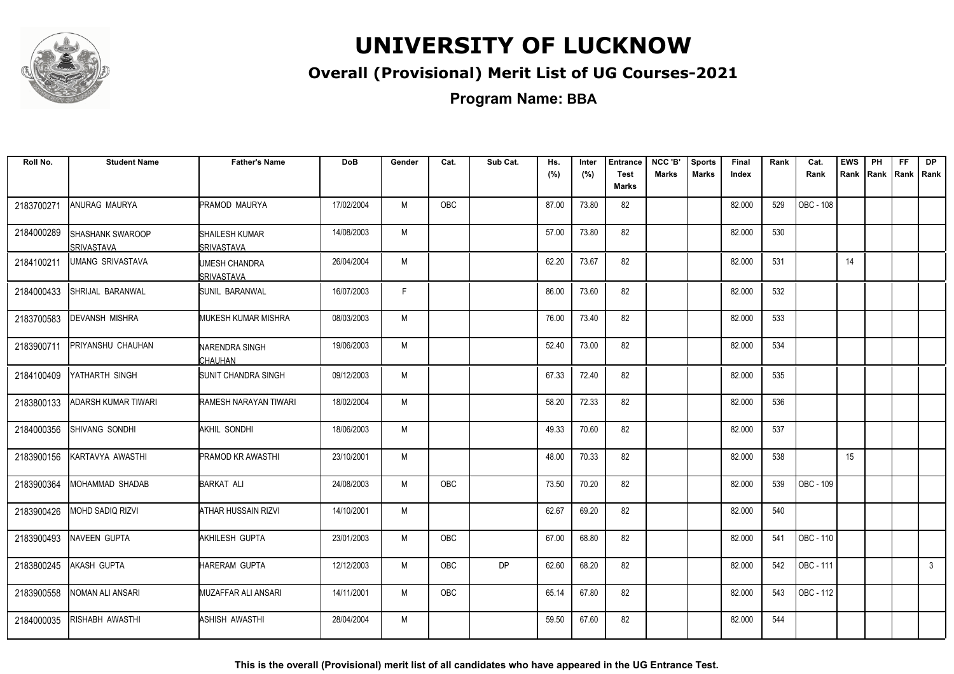

### **Overall (Provisional) Merit List of UG Courses-2021**

**Program Name: BBA**

| Roll No.   | <b>Student Name</b>                          | <b>Father's Name</b>                | DoB        | Gender | Cat.       | Sub Cat.  | Hs.<br>(%) | Inter<br>(%) | <b>Entrance</b><br><b>Test</b> | NCC 'B'<br><b>Marks</b> | <b>Sports</b><br><b>Marks</b> | Final<br>Index | Rank | Cat.<br>Rank | <b>EWS</b><br>Rank | PH<br>Rank   Rank | FF | <b>DP</b><br>l Rank |
|------------|----------------------------------------------|-------------------------------------|------------|--------|------------|-----------|------------|--------------|--------------------------------|-------------------------|-------------------------------|----------------|------|--------------|--------------------|-------------------|----|---------------------|
|            |                                              |                                     |            |        |            |           |            |              | Marks                          |                         |                               |                |      |              |                    |                   |    |                     |
| 2183700271 | <b>ANURAG MAURYA</b>                         | <b>PRAMOD MAURYA</b>                | 17/02/2004 | M      | <b>OBC</b> |           | 87.00      | 73.80        | 82                             |                         |                               | 82.000         | 529  | OBC - 108    |                    |                   |    |                     |
| 2184000289 | <b>SHASHANK SWAROOP</b><br><b>SRIVASTAVA</b> | SHAILESH KUMAR<br><b>SRIVASTAVA</b> | 14/08/2003 | M      |            |           | 57.00      | 73.80        | 82                             |                         |                               | 82.000         | 530  |              |                    |                   |    |                     |
| 2184100211 | <b>UMANG SRIVASTAVA</b>                      | UMESH CHANDRA<br><b>ISRIVASTAVA</b> | 26/04/2004 | M      |            |           | 62.20      | 73.67        | 82                             |                         |                               | 82.000         | 531  |              | 14                 |                   |    |                     |
| 2184000433 | SHRIJAL BARANWAL                             | <b>SUNIL BARANWAL</b>               | 16/07/2003 | F.     |            |           | 86.00      | 73.60        | 82                             |                         |                               | 82.000         | 532  |              |                    |                   |    |                     |
| 2183700583 | <b>DEVANSH MISHRA</b>                        | <b>MUKESH KUMAR MISHRA</b>          | 08/03/2003 | M      |            |           | 76.00      | 73.40        | 82                             |                         |                               | 82.000         | 533  |              |                    |                   |    |                     |
| 2183900711 | <b>PRIYANSHU CHAUHAN</b>                     | NARENDRA SINGH<br>CHAUHAN           | 19/06/2003 | M      |            |           | 52.40      | 73.00        | 82                             |                         |                               | 82.000         | 534  |              |                    |                   |    |                     |
| 2184100409 | IYATHARTH SINGH                              | <b>SUNIT CHANDRA SINGH</b>          | 09/12/2003 | M      |            |           | 67.33      | 72.40        | 82                             |                         |                               | 82.000         | 535  |              |                    |                   |    |                     |
| 2183800133 | ADARSH KUMAR TIWARI                          | RAMESH NARAYAN TIWARI               | 18/02/2004 | M      |            |           | 58.20      | 72.33        | 82                             |                         |                               | 82.000         | 536  |              |                    |                   |    |                     |
| 2184000356 | SHIVANG SONDHI                               | AKHIL SONDHI                        | 18/06/2003 | M      |            |           | 49.33      | 70.60        | 82                             |                         |                               | 82.000         | 537  |              |                    |                   |    |                     |
| 2183900156 | KARTAVYA AWASTHI                             | <b>PRAMOD KR AWASTHI</b>            | 23/10/2001 | M      |            |           | 48.00      | 70.33        | 82                             |                         |                               | 82.000         | 538  |              | 15                 |                   |    |                     |
| 2183900364 | IMOHAMMAD SHADAB                             | <b>BARKAT ALI</b>                   | 24/08/2003 | M      | <b>OBC</b> |           | 73.50      | 70.20        | 82                             |                         |                               | 82.000         | 539  | OBC - 109    |                    |                   |    |                     |
| 2183900426 | <b>IMOHD SADIQ RIZVI</b>                     | ATHAR HUSSAIN RIZVI                 | 14/10/2001 | M      |            |           | 62.67      | 69.20        | 82                             |                         |                               | 82.000         | 540  |              |                    |                   |    |                     |
| 2183900493 | NAVEEN GUPTA                                 | AKHILESH GUPTA                      | 23/01/2003 | M      | <b>OBC</b> |           | 67.00      | 68.80        | 82                             |                         |                               | 82.000         | 541  | OBC - 110    |                    |                   |    |                     |
| 2183800245 | <b>AKASH GUPTA</b>                           | HARERAM GUPTA                       | 12/12/2003 | М      | <b>OBC</b> | <b>DP</b> | 62.60      | 68.20        | 82                             |                         |                               | 82.000         | 542  | OBC - 111    |                    |                   |    | $\mathbf{3}$        |
| 2183900558 | NOMAN ALI ANSARI                             | <b>MUZAFFAR ALI ANSARI</b>          | 14/11/2001 | M      | <b>OBC</b> |           | 65.14      | 67.80        | 82                             |                         |                               | 82.000         | 543  | OBC - 112    |                    |                   |    |                     |
| 2184000035 | RISHABH AWASTHI                              | <b>ASHISH AWASTHI</b>               | 28/04/2004 | M      |            |           | 59.50      | 67.60        | 82                             |                         |                               | 82.000         | 544  |              |                    |                   |    |                     |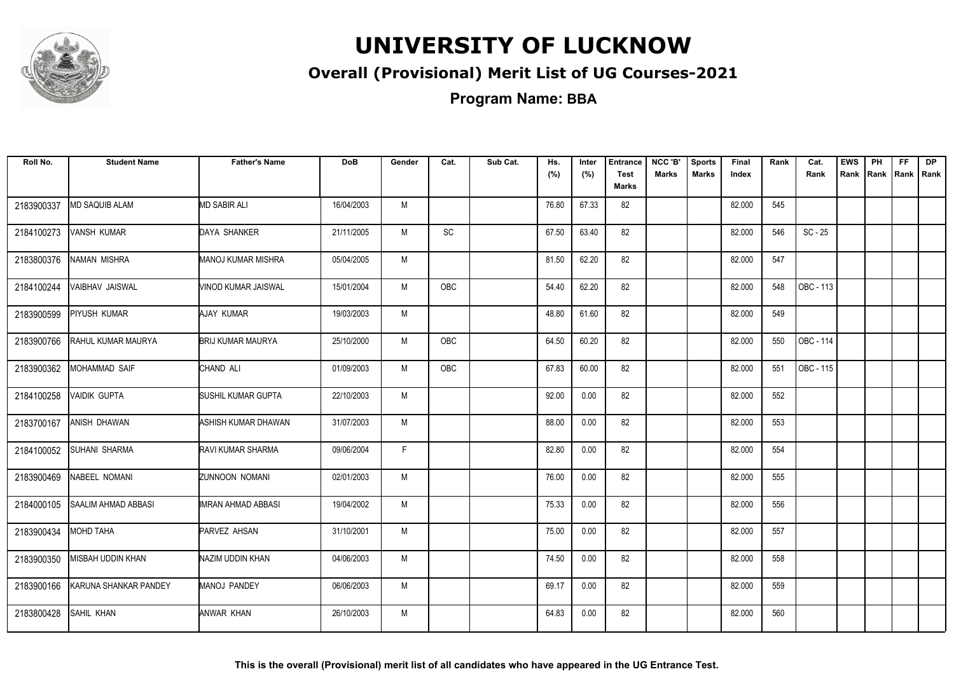

### **Overall (Provisional) Merit List of UG Courses-2021**

| Roll No.   | <b>Student Name</b>        | <b>Father's Name</b>     | <b>DoB</b> | Gender | Cat. | Sub Cat. | Hs.<br>(%) | Inter<br>(%) | <b>Entrance</b><br><b>Test</b><br><b>Marks</b> | NCC 'B'<br><b>Marks</b> | <b>Sports</b><br><b>Marks</b> | Final<br>Index | Rank | Cat.<br>Rank | <b>EWS</b><br>Rank | PH<br>Rank Rank Rank | FF. | <b>DP</b> |
|------------|----------------------------|--------------------------|------------|--------|------|----------|------------|--------------|------------------------------------------------|-------------------------|-------------------------------|----------------|------|--------------|--------------------|----------------------|-----|-----------|
| 2183900337 | <b>MD SAQUIB ALAM</b>      | <b>MD SABIR ALI</b>      | 16/04/2003 | M      |      |          | 76.80      | 67.33        | 82                                             |                         |                               | 82.000         | 545  |              |                    |                      |     |           |
| 2184100273 | VANSH KUMAR                | DAYA SHANKER             | 21/11/2005 | M      | SC   |          | 67.50      | 63.40        | 82                                             |                         |                               | 82.000         | 546  | $SC - 25$    |                    |                      |     |           |
| 2183800376 | <b>NAMAN MISHRA</b>        | MANOJ KUMAR MISHRA       | 05/04/2005 | M      |      |          | 81.50      | 62.20        | 82                                             |                         |                               | 82.000         | 547  |              |                    |                      |     |           |
| 2184100244 | VAIBHAV JAISWAL            | VINOD KUMAR JAISWAL      | 15/01/2004 | M      | OBC  |          | 54.40      | 62.20        | 82                                             |                         |                               | 82.000         | 548  | OBC - 113    |                    |                      |     |           |
| 2183900599 | <b>PIYUSH KUMAR</b>        | AJAY KUMAR               | 19/03/2003 | M      |      |          | 48.80      | 61.60        | 82                                             |                         |                               | 82.000         | 549  |              |                    |                      |     |           |
| 2183900766 | RAHUL KUMAR MAURYA         | <b>BRIJ KUMAR MAURYA</b> | 25/10/2000 | M      | OBC  |          | 64.50      | 60.20        | 82                                             |                         |                               | 82.000         | 550  | OBC - 114    |                    |                      |     |           |
| 2183900362 | <b>MOHAMMAD SAIF</b>       | CHAND ALI                | 01/09/2003 | M      | OBC  |          | 67.83      | 60.00        | 82                                             |                         |                               | 82.000         | 551  | OBC - 115    |                    |                      |     |           |
| 2184100258 | <b>VAIDIK GUPTA</b>        | SUSHIL KUMAR GUPTA       | 22/10/2003 | M      |      |          | 92.00      | 0.00         | 82                                             |                         |                               | 82.000         | 552  |              |                    |                      |     |           |
| 2183700167 | ANISH DHAWAN               | ASHISH KUMAR DHAWAN      | 31/07/2003 | M      |      |          | 88.00      | 0.00         | 82                                             |                         |                               | 82.000         | 553  |              |                    |                      |     |           |
| 2184100052 | SUHANI SHARMA              | RAVI KUMAR SHARMA        | 09/06/2004 | F.     |      |          | 82.80      | 0.00         | 82                                             |                         |                               | 82.000         | 554  |              |                    |                      |     |           |
| 2183900469 | NABEEL NOMANI              | <b>ZUNNOON NOMANI</b>    | 02/01/2003 | M      |      |          | 76.00      | 0.00         | 82                                             |                         |                               | 82.000         | 555  |              |                    |                      |     |           |
| 2184000105 | <b>SAALIM AHMAD ABBASI</b> | IMRAN AHMAD ABBASI       | 19/04/2002 | M      |      |          | 75.33      | 0.00         | 82                                             |                         |                               | 82.000         | 556  |              |                    |                      |     |           |
| 2183900434 | <b>MOHD TAHA</b>           | PARVEZ AHSAN             | 31/10/2001 | M      |      |          | 75.00      | 0.00         | 82                                             |                         |                               | 82.000         | 557  |              |                    |                      |     |           |
| 2183900350 | <b>MISBAH UDDIN KHAN</b>   | NAZIM UDDIN KHAN         | 04/06/2003 | M      |      |          | 74.50      | 0.00         | 82                                             |                         |                               | 82.000         | 558  |              |                    |                      |     |           |
| 2183900166 | KARUNA SHANKAR PANDEY      | MANOJ PANDEY             | 06/06/2003 | M      |      |          | 69.17      | 0.00         | 82                                             |                         |                               | 82.000         | 559  |              |                    |                      |     |           |
| 2183800428 | <b>SAHIL KHAN</b>          | ANWAR KHAN               | 26/10/2003 | M      |      |          | 64.83      | 0.00         | 82                                             |                         |                               | 82.000         | 560  |              |                    |                      |     |           |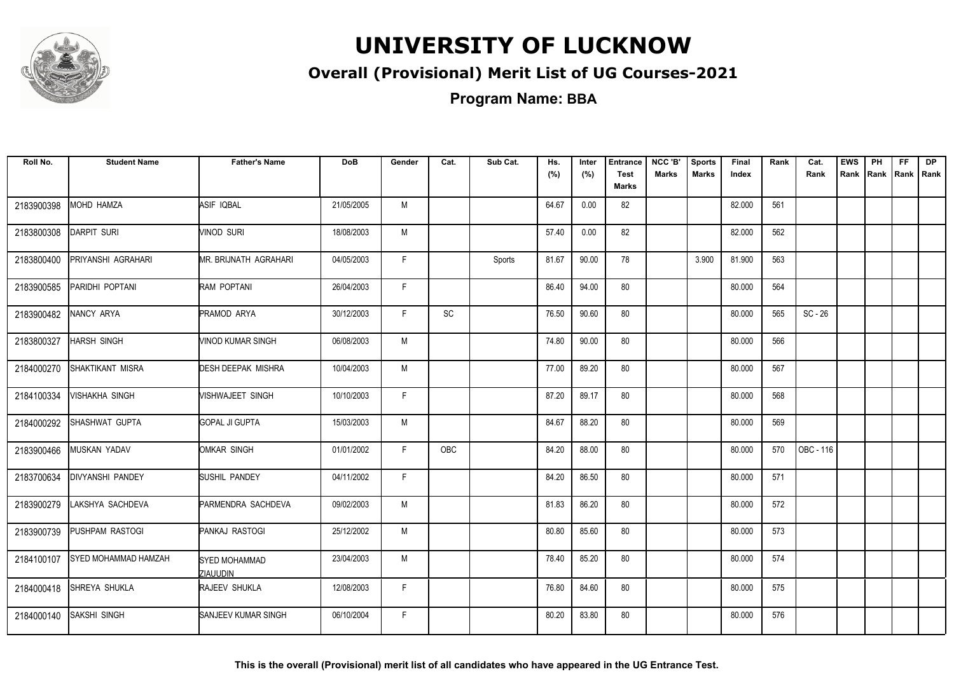

### **Overall (Provisional) Merit List of UG Courses-2021**

**Program Name: BBA**

| Roll No.   | <b>Student Name</b>         | <b>Father's Name</b>                    | <b>DoB</b> | Gender | Cat. | Sub Cat. | Hs.<br>(%) | Inter<br>(%) | <b>Entrance</b><br><b>Test</b><br>Marks | NCC 'B'<br><b>Marks</b> | <b>Sports</b><br><b>Marks</b> | Final<br>Index | Rank | Cat.<br>Rank | <b>EWS</b><br>Rank | PH | FF.<br>Rank   Rank   Rank | <b>DP</b> |
|------------|-----------------------------|-----------------------------------------|------------|--------|------|----------|------------|--------------|-----------------------------------------|-------------------------|-------------------------------|----------------|------|--------------|--------------------|----|---------------------------|-----------|
| 2183900398 | MOHD HAMZA                  | ASIF IQBAL                              | 21/05/2005 | M      |      |          | 64.67      | 0.00         | 82                                      |                         |                               | 82.000         | 561  |              |                    |    |                           |           |
| 2183800308 | <b>DARPIT SURI</b>          | <b>VINOD SURI</b>                       | 18/08/2003 | M      |      |          | 57.40      | 0.00         | 82                                      |                         |                               | 82.000         | 562  |              |                    |    |                           |           |
| 2183800400 | PRIYANSHI AGRAHARI          | MR. BRIJNATH AGRAHARI                   | 04/05/2003 | F.     |      | Sports   | 81.67      | 90.00        | 78                                      |                         | 3.900                         | 81.900         | 563  |              |                    |    |                           |           |
| 2183900585 | PARIDHI POPTANI             | RAM POPTANI                             | 26/04/2003 | F.     |      |          | 86.40      | 94.00        | 80                                      |                         |                               | 80.000         | 564  |              |                    |    |                           |           |
| 2183900482 | NANCY ARYA                  | <b>PRAMOD ARYA</b>                      | 30/12/2003 | F.     | SC   |          | 76.50      | 90.60        | 80                                      |                         |                               | 80.000         | 565  | $SC - 26$    |                    |    |                           |           |
| 2183800327 | <b>HARSH SINGH</b>          | VINOD KUMAR SINGH                       | 06/08/2003 | M      |      |          | 74.80      | 90.00        | 80                                      |                         |                               | 80.000         | 566  |              |                    |    |                           |           |
| 2184000270 | <b>ISHAKTIKANT MISRA</b>    | DESH DEEPAK MISHRA                      | 10/04/2003 | M      |      |          | 77.00      | 89.20        | 80                                      |                         |                               | 80.000         | 567  |              |                    |    |                           |           |
| 2184100334 | <b>VISHAKHA SINGH</b>       | <b>VISHWAJEET SINGH</b>                 | 10/10/2003 | F.     |      |          | 87.20      | 89.17        | 80                                      |                         |                               | 80.000         | 568  |              |                    |    |                           |           |
| 2184000292 | SHASHWAT GUPTA              | <b>GOPAL JI GUPTA</b>                   | 15/03/2003 | M      |      |          | 84.67      | 88.20        | 80                                      |                         |                               | 80.000         | 569  |              |                    |    |                           |           |
| 2183900466 | MUSKAN YADAV                | <b>I</b> OMKAR SINGH                    | 01/01/2002 | F.     | OBC  |          | 84.20      | 88.00        | 80                                      |                         |                               | 80.000         | 570  | OBC - 116    |                    |    |                           |           |
| 2183700634 | <b>IDIVYANSHI PANDEY</b>    | SUSHIL PANDEY                           | 04/11/2002 | F.     |      |          | 84.20      | 86.50        | 80                                      |                         |                               | 80.000         | 571  |              |                    |    |                           |           |
| 2183900279 | LAKSHYA SACHDEVA            | PARMENDRA SACHDEVA                      | 09/02/2003 | M      |      |          | 81.83      | 86.20        | 80                                      |                         |                               | 80.000         | 572  |              |                    |    |                           |           |
| 2183900739 | <b>PUSHPAM RASTOGI</b>      | PANKAJ RASTOGI                          | 25/12/2002 | M      |      |          | 80.80      | 85.60        | 80                                      |                         |                               | 80.000         | 573  |              |                    |    |                           |           |
| 2184100107 | <b>SYED MOHAMMAD HAMZAH</b> | <b>SYED MOHAMMAD</b><br><b>ZIAUUDIN</b> | 23/04/2003 | M      |      |          | 78.40      | 85.20        | 80                                      |                         |                               | 80.000         | 574  |              |                    |    |                           |           |
| 2184000418 | SHREYA SHUKLA               | RAJEEV SHUKLA                           | 12/08/2003 | F      |      |          | 76.80      | 84.60        | 80                                      |                         |                               | 80.000         | 575  |              |                    |    |                           |           |
| 2184000140 | <b>SAKSHI SINGH</b>         | <b>SANJEEV KUMAR SINGH</b>              | 06/10/2004 | F.     |      |          | 80.20      | 83.80        | 80                                      |                         |                               | 80.000         | 576  |              |                    |    |                           |           |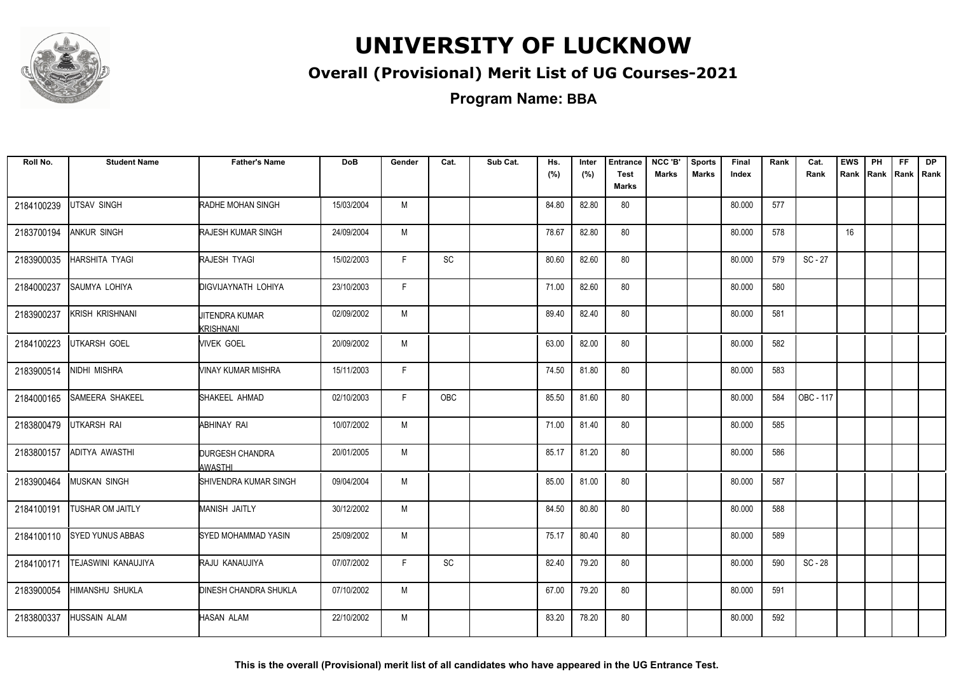

### **Overall (Provisional) Merit List of UG Courses-2021**

**Program Name: BBA**

| Roll No.   | <b>Student Name</b>     | <b>Father's Name</b>               | <b>DoB</b> | Gender | Cat.                         | Sub Cat. | Hs.<br>(%) | Inter<br>(%) | <b>Entrance</b><br><b>Test</b><br><b>Marks</b> | NCC 'B'<br><b>Marks</b> | <b>Sports</b><br><b>Marks</b> | Final<br>Index | Rank | Cat.<br>Rank | <b>EWS</b><br>Rank | PH<br>Rank | FF.<br>Rank   Rank | <b>DP</b> |
|------------|-------------------------|------------------------------------|------------|--------|------------------------------|----------|------------|--------------|------------------------------------------------|-------------------------|-------------------------------|----------------|------|--------------|--------------------|------------|--------------------|-----------|
| 2184100239 | UTSAV SINGH             | RADHE MOHAN SINGH                  | 15/03/2004 | M      |                              |          | 84.80      | 82.80        | 80                                             |                         |                               | 80.000         | 577  |              |                    |            |                    |           |
| 2183700194 | ANKUR SINGH             | <b>RAJESH KUMAR SINGH</b>          | 24/09/2004 | M      |                              |          | 78.67      | 82.80        | 80                                             |                         |                               | 80.000         | 578  |              | 16                 |            |                    |           |
| 2183900035 | HARSHITA TYAGI          | <b>RAJESH TYAGI</b>                | 15/02/2003 | F.     | SC                           |          | 80.60      | 82.60        | 80                                             |                         |                               | 80.000         | 579  | $SC - 27$    |                    |            |                    |           |
| 2184000237 | SAUMYA LOHIYA           | <b>DIGVIJAYNATH LOHIYA</b>         | 23/10/2003 | F.     |                              |          | 71.00      | 82.60        | 80                                             |                         |                               | 80.000         | 580  |              |                    |            |                    |           |
| 2183900237 | KRISH KRISHNANI         | <b>JITENDRA KUMAR</b><br>KRISHNANI | 02/09/2002 | M      |                              |          | 89.40      | 82.40        | 80                                             |                         |                               | 80.000         | 581  |              |                    |            |                    |           |
| 2184100223 | UTKARSH GOEL            | <b>VIVEK GOEL</b>                  | 20/09/2002 | M      |                              |          | 63.00      | 82.00        | 80                                             |                         |                               | 80.000         | 582  |              |                    |            |                    |           |
| 2183900514 | NIDHI MISHRA            | VINAY KUMAR MISHRA                 | 15/11/2003 | F.     |                              |          | 74.50      | 81.80        | 80                                             |                         |                               | 80.000         | 583  |              |                    |            |                    |           |
| 2184000165 | SAMEERA SHAKEEL         | SHAKEEL AHMAD                      | 02/10/2003 | F.     | OBC                          |          | 85.50      | 81.60        | 80                                             |                         |                               | 80.000         | 584  | OBC - 117    |                    |            |                    |           |
| 2183800479 | UTKARSH RAI             | ABHINAY RAI                        | 10/07/2002 | M      |                              |          | 71.00      | 81.40        | 80                                             |                         |                               | 80.000         | 585  |              |                    |            |                    |           |
| 2183800157 | ADITYA AWASTHI          | <b>DURGESH CHANDRA</b><br>AWASTHI  | 20/01/2005 | M      |                              |          | 85.17      | 81.20        | 80                                             |                         |                               | 80.000         | 586  |              |                    |            |                    |           |
| 2183900464 | <b>MUSKAN SINGH</b>     | SHIVENDRA KUMAR SINGH              | 09/04/2004 | M      |                              |          | 85.00      | 81.00        | 80                                             |                         |                               | 80.000         | 587  |              |                    |            |                    |           |
| 2184100191 | <b>TUSHAR OM JAITLY</b> | <b>MANISH JAITLY</b>               | 30/12/2002 | M      |                              |          | 84.50      | 80.80        | 80                                             |                         |                               | 80.000         | 588  |              |                    |            |                    |           |
| 2184100110 | <b>SYED YUNUS ABBAS</b> | SYED MOHAMMAD YASIN                | 25/09/2002 | M      |                              |          | 75.17      | 80.40        | 80                                             |                         |                               | 80.000         | 589  |              |                    |            |                    |           |
| 2184100171 | TEJASWINI KANAUJIYA     | RAJU KANAUJIYA                     | 07/07/2002 | F.     | $\operatorname{\textsf{SC}}$ |          | 82.40      | 79.20        | 80                                             |                         |                               | 80.000         | 590  | SC - 28      |                    |            |                    |           |
| 2183900054 | HIMANSHU SHUKLA         | <b>DINESH CHANDRA SHUKLA</b>       | 07/10/2002 | M      |                              |          | 67.00      | 79.20        | 80                                             |                         |                               | 80.000         | 591  |              |                    |            |                    |           |
| 2183800337 | <b>HUSSAIN ALAM</b>     | <b>HASAN ALAM</b>                  | 22/10/2002 | M      |                              |          | 83.20      | 78.20        | 80                                             |                         |                               | 80.000         | 592  |              |                    |            |                    |           |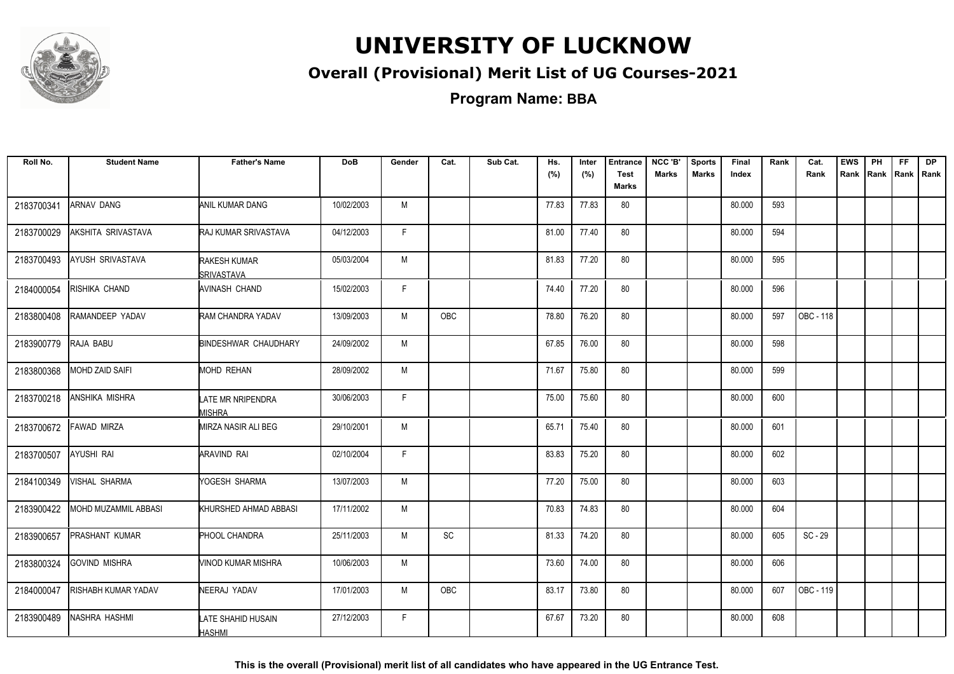

### **Overall (Provisional) Merit List of UG Courses-2021**

**Program Name: BBA**

| Roll No.   | <b>Student Name</b>    | <b>Father's Name</b>                | <b>DoB</b> | Gender | Cat. | Sub Cat. | Hs.<br>(%) | Inter<br>(%) | <b>Entrance</b><br><b>Test</b> | NCC 'B'<br><b>Marks</b> | <b>Sports</b><br><b>Marks</b> | Final<br>Index | Rank | Cat.<br>Rank | <b>EWS</b> | PH<br>Rank Rank Rank Rank | FF. | <b>DP</b> |
|------------|------------------------|-------------------------------------|------------|--------|------|----------|------------|--------------|--------------------------------|-------------------------|-------------------------------|----------------|------|--------------|------------|---------------------------|-----|-----------|
|            |                        |                                     |            |        |      |          |            |              | <b>Marks</b>                   |                         |                               |                |      |              |            |                           |     |           |
| 2183700341 | <b>ARNAV DANG</b>      | ANIL KUMAR DANG                     | 10/02/2003 | M      |      |          | 77.83      | 77.83        | 80                             |                         |                               | 80.000         | 593  |              |            |                           |     |           |
| 2183700029 | AKSHITA SRIVASTAVA     | RAJ KUMAR SRIVASTAVA                | 04/12/2003 | F.     |      |          | 81.00      | 77.40        | 80                             |                         |                               | 80.000         | 594  |              |            |                           |     |           |
| 2183700493 | AYUSH SRIVASTAVA       | RAKESH KUMAR<br><b>SRIVASTAVA</b>   | 05/03/2004 | M      |      |          | 81.83      | 77.20        | 80                             |                         |                               | 80.000         | 595  |              |            |                           |     |           |
| 2184000054 | RISHIKA CHAND          | AVINASH CHAND                       | 15/02/2003 | F      |      |          | 74.40      | 77.20        | 80                             |                         |                               | 80.000         | 596  |              |            |                           |     |           |
| 2183800408 | RAMANDEEP YADAV        | RAM CHANDRA YADAV                   | 13/09/2003 | M      | OBC  |          | 78.80      | 76.20        | 80                             |                         |                               | 80.000         | 597  | OBC - 118    |            |                           |     |           |
| 2183900779 | RAJA BABU              | <b>BINDESHWAR CHAUDHARY</b>         | 24/09/2002 | M      |      |          | 67.85      | 76.00        | 80                             |                         |                               | 80.000         | 598  |              |            |                           |     |           |
| 2183800368 | <b>MOHD ZAID SAIFI</b> | <b>MOHD REHAN</b>                   | 28/09/2002 | M      |      |          | 71.67      | 75.80        | 80                             |                         |                               | 80.000         | 599  |              |            |                           |     |           |
| 2183700218 | <b>ANSHIKA MISHRA</b>  | LATE MR NRIPENDRA<br>MISHRA         | 30/06/2003 | F.     |      |          | 75.00      | 75.60        | 80                             |                         |                               | 80.000         | 600  |              |            |                           |     |           |
| 2183700672 | <b>FAWAD MIRZA</b>     | MIRZA NASIR ALI BEG                 | 29/10/2001 | M      |      |          | 65.71      | 75.40        | 80                             |                         |                               | 80.000         | 601  |              |            |                           |     |           |
| 2183700507 | AYUSHI RAI             | ARAVIND RAI                         | 02/10/2004 | F.     |      |          | 83.83      | 75.20        | 80                             |                         |                               | 80.000         | 602  |              |            |                           |     |           |
| 2184100349 | <b>VISHAL SHARMA</b>   | YOGESH SHARMA                       | 13/07/2003 | M      |      |          | 77.20      | 75.00        | 80                             |                         |                               | 80.000         | 603  |              |            |                           |     |           |
| 2183900422 | MOHD MUZAMMIL ABBASI   | KHURSHED AHMAD ABBASI               | 17/11/2002 | M      |      |          | 70.83      | 74.83        | 80                             |                         |                               | 80.000         | 604  |              |            |                           |     |           |
| 2183900657 | PRASHANT KUMAR         | PHOOL CHANDRA                       | 25/11/2003 | M      | SC   |          | 81.33      | 74.20        | 80                             |                         |                               | 80.000         | 605  | SC - 29      |            |                           |     |           |
| 2183800324 | <b>GOVIND MISHRA</b>   | VINOD KUMAR MISHRA                  | 10/06/2003 | M      |      |          | 73.60      | 74.00        | 80                             |                         |                               | 80.000         | 606  |              |            |                           |     |           |
| 2184000047 | RISHABH KUMAR YADAV    | NEERAJ YADAV                        | 17/01/2003 | M      | OBC  |          | 83.17      | 73.80        | 80                             |                         |                               | 80.000         | 607  | OBC - 119    |            |                           |     |           |
| 2183900489 | NASHRA HASHMI          | LATE SHAHID HUSAIN<br><b>HASHMI</b> | 27/12/2003 | F      |      |          | 67.67      | 73.20        | 80                             |                         |                               | 80.000         | 608  |              |            |                           |     |           |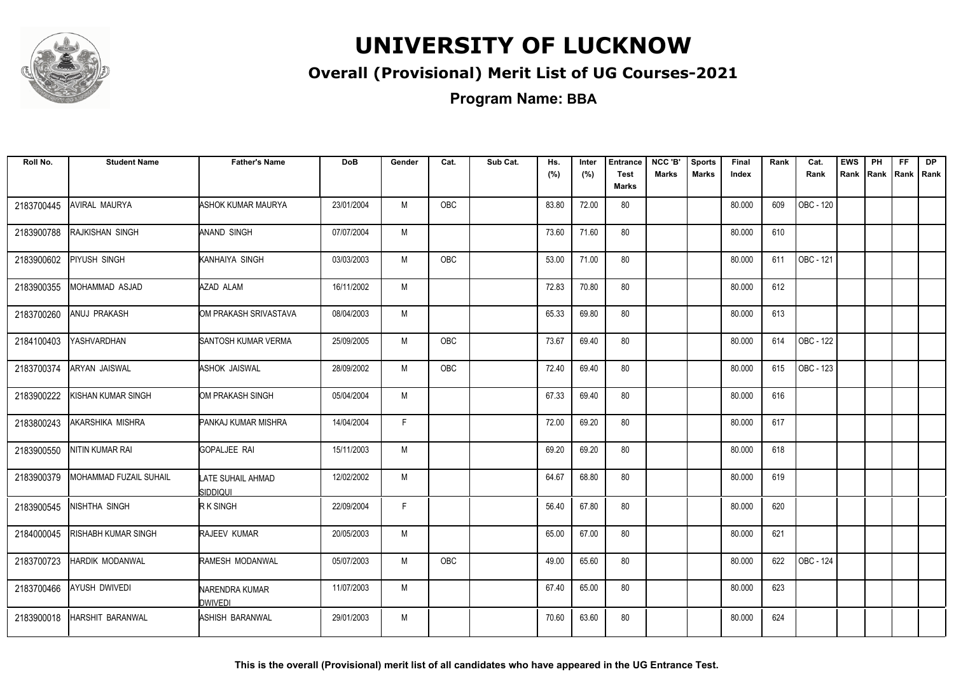

### **Overall (Provisional) Merit List of UG Courses-2021**

**Program Name: BBA**

| Roll No.   | <b>Student Name</b>           | <b>Father's Name</b>                 | <b>DoB</b> | Gender | Cat.       | Sub Cat. | Hs.<br>(%) | Inter<br>(%) | <b>Entrance</b><br><b>Test</b> | NCC 'B'<br><b>Marks</b> | <b>Sports</b><br><b>Marks</b> | Final<br>Index | Rank | Cat.<br>Rank | <b>EWS</b><br>Rank | PH<br>Rank Rank Rank | FF. | <b>DP</b> |
|------------|-------------------------------|--------------------------------------|------------|--------|------------|----------|------------|--------------|--------------------------------|-------------------------|-------------------------------|----------------|------|--------------|--------------------|----------------------|-----|-----------|
|            |                               |                                      |            |        |            |          |            |              | Marks                          |                         |                               |                |      |              |                    |                      |     |           |
| 2183700445 | AVIRAL MAURYA                 | ASHOK KUMAR MAURYA                   | 23/01/2004 | M      | OBC        |          | 83.80      | 72.00        | 80                             |                         |                               | 80.000         | 609  | OBC - 120    |                    |                      |     |           |
| 2183900788 | RAJKISHAN SINGH               | <b>ANAND SINGH</b>                   | 07/07/2004 | M      |            |          | 73.60      | 71.60        | 80                             |                         |                               | 80.000         | 610  |              |                    |                      |     |           |
| 2183900602 | PIYUSH SINGH                  | KANHAIYA SINGH                       | 03/03/2003 | M      | OBC        |          | 53.00      | 71.00        | 80                             |                         |                               | 80.000         | 611  | OBC - 121    |                    |                      |     |           |
| 2183900355 | MOHAMMAD ASJAD                | AZAD ALAM                            | 16/11/2002 | М      |            |          | 72.83      | 70.80        | 80                             |                         |                               | 80.000         | 612  |              |                    |                      |     |           |
| 2183700260 | ANUJ PRAKASH                  | OM PRAKASH SRIVASTAVA                | 08/04/2003 | M      |            |          | 65.33      | 69.80        | 80                             |                         |                               | 80.000         | 613  |              |                    |                      |     |           |
| 2184100403 | YASHVARDHAN                   | SANTOSH KUMAR VERMA                  | 25/09/2005 | M      | <b>OBC</b> |          | 73.67      | 69.40        | 80                             |                         |                               | 80.000         | 614  | OBC - 122    |                    |                      |     |           |
| 2183700374 | <b>ARYAN JAISWAL</b>          | <b>ASHOK JAISWAL</b>                 | 28/09/2002 | M      | <b>OBC</b> |          | 72.40      | 69.40        | 80                             |                         |                               | 80.000         | 615  | OBC - 123    |                    |                      |     |           |
| 2183900222 | KISHAN KUMAR SINGH            | OM PRAKASH SINGH                     | 05/04/2004 | М      |            |          | 67.33      | 69.40        | 80                             |                         |                               | 80.000         | 616  |              |                    |                      |     |           |
| 2183800243 | AKARSHIKA MISHRA              | PANKAJ KUMAR MISHRA                  | 14/04/2004 | F      |            |          | 72.00      | 69.20        | 80                             |                         |                               | 80.000         | 617  |              |                    |                      |     |           |
| 2183900550 | NITIN KUMAR RAI               | GOPALJEE RAI                         | 15/11/2003 | M      |            |          | 69.20      | 69.20        | 80                             |                         |                               | 80.000         | 618  |              |                    |                      |     |           |
| 2183900379 | <b>MOHAMMAD FUZAIL SUHAIL</b> | LATE SUHAIL AHMAD<br><b>SIDDIQUI</b> | 12/02/2002 | M      |            |          | 64.67      | 68.80        | 80                             |                         |                               | 80.000         | 619  |              |                    |                      |     |           |
| 2183900545 | <b>NISHTHA SINGH</b>          | R K SINGH                            | 22/09/2004 | F      |            |          | 56.40      | 67.80        | 80                             |                         |                               | 80.000         | 620  |              |                    |                      |     |           |
| 2184000045 | RISHABH KUMAR SINGH           | RAJEEV KUMAR                         | 20/05/2003 | M      |            |          | 65.00      | 67.00        | 80                             |                         |                               | 80.000         | 621  |              |                    |                      |     |           |
| 2183700723 | <b>HARDIK MODANWAL</b>        | RAMESH MODANWAL                      | 05/07/2003 | M      | OBC        |          | 49.00      | 65.60        | 80                             |                         |                               | 80.000         | 622  | OBC - 124    |                    |                      |     |           |
| 2183700466 | AYUSH DWIVEDI                 | NARENDRA KUMAR<br>DWIVEDI            | 11/07/2003 | M      |            |          | 67.40      | 65.00        | 80                             |                         |                               | 80.000         | 623  |              |                    |                      |     |           |
| 2183900018 | <b>HARSHIT BARANWAL</b>       | ASHISH BARANWAL                      | 29/01/2003 | M      |            |          | 70.60      | 63.60        | 80                             |                         |                               | 80.000         | 624  |              |                    |                      |     |           |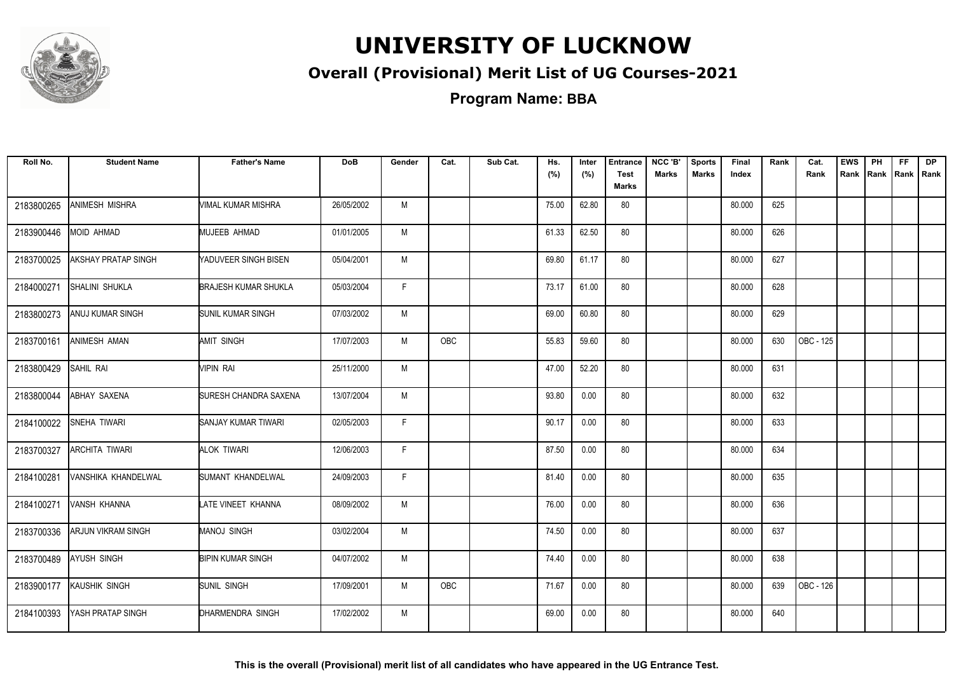

### **Overall (Provisional) Merit List of UG Courses-2021**

**Program Name: BBA**

| Roll No.   | <b>Student Name</b>   | <b>Father's Name</b>        | <b>DoB</b> | Gender | Cat. | Sub Cat. | Hs.   | Inter | <b>Entrance</b>             | NCC 'B'      | <b>Sports</b> | Final  | Rank | Cat.      | <b>EWS</b> | PH   | FF.         | DP |
|------------|-----------------------|-----------------------------|------------|--------|------|----------|-------|-------|-----------------------------|--------------|---------------|--------|------|-----------|------------|------|-------------|----|
|            |                       |                             |            |        |      |          | (%)   | (%)   | <b>Test</b><br><b>Marks</b> | <b>Marks</b> | <b>Marks</b>  | Index  |      | Rank      | Rank       | Rank | Rank   Rank |    |
| 2183800265 | ANIMESH MISHRA        | VIMAL KUMAR MISHRA          | 26/05/2002 | M      |      |          | 75.00 | 62.80 | 80                          |              |               | 80.000 | 625  |           |            |      |             |    |
| 2183900446 | MOID AHMAD            | MUJEEB AHMAD                | 01/01/2005 | M      |      |          | 61.33 | 62.50 | 80                          |              |               | 80.000 | 626  |           |            |      |             |    |
| 2183700025 | AKSHAY PRATAP SINGH   | <b>NADUVEER SINGH BISEN</b> | 05/04/2001 | M      |      |          | 69.80 | 61.17 | 80                          |              |               | 80.000 | 627  |           |            |      |             |    |
| 2184000271 | <b>SHALINI SHUKLA</b> | <b>BRAJESH KUMAR SHUKLA</b> | 05/03/2004 | F.     |      |          | 73.17 | 61.00 | 80                          |              |               | 80.000 | 628  |           |            |      |             |    |
| 2183800273 | ANUJ KUMAR SINGH      | <b>ISUNIL KUMAR SINGH</b>   | 07/03/2002 | M      |      |          | 69.00 | 60.80 | 80                          |              |               | 80.000 | 629  |           |            |      |             |    |
| 2183700161 | ANIMESH AMAN          | <b>AMIT SINGH</b>           | 17/07/2003 | M      | OBC  |          | 55.83 | 59.60 | 80                          |              |               | 80.000 | 630  | OBC - 125 |            |      |             |    |
| 2183800429 | SAHIL RAI             | VIPIN RAI                   | 25/11/2000 | M      |      |          | 47.00 | 52.20 | 80                          |              |               | 80.000 | 631  |           |            |      |             |    |
| 2183800044 | ABHAY SAXENA          | SURESH CHANDRA SAXENA       | 13/07/2004 | M      |      |          | 93.80 | 0.00  | 80                          |              |               | 80.000 | 632  |           |            |      |             |    |
| 2184100022 | SNEHA TIWARI          | <b>SANJAY KUMAR TIWARI</b>  | 02/05/2003 | F.     |      |          | 90.17 | 0.00  | 80                          |              |               | 80.000 | 633  |           |            |      |             |    |
| 2183700327 | <b>ARCHITA TIWARI</b> | ALOK TIWARI                 | 12/06/2003 | F      |      |          | 87.50 | 0.00  | 80                          |              |               | 80.000 | 634  |           |            |      |             |    |
| 2184100281 | VANSHIKA KHANDELWAL   | SUMANT KHANDELWAL           | 24/09/2003 | F      |      |          | 81.40 | 0.00  | 80                          |              |               | 80.000 | 635  |           |            |      |             |    |
| 2184100271 | VANSH KHANNA          | LATE VINEET KHANNA          | 08/09/2002 | M      |      |          | 76.00 | 0.00  | 80                          |              |               | 80.000 | 636  |           |            |      |             |    |
| 2183700336 | ARJUN VIKRAM SINGH    | MANOJ SINGH                 | 03/02/2004 | M      |      |          | 74.50 | 0.00  | 80                          |              |               | 80.000 | 637  |           |            |      |             |    |
| 2183700489 | <b>AYUSH SINGH</b>    | <b>BIPIN KUMAR SINGH</b>    | 04/07/2002 | M      |      |          | 74.40 | 0.00  | 80                          |              |               | 80.000 | 638  |           |            |      |             |    |
| 2183900177 | KAUSHIK SINGH         | <b>SUNIL SINGH</b>          | 17/09/2001 | M      | OBC  |          | 71.67 | 0.00  | 80                          |              |               | 80.000 | 639  | OBC - 126 |            |      |             |    |
| 2184100393 | YASH PRATAP SINGH     | DHARMENDRA SINGH            | 17/02/2002 | M      |      |          | 69.00 | 0.00  | 80                          |              |               | 80.000 | 640  |           |            |      |             |    |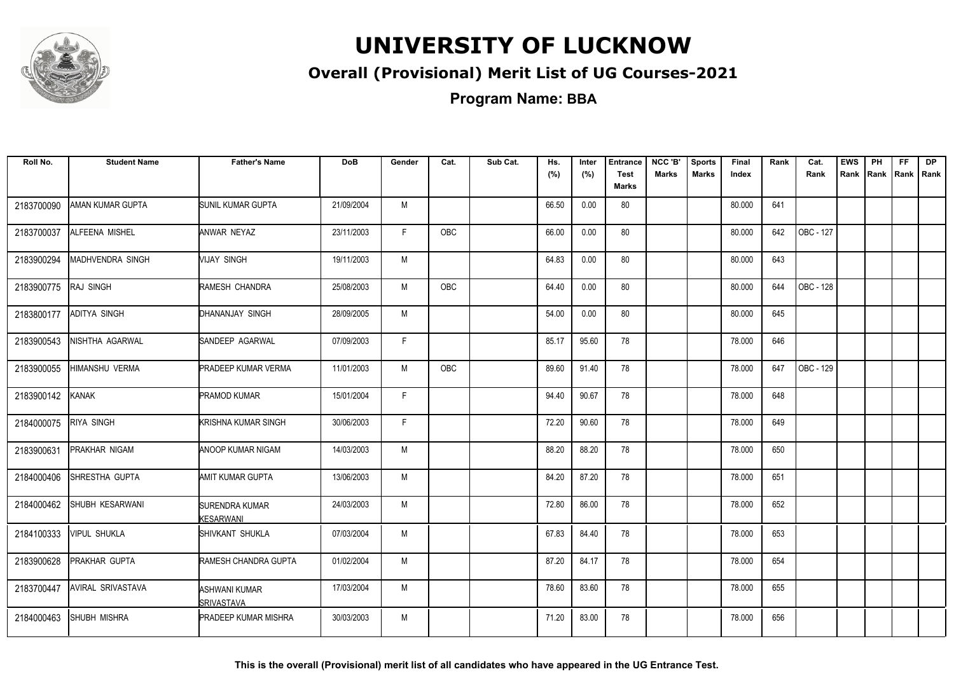

### **Overall (Provisional) Merit List of UG Courses-2021**

**Program Name: BBA**

| Roll No.   | <b>Student Name</b>      | <b>Father's Name</b>               | <b>DoB</b> | Gender | Cat.       | Sub Cat. | Hs.<br>(%) | Inter<br>(%) | <b>Entrance</b><br><b>Test</b> | NCC 'B'<br><b>Marks</b> | <b>Sports</b><br><b>Marks</b> | Final<br>Index | Rank | Cat.<br>Rank | <b>EWS</b> | PH<br>Rank Rank Rank Rank | <b>FF</b> | <b>DP</b> |
|------------|--------------------------|------------------------------------|------------|--------|------------|----------|------------|--------------|--------------------------------|-------------------------|-------------------------------|----------------|------|--------------|------------|---------------------------|-----------|-----------|
|            |                          |                                    |            |        |            |          |            |              | Marks                          |                         |                               |                |      |              |            |                           |           |           |
| 2183700090 | AMAN KUMAR GUPTA         | SUNIL KUMAR GUPTA                  | 21/09/2004 | M      |            |          | 66.50      | 0.00         | 80                             |                         |                               | 80.000         | 641  |              |            |                           |           |           |
| 2183700037 | ALFEENA MISHEL           | ANWAR NEYAZ                        | 23/11/2003 | F.     | OBC        |          | 66.00      | 0.00         | 80                             |                         |                               | 80.000         | 642  | OBC - 127    |            |                           |           |           |
| 2183900294 | MADHVENDRA SINGH         | VIJAY SINGH                        | 19/11/2003 | M      |            |          | 64.83      | 0.00         | 80                             |                         |                               | 80.000         | 643  |              |            |                           |           |           |
| 2183900775 | <b>RAJ SINGH</b>         | RAMESH CHANDRA                     | 25/08/2003 | M      | <b>OBC</b> |          | 64.40      | 0.00         | 80                             |                         |                               | 80.000         | 644  | OBC - 128    |            |                           |           |           |
| 2183800177 | <b>ADITYA SINGH</b>      | DHANANJAY SINGH                    | 28/09/2005 | M      |            |          | 54.00      | 0.00         | 80                             |                         |                               | 80.000         | 645  |              |            |                           |           |           |
| 2183900543 | NISHTHA AGARWAL          | ISANDEEP AGARWAL                   | 07/09/2003 | F.     |            |          | 85.17      | 95.60        | 78                             |                         |                               | 78.000         | 646  |              |            |                           |           |           |
| 2183900055 | <b>HIMANSHU VERMA</b>    | <b>PRADEEP KUMAR VERMA</b>         | 11/01/2003 | M      | <b>OBC</b> |          | 89.60      | 91.40        | 78                             |                         |                               | 78.000         | 647  | OBC - 129    |            |                           |           |           |
| 2183900142 | KANAK                    | <b>PRAMOD KUMAR</b>                | 15/01/2004 | F.     |            |          | 94.40      | 90.67        | 78                             |                         |                               | 78.000         | 648  |              |            |                           |           |           |
| 2184000075 | <b>RIYA SINGH</b>        | KRISHNA KUMAR SINGH                | 30/06/2003 | F.     |            |          | 72.20      | 90.60        | 78                             |                         |                               | 78.000         | 649  |              |            |                           |           |           |
| 2183900631 | <b>PRAKHAR NIGAM</b>     | ANOOP KUMAR NIGAM                  | 14/03/2003 | M      |            |          | 88.20      | 88.20        | 78                             |                         |                               | 78.000         | 650  |              |            |                           |           |           |
| 2184000406 | SHRESTHA GUPTA           | AMIT KUMAR GUPTA                   | 13/06/2003 | M      |            |          | 84.20      | 87.20        | 78                             |                         |                               | 78.000         | 651  |              |            |                           |           |           |
| 2184000462 | SHUBH KESARWANI          | <b>SURENDRA KUMAR</b><br>KESARWANI | 24/03/2003 | M      |            |          | 72.80      | 86.00        | 78                             |                         |                               | 78.000         | 652  |              |            |                           |           |           |
| 2184100333 | <b>VIPUL SHUKLA</b>      | SHIVKANT SHUKLA                    | 07/03/2004 | M      |            |          | 67.83      | 84.40        | 78                             |                         |                               | 78.000         | 653  |              |            |                           |           |           |
| 2183900628 | <b>PRAKHAR GUPTA</b>     | RAMESH CHANDRA GUPTA               | 01/02/2004 | M      |            |          | 87.20      | 84.17        | 78                             |                         |                               | 78.000         | 654  |              |            |                           |           |           |
| 2183700447 | <b>AVIRAL SRIVASTAVA</b> | ASHWANI KUMAR<br>ISRIVASTAVA       | 17/03/2004 | M      |            |          | 78.60      | 83.60        | 78                             |                         |                               | 78.000         | 655  |              |            |                           |           |           |
| 2184000463 | <b>SHUBH MISHRA</b>      | <b>PRADEEP KUMAR MISHRA</b>        | 30/03/2003 | M      |            |          | 71.20      | 83.00        | 78                             |                         |                               | 78.000         | 656  |              |            |                           |           |           |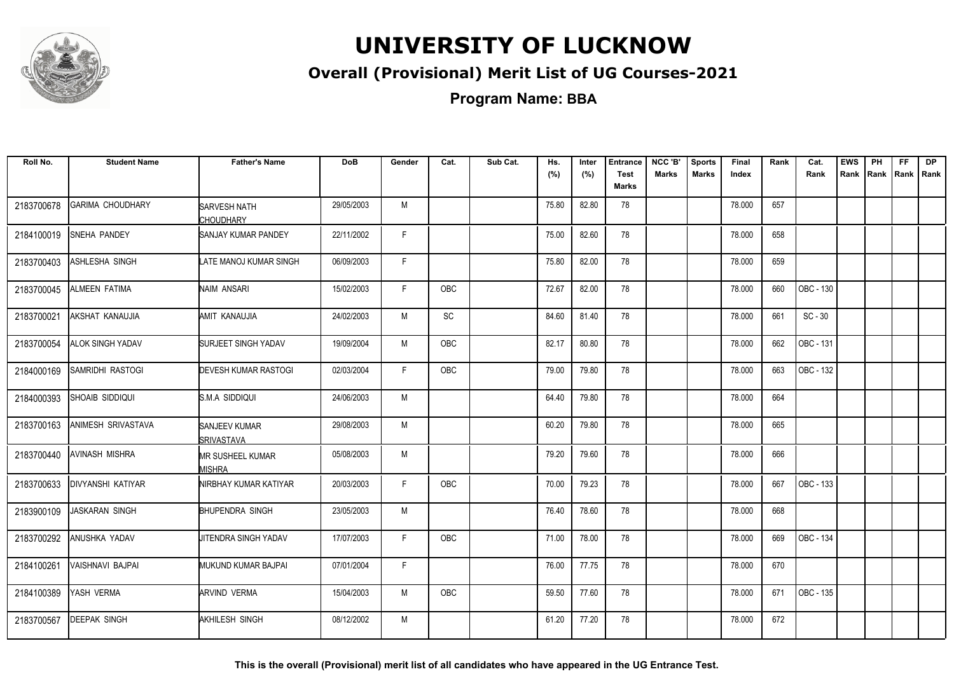

### **Overall (Provisional) Merit List of UG Courses-2021**

**Program Name: BBA**

| Roll No.   | <b>Student Name</b>      | <b>Father's Name</b>                       | <b>DoB</b> | Gender       | Cat.       | Sub Cat. | Hs.<br>(%) | Inter<br>(%) | <b>Entrance</b><br><b>Test</b><br>Marks | NCC 'B'<br><b>Marks</b> | <b>Sports</b><br><b>Marks</b> | Final<br>Index | Rank | Cat.<br>Rank     | <b>EWS</b><br>Rank | PH<br>Rank   Rank | FF | <b>DP</b><br>l Rank |
|------------|--------------------------|--------------------------------------------|------------|--------------|------------|----------|------------|--------------|-----------------------------------------|-------------------------|-------------------------------|----------------|------|------------------|--------------------|-------------------|----|---------------------|
| 2183700678 | <b>GARIMA CHOUDHARY</b>  | <b>SARVESH NATH</b><br>CHOUDHARY           | 29/05/2003 | M            |            |          | 75.80      | 82.80        | 78                                      |                         |                               | 78.000         | 657  |                  |                    |                   |    |                     |
| 2184100019 | SNEHA PANDEY             | <b>SANJAY KUMAR PANDEY</b>                 | 22/11/2002 | $\mathsf{F}$ |            |          | 75.00      | 82.60        | 78                                      |                         |                               | 78.000         | 658  |                  |                    |                   |    |                     |
| 2183700403 | ASHLESHA SINGH           | LATE MANOJ KUMAR SINGH                     | 06/09/2003 | F            |            |          | 75.80      | 82.00        | 78                                      |                         |                               | 78.000         | 659  |                  |                    |                   |    |                     |
| 2183700045 | <b>ALMEEN FATIMA</b>     | NAIM ANSARI                                | 15/02/2003 | F.           | OBC        |          | 72.67      | 82.00        | 78                                      |                         |                               | 78.000         | 660  | OBC - 130        |                    |                   |    |                     |
| 2183700021 | AKSHAT KANAUJIA          | <b>AMIT KANAUJIA</b>                       | 24/02/2003 | M            | <b>SC</b>  |          | 84.60      | 81.40        | 78                                      |                         |                               | 78.000         | 661  | $SC - 30$        |                    |                   |    |                     |
| 2183700054 | <b>ALOK SINGH YADAV</b>  | <b>SURJEET SINGH YADAV</b>                 | 19/09/2004 | M            | <b>OBC</b> |          | 82.17      | 80.80        | 78                                      |                         |                               | 78.000         | 662  | OBC - 131        |                    |                   |    |                     |
| 2184000169 | SAMRIDHI RASTOGI         | <b>DEVESH KUMAR RASTOGI</b>                | 02/03/2004 | F            | <b>OBC</b> |          | 79.00      | 79.80        | 78                                      |                         |                               | 78.000         | 663  | <b>OBC - 132</b> |                    |                   |    |                     |
| 2184000393 | SHOAIB SIDDIQUI          | IS.M.A SIDDIQUI                            | 24/06/2003 | M            |            |          | 64.40      | 79.80        | 78                                      |                         |                               | 78.000         | 664  |                  |                    |                   |    |                     |
| 2183700163 | ANIMESH SRIVASTAVA       | SANJEEV KUMAR<br><i><b>ISRIVASTAVA</b></i> | 29/08/2003 | M            |            |          | 60.20      | 79.80        | 78                                      |                         |                               | 78.000         | 665  |                  |                    |                   |    |                     |
| 2183700440 | AVINASH MISHRA           | <b>MR SUSHEEL KUMAR</b><br><b>MISHRA</b>   | 05/08/2003 | M            |            |          | 79.20      | 79.60        | 78                                      |                         |                               | 78.000         | 666  |                  |                    |                   |    |                     |
| 2183700633 | <b>DIVYANSHI KATIYAR</b> | NIRBHAY KUMAR KATIYAR                      | 20/03/2003 | F            | <b>OBC</b> |          | 70.00      | 79.23        | 78                                      |                         |                               | 78.000         | 667  | OBC - 133        |                    |                   |    |                     |
| 2183900109 | <b>JASKARAN SINGH</b>    | <b>BHUPENDRA SINGH</b>                     | 23/05/2003 | M            |            |          | 76.40      | 78.60        | 78                                      |                         |                               | 78.000         | 668  |                  |                    |                   |    |                     |
| 2183700292 | ANUSHKA YADAV            | <b>J</b> ITENDRA SINGH YADAV               | 17/07/2003 | $\mathsf{F}$ | <b>OBC</b> |          | 71.00      | 78.00        | 78                                      |                         |                               | 78.000         | 669  | <b>OBC - 134</b> |                    |                   |    |                     |
| 2184100261 | <b>VAISHNAVI BAJPAI</b>  | MUKUND KUMAR BAJPAI                        | 07/01/2004 | F            |            |          | 76.00      | 77.75        | 78                                      |                         |                               | 78.000         | 670  |                  |                    |                   |    |                     |
| 2184100389 | YASH VERMA               | <b>ARVIND VERMA</b>                        | 15/04/2003 | M            | <b>OBC</b> |          | 59.50      | 77.60        | 78                                      |                         |                               | 78.000         | 671  | OBC - 135        |                    |                   |    |                     |
| 2183700567 | <b>DEEPAK SINGH</b>      | AKHILESH SINGH                             | 08/12/2002 | M            |            |          | 61.20      | 77.20        | 78                                      |                         |                               | 78.000         | 672  |                  |                    |                   |    |                     |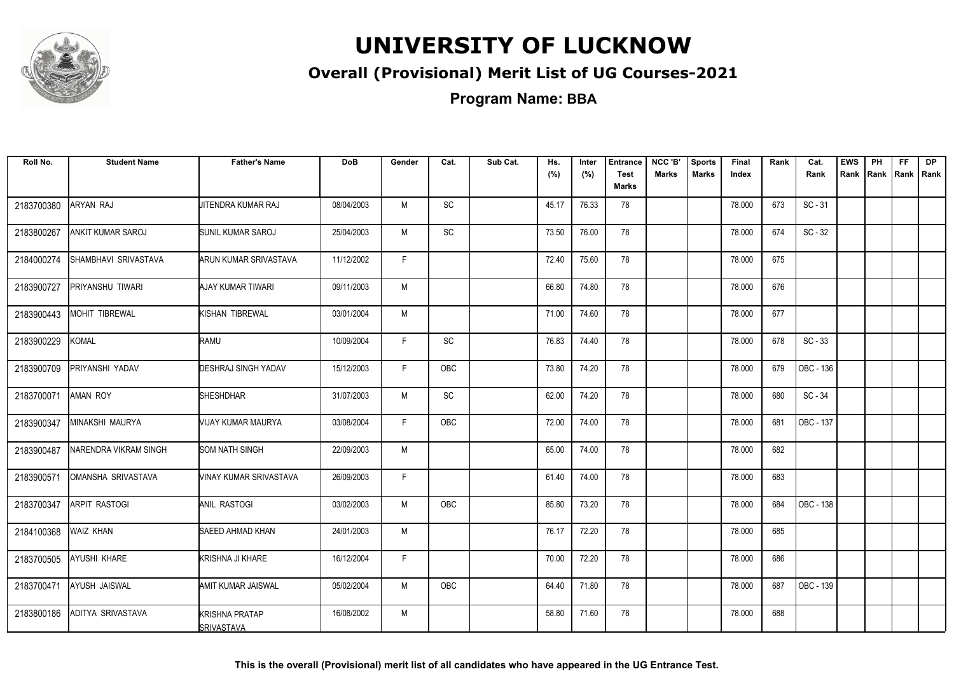

### **Overall (Provisional) Merit List of UG Courses-2021**

| Roll No.   | <b>Student Name</b>   | <b>Father's Name</b>                       | <b>DoB</b> | Gender | Cat.                         | Sub Cat. | Hs.   | Inter | <b>Entrance</b>      | NCC 'B'      | <b>Sports</b> | Final  | Rank | Cat.      | <b>EWS</b> | PH             | FF. | <b>DP</b> |
|------------|-----------------------|--------------------------------------------|------------|--------|------------------------------|----------|-------|-------|----------------------|--------------|---------------|--------|------|-----------|------------|----------------|-----|-----------|
|            |                       |                                            |            |        |                              |          | (%)   | (%)   | <b>Test</b><br>Marks | <b>Marks</b> | <b>Marks</b>  | Index  |      | Rank      | Rank       | Rank Rank Rank |     |           |
| 2183700380 | <b>ARYAN RAJ</b>      | JITENDRA KUMAR RAJ                         | 08/04/2003 | M      | SC                           |          | 45.17 | 76.33 | 78                   |              |               | 78.000 | 673  | $SC - 31$ |            |                |     |           |
| 2183800267 | ANKIT KUMAR SAROJ     | SUNIL KUMAR SAROJ                          | 25/04/2003 | M      | $\operatorname{\textsf{SC}}$ |          | 73.50 | 76.00 | 78                   |              |               | 78.000 | 674  | $SC - 32$ |            |                |     |           |
| 2184000274 | SHAMBHAVI SRIVASTAVA  | ARUN KUMAR SRIVASTAVA                      | 11/12/2002 | F.     |                              |          | 72.40 | 75.60 | 78                   |              |               | 78.000 | 675  |           |            |                |     |           |
| 2183900727 | PRIYANSHU TIWARI      | AJAY KUMAR TIWARI                          | 09/11/2003 | M      |                              |          | 66.80 | 74.80 | 78                   |              |               | 78.000 | 676  |           |            |                |     |           |
| 2183900443 | <b>MOHIT TIBREWAL</b> | KISHAN TIBREWAL                            | 03/01/2004 | M      |                              |          | 71.00 | 74.60 | 78                   |              |               | 78.000 | 677  |           |            |                |     |           |
| 2183900229 | KOMAL                 | <b>RAMU</b>                                | 10/09/2004 | F.     | $\operatorname{\textsf{SC}}$ |          | 76.83 | 74.40 | 78                   |              |               | 78.000 | 678  | $SC - 33$ |            |                |     |           |
| 2183900709 | PRIYANSHI YADAV       | <b>DESHRAJ SINGH YADAV</b>                 | 15/12/2003 | F.     | OBC                          |          | 73.80 | 74.20 | 78                   |              |               | 78.000 | 679  | OBC - 136 |            |                |     |           |
| 2183700071 | <b>AMAN ROY</b>       | <b>SHESHDHAR</b>                           | 31/07/2003 | M      | $\operatorname{\textsf{SC}}$ |          | 62.00 | 74.20 | 78                   |              |               | 78.000 | 680  | SC - 34   |            |                |     |           |
| 2183900347 | MINAKSHI MAURYA       | VIJAY KUMAR MAURYA                         | 03/08/2004 | F.     | OBC                          |          | 72.00 | 74.00 | 78                   |              |               | 78.000 | 681  | OBC - 137 |            |                |     |           |
| 2183900487 | NARENDRA VIKRAM SINGH | <b>SOM NATH SINGH</b>                      | 22/09/2003 | M      |                              |          | 65.00 | 74.00 | 78                   |              |               | 78.000 | 682  |           |            |                |     |           |
| 2183900571 | OMANSHA SRIVASTAVA    | VINAY KUMAR SRIVASTAVA                     | 26/09/2003 | F.     |                              |          | 61.40 | 74.00 | 78                   |              |               | 78.000 | 683  |           |            |                |     |           |
| 2183700347 | <b>ARPIT RASTOGI</b>  | ANIL RASTOGI                               | 03/02/2003 | M      | <b>OBC</b>                   |          | 85.80 | 73.20 | 78                   |              |               | 78.000 | 684  | OBC - 138 |            |                |     |           |
| 2184100368 | <b>WAIZ KHAN</b>      | SAEED AHMAD KHAN                           | 24/01/2003 | M      |                              |          | 76.17 | 72.20 | 78                   |              |               | 78.000 | 685  |           |            |                |     |           |
| 2183700505 | AYUSHI KHARE          | KRISHNA JI KHARE                           | 16/12/2004 | F.     |                              |          | 70.00 | 72.20 | 78                   |              |               | 78.000 | 686  |           |            |                |     |           |
| 2183700471 | AYUSH JAISWAL         | AMIT KUMAR JAISWAL                         | 05/02/2004 | M      | OBC                          |          | 64.40 | 71.80 | 78                   |              |               | 78.000 | 687  | OBC - 139 |            |                |     |           |
| 2183800186 | ADITYA SRIVASTAVA     | <b>KRISHNA PRATAP</b><br><b>SRIVASTAVA</b> | 16/08/2002 | M      |                              |          | 58.80 | 71.60 | 78                   |              |               | 78.000 | 688  |           |            |                |     |           |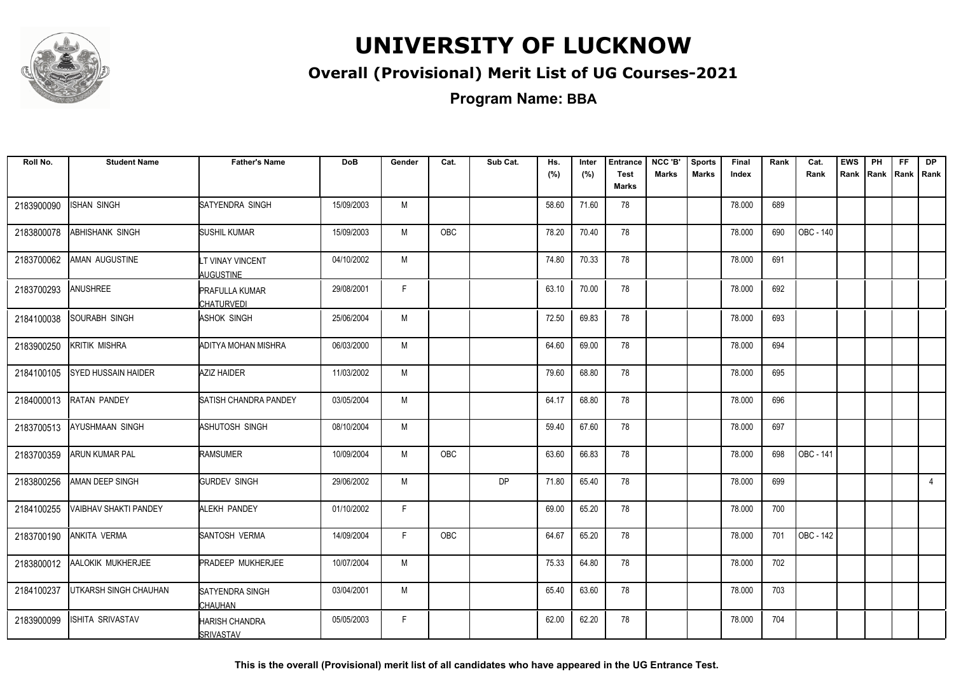

### **Overall (Provisional) Merit List of UG Courses-2021**

**Program Name: BBA**

| Roll No.   | <b>Student Name</b>   | <b>Father's Name</b>                       | <b>DoB</b> | Gender       | Cat. | Sub Cat. | Hs.<br>(%) | Inter<br>(%) | <b>Entrance</b><br><b>Test</b><br>Marks | NCC 'B'<br><b>Marks</b> | <b>Sports</b><br><b>Marks</b> | Final<br>Index | Rank | Cat.<br>Rank | <b>EWS</b><br>Rank | PH | FF<br>Rank   Rank   Rank | <b>DP</b>      |
|------------|-----------------------|--------------------------------------------|------------|--------------|------|----------|------------|--------------|-----------------------------------------|-------------------------|-------------------------------|----------------|------|--------------|--------------------|----|--------------------------|----------------|
| 2183900090 | <b>ISHAN SINGH</b>    | SATYENDRA SINGH                            | 15/09/2003 | M            |      |          | 58.60      | 71.60        | 78                                      |                         |                               | 78.000         | 689  |              |                    |    |                          |                |
| 2183800078 | ABHISHANK SINGH       | SUSHIL KUMAR                               | 15/09/2003 | M            | OBC  |          | 78.20      | 70.40        | 78                                      |                         |                               | 78.000         | 690  | OBC - 140    |                    |    |                          |                |
| 2183700062 | AMAN AUGUSTINE        | LT VINAY VINCENT<br><b>AUGUSTINE</b>       | 04/10/2002 | M            |      |          | 74.80      | 70.33        | 78                                      |                         |                               | 78.000         | 691  |              |                    |    |                          |                |
| 2183700293 | <b>ANUSHREE</b>       | <b>PRAFULLA KUMAR</b><br><b>CHATURVEDI</b> | 29/08/2001 | $\mathsf{F}$ |      |          | 63.10      | 70.00        | 78                                      |                         |                               | 78.000         | 692  |              |                    |    |                          |                |
| 2184100038 | SOURABH SINGH         | ASHOK SINGH                                | 25/06/2004 | M            |      |          | 72.50      | 69.83        | 78                                      |                         |                               | 78.000         | 693  |              |                    |    |                          |                |
| 2183900250 | <b>KRITIK MISHRA</b>  | <b>ADITYA MOHAN MISHRA</b>                 | 06/03/2000 | M            |      |          | 64.60      | 69.00        | 78                                      |                         |                               | 78.000         | 694  |              |                    |    |                          |                |
| 2184100105 | SYED HUSSAIN HAIDER   | AZIZ HAIDER                                | 11/03/2002 | M            |      |          | 79.60      | 68.80        | 78                                      |                         |                               | 78.000         | 695  |              |                    |    |                          |                |
| 2184000013 | <b>RATAN PANDEY</b>   | SATISH CHANDRA PANDEY                      | 03/05/2004 | M            |      |          | 64.17      | 68.80        | 78                                      |                         |                               | 78.000         | 696  |              |                    |    |                          |                |
| 2183700513 | AYUSHMAAN SINGH       | ASHUTOSH SINGH                             | 08/10/2004 | M            |      |          | 59.40      | 67.60        | 78                                      |                         |                               | 78.000         | 697  |              |                    |    |                          |                |
| 2183700359 | ARUN KUMAR PAL        | <b>RAMSUMER</b>                            | 10/09/2004 | M            | OBC  |          | 63.60      | 66.83        | 78                                      |                         |                               | 78.000         | 698  | OBC - 141    |                    |    |                          |                |
| 2183800256 | AMAN DEEP SINGH       | <b>GURDEV SINGH</b>                        | 29/06/2002 | M            |      | DP       | 71.80      | 65.40        | 78                                      |                         |                               | 78.000         | 699  |              |                    |    |                          | $\overline{4}$ |
| 2184100255 | VAIBHAV SHAKTI PANDEY | <b>ALEKH PANDEY</b>                        | 01/10/2002 | $\mathsf{F}$ |      |          | 69.00      | 65.20        | 78                                      |                         |                               | 78.000         | 700  |              |                    |    |                          |                |
| 2183700190 | <b>ANKITA VERMA</b>   | <b>SANTOSH VERMA</b>                       | 14/09/2004 | F            | OBC  |          | 64.67      | 65.20        | 78                                      |                         |                               | 78.000         | 701  | OBC - 142    |                    |    |                          |                |
| 2183800012 | AALOKIK MUKHERJEE     | <b>PRADEEP MUKHERJEE</b>                   | 10/07/2004 | M            |      |          | 75.33      | 64.80        | 78                                      |                         |                               | 78.000         | 702  |              |                    |    |                          |                |
| 2184100237 | UTKARSH SINGH CHAUHAN | <b>SATYENDRA SINGH</b><br>CHAUHAN          | 03/04/2001 | M            |      |          | 65.40      | 63.60        | 78                                      |                         |                               | 78.000         | 703  |              |                    |    |                          |                |
| 2183900099 | ISHITA SRIVASTAV      | <b>HARISH CHANDRA</b><br><b>SRIVASTAV</b>  | 05/05/2003 | F.           |      |          | 62.00      | 62.20        | 78                                      |                         |                               | 78.000         | 704  |              |                    |    |                          |                |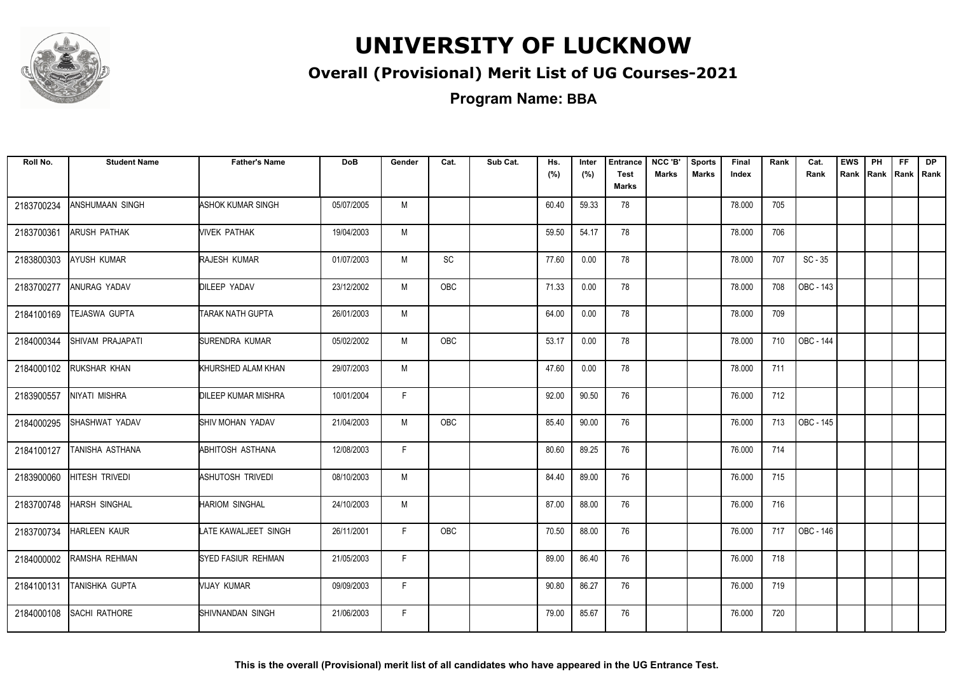

### **Overall (Provisional) Merit List of UG Courses-2021**

| Roll No.   | <b>Student Name</b>  | <b>Father's Name</b>       | <b>DoB</b> | Gender | Cat.          | Sub Cat. | Hs.<br>(%) | Inter<br>(%) | <b>Entrance</b><br><b>Test</b><br>Marks | NCC 'B'<br><b>Marks</b> | <b>Sports</b><br><b>Marks</b> | Final<br>Index | Rank | Cat.<br>Rank | <b>EWS</b><br>Rank | PH | <b>FF</b> | <b>DP</b><br>Rank Rank Rank |
|------------|----------------------|----------------------------|------------|--------|---------------|----------|------------|--------------|-----------------------------------------|-------------------------|-------------------------------|----------------|------|--------------|--------------------|----|-----------|-----------------------------|
| 2183700234 | ANSHUMAAN SINGH      | ASHOK KUMAR SINGH          | 05/07/2005 | M      |               |          | 60.40      | 59.33        | 78                                      |                         |                               | 78.000         | 705  |              |                    |    |           |                             |
| 2183700361 | <b>ARUSH PATHAK</b>  | <b>NIVEK PATHAK</b>        | 19/04/2003 | M      |               |          | 59.50      | 54.17        | 78                                      |                         |                               | 78.000         | 706  |              |                    |    |           |                             |
| 2183800303 | <b>AYUSH KUMAR</b>   | RAJESH KUMAR               | 01/07/2003 | M      | $\mathsf{SC}$ |          | 77.60      | 0.00         | 78                                      |                         |                               | 78.000         | 707  | $SC - 35$    |                    |    |           |                             |
| 2183700277 | ANURAG YADAV         | <b>DILEEP YADAV</b>        | 23/12/2002 | М      | OBC           |          | 71.33      | 0.00         | 78                                      |                         |                               | 78.000         | 708  | OBC - 143    |                    |    |           |                             |
| 2184100169 | TEJASWA GUPTA        | TARAK NATH GUPTA           | 26/01/2003 | M      |               |          | 64.00      | 0.00         | 78                                      |                         |                               | 78.000         | 709  |              |                    |    |           |                             |
| 2184000344 | SHIVAM PRAJAPATI     | SURENDRA KUMAR             | 05/02/2002 | M      | <b>OBC</b>    |          | 53.17      | 0.00         | 78                                      |                         |                               | 78.000         | 710  | OBC - 144    |                    |    |           |                             |
| 2184000102 | <b>RUKSHAR KHAN</b>  | KHURSHED ALAM KHAN         | 29/07/2003 | M      |               |          | 47.60      | 0.00         | 78                                      |                         |                               | 78.000         | 711  |              |                    |    |           |                             |
| 2183900557 | NIYATI MISHRA        | <b>DILEEP KUMAR MISHRA</b> | 10/01/2004 | F.     |               |          | 92.00      | 90.50        | 76                                      |                         |                               | 76.000         | 712  |              |                    |    |           |                             |
| 2184000295 | SHASHWAT YADAV       | SHIV MOHAN YADAV           | 21/04/2003 | M      | OBC           |          | 85.40      | 90.00        | 76                                      |                         |                               | 76.000         | 713  | OBC - 145    |                    |    |           |                             |
| 2184100127 | TANISHA ASTHANA      | ABHITOSH ASTHANA           | 12/08/2003 | F      |               |          | 80.60      | 89.25        | 76                                      |                         |                               | 76.000         | 714  |              |                    |    |           |                             |
| 2183900060 | HITESH TRIVEDI       | ASHUTOSH TRIVEDI           | 08/10/2003 | M      |               |          | 84.40      | 89.00        | 76                                      |                         |                               | 76.000         | 715  |              |                    |    |           |                             |
| 2183700748 | <b>HARSH SINGHAL</b> | <b>HARIOM SINGHAL</b>      | 24/10/2003 | M      |               |          | 87.00      | 88.00        | 76                                      |                         |                               | 76.000         | 716  |              |                    |    |           |                             |
| 2183700734 | <b>HARLEEN KAUR</b>  | LATE KAWALJEET SINGH       | 26/11/2001 | F.     | OBC           |          | 70.50      | 88.00        | 76                                      |                         |                               | 76.000         | 717  | OBC - 146    |                    |    |           |                             |
| 2184000002 | RAMSHA REHMAN        | SYED FASIUR REHMAN         | 21/05/2003 | F.     |               |          | 89.00      | 86.40        | 76                                      |                         |                               | 76.000         | 718  |              |                    |    |           |                             |
| 2184100131 | TANISHKA GUPTA       | VIJAY KUMAR                | 09/09/2003 | F.     |               |          | 90.80      | 86.27        | 76                                      |                         |                               | 76.000         | 719  |              |                    |    |           |                             |
| 2184000108 | <b>SACHI RATHORE</b> | SHIVNANDAN SINGH           | 21/06/2003 | F.     |               |          | 79.00      | 85.67        | 76                                      |                         |                               | 76.000         | 720  |              |                    |    |           |                             |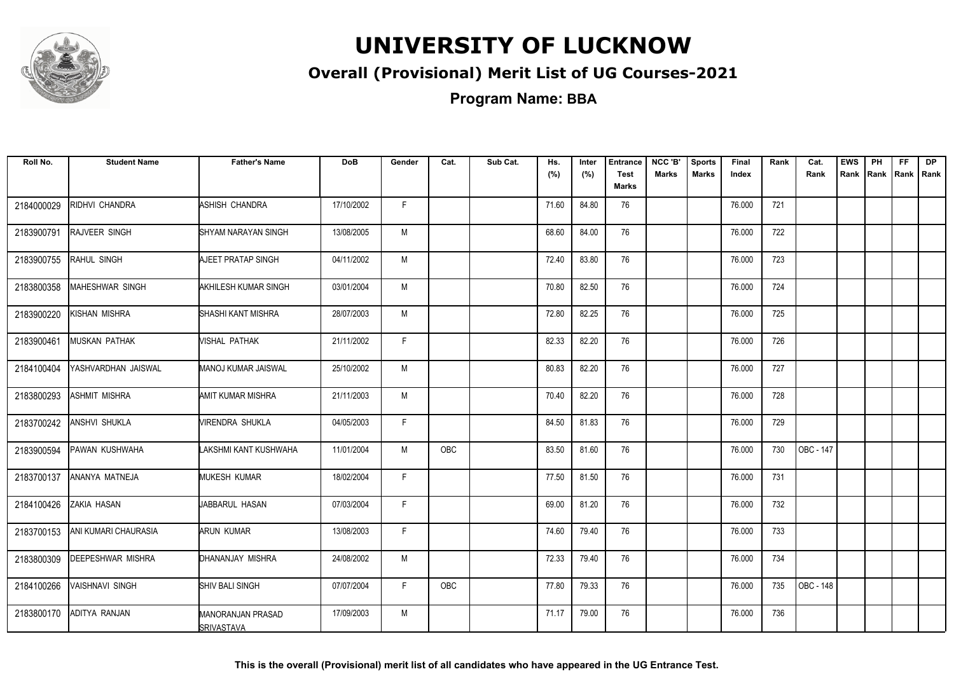

### **Overall (Provisional) Merit List of UG Courses-2021**

**Program Name: BBA**

| Roll No.   | <b>Student Name</b>    | <b>Father's Name</b>                   | <b>DoB</b> | Gender | Cat.       | Sub Cat. | Hs.<br>(%) | Inter<br>(%) | <b>Entrance</b><br><b>Test</b><br><b>Marks</b> | NCC 'B'<br><b>Marks</b> | <b>Sports</b><br><b>Marks</b> | Final<br>Index | Rank | Cat.<br>Rank | <b>EWS</b> | PH<br>Rank Rank | FF.<br>Rank   Rank | <b>DP</b> |
|------------|------------------------|----------------------------------------|------------|--------|------------|----------|------------|--------------|------------------------------------------------|-------------------------|-------------------------------|----------------|------|--------------|------------|-----------------|--------------------|-----------|
| 2184000029 | RIDHVI CHANDRA         | ASHISH CHANDRA                         | 17/10/2002 | F.     |            |          | 71.60      | 84.80        | 76                                             |                         |                               | 76.000         | 721  |              |            |                 |                    |           |
| 2183900791 | <b>RAJVEER SINGH</b>   | SHYAM NARAYAN SINGH                    | 13/08/2005 | M      |            |          | 68.60      | 84.00        | 76                                             |                         |                               | 76.000         | 722  |              |            |                 |                    |           |
| 2183900755 | RAHUL SINGH            | AJEET PRATAP SINGH                     | 04/11/2002 | M      |            |          | 72.40      | 83.80        | 76                                             |                         |                               | 76.000         | 723  |              |            |                 |                    |           |
| 2183800358 | MAHESHWAR SINGH        | AKHILESH KUMAR SINGH                   | 03/01/2004 | M      |            |          | 70.80      | 82.50        | 76                                             |                         |                               | 76.000         | 724  |              |            |                 |                    |           |
| 2183900220 | KISHAN MISHRA          | SHASHI KANT MISHRA                     | 28/07/2003 | M      |            |          | 72.80      | 82.25        | 76                                             |                         |                               | 76.000         | 725  |              |            |                 |                    |           |
| 2183900461 | MUSKAN PATHAK          | VISHAL PATHAK                          | 21/11/2002 | F      |            |          | 82.33      | 82.20        | 76                                             |                         |                               | 76.000         | 726  |              |            |                 |                    |           |
| 2184100404 | YASHVARDHAN JAISWAL    | <b>MANOJ KUMAR JAISWAL</b>             | 25/10/2002 | M      |            |          | 80.83      | 82.20        | 76                                             |                         |                               | 76.000         | 727  |              |            |                 |                    |           |
| 2183800293 | ASHMIT MISHRA          | AMIT KUMAR MISHRA                      | 21/11/2003 | M      |            |          | 70.40      | 82.20        | 76                                             |                         |                               | 76.000         | 728  |              |            |                 |                    |           |
| 2183700242 | <b>ANSHVI SHUKLA</b>   | VIRENDRA SHUKLA                        | 04/05/2003 | F.     |            |          | 84.50      | 81.83        | 76                                             |                         |                               | 76.000         | 729  |              |            |                 |                    |           |
| 2183900594 | PAWAN KUSHWAHA         | LAKSHMI KANT KUSHWAHA                  | 11/01/2004 | M      | <b>OBC</b> |          | 83.50      | 81.60        | 76                                             |                         |                               | 76.000         | 730  | OBC - 147    |            |                 |                    |           |
| 2183700137 | ANANYA MATNEJA         | <b>MUKESH KUMAR</b>                    | 18/02/2004 | F.     |            |          | 77.50      | 81.50        | 76                                             |                         |                               | 76.000         | 731  |              |            |                 |                    |           |
| 2184100426 | ZAKIA HASAN            | JABBARUL HASAN                         | 07/03/2004 | F      |            |          | 69.00      | 81.20        | 76                                             |                         |                               | 76.000         | 732  |              |            |                 |                    |           |
| 2183700153 | ANI KUMARI CHAURASIA   | ARUN KUMAR                             | 13/08/2003 | F.     |            |          | 74.60      | 79.40        | 76                                             |                         |                               | 76.000         | 733  |              |            |                 |                    |           |
| 2183800309 | DEEPESHWAR MISHRA      | DHANANJAY MISHRA                       | 24/08/2002 | M      |            |          | 72.33      | 79.40        | 76                                             |                         |                               | 76.000         | 734  |              |            |                 |                    |           |
| 2184100266 | <b>VAISHNAVI SINGH</b> | <b>SHIV BALI SINGH</b>                 | 07/07/2004 | F.     | OBC        |          | 77.80      | 79.33        | 76                                             |                         |                               | 76.000         | 735  | OBC - 148    |            |                 |                    |           |
| 2183800170 | ADITYA RANJAN          | MANORANJAN PRASAD<br><b>SRIVASTAVA</b> | 17/09/2003 | M      |            |          | 71.17      | 79.00        | 76                                             |                         |                               | 76.000         | 736  |              |            |                 |                    |           |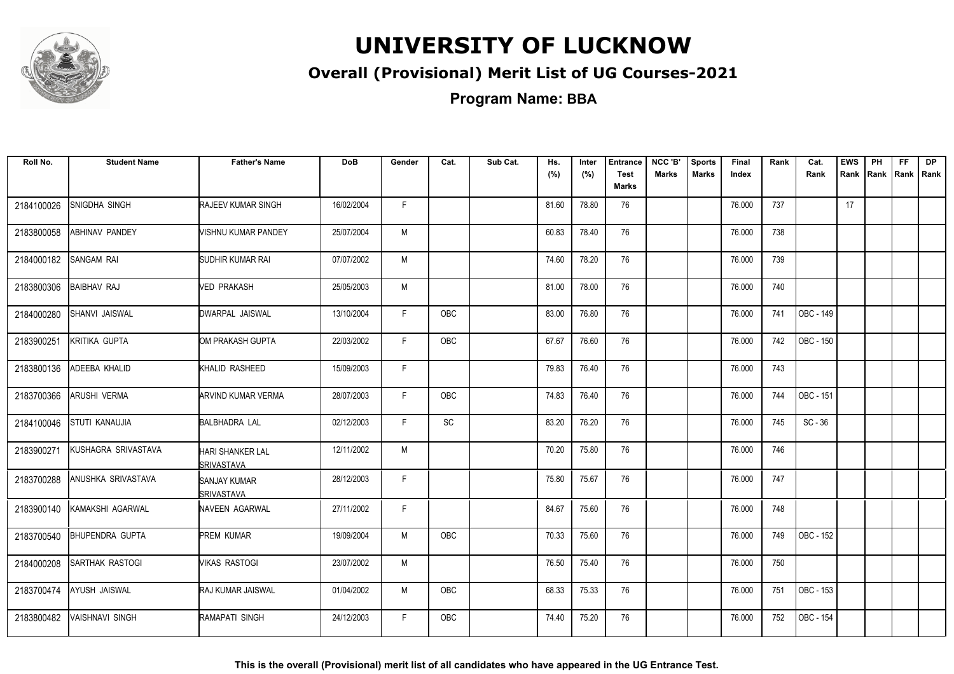

### **Overall (Provisional) Merit List of UG Courses-2021**

**Program Name: BBA**

| Roll No.   | <b>Student Name</b>    | <b>Father's Name</b>                         | DoB        | Gender | Cat.       | Sub Cat. | Hs.<br>(%) | Inter<br>(%) | <b>Entrance</b><br><b>Test</b><br>Marks | NCC 'B'<br><b>Marks</b> | <b>Sports</b><br><b>Marks</b> | Final<br>Index | Rank | Cat.<br>Rank | <b>EWS</b><br>Rank | PH<br>Rank Rank | FF. | <b>DP</b><br>Rank |
|------------|------------------------|----------------------------------------------|------------|--------|------------|----------|------------|--------------|-----------------------------------------|-------------------------|-------------------------------|----------------|------|--------------|--------------------|-----------------|-----|-------------------|
| 2184100026 | SNIGDHA SINGH          | <b>RAJEEV KUMAR SINGH</b>                    | 16/02/2004 | F.     |            |          | 81.60      | 78.80        | 76                                      |                         |                               | 76.000         | 737  |              | 17                 |                 |     |                   |
| 2183800058 | <b>ABHINAV PANDEY</b>  | VISHNU KUMAR PANDEY                          | 25/07/2004 | M      |            |          | 60.83      | 78.40        | 76                                      |                         |                               | 76.000         | 738  |              |                    |                 |     |                   |
| 2184000182 | <b>SANGAM RAI</b>      | SUDHIR KUMAR RAI                             | 07/07/2002 | M      |            |          | 74.60      | 78.20        | 76                                      |                         |                               | 76.000         | 739  |              |                    |                 |     |                   |
| 2183800306 | <b>BAIBHAV RAJ</b>     | VED PRAKASH                                  | 25/05/2003 | M      |            |          | 81.00      | 78.00        | 76                                      |                         |                               | 76.000         | 740  |              |                    |                 |     |                   |
| 2184000280 | SHANVI JAISWAL         | DWARPAL JAISWAL                              | 13/10/2004 | F.     | <b>OBC</b> |          | 83.00      | 76.80        | 76                                      |                         |                               | 76.000         | 741  | OBC - 149    |                    |                 |     |                   |
| 2183900251 | KRITIKA GUPTA          | OM PRAKASH GUPTA                             | 22/03/2002 | F.     | OBC        |          | 67.67      | 76.60        | 76                                      |                         |                               | 76.000         | 742  | OBC - 150    |                    |                 |     |                   |
| 2183800136 | ADEEBA KHALID          | KHALID RASHEED                               | 15/09/2003 | F.     |            |          | 79.83      | 76.40        | 76                                      |                         |                               | 76.000         | 743  |              |                    |                 |     |                   |
| 2183700366 | <b>ARUSHI VERMA</b>    | <b>ARVIND KUMAR VERMA</b>                    | 28/07/2003 | F.     | <b>OBC</b> |          | 74.83      | 76.40        | 76                                      |                         |                               | 76.000         | 744  | OBC - 151    |                    |                 |     |                   |
| 2184100046 | <b>STUTI KANAUJIA</b>  | <b>BALBHADRA LAL</b>                         | 02/12/2003 | F.     | SC         |          | 83.20      | 76.20        | 76                                      |                         |                               | 76.000         | 745  | $SC - 36$    |                    |                 |     |                   |
| 2183900271 | KUSHAGRA SRIVASTAVA    | <b>HARI SHANKER LAL</b><br><b>SRIVASTAVA</b> | 12/11/2002 | М      |            |          | 70.20      | 75.80        | 76                                      |                         |                               | 76.000         | 746  |              |                    |                 |     |                   |
| 2183700288 | ANUSHKA SRIVASTAVA     | <b>SANJAY KUMAR</b><br><b>ISRIVASTAVA</b>    | 28/12/2003 | F      |            |          | 75.80      | 75.67        | 76                                      |                         |                               | 76.000         | 747  |              |                    |                 |     |                   |
| 2183900140 | KAMAKSHI AGARWAL       | NAVEEN AGARWAL                               | 27/11/2002 | F.     |            |          | 84.67      | 75.60        | 76                                      |                         |                               | 76.000         | 748  |              |                    |                 |     |                   |
| 2183700540 | <b>BHUPENDRA GUPTA</b> | PREM KUMAR                                   | 19/09/2004 | M      | OBC        |          | 70.33      | 75.60        | 76                                      |                         |                               | 76.000         | 749  | OBC - 152    |                    |                 |     |                   |
| 2184000208 | <b>SARTHAK RASTOGI</b> | <b>VIKAS RASTOGI</b>                         | 23/07/2002 | M      |            |          | 76.50      | 75.40        | 76                                      |                         |                               | 76.000         | 750  |              |                    |                 |     |                   |
| 2183700474 | AYUSH JAISWAL          | RAJ KUMAR JAISWAL                            | 01/04/2002 | M      | OBC        |          | 68.33      | 75.33        | 76                                      |                         |                               | 76.000         | 751  | OBC - 153    |                    |                 |     |                   |
| 2183800482 | <b>VAISHNAVI SINGH</b> | RAMAPATI SINGH                               | 24/12/2003 | F.     | <b>OBC</b> |          | 74.40      | 75.20        | 76                                      |                         |                               | 76.000         | 752  | OBC - 154    |                    |                 |     |                   |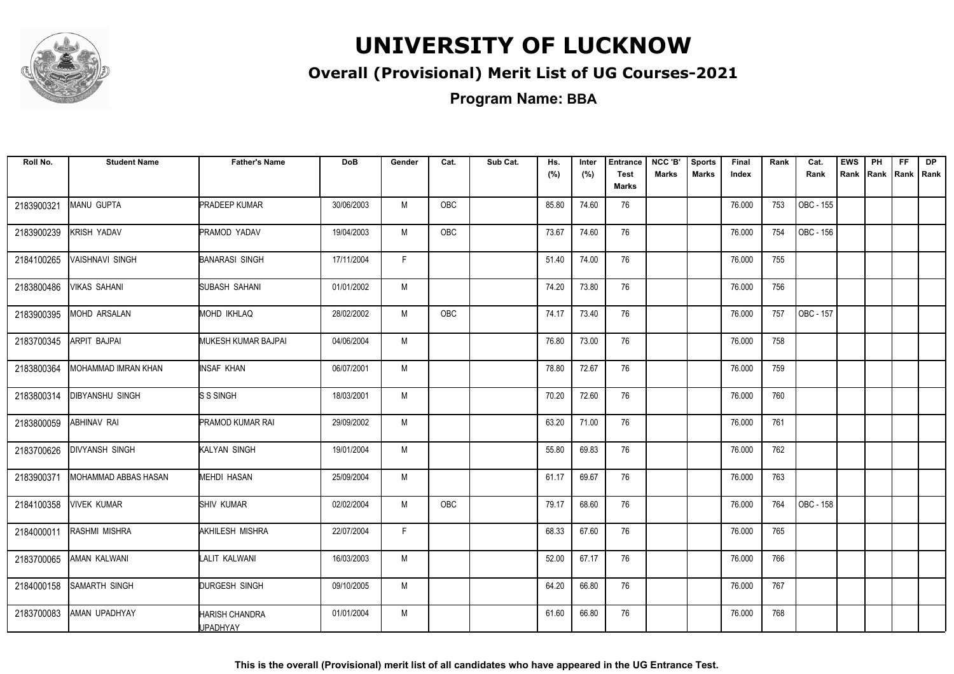

### **Overall (Provisional) Merit List of UG Courses-2021**

| Roll No.   | <b>Student Name</b>         | <b>Father's Name</b>                     | <b>DoB</b> | Gender | Cat.       | Sub Cat. | Hs.   | Inter | <b>Entrance</b>             | NCC 'B'      | <b>Sports</b> | Final  | Rank | Cat.             | <b>EWS</b> | PH | FF. | <b>DP</b>           |
|------------|-----------------------------|------------------------------------------|------------|--------|------------|----------|-------|-------|-----------------------------|--------------|---------------|--------|------|------------------|------------|----|-----|---------------------|
|            |                             |                                          |            |        |            |          | (%)   | (%)   | <b>Test</b><br><b>Marks</b> | <b>Marks</b> | <b>Marks</b>  | Index  |      | Rank             |            |    |     | Rank Rank Rank Rank |
| 2183900321 | MANU GUPTA                  | <b>PRADEEP KUMAR</b>                     | 30/06/2003 | M      | OBC        |          | 85.80 | 74.60 | 76                          |              |               | 76.000 | 753  | OBC - 155        |            |    |     |                     |
| 2183900239 | KRISH YADAV                 | PRAMOD YADAV                             | 19/04/2003 | M      | OBC        |          | 73.67 | 74.60 | 76                          |              |               | 76.000 | 754  | OBC - 156        |            |    |     |                     |
| 2184100265 | <b>VAISHNAVI SINGH</b>      | <b>BANARASI SINGH</b>                    | 17/11/2004 | F.     |            |          | 51.40 | 74.00 | 76                          |              |               | 76.000 | 755  |                  |            |    |     |                     |
| 2183800486 | VIKAS SAHANI                | SUBASH SAHANI                            | 01/01/2002 | M      |            |          | 74.20 | 73.80 | 76                          |              |               | 76.000 | 756  |                  |            |    |     |                     |
| 2183900395 | <b>MOHD ARSALAN</b>         | MOHD IKHLAQ                              | 28/02/2002 | M      | OBC        |          | 74.17 | 73.40 | 76                          |              |               | 76.000 | 757  | OBC - 157        |            |    |     |                     |
| 2183700345 | ARPIT BAJPAI                | MUKESH KUMAR BAJPAI                      | 04/06/2004 | M      |            |          | 76.80 | 73.00 | 76                          |              |               | 76.000 | 758  |                  |            |    |     |                     |
| 2183800364 | <b>MOHAMMAD IMRAN KHAN</b>  | INSAF KHAN                               | 06/07/2001 | M      |            |          | 78.80 | 72.67 | 76                          |              |               | 76.000 | 759  |                  |            |    |     |                     |
| 2183800314 | DIBYANSHU SINGH             | S S SINGH                                | 18/03/2001 | M      |            |          | 70.20 | 72.60 | 76                          |              |               | 76.000 | 760  |                  |            |    |     |                     |
| 2183800059 | <b>ABHINAV RAI</b>          | <b>PRAMOD KUMAR RAI</b>                  | 29/09/2002 | M      |            |          | 63.20 | 71.00 | 76                          |              |               | 76.000 | 761  |                  |            |    |     |                     |
| 2183700626 | <b>DIVYANSH SINGH</b>       | KALYAN SINGH                             | 19/01/2004 | M      |            |          | 55.80 | 69.83 | 76                          |              |               | 76.000 | 762  |                  |            |    |     |                     |
| 2183900371 | <b>MOHAMMAD ABBAS HASAN</b> | <b>MEHDI HASAN</b>                       | 25/09/2004 | M      |            |          | 61.17 | 69.67 | 76                          |              |               | 76.000 | 763  |                  |            |    |     |                     |
| 2184100358 | <b>VIVEK KUMAR</b>          | <b>SHIV KUMAR</b>                        | 02/02/2004 | M      | <b>OBC</b> |          | 79.17 | 68.60 | 76                          |              |               | 76.000 | 764  | <b>OBC - 158</b> |            |    |     |                     |
| 2184000011 | RASHMI MISHRA               | AKHILESH MISHRA                          | 22/07/2004 | F.     |            |          | 68.33 | 67.60 | 76                          |              |               | 76.000 | 765  |                  |            |    |     |                     |
| 2183700065 | AMAN KALWANI                | LALIT KALWANI                            | 16/03/2003 | M      |            |          | 52.00 | 67.17 | 76                          |              |               | 76.000 | 766  |                  |            |    |     |                     |
| 2184000158 | <b>SAMARTH SINGH</b>        | DURGESH SINGH                            | 09/10/2005 | M      |            |          | 64.20 | 66.80 | 76                          |              |               | 76.000 | 767  |                  |            |    |     |                     |
| 2183700083 | AMAN UPADHYAY               | <b>HARISH CHANDRA</b><br><b>UPADHYAY</b> | 01/01/2004 | M      |            |          | 61.60 | 66.80 | 76                          |              |               | 76.000 | 768  |                  |            |    |     |                     |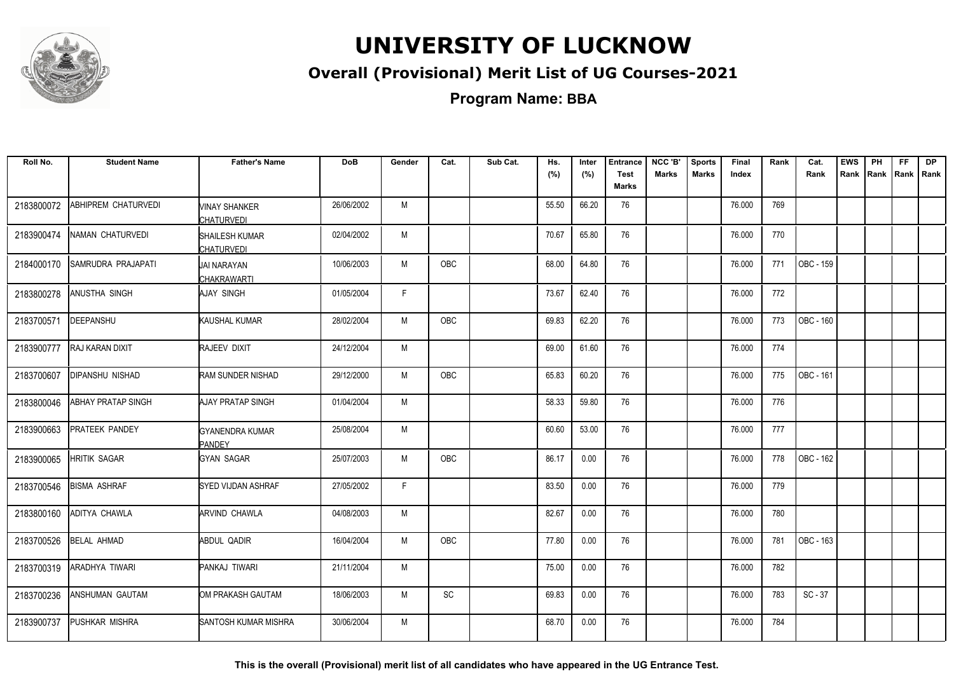

### **Overall (Provisional) Merit List of UG Courses-2021**

**Program Name: BBA**

| Roll No.   | <b>Student Name</b>  | <b>Father's Name</b>                | <b>DoB</b> | Gender       | Cat.       | Sub Cat. | Hs.<br>(%) | Inter<br>(%) | <b>Entrance</b><br><b>Test</b><br><b>Marks</b> | NCC 'B'<br><b>Marks</b> | <b>Sports</b><br><b>Marks</b> | Final<br>Index | Rank | Cat.<br>Rank | <b>EWS</b><br>Rank | PH<br>Rank Rank | FF | <b>DP</b><br>Rank |
|------------|----------------------|-------------------------------------|------------|--------------|------------|----------|------------|--------------|------------------------------------------------|-------------------------|-------------------------------|----------------|------|--------------|--------------------|-----------------|----|-------------------|
| 2183800072 | ABHIPREM CHATURVEDI  | VINAY SHANKER<br>CHATURVEDI         | 26/06/2002 | M            |            |          | 55.50      | 66.20        | 76                                             |                         |                               | 76.000         | 769  |              |                    |                 |    |                   |
| 2183900474 | NAMAN CHATURVEDI     | SHAILESH KUMAR<br><b>CHATURVEDI</b> | 02/04/2002 | M            |            |          | 70.67      | 65.80        | 76                                             |                         |                               | 76.000         | 770  |              |                    |                 |    |                   |
| 2184000170 | SAMRUDRA PRAJAPATI   | <b>JAI NARAYAN</b><br>CHAKRAWARTI   | 10/06/2003 | M            | <b>OBC</b> |          | 68.00      | 64.80        | 76                                             |                         |                               | 76.000         | 771  | OBC - 159    |                    |                 |    |                   |
| 2183800278 | ANUSTHA SINGH        | <b>AJAY SINGH</b>                   | 01/05/2004 | $\mathsf{F}$ |            |          | 73.67      | 62.40        | 76                                             |                         |                               | 76.000         | 772  |              |                    |                 |    |                   |
| 2183700571 | DEEPANSHU            | KAUSHAL KUMAR                       | 28/02/2004 | M            | OBC        |          | 69.83      | 62.20        | 76                                             |                         |                               | 76.000         | 773  | OBC - 160    |                    |                 |    |                   |
| 2183900777 | RAJ KARAN DIXIT      | RAJEEV DIXIT                        | 24/12/2004 | M            |            |          | 69.00      | 61.60        | 76                                             |                         |                               | 76.000         | 774  |              |                    |                 |    |                   |
| 2183700607 | DIPANSHU NISHAD      | RAM SUNDER NISHAD                   | 29/12/2000 | M            | OBC        |          | 65.83      | 60.20        | 76                                             |                         |                               | 76.000         | 775  | OBC - 161    |                    |                 |    |                   |
| 2183800046 | ABHAY PRATAP SINGH   | AJAY PRATAP SINGH                   | 01/04/2004 | M            |            |          | 58.33      | 59.80        | 76                                             |                         |                               | 76.000         | 776  |              |                    |                 |    |                   |
| 2183900663 | PRATEEK PANDEY       | <b>GYANENDRA KUMAR</b><br>PANDEY    | 25/08/2004 | M            |            |          | 60.60      | 53.00        | 76                                             |                         |                               | 76.000         | 777  |              |                    |                 |    |                   |
| 2183900065 | <b>HRITIK SAGAR</b>  | <b>GYAN SAGAR</b>                   | 25/07/2003 | M            | OBC        |          | 86.17      | 0.00         | 76                                             |                         |                               | 76.000         | 778  | OBC - 162    |                    |                 |    |                   |
| 2183700546 | <b>BISMA ASHRAF</b>  | <b>SYED VIJDAN ASHRAF</b>           | 27/05/2002 | F            |            |          | 83.50      | 0.00         | 76                                             |                         |                               | 76.000         | 779  |              |                    |                 |    |                   |
| 2183800160 | <b>ADITYA CHAWLA</b> | <b>ARVIND CHAWLA</b>                | 04/08/2003 | M            |            |          | 82.67      | 0.00         | 76                                             |                         |                               | 76.000         | 780  |              |                    |                 |    |                   |
| 2183700526 | <b>BELAL AHMAD</b>   | ABDUL QADIR                         | 16/04/2004 | M            | <b>OBC</b> |          | 77.80      | 0.00         | 76                                             |                         |                               | 76.000         | 781  | OBC - 163    |                    |                 |    |                   |
| 2183700319 | ARADHYA TIWARI       | PANKAJ TIWARI                       | 21/11/2004 | M            |            |          | 75.00      | 0.00         | 76                                             |                         |                               | 76.000         | 782  |              |                    |                 |    |                   |
| 2183700236 | ANSHUMAN GAUTAM      | OM PRAKASH GAUTAM                   | 18/06/2003 | M            | SC         |          | 69.83      | 0.00         | 76                                             |                         |                               | 76.000         | 783  | $SC - 37$    |                    |                 |    |                   |
| 2183900737 | PUSHKAR MISHRA       | <b>SANTOSH KUMAR MISHRA</b>         | 30/06/2004 | M            |            |          | 68.70      | 0.00         | 76                                             |                         |                               | 76.000         | 784  |              |                    |                 |    |                   |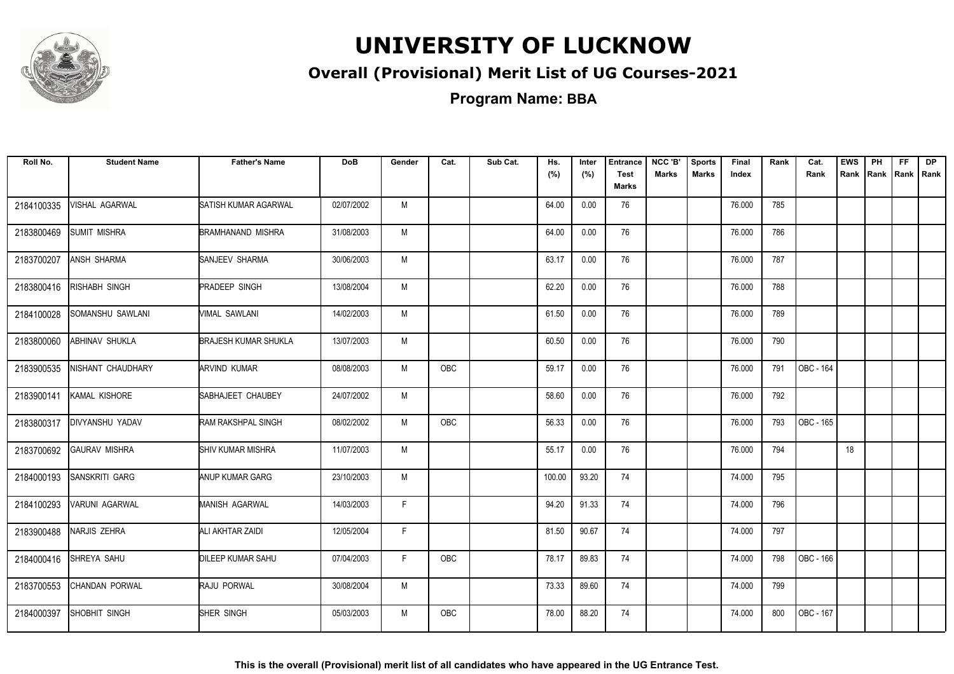

### **Overall (Provisional) Merit List of UG Courses-2021**

**Program Name: BBA**

| Roll No.   | <b>Student Name</b>  | <b>Father's Name</b>        | <b>DoB</b> | Gender | Cat.       | Sub Cat. | Hs.<br>(%) | Inter<br>(%) | <b>Entrance</b><br><b>Test</b><br><b>Marks</b> | NCC 'B'<br><b>Marks</b> | <b>Sports</b><br><b>Marks</b> | Final<br>Index | Rank | Cat.<br>Rank | <b>EWS</b><br>Rank | PH<br>Rank | FF.<br>Rank   Rank | <b>DP</b> |
|------------|----------------------|-----------------------------|------------|--------|------------|----------|------------|--------------|------------------------------------------------|-------------------------|-------------------------------|----------------|------|--------------|--------------------|------------|--------------------|-----------|
| 2184100335 | VISHAL AGARWAL       | SATISH KUMAR AGARWAL        | 02/07/2002 | M      |            |          | 64.00      | 0.00         | 76                                             |                         |                               | 76.000         | 785  |              |                    |            |                    |           |
| 2183800469 | <b>SUMIT MISHRA</b>  | BRAMHANAND MISHRA           | 31/08/2003 | M      |            |          | 64.00      | 0.00         | 76                                             |                         |                               | 76.000         | 786  |              |                    |            |                    |           |
| 2183700207 | ANSH SHARMA          | SANJEEV SHARMA              | 30/06/2003 | M      |            |          | 63.17      | 0.00         | 76                                             |                         |                               | 76.000         | 787  |              |                    |            |                    |           |
| 2183800416 | RISHABH SINGH        | <b>PRADEEP SINGH</b>        | 13/08/2004 | M      |            |          | 62.20      | 0.00         | 76                                             |                         |                               | 76.000         | 788  |              |                    |            |                    |           |
| 2184100028 | SOMANSHU SAWLANI     | VIMAL SAWLANI               | 14/02/2003 | M      |            |          | 61.50      | 0.00         | 76                                             |                         |                               | 76.000         | 789  |              |                    |            |                    |           |
| 2183800060 | ABHINAV SHUKLA       | <b>BRAJESH KUMAR SHUKLA</b> | 13/07/2003 | M      |            |          | 60.50      | 0.00         | 76                                             |                         |                               | 76.000         | 790  |              |                    |            |                    |           |
| 2183900535 | NISHANT CHAUDHARY    | <b>ARVIND KUMAR</b>         | 08/08/2003 | M      | OBC        |          | 59.17      | 0.00         | 76                                             |                         |                               | 76.000         | 791  | OBC - 164    |                    |            |                    |           |
| 2183900141 | KAMAL KISHORE        | SABHAJEET CHAUBEY           | 24/07/2002 | M      |            |          | 58.60      | 0.00         | 76                                             |                         |                               | 76.000         | 792  |              |                    |            |                    |           |
| 2183800317 | DIVYANSHU YADAV      | RAM RAKSHPAL SINGH          | 08/02/2002 | M      | <b>OBC</b> |          | 56.33      | 0.00         | 76                                             |                         |                               | 76.000         | 793  | OBC - 165    |                    |            |                    |           |
| 2183700692 | <b>GAURAV MISHRA</b> | <b>SHIV KUMAR MISHRA</b>    | 11/07/2003 | M      |            |          | 55.17      | 0.00         | 76                                             |                         |                               | 76.000         | 794  |              | 18                 |            |                    |           |
| 2184000193 | SANSKRITI GARG       | <b>ANUP KUMAR GARG</b>      | 23/10/2003 | M      |            |          | 100.00     | 93.20        | 74                                             |                         |                               | 74.000         | 795  |              |                    |            |                    |           |
| 2184100293 | VARUNI AGARWAL       | <b>MANISH AGARWAL</b>       | 14/03/2003 | F.     |            |          | 94.20      | 91.33        | 74                                             |                         |                               | 74.000         | 796  |              |                    |            |                    |           |
| 2183900488 | NARJIS ZEHRA         | ALI AKHTAR ZAIDI            | 12/05/2004 | F.     |            |          | 81.50      | 90.67        | 74                                             |                         |                               | 74.000         | 797  |              |                    |            |                    |           |
| 2184000416 | SHREYA SAHU          | <b>DILEEP KUMAR SAHU</b>    | 07/04/2003 | F.     | OBC        |          | 78.17      | 89.83        | 74                                             |                         |                               | 74.000         | 798  | OBC - 166    |                    |            |                    |           |
| 2183700553 | CHANDAN PORWAL       | <b>RAJU PORWAL</b>          | 30/08/2004 | M      |            |          | 73.33      | 89.60        | 74                                             |                         |                               | 74.000         | 799  |              |                    |            |                    |           |
| 2184000397 | SHOBHIT SINGH        | SHER SINGH                  | 05/03/2003 | M      | <b>OBC</b> |          | 78.00      | 88.20        | 74                                             |                         |                               | 74.000         | 800  | OBC - 167    |                    |            |                    |           |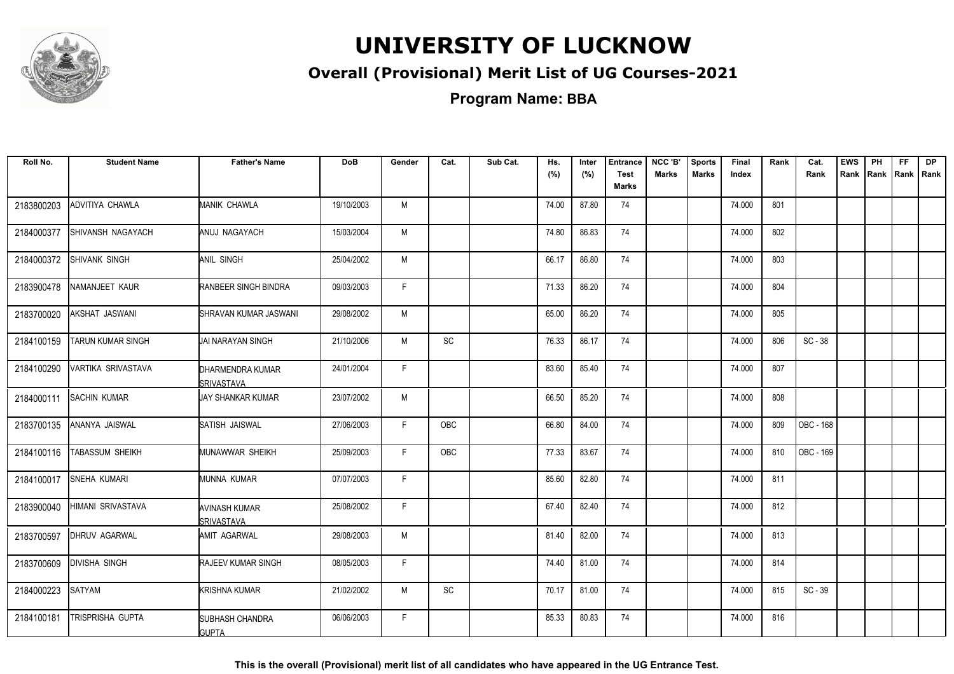

### **Overall (Provisional) Merit List of UG Courses-2021**

**Program Name: BBA**

| Roll No.   | <b>Student Name</b>     | <b>Father's Name</b>                       | <b>DoB</b> | Gender | Cat. | Sub Cat. | Hs.<br>(%) | Inter<br>(%) | <b>Entrance</b><br><b>Test</b> | NCC 'B'<br><b>Marks</b> | <b>Sports</b><br><b>Marks</b> | Final<br>Index | Rank | Cat.<br>Rank | <b>EWS</b> | PH<br>Rank Rank Rank Rank | FF. | <b>DP</b> |
|------------|-------------------------|--------------------------------------------|------------|--------|------|----------|------------|--------------|--------------------------------|-------------------------|-------------------------------|----------------|------|--------------|------------|---------------------------|-----|-----------|
|            |                         |                                            |            |        |      |          |            |              | Marks                          |                         |                               |                |      |              |            |                           |     |           |
| 2183800203 | ADVITIYA CHAWLA         | MANIK CHAWLA                               | 19/10/2003 | M      |      |          | 74.00      | 87.80        | 74                             |                         |                               | 74.000         | 801  |              |            |                           |     |           |
| 2184000377 | SHIVANSH NAGAYACH       | ANUJ NAGAYACH                              | 15/03/2004 | M      |      |          | 74.80      | 86.83        | 74                             |                         |                               | 74.000         | 802  |              |            |                           |     |           |
| 2184000372 | <b>SHIVANK SINGH</b>    | ANIL SINGH                                 | 25/04/2002 | M      |      |          | 66.17      | 86.80        | 74                             |                         |                               | 74.000         | 803  |              |            |                           |     |           |
| 2183900478 | NAMANJEET KAUR          | RANBEER SINGH BINDRA                       | 09/03/2003 | F.     |      |          | 71.33      | 86.20        | 74                             |                         |                               | 74.000         | 804  |              |            |                           |     |           |
| 2183700020 | AKSHAT JASWANI          | SHRAVAN KUMAR JASWANI                      | 29/08/2002 | M      |      |          | 65.00      | 86.20        | 74                             |                         |                               | 74.000         | 805  |              |            |                           |     |           |
| 2184100159 | TARUN KUMAR SINGH       | <b>JAI NARAYAN SINGH</b>                   | 21/10/2006 | M      | SC   |          | 76.33      | 86.17        | 74                             |                         |                               | 74.000         | 806  | $SC - 38$    |            |                           |     |           |
| 2184100290 | VARTIKA SRIVASTAVA      | DHARMENDRA KUMAR<br><b>SRIVASTAVA</b>      | 24/01/2004 | F      |      |          | 83.60      | 85.40        | 74                             |                         |                               | 74.000         | 807  |              |            |                           |     |           |
| 2184000111 | <b>SACHIN KUMAR</b>     | UAY SHANKAR KUMAR                          | 23/07/2002 | M      |      |          | 66.50      | 85.20        | 74                             |                         |                               | 74.000         | 808  |              |            |                           |     |           |
| 2183700135 | ANANYA JAISWAL          | SATISH JAISWAL                             | 27/06/2003 | F.     | OBC  |          | 66.80      | 84.00        | 74                             |                         |                               | 74.000         | 809  | OBC - 168    |            |                           |     |           |
| 2184100116 | <b>TABASSUM SHEIKH</b>  | MUNAWWAR SHEIKH                            | 25/09/2003 | F.     | OBC  |          | 77.33      | 83.67        | 74                             |                         |                               | 74.000         | 810  | OBC - 169    |            |                           |     |           |
| 2184100017 | <b>SNEHA KUMARI</b>     | MUNNA KUMAR                                | 07/07/2003 | F.     |      |          | 85.60      | 82.80        | 74                             |                         |                               | 74.000         | 811  |              |            |                           |     |           |
| 2183900040 | HIMANI SRIVASTAVA       | <b>AVINASH KUMAR</b><br><b>ISRIVASTAVA</b> | 25/08/2002 | F.     |      |          | 67.40      | 82.40        | 74                             |                         |                               | 74.000         | 812  |              |            |                           |     |           |
| 2183700597 | <b>DHRUV AGARWAL</b>    | AMIT AGARWAL                               | 29/08/2003 | M      |      |          | 81.40      | 82.00        | 74                             |                         |                               | 74.000         | 813  |              |            |                           |     |           |
| 2183700609 | <b>DIVISHA SINGH</b>    | RAJEEV KUMAR SINGH                         | 08/05/2003 | F.     |      |          | 74.40      | 81.00        | 74                             |                         |                               | 74.000         | 814  |              |            |                           |     |           |
| 2184000223 | <b>SATYAM</b>           | <b>KRISHNA KUMAR</b>                       | 21/02/2002 | M      | SC   |          | 70.17      | 81.00        | 74                             |                         |                               | 74.000         | 815  | $SC - 39$    |            |                           |     |           |
| 2184100181 | <b>TRISPRISHA GUPTA</b> | <b>SUBHASH CHANDRA</b><br><b>GUPTA</b>     | 06/06/2003 | F      |      |          | 85.33      | 80.83        | 74                             |                         |                               | 74.000         | 816  |              |            |                           |     |           |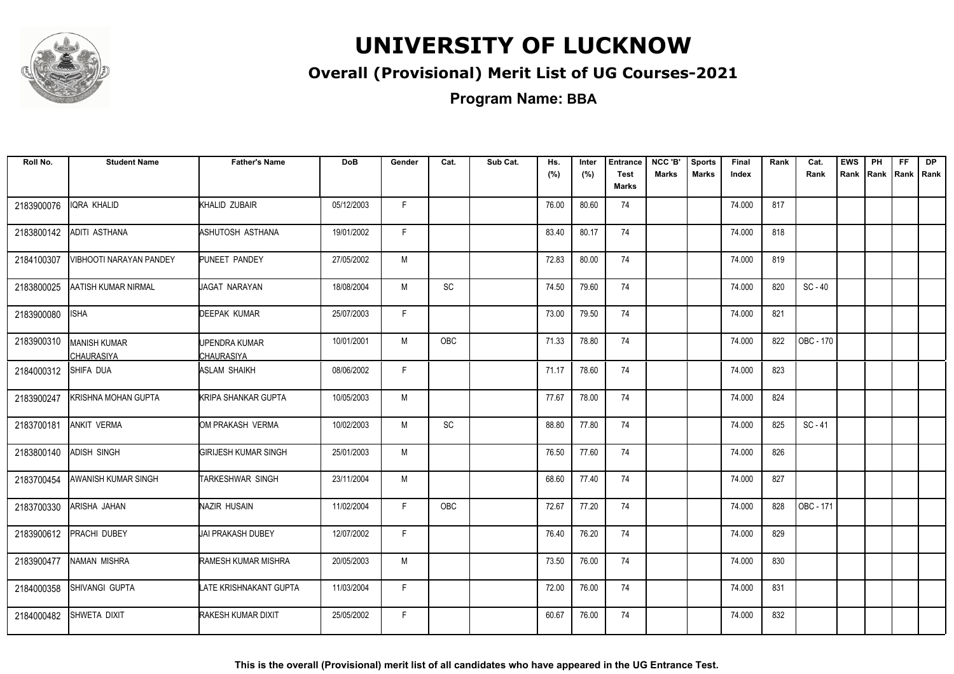

### **Overall (Provisional) Merit List of UG Courses-2021**

**Program Name: BBA**

| Roll No.   | <b>Student Name</b>                      | <b>Father's Name</b>               | <b>DoB</b> | Gender | Cat.       | Sub Cat. | Hs.<br>(%) | Inter<br>(%) | <b>Entrance</b><br><b>Test</b><br><b>Marks</b> | NCC 'B'<br>Marks | <b>Sports</b><br>Marks | Final<br>Index | Rank | Cat.<br>Rank | <b>EWS</b><br>Rank | PH | <b>FF</b><br>Rank   Rank   Rank | <b>DP</b> |
|------------|------------------------------------------|------------------------------------|------------|--------|------------|----------|------------|--------------|------------------------------------------------|------------------|------------------------|----------------|------|--------------|--------------------|----|---------------------------------|-----------|
| 2183900076 | IQRA KHALID                              | KHALID ZUBAIR                      | 05/12/2003 | F.     |            |          | 76.00      | 80.60        | 74                                             |                  |                        | 74.000         | 817  |              |                    |    |                                 |           |
| 2183800142 | ADITI ASTHANA                            | ASHUTOSH ASTHANA                   | 19/01/2002 | F.     |            |          | 83.40      | 80.17        | 74                                             |                  |                        | 74.000         | 818  |              |                    |    |                                 |           |
| 2184100307 | VIBHOOTI NARAYAN PANDEY                  | PUNEET PANDEY                      | 27/05/2002 | M      |            |          | 72.83      | 80.00        | 74                                             |                  |                        | 74.000         | 819  |              |                    |    |                                 |           |
| 2183800025 | <b>AATISH KUMAR NIRMAL</b>               | JAGAT NARAYAN                      | 18/08/2004 | M      | SC         |          | 74.50      | 79.60        | 74                                             |                  |                        | 74.000         | 820  | $SC - 40$    |                    |    |                                 |           |
| 2183900080 | <b>ISHA</b>                              | <b>DEEPAK KUMAR</b>                | 25/07/2003 | F.     |            |          | 73.00      | 79.50        | 74                                             |                  |                        | 74.000         | 821  |              |                    |    |                                 |           |
| 2183900310 | <b>MANISH KUMAR</b><br><b>CHAURASIYA</b> | UPENDRA KUMAR<br><b>CHAURASIYA</b> | 10/01/2001 | M      | OBC        |          | 71.33      | 78.80        | 74                                             |                  |                        | 74.000         | 822  | OBC - 170    |                    |    |                                 |           |
| 2184000312 | SHIFA DUA                                | <b>ASLAM SHAIKH</b>                | 08/06/2002 | F      |            |          | 71.17      | 78.60        | 74                                             |                  |                        | 74.000         | 823  |              |                    |    |                                 |           |
| 2183900247 | KRISHNA MOHAN GUPTA                      | <b>KRIPA SHANKAR GUPTA</b>         | 10/05/2003 | М      |            |          | 77.67      | 78.00        | 74                                             |                  |                        | 74.000         | 824  |              |                    |    |                                 |           |
| 2183700181 | <b>ANKIT VERMA</b>                       | OM PRAKASH VERMA                   | 10/02/2003 | M      | SC         |          | 88.80      | 77.80        | 74                                             |                  |                        | 74.000         | 825  | $SC - 41$    |                    |    |                                 |           |
| 2183800140 | <b>ADISH SINGH</b>                       | <b>GIRIJESH KUMAR SINGH</b>        | 25/01/2003 | M      |            |          | 76.50      | 77.60        | 74                                             |                  |                        | 74.000         | 826  |              |                    |    |                                 |           |
| 2183700454 | AWANISH KUMAR SINGH                      | <b>TARKESHWAR SINGH</b>            | 23/11/2004 | М      |            |          | 68.60      | 77.40        | 74                                             |                  |                        | 74.000         | 827  |              |                    |    |                                 |           |
| 2183700330 | ARISHA JAHAN                             | NAZIR HUSAIN                       | 11/02/2004 | F.     | <b>OBC</b> |          | 72.67      | 77.20        | 74                                             |                  |                        | 74.000         | 828  | OBC - 171    |                    |    |                                 |           |
| 2183900612 | PRACHI DUBEY                             | <b>JAI PRAKASH DUBEY</b>           | 12/07/2002 | F.     |            |          | 76.40      | 76.20        | 74                                             |                  |                        | 74.000         | 829  |              |                    |    |                                 |           |
| 2183900477 | NAMAN MISHRA                             | <b>RAMESH KUMAR MISHRA</b>         | 20/05/2003 | М      |            |          | 73.50      | 76.00        | 74                                             |                  |                        | 74.000         | 830  |              |                    |    |                                 |           |
| 2184000358 | SHIVANGI GUPTA                           | LATE KRISHNAKANT GUPTA             | 11/03/2004 | F.     |            |          | 72.00      | 76.00        | 74                                             |                  |                        | 74.000         | 831  |              |                    |    |                                 |           |
| 2184000482 | SHWETA DIXIT                             | <b>RAKESH KUMAR DIXIT</b>          | 25/05/2002 | F.     |            |          | 60.67      | 76.00        | 74                                             |                  |                        | 74.000         | 832  |              |                    |    |                                 |           |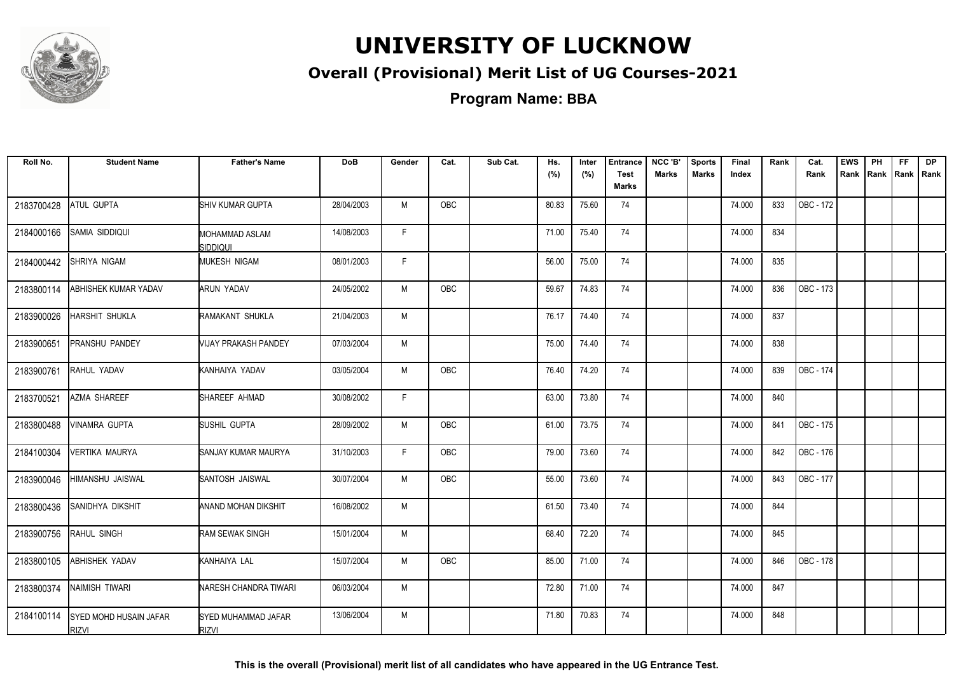

### **Overall (Provisional) Merit List of UG Courses-2021**

| Roll No.   | <b>Student Name</b>                    | <b>Father's Name</b>                | <b>DoB</b> | Gender | Cat.       | Sub Cat. | Hs.<br>(%) | Inter<br>(%) | <b>Entrance</b><br><b>Test</b> | NCC 'B'<br><b>Marks</b> | <b>Sports</b><br><b>Marks</b> | Final<br>Index | Rank | Cat.<br>Rank | <b>EWS</b> | PH<br>Rank Rank Rank Rank | FF. | <b>DP</b> |
|------------|----------------------------------------|-------------------------------------|------------|--------|------------|----------|------------|--------------|--------------------------------|-------------------------|-------------------------------|----------------|------|--------------|------------|---------------------------|-----|-----------|
|            |                                        |                                     |            |        |            |          |            |              | Marks                          |                         |                               |                |      |              |            |                           |     |           |
| 2183700428 | ATUL GUPTA                             | SHIV KUMAR GUPTA                    | 28/04/2003 | M      | OBC        |          | 80.83      | 75.60        | 74                             |                         |                               | 74.000         | 833  | OBC - 172    |            |                           |     |           |
| 2184000166 | SAMIA SIDDIQUI                         | MOHAMMAD ASLAM<br><b>SIDDIQUI</b>   | 14/08/2003 | F.     |            |          | 71.00      | 75.40        | 74                             |                         |                               | 74.000         | 834  |              |            |                           |     |           |
| 2184000442 | SHRIYA NIGAM                           | <b>MUKESH NIGAM</b>                 | 08/01/2003 | F      |            |          | 56.00      | 75.00        | 74                             |                         |                               | 74.000         | 835  |              |            |                           |     |           |
| 2183800114 | ABHISHEK KUMAR YADAV                   | ARUN YADAV                          | 24/05/2002 | M      | <b>OBC</b> |          | 59.67      | 74.83        | 74                             |                         |                               | 74.000         | 836  | OBC - 173    |            |                           |     |           |
| 2183900026 | HARSHIT SHUKLA                         | RAMAKANT SHUKLA                     | 21/04/2003 | M      |            |          | 76.17      | 74.40        | 74                             |                         |                               | 74.000         | 837  |              |            |                           |     |           |
| 2183900651 | PRANSHU PANDEY                         | VIJAY PRAKASH PANDEY                | 07/03/2004 | M      |            |          | 75.00      | 74.40        | 74                             |                         |                               | 74.000         | 838  |              |            |                           |     |           |
| 2183900761 | RAHUL YADAV                            | KANHAIYA YADAV                      | 03/05/2004 | M      | OBC        |          | 76.40      | 74.20        | 74                             |                         |                               | 74.000         | 839  | OBC - 174    |            |                           |     |           |
| 2183700521 | AZMA SHAREEF                           | SHAREEF AHMAD                       | 30/08/2002 | F      |            |          | 63.00      | 73.80        | 74                             |                         |                               | 74.000         | 840  |              |            |                           |     |           |
| 2183800488 | <b>VINAMRA GUPTA</b>                   | SUSHIL GUPTA                        | 28/09/2002 | M      | OBC        |          | 61.00      | 73.75        | 74                             |                         |                               | 74.000         | 841  | OBC - 175    |            |                           |     |           |
| 2184100304 | <b>VERTIKA MAURYA</b>                  | SANJAY KUMAR MAURYA                 | 31/10/2003 | F.     | OBC        |          | 79.00      | 73.60        | 74                             |                         |                               | 74.000         | 842  | OBC - 176    |            |                           |     |           |
| 2183900046 | <b>HIMANSHU JAISWAL</b>                | SANTOSH JAISWAL                     | 30/07/2004 | M      | OBC        |          | 55.00      | 73.60        | 74                             |                         |                               | 74.000         | 843  | OBC - 177    |            |                           |     |           |
| 2183800436 | SANIDHYA DIKSHIT                       | ANAND MOHAN DIKSHIT                 | 16/08/2002 | M      |            |          | 61.50      | 73.40        | 74                             |                         |                               | 74.000         | 844  |              |            |                           |     |           |
| 2183900756 | RAHUL SINGH                            | RAM SEWAK SINGH                     | 15/01/2004 | M      |            |          | 68.40      | 72.20        | 74                             |                         |                               | 74.000         | 845  |              |            |                           |     |           |
| 2183800105 | <b>ABHISHEK YADAV</b>                  | KANHAIYA LAL                        | 15/07/2004 | М      | OBC        |          | 85.00      | 71.00        | 74                             |                         |                               | 74.000         | 846  | OBC - 178    |            |                           |     |           |
| 2183800374 | NAIMISH TIWARI                         | NARESH CHANDRA TIWARI               | 06/03/2004 | M      |            |          | 72.80      | 71.00        | 74                             |                         |                               | 74.000         | 847  |              |            |                           |     |           |
| 2184100114 | SYED MOHD HUSAIN JAFAR<br><b>RIZVI</b> | SYED MUHAMMAD JAFAR<br><b>RIZVI</b> | 13/06/2004 | M      |            |          | 71.80      | 70.83        | 74                             |                         |                               | 74.000         | 848  |              |            |                           |     |           |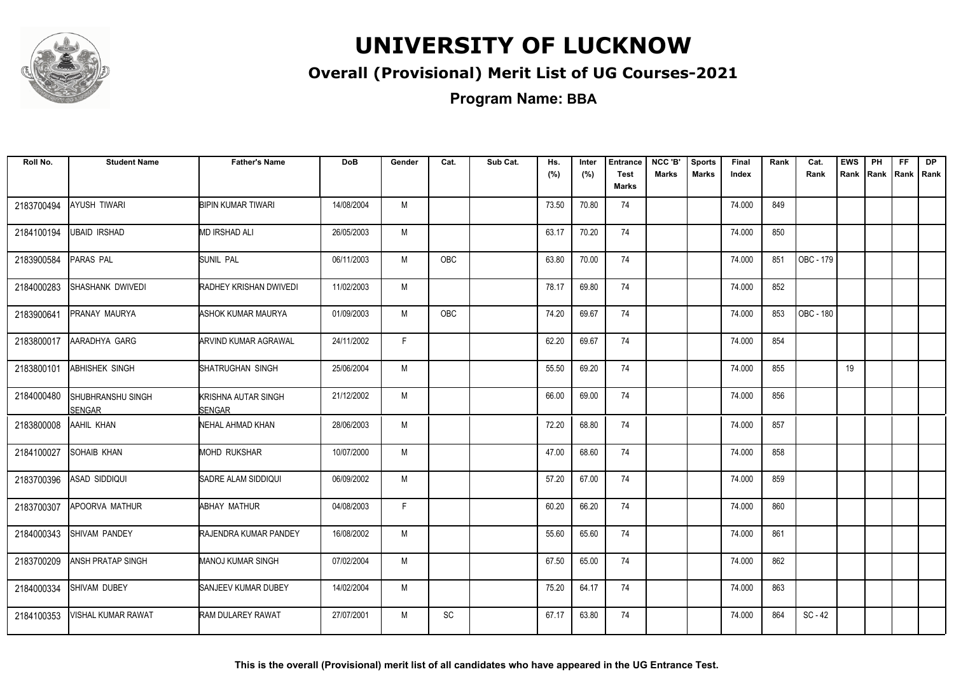

### **Overall (Provisional) Merit List of UG Courses-2021**

| Roll No.   | <b>Student Name</b>         | <b>Father's Name</b>                 | <b>DoB</b> | Gender | Cat.       | Sub Cat. | Hs.<br>(%) | Inter<br>(%) | <b>Entrance</b><br><b>Test</b><br>Marks | NCC 'B'<br><b>Marks</b> | <b>Sports</b><br><b>Marks</b> | Final<br>Index | Rank | Cat.<br>Rank | <b>EWS</b><br>Rank | PH<br>Rank   Rank   Rank | FF. | DP |
|------------|-----------------------------|--------------------------------------|------------|--------|------------|----------|------------|--------------|-----------------------------------------|-------------------------|-------------------------------|----------------|------|--------------|--------------------|--------------------------|-----|----|
| 2183700494 | <b>AYUSH TIWARI</b>         | <b>BIPIN KUMAR TIWARI</b>            | 14/08/2004 | M      |            |          | 73.50      | 70.80        | 74                                      |                         |                               | 74.000         | 849  |              |                    |                          |     |    |
| 2184100194 | <b>UBAID IRSHAD</b>         | <b>MD IRSHAD ALI</b>                 | 26/05/2003 | M      |            |          | 63.17      | 70.20        | 74                                      |                         |                               | 74.000         | 850  |              |                    |                          |     |    |
| 2183900584 | PARAS PAL                   | <b>SUNIL PAL</b>                     | 06/11/2003 | M      | OBC        |          | 63.80      | 70.00        | 74                                      |                         |                               | 74.000         | 851  | OBC - 179    |                    |                          |     |    |
| 2184000283 | SHASHANK DWIVEDI            | RADHEY KRISHAN DWIVEDI               | 11/02/2003 | M      |            |          | 78.17      | 69.80        | 74                                      |                         |                               | 74.000         | 852  |              |                    |                          |     |    |
| 2183900641 | PRANAY MAURYA               | ASHOK KUMAR MAURYA                   | 01/09/2003 | M      | <b>OBC</b> |          | 74.20      | 69.67        | 74                                      |                         |                               | 74.000         | 853  | OBC - 180    |                    |                          |     |    |
| 2183800017 | AARADHYA GARG               | ARVIND KUMAR AGRAWAL                 | 24/11/2002 | F.     |            |          | 62.20      | 69.67        | 74                                      |                         |                               | 74.000         | 854  |              |                    |                          |     |    |
| 2183800101 | <b>ABHISHEK SINGH</b>       | SHATRUGHAN SINGH                     | 25/06/2004 | M      |            |          | 55.50      | 69.20        | 74                                      |                         |                               | 74.000         | 855  |              | 19                 |                          |     |    |
| 2184000480 | SHUBHRANSHU SINGH<br>SENGAR | KRISHNA AUTAR SINGH<br><b>SENGAR</b> | 21/12/2002 | M      |            |          | 66.00      | 69.00        | 74                                      |                         |                               | 74.000         | 856  |              |                    |                          |     |    |
| 2183800008 | AAHIL KHAN                  | NEHAL AHMAD KHAN                     | 28/06/2003 | M      |            |          | 72.20      | 68.80        | 74                                      |                         |                               | 74.000         | 857  |              |                    |                          |     |    |
| 2184100027 | <b>SOHAIB KHAN</b>          | <b>MOHD RUKSHAR</b>                  | 10/07/2000 | M      |            |          | 47.00      | 68.60        | 74                                      |                         |                               | 74.000         | 858  |              |                    |                          |     |    |
| 2183700396 | <b>ASAD SIDDIQUI</b>        | SADRE ALAM SIDDIQUI                  | 06/09/2002 | M      |            |          | 57.20      | 67.00        | 74                                      |                         |                               | 74.000         | 859  |              |                    |                          |     |    |
| 2183700307 | APOORVA MATHUR              | <b>ABHAY MATHUR</b>                  | 04/08/2003 | F.     |            |          | 60.20      | 66.20        | 74                                      |                         |                               | 74.000         | 860  |              |                    |                          |     |    |
| 2184000343 | SHIVAM PANDEY               | RAJENDRA KUMAR PANDEY                | 16/08/2002 | M      |            |          | 55.60      | 65.60        | 74                                      |                         |                               | 74.000         | 861  |              |                    |                          |     |    |
| 2183700209 | <b>ANSH PRATAP SINGH</b>    | <b>MANOJ KUMAR SINGH</b>             | 07/02/2004 | M      |            |          | 67.50      | 65.00        | 74                                      |                         |                               | 74.000         | 862  |              |                    |                          |     |    |
| 2184000334 | SHIVAM DUBEY                | SANJEEV KUMAR DUBEY                  | 14/02/2004 | M      |            |          | 75.20      | 64.17        | 74                                      |                         |                               | 74.000         | 863  |              |                    |                          |     |    |
| 2184100353 | <b>VISHAL KUMAR RAWAT</b>   | <b>RAM DULAREY RAWAT</b>             | 27/07/2001 | M      | SC         |          | 67.17      | 63.80        | 74                                      |                         |                               | 74.000         | 864  | $SC - 42$    |                    |                          |     |    |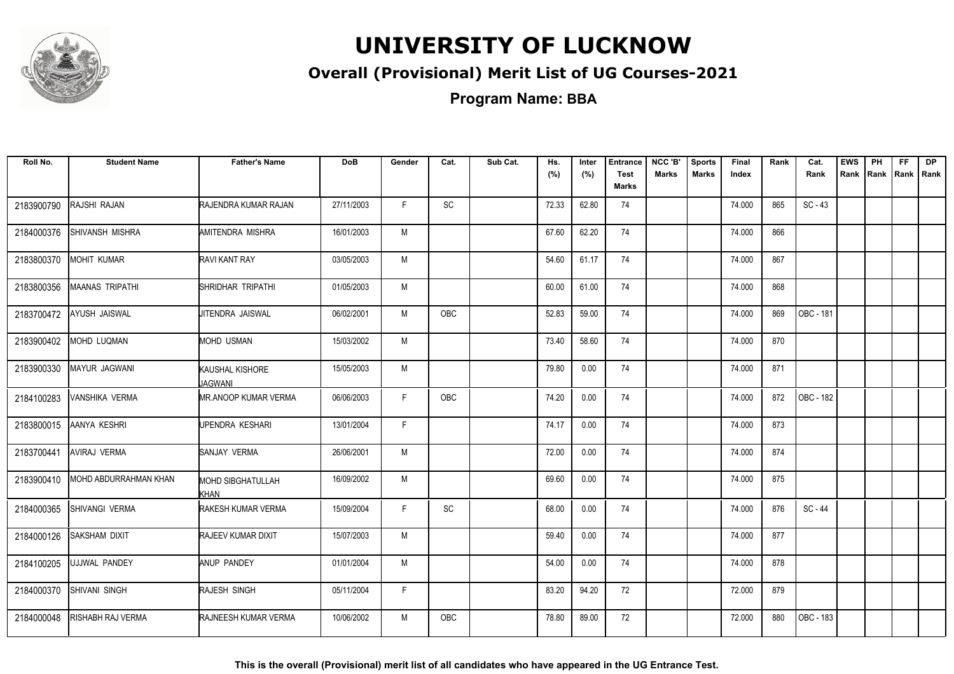

### **Overall (Provisional) Merit List of UG Courses-2021**

**Program Name: BBA**

| Roll No.   | <b>Student Name</b>          | <b>Father's Name</b>             | <b>DoB</b> | Gender | Cat.                         | Sub Cat. | Hs.<br>(%) | Inter<br>(%) | <b>Entrance</b><br><b>Test</b><br>Marks | NCC 'B'<br><b>Marks</b> | <b>Sports</b><br><b>Marks</b> | Final<br>Index | Rank | Cat.<br>Rank | <b>EWS</b><br>Rank | PH<br>Rank Rank Rank | FF. | <b>DP</b> |
|------------|------------------------------|----------------------------------|------------|--------|------------------------------|----------|------------|--------------|-----------------------------------------|-------------------------|-------------------------------|----------------|------|--------------|--------------------|----------------------|-----|-----------|
| 2183900790 | RAJSHI RAJAN                 | RAJENDRA KUMAR RAJAN             | 27/11/2003 | F.     | $\operatorname{\textsf{SC}}$ |          | 72.33      | 62.80        | 74                                      |                         |                               | 74.000         | 865  | $SC - 43$    |                    |                      |     |           |
| 2184000376 | SHIVANSH MISHRA              | AMITENDRA MISHRA                 | 16/01/2003 | M      |                              |          | 67.60      | 62.20        | 74                                      |                         |                               | 74.000         | 866  |              |                    |                      |     |           |
| 2183800370 | <b>MOHIT KUMAR</b>           | RAVI KANT RAY                    | 03/05/2003 | M      |                              |          | 54.60      | 61.17        | 74                                      |                         |                               | 74.000         | 867  |              |                    |                      |     |           |
| 2183800356 | <b>MAANAS TRIPATHI</b>       | SHRIDHAR TRIPATHI                | 01/05/2003 | M      |                              |          | 60.00      | 61.00        | 74                                      |                         |                               | 74.000         | 868  |              |                    |                      |     |           |
| 2183700472 | AYUSH JAISWAL                | JITENDRA JAISWAL                 | 06/02/2001 | M      | OBC                          |          | 52.83      | 59.00        | 74                                      |                         |                               | 74.000         | 869  | OBC - 181    |                    |                      |     |           |
| 2183900402 | <b>MOHD LUQMAN</b>           | <b>MOHD USMAN</b>                | 15/03/2002 | M      |                              |          | 73.40      | 58.60        | 74                                      |                         |                               | 74.000         | 870  |              |                    |                      |     |           |
| 2183900330 | <b>MAYUR JAGWANI</b>         | KAUSHAL KISHORE<br>JAGWANI       | 15/05/2003 | M      |                              |          | 79.80      | 0.00         | 74                                      |                         |                               | 74.000         | 871  |              |                    |                      |     |           |
| 2184100283 | VANSHIKA VERMA               | <b>MR.ANOOP KUMAR VERMA</b>      | 06/06/2003 | F      | <b>OBC</b>                   |          | 74.20      | 0.00         | 74                                      |                         |                               | 74.000         | 872  | OBC - 182    |                    |                      |     |           |
| 2183800015 | AANYA KESHRI                 | UPENDRA KESHARI                  | 13/01/2004 | F.     |                              |          | 74.17      | 0.00         | 74                                      |                         |                               | 74.000         | 873  |              |                    |                      |     |           |
| 2183700441 | <b>AVIRAJ VERMA</b>          | SANJAY VERMA                     | 26/06/2001 | M      |                              |          | 72.00      | 0.00         | 74                                      |                         |                               | 74.000         | 874  |              |                    |                      |     |           |
| 2183900410 | <b>MOHD ABDURRAHMAN KHAN</b> | <b>MOHD SIBGHATULLAH</b><br>Khan | 16/09/2002 | M      |                              |          | 69.60      | 0.00         | 74                                      |                         |                               | 74.000         | 875  |              |                    |                      |     |           |
| 2184000365 | SHIVANGI VERMA               | RAKESH KUMAR VERMA               | 15/09/2004 | F      | SC                           |          | 68.00      | 0.00         | 74                                      |                         |                               | 74.000         | 876  | SC-44        |                    |                      |     |           |
| 2184000126 | <b>SAKSHAM DIXIT</b>         | <b>RAJEEV KUMAR DIXIT</b>        | 15/07/2003 | M      |                              |          | 59.40      | 0.00         | 74                                      |                         |                               | 74.000         | 877  |              |                    |                      |     |           |
| 2184100205 | UJJWAL PANDEY                | <b>ANUP PANDEY</b>               | 01/01/2004 | M      |                              |          | 54.00      | 0.00         | 74                                      |                         |                               | 74.000         | 878  |              |                    |                      |     |           |
| 2184000370 | SHIVANI SINGH                | RAJESH SINGH                     | 05/11/2004 | F.     |                              |          | 83.20      | 94.20        | 72                                      |                         |                               | 72.000         | 879  |              |                    |                      |     |           |
| 2184000048 | <b>RISHABH RAJ VERMA</b>     | RAJNEESH KUMAR VERMA             | 10/06/2002 | M      | OBC                          |          | 78.80      | 89.00        | 72                                      |                         |                               | 72.000         | 880  | OBC - 183    |                    |                      |     |           |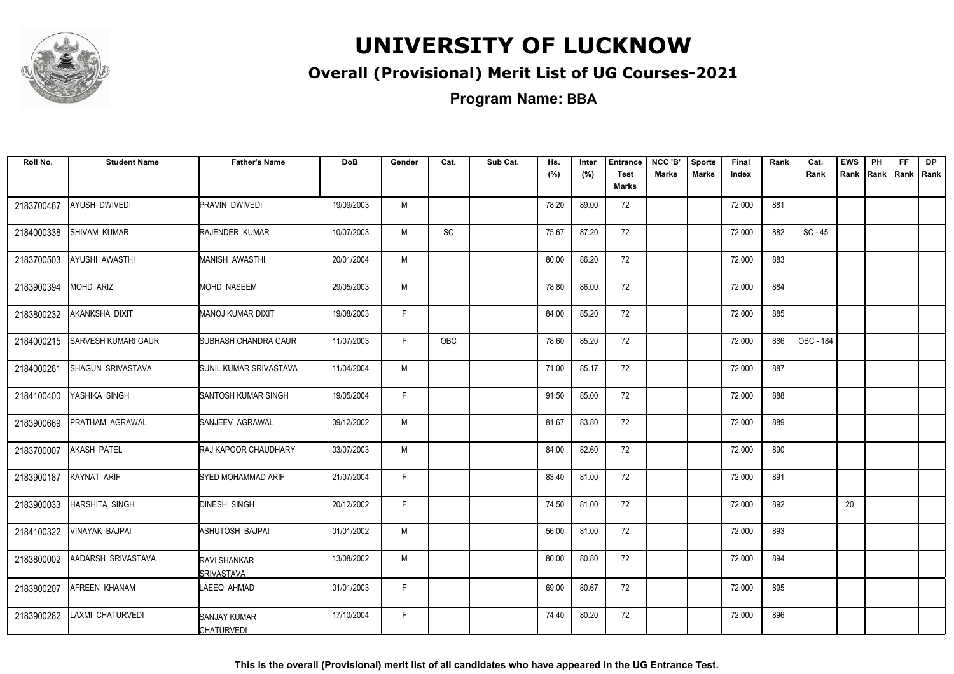

### **Overall (Provisional) Merit List of UG Courses-2021**

**Program Name: BBA**

| Roll No.   | <b>Student Name</b>        | <b>Father's Name</b>               | <b>DoB</b> | Gender | Cat. | Sub Cat. | Hs.   | Inter | <b>Entrance</b>      | NCC 'B'      | <b>Sports</b> | Final  | Rank | Cat.      | <b>EWS</b> | PH | FF. | <b>DP</b>           |
|------------|----------------------------|------------------------------------|------------|--------|------|----------|-------|-------|----------------------|--------------|---------------|--------|------|-----------|------------|----|-----|---------------------|
|            |                            |                                    |            |        |      |          | (%)   | (%)   | <b>Test</b><br>Marks | <b>Marks</b> | <b>Marks</b>  | Index  |      | Rank      |            |    |     | Rank Rank Rank Rank |
| 2183700467 | <b>AYUSH DWIVEDI</b>       | PRAVIN DWIVEDI                     | 19/09/2003 | M      |      |          | 78.20 | 89.00 | 72                   |              |               | 72.000 | 881  |           |            |    |     |                     |
| 2184000338 | SHIVAM KUMAR               | RAJENDER KUMAR                     | 10/07/2003 | M      | SC   |          | 75.67 | 87.20 | 72                   |              |               | 72.000 | 882  | $SC - 45$ |            |    |     |                     |
| 2183700503 | AYUSHI AWASTHI             | MANISH AWASTHI                     | 20/01/2004 | M      |      |          | 80.00 | 86.20 | 72                   |              |               | 72.000 | 883  |           |            |    |     |                     |
| 2183900394 | <b>MOHD ARIZ</b>           | <b>MOHD NASEEM</b>                 | 29/05/2003 | M      |      |          | 78.80 | 86.00 | 72                   |              |               | 72.000 | 884  |           |            |    |     |                     |
| 2183800232 | AKANKSHA DIXIT             | MANOJ KUMAR DIXIT                  | 19/08/2003 | F.     |      |          | 84.00 | 85.20 | 72                   |              |               | 72.000 | 885  |           |            |    |     |                     |
| 2184000215 | <b>SARVESH KUMARI GAUR</b> | SUBHASH CHANDRA GAUR               | 11/07/2003 | F.     | OBC  |          | 78.60 | 85.20 | 72                   |              |               | 72.000 | 886  | OBC - 184 |            |    |     |                     |
| 2184000261 | SHAGUN SRIVASTAVA          | SUNIL KUMAR SRIVASTAVA             | 11/04/2004 | M      |      |          | 71.00 | 85.17 | 72                   |              |               | 72.000 | 887  |           |            |    |     |                     |
| 2184100400 | YASHIKA SINGH              | SANTOSH KUMAR SINGH                | 19/05/2004 | F.     |      |          | 91.50 | 85.00 | 72                   |              |               | 72.000 | 888  |           |            |    |     |                     |
| 2183900669 | PRATHAM AGRAWAL            | SANJEEV AGRAWAL                    | 09/12/2002 | M      |      |          | 81.67 | 83.80 | 72                   |              |               | 72.000 | 889  |           |            |    |     |                     |
| 2183700007 | <b>AKASH PATEL</b>         | RAJ KAPOOR CHAUDHARY               | 03/07/2003 | M      |      |          | 84.00 | 82.60 | 72                   |              |               | 72.000 | 890  |           |            |    |     |                     |
| 2183900187 | KAYNAT ARIF                | SYED MOHAMMAD ARIF                 | 21/07/2004 | F.     |      |          | 83.40 | 81.00 | 72                   |              |               | 72.000 | 891  |           |            |    |     |                     |
| 2183900033 | <b>HARSHITA SINGH</b>      | <b>DINESH SINGH</b>                | 20/12/2002 | F.     |      |          | 74.50 | 81.00 | 72                   |              |               | 72.000 | 892  |           | 20         |    |     |                     |
| 2184100322 | <b>VINAYAK BAJPAI</b>      | ASHUTOSH BAJPAI                    | 01/01/2002 | M      |      |          | 56.00 | 81.00 | 72                   |              |               | 72.000 | 893  |           |            |    |     |                     |
| 2183800002 | AADARSH SRIVASTAVA         | RAVI SHANKAR<br><b>ISRIVASTAVA</b> | 13/08/2002 | M      |      |          | 80.00 | 80.80 | 72                   |              |               | 72.000 | 894  |           |            |    |     |                     |
| 2183800207 | AFREEN KHANAM              | LAEEQ AHMAD                        | 01/01/2003 | F      |      |          | 69.00 | 80.67 | 72                   |              |               | 72.000 | 895  |           |            |    |     |                     |
| 2183900282 | LAXMI CHATURVEDI           | SANJAY KUMAR<br><b>CHATURVEDI</b>  | 17/10/2004 | F      |      |          | 74.40 | 80.20 | 72                   |              |               | 72.000 | 896  |           |            |    |     |                     |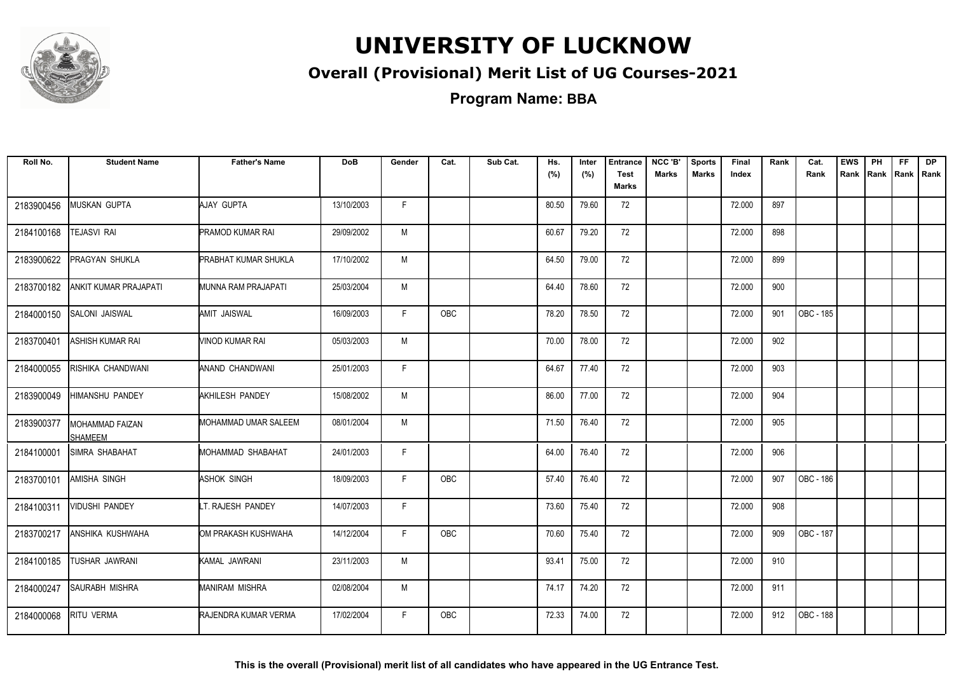

### **Overall (Provisional) Merit List of UG Courses-2021**

**Program Name: BBA**

| Roll No.   | <b>Student Name</b>               | <b>Father's Name</b>        | <b>DoB</b> | Gender | Cat.       | Sub Cat. | Hs.<br>(%) | Inter<br>(%) | <b>Entrance</b><br><b>Test</b><br><b>Marks</b> | NCC 'B'<br><b>Marks</b> | <b>Sports</b><br><b>Marks</b> | Final<br>Index | Rank | Cat.<br>Rank     | <b>EWS</b> | PH<br>Rank Rank | FF.<br>Rank   Rank | <b>DP</b> |
|------------|-----------------------------------|-----------------------------|------------|--------|------------|----------|------------|--------------|------------------------------------------------|-------------------------|-------------------------------|----------------|------|------------------|------------|-----------------|--------------------|-----------|
| 2183900456 | MUSKAN GUPTA                      | AJAY GUPTA                  | 13/10/2003 | F.     |            |          | 80.50      | 79.60        | 72                                             |                         |                               | 72.000         | 897  |                  |            |                 |                    |           |
| 2184100168 | <b>TEJASVI RAI</b>                | <b>PRAMOD KUMAR RAI</b>     | 29/09/2002 | M      |            |          | 60.67      | 79.20        | 72                                             |                         |                               | 72.000         | 898  |                  |            |                 |                    |           |
| 2183900622 | PRAGYAN SHUKLA                    | <b>PRABHAT KUMAR SHUKLA</b> | 17/10/2002 | M      |            |          | 64.50      | 79.00        | 72                                             |                         |                               | 72.000         | 899  |                  |            |                 |                    |           |
| 2183700182 | ANKIT KUMAR PRAJAPATI             | MUNNA RAM PRAJAPATI         | 25/03/2004 | M      |            |          | 64.40      | 78.60        | 72                                             |                         |                               | 72.000         | 900  |                  |            |                 |                    |           |
| 2184000150 | SALONI JAISWAL                    | AMIT JAISWAL                | 16/09/2003 | F.     | OBC        |          | 78.20      | 78.50        | 72                                             |                         |                               | 72.000         | 901  | OBC - 185        |            |                 |                    |           |
| 2183700401 | ASHISH KUMAR RAI                  | VINOD KUMAR RAI             | 05/03/2003 | M      |            |          | 70.00      | 78.00        | 72                                             |                         |                               | 72.000         | 902  |                  |            |                 |                    |           |
| 2184000055 | RISHIKA CHANDWANI                 | ANAND CHANDWANI             | 25/01/2003 | F.     |            |          | 64.67      | 77.40        | 72                                             |                         |                               | 72.000         | 903  |                  |            |                 |                    |           |
| 2183900049 | <b>HIMANSHU PANDEY</b>            | <b>AKHILESH PANDEY</b>      | 15/08/2002 | M      |            |          | 86.00      | 77.00        | 72                                             |                         |                               | 72.000         | 904  |                  |            |                 |                    |           |
| 2183900377 | MOHAMMAD FAIZAN<br><b>SHAMEEM</b> | MOHAMMAD UMAR SALEEM        | 08/01/2004 | M      |            |          | 71.50      | 76.40        | 72                                             |                         |                               | 72.000         | 905  |                  |            |                 |                    |           |
| 2184100001 | SIMRA SHABAHAT                    | MOHAMMAD SHABAHAT           | 24/01/2003 | F      |            |          | 64.00      | 76.40        | 72                                             |                         |                               | 72.000         | 906  |                  |            |                 |                    |           |
| 2183700101 | <b>AMISHA SINGH</b>               | ASHOK SINGH                 | 18/09/2003 | F.     | OBC        |          | 57.40      | 76.40        | 72                                             |                         |                               | 72.000         | 907  | <b>OBC - 186</b> |            |                 |                    |           |
| 2184100311 | <b>VIDUSHI PANDEY</b>             | LT. RAJESH PANDEY           | 14/07/2003 | F.     |            |          | 73.60      | 75.40        | 72                                             |                         |                               | 72.000         | 908  |                  |            |                 |                    |           |
| 2183700217 | ANSHIKA KUSHWAHA                  | OM PRAKASH KUSHWAHA         | 14/12/2004 | F.     | OBC        |          | 70.60      | 75.40        | 72                                             |                         |                               | 72.000         | 909  | OBC - 187        |            |                 |                    |           |
| 2184100185 | <b>TUSHAR JAWRANI</b>             | KAMAL JAWRANI               | 23/11/2003 | M      |            |          | 93.41      | 75.00        | 72                                             |                         |                               | 72.000         | 910  |                  |            |                 |                    |           |
| 2184000247 | <b>SAURABH MISHRA</b>             | <b>MANIRAM MISHRA</b>       | 02/08/2004 | M      |            |          | 74.17      | 74.20        | 72                                             |                         |                               | 72.000         | 911  |                  |            |                 |                    |           |
| 2184000068 | RITU VERMA                        | <b>RAJENDRA KUMAR VERMA</b> | 17/02/2004 | F.     | <b>OBC</b> |          | 72.33      | 74.00        | 72                                             |                         |                               | 72.000         | 912  | OBC - 188        |            |                 |                    |           |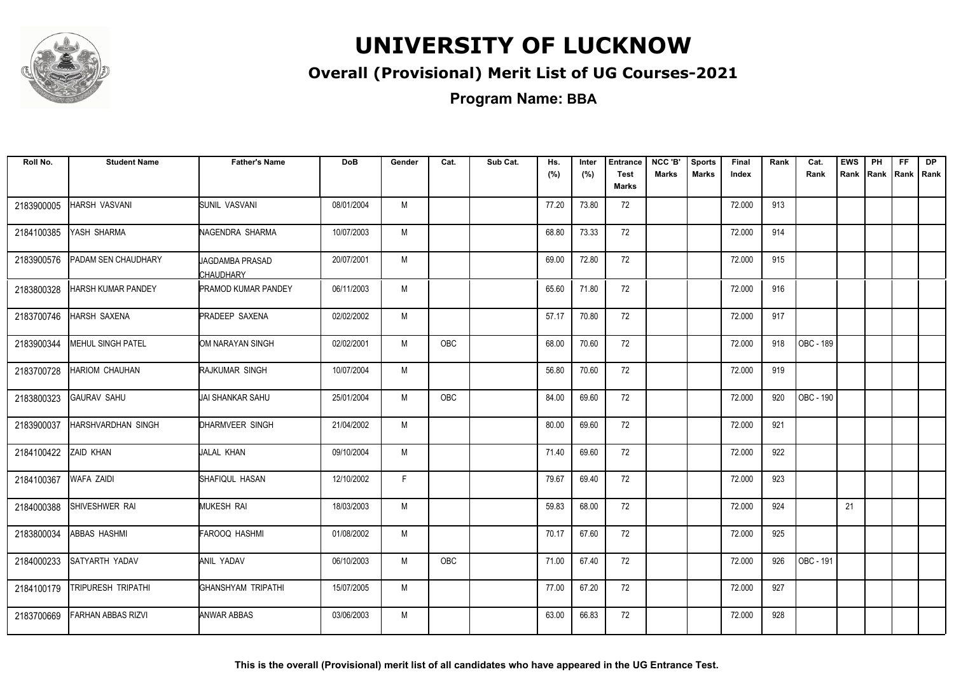

### **Overall (Provisional) Merit List of UG Courses-2021**

**Program Name: BBA**

| Roll No.   | <b>Student Name</b>       | <b>Father's Name</b>                | <b>DoB</b> | Gender | Cat.       | Sub Cat. | Hs.<br>(%) | Inter<br>(%) | <b>Entrance</b><br><b>Test</b><br><b>Marks</b> | NCC 'B'<br><b>Marks</b> | <b>Sports</b><br><b>Marks</b> | Final<br>Index | Rank | Cat.<br>Rank     | <b>EWS</b><br>Rank | PH<br>Rank | <b>FF</b><br>Rank   Rank | <b>DP</b> |
|------------|---------------------------|-------------------------------------|------------|--------|------------|----------|------------|--------------|------------------------------------------------|-------------------------|-------------------------------|----------------|------|------------------|--------------------|------------|--------------------------|-----------|
| 2183900005 | HARSH VASVANI             | <b>SUNIL VASVANI</b>                | 08/01/2004 | M      |            |          | 77.20      | 73.80        | 72                                             |                         |                               | 72.000         | 913  |                  |                    |            |                          |           |
| 2184100385 | YASH SHARMA               | NAGENDRA SHARMA                     | 10/07/2003 | M      |            |          | 68.80      | 73.33        | 72                                             |                         |                               | 72.000         | 914  |                  |                    |            |                          |           |
| 2183900576 | PADAM SEN CHAUDHARY       | <b>JAGDAMBA PRASAD</b><br>CHAUDHARY | 20/07/2001 | M      |            |          | 69.00      | 72.80        | 72                                             |                         |                               | 72.000         | 915  |                  |                    |            |                          |           |
| 2183800328 | HARSH KUMAR PANDEY        | PRAMOD KUMAR PANDEY                 | 06/11/2003 | M      |            |          | 65.60      | 71.80        | 72                                             |                         |                               | 72.000         | 916  |                  |                    |            |                          |           |
| 2183700746 | HARSH SAXENA              | <b>PRADEEP SAXENA</b>               | 02/02/2002 | M      |            |          | 57.17      | 70.80        | 72                                             |                         |                               | 72.000         | 917  |                  |                    |            |                          |           |
| 2183900344 | <b>MEHUL SINGH PATEL</b>  | OM NARAYAN SINGH                    | 02/02/2001 | M      | <b>OBC</b> |          | 68.00      | 70.60        | 72                                             |                         |                               | 72.000         | 918  | <b>OBC - 189</b> |                    |            |                          |           |
| 2183700728 | HARIOM CHAUHAN            | RAJKUMAR SINGH                      | 10/07/2004 | M      |            |          | 56.80      | 70.60        | 72                                             |                         |                               | 72.000         | 919  |                  |                    |            |                          |           |
| 2183800323 | <b>GAURAV SAHU</b>        | UAI SHANKAR SAHU                    | 25/01/2004 | M      | OBC        |          | 84.00      | 69.60        | 72                                             |                         |                               | 72.000         | 920  | OBC - 190        |                    |            |                          |           |
| 2183900037 | HARSHVARDHAN SINGH        | DHARMVEER SINGH                     | 21/04/2002 | M      |            |          | 80.00      | 69.60        | 72                                             |                         |                               | 72.000         | 921  |                  |                    |            |                          |           |
| 2184100422 | ZAID KHAN                 | JALAL KHAN                          | 09/10/2004 | M      |            |          | 71.40      | 69.60        | 72                                             |                         |                               | 72.000         | 922  |                  |                    |            |                          |           |
| 2184100367 | WAFA ZAIDI                | SHAFIQUL HASAN                      | 12/10/2002 | F.     |            |          | 79.67      | 69.40        | 72                                             |                         |                               | 72.000         | 923  |                  |                    |            |                          |           |
| 2184000388 | SHIVESHWER RAI            | MUKESH RAI                          | 18/03/2003 | M      |            |          | 59.83      | 68.00        | 72                                             |                         |                               | 72.000         | 924  |                  | 21                 |            |                          |           |
| 2183800034 | ABBAS HASHMI              | FAROOQ HASHMI                       | 01/08/2002 | M      |            |          | 70.17      | 67.60        | 72                                             |                         |                               | 72.000         | 925  |                  |                    |            |                          |           |
| 2184000233 | SATYARTH YADAV            | ANIL YADAV                          | 06/10/2003 | M      | OBC        |          | 71.00      | 67.40        | 72                                             |                         |                               | 72.000         | 926  | OBC - 191        |                    |            |                          |           |
| 2184100179 | <b>TRIPURESH TRIPATHI</b> | GHANSHYAM TRIPATHI                  | 15/07/2005 | M      |            |          | 77.00      | 67.20        | 72                                             |                         |                               | 72.000         | 927  |                  |                    |            |                          |           |
| 2183700669 | <b>FARHAN ABBAS RIZVI</b> | ANWAR ABBAS                         | 03/06/2003 | M      |            |          | 63.00      | 66.83        | 72                                             |                         |                               | 72.000         | 928  |                  |                    |            |                          |           |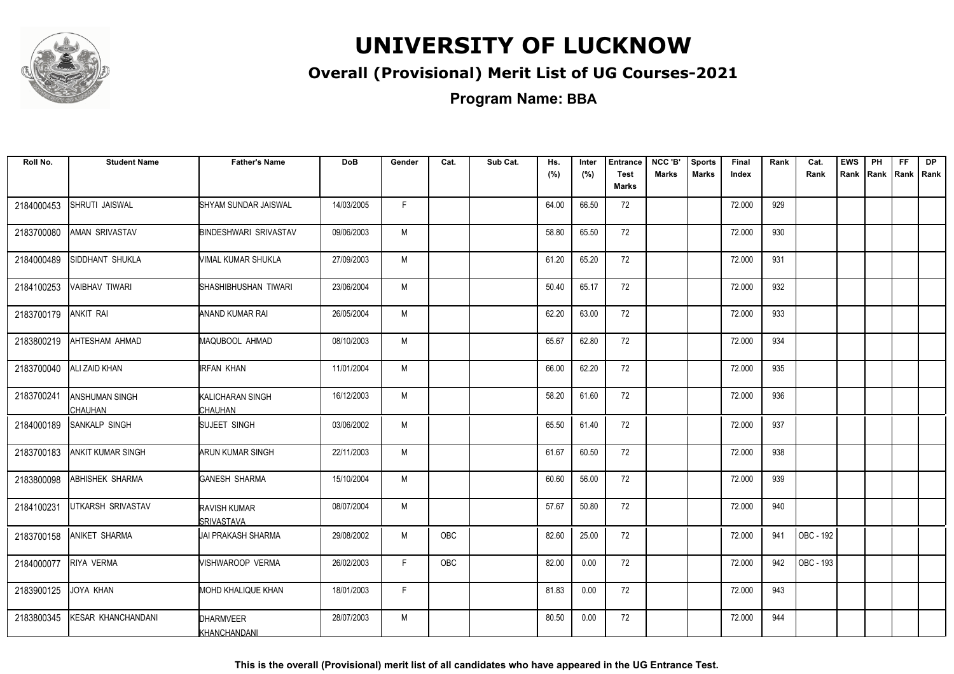

### **Overall (Provisional) Merit List of UG Courses-2021**

**Program Name: BBA**

| Roll No.   | <b>Student Name</b>                     | <b>Father's Name</b>               | <b>DoB</b> | Gender | Cat.       | Sub Cat. | Hs.<br>(%) | Inter<br>(%) | <b>Entrance</b><br><b>Test</b> | NCC 'B'<br><b>Marks</b> | <b>Sports</b><br><b>Marks</b> | Final<br>Index | Rank | Cat.<br>Rank | <b>EWS</b><br>Rank Rank Rank Rank | PH | FF. | <b>DP</b> |
|------------|-----------------------------------------|------------------------------------|------------|--------|------------|----------|------------|--------------|--------------------------------|-------------------------|-------------------------------|----------------|------|--------------|-----------------------------------|----|-----|-----------|
|            |                                         |                                    |            |        |            |          |            |              | Marks                          |                         |                               |                |      |              |                                   |    |     |           |
| 2184000453 | SHRUTI JAISWAL                          | SHYAM SUNDAR JAISWAL               | 14/03/2005 | F.     |            |          | 64.00      | 66.50        | 72                             |                         |                               | 72.000         | 929  |              |                                   |    |     |           |
| 2183700080 | <b>AMAN SRIVASTAV</b>                   | <b>BINDESHWARI SRIVASTAV</b>       | 09/06/2003 | M      |            |          | 58.80      | 65.50        | 72                             |                         |                               | 72.000         | 930  |              |                                   |    |     |           |
| 2184000489 | SIDDHANT SHUKLA                         | VIMAL KUMAR SHUKLA                 | 27/09/2003 | M      |            |          | 61.20      | 65.20        | 72                             |                         |                               | 72.000         | 931  |              |                                   |    |     |           |
| 2184100253 | <b>VAIBHAV TIWARI</b>                   | SHASHIBHUSHAN TIWARI               | 23/06/2004 | M      |            |          | 50.40      | 65.17        | 72                             |                         |                               | 72.000         | 932  |              |                                   |    |     |           |
| 2183700179 | <b>ANKIT RAI</b>                        | ANAND KUMAR RAI                    | 26/05/2004 | M      |            |          | 62.20      | 63.00        | 72                             |                         |                               | 72.000         | 933  |              |                                   |    |     |           |
| 2183800219 | AHTESHAM AHMAD                          | MAQUBOOL AHMAD                     | 08/10/2003 | M      |            |          | 65.67      | 62.80        | 72                             |                         |                               | 72.000         | 934  |              |                                   |    |     |           |
| 2183700040 | ALI ZAID KHAN                           | <b>IRFAN KHAN</b>                  | 11/01/2004 | M      |            |          | 66.00      | 62.20        | 72                             |                         |                               | 72.000         | 935  |              |                                   |    |     |           |
| 2183700241 | <b>ANSHUMAN SINGH</b><br><b>CHAUHAN</b> | KALICHARAN SINGH<br><b>CHAUHAN</b> | 16/12/2003 | M      |            |          | 58.20      | 61.60        | 72                             |                         |                               | 72.000         | 936  |              |                                   |    |     |           |
| 2184000189 | <b>SANKALP SINGH</b>                    | SUJEET SINGH                       | 03/06/2002 | M      |            |          | 65.50      | 61.40        | 72                             |                         |                               | 72.000         | 937  |              |                                   |    |     |           |
| 2183700183 | <b>ANKIT KUMAR SINGH</b>                | ARUN KUMAR SINGH                   | 22/11/2003 | M      |            |          | 61.67      | 60.50        | 72                             |                         |                               | 72.000         | 938  |              |                                   |    |     |           |
| 2183800098 | ABHISHEK SHARMA                         | <b>GANESH SHARMA</b>               | 15/10/2004 | M      |            |          | 60.60      | 56.00        | 72                             |                         |                               | 72.000         | 939  |              |                                   |    |     |           |
| 2184100231 | <b>UTKARSH SRIVASTAV</b>                | RAVISH KUMAR<br><b>ISRIVASTAVA</b> | 08/07/2004 | M      |            |          | 57.67      | 50.80        | 72                             |                         |                               | 72.000         | 940  |              |                                   |    |     |           |
| 2183700158 | ANIKET SHARMA                           | UAI PRAKASH SHARMA                 | 29/08/2002 | М      | <b>OBC</b> |          | 82.60      | 25.00        | 72                             |                         |                               | 72.000         | 941  | OBC - 192    |                                   |    |     |           |
| 2184000077 | RIYA VERMA                              | WISHWAROOP VERMA                   | 26/02/2003 | F.     | OBC        |          | 82.00      | 0.00         | 72                             |                         |                               | 72.000         | 942  | OBC - 193    |                                   |    |     |           |
| 2183900125 | JOYA KHAN                               | <b>MOHD KHALIQUE KHAN</b>          | 18/01/2003 | F.     |            |          | 81.83      | 0.00         | 72                             |                         |                               | 72.000         | 943  |              |                                   |    |     |           |
| 2183800345 | KESAR KHANCHANDANI                      | <b>DHARMVEER</b><br>KHANCHANDANI   | 28/07/2003 | M      |            |          | 80.50      | 0.00         | 72                             |                         |                               | 72.000         | 944  |              |                                   |    |     |           |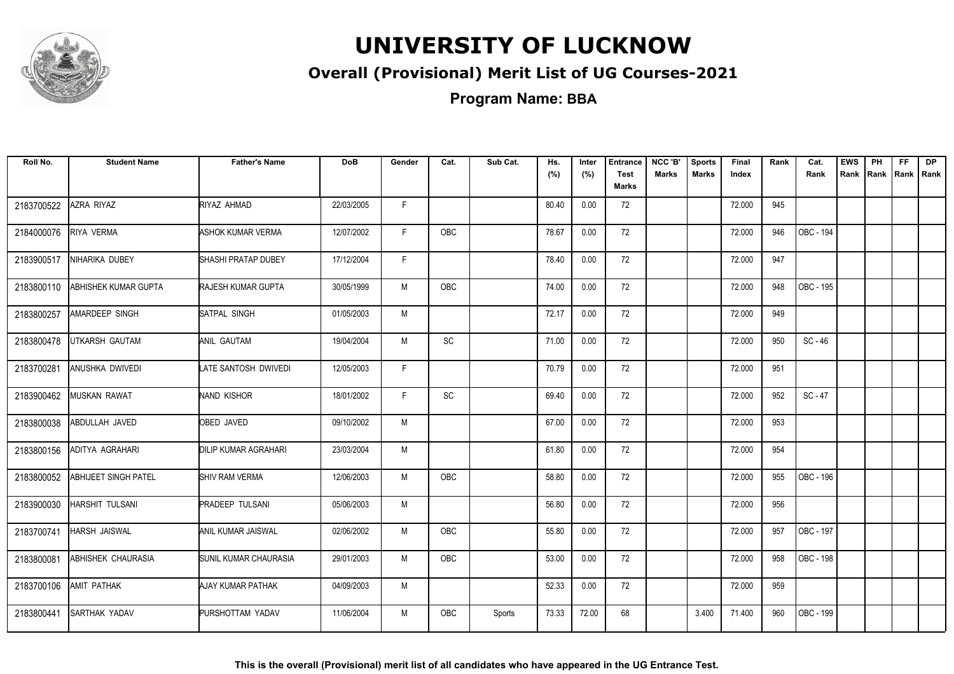

### **Overall (Provisional) Merit List of UG Courses-2021**

**Program Name: BBA**

| Roll No.   | <b>Student Name</b>       | <b>Father's Name</b>        | <b>DoB</b> | Gender | Cat.                         | Sub Cat. | Hs.<br>(%) | Inter<br>(%) | <b>Entrance</b><br><b>Test</b><br><b>Marks</b> | NCC 'B'<br><b>Marks</b> | <b>Sports</b><br><b>Marks</b> | Final<br>Index | Rank | Cat.<br>Rank | <b>EWS</b><br>Rank | PH<br>Rank | FF.<br>Rank   Rank | <b>DP</b> |
|------------|---------------------------|-----------------------------|------------|--------|------------------------------|----------|------------|--------------|------------------------------------------------|-------------------------|-------------------------------|----------------|------|--------------|--------------------|------------|--------------------|-----------|
| 2183700522 | AZRA RIYAZ                | RIYAZ AHMAD                 | 22/03/2005 | F.     |                              |          | 80.40      | 0.00         | 72                                             |                         |                               | 72.000         | 945  |              |                    |            |                    |           |
| 2184000076 | RIYA VERMA                | ASHOK KUMAR VERMA           | 12/07/2002 | F.     | <b>OBC</b>                   |          | 78.67      | 0.00         | 72                                             |                         |                               | 72.000         | 946  | OBC - 194    |                    |            |                    |           |
| 2183900517 | NIHARIKA DUBEY            | <b>SHASHI PRATAP DUBEY</b>  | 17/12/2004 | F      |                              |          | 78.40      | 0.00         | 72                                             |                         |                               | 72.000         | 947  |              |                    |            |                    |           |
| 2183800110 | ABHISHEK KUMAR GUPTA      | <b>RAJESH KUMAR GUPTA</b>   | 30/05/1999 | M      | <b>OBC</b>                   |          | 74.00      | 0.00         | 72                                             |                         |                               | 72.000         | 948  | OBC - 195    |                    |            |                    |           |
| 2183800257 | AMARDEEP SINGH            | SATPAL SINGH                | 01/05/2003 | M      |                              |          | 72.17      | 0.00         | 72                                             |                         |                               | 72.000         | 949  |              |                    |            |                    |           |
| 2183800478 | UTKARSH GAUTAM            | ANIL GAUTAM                 | 19/04/2004 | M      | SC                           |          | 71.00      | 0.00         | 72                                             |                         |                               | 72.000         | 950  | $SC - 46$    |                    |            |                    |           |
| 2183700281 | ANUSHKA DWIVEDI           | LATE SANTOSH DWIVEDI        | 12/05/2003 | F.     |                              |          | 70.79      | 0.00         | 72                                             |                         |                               | 72.000         | 951  |              |                    |            |                    |           |
| 2183900462 | <b>MUSKAN RAWAT</b>       | NAND KISHOR                 | 18/01/2002 | F.     | $\operatorname{\textsf{SC}}$ |          | 69.40      | 0.00         | 72                                             |                         |                               | 72.000         | 952  | $SC - 47$    |                    |            |                    |           |
| 2183800038 | ABDULLAH JAVED            | <b>OBED JAVED</b>           | 09/10/2002 | M      |                              |          | 67.00      | 0.00         | 72                                             |                         |                               | 72.000         | 953  |              |                    |            |                    |           |
| 2183800156 | ADITYA AGRAHARI           | <b>DILIP KUMAR AGRAHARI</b> | 23/03/2004 | M      |                              |          | 61.80      | 0.00         | 72                                             |                         |                               | 72.000         | 954  |              |                    |            |                    |           |
| 2183800052 | ABHIJEET SINGH PATEL      | <b>SHIV RAM VERMA</b>       | 12/06/2003 | M      | <b>OBC</b>                   |          | 58.80      | 0.00         | 72                                             |                         |                               | 72.000         | 955  | OBC - 196    |                    |            |                    |           |
| 2183900030 | HARSHIT TULSANI           | <b>PRADEEP TULSANI</b>      | 05/06/2003 | M      |                              |          | 56.80      | 0.00         | 72                                             |                         |                               | 72.000         | 956  |              |                    |            |                    |           |
| 2183700741 | HARSH JAISWAL             | <b>ANIL KUMAR JAISWAL</b>   | 02/06/2002 | M      | <b>OBC</b>                   |          | 55.80      | 0.00         | 72                                             |                         |                               | 72.000         | 957  | OBC - 197    |                    |            |                    |           |
| 2183800081 | <b>ABHISHEK CHAURASIA</b> | SUNIL KUMAR CHAURASIA       | 29/01/2003 | M      | OBC                          |          | 53.00      | 0.00         | 72                                             |                         |                               | 72.000         | 958  | OBC - 198    |                    |            |                    |           |
| 2183700106 | AMIT PATHAK               | AJAY KUMAR PATHAK           | 04/09/2003 | M      |                              |          | 52.33      | 0.00         | 72                                             |                         |                               | 72.000         | 959  |              |                    |            |                    |           |
| 2183800441 | SARTHAK YADAV             | PURSHOTTAM YADAV            | 11/06/2004 | M      | <b>OBC</b>                   | Sports   | 73.33      | 72.00        | 68                                             |                         | 3.400                         | 71.400         | 960  | OBC - 199    |                    |            |                    |           |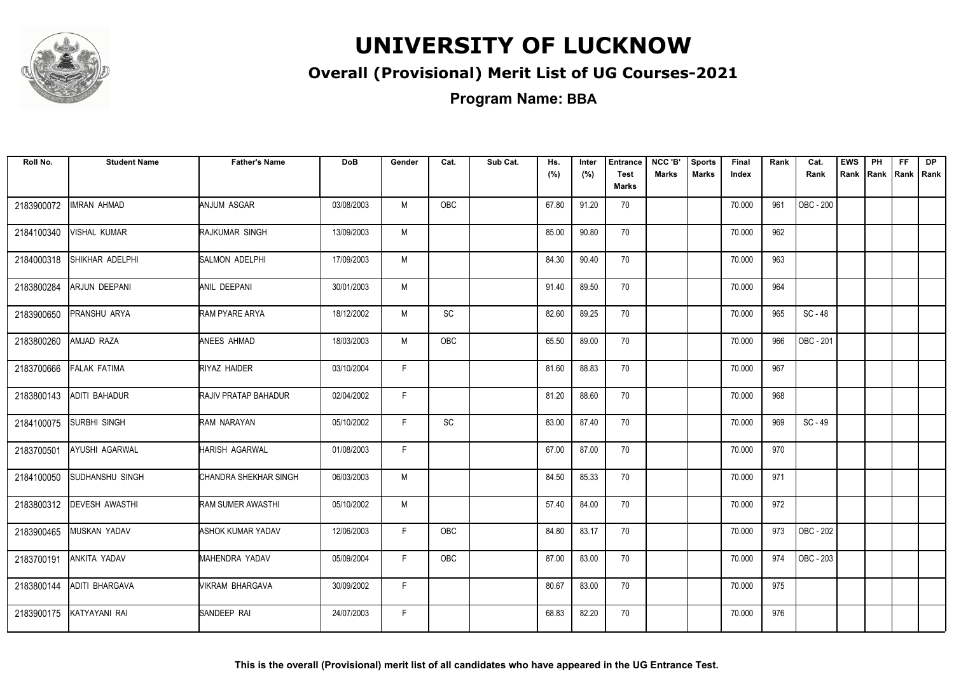

### **Overall (Provisional) Merit List of UG Courses-2021**

| Roll No.   | <b>Student Name</b>   | <b>Father's Name</b>  | <b>DoB</b> | Gender | Cat.                         | Sub Cat. | Hs.<br>(%) | Inter<br>(%) | <b>Entrance</b><br><b>Test</b><br>Marks | NCC 'B'<br><b>Marks</b> | <b>Sports</b><br><b>Marks</b> | Final<br>Index | Rank | Cat.<br>Rank | <b>EWS</b> | PH | FF. | <b>DP</b><br>Rank Rank Rank Rank |
|------------|-----------------------|-----------------------|------------|--------|------------------------------|----------|------------|--------------|-----------------------------------------|-------------------------|-------------------------------|----------------|------|--------------|------------|----|-----|----------------------------------|
| 2183900072 | <b>IMRAN AHMAD</b>    | ANJUM ASGAR           | 03/08/2003 | M      | OBC                          |          | 67.80      | 91.20        | 70                                      |                         |                               | 70.000         | 961  | OBC - 200    |            |    |     |                                  |
| 2184100340 | <b>VISHAL KUMAR</b>   | RAJKUMAR SINGH        | 13/09/2003 | M      |                              |          | 85.00      | 90.80        | 70                                      |                         |                               | 70.000         | 962  |              |            |    |     |                                  |
| 2184000318 | SHIKHAR ADELPHI       | <b>SALMON ADELPHI</b> | 17/09/2003 | M      |                              |          | 84.30      | 90.40        | 70                                      |                         |                               | 70.000         | 963  |              |            |    |     |                                  |
| 2183800284 | <b>ARJUN DEEPANI</b>  | ANIL DEEPANI          | 30/01/2003 | M      |                              |          | 91.40      | 89.50        | 70                                      |                         |                               | 70.000         | 964  |              |            |    |     |                                  |
| 2183900650 | PRANSHU ARYA          | RAM PYARE ARYA        | 18/12/2002 | M      | $\operatorname{\textsf{SC}}$ |          | 82.60      | 89.25        | 70                                      |                         |                               | 70.000         | 965  | SC-48        |            |    |     |                                  |
| 2183800260 | AMJAD RAZA            | ANEES AHMAD           | 18/03/2003 | M      | OBC                          |          | 65.50      | 89.00        | 70                                      |                         |                               | 70.000         | 966  | OBC - 201    |            |    |     |                                  |
| 2183700666 | <b>FALAK FATIMA</b>   | RIYAZ HAIDER          | 03/10/2004 | F.     |                              |          | 81.60      | 88.83        | 70                                      |                         |                               | 70.000         | 967  |              |            |    |     |                                  |
| 2183800143 | ADITI BAHADUR         | RAJIV PRATAP BAHADUR  | 02/04/2002 | F.     |                              |          | 81.20      | 88.60        | 70                                      |                         |                               | 70.000         | 968  |              |            |    |     |                                  |
| 2184100075 | SURBHI SINGH          | RAM NARAYAN           | 05/10/2002 | F.     | SC                           |          | 83.00      | 87.40        | 70                                      |                         |                               | 70.000         | 969  | SC-49        |            |    |     |                                  |
| 2183700501 | AYUSHI AGARWAL        | <b>HARISH AGARWAL</b> | 01/08/2003 | F.     |                              |          | 67.00      | 87.00        | 70                                      |                         |                               | 70.000         | 970  |              |            |    |     |                                  |
| 2184100050 | ISUDHANSHU SINGH      | CHANDRA SHEKHAR SINGH | 06/03/2003 | M      |                              |          | 84.50      | 85.33        | 70                                      |                         |                               | 70.000         | 971  |              |            |    |     |                                  |
| 2183800312 | <b>DEVESH AWASTHI</b> | RAM SUMER AWASTHI     | 05/10/2002 | M      |                              |          | 57.40      | 84.00        | 70                                      |                         |                               | 70.000         | 972  |              |            |    |     |                                  |
| 2183900465 | <b>MUSKAN YADAV</b>   | ASHOK KUMAR YADAV     | 12/06/2003 | F.     | OBC                          |          | 84.80      | 83.17        | 70                                      |                         |                               | 70.000         | 973  | OBC - 202    |            |    |     |                                  |
| 2183700191 | ANKITA YADAV          | MAHENDRA YADAV        | 05/09/2004 | F.     | OBC                          |          | 87.00      | 83.00        | 70                                      |                         |                               | 70.000         | 974  | OBC - 203    |            |    |     |                                  |
| 2183800144 | ADITI BHARGAVA        | VIKRAM BHARGAVA       | 30/09/2002 | F.     |                              |          | 80.67      | 83.00        | 70                                      |                         |                               | 70.000         | 975  |              |            |    |     |                                  |
| 2183900175 | KATYAYANI RAI         | SANDEEP RAI           | 24/07/2003 | F.     |                              |          | 68.83      | 82.20        | 70                                      |                         |                               | 70.000         | 976  |              |            |    |     |                                  |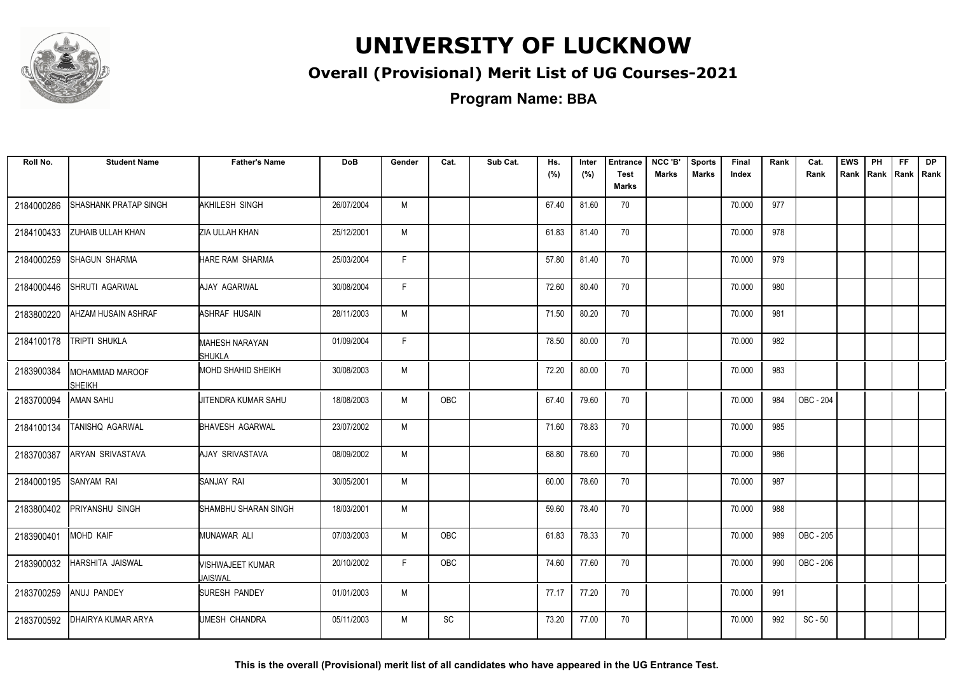

#### **Overall (Provisional) Merit List of UG Courses-2021**

**Program Name: BBA**

| Roll No.   | <b>Student Name</b>       | <b>Father's Name</b>                   | <b>DoB</b> | Gender | Cat. | Sub Cat. | Hs.<br>(%) | Inter<br>(%) | <b>Entrance</b><br><b>Test</b><br>Marks | NCC 'B'<br><b>Marks</b> | <b>Sports</b><br><b>Marks</b> | Final<br>Index | Rank | Cat.<br>Rank     | <b>EWS</b><br>Rank | PH<br>Rank | FF.<br>Rank   Rank | <b>DP</b> |
|------------|---------------------------|----------------------------------------|------------|--------|------|----------|------------|--------------|-----------------------------------------|-------------------------|-------------------------------|----------------|------|------------------|--------------------|------------|--------------------|-----------|
| 2184000286 | SHASHANK PRATAP SINGH     | AKHILESH SINGH                         | 26/07/2004 | M      |      |          | 67.40      | 81.60        | 70                                      |                         |                               | 70.000         | 977  |                  |                    |            |                    |           |
| 2184100433 | ZUHAIB ULLAH KHAN         | ZIA ULLAH KHAN                         | 25/12/2001 | M      |      |          | 61.83      | 81.40        | 70                                      |                         |                               | 70.000         | 978  |                  |                    |            |                    |           |
| 2184000259 | <b>SHAGUN SHARMA</b>      | <b>HARE RAM SHARMA</b>                 | 25/03/2004 | F.     |      |          | 57.80      | 81.40        | 70                                      |                         |                               | 70.000         | 979  |                  |                    |            |                    |           |
| 2184000446 | SHRUTI AGARWAL            | AJAY AGARWAL                           | 30/08/2004 | F      |      |          | 72.60      | 80.40        | 70                                      |                         |                               | 70.000         | 980  |                  |                    |            |                    |           |
| 2183800220 | AHZAM HUSAIN ASHRAF       | ASHRAF HUSAIN                          | 28/11/2003 | M      |      |          | 71.50      | 80.20        | 70                                      |                         |                               | 70.000         | 981  |                  |                    |            |                    |           |
| 2184100178 | TRIPTI SHUKLA             | <b>MAHESH NARAYAN</b><br><b>SHUKLA</b> | 01/09/2004 | F.     |      |          | 78.50      | 80.00        | 70                                      |                         |                               | 70.000         | 982  |                  |                    |            |                    |           |
| 2183900384 | MOHAMMAD MAROOF<br>SHEIKH | <b>MOHD SHAHID SHEIKH</b>              | 30/08/2003 | M      |      |          | 72.20      | 80.00        | 70                                      |                         |                               | 70.000         | 983  |                  |                    |            |                    |           |
| 2183700094 | AMAN SAHU                 | JITENDRA KUMAR SAHU                    | 18/08/2003 | M      | OBC  |          | 67.40      | 79.60        | 70                                      |                         |                               | 70.000         | 984  | OBC - 204        |                    |            |                    |           |
| 2184100134 | TANISHQ AGARWAL           | <b>BHAVESH AGARWAL</b>                 | 23/07/2002 | M      |      |          | 71.60      | 78.83        | 70                                      |                         |                               | 70.000         | 985  |                  |                    |            |                    |           |
| 2183700387 | ARYAN SRIVASTAVA          | AJAY SRIVASTAVA                        | 08/09/2002 | M      |      |          | 68.80      | 78.60        | 70                                      |                         |                               | 70.000         | 986  |                  |                    |            |                    |           |
| 2184000195 | SANYAM RAI                | SANJAY RAI                             | 30/05/2001 | M      |      |          | 60.00      | 78.60        | 70                                      |                         |                               | 70.000         | 987  |                  |                    |            |                    |           |
| 2183800402 | PRIYANSHU SINGH           | SHAMBHU SHARAN SINGH                   | 18/03/2001 | M      |      |          | 59.60      | 78.40        | 70                                      |                         |                               | 70.000         | 988  |                  |                    |            |                    |           |
| 2183900401 | MOHD KAIF                 | MUNAWAR ALI                            | 07/03/2003 | M      | OBC  |          | 61.83      | 78.33        | 70                                      |                         |                               | 70.000         | 989  | <b>OBC - 205</b> |                    |            |                    |           |
| 2183900032 | HARSHITA JAISWAL          | VISHWAJEET KUMAR<br>JAISWAL            | 20/10/2002 | F.     | OBC  |          | 74.60      | 77.60        | 70                                      |                         |                               | 70.000         | 990  | OBC - 206        |                    |            |                    |           |
| 2183700259 | ANUJ PANDEY               | SURESH PANDEY                          | 01/01/2003 | M      |      |          | 77.17      | 77.20        | 70                                      |                         |                               | 70.000         | 991  |                  |                    |            |                    |           |
| 2183700592 | DHAIRYA KUMAR ARYA        | <b>UMESH CHANDRA</b>                   | 05/11/2003 | M      | SC   |          | 73.20      | 77.00        | 70                                      |                         |                               | 70.000         | 992  | $SC - 50$        |                    |            |                    |           |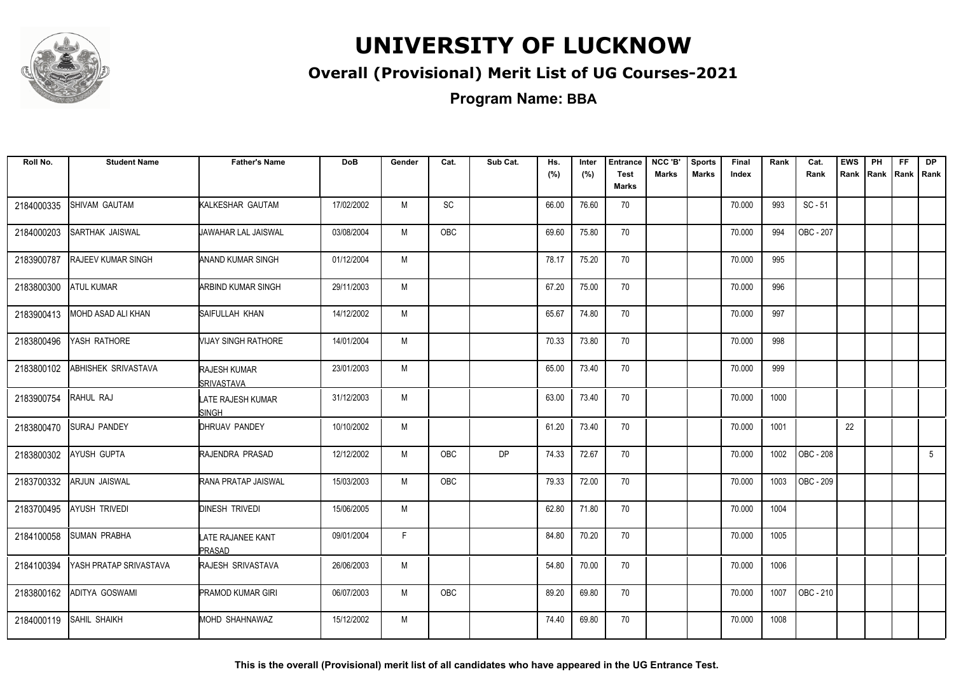

### **Overall (Provisional) Merit List of UG Courses-2021**

**Program Name: BBA**

| Roll No.   | <b>Student Name</b>        | <b>Father's Name</b>                     | <b>DoB</b> | Gender | Cat.       | Sub Cat.  | Hs.<br>(%) | Inter<br>(%) | <b>Entrance</b><br><b>Test</b> | NCC 'B'<br><b>Marks</b> | <b>Sports</b><br><b>Marks</b> | Final<br>Index | Rank | Cat.<br>Rank           | <b>EWS</b><br>Rank | PH<br>Rank Rank Rank | FF. | <b>DP</b>   |
|------------|----------------------------|------------------------------------------|------------|--------|------------|-----------|------------|--------------|--------------------------------|-------------------------|-------------------------------|----------------|------|------------------------|--------------------|----------------------|-----|-------------|
|            |                            |                                          |            |        |            |           |            |              | <b>Marks</b>                   |                         |                               |                |      |                        |                    |                      |     |             |
| 2184000335 | SHIVAM GAUTAM              | <b>KALKESHAR GAUTAM</b>                  | 17/02/2002 | M      | SC         |           | 66.00      | 76.60        | 70                             |                         |                               | 70.000         | 993  | $SC - 51$              |                    |                      |     |             |
| 2184000203 | <b>SARTHAK JAISWAL</b>     | <b>JAWAHAR LAL JAISWAL</b>               | 03/08/2004 | М      | OBC        |           | 69.60      | 75.80        | 70                             |                         |                               | 70.000         | 994  | OBC - 207              |                    |                      |     |             |
| 2183900787 | <b>RAJEEV KUMAR SINGH</b>  | <b>ANAND KUMAR SINGH</b>                 | 01/12/2004 | M      |            |           | 78.17      | 75.20        | 70                             |                         |                               | 70.000         | 995  |                        |                    |                      |     |             |
| 2183800300 | <b>ATUL KUMAR</b>          | <b>ARBIND KUMAR SINGH</b>                | 29/11/2003 | M      |            |           | 67.20      | 75.00        | 70                             |                         |                               | 70.000         | 996  |                        |                    |                      |     |             |
| 2183900413 | MOHD ASAD ALI KHAN         | <b>SAIFULLAH KHAN</b>                    | 14/12/2002 | M      |            |           | 65.67      | 74.80        | 70                             |                         |                               | 70.000         | 997  |                        |                    |                      |     |             |
| 2183800496 | YASH RATHORE               | <b><i>NIJAY SINGH RATHORE</i></b>        | 14/01/2004 | M      |            |           | 70.33      | 73.80        | 70                             |                         |                               | 70.000         | 998  |                        |                    |                      |     |             |
| 2183800102 | <b>ABHISHEK SRIVASTAVA</b> | <b>RAJESH KUMAR</b><br><b>SRIVASTAVA</b> | 23/01/2003 | М      |            |           | 65.00      | 73.40        | 70                             |                         |                               | 70.000         | 999  |                        |                    |                      |     |             |
| 2183900754 | RAHUL RAJ                  | LATE RAJESH KUMAR<br><b>SINGH</b>        | 31/12/2003 | M      |            |           | 63.00      | 73.40        | 70                             |                         |                               | 70.000         | 1000 |                        |                    |                      |     |             |
| 2183800470 | <b>SURAJ PANDEY</b>        | DHRUAV PANDEY                            | 10/10/2002 | M      |            |           | 61.20      | 73.40        | 70                             |                         |                               | 70.000         | 1001 |                        | 22                 |                      |     |             |
| 2183800302 | <b>AYUSH GUPTA</b>         | <b>IRAJENDRA PRASAD</b>                  | 12/12/2002 | M      | <b>OBC</b> | <b>DP</b> | 74.33      | 72.67        | 70                             |                         |                               | 70.000         | 1002 | OBC - 208              |                    |                      |     | $5^{\circ}$ |
| 2183700332 | <b>ARJUN JAISWAL</b>       | <b>RANA PRATAP JAISWAL</b>               | 15/03/2003 | M      | <b>OBC</b> |           | 79.33      | 72.00        | 70                             |                         |                               | 70.000         | 1003 | $\overline{OBC - 209}$ |                    |                      |     |             |
| 2183700495 | <b>AYUSH TRIVEDI</b>       | <b>DINESH TRIVEDI</b>                    | 15/06/2005 | M      |            |           | 62.80      | 71.80        | 70                             |                         |                               | 70.000         | 1004 |                        |                    |                      |     |             |
| 2184100058 | <b>SUMAN PRABHA</b>        | LATE RAJANEE KANT<br>PRASAD              | 09/01/2004 | F.     |            |           | 84.80      | 70.20        | 70                             |                         |                               | 70.000         | 1005 |                        |                    |                      |     |             |
| 2184100394 | YASH PRATAP SRIVASTAVA     | <b>IRAJESH SRIVASTAVA</b>                | 26/06/2003 | М      |            |           | 54.80      | 70.00        | 70                             |                         |                               | 70.000         | 1006 |                        |                    |                      |     |             |
| 2183800162 | ADITYA GOSWAMI             | <b>PRAMOD KUMAR GIRI</b>                 | 06/07/2003 | М      | OBC        |           | 89.20      | 69.80        | 70                             |                         |                               | 70.000         | 1007 | OBC - 210              |                    |                      |     |             |
| 2184000119 | <b>SAHIL SHAIKH</b>        | MOHD SHAHNAWAZ                           | 15/12/2002 | M      |            |           | 74.40      | 69.80        | 70                             |                         |                               | 70.000         | 1008 |                        |                    |                      |     |             |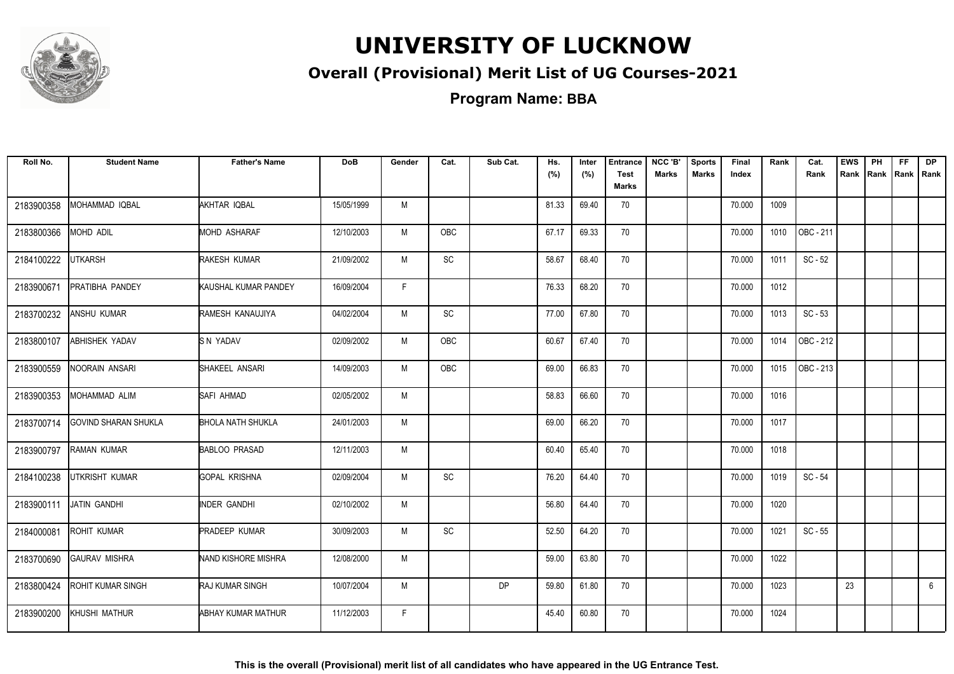

### **Overall (Provisional) Merit List of UG Courses-2021**

| Roll No.   | <b>Student Name</b>         | <b>Father's Name</b>     | <b>DoB</b> | Gender | Cat.                         | Sub Cat.  | Hs.<br>(%) | Inter<br>(%) | <b>Entrance</b><br><b>Test</b><br>Marks | NCC 'B'<br><b>Marks</b> | <b>Sports</b><br><b>Marks</b> | Final<br>Index | Rank | Cat.<br>Rank | <b>EWS</b><br>Rank Rank Rank Rank | PH | FF. | <b>DP</b>       |
|------------|-----------------------------|--------------------------|------------|--------|------------------------------|-----------|------------|--------------|-----------------------------------------|-------------------------|-------------------------------|----------------|------|--------------|-----------------------------------|----|-----|-----------------|
| 2183900358 | MOHAMMAD IQBAL              | AKHTAR IQBAL             | 15/05/1999 | M      |                              |           | 81.33      | 69.40        | 70                                      |                         |                               | 70.000         | 1009 |              |                                   |    |     |                 |
| 2183800366 | MOHD ADIL                   | <b>MOHD ASHARAF</b>      | 12/10/2003 | M      | <b>OBC</b>                   |           | 67.17      | 69.33        | 70                                      |                         |                               | 70.000         | 1010 | OBC - 211    |                                   |    |     |                 |
| 2184100222 | <b>UTKARSH</b>              | RAKESH KUMAR             | 21/09/2002 | M      | $\mathsf{SC}$                |           | 58.67      | 68.40        | 70                                      |                         |                               | 70.000         | 1011 | $SC - 52$    |                                   |    |     |                 |
| 2183900671 | PRATIBHA PANDEY             | KAUSHAL KUMAR PANDEY     | 16/09/2004 | F.     |                              |           | 76.33      | 68.20        | 70                                      |                         |                               | 70.000         | 1012 |              |                                   |    |     |                 |
| 2183700232 | ANSHU KUMAR                 | RAMESH KANAUJIYA         | 04/02/2004 | M      | SC                           |           | 77.00      | 67.80        | 70                                      |                         |                               | 70.000         | 1013 | $SC - 53$    |                                   |    |     |                 |
| 2183800107 | <b>ABHISHEK YADAV</b>       | SN YADAV                 | 02/09/2002 | M      | OBC                          |           | 60.67      | 67.40        | 70                                      |                         |                               | 70.000         | 1014 | OBC - 212    |                                   |    |     |                 |
| 2183900559 | NOORAIN ANSARI              | SHAKEEL ANSARI           | 14/09/2003 | M      | <b>OBC</b>                   |           | 69.00      | 66.83        | 70                                      |                         |                               | 70.000         | 1015 | OBC - 213    |                                   |    |     |                 |
| 2183900353 | MOHAMMAD ALIM               | SAFI AHMAD               | 02/05/2002 | M      |                              |           | 58.83      | 66.60        | 70                                      |                         |                               | 70.000         | 1016 |              |                                   |    |     |                 |
| 2183700714 | <b>GOVIND SHARAN SHUKLA</b> | <b>BHOLA NATH SHUKLA</b> | 24/01/2003 | M      |                              |           | 69.00      | 66.20        | 70                                      |                         |                               | 70.000         | 1017 |              |                                   |    |     |                 |
| 2183900797 | <b>RAMAN KUMAR</b>          | <b>BABLOO PRASAD</b>     | 12/11/2003 | M      |                              |           | 60.40      | 65.40        | 70                                      |                         |                               | 70.000         | 1018 |              |                                   |    |     |                 |
| 2184100238 | UTKRISHT KUMAR              | <b>GOPAL KRISHNA</b>     | 02/09/2004 | M      | $\operatorname{\textsf{SC}}$ |           | 76.20      | 64.40        | 70                                      |                         |                               | 70.000         | 1019 | SC - 54      |                                   |    |     |                 |
| 2183900111 | JATIN GANDHI                | <b>INDER GANDHI</b>      | 02/10/2002 | M      |                              |           | 56.80      | 64.40        | 70                                      |                         |                               | 70.000         | 1020 |              |                                   |    |     |                 |
| 2184000081 | <b>ROHIT KUMAR</b>          | <b>PRADEEP KUMAR</b>     | 30/09/2003 | M      | SC                           |           | 52.50      | 64.20        | 70                                      |                         |                               | 70.000         | 1021 | $SC - 55$    |                                   |    |     |                 |
| 2183700690 | <b>GAURAV MISHRA</b>        | NAND KISHORE MISHRA      | 12/08/2000 | M      |                              |           | 59.00      | 63.80        | 70                                      |                         |                               | 70.000         | 1022 |              |                                   |    |     |                 |
| 2183800424 | ROHIT KUMAR SINGH           | RAJ KUMAR SINGH          | 10/07/2004 | M      |                              | <b>DP</b> | 59.80      | 61.80        | 70                                      |                         |                               | 70.000         | 1023 |              | 23                                |    |     | $6\overline{6}$ |
| 2183900200 | KHUSHI MATHUR               | ABHAY KUMAR MATHUR       | 11/12/2003 | F.     |                              |           | 45.40      | 60.80        | 70                                      |                         |                               | 70.000         | 1024 |              |                                   |    |     |                 |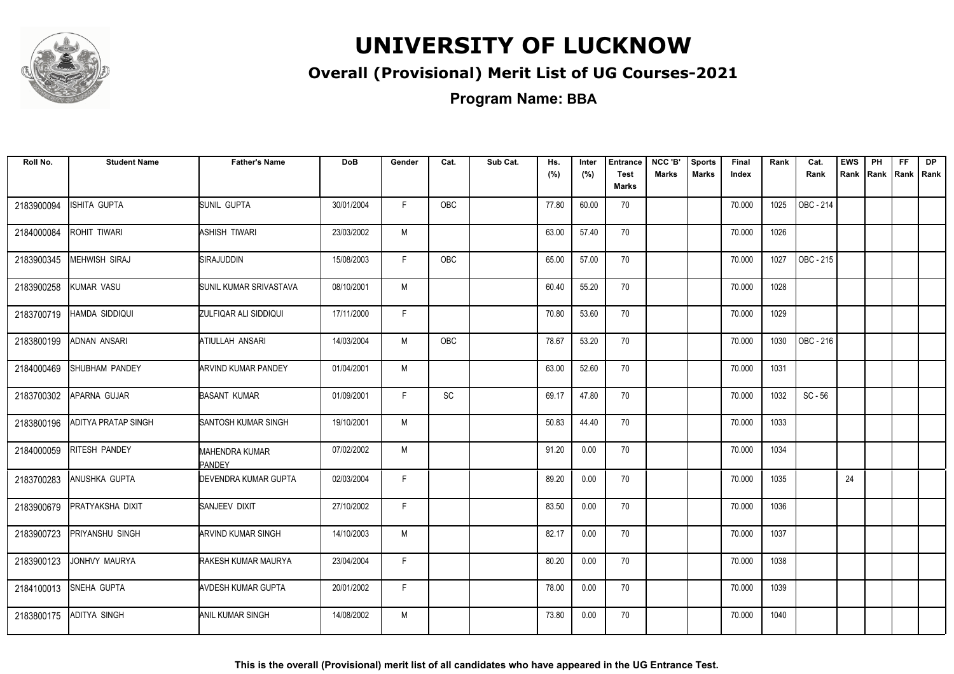

### **Overall (Provisional) Merit List of UG Courses-2021**

**Program Name: BBA**

| Roll No.   | <b>Student Name</b>        | <b>Father's Name</b>            | <b>DoB</b> | Gender | Cat.       | Sub Cat. | Hs.<br>(%) | Inter<br>(%) | <b>Entrance</b><br><b>Test</b><br>Marks | NCC 'B'<br><b>Marks</b> | <b>Sports</b><br><b>Marks</b> | Final<br>Index | Rank | Cat.<br>Rank     | <b>EWS</b><br>Rank Rank Rank Rank | PH | FF. | <b>DP</b> |
|------------|----------------------------|---------------------------------|------------|--------|------------|----------|------------|--------------|-----------------------------------------|-------------------------|-------------------------------|----------------|------|------------------|-----------------------------------|----|-----|-----------|
|            |                            |                                 |            |        |            |          |            |              |                                         |                         |                               |                |      |                  |                                   |    |     |           |
| 2183900094 | ISHITA GUPTA               | SUNIL GUPTA                     | 30/01/2004 | F.     | OBC        |          | 77.80      | 60.00        | 70                                      |                         |                               | 70.000         | 1025 | OBC - 214        |                                   |    |     |           |
| 2184000084 | ROHIT TIWARI               | ASHISH TIWARI                   | 23/03/2002 | M      |            |          | 63.00      | 57.40        | 70                                      |                         |                               | 70.000         | 1026 |                  |                                   |    |     |           |
| 2183900345 | <b>MEHWISH SIRAJ</b>       | <b>SIRAJUDDIN</b>               | 15/08/2003 | F.     | <b>OBC</b> |          | 65.00      | 57.00        | 70                                      |                         |                               | 70.000         | 1027 | <b>OBC - 215</b> |                                   |    |     |           |
| 2183900258 | KUMAR VASU                 | SUNIL KUMAR SRIVASTAVA          | 08/10/2001 | M      |            |          | 60.40      | 55.20        | 70                                      |                         |                               | 70.000         | 1028 |                  |                                   |    |     |           |
| 2183700719 | HAMDA SIDDIQUI             | ZULFIQAR ALI SIDDIQUI           | 17/11/2000 | F.     |            |          | 70.80      | 53.60        | 70                                      |                         |                               | 70.000         | 1029 |                  |                                   |    |     |           |
| 2183800199 | <b>ADNAN ANSARI</b>        | ATIULLAH ANSARI                 | 14/03/2004 | M      | OBC        |          | 78.67      | 53.20        | 70                                      |                         |                               | 70.000         | 1030 | OBC - 216        |                                   |    |     |           |
| 2184000469 | SHUBHAM PANDEY             | <b>ARVIND KUMAR PANDEY</b>      | 01/04/2001 | M      |            |          | 63.00      | 52.60        | 70                                      |                         |                               | 70.000         | 1031 |                  |                                   |    |     |           |
| 2183700302 | APARNA GUJAR               | <b>BASANT KUMAR</b>             | 01/09/2001 | F      | SC         |          | 69.17      | 47.80        | 70                                      |                         |                               | 70.000         | 1032 | $SC - 56$        |                                   |    |     |           |
| 2183800196 | <b>ADITYA PRATAP SINGH</b> | SANTOSH KUMAR SINGH             | 19/10/2001 | M      |            |          | 50.83      | 44.40        | 70                                      |                         |                               | 70.000         | 1033 |                  |                                   |    |     |           |
| 2184000059 | RITESH PANDEY              | MAHENDRA KUMAR<br><b>PANDEY</b> | 07/02/2002 | M      |            |          | 91.20      | 0.00         | 70                                      |                         |                               | 70.000         | 1034 |                  |                                   |    |     |           |
| 2183700283 | ANUSHKA GUPTA              | DEVENDRA KUMAR GUPTA            | 02/03/2004 | F      |            |          | 89.20      | 0.00         | 70                                      |                         |                               | 70.000         | 1035 |                  | 24                                |    |     |           |
| 2183900679 | PRATYAKSHA DIXIT           | SANJEEV DIXIT                   | 27/10/2002 | F.     |            |          | 83.50      | 0.00         | 70                                      |                         |                               | 70.000         | 1036 |                  |                                   |    |     |           |
| 2183900723 | PRIYANSHU SINGH            | <b>ARVIND KUMAR SINGH</b>       | 14/10/2003 | M      |            |          | 82.17      | 0.00         | 70                                      |                         |                               | 70.000         | 1037 |                  |                                   |    |     |           |
| 2183900123 | JONHVY MAURYA              | RAKESH KUMAR MAURYA             | 23/04/2004 | F.     |            |          | 80.20      | 0.00         | 70                                      |                         |                               | 70.000         | 1038 |                  |                                   |    |     |           |
| 2184100013 | SNEHA GUPTA                | AVDESH KUMAR GUPTA              | 20/01/2002 | F.     |            |          | 78.00      | 0.00         | 70                                      |                         |                               | 70.000         | 1039 |                  |                                   |    |     |           |
| 2183800175 | <b>ADITYA SINGH</b>        | ANIL KUMAR SINGH                | 14/08/2002 | M      |            |          | 73.80      | 0.00         | 70                                      |                         |                               | 70.000         | 1040 |                  |                                   |    |     |           |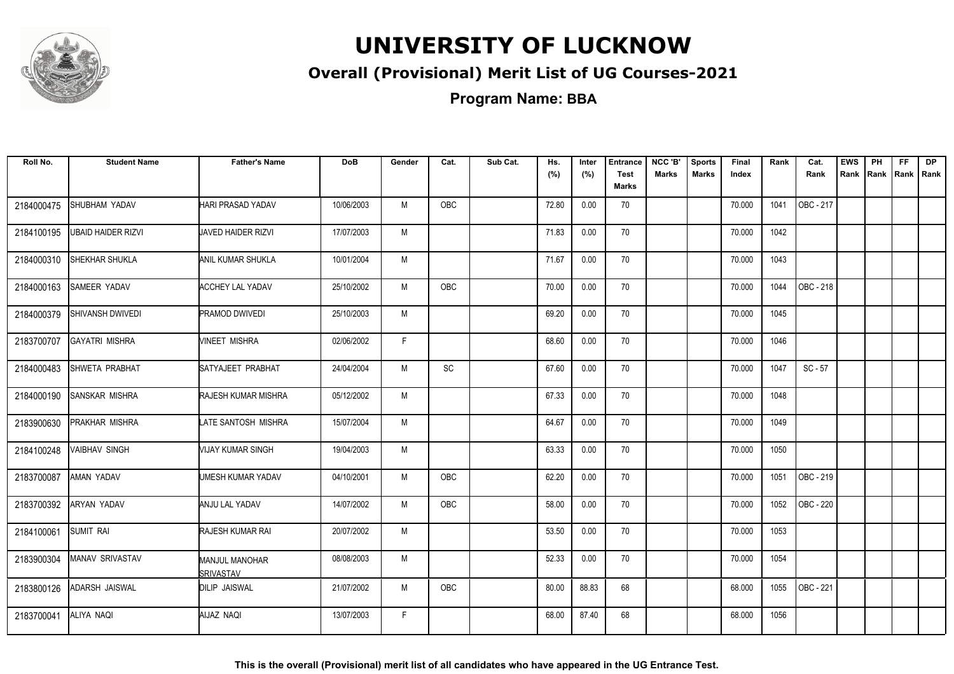

### **Overall (Provisional) Merit List of UG Courses-2021**

**Program Name: BBA**

| Roll No.   | <b>Student Name</b>       | <b>Father's Name</b>                       | <b>DoB</b> | Gender | Cat.       | Sub Cat. | Hs.<br>(%) | Inter<br>(%) | <b>Entrance</b><br><b>Test</b><br>Marks | NCC 'B'<br><b>Marks</b> | <b>Sports</b><br><b>Marks</b> | Final<br>Index | Rank | Cat.<br>Rank | <b>EWS</b><br>Rank | PH | FF.<br>Rank   Rank   Rank | DP |
|------------|---------------------------|--------------------------------------------|------------|--------|------------|----------|------------|--------------|-----------------------------------------|-------------------------|-------------------------------|----------------|------|--------------|--------------------|----|---------------------------|----|
| 2184000475 | SHUBHAM YADAV             | HARI PRASAD YADAV                          | 10/06/2003 | M      | OBC        |          | 72.80      | 0.00         | 70                                      |                         |                               | 70.000         | 1041 | OBC - 217    |                    |    |                           |    |
| 2184100195 | <b>UBAID HAIDER RIZVI</b> | JAVED HAIDER RIZVI                         | 17/07/2003 | M      |            |          | 71.83      | 0.00         | 70                                      |                         |                               | 70.000         | 1042 |              |                    |    |                           |    |
| 2184000310 | <b>ISHEKHAR SHUKLA</b>    | ANIL KUMAR SHUKLA                          | 10/01/2004 | M      |            |          | 71.67      | 0.00         | 70                                      |                         |                               | 70.000         | 1043 |              |                    |    |                           |    |
| 2184000163 | <b>SAMEER YADAV</b>       | <b>ACCHEY LAL YADAV</b>                    | 25/10/2002 | М      | OBC        |          | 70.00      | 0.00         | 70                                      |                         |                               | 70.000         | 1044 | OBC - 218    |                    |    |                           |    |
| 2184000379 | SHIVANSH DWIVEDI          | <b>PRAMOD DWIVEDI</b>                      | 25/10/2003 | M      |            |          | 69.20      | 0.00         | 70                                      |                         |                               | 70.000         | 1045 |              |                    |    |                           |    |
| 2183700707 | <b>GAYATRI MISHRA</b>     | MINEET MISHRA                              | 02/06/2002 | F.     |            |          | 68.60      | 0.00         | 70                                      |                         |                               | 70.000         | 1046 |              |                    |    |                           |    |
| 2184000483 | SHWETA PRABHAT            | SATYAJEET PRABHAT                          | 24/04/2004 | M      | SC         |          | 67.60      | 0.00         | 70                                      |                         |                               | 70.000         | 1047 | $SC - 57$    |                    |    |                           |    |
| 2184000190 | <b>SANSKAR MISHRA</b>     | <b>RAJESH KUMAR MISHRA</b>                 | 05/12/2002 | M      |            |          | 67.33      | 0.00         | 70                                      |                         |                               | 70.000         | 1048 |              |                    |    |                           |    |
| 2183900630 | <b>PRAKHAR MISHRA</b>     | LATE SANTOSH MISHRA                        | 15/07/2004 | M      |            |          | 64.67      | 0.00         | 70                                      |                         |                               | 70.000         | 1049 |              |                    |    |                           |    |
| 2184100248 | <b>VAIBHAV SINGH</b>      | VIJAY KUMAR SINGH                          | 19/04/2003 | M      |            |          | 63.33      | 0.00         | 70                                      |                         |                               | 70.000         | 1050 |              |                    |    |                           |    |
| 2183700087 | AMAN YADAV                | UMESH KUMAR YADAV                          | 04/10/2001 | M      | OBC        |          | 62.20      | 0.00         | 70                                      |                         |                               | 70.000         | 1051 | OBC - 219    |                    |    |                           |    |
| 2183700392 | <b>ARYAN YADAV</b>        | ANJU LAL YADAV                             | 14/07/2002 | M      | <b>OBC</b> |          | 58.00      | 0.00         | 70                                      |                         |                               | 70.000         | 1052 | OBC - 220    |                    |    |                           |    |
| 2184100061 | <b>SUMIT RAI</b>          | <b>RAJESH KUMAR RAI</b>                    | 20/07/2002 | M      |            |          | 53.50      | 0.00         | 70                                      |                         |                               | 70.000         | 1053 |              |                    |    |                           |    |
| 2183900304 | <b>MANAV SRIVASTAV</b>    | <b>MANJUL MANOHAR</b><br><b>ISRIVASTAV</b> | 08/08/2003 | M      |            |          | 52.33      | 0.00         | 70                                      |                         |                               | 70.000         | 1054 |              |                    |    |                           |    |
| 2183800126 | <b>ADARSH JAISWAL</b>     | <b>DILIP JAISWAL</b>                       | 21/07/2002 | М      | OBC        |          | 80.00      | 88.83        | 68                                      |                         |                               | 68.000         | 1055 | OBC - 221    |                    |    |                           |    |
| 2183700041 | ALIYA NAQI                | AIJAZ NAQI                                 | 13/07/2003 | F.     |            |          | 68.00      | 87.40        | 68                                      |                         |                               | 68.000         | 1056 |              |                    |    |                           |    |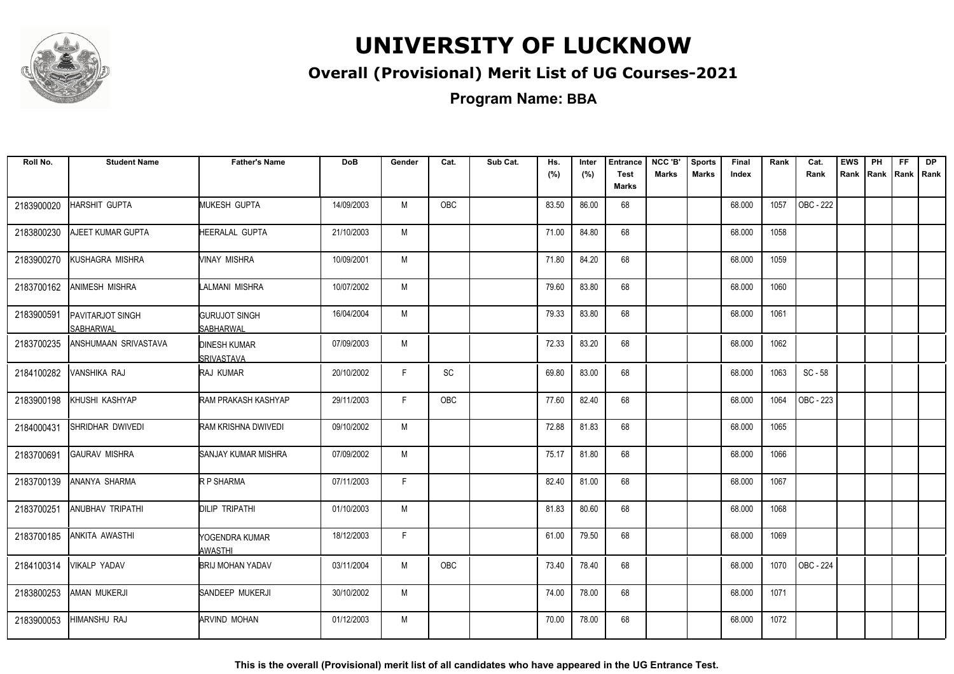

### **Overall (Provisional) Merit List of UG Courses-2021**

**Program Name: BBA**

| Roll No.   | <b>Student Name</b>                  | <b>Father's Name</b>                     | <b>DoB</b> | Gender | Cat.       | Sub Cat. | Hs.<br>(%) | Inter<br>(%) | <b>Entrance</b><br><b>Test</b><br>Marks | NCC 'B'<br><b>Marks</b> | <b>Sports</b><br><b>Marks</b> | Final<br>Index | Rank | Cat.<br>Rank | <b>EWS</b><br>Rank | PH<br>Rank Rank | FF | <b>DP</b><br>I Rank |
|------------|--------------------------------------|------------------------------------------|------------|--------|------------|----------|------------|--------------|-----------------------------------------|-------------------------|-------------------------------|----------------|------|--------------|--------------------|-----------------|----|---------------------|
| 2183900020 | HARSHIT GUPTA                        | MUKESH GUPTA                             | 14/09/2003 | M      | <b>OBC</b> |          | 83.50      | 86.00        | 68                                      |                         |                               | 68.000         | 1057 | OBC - 222    |                    |                 |    |                     |
| 2183800230 | AJEET KUMAR GUPTA                    | HEERALAL GUPTA                           | 21/10/2003 | M      |            |          | 71.00      | 84.80        | 68                                      |                         |                               | 68.000         | 1058 |              |                    |                 |    |                     |
| 2183900270 | KUSHAGRA MISHRA                      | VINAY MISHRA                             | 10/09/2001 | M      |            |          | 71.80      | 84.20        | 68                                      |                         |                               | 68.000         | 1059 |              |                    |                 |    |                     |
| 2183700162 | <b>ANIMESH MISHRA</b>                | LALMANI MISHRA                           | 10/07/2002 | M      |            |          | 79.60      | 83.80        | 68                                      |                         |                               | 68.000         | 1060 |              |                    |                 |    |                     |
| 2183900591 | PAVITARJOT SINGH<br><b>SABHARWAL</b> | <b>GURUJOT SINGH</b><br><b>SABHARWAL</b> | 16/04/2004 | M      |            |          | 79.33      | 83.80        | 68                                      |                         |                               | 68.000         | 1061 |              |                    |                 |    |                     |
| 2183700235 | ANSHUMAAN SRIVASTAVA                 | <b>DINESH KUMAR</b><br><b>SRIVASTAVA</b> | 07/09/2003 | M      |            |          | 72.33      | 83.20        | 68                                      |                         |                               | 68.000         | 1062 |              |                    |                 |    |                     |
| 2184100282 | VANSHIKA RAJ                         | RAJ KUMAR                                | 20/10/2002 | F      | SC         |          | 69.80      | 83.00        | 68                                      |                         |                               | 68.000         | 1063 | $SC - 58$    |                    |                 |    |                     |
| 2183900198 | KHUSHI KASHYAP                       | RAM PRAKASH KASHYAP                      | 29/11/2003 | F.     | OBC        |          | 77.60      | 82.40        | 68                                      |                         |                               | 68.000         | 1064 | OBC - 223    |                    |                 |    |                     |
| 2184000431 | SHRIDHAR DWIVEDI                     | RAM KRISHNA DWIVEDI                      | 09/10/2002 | M      |            |          | 72.88      | 81.83        | 68                                      |                         |                               | 68.000         | 1065 |              |                    |                 |    |                     |
| 2183700691 | GAURAV MISHRA                        | ISANJAY KUMAR MISHRA                     | 07/09/2002 | M      |            |          | 75.17      | 81.80        | 68                                      |                         |                               | 68.000         | 1066 |              |                    |                 |    |                     |
| 2183700139 | ANANYA SHARMA                        | R P SHARMA                               | 07/11/2003 | F.     |            |          | 82.40      | 81.00        | 68                                      |                         |                               | 68.000         | 1067 |              |                    |                 |    |                     |
| 2183700251 | ANUBHAV TRIPATHI                     | <b>DILIP TRIPATHI</b>                    | 01/10/2003 | M      |            |          | 81.83      | 80.60        | 68                                      |                         |                               | 68.000         | 1068 |              |                    |                 |    |                     |
| 2183700185 | <b>ANKITA AWASTHI</b>                | YOGENDRA KUMAR<br>AWASTHI                | 18/12/2003 | F      |            |          | 61.00      | 79.50        | 68                                      |                         |                               | 68.000         | 1069 |              |                    |                 |    |                     |
| 2184100314 | <b>VIKALP YADAV</b>                  | <b>I</b> BRIJ MOHAN YADAV                | 03/11/2004 | M      | <b>OBC</b> |          | 73.40      | 78.40        | 68                                      |                         |                               | 68.000         | 1070 | OBC - 224    |                    |                 |    |                     |
| 2183800253 | AMAN MUKERJI                         | SANDEEP MUKERJI                          | 30/10/2002 | M      |            |          | 74.00      | 78.00        | 68                                      |                         |                               | 68.000         | 1071 |              |                    |                 |    |                     |
| 2183900053 | HIMANSHU RAJ                         | ARVIND MOHAN                             | 01/12/2003 | M      |            |          | 70.00      | 78.00        | 68                                      |                         |                               | 68.000         | 1072 |              |                    |                 |    |                     |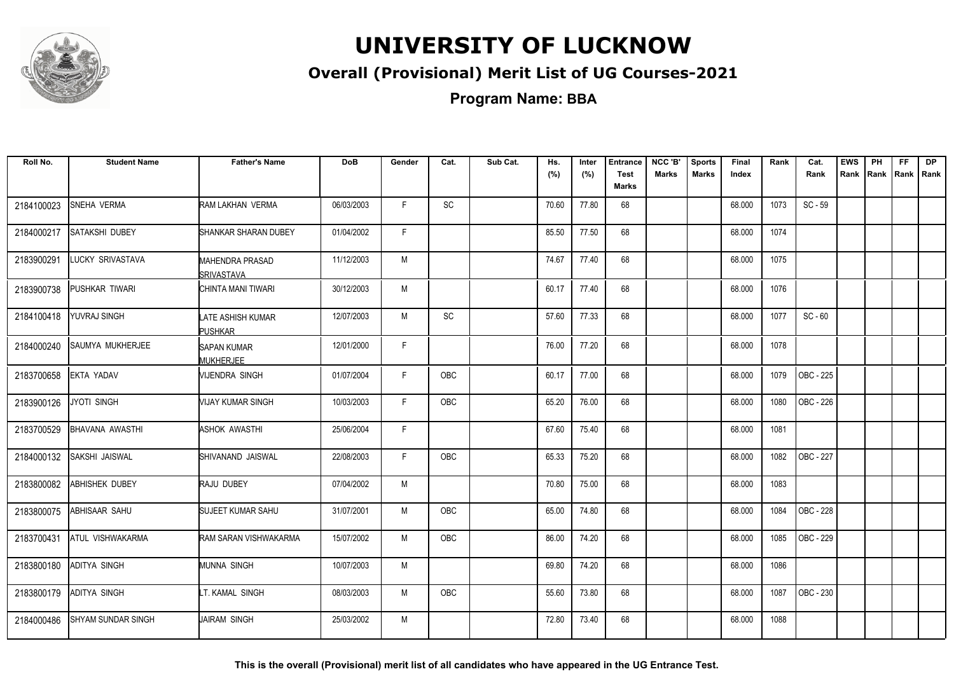

### **Overall (Provisional) Merit List of UG Courses-2021**

**Program Name: BBA**

| Roll No.   | <b>Student Name</b>       | <b>Father's Name</b>                        | <b>DoB</b> | Gender       | Cat.       | Sub Cat. | Hs.<br>(%) | Inter<br>(%) | <b>Entrance</b><br><b>Test</b><br>Marks | NCC 'B'<br><b>Marks</b> | <b>Sports</b><br><b>Marks</b> | Final<br>Index | Rank | Cat.<br>Rank | <b>EWS</b><br>Rank | PH<br>Rank   Rank | FF | <b>DP</b><br>l Rank |
|------------|---------------------------|---------------------------------------------|------------|--------------|------------|----------|------------|--------------|-----------------------------------------|-------------------------|-------------------------------|----------------|------|--------------|--------------------|-------------------|----|---------------------|
| 2184100023 | SNEHA VERMA               | RAM LAKHAN VERMA                            | 06/03/2003 | F.           | SC         |          | 70.60      | 77.80        | 68                                      |                         |                               | 68.000         | 1073 | $SC - 59$    |                    |                   |    |                     |
| 2184000217 | SATAKSHI DUBEY            | SHANKAR SHARAN DUBEY                        | 01/04/2002 | F.           |            |          | 85.50      | 77.50        | 68                                      |                         |                               | 68.000         | 1074 |              |                    |                   |    |                     |
| 2183900291 | <b>LUCKY SRIVASTAVA</b>   | <b>MAHENDRA PRASAD</b><br><b>SRIVASTAVA</b> | 11/12/2003 | M            |            |          | 74.67      | 77.40        | 68                                      |                         |                               | 68.000         | 1075 |              |                    |                   |    |                     |
| 2183900738 | PUSHKAR TIWARI            | CHINTA MANI TIWARI                          | 30/12/2003 | M            |            |          | 60.17      | 77.40        | 68                                      |                         |                               | 68.000         | 1076 |              |                    |                   |    |                     |
| 2184100418 | YUVRAJ SINGH              | LATE ASHISH KUMAR<br><b>PUSHKAR</b>         | 12/07/2003 | M            | SC         |          | 57.60      | 77.33        | 68                                      |                         |                               | 68.000         | 1077 | $SC - 60$    |                    |                   |    |                     |
| 2184000240 | SAUMYA MUKHERJEE          | <b>SAPAN KUMAR</b><br><b>MUKHERJEE</b>      | 12/01/2000 | $\mathsf{F}$ |            |          | 76.00      | 77.20        | 68                                      |                         |                               | 68.000         | 1078 |              |                    |                   |    |                     |
| 2183700658 | <b>EKTA YADAV</b>         | MIJENDRA SINGH                              | 01/07/2004 | F            | OBC        |          | 60.17      | 77.00        | 68                                      |                         |                               | 68.000         | 1079 | OBC - 225    |                    |                   |    |                     |
| 2183900126 | JYOTI SINGH               | MIJAY KUMAR SINGH                           | 10/03/2003 | F            | <b>OBC</b> |          | 65.20      | 76.00        | 68                                      |                         |                               | 68.000         | 1080 | OBC - 226    |                    |                   |    |                     |
| 2183700529 | <b>BHAVANA AWASTHI</b>    | <b>ASHOK AWASTHI</b>                        | 25/06/2004 | F            |            |          | 67.60      | 75.40        | 68                                      |                         |                               | 68.000         | 1081 |              |                    |                   |    |                     |
| 2184000132 | SAKSHI JAISWAL            | SHIVANAND JAISWAL                           | 22/08/2003 | F.           | OBC        |          | 65.33      | 75.20        | 68                                      |                         |                               | 68.000         | 1082 | OBC - 227    |                    |                   |    |                     |
| 2183800082 | ABHISHEK DUBEY            | RAJU DUBEY                                  | 07/04/2002 | M            |            |          | 70.80      | 75.00        | 68                                      |                         |                               | 68.000         | 1083 |              |                    |                   |    |                     |
| 2183800075 | ABHISAAR SAHU             | <b>SUJEET KUMAR SAHU</b>                    | 31/07/2001 | M            | <b>OBC</b> |          | 65.00      | 74.80        | 68                                      |                         |                               | 68.000         | 1084 | OBC - 228    |                    |                   |    |                     |
| 2183700431 | ATUL VISHWAKARMA          | RAM SARAN VISHWAKARMA                       | 15/07/2002 | M            | <b>OBC</b> |          | 86.00      | 74.20        | 68                                      |                         |                               | 68.000         | 1085 | OBC - 229    |                    |                   |    |                     |
| 2183800180 | <b>ADITYA SINGH</b>       | <b>MUNNA SINGH</b>                          | 10/07/2003 | M            |            |          | 69.80      | 74.20        | 68                                      |                         |                               | 68.000         | 1086 |              |                    |                   |    |                     |
| 2183800179 | ADITYA SINGH              | LT. KAMAL SINGH                             | 08/03/2003 | M            | <b>OBC</b> |          | 55.60      | 73.80        | 68                                      |                         |                               | 68.000         | 1087 | OBC - 230    |                    |                   |    |                     |
| 2184000486 | <b>SHYAM SUNDAR SINGH</b> | JAIRAM SINGH                                | 25/03/2002 | M            |            |          | 72.80      | 73.40        | 68                                      |                         |                               | 68.000         | 1088 |              |                    |                   |    |                     |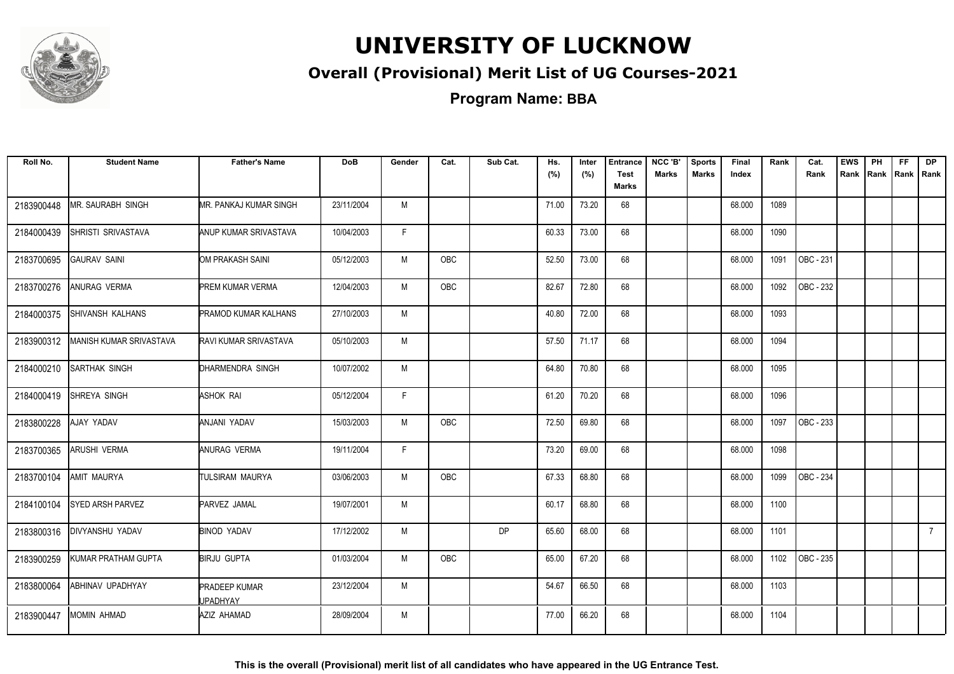

### **Overall (Provisional) Merit List of UG Courses-2021**

**Program Name: BBA**

| Roll No.   | <b>Student Name</b>     | <b>Father's Name</b>                    | <b>DoB</b> | Gender | Cat.       | Sub Cat.  | Hs.<br>(%) | Inter<br>(%) | <b>Entrance</b><br><b>Test</b> | NCC 'B'<br><b>Marks</b> | <b>Sports</b><br><b>Marks</b> | Final<br>Index | Rank | Cat.<br>Rank     | <b>EWS</b><br>Rank Rank Rank Rank | PH | <b>FF</b> | <b>DP</b>   |
|------------|-------------------------|-----------------------------------------|------------|--------|------------|-----------|------------|--------------|--------------------------------|-------------------------|-------------------------------|----------------|------|------------------|-----------------------------------|----|-----------|-------------|
|            |                         |                                         |            |        |            |           |            |              | Marks                          |                         |                               |                |      |                  |                                   |    |           |             |
| 2183900448 | MR. SAURABH SINGH       | <b>MR. PANKAJ KUMAR SINGH</b>           | 23/11/2004 | M      |            |           | 71.00      | 73.20        | 68                             |                         |                               | 68.000         | 1089 |                  |                                   |    |           |             |
| 2184000439 | SHRISTI SRIVASTAVA      | ANUP KUMAR SRIVASTAVA                   | 10/04/2003 | F.     |            |           | 60.33      | 73.00        | 68                             |                         |                               | 68.000         | 1090 |                  |                                   |    |           |             |
| 2183700695 | <b>GAURAV SAINI</b>     | OM PRAKASH SAINI                        | 05/12/2003 | M      | OBC        |           | 52.50      | 73.00        | 68                             |                         |                               | 68.000         | 1091 | OBC - 231        |                                   |    |           |             |
| 2183700276 | ANURAG VERMA            | <b>PREM KUMAR VERMA</b>                 | 12/04/2003 | M      | <b>OBC</b> |           | 82.67      | 72.80        | 68                             |                         |                               | 68.000         | 1092 | OBC - 232        |                                   |    |           |             |
| 2184000375 | <b>SHIVANSH KALHANS</b> | <b>PRAMOD KUMAR KALHANS</b>             | 27/10/2003 | M      |            |           | 40.80      | 72.00        | 68                             |                         |                               | 68.000         | 1093 |                  |                                   |    |           |             |
| 2183900312 | MANISH KUMAR SRIVASTAVA | RAVI KUMAR SRIVASTAVA                   | 05/10/2003 | M      |            |           | 57.50      | 71.17        | 68                             |                         |                               | 68.000         | 1094 |                  |                                   |    |           |             |
| 2184000210 | <b>SARTHAK SINGH</b>    | DHARMENDRA SINGH                        | 10/07/2002 | M      |            |           | 64.80      | 70.80        | 68                             |                         |                               | 68.000         | 1095 |                  |                                   |    |           |             |
| 2184000419 | SHREYA SINGH            | <b>ASHOK RAI</b>                        | 05/12/2004 | F.     |            |           | 61.20      | 70.20        | 68                             |                         |                               | 68.000         | 1096 |                  |                                   |    |           |             |
| 2183800228 | AJAY YADAV              | ANJANI YADAV                            | 15/03/2003 | M      | OBC        |           | 72.50      | 69.80        | 68                             |                         |                               | 68.000         | 1097 | OBC - 233        |                                   |    |           |             |
| 2183700365 | <b>ARUSHI VERMA</b>     | ANURAG VERMA                            | 19/11/2004 | F.     |            |           | 73.20      | 69.00        | 68                             |                         |                               | 68.000         | 1098 |                  |                                   |    |           |             |
| 2183700104 | AMIT MAURYA             | ITULSIRAM MAURYA                        | 03/06/2003 | M      | <b>OBC</b> |           | 67.33      | 68.80        | 68                             |                         |                               | 68.000         | 1099 | <b>OBC - 234</b> |                                   |    |           |             |
| 2184100104 | <b>SYED ARSH PARVEZ</b> | PARVEZ JAMAL                            | 19/07/2001 | M      |            |           | 60.17      | 68.80        | 68                             |                         |                               | 68.000         | 1100 |                  |                                   |    |           |             |
| 2183800316 | <b>DIVYANSHU YADAV</b>  | BINOD YADAV                             | 17/12/2002 | M      |            | <b>DP</b> | 65.60      | 68.00        | 68                             |                         |                               | 68.000         | 1101 |                  |                                   |    |           | $7^{\circ}$ |
| 2183900259 | KUMAR PRATHAM GUPTA     | <b>BIRJU GUPTA</b>                      | 01/03/2004 | M      | <b>OBC</b> |           | 65.00      | 67.20        | 68                             |                         |                               | 68.000         | 1102 | OBC - 235        |                                   |    |           |             |
| 2183800064 | ABHINAV UPADHYAY        | <b>PRADEEP KUMAR</b><br><b>JPADHYAY</b> | 23/12/2004 | M      |            |           | 54.67      | 66.50        | 68                             |                         |                               | 68.000         | 1103 |                  |                                   |    |           |             |
| 2183900447 | <b>MOMIN AHMAD</b>      | AZIZ AHAMAD                             | 28/09/2004 | M      |            |           | 77.00      | 66.20        | 68                             |                         |                               | 68.000         | 1104 |                  |                                   |    |           |             |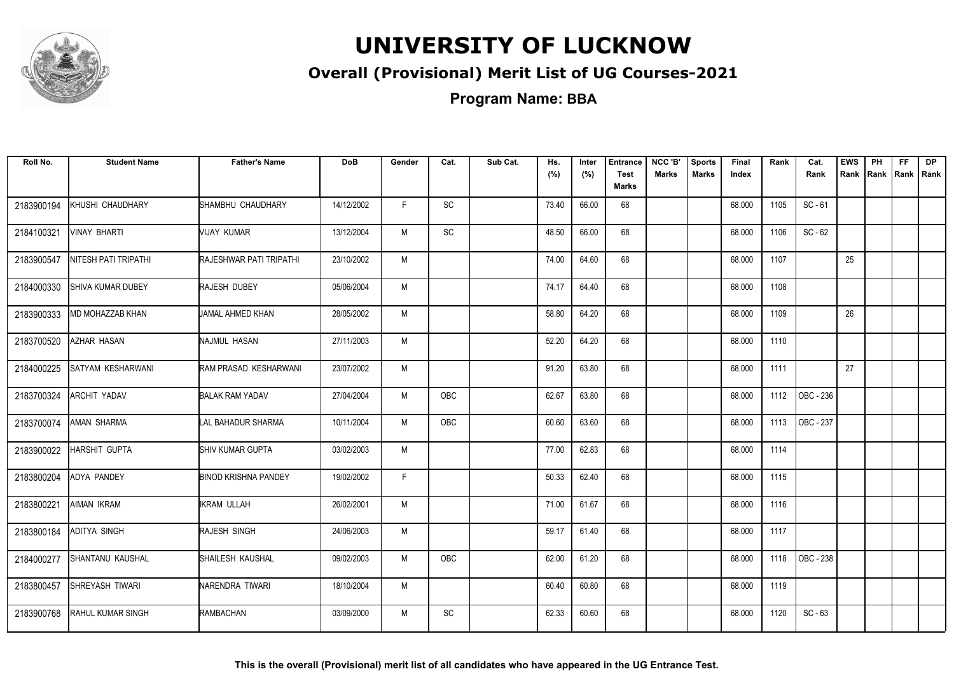

### **Overall (Provisional) Merit List of UG Courses-2021**

**Program Name: BBA**

| Roll No.   | <b>Student Name</b>      | <b>Father's Name</b>           | <b>DoB</b> | Gender | Cat.       | Sub Cat. | Hs.<br>(%) | Inter<br>(%) | <b>Entrance</b><br><b>Test</b><br>Marks | NCC 'B'<br><b>Marks</b> | <b>Sports</b><br><b>Marks</b> | Final<br>Index | Rank | Cat.<br>Rank | <b>EWS</b><br>Rank | PH<br>Rank Rank | <b>FF</b> | <b>DP</b><br>Rank |
|------------|--------------------------|--------------------------------|------------|--------|------------|----------|------------|--------------|-----------------------------------------|-------------------------|-------------------------------|----------------|------|--------------|--------------------|-----------------|-----------|-------------------|
| 2183900194 | KHUSHI CHAUDHARY         | SHAMBHU CHAUDHARY              | 14/12/2002 | F.     | SC         |          | 73.40      | 66.00        | 68                                      |                         |                               | 68.000         | 1105 | $SC - 61$    |                    |                 |           |                   |
| 2184100321 | <b>VINAY BHARTI</b>      | MIJAY KUMAR                    | 13/12/2004 | M      | <b>SC</b>  |          | 48.50      | 66.00        | 68                                      |                         |                               | 68.000         | 1106 | $SC - 62$    |                    |                 |           |                   |
| 2183900547 | NITESH PATI TRIPATHI     | <b>RAJESHWAR PATI TRIPATHI</b> | 23/10/2002 | M      |            |          | 74.00      | 64.60        | 68                                      |                         |                               | 68.000         | 1107 |              | 25                 |                 |           |                   |
| 2184000330 | SHIVA KUMAR DUBEY        | RAJESH DUBEY                   | 05/06/2004 | M      |            |          | 74.17      | 64.40        | 68                                      |                         |                               | 68.000         | 1108 |              |                    |                 |           |                   |
| 2183900333 | MD MOHAZZAB KHAN         | JAMAL AHMED KHAN               | 28/05/2002 | M      |            |          | 58.80      | 64.20        | 68                                      |                         |                               | 68.000         | 1109 |              | 26                 |                 |           |                   |
| 2183700520 | AZHAR HASAN              | NAJMUL HASAN                   | 27/11/2003 | M      |            |          | 52.20      | 64.20        | 68                                      |                         |                               | 68.000         | 1110 |              |                    |                 |           |                   |
| 2184000225 | <b>SATYAM KESHARWANI</b> | RAM PRASAD KESHARWANI          | 23/07/2002 | M      |            |          | 91.20      | 63.80        | 68                                      |                         |                               | 68.000         | 1111 |              | 27                 |                 |           |                   |
| 2183700324 | ARCHIT YADAV             | <b>BALAK RAM YADAV</b>         | 27/04/2004 | M      | <b>OBC</b> |          | 62.67      | 63.80        | 68                                      |                         |                               | 68.000         | 1112 | OBC - 236    |                    |                 |           |                   |
| 2183700074 | <b>AMAN SHARMA</b>       | LAL BAHADUR SHARMA             | 10/11/2004 | M      | <b>OBC</b> |          | 60.60      | 63.60        | 68                                      |                         |                               | 68.000         | 1113 | OBC - 237    |                    |                 |           |                   |
| 2183900022 | HARSHIT GUPTA            | <b>I</b> SHIV KUMAR GUPTA      | 03/02/2003 | M      |            |          | 77.00      | 62.83        | 68                                      |                         |                               | 68.000         | 1114 |              |                    |                 |           |                   |
| 2183800204 | <b>ADYA PANDEY</b>       | <b>BINOD KRISHNA PANDEY</b>    | 19/02/2002 | F      |            |          | 50.33      | 62.40        | 68                                      |                         |                               | 68.000         | 1115 |              |                    |                 |           |                   |
| 2183800221 | AIMAN IKRAM              | <b>IKRAM ULLAH</b>             | 26/02/2001 | M      |            |          | 71.00      | 61.67        | 68                                      |                         |                               | 68.000         | 1116 |              |                    |                 |           |                   |
| 2183800184 | <b>ADITYA SINGH</b>      | <b>RAJESH SINGH</b>            | 24/06/2003 | M      |            |          | 59.17      | 61.40        | 68                                      |                         |                               | 68.000         | 1117 |              |                    |                 |           |                   |
| 2184000277 | <b>SHANTANU KAUSHAL</b>  | SHAILESH KAUSHAL               | 09/02/2003 | M      | OBC        |          | 62.00      | 61.20        | 68                                      |                         |                               | 68.000         | 1118 | OBC - 238    |                    |                 |           |                   |
| 2183800457 | SHREYASH TIWARI          | NARENDRA TIWARI                | 18/10/2004 | M      |            |          | 60.40      | 60.80        | 68                                      |                         |                               | 68.000         | 1119 |              |                    |                 |           |                   |
| 2183900768 | RAHUL KUMAR SINGH        | RAMBACHAN                      | 03/09/2000 | M      | <b>SC</b>  |          | 62.33      | 60.60        | 68                                      |                         |                               | 68.000         | 1120 | $SC - 63$    |                    |                 |           |                   |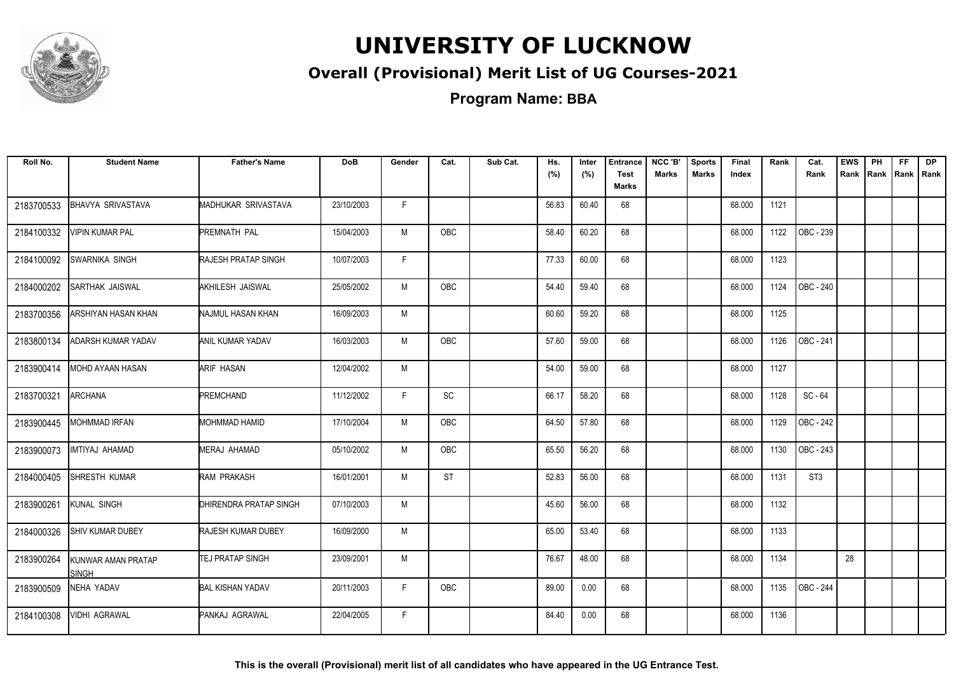

### **Overall (Provisional) Merit List of UG Courses-2021**

| Roll No.   | <b>Student Name</b>         | <b>Father's Name</b>       | <b>DoB</b> | Gender | Cat.       | Sub Cat. | Hs.<br>(%) | Inter<br>(%) | <b>Entrance</b><br><b>Test</b> | NCC 'B'<br><b>Marks</b> | <b>Sports</b><br><b>Marks</b> | Final<br>Index | Rank | Cat.<br>Rank     | <b>EWS</b><br>Rank | PH | FF. | <b>DP</b><br>Rank Rank Rank |
|------------|-----------------------------|----------------------------|------------|--------|------------|----------|------------|--------------|--------------------------------|-------------------------|-------------------------------|----------------|------|------------------|--------------------|----|-----|-----------------------------|
|            |                             |                            |            |        |            |          |            |              | Marks                          |                         |                               |                |      |                  |                    |    |     |                             |
| 2183700533 | <b>BHAVYA SRIVASTAVA</b>    | MADHUKAR SRIVASTAVA        | 23/10/2003 | F.     |            |          | 56.83      | 60.40        | 68                             |                         |                               | 68.000         | 1121 |                  |                    |    |     |                             |
| 2184100332 | VIPIN KUMAR PAL             | PREMNATH PAL               | 15/04/2003 | M      | <b>OBC</b> |          | 58.40      | 60.20        | 68                             |                         |                               | 68.000         | 1122 | OBC - 239        |                    |    |     |                             |
| 2184100092 | <b>SWARNIKA SINGH</b>       | <b>RAJESH PRATAP SINGH</b> | 10/07/2003 | F.     |            |          | 77.33      | 60.00        | 68                             |                         |                               | 68.000         | 1123 |                  |                    |    |     |                             |
| 2184000202 | SARTHAK JAISWAL             | AKHILESH JAISWAL           | 25/05/2002 | M      | <b>OBC</b> |          | 54.40      | 59.40        | 68                             |                         |                               | 68.000         | 1124 | OBC - 240        |                    |    |     |                             |
| 2183700356 | ARSHIYAN HASAN KHAN         | NAJMUL HASAN KHAN          | 16/09/2003 | M      |            |          | 60.60      | 59.20        | 68                             |                         |                               | 68.000         | 1125 |                  |                    |    |     |                             |
| 2183800134 | ADARSH KUMAR YADAV          | <b>ANIL KUMAR YADAV</b>    | 16/03/2003 | M      | <b>OBC</b> |          | 57.60      | 59.00        | 68                             |                         |                               | 68.000         | 1126 | <b>OBC</b> - 241 |                    |    |     |                             |
| 2183900414 | <b>MOHD AYAAN HASAN</b>     | <b>ARIF HASAN</b>          | 12/04/2002 | M      |            |          | 54.00      | 59.00        | 68                             |                         |                               | 68.000         | 1127 |                  |                    |    |     |                             |
| 2183700321 | <b>ARCHANA</b>              | <b>PREMCHAND</b>           | 11/12/2002 | F.     | SC         |          | 66.17      | 58.20        | 68                             |                         |                               | 68.000         | 1128 | SC-64            |                    |    |     |                             |
| 2183900445 | <b>MOHMMAD IRFAN</b>        | MOHMMAD HAMID              | 17/10/2004 | М      | OBC        |          | 64.50      | 57.80        | 68                             |                         |                               | 68.000         | 1129 | OBC - 242        |                    |    |     |                             |
| 2183900073 | IMTIYAJ AHAMAD              | <b>MERAJ AHAMAD</b>        | 05/10/2002 | M      | <b>OBC</b> |          | 65.50      | 56.20        | 68                             |                         |                               | 68.000         | 1130 | <b>OBC - 243</b> |                    |    |     |                             |
| 2184000405 | SHRESTH KUMAR               | RAM PRAKASH                | 16/01/2001 | M      | <b>ST</b>  |          | 52.83      | 56.00        | 68                             |                         |                               | 68.000         | 1131 | ST <sub>3</sub>  |                    |    |     |                             |
| 2183900261 | KUNAL SINGH                 | DHIRENDRA PRATAP SINGH     | 07/10/2003 | M      |            |          | 45.60      | 56.00        | 68                             |                         |                               | 68.000         | 1132 |                  |                    |    |     |                             |
| 2184000326 | <b>SHIV KUMAR DUBEY</b>     | <b>RAJESH KUMAR DUBEY</b>  | 16/09/2000 | М      |            |          | 65.00      | 53.40        | 68                             |                         |                               | 68.000         | 1133 |                  |                    |    |     |                             |
| 2183900264 | KUNWAR AMAN PRATAP<br>Singh | <b>TEJ PRATAP SINGH</b>    | 23/09/2001 | M      |            |          | 76.67      | 48.00        | 68                             |                         |                               | 68.000         | 1134 |                  | 28                 |    |     |                             |
| 2183900509 | NEHA YADAV                  | <b>BAL KISHAN YADAV</b>    | 20/11/2003 | F      | OBC        |          | 89.00      | 0.00         | 68                             |                         |                               | 68.000         | 1135 | OBC - 244        |                    |    |     |                             |
| 2184100308 | VIDHI AGRAWAL               | PANKAJ AGRAWAL             | 22/04/2005 | F.     |            |          | 84.40      | 0.00         | 68                             |                         |                               | 68.000         | 1136 |                  |                    |    |     |                             |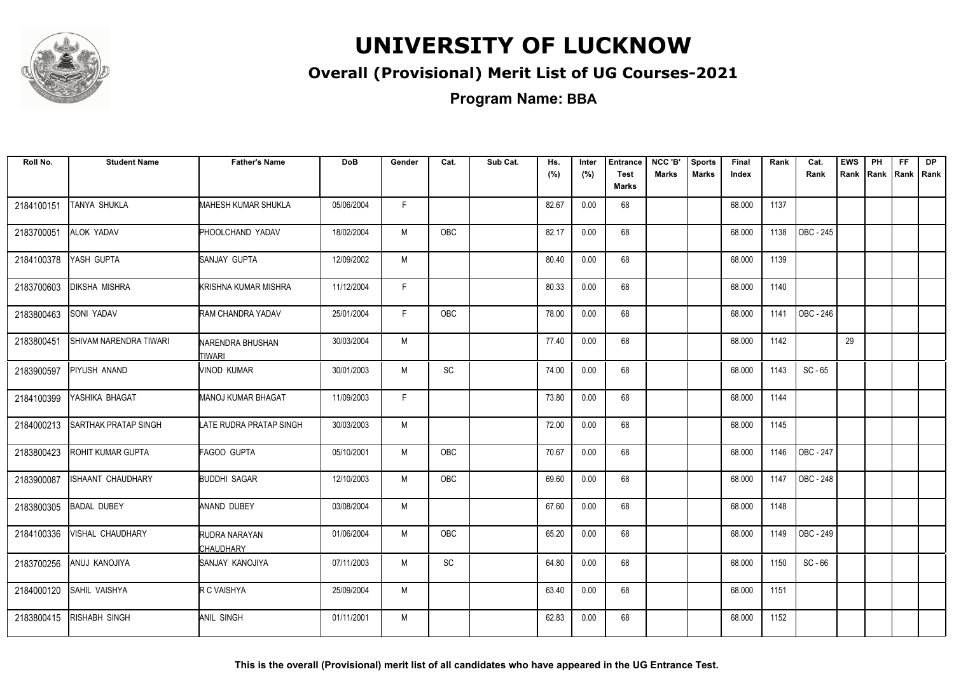

#### **Overall (Provisional) Merit List of UG Courses-2021**

**Program Name: BBA**

| Roll No.   | <b>Student Name</b>      | <b>Father's Name</b>              | <b>DoB</b> | Gender | Cat.       | Sub Cat. | Hs.<br>(%) | Inter<br>(%) | <b>Entrance</b><br><b>Test</b> | NCC 'B'<br><b>Marks</b> | <b>Sports</b><br><b>Marks</b> | Final<br>Index | Rank | Cat.<br>Rank | <b>EWS</b><br>Rank | PH<br>Rank | FF.<br>Rank   Rank | <b>DP</b> |
|------------|--------------------------|-----------------------------------|------------|--------|------------|----------|------------|--------------|--------------------------------|-------------------------|-------------------------------|----------------|------|--------------|--------------------|------------|--------------------|-----------|
|            |                          |                                   |            |        |            |          |            |              | <b>Marks</b>                   |                         |                               |                |      |              |                    |            |                    |           |
| 2184100151 | TANYA SHUKLA             | <b>MAHESH KUMAR SHUKLA</b>        | 05/06/2004 | F.     |            |          | 82.67      | 0.00         | 68                             |                         |                               | 68.000         | 1137 |              |                    |            |                    |           |
| 2183700051 | ALOK YADAV               | PHOOLCHAND YADAV                  | 18/02/2004 | M      | OBC        |          | 82.17      | 0.00         | 68                             |                         |                               | 68.000         | 1138 | OBC - 245    |                    |            |                    |           |
| 2184100378 | YASH GUPTA               | SANJAY GUPTA                      | 12/09/2002 | M      |            |          | 80.40      | 0.00         | 68                             |                         |                               | 68.000         | 1139 |              |                    |            |                    |           |
| 2183700603 | DIKSHA MISHRA            | KRISHNA KUMAR MISHRA              | 11/12/2004 | F.     |            |          | 80.33      | 0.00         | 68                             |                         |                               | 68.000         | 1140 |              |                    |            |                    |           |
| 2183800463 | SONI YADAV               | RAM CHANDRA YADAV                 | 25/01/2004 | F.     | <b>OBC</b> |          | 78.00      | 0.00         | 68                             |                         |                               | 68.000         | 1141 | OBC - 246    |                    |            |                    |           |
| 2183800451 | SHIVAM NARENDRA TIWARI   | NARENDRA BHUSHAN<br><b>TIWARI</b> | 30/03/2004 | M      |            |          | 77.40      | 0.00         | 68                             |                         |                               | 68.000         | 1142 |              | 29                 |            |                    |           |
| 2183900597 | PIYUSH ANAND             | <b>VINOD KUMAR</b>                | 30/01/2003 | М      | SC         |          | 74.00      | 0.00         | 68                             |                         |                               | 68.000         | 1143 | $SC - 65$    |                    |            |                    |           |
| 2184100399 | YASHIKA BHAGAT           | <b>MANOJ KUMAR BHAGAT</b>         | 11/09/2003 | F.     |            |          | 73.80      | 0.00         | 68                             |                         |                               | 68.000         | 1144 |              |                    |            |                    |           |
| 2184000213 | SARTHAK PRATAP SINGH     | LATE RUDRA PRATAP SINGH           | 30/03/2003 | M      |            |          | 72.00      | 0.00         | 68                             |                         |                               | 68.000         | 1145 |              |                    |            |                    |           |
| 2183800423 | ROHIT KUMAR GUPTA        | <b>FAGOO GUPTA</b>                | 05/10/2001 | M      | OBC        |          | 70.67      | 0.00         | 68                             |                         |                               | 68.000         | 1146 | OBC - 247    |                    |            |                    |           |
| 2183900087 | <b>ISHAANT CHAUDHARY</b> | <b>BUDDHI SAGAR</b>               | 12/10/2003 | M      | <b>OBC</b> |          | 69.60      | 0.00         | 68                             |                         |                               | 68.000         | 1147 | OBC - 248    |                    |            |                    |           |
| 2183800305 | <b>BADAL DUBEY</b>       | ANAND DUBEY                       | 03/08/2004 | M      |            |          | 67.60      | 0.00         | 68                             |                         |                               | 68.000         | 1148 |              |                    |            |                    |           |
| 2184100336 | VISHAL CHAUDHARY         | RUDRA NARAYAN<br><b>CHAUDHARY</b> | 01/06/2004 | M      | OBC        |          | 65.20      | 0.00         | 68                             |                         |                               | 68.000         | 1149 | OBC - 249    |                    |            |                    |           |
| 2183700256 | ANUJ KANOJIYA            | SANJAY KANOJIYA                   | 07/11/2003 | М      | SC         |          | 64.80      | 0.00         | 68                             |                         |                               | 68.000         | 1150 | $SC - 66$    |                    |            |                    |           |
| 2184000120 | SAHIL VAISHYA            | R C VAISHYA                       | 25/09/2004 | M      |            |          | 63.40      | 0.00         | 68                             |                         |                               | 68.000         | 1151 |              |                    |            |                    |           |
| 2183800415 | RISHABH SINGH            | <b>ANIL SINGH</b>                 | 01/11/2001 | M      |            |          | 62.83      | 0.00         | 68                             |                         |                               | 68.000         | 1152 |              |                    |            |                    |           |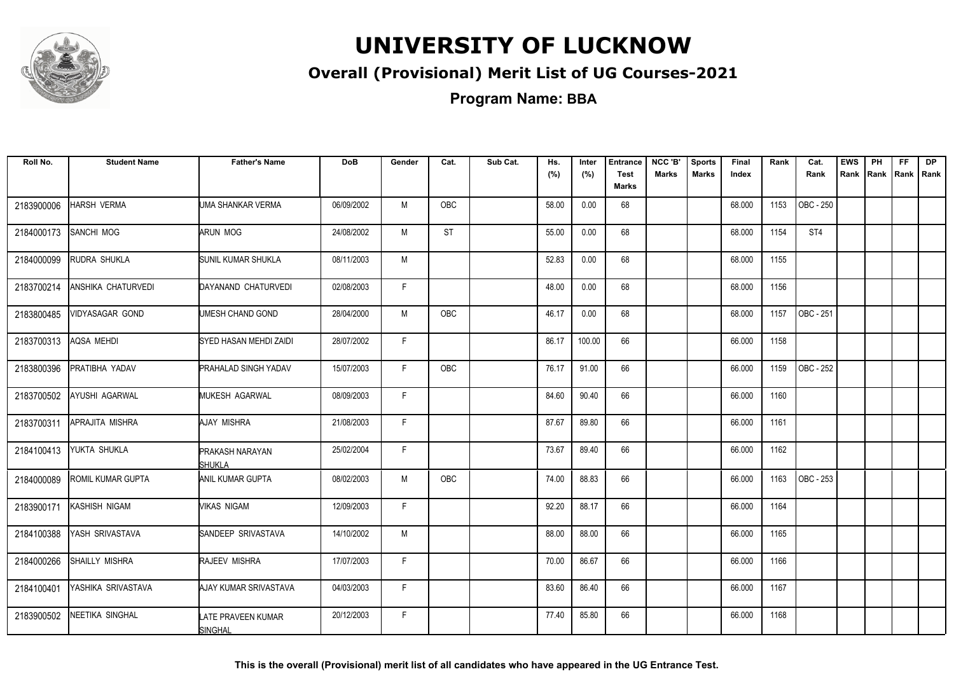

#### **Overall (Provisional) Merit List of UG Courses-2021**

| Roll No.   | <b>Student Name</b>       | <b>Father's Name</b>                        | <b>DoB</b> | Gender | Cat.       | Sub Cat. | Hs.   | Inter  | <b>Entrance</b>      | NCC 'B'      | <b>Sports</b> | Final  | Rank | Cat.      | <b>EWS</b>          | PH | FF. | <b>DP</b> |
|------------|---------------------------|---------------------------------------------|------------|--------|------------|----------|-------|--------|----------------------|--------------|---------------|--------|------|-----------|---------------------|----|-----|-----------|
|            |                           |                                             |            |        |            |          | (%)   | (%)    | <b>Test</b><br>Marks | <b>Marks</b> | <b>Marks</b>  | Index  |      | Rank      | Rank Rank Rank Rank |    |     |           |
| 2183900006 | <b>HARSH VERMA</b>        | UMA SHANKAR VERMA                           | 06/09/2002 | M      | <b>OBC</b> |          | 58.00 | 0.00   | 68                   |              |               | 68.000 | 1153 | OBC - 250 |                     |    |     |           |
| 2184000173 | SANCHI MOG                | ARUN MOG                                    | 24/08/2002 | М      | ST         |          | 55.00 | 0.00   | 68                   |              |               | 68.000 | 1154 | ST4       |                     |    |     |           |
| 2184000099 | RUDRA SHUKLA              | SUNIL KUMAR SHUKLA                          | 08/11/2003 | M      |            |          | 52.83 | 0.00   | 68                   |              |               | 68.000 | 1155 |           |                     |    |     |           |
| 2183700214 | <b>ANSHIKA CHATURVEDI</b> | DAYANAND CHATURVEDI                         | 02/08/2003 | F      |            |          | 48.00 | 0.00   | 68                   |              |               | 68.000 | 1156 |           |                     |    |     |           |
| 2183800485 | VIDYASAGAR GOND           | UMESH CHAND GOND                            | 28/04/2000 | M      | <b>OBC</b> |          | 46.17 | 0.00   | 68                   |              |               | 68.000 | 1157 | OBC - 251 |                     |    |     |           |
| 2183700313 | AQSA MEHDI                | SYED HASAN MEHDI ZAIDI                      | 28/07/2002 | F.     |            |          | 86.17 | 100.00 | 66                   |              |               | 66.000 | 1158 |           |                     |    |     |           |
| 2183800396 | PRATIBHA YADAV            | <b>PRAHALAD SINGH YADAV</b>                 | 15/07/2003 | F.     | OBC        |          | 76.17 | 91.00  | 66                   |              |               | 66.000 | 1159 | OBC - 252 |                     |    |     |           |
| 2183700502 | AYUSHI AGARWAL            | <b>MUKESH AGARWAL</b>                       | 08/09/2003 | F.     |            |          | 84.60 | 90.40  | 66                   |              |               | 66.000 | 1160 |           |                     |    |     |           |
| 2183700311 | APRAJITA MISHRA           | AJAY MISHRA                                 | 21/08/2003 | F.     |            |          | 87.67 | 89.80  | 66                   |              |               | 66.000 | 1161 |           |                     |    |     |           |
| 2184100413 | YUKTA SHUKLA              | PRAKASH NARAYAN<br>SHUKLA                   | 25/02/2004 | F.     |            |          | 73.67 | 89.40  | 66                   |              |               | 66.000 | 1162 |           |                     |    |     |           |
| 2184000089 | ROMIL KUMAR GUPTA         | ANIL KUMAR GUPTA                            | 08/02/2003 | M      | OBC        |          | 74.00 | 88.83  | 66                   |              |               | 66.000 | 1163 | OBC - 253 |                     |    |     |           |
| 2183900171 | KASHISH NIGAM             | VIKAS NIGAM                                 | 12/09/2003 | F.     |            |          | 92.20 | 88.17  | 66                   |              |               | 66.000 | 1164 |           |                     |    |     |           |
| 2184100388 | YASH SRIVASTAVA           | SANDEEP SRIVASTAVA                          | 14/10/2002 | M      |            |          | 88.00 | 88.00  | 66                   |              |               | 66.000 | 1165 |           |                     |    |     |           |
| 2184000266 | SHAILLY MISHRA            | RAJEEV MISHRA                               | 17/07/2003 | F.     |            |          | 70.00 | 86.67  | 66                   |              |               | 66.000 | 1166 |           |                     |    |     |           |
| 2184100401 | YASHIKA SRIVASTAVA        | AJAY KUMAR SRIVASTAVA                       | 04/03/2003 | F.     |            |          | 83.60 | 86.40  | 66                   |              |               | 66.000 | 1167 |           |                     |    |     |           |
| 2183900502 | <b>NEETIKA SINGHAL</b>    | <b>LATE PRAVEEN KUMAR</b><br><b>SINGHAL</b> | 20/12/2003 | F.     |            |          | 77.40 | 85.80  | 66                   |              |               | 66.000 | 1168 |           |                     |    |     |           |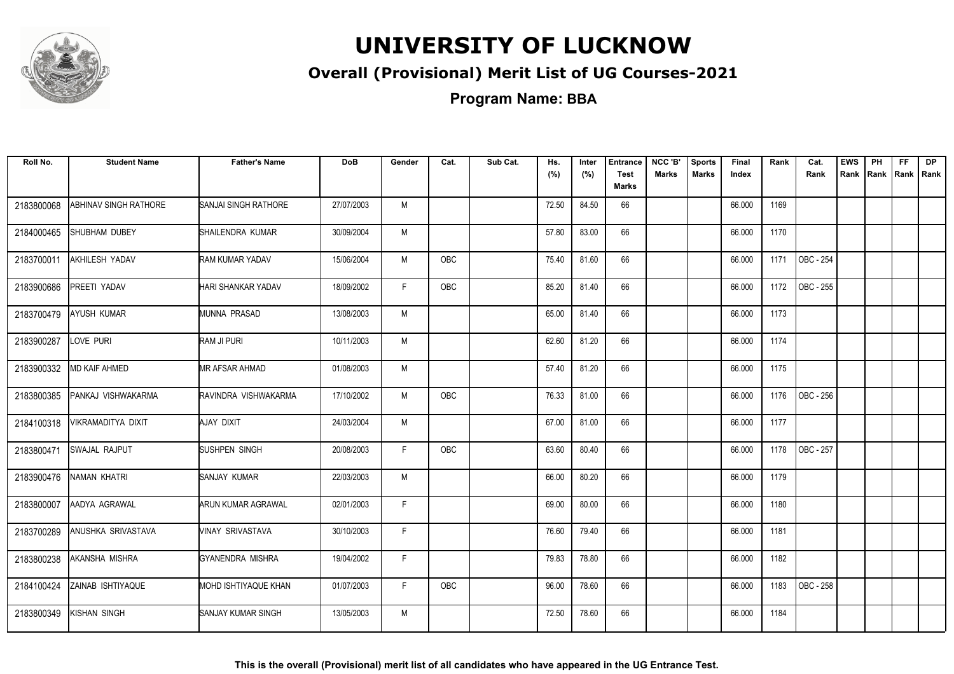

#### **Overall (Provisional) Merit List of UG Courses-2021**

**Program Name: BBA**

| Roll No.   | <b>Student Name</b>          | <b>Father's Name</b>        | <b>DoB</b> | Gender | Cat.       | Sub Cat. | Hs.<br>(%) | Inter<br>(%) | <b>Entrance</b><br><b>Test</b><br><b>Marks</b> | NCC 'B'<br><b>Marks</b> | <b>Sports</b><br><b>Marks</b> | Final<br>Index | Rank | Cat.<br>Rank | <b>EWS</b><br>Rank | PH<br>Rank | FF.<br>Rank   Rank | <b>DP</b> |
|------------|------------------------------|-----------------------------|------------|--------|------------|----------|------------|--------------|------------------------------------------------|-------------------------|-------------------------------|----------------|------|--------------|--------------------|------------|--------------------|-----------|
| 2183800068 | <b>ABHINAV SINGH RATHORE</b> | <b>SANJAI SINGH RATHORE</b> | 27/07/2003 | M      |            |          | 72.50      | 84.50        | 66                                             |                         |                               | 66.000         | 1169 |              |                    |            |                    |           |
| 2184000465 | SHUBHAM DUBEY                | SHAILENDRA KUMAR            | 30/09/2004 | M      |            |          | 57.80      | 83.00        | 66                                             |                         |                               | 66.000         | 1170 |              |                    |            |                    |           |
| 2183700011 | <b>AKHILESH YADAV</b>        | <b>RAM KUMAR YADAV</b>      | 15/06/2004 | M      | <b>OBC</b> |          | 75.40      | 81.60        | 66                                             |                         |                               | 66.000         | 1171 | OBC - 254    |                    |            |                    |           |
| 2183900686 | PREETI YADAV                 | HARI SHANKAR YADAV          | 18/09/2002 | F      | <b>OBC</b> |          | 85.20      | 81.40        | 66                                             |                         |                               | 66.000         | 1172 | OBC - 255    |                    |            |                    |           |
| 2183700479 | AYUSH KUMAR                  | MUNNA PRASAD                | 13/08/2003 | M      |            |          | 65.00      | 81.40        | 66                                             |                         |                               | 66.000         | 1173 |              |                    |            |                    |           |
| 2183900287 | LOVE PURI                    | RAM JI PURI                 | 10/11/2003 | M      |            |          | 62.60      | 81.20        | 66                                             |                         |                               | 66.000         | 1174 |              |                    |            |                    |           |
| 2183900332 | MD KAIF AHMED                | MR AFSAR AHMAD              | 01/08/2003 | M      |            |          | 57.40      | 81.20        | 66                                             |                         |                               | 66.000         | 1175 |              |                    |            |                    |           |
| 2183800385 | PANKAJ VISHWAKARMA           | RAVINDRA VISHWAKARMA        | 17/10/2002 | M      | OBC        |          | 76.33      | 81.00        | 66                                             |                         |                               | 66.000         | 1176 | OBC - 256    |                    |            |                    |           |
| 2184100318 | VIKRAMADITYA DIXIT           | <b>AJAY DIXIT</b>           | 24/03/2004 | M      |            |          | 67.00      | 81.00        | 66                                             |                         |                               | 66.000         | 1177 |              |                    |            |                    |           |
| 2183800471 | SWAJAL RAJPUT                | <b>SUSHPEN SINGH</b>        | 20/08/2003 | F      | <b>OBC</b> |          | 63.60      | 80.40        | 66                                             |                         |                               | 66.000         | 1178 | OBC - 257    |                    |            |                    |           |
| 2183900476 | NAMAN KHATRI                 | SANJAY KUMAR                | 22/03/2003 | M      |            |          | 66.00      | 80.20        | 66                                             |                         |                               | 66.000         | 1179 |              |                    |            |                    |           |
| 2183800007 | AADYA AGRAWAL                | <b>ARUN KUMAR AGRAWAL</b>   | 02/01/2003 | F      |            |          | 69.00      | 80.00        | 66                                             |                         |                               | 66.000         | 1180 |              |                    |            |                    |           |
| 2183700289 | ANUSHKA SRIVASTAVA           | VINAY SRIVASTAVA            | 30/10/2003 | F.     |            |          | 76.60      | 79.40        | 66                                             |                         |                               | 66.000         | 1181 |              |                    |            |                    |           |
| 2183800238 | AKANSHA MISHRA               | <b>GYANENDRA MISHRA</b>     | 19/04/2002 | F.     |            |          | 79.83      | 78.80        | 66                                             |                         |                               | 66.000         | 1182 |              |                    |            |                    |           |
| 2184100424 | ZAINAB ISHTIYAQUE            | MOHD ISHTIYAQUE KHAN        | 01/07/2003 | F.     | <b>OBC</b> |          | 96.00      | 78.60        | 66                                             |                         |                               | 66.000         | 1183 | OBC - 258    |                    |            |                    |           |
| 2183800349 | KISHAN SINGH                 | SANJAY KUMAR SINGH          | 13/05/2003 | M      |            |          | 72.50      | 78.60        | 66                                             |                         |                               | 66.000         | 1184 |              |                    |            |                    |           |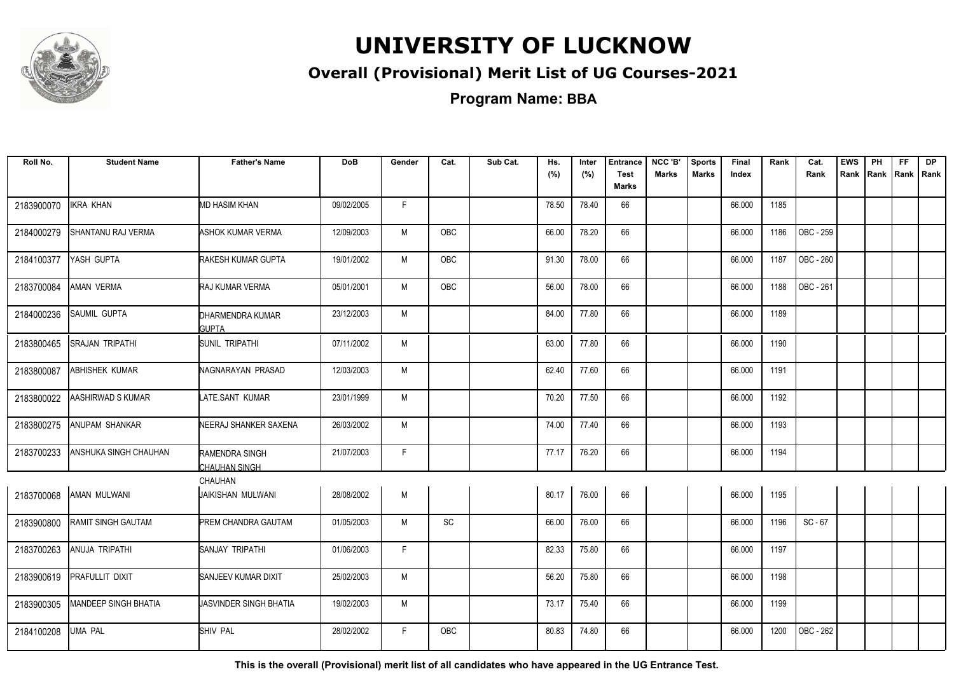

#### **Overall (Provisional) Merit List of UG Courses-2021**

**Program Name: BBA**

| Roll No.   | <b>Student Name</b>         | <b>Father's Name</b>             | <b>DoB</b> | Gender | Cat.       | Sub Cat. | Hs.<br>(%) | Inter<br>(%) | <b>Entrance</b><br><b>Test</b> | NCC 'B'<br><b>Marks</b> | <b>Sports</b><br><b>Marks</b> | Final<br>Index | Rank | Cat.<br>Rank | <b>EWS</b> | PH<br>Rank Rank Rank Rank | FF. | <b>DP</b> |
|------------|-----------------------------|----------------------------------|------------|--------|------------|----------|------------|--------------|--------------------------------|-------------------------|-------------------------------|----------------|------|--------------|------------|---------------------------|-----|-----------|
|            |                             |                                  |            |        |            |          |            |              | Marks                          |                         |                               |                |      |              |            |                           |     |           |
| 2183900070 | <b>IKRA KHAN</b>            | <b>MD HASIM KHAN</b>             | 09/02/2005 | F.     |            |          | 78.50      | 78.40        | 66                             |                         |                               | 66.000         | 1185 |              |            |                           |     |           |
| 2184000279 | SHANTANU RAJ VERMA          | ASHOK KUMAR VERMA                | 12/09/2003 | M      | OBC        |          | 66.00      | 78.20        | 66                             |                         |                               | 66.000         | 1186 | OBC - 259    |            |                           |     |           |
| 2184100377 | YASH GUPTA                  | RAKESH KUMAR GUPTA               | 19/01/2002 | M      | <b>OBC</b> |          | 91.30      | 78.00        | 66                             |                         |                               | 66.000         | 1187 | OBC - 260    |            |                           |     |           |
| 2183700084 | AMAN VERMA                  | RAJ KUMAR VERMA                  | 05/01/2001 | M      | OBC        |          | 56.00      | 78.00        | 66                             |                         |                               | 66.000         | 1188 | OBC - 261    |            |                           |     |           |
| 2184000236 | SAUMIL GUPTA                | DHARMENDRA KUMAR<br><b>GUPTA</b> | 23/12/2003 | M      |            |          | 84.00      | 77.80        | 66                             |                         |                               | 66.000         | 1189 |              |            |                           |     |           |
| 2183800465 | <b>SRAJAN TRIPATHI</b>      | <b>SUNIL TRIPATHI</b>            | 07/11/2002 | M      |            |          | 63.00      | 77.80        | 66                             |                         |                               | 66.000         | 1190 |              |            |                           |     |           |
| 2183800087 | ABHISHEK KUMAR              | NAGNARAYAN PRASAD                | 12/03/2003 | M      |            |          | 62.40      | 77.60        | 66                             |                         |                               | 66.000         | 1191 |              |            |                           |     |           |
| 2183800022 | AASHIRWAD S KUMAR           | LATE.SANT KUMAR                  | 23/01/1999 | M      |            |          | 70.20      | 77.50        | 66                             |                         |                               | 66.000         | 1192 |              |            |                           |     |           |
| 2183800275 | ANUPAM SHANKAR              | NEERAJ SHANKER SAXENA            | 26/03/2002 | M      |            |          | 74.00      | 77.40        | 66                             |                         |                               | 66.000         | 1193 |              |            |                           |     |           |
| 2183700233 | ANSHUKA SINGH CHAUHAN       | RAMENDRA SINGH<br>CHAUHAN SINGH  | 21/07/2003 | F.     |            |          | 77.17      | 76.20        | 66                             |                         |                               | 66.000         | 1194 |              |            |                           |     |           |
|            |                             | <b>CHAUHAN</b>                   |            |        |            |          |            |              |                                |                         |                               |                |      |              |            |                           |     |           |
| 2183700068 | AMAN MULWANI                | JAIKISHAN MULWANI                | 28/08/2002 | M      |            |          | 80.17      | 76.00        | 66                             |                         |                               | 66.000         | 1195 |              |            |                           |     |           |
| 2183900800 | RAMIT SINGH GAUTAM          | PREM CHANDRA GAUTAM              | 01/05/2003 | M      | <b>SC</b>  |          | 66.00      | 76.00        | 66                             |                         |                               | 66.000         | 1196 | $SC - 67$    |            |                           |     |           |
| 2183700263 | ANUJA TRIPATHI              | SANJAY TRIPATHI                  | 01/06/2003 | F.     |            |          | 82.33      | 75.80        | 66                             |                         |                               | 66.000         | 1197 |              |            |                           |     |           |
| 2183900619 | PRAFULLIT DIXIT             | SANJEEV KUMAR DIXIT              | 25/02/2003 | M      |            |          | 56.20      | 75.80        | 66                             |                         |                               | 66.000         | 1198 |              |            |                           |     |           |
| 2183900305 | <b>MANDEEP SINGH BHATIA</b> | <b>JASVINDER SINGH BHATIA</b>    | 19/02/2003 | M      |            |          | 73.17      | 75.40        | 66                             |                         |                               | 66.000         | 1199 |              |            |                           |     |           |
| 2184100208 | <b>UMA PAL</b>              | <b>SHIV PAL</b>                  | 28/02/2002 | F.     | OBC        |          | 80.83      | 74.80        | 66                             |                         |                               | 66.000         | 1200 | OBC - 262    |            |                           |     |           |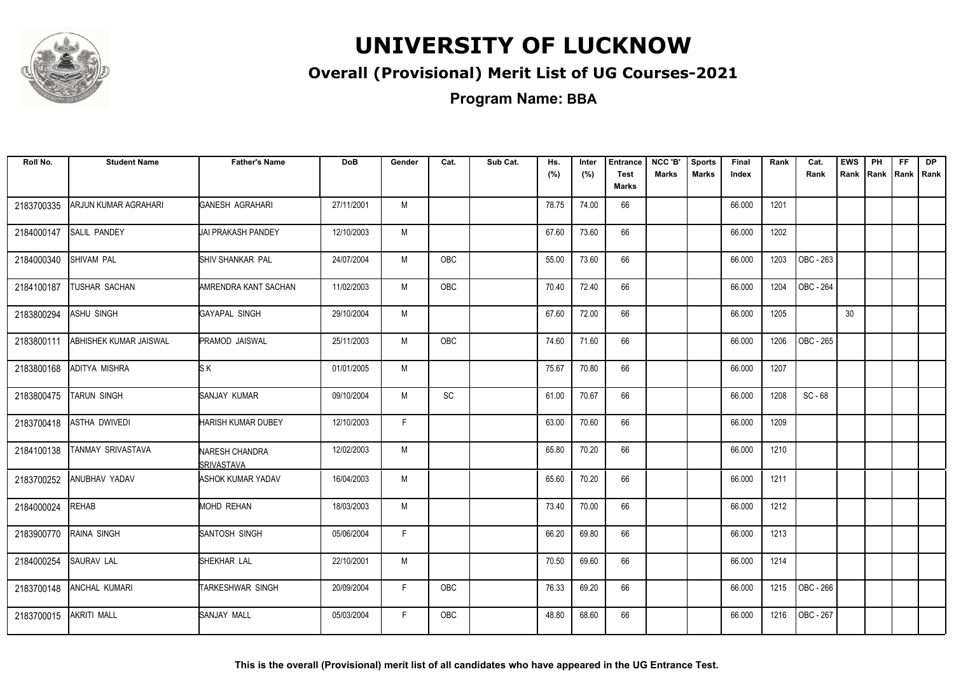

#### **Overall (Provisional) Merit List of UG Courses-2021**

**Program Name: BBA**

| Roll No.   | <b>Student Name</b>    | <b>Father's Name</b>                | <b>DoB</b> | Gender | Cat.       | Sub Cat. | Hs.<br>(%) | Inter<br>(%) | <b>Entrance</b><br><b>Test</b><br><b>Marks</b> | NCC 'B'<br><b>Marks</b> | <b>Sports</b><br><b>Marks</b> | Final<br>Index | Rank | Cat.<br>Rank | <b>EWS</b><br>Rank | PH<br>Rank | FF.<br>Rank   Rank | <b>DP</b> |
|------------|------------------------|-------------------------------------|------------|--------|------------|----------|------------|--------------|------------------------------------------------|-------------------------|-------------------------------|----------------|------|--------------|--------------------|------------|--------------------|-----------|
| 2183700335 | ARJUN KUMAR AGRAHARI   | <b>GANESH AGRAHARI</b>              | 27/11/2001 | M      |            |          | 78.75      | 74.00        | 66                                             |                         |                               | 66.000         | 1201 |              |                    |            |                    |           |
| 2184000147 | <b>SALIL PANDEY</b>    | <b>JAI PRAKASH PANDEY</b>           | 12/10/2003 | M      |            |          | 67.60      | 73.60        | 66                                             |                         |                               | 66.000         | 1202 |              |                    |            |                    |           |
| 2184000340 | <b>SHIVAM PAL</b>      | <b>SHIV SHANKAR PAL</b>             | 24/07/2004 | M      | <b>OBC</b> |          | 55.00      | 73.60        | 66                                             |                         |                               | 66.000         | 1203 | OBC - 263    |                    |            |                    |           |
| 2184100187 | TUSHAR SACHAN          | AMRENDRA KANT SACHAN                | 11/02/2003 | M      | OBC        |          | 70.40      | 72.40        | 66                                             |                         |                               | 66.000         | 1204 | OBC - 264    |                    |            |                    |           |
| 2183800294 | ASHU SINGH             | GAYAPAL SINGH                       | 29/10/2004 | M      |            |          | 67.60      | 72.00        | 66                                             |                         |                               | 66.000         | 1205 |              | 30                 |            |                    |           |
| 2183800111 | ABHISHEK KUMAR JAISWAL | PRAMOD JAISWAL                      | 25/11/2003 | M      | OBC        |          | 74.60      | 71.60        | 66                                             |                         |                               | 66.000         | 1206 | OBC - 265    |                    |            |                    |           |
| 2183800168 | ADITYA MISHRA          | <b>SK</b>                           | 01/01/2005 | M      |            |          | 75.67      | 70.80        | 66                                             |                         |                               | 66.000         | 1207 |              |                    |            |                    |           |
| 2183800475 | <b>TARUN SINGH</b>     | SANJAY KUMAR                        | 09/10/2004 | M      | SC         |          | 61.00      | 70.67        | 66                                             |                         |                               | 66.000         | 1208 | $SC - 68$    |                    |            |                    |           |
| 2183700418 | ASTHA DWIVEDI          | HARISH KUMAR DUBEY                  | 12/10/2003 | F      |            |          | 63.00      | 70.60        | 66                                             |                         |                               | 66.000         | 1209 |              |                    |            |                    |           |
| 2184100138 | TANMAY SRIVASTAVA      | <b>NARESH CHANDRA</b><br>SRIVASTAVA | 12/02/2003 | M      |            |          | 65.80      | 70.20        | 66                                             |                         |                               | 66.000         | 1210 |              |                    |            |                    |           |
| 2183700252 | ANUBHAV YADAV          | ASHOK KUMAR YADAV                   | 16/04/2003 | M      |            |          | 65.60      | 70.20        | 66                                             |                         |                               | 66.000         | 1211 |              |                    |            |                    |           |
| 2184000024 | <b>REHAB</b>           | MOHD REHAN                          | 18/03/2003 | M      |            |          | 73.40      | 70.00        | 66                                             |                         |                               | 66.000         | 1212 |              |                    |            |                    |           |
| 2183900770 | RAINA SINGH            | SANTOSH SINGH                       | 05/06/2004 | F.     |            |          | 66.20      | 69.80        | 66                                             |                         |                               | 66.000         | 1213 |              |                    |            |                    |           |
| 2184000254 | <b>SAURAV LAL</b>      | SHEKHAR LAL                         | 22/10/2001 | M      |            |          | 70.50      | 69.60        | 66                                             |                         |                               | 66.000         | 1214 |              |                    |            |                    |           |
| 2183700148 | ANCHAL KUMARI          | TARKESHWAR SINGH                    | 20/09/2004 | F.     | OBC        |          | 76.33      | 69.20        | 66                                             |                         |                               | 66.000         | 1215 | OBC - 266    |                    |            |                    |           |
| 2183700015 | <b>AKRITI MALL</b>     | SANJAY MALL                         | 05/03/2004 | F.     | <b>OBC</b> |          | 48.80      | 68.60        | 66                                             |                         |                               | 66.000         | 1216 | OBC - 267    |                    |            |                    |           |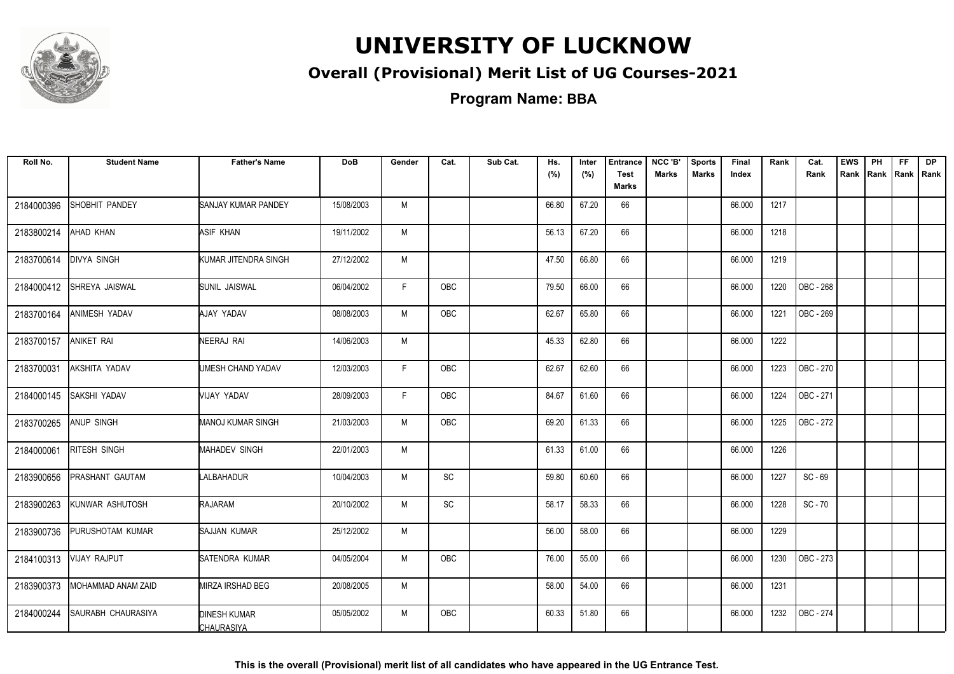

#### **Overall (Provisional) Merit List of UG Courses-2021**

| Roll No.   | <b>Student Name</b>       | <b>Father's Name</b>                     | <b>DoB</b> | Gender | Cat.       | Sub Cat. | Hs.<br>(%) | Inter<br>(%) | <b>Entrance</b><br><b>Test</b> | NCC 'B'<br><b>Marks</b> | <b>Sports</b><br><b>Marks</b> | Final<br>Index | Rank | Cat.<br>Rank | <b>EWS</b> | PH | FF. | <b>DP</b><br>Rank Rank Rank Rank |
|------------|---------------------------|------------------------------------------|------------|--------|------------|----------|------------|--------------|--------------------------------|-------------------------|-------------------------------|----------------|------|--------------|------------|----|-----|----------------------------------|
|            |                           |                                          |            |        |            |          |            |              | Marks                          |                         |                               |                |      |              |            |    |     |                                  |
| 2184000396 | <b>SHOBHIT PANDEY</b>     | SANJAY KUMAR PANDEY                      | 15/08/2003 | M      |            |          | 66.80      | 67.20        | 66                             |                         |                               | 66.000         | 1217 |              |            |    |     |                                  |
| 2183800214 | AHAD KHAN                 | ASIF KHAN                                | 19/11/2002 | М      |            |          | 56.13      | 67.20        | 66                             |                         |                               | 66.000         | 1218 |              |            |    |     |                                  |
| 2183700614 | <b>DIVYA SINGH</b>        | KUMAR JITENDRA SINGH                     | 27/12/2002 | M      |            |          | 47.50      | 66.80        | 66                             |                         |                               | 66.000         | 1219 |              |            |    |     |                                  |
| 2184000412 | SHREYA JAISWAL            | ISUNIL JAISWAL                           | 06/04/2002 | F.     | <b>OBC</b> |          | 79.50      | 66.00        | 66                             |                         |                               | 66.000         | 1220 | OBC - 268    |            |    |     |                                  |
| 2183700164 | ANIMESH YADAV             | AJAY YADAV                               | 08/08/2003 | M      | OBC        |          | 62.67      | 65.80        | 66                             |                         |                               | 66.000         | 1221 | OBC - 269    |            |    |     |                                  |
| 2183700157 | <b>ANIKET RAI</b>         | NEERAJ RAI                               | 14/06/2003 | M      |            |          | 45.33      | 62.80        | 66                             |                         |                               | 66.000         | 1222 |              |            |    |     |                                  |
| 2183700031 | AKSHITA YADAV             | UMESH CHAND YADAV                        | 12/03/2003 | F.     | OBC        |          | 62.67      | 62.60        | 66                             |                         |                               | 66.000         | 1223 | OBC - 270    |            |    |     |                                  |
| 2184000145 | SAKSHI YADAV              | VIJAY YADAV                              | 28/09/2003 | F      | <b>OBC</b> |          | 84.67      | 61.60        | 66                             |                         |                               | 66.000         | 1224 | OBC - 271    |            |    |     |                                  |
| 2183700265 | <b>ANUP SINGH</b>         | <b>MANOJ KUMAR SINGH</b>                 | 21/03/2003 | M      | <b>OBC</b> |          | 69.20      | 61.33        | 66                             |                         |                               | 66.000         | 1225 | OBC - 272    |            |    |     |                                  |
| 2184000061 | <b>RITESH SINGH</b>       | <b>MAHADEV SINGH</b>                     | 22/01/2003 | M      |            |          | 61.33      | 61.00        | 66                             |                         |                               | 66.000         | 1226 |              |            |    |     |                                  |
| 2183900656 | PRASHANT GAUTAM           | LALBAHADUR                               | 10/04/2003 | M      | <b>SC</b>  |          | 59.80      | 60.60        | 66                             |                         |                               | 66.000         | 1227 | $SC - 69$    |            |    |     |                                  |
| 2183900263 | KUNWAR ASHUTOSH           | <b>RAJARAM</b>                           | 20/10/2002 | M      | <b>SC</b>  |          | 58.17      | 58.33        | 66                             |                         |                               | 66.000         | 1228 | $SC - 70$    |            |    |     |                                  |
| 2183900736 | PURUSHOTAM KUMAR          | SAJJAN KUMAR                             | 25/12/2002 | M      |            |          | 56.00      | 58.00        | 66                             |                         |                               | 66.000         | 1229 |              |            |    |     |                                  |
| 2184100313 | <b>VIJAY RAJPUT</b>       | SATENDRA KUMAR                           | 04/05/2004 | M      | OBC        |          | 76.00      | 55.00        | 66                             |                         |                               | 66.000         | 1230 | OBC - 273    |            |    |     |                                  |
| 2183900373 | MOHAMMAD ANAM ZAID        | MIRZA IRSHAD BEG                         | 20/08/2005 | M      |            |          | 58.00      | 54.00        | 66                             |                         |                               | 66.000         | 1231 |              |            |    |     |                                  |
| 2184000244 | <b>SAURABH CHAURASIYA</b> | <b>DINESH KUMAR</b><br><b>CHAURASIYA</b> | 05/05/2002 | M      | OBC        |          | 60.33      | 51.80        | 66                             |                         |                               | 66.000         | 1232 | OBC - 274    |            |    |     |                                  |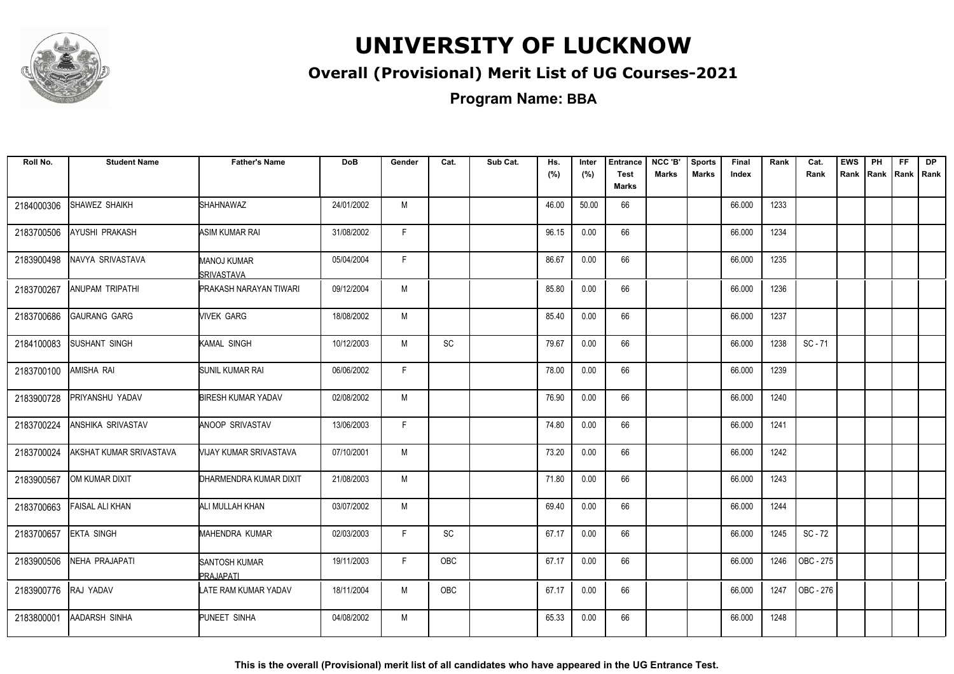

#### **Overall (Provisional) Merit List of UG Courses-2021**

**Program Name: BBA**

| Roll No.   | <b>Student Name</b>      | <b>Father's Name</b>                 | <b>DoB</b> | Gender | Cat.      | Sub Cat. | Hs.<br>(%) | Inter<br>(%) | <b>Entrance</b><br><b>Test</b> | NCC 'B'<br><b>Marks</b> | <b>Sports</b><br><b>Marks</b> | Final<br>Index | Rank | Cat.<br>Rank | <b>EWS</b><br>Rank | PH<br>Rank Rank | FF. | <b>DP</b><br>Rank |
|------------|--------------------------|--------------------------------------|------------|--------|-----------|----------|------------|--------------|--------------------------------|-------------------------|-------------------------------|----------------|------|--------------|--------------------|-----------------|-----|-------------------|
|            |                          |                                      |            |        |           |          |            |              | <b>Marks</b>                   |                         |                               |                |      |              |                    |                 |     |                   |
| 2184000306 | SHAWEZ SHAIKH            | <b>SHAHNAWAZ</b>                     | 24/01/2002 | M      |           |          | 46.00      | 50.00        | 66                             |                         |                               | 66.000         | 1233 |              |                    |                 |     |                   |
| 2183700506 | AYUSHI PRAKASH           | ASIM KUMAR RAI                       | 31/08/2002 | F.     |           |          | 96.15      | 0.00         | 66                             |                         |                               | 66.000         | 1234 |              |                    |                 |     |                   |
| 2183900498 | NAVYA SRIVASTAVA         | MANOJ KUMAR<br>SRIVASTAVA            | 05/04/2004 | F      |           |          | 86.67      | 0.00         | 66                             |                         |                               | 66.000         | 1235 |              |                    |                 |     |                   |
| 2183700267 | ANUPAM TRIPATHI          | PRAKASH NARAYAN TIWARI               | 09/12/2004 | M      |           |          | 85.80      | 0.00         | 66                             |                         |                               | 66.000         | 1236 |              |                    |                 |     |                   |
| 2183700686 | <b>GAURANG GARG</b>      | <b>NIVEK GARG</b>                    | 18/08/2002 | M      |           |          | 85.40      | 0.00         | 66                             |                         |                               | 66.000         | 1237 |              |                    |                 |     |                   |
| 2184100083 | <b>SUSHANT SINGH</b>     | KAMAL SINGH                          | 10/12/2003 | M      | <b>SC</b> |          | 79.67      | 0.00         | 66                             |                         |                               | 66.000         | 1238 | $SC - 71$    |                    |                 |     |                   |
| 2183700100 | AMISHA RAI               | <b>SUNIL KUMAR RAI</b>               | 06/06/2002 | F      |           |          | 78.00      | 0.00         | 66                             |                         |                               | 66.000         | 1239 |              |                    |                 |     |                   |
| 2183900728 | PRIYANSHU YADAV          | <b>BIRESH KUMAR YADAV</b>            | 02/08/2002 | M      |           |          | 76.90      | 0.00         | 66                             |                         |                               | 66.000         | 1240 |              |                    |                 |     |                   |
| 2183700224 | <b>ANSHIKA SRIVASTAV</b> | <b>ANOOP SRIVASTAV</b>               | 13/06/2003 | F      |           |          | 74.80      | 0.00         | 66                             |                         |                               | 66.000         | 1241 |              |                    |                 |     |                   |
| 2183700024 | AKSHAT KUMAR SRIVASTAVA  | <b><i>NIJAY KUMAR SRIVASTAVA</i></b> | 07/10/2001 | M      |           |          | 73.20      | 0.00         | 66                             |                         |                               | 66.000         | 1242 |              |                    |                 |     |                   |
| 2183900567 | OM KUMAR DIXIT           | DHARMENDRA KUMAR DIXIT               | 21/08/2003 | M      |           |          | 71.80      | 0.00         | 66                             |                         |                               | 66.000         | 1243 |              |                    |                 |     |                   |
| 2183700663 | FAISAL ALI KHAN          | ALI MULLAH KHAN                      | 03/07/2002 | M      |           |          | 69.40      | 0.00         | 66                             |                         |                               | 66.000         | 1244 |              |                    |                 |     |                   |
| 2183700657 | <b>EKTA SINGH</b>        | <b>MAHENDRA KUMAR</b>                | 02/03/2003 | F.     | <b>SC</b> |          | 67.17      | 0.00         | 66                             |                         |                               | 66.000         | 1245 | $SC - 72$    |                    |                 |     |                   |
| 2183900506 | <b>NEHA PRAJAPATI</b>    | <b>SANTOSH KUMAR</b><br>PRAJAPATI    | 19/11/2003 | F.     | OBC       |          | 67.17      | 0.00         | 66                             |                         |                               | 66.000         | 1246 | OBC - 275    |                    |                 |     |                   |
| 2183900776 | RAJ YADAV                | LATE RAM KUMAR YADAV                 | 18/11/2004 | M      | OBC       |          | 67.17      | 0.00         | 66                             |                         |                               | 66.000         | 1247 | OBC - 276    |                    |                 |     |                   |
| 2183800001 | <b>AADARSH SINHA</b>     | PUNEET SINHA                         | 04/08/2002 | M      |           |          | 65.33      | 0.00         | 66                             |                         |                               | 66.000         | 1248 |              |                    |                 |     |                   |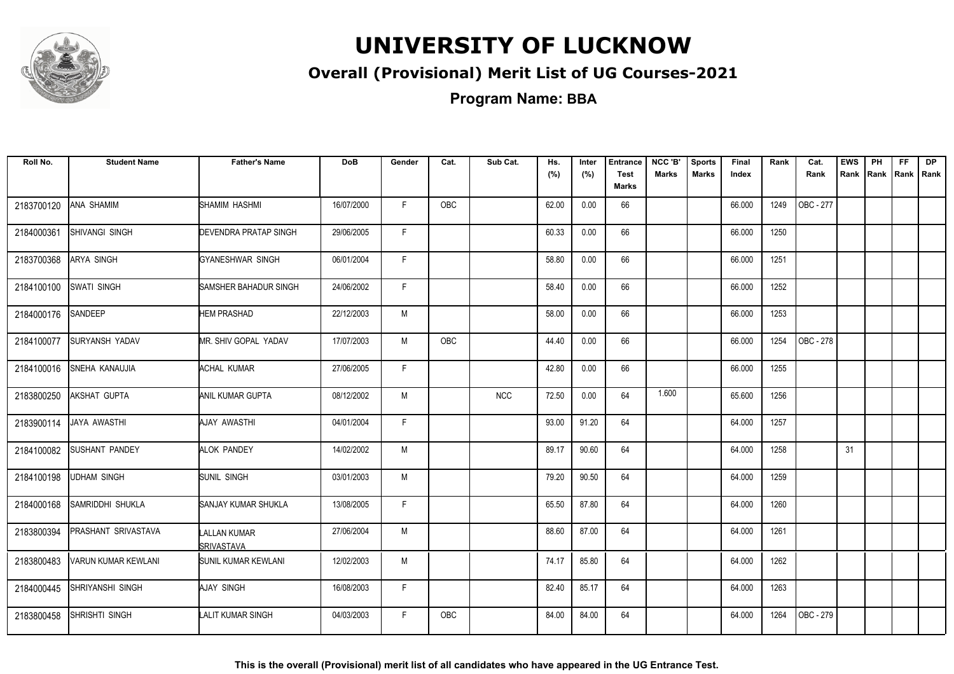

#### **Overall (Provisional) Merit List of UG Courses-2021**

**Program Name: BBA**

| Roll No.   | <b>Student Name</b>        | <b>Father's Name</b>              | <b>DoB</b> | Gender | Cat.       | Sub Cat.   | Hs.<br>(%) | Inter<br>(%) | <b>Entrance</b><br><b>Test</b> | NCC 'B'<br><b>Marks</b> | <b>Sports</b><br><b>Marks</b> | Final<br>Index | Rank | Cat.<br>Rank | <b>EWS</b><br>Rank | PH | FF.<br>Rank   Rank   Rank | DP |
|------------|----------------------------|-----------------------------------|------------|--------|------------|------------|------------|--------------|--------------------------------|-------------------------|-------------------------------|----------------|------|--------------|--------------------|----|---------------------------|----|
|            |                            |                                   |            |        |            |            |            |              | Marks                          |                         |                               |                |      |              |                    |    |                           |    |
| 2183700120 | <b>ANA SHAMIM</b>          | SHAMIM HASHMI                     | 16/07/2000 | F.     | OBC        |            | 62.00      | 0.00         | 66                             |                         |                               | 66.000         | 1249 | OBC - 277    |                    |    |                           |    |
| 2184000361 | SHIVANGI SINGH             | <b>DEVENDRA PRATAP SINGH</b>      | 29/06/2005 | F.     |            |            | 60.33      | 0.00         | 66                             |                         |                               | 66.000         | 1250 |              |                    |    |                           |    |
| 2183700368 | <b>ARYA SINGH</b>          | GYANESHWAR SINGH                  | 06/01/2004 | F.     |            |            | 58.80      | 0.00         | 66                             |                         |                               | 66.000         | 1251 |              |                    |    |                           |    |
| 2184100100 | <b>SWATI SINGH</b>         | SAMSHER BAHADUR SINGH             | 24/06/2002 | F.     |            |            | 58.40      | 0.00         | 66                             |                         |                               | 66.000         | 1252 |              |                    |    |                           |    |
| 2184000176 | SANDEEP                    | <b>HEM PRASHAD</b>                | 22/12/2003 | M      |            |            | 58.00      | 0.00         | 66                             |                         |                               | 66.000         | 1253 |              |                    |    |                           |    |
| 2184100077 | <b>SURYANSH YADAV</b>      | MR. SHIV GOPAL YADAV              | 17/07/2003 | M      | <b>OBC</b> |            | 44.40      | 0.00         | 66                             |                         |                               | 66.000         | 1254 | OBC - 278    |                    |    |                           |    |
| 2184100016 | <b>SNEHA KANAUJIA</b>      | <b>ACHAL KUMAR</b>                | 27/06/2005 | F.     |            |            | 42.80      | 0.00         | 66                             |                         |                               | 66.000         | 1255 |              |                    |    |                           |    |
| 2183800250 | <b>AKSHAT GUPTA</b>        | <b>ANIL KUMAR GUPTA</b>           | 08/12/2002 | M      |            | <b>NCC</b> | 72.50      | 0.00         | 64                             | 1.600                   |                               | 65.600         | 1256 |              |                    |    |                           |    |
| 2183900114 | JAYA AWASTHI               | AJAY AWASTHI                      | 04/01/2004 | F.     |            |            | 93.00      | 91.20        | 64                             |                         |                               | 64.000         | 1257 |              |                    |    |                           |    |
| 2184100082 | <b>SUSHANT PANDEY</b>      | ALOK PANDEY                       | 14/02/2002 | M      |            |            | 89.17      | 90.60        | 64                             |                         |                               | 64.000         | 1258 |              | 31                 |    |                           |    |
| 2184100198 | <b>UDHAM SINGH</b>         | <b>SUNIL SINGH</b>                | 03/01/2003 | M      |            |            | 79.20      | 90.50        | 64                             |                         |                               | 64.000         | 1259 |              |                    |    |                           |    |
| 2184000168 | SAMRIDDHI SHUKLA           | SANJAY KUMAR SHUKLA               | 13/08/2005 | F.     |            |            | 65.50      | 87.80        | 64                             |                         |                               | 64.000         | 1260 |              |                    |    |                           |    |
| 2183800394 | <b>PRASHANT SRIVASTAVA</b> | LALLAN KUMAR<br><b>SRIVASTAVA</b> | 27/06/2004 | M      |            |            | 88.60      | 87.00        | 64                             |                         |                               | 64.000         | 1261 |              |                    |    |                           |    |
| 2183800483 | <b>VARUN KUMAR KEWLANI</b> | <b>SUNIL KUMAR KEWLANI</b>        | 12/02/2003 | M      |            |            | 74.17      | 85.80        | 64                             |                         |                               | 64.000         | 1262 |              |                    |    |                           |    |
| 2184000445 | <b>SHRIYANSHI SINGH</b>    | AJAY SINGH                        | 16/08/2003 | F.     |            |            | 82.40      | 85.17        | 64                             |                         |                               | 64.000         | 1263 |              |                    |    |                           |    |
| 2183800458 | <b>SHRISHTI SINGH</b>      | LALIT KUMAR SINGH                 | 04/03/2003 | F.     | <b>OBC</b> |            | 84.00      | 84.00        | 64                             |                         |                               | 64.000         | 1264 | OBC - 279    |                    |    |                           |    |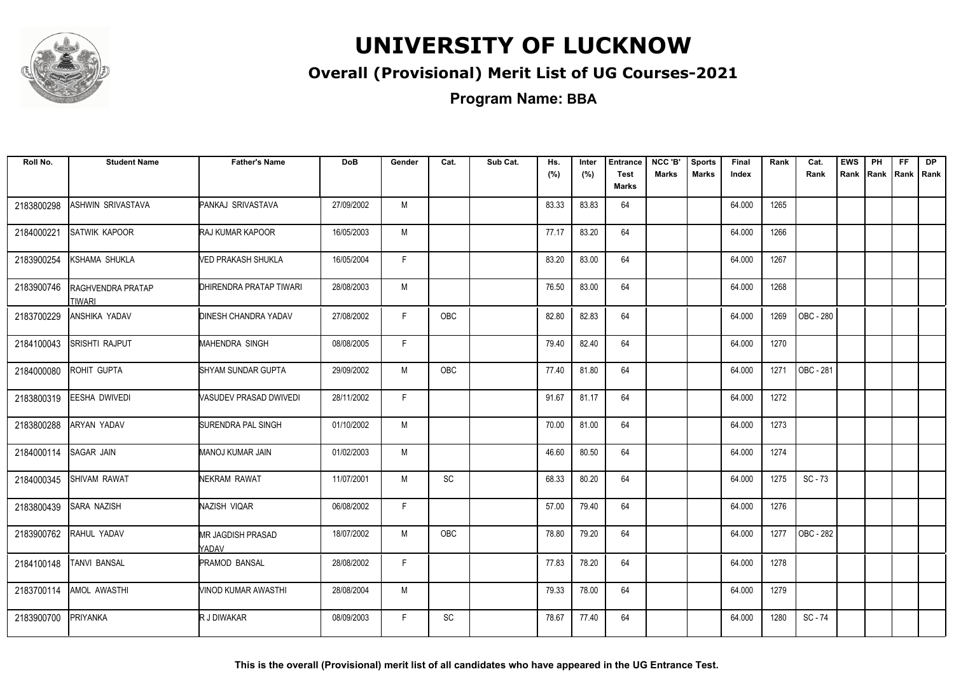

#### **Overall (Provisional) Merit List of UG Courses-2021**

**Program Name: BBA**

| Roll No.   | <b>Student Name</b>                | <b>Father's Name</b>              | <b>DoB</b> | Gender | Cat.          | Sub Cat. | Hs.<br>(%) | Inter<br>(%) | <b>Entrance</b><br><b>Test</b><br>Marks | NCC 'B'<br><b>Marks</b> | <b>Sports</b><br><b>Marks</b> | Final<br>Index | Rank | Cat.<br>Rank | <b>EWS</b><br>Rank | PH | FF. | <b>DP</b><br>Rank Rank Rank |
|------------|------------------------------------|-----------------------------------|------------|--------|---------------|----------|------------|--------------|-----------------------------------------|-------------------------|-------------------------------|----------------|------|--------------|--------------------|----|-----|-----------------------------|
| 2183800298 | ASHWIN SRIVASTAVA                  | PANKAJ SRIVASTAVA                 | 27/09/2002 | M      |               |          | 83.33      | 83.83        | 64                                      |                         |                               | 64.000         | 1265 |              |                    |    |     |                             |
| 2184000221 | SATWIK KAPOOR                      | RAJ KUMAR KAPOOR                  | 16/05/2003 | M      |               |          | 77.17      | 83.20        | 64                                      |                         |                               | 64.000         | 1266 |              |                    |    |     |                             |
| 2183900254 | <b>KSHAMA SHUKLA</b>               | VED PRAKASH SHUKLA                | 16/05/2004 | F.     |               |          | 83.20      | 83.00        | 64                                      |                         |                               | 64.000         | 1267 |              |                    |    |     |                             |
| 2183900746 | <b>RAGHVENDRA PRATAP</b><br>TIWARI | DHIRENDRA PRATAP TIWARI           | 28/08/2003 | M      |               |          | 76.50      | 83.00        | 64                                      |                         |                               | 64.000         | 1268 |              |                    |    |     |                             |
| 2183700229 | ANSHIKA YADAV                      | <b>DINESH CHANDRA YADAV</b>       | 27/08/2002 | F.     | OBC           |          | 82.80      | 82.83        | 64                                      |                         |                               | 64.000         | 1269 | OBC - 280    |                    |    |     |                             |
| 2184100043 | <b>SRISHTI RAJPUT</b>              | MAHENDRA SINGH                    | 08/08/2005 | F.     |               |          | 79.40      | 82.40        | 64                                      |                         |                               | 64.000         | 1270 |              |                    |    |     |                             |
| 2184000080 | ROHIT GUPTA                        | SHYAM SUNDAR GUPTA                | 29/09/2002 | M      | OBC           |          | 77.40      | 81.80        | 64                                      |                         |                               | 64.000         | 1271 | OBC - 281    |                    |    |     |                             |
| 2183800319 | EESHA DWIVEDI                      | VASUDEV PRASAD DWIVEDI            | 28/11/2002 | F.     |               |          | 91.67      | 81.17        | 64                                      |                         |                               | 64.000         | 1272 |              |                    |    |     |                             |
| 2183800288 | ARYAN YADAV                        | SURENDRA PAL SINGH                | 01/10/2002 | M      |               |          | 70.00      | 81.00        | 64                                      |                         |                               | 64.000         | 1273 |              |                    |    |     |                             |
| 2184000114 | SAGAR JAIN                         | <b>MANOJ KUMAR JAIN</b>           | 01/02/2003 | M      |               |          | 46.60      | 80.50        | 64                                      |                         |                               | 64.000         | 1274 |              |                    |    |     |                             |
| 2184000345 | <b>SHIVAM RAWAT</b>                | NEKRAM RAWAT                      | 11/07/2001 | M      | $\mathsf{SC}$ |          | 68.33      | 80.20        | 64                                      |                         |                               | 64.000         | 1275 | $SC - 73$    |                    |    |     |                             |
| 2183800439 | <b>SARA NAZISH</b>                 | NAZISH VIQAR                      | 06/08/2002 | F.     |               |          | 57.00      | 79.40        | 64                                      |                         |                               | 64.000         | 1276 |              |                    |    |     |                             |
| 2183900762 | RAHUL YADAV                        | <b>MR JAGDISH PRASAD</b><br>YADAV | 18/07/2002 | М      | OBC           |          | 78.80      | 79.20        | 64                                      |                         |                               | 64.000         | 1277 | OBC - 282    |                    |    |     |                             |
| 2184100148 | <b>TANVI BANSAL</b>                | PRAMOD BANSAL                     | 28/08/2002 | F      |               |          | 77.83      | 78.20        | 64                                      |                         |                               | 64.000         | 1278 |              |                    |    |     |                             |
| 2183700114 | AMOL AWASTHI                       | VINOD KUMAR AWASTHI               | 28/08/2004 | M      |               |          | 79.33      | 78.00        | 64                                      |                         |                               | 64.000         | 1279 |              |                    |    |     |                             |
| 2183900700 | PRIYANKA                           | R J DIWAKAR                       | 08/09/2003 | F.     | SC            |          | 78.67      | 77.40        | 64                                      |                         |                               | 64.000         | 1280 | SC-74        |                    |    |     |                             |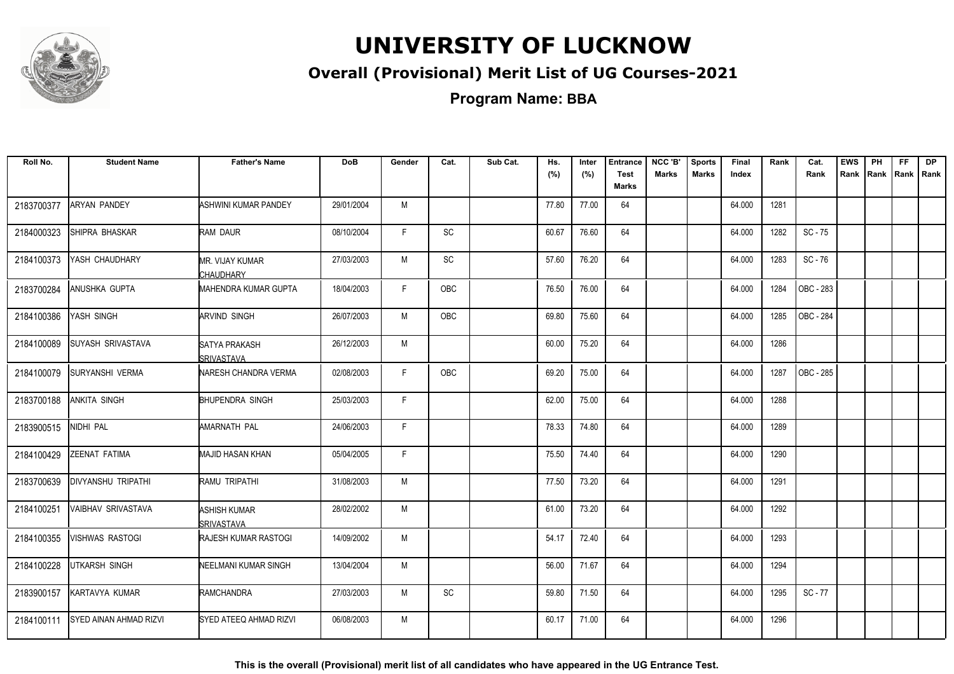

#### **Overall (Provisional) Merit List of UG Courses-2021**

**Program Name: BBA**

| Roll No.   | <b>Student Name</b>           | <b>Father's Name</b>                        | <b>DoB</b> | Gender | Cat.       | Sub Cat. | Hs.<br>(%) | Inter<br>(%) | <b>Entrance</b><br><b>Test</b><br>Marks | NCC 'B'<br><b>Marks</b> | <b>Sports</b><br><b>Marks</b> | Final<br>Index | Rank | Cat.<br>Rank | <b>EWS</b><br>Rank | PH<br>Rank   Rank | FF | <b>DP</b><br>l Rank |
|------------|-------------------------------|---------------------------------------------|------------|--------|------------|----------|------------|--------------|-----------------------------------------|-------------------------|-------------------------------|----------------|------|--------------|--------------------|-------------------|----|---------------------|
| 2183700377 | <b>ARYAN PANDEY</b>           | ASHWINI KUMAR PANDEY                        | 29/01/2004 | M      |            |          | 77.80      | 77.00        | 64                                      |                         |                               | 64.000         | 1281 |              |                    |                   |    |                     |
| 2184000323 | SHIPRA BHASKAR                | RAM DAUR                                    | 08/10/2004 | F.     | <b>SC</b>  |          | 60.67      | 76.60        | 64                                      |                         |                               | 64.000         | 1282 | $SC - 75$    |                    |                   |    |                     |
| 2184100373 | YASH CHAUDHARY                | MR. VIJAY KUMAR<br><b>CHAUDHARY</b>         | 27/03/2003 | M      | SC         |          | 57.60      | 76.20        | 64                                      |                         |                               | 64.000         | 1283 | $SC - 76$    |                    |                   |    |                     |
| 2183700284 | ANUSHKA GUPTA                 | MAHENDRA KUMAR GUPTA                        | 18/04/2003 | F      | OBC        |          | 76.50      | 76.00        | 64                                      |                         |                               | 64.000         | 1284 | OBC - 283    |                    |                   |    |                     |
| 2184100386 | YASH SINGH                    | ARVIND SINGH                                | 26/07/2003 | M      | <b>OBC</b> |          | 69.80      | 75.60        | 64                                      |                         |                               | 64.000         | 1285 | OBC - 284    |                    |                   |    |                     |
| 2184100089 | <b>SUYASH SRIVASTAVA</b>      | <b>SATYA PRAKASH</b><br><b>I</b> SRIVASTAVA | 26/12/2003 | M      |            |          | 60.00      | 75.20        | 64                                      |                         |                               | 64.000         | 1286 |              |                    |                   |    |                     |
| 2184100079 | SURYANSHI VERMA               | NARESH CHANDRA VERMA                        | 02/08/2003 | F      | OBC        |          | 69.20      | 75.00        | 64                                      |                         |                               | 64.000         | 1287 | OBC - 285    |                    |                   |    |                     |
| 2183700188 | <b>ANKITA SINGH</b>           | <b>BHUPENDRA SINGH</b>                      | 25/03/2003 | F      |            |          | 62.00      | 75.00        | 64                                      |                         |                               | 64.000         | 1288 |              |                    |                   |    |                     |
| 2183900515 | NIDHI PAL                     | AMARNATH PAL                                | 24/06/2003 | F      |            |          | 78.33      | 74.80        | 64                                      |                         |                               | 64.000         | 1289 |              |                    |                   |    |                     |
| 2184100429 | ZEENAT FATIMA                 | MAJID HASAN KHAN                            | 05/04/2005 | F      |            |          | 75.50      | 74.40        | 64                                      |                         |                               | 64.000         | 1290 |              |                    |                   |    |                     |
| 2183700639 | DIVYANSHU TRIPATHI            | RAMU TRIPATHI                               | 31/08/2003 | M      |            |          | 77.50      | 73.20        | 64                                      |                         |                               | 64.000         | 1291 |              |                    |                   |    |                     |
| 2184100251 | VAIBHAV SRIVASTAVA            | <b>ASHISH KUMAR</b><br>SRIVASTAVA           | 28/02/2002 | M      |            |          | 61.00      | 73.20        | 64                                      |                         |                               | 64.000         | 1292 |              |                    |                   |    |                     |
| 2184100355 | <b>VISHWAS RASTOGI</b>        | <b>RAJESH KUMAR RASTOGI</b>                 | 14/09/2002 | M      |            |          | 54.17      | 72.40        | 64                                      |                         |                               | 64.000         | 1293 |              |                    |                   |    |                     |
| 2184100228 | UTKARSH SINGH                 | NEELMANI KUMAR SINGH                        | 13/04/2004 | M      |            |          | 56.00      | 71.67        | 64                                      |                         |                               | 64.000         | 1294 |              |                    |                   |    |                     |
| 2183900157 | KARTAVYA KUMAR                | RAMCHANDRA                                  | 27/03/2003 | M      | <b>SC</b>  |          | 59.80      | 71.50        | 64                                      |                         |                               | 64.000         | 1295 | $SC - 77$    |                    |                   |    |                     |
| 2184100111 | <b>SYED AINAN AHMAD RIZVI</b> | SYED ATEEQ AHMAD RIZVI                      | 06/08/2003 | M      |            |          | 60.17      | 71.00        | 64                                      |                         |                               | 64.000         | 1296 |              |                    |                   |    |                     |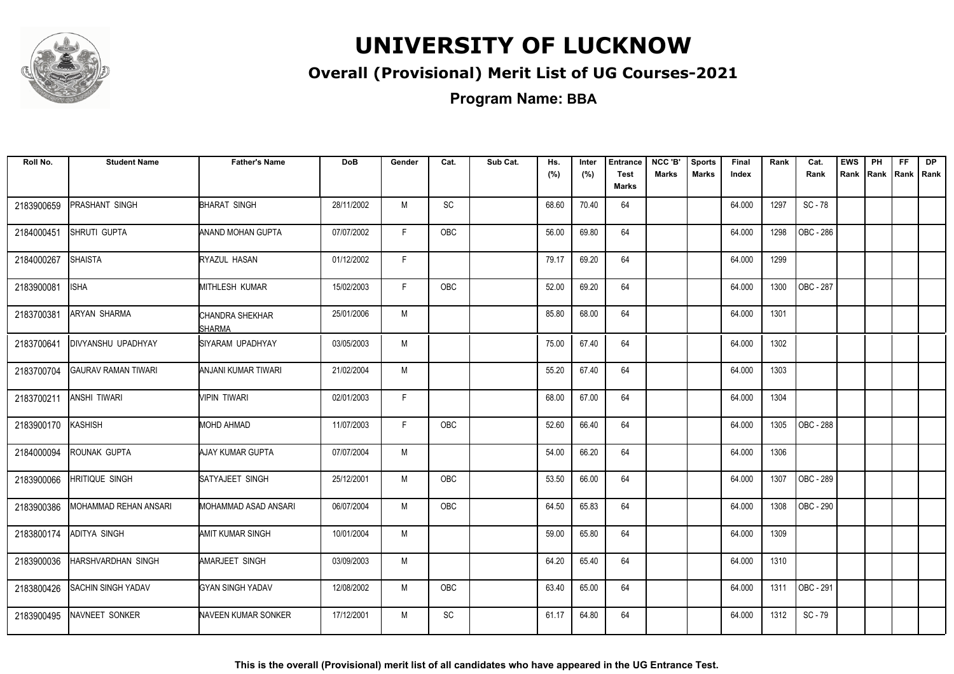

#### **Overall (Provisional) Merit List of UG Courses-2021**

**Program Name: BBA**

| Roll No.   | <b>Student Name</b>        | <b>Father's Name</b>       | <b>DoB</b> | Gender       | Cat.       | Sub Cat. | Hs.<br>(%) | Inter<br>(%) | <b>Entrance</b><br><b>Test</b> | NCC 'B'<br>Marks | <b>Sports</b><br><b>Marks</b> | Final<br>Index | Rank | Cat.<br>Rank | <b>EWS</b><br>Rank | PH<br>Rank   Rank | <b>FF</b> | <b>DP</b><br>Rank |
|------------|----------------------------|----------------------------|------------|--------------|------------|----------|------------|--------------|--------------------------------|------------------|-------------------------------|----------------|------|--------------|--------------------|-------------------|-----------|-------------------|
|            |                            |                            |            |              |            |          |            |              | Marks                          |                  |                               |                |      |              |                    |                   |           |                   |
| 2183900659 | <b>PRASHANT SINGH</b>      | <b>BHARAT SINGH</b>        | 28/11/2002 | M            | SC         |          | 68.60      | 70.40        | 64                             |                  |                               | 64.000         | 1297 | SC-78        |                    |                   |           |                   |
| 2184000451 | SHRUTI GUPTA               | ANAND MOHAN GUPTA          | 07/07/2002 | F.           | OBC        |          | 56.00      | 69.80        | 64                             |                  |                               | 64.000         | 1298 | OBC - 286    |                    |                   |           |                   |
| 2184000267 | <b>SHAISTA</b>             | RYAZUL HASAN               | 01/12/2002 | $\mathsf{F}$ |            |          | 79.17      | 69.20        | 64                             |                  |                               | 64.000         | 1299 |              |                    |                   |           |                   |
| 2183900081 | <b>ISHA</b>                | <b>MITHLESH KUMAR</b>      | 15/02/2003 | F            | OBC        |          | 52.00      | 69.20        | 64                             |                  |                               | 64.000         | 1300 | OBC - 287    |                    |                   |           |                   |
| 2183700381 | <b>ARYAN SHARMA</b>        | CHANDRA SHEKHAR<br>SHARMA  | 25/01/2006 | M            |            |          | 85.80      | 68.00        | 64                             |                  |                               | 64.000         | 1301 |              |                    |                   |           |                   |
| 2183700641 | DIVYANSHU UPADHYAY         | <b>ISIYARAM UPADHYAY</b>   | 03/05/2003 | M            |            |          | 75.00      | 67.40        | 64                             |                  |                               | 64.000         | 1302 |              |                    |                   |           |                   |
| 2183700704 | <b>GAURAV RAMAN TIWARI</b> | <b>ANJANI KUMAR TIWARI</b> | 21/02/2004 | M            |            |          | 55.20      | 67.40        | 64                             |                  |                               | 64.000         | 1303 |              |                    |                   |           |                   |
| 2183700211 | <b>ANSHI TIWARI</b>        | MPIN TIWARI                | 02/01/2003 | F            |            |          | 68.00      | 67.00        | 64                             |                  |                               | 64.000         | 1304 |              |                    |                   |           |                   |
| 2183900170 | KASHISH                    | MOHD AHMAD                 | 11/07/2003 | F            | OBC        |          | 52.60      | 66.40        | 64                             |                  |                               | 64.000         | 1305 | OBC - 288    |                    |                   |           |                   |
| 2184000094 | ROUNAK GUPTA               | AJAY KUMAR GUPTA           | 07/07/2004 | M            |            |          | 54.00      | 66.20        | 64                             |                  |                               | 64.000         | 1306 |              |                    |                   |           |                   |
| 2183900066 | <b>HRITIQUE SINGH</b>      | SATYAJEET SINGH            | 25/12/2001 | M            | <b>OBC</b> |          | 53.50      | 66.00        | 64                             |                  |                               | 64.000         | 1307 | OBC - 289    |                    |                   |           |                   |
| 2183900386 | MOHAMMAD REHAN ANSARI      | MOHAMMAD ASAD ANSARI       | 06/07/2004 | M            | OBC        |          | 64.50      | 65.83        | 64                             |                  |                               | 64.000         | 1308 | OBC - 290    |                    |                   |           |                   |
| 2183800174 | <b>ADITYA SINGH</b>        | AMIT KUMAR SINGH           | 10/01/2004 | M            |            |          | 59.00      | 65.80        | 64                             |                  |                               | 64.000         | 1309 |              |                    |                   |           |                   |
| 2183900036 | HARSHVARDHAN SINGH         | <b>AMARJEET SINGH</b>      | 03/09/2003 | M            |            |          | 64.20      | 65.40        | 64                             |                  |                               | 64.000         | 1310 |              |                    |                   |           |                   |
| 2183800426 | <b>SACHIN SINGH YADAV</b>  | <b>GYAN SINGH YADAV</b>    | 12/08/2002 | M            | OBC        |          | 63.40      | 65.00        | 64                             |                  |                               | 64.000         | 1311 | OBC - 291    |                    |                   |           |                   |
| 2183900495 | NAVNEET SONKER             | NAVEEN KUMAR SONKER        | 17/12/2001 | M            | SC         |          | 61.17      | 64.80        | 64                             |                  |                               | 64.000         | 1312 | SC-79        |                    |                   |           |                   |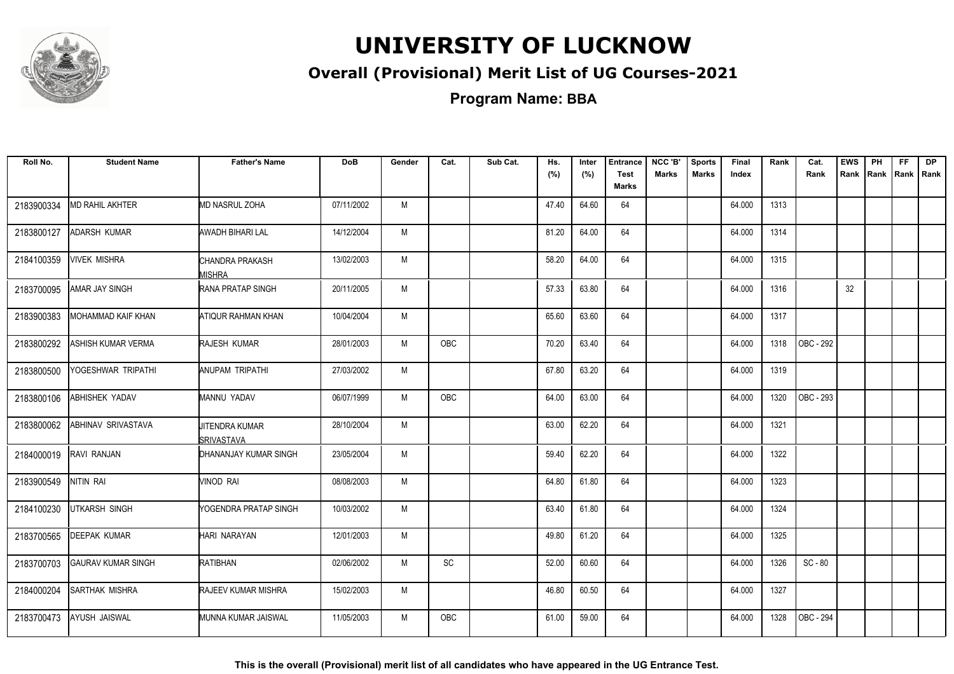

#### **Overall (Provisional) Merit List of UG Courses-2021**

**Program Name: BBA**

| Roll No.   | <b>Student Name</b>       | <b>Father's Name</b>                | <b>DoB</b> | Gender | Cat.                         | Sub Cat. | Hs.<br>(%) | Inter<br>(%) | <b>Entrance</b><br><b>Test</b><br><b>Marks</b> | NCC 'B'<br><b>Marks</b> | <b>Sports</b><br><b>Marks</b> | Final<br>Index | Rank | Cat.<br>Rank     | <b>EWS</b><br>Rank | PH<br>Rank | FF.<br>Rank   Rank | <b>DP</b> |
|------------|---------------------------|-------------------------------------|------------|--------|------------------------------|----------|------------|--------------|------------------------------------------------|-------------------------|-------------------------------|----------------|------|------------------|--------------------|------------|--------------------|-----------|
| 2183900334 | MD RAHIL AKHTER           | MD NASRUL ZOHA                      | 07/11/2002 | M      |                              |          | 47.40      | 64.60        | 64                                             |                         |                               | 64.000         | 1313 |                  |                    |            |                    |           |
| 2183800127 | ADARSH KUMAR              | AWADH BIHARI LAL                    | 14/12/2004 | M      |                              |          | 81.20      | 64.00        | 64                                             |                         |                               | 64.000         | 1314 |                  |                    |            |                    |           |
| 2184100359 | <b>VIVEK MISHRA</b>       | CHANDRA PRAKASH<br>MISHRA           | 13/02/2003 | M      |                              |          | 58.20      | 64.00        | 64                                             |                         |                               | 64.000         | 1315 |                  |                    |            |                    |           |
| 2183700095 | AMAR JAY SINGH            | <b>RANA PRATAP SINGH</b>            | 20/11/2005 | M      |                              |          | 57.33      | 63.80        | 64                                             |                         |                               | 64.000         | 1316 |                  | 32                 |            |                    |           |
| 2183900383 | MOHAMMAD KAIF KHAN        | ATIQUR RAHMAN KHAN                  | 10/04/2004 | M      |                              |          | 65.60      | 63.60        | 64                                             |                         |                               | 64.000         | 1317 |                  |                    |            |                    |           |
| 2183800292 | ASHISH KUMAR VERMA        | <b>RAJESH KUMAR</b>                 | 28/01/2003 | M      | <b>OBC</b>                   |          | 70.20      | 63.40        | 64                                             |                         |                               | 64.000         | 1318 | OBC - 292        |                    |            |                    |           |
| 2183800500 | YOGESHWAR TRIPATHI        | ANUPAM TRIPATHI                     | 27/03/2002 | M      |                              |          | 67.80      | 63.20        | 64                                             |                         |                               | 64.000         | 1319 |                  |                    |            |                    |           |
| 2183800106 | ABHISHEK YADAV            | MANNU YADAV                         | 06/07/1999 | M      | OBC                          |          | 64.00      | 63.00        | 64                                             |                         |                               | 64.000         | 1320 | OBC - 293        |                    |            |                    |           |
| 2183800062 | ABHINAV SRIVASTAVA        | <b>JITENDRA KUMAR</b><br>SRIVASTAVA | 28/10/2004 | M      |                              |          | 63.00      | 62.20        | 64                                             |                         |                               | 64.000         | 1321 |                  |                    |            |                    |           |
| 2184000019 | RAVI RANJAN               | DHANANJAY KUMAR SINGH               | 23/05/2004 | M      |                              |          | 59.40      | 62.20        | 64                                             |                         |                               | 64.000         | 1322 |                  |                    |            |                    |           |
| 2183900549 | NITIN RAI                 | VINOD RAI                           | 08/08/2003 | M      |                              |          | 64.80      | 61.80        | 64                                             |                         |                               | 64.000         | 1323 |                  |                    |            |                    |           |
| 2184100230 | <b>UTKARSH SINGH</b>      | YOGENDRA PRATAP SINGH               | 10/03/2002 | M      |                              |          | 63.40      | 61.80        | 64                                             |                         |                               | 64.000         | 1324 |                  |                    |            |                    |           |
| 2183700565 | <b>DEEPAK KUMAR</b>       | HARI NARAYAN                        | 12/01/2003 | M      |                              |          | 49.80      | 61.20        | 64                                             |                         |                               | 64.000         | 1325 |                  |                    |            |                    |           |
| 2183700703 | <b>GAURAV KUMAR SINGH</b> | RATIBHAN                            | 02/06/2002 | M      | $\operatorname{\textsf{SC}}$ |          | 52.00      | 60.60        | 64                                             |                         |                               | 64.000         | 1326 | $SC - 80$        |                    |            |                    |           |
| 2184000204 | SARTHAK MISHRA            | RAJEEV KUMAR MISHRA                 | 15/02/2003 | M      |                              |          | 46.80      | 60.50        | 64                                             |                         |                               | 64.000         | 1327 |                  |                    |            |                    |           |
| 2183700473 | AYUSH JAISWAL             | MUNNA KUMAR JAISWAL                 | 11/05/2003 | M      | <b>OBC</b>                   |          | 61.00      | 59.00        | 64                                             |                         |                               | 64.000         | 1328 | <b>OBC - 294</b> |                    |            |                    |           |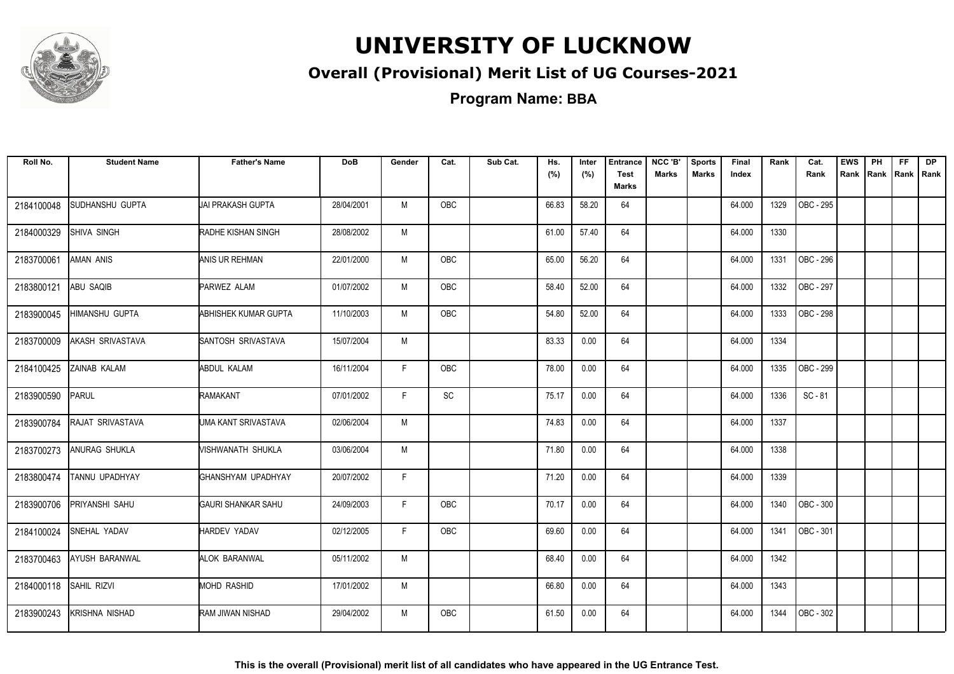

#### **Overall (Provisional) Merit List of UG Courses-2021**

**Program Name: BBA**

| Roll No.   | <b>Student Name</b>   | <b>Father's Name</b> | <b>DoB</b> | Gender | Cat.                         | Sub Cat. | Hs.<br>(%) | Inter<br>(%) | <b>Entrance</b><br><b>Test</b><br><b>Marks</b> | NCC 'B'<br><b>Marks</b> | <b>Sports</b><br><b>Marks</b> | Final<br>Index | Rank | Cat.<br>Rank | <b>EWS</b><br>Rank | PH<br>Rank | FF.<br>Rank   Rank | <b>DP</b> |
|------------|-----------------------|----------------------|------------|--------|------------------------------|----------|------------|--------------|------------------------------------------------|-------------------------|-------------------------------|----------------|------|--------------|--------------------|------------|--------------------|-----------|
| 2184100048 | SUDHANSHU GUPTA       | UAI PRAKASH GUPTA    | 28/04/2001 | M      | <b>OBC</b>                   |          | 66.83      | 58.20        | 64                                             |                         |                               | 64.000         | 1329 | OBC - 295    |                    |            |                    |           |
| 2184000329 | <b>SHIVA SINGH</b>    | RADHE KISHAN SINGH   | 28/08/2002 | M      |                              |          | 61.00      | 57.40        | 64                                             |                         |                               | 64.000         | 1330 |              |                    |            |                    |           |
| 2183700061 | <b>AMAN ANIS</b>      | ANIS UR REHMAN       | 22/01/2000 | M      | <b>OBC</b>                   |          | 65.00      | 56.20        | 64                                             |                         |                               | 64.000         | 1331 | OBC - 296    |                    |            |                    |           |
| 2183800121 | ABU SAQIB             | PARWEZ ALAM          | 01/07/2002 | М      | <b>OBC</b>                   |          | 58.40      | 52.00        | 64                                             |                         |                               | 64.000         | 1332 | OBC - 297    |                    |            |                    |           |
| 2183900045 | HIMANSHU GUPTA        | ABHISHEK KUMAR GUPTA | 11/10/2003 | M      | OBC                          |          | 54.80      | 52.00        | 64                                             |                         |                               | 64.000         | 1333 | OBC - 298    |                    |            |                    |           |
| 2183700009 | AKASH SRIVASTAVA      | SANTOSH SRIVASTAVA   | 15/07/2004 | M      |                              |          | 83.33      | 0.00         | 64                                             |                         |                               | 64.000         | 1334 |              |                    |            |                    |           |
| 2184100425 | ZAINAB KALAM          | <b>ABDUL KALAM</b>   | 16/11/2004 | F.     | OBC                          |          | 78.00      | 0.00         | 64                                             |                         |                               | 64.000         | 1335 | OBC - 299    |                    |            |                    |           |
| 2183900590 | PARUL                 | RAMAKANT             | 07/01/2002 | F      | $\operatorname{\textsf{SC}}$ |          | 75.17      | 0.00         | 64                                             |                         |                               | 64.000         | 1336 | $SC - 81$    |                    |            |                    |           |
| 2183900784 | RAJAT SRIVASTAVA      | UMA KANT SRIVASTAVA  | 02/06/2004 | M      |                              |          | 74.83      | 0.00         | 64                                             |                         |                               | 64.000         | 1337 |              |                    |            |                    |           |
| 2183700273 | ANURAG SHUKLA         | MISHWANATH SHUKLA    | 03/06/2004 | M      |                              |          | 71.80      | 0.00         | 64                                             |                         |                               | 64.000         | 1338 |              |                    |            |                    |           |
| 2183800474 | TANNU UPADHYAY        | IGHANSHYAM UPADHYAY  | 20/07/2002 | F.     |                              |          | 71.20      | 0.00         | 64                                             |                         |                               | 64.000         | 1339 |              |                    |            |                    |           |
| 2183900706 | PRIYANSHI SAHU        | GAURI SHANKAR SAHU   | 24/09/2003 | F.     | OBC                          |          | 70.17      | 0.00         | 64                                             |                         |                               | 64.000         | 1340 | OBC - 300    |                    |            |                    |           |
| 2184100024 | SNEHAL YADAV          | <b>HARDEV YADAV</b>  | 02/12/2005 | F.     | <b>OBC</b>                   |          | 69.60      | 0.00         | 64                                             |                         |                               | 64.000         | 1341 | OBC - 301    |                    |            |                    |           |
| 2183700463 | <b>AYUSH BARANWAL</b> | <b>ALOK BARANWAL</b> | 05/11/2002 | M      |                              |          | 68.40      | 0.00         | 64                                             |                         |                               | 64.000         | 1342 |              |                    |            |                    |           |
| 2184000118 | SAHIL RIZVI           | <b>MOHD RASHID</b>   | 17/01/2002 | M      |                              |          | 66.80      | 0.00         | 64                                             |                         |                               | 64.000         | 1343 |              |                    |            |                    |           |
| 2183900243 | KRISHNA NISHAD        | RAM JIWAN NISHAD     | 29/04/2002 | M      | <b>OBC</b>                   |          | 61.50      | 0.00         | 64                                             |                         |                               | 64.000         | 1344 | OBC - 302    |                    |            |                    |           |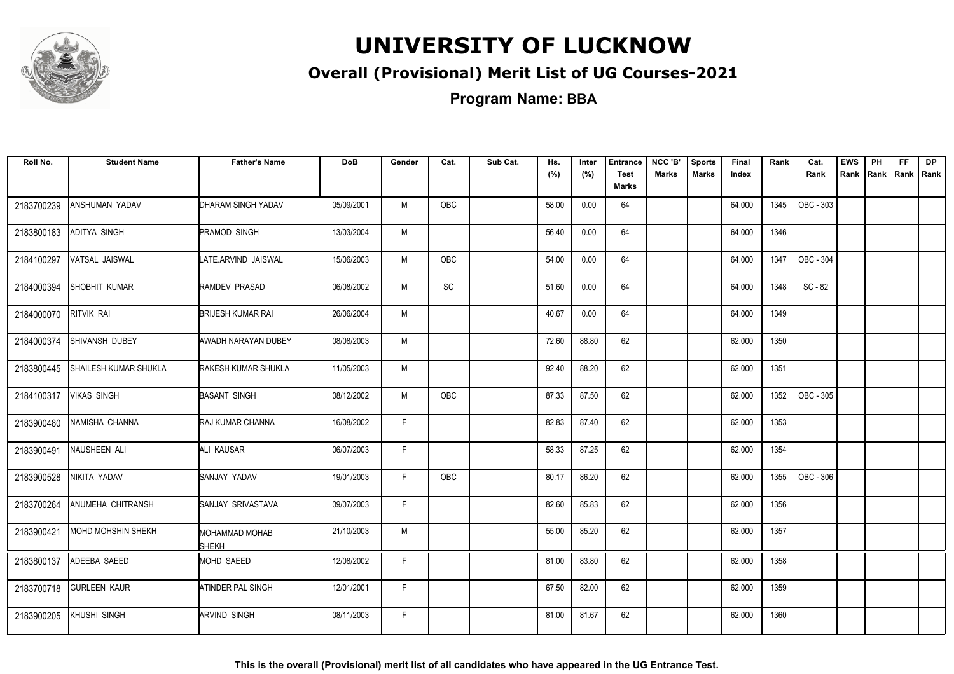

#### **Overall (Provisional) Merit List of UG Courses-2021**

**Program Name: BBA**

| Roll No.   | <b>Student Name</b>          | <b>Father's Name</b>                  | <b>DoB</b> | Gender | Cat.       | Sub Cat. | Hs.<br>(%) | Inter<br>(%) | <b>Entrance</b><br><b>Test</b> | NCC 'B'<br><b>Marks</b> | <b>Sports</b><br><b>Marks</b> | Final<br>Index | Rank | Cat.<br>Rank | <b>EWS</b> | PH | <b>FF</b> | <b>DP</b><br>Rank Rank Rank Rank |
|------------|------------------------------|---------------------------------------|------------|--------|------------|----------|------------|--------------|--------------------------------|-------------------------|-------------------------------|----------------|------|--------------|------------|----|-----------|----------------------------------|
|            |                              |                                       |            |        |            |          |            |              | Marks                          |                         |                               |                |      |              |            |    |           |                                  |
| 2183700239 | ANSHUMAN YADAV               | DHARAM SINGH YADAV                    | 05/09/2001 | M      | OBC        |          | 58.00      | 0.00         | 64                             |                         |                               | 64.000         | 1345 | OBC - 303    |            |    |           |                                  |
| 2183800183 | ADITYA SINGH                 | PRAMOD SINGH                          | 13/03/2004 | M      |            |          | 56.40      | 0.00         | 64                             |                         |                               | 64.000         | 1346 |              |            |    |           |                                  |
| 2184100297 | VATSAL JAISWAL               | LATE.ARVIND JAISWAL                   | 15/06/2003 | M      | OBC        |          | 54.00      | 0.00         | 64                             |                         |                               | 64.000         | 1347 | OBC - 304    |            |    |           |                                  |
| 2184000394 | SHOBHIT KUMAR                | RAMDEV PRASAD                         | 06/08/2002 | M      | SC         |          | 51.60      | 0.00         | 64                             |                         |                               | 64.000         | 1348 | SC - 82      |            |    |           |                                  |
| 2184000070 | RITVIK RAI                   | <b>BRIJESH KUMAR RAI</b>              | 26/06/2004 | M      |            |          | 40.67      | 0.00         | 64                             |                         |                               | 64.000         | 1349 |              |            |    |           |                                  |
| 2184000374 | SHIVANSH DUBEY               | AWADH NARAYAN DUBEY                   | 08/08/2003 | M      |            |          | 72.60      | 88.80        | 62                             |                         |                               | 62.000         | 1350 |              |            |    |           |                                  |
| 2183800445 | <b>SHAILESH KUMAR SHUKLA</b> | <b>RAKESH KUMAR SHUKLA</b>            | 11/05/2003 | M      |            |          | 92.40      | 88.20        | 62                             |                         |                               | 62.000         | 1351 |              |            |    |           |                                  |
| 2184100317 | <b>VIKAS SINGH</b>           | <b>BASANT SINGH</b>                   | 08/12/2002 | M      | <b>OBC</b> |          | 87.33      | 87.50        | 62                             |                         |                               | 62.000         | 1352 | OBC - 305    |            |    |           |                                  |
| 2183900480 | NAMISHA CHANNA               | RAJ KUMAR CHANNA                      | 16/08/2002 | F.     |            |          | 82.83      | 87.40        | 62                             |                         |                               | 62.000         | 1353 |              |            |    |           |                                  |
| 2183900491 | NAUSHEEN ALI                 | ALI KAUSAR                            | 06/07/2003 | F.     |            |          | 58.33      | 87.25        | 62                             |                         |                               | 62.000         | 1354 |              |            |    |           |                                  |
| 2183900528 | NIKITA YADAV                 | SANJAY YADAV                          | 19/01/2003 | F.     | <b>OBC</b> |          | 80.17      | 86.20        | 62                             |                         |                               | 62.000         | 1355 | OBC - 306    |            |    |           |                                  |
| 2183700264 | <b>ANUMEHA CHITRANSH</b>     | SANJAY SRIVASTAVA                     | 09/07/2003 | F.     |            |          | 82.60      | 85.83        | 62                             |                         |                               | 62.000         | 1356 |              |            |    |           |                                  |
| 2183900421 | <b>MOHD MOHSHIN SHEKH</b>    | <b>MOHAMMAD MOHAB</b><br><b>SHEKH</b> | 21/10/2003 | M      |            |          | 55.00      | 85.20        | 62                             |                         |                               | 62.000         | 1357 |              |            |    |           |                                  |
| 2183800137 | ADEEBA SAEED                 | <b>MOHD SAEED</b>                     | 12/08/2002 | F      |            |          | 81.00      | 83.80        | 62                             |                         |                               | 62.000         | 1358 |              |            |    |           |                                  |
| 2183700718 | <b>GURLEEN KAUR</b>          | ATINDER PAL SINGH                     | 12/01/2001 | F.     |            |          | 67.50      | 82.00        | 62                             |                         |                               | 62.000         | 1359 |              |            |    |           |                                  |
| 2183900205 | <b>KHUSHI SINGH</b>          | <b>ARVIND SINGH</b>                   | 08/11/2003 | F.     |            |          | 81.00      | 81.67        | 62                             |                         |                               | 62.000         | 1360 |              |            |    |           |                                  |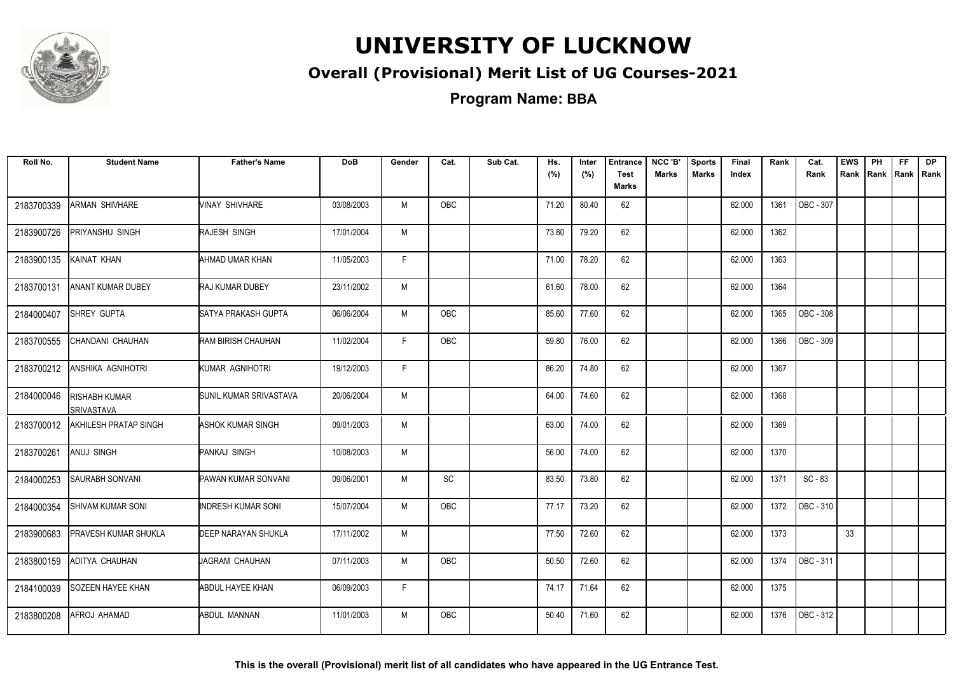

#### **Overall (Provisional) Merit List of UG Courses-2021**

| Roll No.   | <b>Student Name</b>                       | <b>Father's Name</b>       | <b>DoB</b> | Gender | Cat.       | Sub Cat. | Hs.<br>(%) | Inter<br>(%) | <b>Entrance</b><br><b>Test</b> | NCC 'B'<br><b>Marks</b> | <b>Sports</b><br><b>Marks</b> | Final<br>Index | Rank | Cat.<br>Rank | <b>EWS</b> | PH<br>Rank Rank Rank Rank | FF. | <b>DP</b> |
|------------|-------------------------------------------|----------------------------|------------|--------|------------|----------|------------|--------------|--------------------------------|-------------------------|-------------------------------|----------------|------|--------------|------------|---------------------------|-----|-----------|
|            |                                           |                            |            |        |            |          |            |              | Marks                          |                         |                               |                |      |              |            |                           |     |           |
| 2183700339 | ARMAN SHIVHARE                            | <b>VINAY SHIVHARE</b>      | 03/08/2003 | M      | OBC        |          | 71.20      | 80.40        | 62                             |                         |                               | 62.000         | 1361 | OBC - 307    |            |                           |     |           |
| 2183900726 | PRIYANSHU SINGH                           | RAJESH SINGH               | 17/01/2004 | M      |            |          | 73.80      | 79.20        | 62                             |                         |                               | 62.000         | 1362 |              |            |                           |     |           |
| 2183900135 | KAINAT KHAN                               | AHMAD UMAR KHAN            | 11/05/2003 | F      |            |          | 71.00      | 78.20        | 62                             |                         |                               | 62.000         | 1363 |              |            |                           |     |           |
| 2183700131 | <b>ANANT KUMAR DUBEY</b>                  | <b>RAJ KUMAR DUBEY</b>     | 23/11/2002 | M      |            |          | 61.60      | 78.00        | 62                             |                         |                               | 62.000         | 1364 |              |            |                           |     |           |
| 2184000407 | SHREY GUPTA                               | SATYA PRAKASH GUPTA        | 06/06/2004 | M      | OBC        |          | 85.60      | 77.60        | 62                             |                         |                               | 62.000         | 1365 | OBC - 308    |            |                           |     |           |
| 2183700555 | CHANDANI CHAUHAN                          | RAM BIRISH CHAUHAN         | 11/02/2004 | F.     | OBC        |          | 59.80      | 76.00        | 62                             |                         |                               | 62.000         | 1366 | OBC - 309    |            |                           |     |           |
| 2183700212 | ANSHIKA AGNIHOTRI                         | KUMAR AGNIHOTRI            | 19/12/2003 | F      |            |          | 86.20      | 74.80        | 62                             |                         |                               | 62.000         | 1367 |              |            |                           |     |           |
| 2184000046 | <b>RISHABH KUMAR</b><br><b>SRIVASTAVA</b> | SUNIL KUMAR SRIVASTAVA     | 20/06/2004 | M      |            |          | 64.00      | 74.60        | 62                             |                         |                               | 62.000         | 1368 |              |            |                           |     |           |
| 2183700012 | <b>AKHILESH PRATAP SINGH</b>              | ASHOK KUMAR SINGH          | 09/01/2003 | M      |            |          | 63.00      | 74.00        | 62                             |                         |                               | 62.000         | 1369 |              |            |                           |     |           |
| 2183700261 | ANUJ SINGH                                | PANKAJ SINGH               | 10/08/2003 | M      |            |          | 56.00      | 74.00        | 62                             |                         |                               | 62.000         | 1370 |              |            |                           |     |           |
| 2184000253 | <b>SAURABH SONVANI</b>                    | PAWAN KUMAR SONVANI        | 09/06/2001 | M      | SC         |          | 83.50      | 73.80        | 62                             |                         |                               | 62.000         | 1371 | $SC - 83$    |            |                           |     |           |
| 2184000354 | <b>SHIVAM KUMAR SONI</b>                  | <b>INDRESH KUMAR SONI</b>  | 15/07/2004 | M      | OBC        |          | 77.17      | 73.20        | 62                             |                         |                               | 62.000         | 1372 | OBC - 310    |            |                           |     |           |
| 2183900683 | PRAVESH KUMAR SHUKLA                      | <b>DEEP NARAYAN SHUKLA</b> | 17/11/2002 | M      |            |          | 77.50      | 72.60        | 62                             |                         |                               | 62.000         | 1373 |              | 33         |                           |     |           |
| 2183800159 | ADITYA CHAUHAN                            | JAGRAM CHAUHAN             | 07/11/2003 | M      | OBC        |          | 50.50      | 72.60        | 62                             |                         |                               | 62.000         | 1374 | OBC - 311    |            |                           |     |           |
| 2184100039 | <b>SOZEEN HAYEE KHAN</b>                  | ABDUL HAYEE KHAN           | 06/09/2003 | F.     |            |          | 74.17      | 71.64        | 62                             |                         |                               | 62.000         | 1375 |              |            |                           |     |           |
| 2183800208 | AFROJ AHAMAD                              | <b>ABDUL MANNAN</b>        | 11/01/2003 | M      | <b>OBC</b> |          | 50.40      | 71.60        | 62                             |                         |                               | 62.000         | 1376 | OBC - 312    |            |                           |     |           |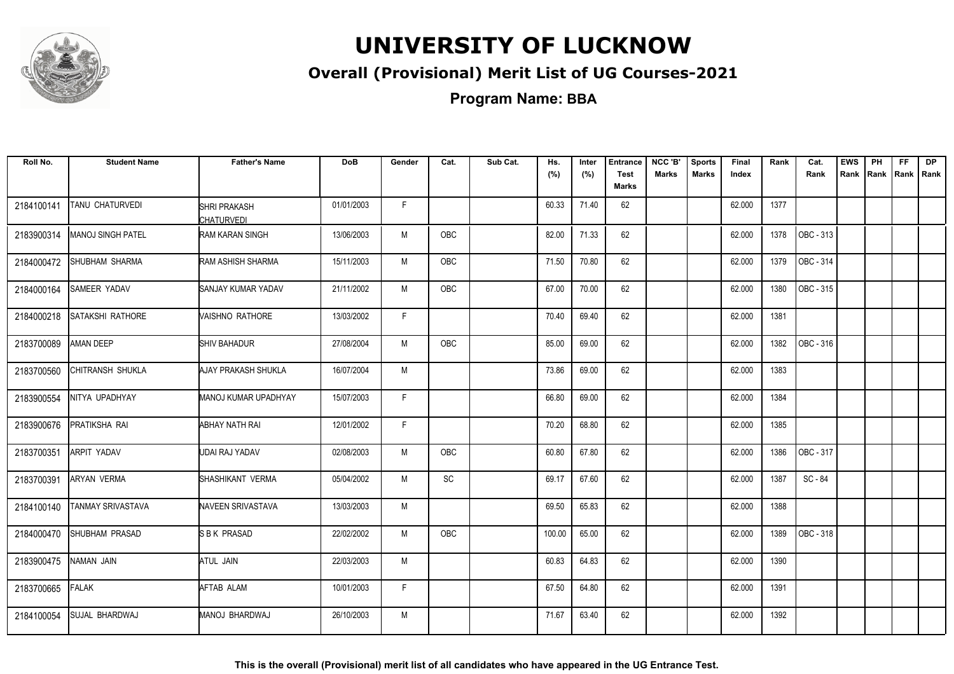

#### **Overall (Provisional) Merit List of UG Courses-2021**

| Roll No.   | <b>Student Name</b>      | <b>Father's Name</b>              | <b>DoB</b> | Gender | Cat.       | Sub Cat. | Hs.<br>(%) | Inter<br>(%) | <b>Entrance</b><br><b>Test</b><br>Marks | NCC 'B'<br><b>Marks</b> | <b>Sports</b><br><b>Marks</b> | Final<br>Index | Rank | Cat.<br>Rank | <b>EWS</b> | PH | FF. | <b>DP</b><br>Rank Rank Rank Rank |
|------------|--------------------------|-----------------------------------|------------|--------|------------|----------|------------|--------------|-----------------------------------------|-------------------------|-------------------------------|----------------|------|--------------|------------|----|-----|----------------------------------|
| 2184100141 | TANU CHATURVEDI          | SHRI PRAKASH<br><b>CHATURVEDI</b> | 01/01/2003 | F.     |            |          | 60.33      | 71.40        | 62                                      |                         |                               | 62.000         | 1377 |              |            |    |     |                                  |
| 2183900314 | <b>MANOJ SINGH PATEL</b> | RAM KARAN SINGH                   | 13/06/2003 | M      | <b>OBC</b> |          | 82.00      | 71.33        | 62                                      |                         |                               | 62.000         | 1378 | OBC - 313    |            |    |     |                                  |
| 2184000472 | SHUBHAM SHARMA           | RAM ASHISH SHARMA                 | 15/11/2003 | M      | <b>OBC</b> |          | 71.50      | 70.80        | 62                                      |                         |                               | 62.000         | 1379 | OBC - 314    |            |    |     |                                  |
| 2184000164 | <b>SAMEER YADAV</b>      | <b>SANJAY KUMAR YADAV</b>         | 21/11/2002 | M      | OBC        |          | 67.00      | 70.00        | 62                                      |                         |                               | 62.000         | 1380 | OBC - 315    |            |    |     |                                  |
| 2184000218 | <b>SATAKSHI RATHORE</b>  | VAISHNO RATHORE                   | 13/03/2002 | F.     |            |          | 70.40      | 69.40        | 62                                      |                         |                               | 62.000         | 1381 |              |            |    |     |                                  |
| 2183700089 | <b>AMAN DEEP</b>         | <b>SHIV BAHADUR</b>               | 27/08/2004 | M      | OBC        |          | 85.00      | 69.00        | 62                                      |                         |                               | 62.000         | 1382 | OBC - 316    |            |    |     |                                  |
| 2183700560 | CHITRANSH SHUKLA         | AJAY PRAKASH SHUKLA               | 16/07/2004 | М      |            |          | 73.86      | 69.00        | 62                                      |                         |                               | 62.000         | 1383 |              |            |    |     |                                  |
| 2183900554 | NITYA UPADHYAY           | MANOJ KUMAR UPADHYAY              | 15/07/2003 | F.     |            |          | 66.80      | 69.00        | 62                                      |                         |                               | 62.000         | 1384 |              |            |    |     |                                  |
| 2183900676 | PRATIKSHA RAI            | ABHAY NATH RAI                    | 12/01/2002 | F.     |            |          | 70.20      | 68.80        | 62                                      |                         |                               | 62.000         | 1385 |              |            |    |     |                                  |
| 2183700351 | <b>ARPIT YADAV</b>       | UDAI RAJ YADAV                    | 02/08/2003 | M      | <b>OBC</b> |          | 60.80      | 67.80        | 62                                      |                         |                               | 62.000         | 1386 | OBC - 317    |            |    |     |                                  |
| 2183700391 | <b>ARYAN VERMA</b>       | SHASHIKANT VERMA                  | 05/04/2002 | M      | SC         |          | 69.17      | 67.60        | 62                                      |                         |                               | 62.000         | 1387 | SC-84        |            |    |     |                                  |
| 2184100140 | <b>TANMAY SRIVASTAVA</b> | NAVEEN SRIVASTAVA                 | 13/03/2003 | M      |            |          | 69.50      | 65.83        | 62                                      |                         |                               | 62.000         | 1388 |              |            |    |     |                                  |
| 2184000470 | <b>SHUBHAM PRASAD</b>    | SBK PRASAD                        | 22/02/2002 | M      | OBC        |          | 100.00     | 65.00        | 62                                      |                         |                               | 62.000         | 1389 | OBC - 318    |            |    |     |                                  |
| 2183900475 | NAMAN JAIN               | ATUL JAIN                         | 22/03/2003 | M      |            |          | 60.83      | 64.83        | 62                                      |                         |                               | 62.000         | 1390 |              |            |    |     |                                  |
| 2183700665 | <b>FALAK</b>             | AFTAB ALAM                        | 10/01/2003 | F.     |            |          | 67.50      | 64.80        | 62                                      |                         |                               | 62.000         | 1391 |              |            |    |     |                                  |
| 2184100054 | <b>SUJAL BHARDWAJ</b>    | MANOJ BHARDWAJ                    | 26/10/2003 | M      |            |          | 71.67      | 63.40        | 62                                      |                         |                               | 62.000         | 1392 |              |            |    |     |                                  |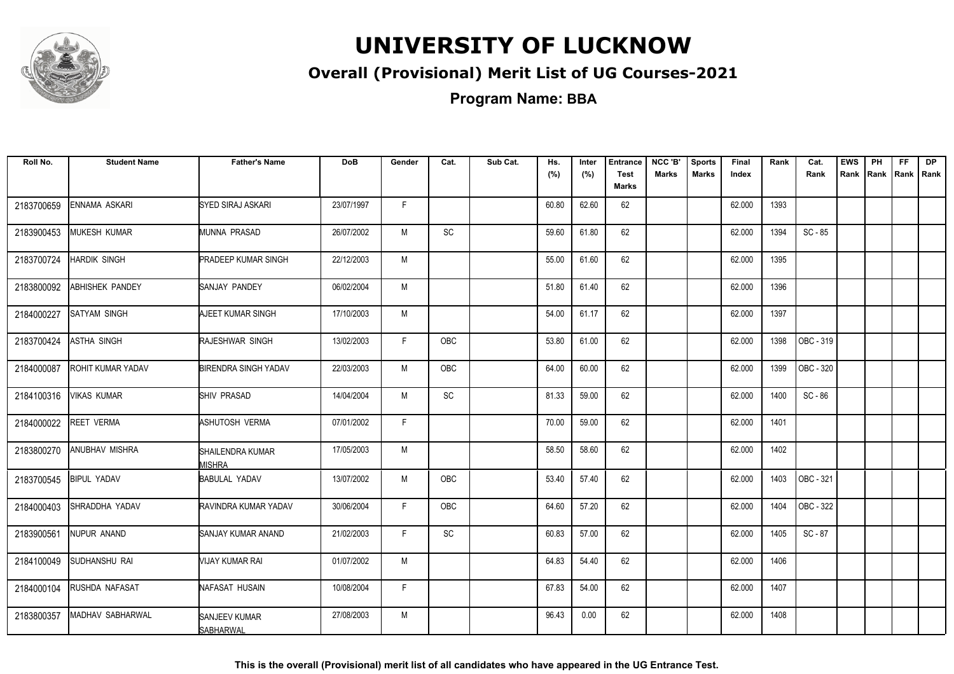

#### **Overall (Provisional) Merit List of UG Courses-2021**

**Program Name: BBA**

| Roll No.   | <b>Student Name</b>      | <b>Father's Name</b>              | <b>DoB</b> | Gender | Cat.       | Sub Cat. | Hs.<br>(%) | Inter<br>(%) | <b>Entrance</b><br><b>Test</b><br>Marks | NCC 'B'<br><b>Marks</b> | <b>Sports</b><br><b>Marks</b> | Final<br>Index | Rank | Cat.<br>Rank | <b>EWS</b> | PH<br>Rank Rank | <b>FF</b><br>Rank   Rank | <b>DP</b> |
|------------|--------------------------|-----------------------------------|------------|--------|------------|----------|------------|--------------|-----------------------------------------|-------------------------|-------------------------------|----------------|------|--------------|------------|-----------------|--------------------------|-----------|
| 2183700659 | ENNAMA ASKARI            | SYED SIRAJ ASKARI                 | 23/07/1997 | F.     |            |          | 60.80      | 62.60        | 62                                      |                         |                               | 62.000         | 1393 |              |            |                 |                          |           |
| 2183900453 | <b>MUKESH KUMAR</b>      | MUNNA PRASAD                      | 26/07/2002 | M      | <b>SC</b>  |          | 59.60      | 61.80        | 62                                      |                         |                               | 62.000         | 1394 | SC-85        |            |                 |                          |           |
| 2183700724 | <b>HARDIK SINGH</b>      | <b>PRADEEP KUMAR SINGH</b>        | 22/12/2003 | M      |            |          | 55.00      | 61.60        | 62                                      |                         |                               | 62.000         | 1395 |              |            |                 |                          |           |
| 2183800092 | <b>ABHISHEK PANDEY</b>   | SANJAY PANDEY                     | 06/02/2004 | M      |            |          | 51.80      | 61.40        | 62                                      |                         |                               | 62.000         | 1396 |              |            |                 |                          |           |
| 2184000227 | <b>SATYAM SINGH</b>      | AJEET KUMAR SINGH                 | 17/10/2003 | M      |            |          | 54.00      | 61.17        | 62                                      |                         |                               | 62.000         | 1397 |              |            |                 |                          |           |
| 2183700424 | <b>ASTHA SINGH</b>       | RAJESHWAR SINGH                   | 13/02/2003 | F.     | OBC        |          | 53.80      | 61.00        | 62                                      |                         |                               | 62.000         | 1398 | OBC - 319    |            |                 |                          |           |
| 2184000087 | <b>ROHIT KUMAR YADAV</b> | <b>BIRENDRA SINGH YADAV</b>       | 22/03/2003 | M      | <b>OBC</b> |          | 64.00      | 60.00        | 62                                      |                         |                               | 62.000         | 1399 | OBC - 320    |            |                 |                          |           |
| 2184100316 | <b>VIKAS KUMAR</b>       | SHIV PRASAD                       | 14/04/2004 | M      | <b>SC</b>  |          | 81.33      | 59.00        | 62                                      |                         |                               | 62.000         | 1400 | SC - 86      |            |                 |                          |           |
| 2184000022 | <b>REET VERMA</b>        | ASHUTOSH VERMA                    | 07/01/2002 | F      |            |          | 70.00      | 59.00        | 62                                      |                         |                               | 62.000         | 1401 |              |            |                 |                          |           |
| 2183800270 | <b>ANUBHAV MISHRA</b>    | SHAILENDRA KUMAR<br><b>MISHRA</b> | 17/05/2003 | M      |            |          | 58.50      | 58.60        | 62                                      |                         |                               | 62.000         | 1402 |              |            |                 |                          |           |
| 2183700545 | <b>BIPUL YADAV</b>       | <b>BABULAL YADAV</b>              | 13/07/2002 | M      | OBC        |          | 53.40      | 57.40        | 62                                      |                         |                               | 62.000         | 1403 | OBC - 321    |            |                 |                          |           |
| 2184000403 | SHRADDHA YADAV           | RAVINDRA KUMAR YADAV              | 30/06/2004 | F.     | <b>OBC</b> |          | 64.60      | 57.20        | 62                                      |                         |                               | 62.000         | 1404 | OBC - 322    |            |                 |                          |           |
| 2183900561 | NUPUR ANAND              | <b>SANJAY KUMAR ANAND</b>         | 21/02/2003 | F.     | SC         |          | 60.83      | 57.00        | 62                                      |                         |                               | 62.000         | 1405 | SC-87        |            |                 |                          |           |
| 2184100049 | <b>SUDHANSHU RAI</b>     | VIJAY KUMAR RAI                   | 01/07/2002 | M      |            |          | 64.83      | 54.40        | 62                                      |                         |                               | 62.000         | 1406 |              |            |                 |                          |           |
| 2184000104 | RUSHDA NAFASAT           | NAFASAT HUSAIN                    | 10/08/2004 | F.     |            |          | 67.83      | 54.00        | 62                                      |                         |                               | 62.000         | 1407 |              |            |                 |                          |           |
| 2183800357 | MADHAV SABHARWAL         | SANJEEV KUMAR<br><b>SABHARWAL</b> | 27/08/2003 | M      |            |          | 96.43      | 0.00         | 62                                      |                         |                               | 62.000         | 1408 |              |            |                 |                          |           |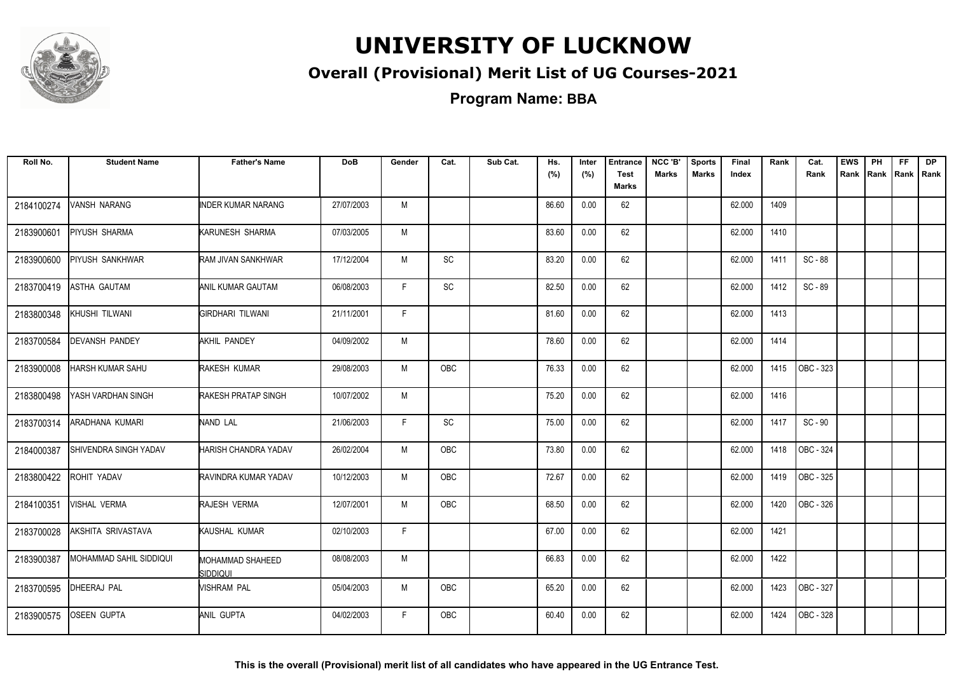

#### **Overall (Provisional) Merit List of UG Courses-2021**

**Program Name: BBA**

| Roll No.   | <b>Student Name</b>     | <b>Father's Name</b>                | <b>DoB</b> | Gender | Cat.                         | Sub Cat. | Hs.<br>(%) | Inter<br>(%) | <b>Entrance</b><br><b>Test</b><br>Marks | NCC 'B'<br><b>Marks</b> | <b>Sports</b><br><b>Marks</b> | Final<br>Index | Rank | Cat.<br>Rank     | <b>EWS</b> | PH | FF. | <b>DP</b><br>Rank Rank Rank Rank |
|------------|-------------------------|-------------------------------------|------------|--------|------------------------------|----------|------------|--------------|-----------------------------------------|-------------------------|-------------------------------|----------------|------|------------------|------------|----|-----|----------------------------------|
| 2184100274 | VANSH NARANG            | <b>INDER KUMAR NARANG</b>           | 27/07/2003 | M      |                              |          | 86.60      | 0.00         | 62                                      |                         |                               | 62.000         | 1409 |                  |            |    |     |                                  |
| 2183900601 | PIYUSH SHARMA           | KARUNESH SHARMA                     | 07/03/2005 | M      |                              |          | 83.60      | 0.00         | 62                                      |                         |                               | 62.000         | 1410 |                  |            |    |     |                                  |
| 2183900600 | <b>PIYUSH SANKHWAR</b>  | RAM JIVAN SANKHWAR                  | 17/12/2004 | M      | <b>SC</b>                    |          | 83.20      | 0.00         | 62                                      |                         |                               | 62.000         | 1411 | SC-88            |            |    |     |                                  |
| 2183700419 | <b>ASTHA GAUTAM</b>     | <b>ANIL KUMAR GAUTAM</b>            | 06/08/2003 | F.     | $\mathsf{SC}$                |          | 82.50      | 0.00         | 62                                      |                         |                               | 62.000         | 1412 | SC - 89          |            |    |     |                                  |
| 2183800348 | KHUSHI TILWANI          | GIRDHARI TILWANI                    | 21/11/2001 | F.     |                              |          | 81.60      | 0.00         | 62                                      |                         |                               | 62.000         | 1413 |                  |            |    |     |                                  |
| 2183700584 | DEVANSH PANDEY          | AKHIL PANDEY                        | 04/09/2002 | M      |                              |          | 78.60      | 0.00         | 62                                      |                         |                               | 62.000         | 1414 |                  |            |    |     |                                  |
| 2183900008 | HARSH KUMAR SAHU        | RAKESH KUMAR                        | 29/08/2003 | M      | OBC                          |          | 76.33      | 0.00         | 62                                      |                         |                               | 62.000         | 1415 | OBC - 323        |            |    |     |                                  |
| 2183800498 | YASH VARDHAN SINGH      | RAKESH PRATAP SINGH                 | 10/07/2002 | M      |                              |          | 75.20      | 0.00         | 62                                      |                         |                               | 62.000         | 1416 |                  |            |    |     |                                  |
| 2183700314 | ARADHANA KUMARI         | NAND LAL                            | 21/06/2003 | F      | $\operatorname{\textsf{SC}}$ |          | 75.00      | 0.00         | 62                                      |                         |                               | 62.000         | 1417 | SC-90            |            |    |     |                                  |
| 2184000387 | SHIVENDRA SINGH YADAV   | HARISH CHANDRA YADAV                | 26/02/2004 | M      | <b>OBC</b>                   |          | 73.80      | 0.00         | 62                                      |                         |                               | 62.000         | 1418 | OBC - 324        |            |    |     |                                  |
| 2183800422 | ROHIT YADAV             | RAVINDRA KUMAR YADAV                | 10/12/2003 | M      | <b>OBC</b>                   |          | 72.67      | 0.00         | 62                                      |                         |                               | 62.000         | 1419 | OBC - 325        |            |    |     |                                  |
| 2184100351 | VISHAL VERMA            | RAJESH VERMA                        | 12/07/2001 | M      | <b>OBC</b>                   |          | 68.50      | 0.00         | 62                                      |                         |                               | 62.000         | 1420 | <b>OBC - 326</b> |            |    |     |                                  |
| 2183700028 | AKSHITA SRIVASTAVA      | KAUSHAL KUMAR                       | 02/10/2003 | F      |                              |          | 67.00      | 0.00         | 62                                      |                         |                               | 62.000         | 1421 |                  |            |    |     |                                  |
| 2183900387 | MOHAMMAD SAHIL SIDDIQUI | <b>MOHAMMAD SHAHEED</b><br>siddiqui | 08/08/2003 | M      |                              |          | 66.83      | 0.00         | 62                                      |                         |                               | 62.000         | 1422 |                  |            |    |     |                                  |
| 2183700595 | DHEERAJ PAL             | <b>VISHRAM PAL</b>                  | 05/04/2003 | М      | OBC                          |          | 65.20      | 0.00         | 62                                      |                         |                               | 62.000         | 1423 | OBC - 327        |            |    |     |                                  |
| 2183900575 | <b>OSEEN GUPTA</b>      | ANIL GUPTA                          | 04/02/2003 | F.     | <b>OBC</b>                   |          | 60.40      | 0.00         | 62                                      |                         |                               | 62.000         | 1424 | OBC - 328        |            |    |     |                                  |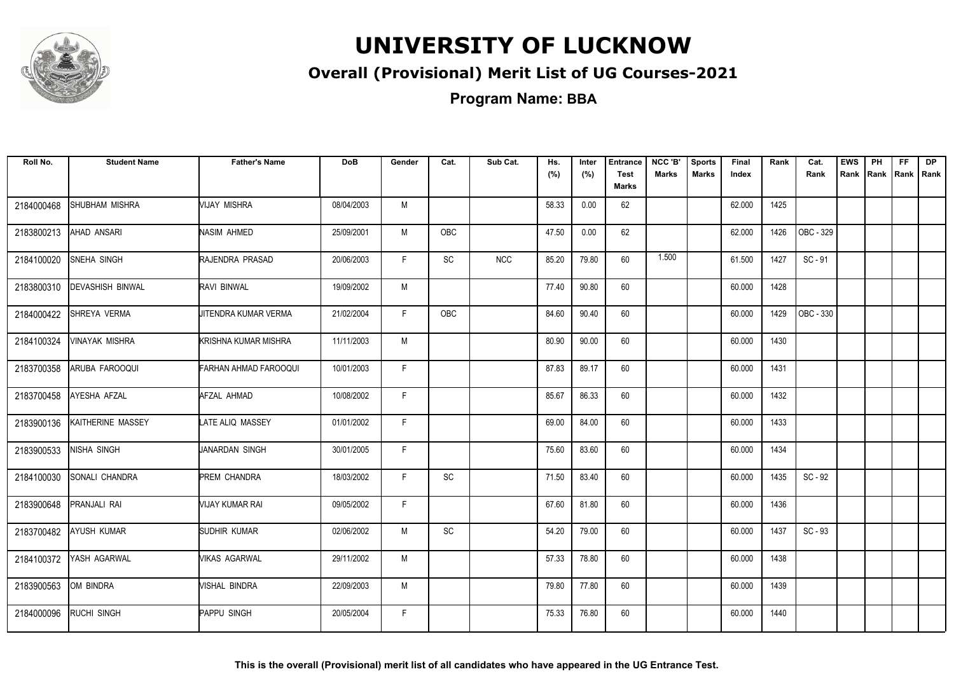

#### **Overall (Provisional) Merit List of UG Courses-2021**

| Roll No.   | <b>Student Name</b>     | <b>Father's Name</b>         | <b>DoB</b> | Gender | Cat.      | Sub Cat. | Hs.<br>(%) | Inter<br>(%) | <b>Entrance</b><br><b>Test</b><br>Marks | NCC 'B'<br><b>Marks</b> | <b>Sports</b><br><b>Marks</b> | Final<br>Index | Rank | Cat.<br>Rank | <b>EWS</b><br>Rank Rank Rank Rank | PH | FF. | <b>DP</b> |
|------------|-------------------------|------------------------------|------------|--------|-----------|----------|------------|--------------|-----------------------------------------|-------------------------|-------------------------------|----------------|------|--------------|-----------------------------------|----|-----|-----------|
| 2184000468 | SHUBHAM MISHRA          | <b>VIJAY MISHRA</b>          | 08/04/2003 | M      |           |          | 58.33      | 0.00         | 62                                      |                         |                               | 62.000         | 1425 |              |                                   |    |     |           |
| 2183800213 | AHAD ANSARI             | <b>NASIM AHMED</b>           | 25/09/2001 | M      | OBC       |          | 47.50      | 0.00         | 62                                      |                         |                               | 62.000         | 1426 | OBC - 329    |                                   |    |     |           |
| 2184100020 | <b>SNEHA SINGH</b>      | RAJENDRA PRASAD              | 20/06/2003 | F.     | SC        | NCC      | 85.20      | 79.80        | 60                                      | 1.500                   |                               | 61.500         | 1427 | $SC - 91$    |                                   |    |     |           |
| 2183800310 | <b>DEVASHISH BINWAL</b> | RAVI BINWAL                  | 19/09/2002 | M      |           |          | 77.40      | 90.80        | 60                                      |                         |                               | 60.000         | 1428 |              |                                   |    |     |           |
| 2184000422 | SHREYA VERMA            | JITENDRA KUMAR VERMA         | 21/02/2004 | F.     | OBC       |          | 84.60      | 90.40        | 60                                      |                         |                               | 60.000         | 1429 | OBC - 330    |                                   |    |     |           |
| 2184100324 | <b>VINAYAK MISHRA</b>   | KRISHNA KUMAR MISHRA         | 11/11/2003 | M      |           |          | 80.90      | 90.00        | 60                                      |                         |                               | 60.000         | 1430 |              |                                   |    |     |           |
| 2183700358 | ARUBA FAROOQUI          | <b>FARHAN AHMAD FAROOQUI</b> | 10/01/2003 | F.     |           |          | 87.83      | 89.17        | 60                                      |                         |                               | 60.000         | 1431 |              |                                   |    |     |           |
| 2183700458 | AYESHA AFZAL            | AFZAL AHMAD                  | 10/08/2002 | F.     |           |          | 85.67      | 86.33        | 60                                      |                         |                               | 60.000         | 1432 |              |                                   |    |     |           |
| 2183900136 | KAITHERINE MASSEY       | LATE ALIQ MASSEY             | 01/01/2002 | F.     |           |          | 69.00      | 84.00        | 60                                      |                         |                               | 60.000         | 1433 |              |                                   |    |     |           |
| 2183900533 | NISHA SINGH             | JANARDAN SINGH               | 30/01/2005 | F.     |           |          | 75.60      | 83.60        | 60                                      |                         |                               | 60.000         | 1434 |              |                                   |    |     |           |
| 2184100030 | <b>SONALI CHANDRA</b>   | <b>PREM CHANDRA</b>          | 18/03/2002 | F.     | <b>SC</b> |          | 71.50      | 83.40        | 60                                      |                         |                               | 60.000         | 1435 | $SC - 92$    |                                   |    |     |           |
| 2183900648 | PRANJALI RAI            | VIJAY KUMAR RAI              | 09/05/2002 | F.     |           |          | 67.60      | 81.80        | 60                                      |                         |                               | 60.000         | 1436 |              |                                   |    |     |           |
| 2183700482 | <b>AYUSH KUMAR</b>      | SUDHIR KUMAR                 | 02/06/2002 | M      | SC        |          | 54.20      | 79.00        | 60                                      |                         |                               | 60.000         | 1437 | $SC - 93$    |                                   |    |     |           |
| 2184100372 | YASH AGARWAL            | <b>VIKAS AGARWAL</b>         | 29/11/2002 | M      |           |          | 57.33      | 78.80        | 60                                      |                         |                               | 60.000         | 1438 |              |                                   |    |     |           |
| 2183900563 | OM BINDRA               | VISHAL BINDRA                | 22/09/2003 | M      |           |          | 79.80      | 77.80        | 60                                      |                         |                               | 60.000         | 1439 |              |                                   |    |     |           |
| 2184000096 | <b>RUCHI SINGH</b>      | PAPPU SINGH                  | 20/05/2004 | F.     |           |          | 75.33      | 76.80        | 60                                      |                         |                               | 60.000         | 1440 |              |                                   |    |     |           |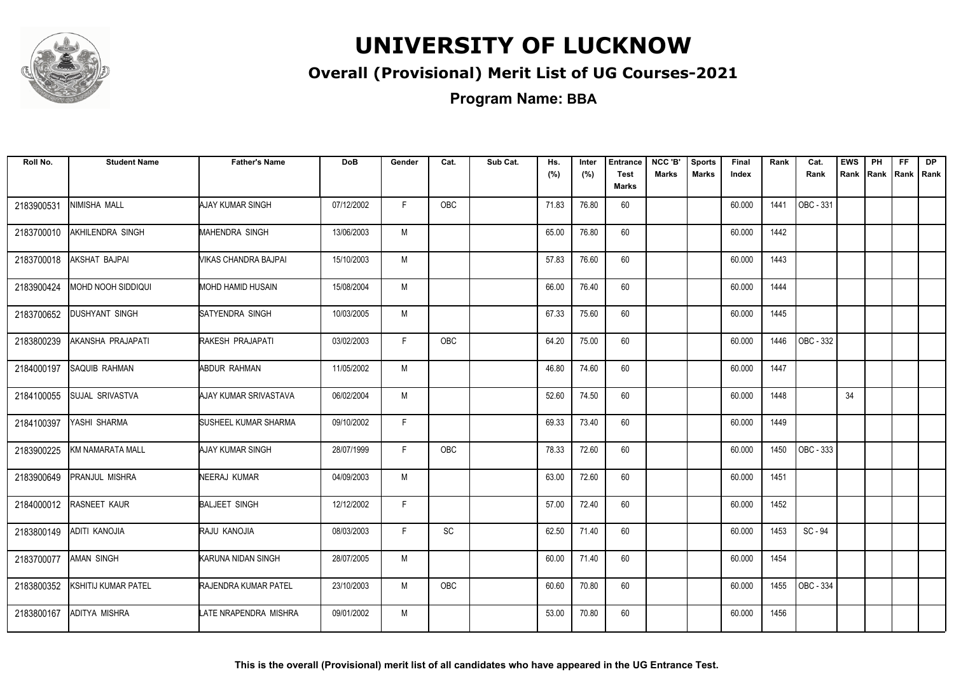

#### **Overall (Provisional) Merit List of UG Courses-2021**

**Program Name: BBA**

| Roll No.   | <b>Student Name</b>        | <b>Father's Name</b>  | <b>DoB</b> | Gender | Cat.       | Sub Cat. | Hs.<br>(%) | Inter<br>(%) | <b>Entrance</b><br><b>Test</b> | NCC 'B'<br><b>Marks</b> | <b>Sports</b><br><b>Marks</b> | Final<br>Index | Rank | Cat.<br>Rank | <b>EWS</b><br>Rank Rank Rank Rank | PH | FF. | <b>DP</b> |
|------------|----------------------------|-----------------------|------------|--------|------------|----------|------------|--------------|--------------------------------|-------------------------|-------------------------------|----------------|------|--------------|-----------------------------------|----|-----|-----------|
|            |                            |                       |            |        |            |          |            |              | <b>Marks</b>                   |                         |                               |                |      |              |                                   |    |     |           |
| 2183900531 | NIMISHA MALL               | AJAY KUMAR SINGH      | 07/12/2002 | F.     | <b>OBC</b> |          | 71.83      | 76.80        | 60                             |                         |                               | 60.000         | 1441 | OBC - 331    |                                   |    |     |           |
| 2183700010 | AKHILENDRA SINGH           | MAHENDRA SINGH        | 13/06/2003 | M      |            |          | 65.00      | 76.80        | 60                             |                         |                               | 60.000         | 1442 |              |                                   |    |     |           |
| 2183700018 | AKSHAT BAJPAI              | VIKAS CHANDRA BAJPAI  | 15/10/2003 | M      |            |          | 57.83      | 76.60        | 60                             |                         |                               | 60.000         | 1443 |              |                                   |    |     |           |
| 2183900424 | MOHD NOOH SIDDIQUI         | MOHD HAMID HUSAIN     | 15/08/2004 | M      |            |          | 66.00      | 76.40        | 60                             |                         |                               | 60.000         | 1444 |              |                                   |    |     |           |
| 2183700652 | <b>DUSHYANT SINGH</b>      | SATYENDRA SINGH       | 10/03/2005 | M      |            |          | 67.33      | 75.60        | 60                             |                         |                               | 60.000         | 1445 |              |                                   |    |     |           |
| 2183800239 | AKANSHA PRAJAPATI          | RAKESH PRAJAPATI      | 03/02/2003 | F.     | OBC        |          | 64.20      | 75.00        | 60                             |                         |                               | 60.000         | 1446 | OBC - 332    |                                   |    |     |           |
| 2184000197 | <b>SAQUIB RAHMAN</b>       | ABDUR RAHMAN          | 11/05/2002 | M      |            |          | 46.80      | 74.60        | 60                             |                         |                               | 60.000         | 1447 |              |                                   |    |     |           |
| 2184100055 | <b>SUJAL SRIVASTVA</b>     | AJAY KUMAR SRIVASTAVA | 06/02/2004 | M      |            |          | 52.60      | 74.50        | 60                             |                         |                               | 60.000         | 1448 |              | 34                                |    |     |           |
| 2184100397 | YASHI SHARMA               | SUSHEEL KUMAR SHARMA  | 09/10/2002 | F.     |            |          | 69.33      | 73.40        | 60                             |                         |                               | 60.000         | 1449 |              |                                   |    |     |           |
| 2183900225 | KM NAMARATA MALL           | AJAY KUMAR SINGH      | 28/07/1999 | F      | <b>OBC</b> |          | 78.33      | 72.60        | 60                             |                         |                               | 60.000         | 1450 | OBC - 333    |                                   |    |     |           |
| 2183900649 | <b>PRANJUL MISHRA</b>      | NEERAJ KUMAR          | 04/09/2003 | M      |            |          | 63.00      | 72.60        | 60                             |                         |                               | 60.000         | 1451 |              |                                   |    |     |           |
| 2184000012 | RASNEET KAUR               | <b>BALJEET SINGH</b>  | 12/12/2002 | F      |            |          | 57.00      | 72.40        | 60                             |                         |                               | 60.000         | 1452 |              |                                   |    |     |           |
| 2183800149 | ADITI KANOJIA              | RAJU KANOJIA          | 08/03/2003 | F.     | SC         |          | 62.50      | 71.40        | 60                             |                         |                               | 60.000         | 1453 | SC-94        |                                   |    |     |           |
| 2183700077 | <b>AMAN SINGH</b>          | KARUNA NIDAN SINGH    | 28/07/2005 | M      |            |          | 60.00      | 71.40        | 60                             |                         |                               | 60.000         | 1454 |              |                                   |    |     |           |
| 2183800352 | <b>KSHITIJ KUMAR PATEL</b> | RAJENDRA KUMAR PATEL  | 23/10/2003 | M      | OBC        |          | 60.60      | 70.80        | 60                             |                         |                               | 60.000         | 1455 | OBC - 334    |                                   |    |     |           |
| 2183800167 | <b>ADITYA MISHRA</b>       | LATE NRAPENDRA MISHRA | 09/01/2002 | M      |            |          | 53.00      | 70.80        | 60                             |                         |                               | 60.000         | 1456 |              |                                   |    |     |           |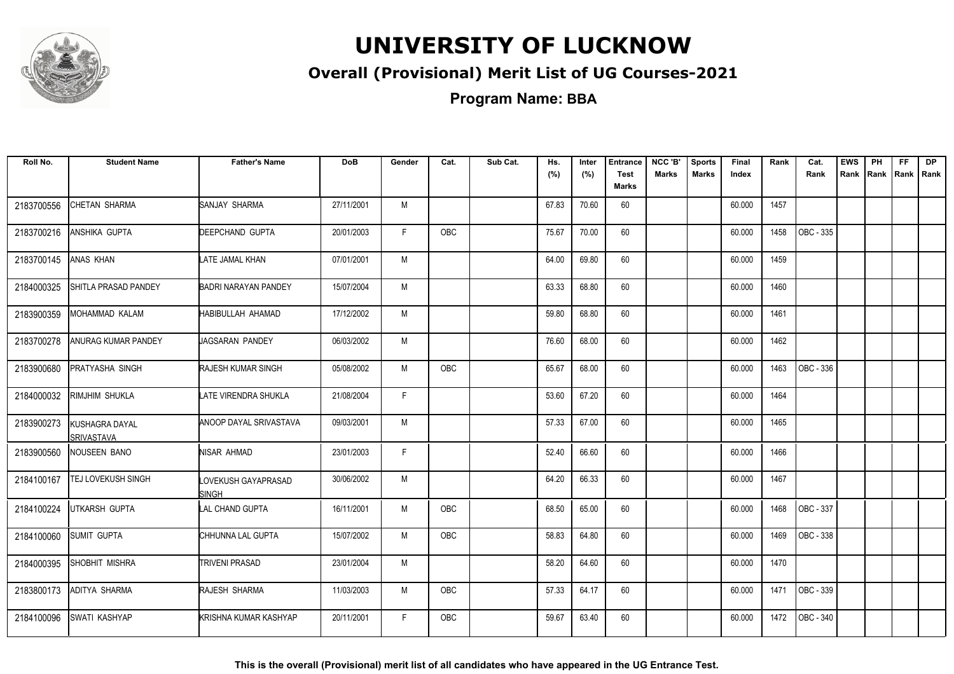

#### **Overall (Provisional) Merit List of UG Courses-2021**

**Program Name: BBA**

| Roll No.   | <b>Student Name</b>                 | <b>Father's Name</b>                | <b>DoB</b> | Gender | Cat.       | Sub Cat. | Hs.<br>(%) | Inter<br>(%) | <b>Entrance</b><br><b>Test</b><br><b>Marks</b> | NCC 'B'<br><b>Marks</b> | <b>Sports</b><br><b>Marks</b> | Final<br>Index | Rank | Cat.<br>Rank | <b>EWS</b> | PH | FF. | <b>DP</b><br>Rank Rank Rank Rank |
|------------|-------------------------------------|-------------------------------------|------------|--------|------------|----------|------------|--------------|------------------------------------------------|-------------------------|-------------------------------|----------------|------|--------------|------------|----|-----|----------------------------------|
| 2183700556 | <b>CHETAN SHARMA</b>                | SANJAY SHARMA                       | 27/11/2001 | M      |            |          | 67.83      | 70.60        | 60                                             |                         |                               | 60.000         | 1457 |              |            |    |     |                                  |
| 2183700216 | <b>ANSHIKA GUPTA</b>                | <b>DEEPCHAND GUPTA</b>              | 20/01/2003 | F.     | OBC        |          | 75.67      | 70.00        | 60                                             |                         |                               | 60.000         | 1458 | OBC - 335    |            |    |     |                                  |
| 2183700145 | ANAS KHAN                           | LATE JAMAL KHAN                     | 07/01/2001 | M      |            |          | 64.00      | 69.80        | 60                                             |                         |                               | 60.000         | 1459 |              |            |    |     |                                  |
| 2184000325 | SHITLA PRASAD PANDEY                | BADRI NARAYAN PANDEY                | 15/07/2004 | M      |            |          | 63.33      | 68.80        | 60                                             |                         |                               | 60.000         | 1460 |              |            |    |     |                                  |
| 2183900359 | MOHAMMAD KALAM                      | HABIBULLAH AHAMAD                   | 17/12/2002 | M      |            |          | 59.80      | 68.80        | 60                                             |                         |                               | 60.000         | 1461 |              |            |    |     |                                  |
| 2183700278 | ANURAG KUMAR PANDEY                 | JAGSARAN PANDEY                     | 06/03/2002 | M      |            |          | 76.60      | 68.00        | 60                                             |                         |                               | 60.000         | 1462 |              |            |    |     |                                  |
| 2183900680 | <b>PRATYASHA SINGH</b>              | <b>RAJESH KUMAR SINGH</b>           | 05/08/2002 | M      | <b>OBC</b> |          | 65.67      | 68.00        | 60                                             |                         |                               | 60.000         | 1463 | OBC - 336    |            |    |     |                                  |
| 2184000032 | <b>RIMJHIM SHUKLA</b>               | LATE VIRENDRA SHUKLA                | 21/08/2004 | F      |            |          | 53.60      | 67.20        | 60                                             |                         |                               | 60.000         | 1464 |              |            |    |     |                                  |
| 2183900273 | KUSHAGRA DAYAL<br><b>SRIVASTAVA</b> | ANOOP DAYAL SRIVASTAVA              | 09/03/2001 | M      |            |          | 57.33      | 67.00        | 60                                             |                         |                               | 60.000         | 1465 |              |            |    |     |                                  |
| 2183900560 | NOUSEEN BANO                        | NISAR AHMAD                         | 23/01/2003 | F      |            |          | 52.40      | 66.60        | 60                                             |                         |                               | 60.000         | 1466 |              |            |    |     |                                  |
| 2184100167 | TEJ LOVEKUSH SINGH                  | LOVEKUSH GAYAPRASAD<br><b>SINGH</b> | 30/06/2002 | M      |            |          | 64.20      | 66.33        | 60                                             |                         |                               | 60.000         | 1467 |              |            |    |     |                                  |
| 2184100224 | <b>UTKARSH GUPTA</b>                | <b>LAL CHAND GUPTA</b>              | 16/11/2001 | M      | <b>OBC</b> |          | 68.50      | 65.00        | 60                                             |                         |                               | 60.000         | 1468 | OBC - 337    |            |    |     |                                  |
| 2184100060 | SUMIT GUPTA                         | CHHUNNA LAL GUPTA                   | 15/07/2002 | M      | <b>OBC</b> |          | 58.83      | 64.80        | 60                                             |                         |                               | 60.000         | 1469 | OBC - 338    |            |    |     |                                  |
| 2184000395 | SHOBHIT MISHRA                      | <b>TRIVENI PRASAD</b>               | 23/01/2004 | M      |            |          | 58.20      | 64.60        | 60                                             |                         |                               | 60.000         | 1470 |              |            |    |     |                                  |
| 2183800173 | ADITYA SHARMA                       | RAJESH SHARMA                       | 11/03/2003 | M      | OBC        |          | 57.33      | 64.17        | 60                                             |                         |                               | 60.000         | 1471 | OBC - 339    |            |    |     |                                  |
| 2184100096 | SWATI KASHYAP                       | KRISHNA KUMAR KASHYAP               | 20/11/2001 | F.     | <b>OBC</b> |          | 59.67      | 63.40        | 60                                             |                         |                               | 60.000         | 1472 | OBC - 340    |            |    |     |                                  |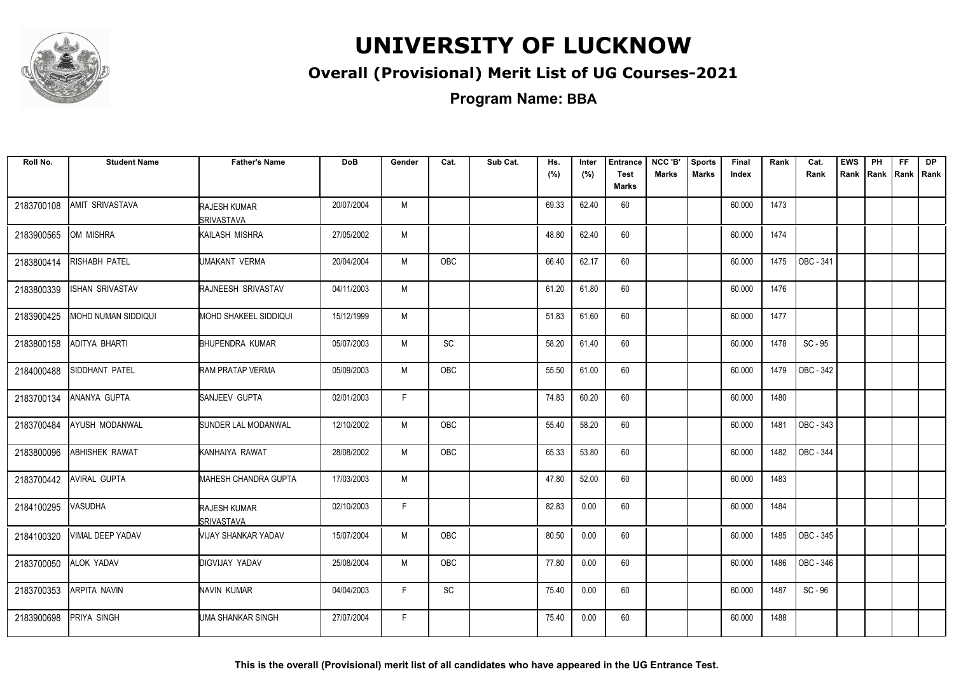

#### **Overall (Provisional) Merit List of UG Courses-2021**

| Roll No.   | <b>Student Name</b>        | <b>Father's Name</b>                      | DoB        | Gender | Cat.                         | Sub Cat. | Hs.<br>(%) | Inter<br>(%) | <b>Entrance</b><br><b>Test</b><br>Marks | NCC 'B'<br><b>Marks</b> | <b>Sports</b><br><b>Marks</b> | Final<br>Index | Rank | Cat.<br>Rank | <b>EWS</b><br>Rank | PH<br>Rank Rank | FF. | <b>DP</b><br>Rank |
|------------|----------------------------|-------------------------------------------|------------|--------|------------------------------|----------|------------|--------------|-----------------------------------------|-------------------------|-------------------------------|----------------|------|--------------|--------------------|-----------------|-----|-------------------|
| 2183700108 | <b>AMIT SRIVASTAVA</b>     | RAJESH KUMAR<br><b>SRIVASTAVA</b>         | 20/07/2004 | M      |                              |          | 69.33      | 62.40        | 60                                      |                         |                               | 60.000         | 1473 |              |                    |                 |     |                   |
| 2183900565 | OM MISHRA                  | KAILASH MISHRA                            | 27/05/2002 | M      |                              |          | 48.80      | 62.40        | 60                                      |                         |                               | 60.000         | 1474 |              |                    |                 |     |                   |
| 2183800414 | <b>RISHABH PATEL</b>       | UMAKANT VERMA                             | 20/04/2004 | M      | <b>OBC</b>                   |          | 66.40      | 62.17        | 60                                      |                         |                               | 60.000         | 1475 | OBC - 341    |                    |                 |     |                   |
| 2183800339 | <b>ISHAN SRIVASTAV</b>     | RAJNEESH SRIVASTAV                        | 04/11/2003 | M      |                              |          | 61.20      | 61.80        | 60                                      |                         |                               | 60.000         | 1476 |              |                    |                 |     |                   |
| 2183900425 | <b>MOHD NUMAN SIDDIQUI</b> | <b>MOHD SHAKEEL SIDDIQUI</b>              | 15/12/1999 | M      |                              |          | 51.83      | 61.60        | 60                                      |                         |                               | 60.000         | 1477 |              |                    |                 |     |                   |
| 2183800158 | <b>ADITYA BHARTI</b>       | <b>BHUPENDRA KUMAR</b>                    | 05/07/2003 | M      | SC                           |          | 58.20      | 61.40        | 60                                      |                         |                               | 60.000         | 1478 | $SC - 95$    |                    |                 |     |                   |
| 2184000488 | SIDDHANT PATEL             | RAM PRATAP VERMA                          | 05/09/2003 | M      | OBC                          |          | 55.50      | 61.00        | 60                                      |                         |                               | 60.000         | 1479 | OBC - 342    |                    |                 |     |                   |
| 2183700134 | ANANYA GUPTA               | SANJEEV GUPTA                             | 02/01/2003 | F.     |                              |          | 74.83      | 60.20        | 60                                      |                         |                               | 60.000         | 1480 |              |                    |                 |     |                   |
| 2183700484 | <b>AYUSH MODANWAL</b>      | SUNDER LAL MODANWAL                       | 12/10/2002 | M      | <b>OBC</b>                   |          | 55.40      | 58.20        | 60                                      |                         |                               | 60.000         | 1481 | OBC - 343    |                    |                 |     |                   |
| 2183800096 | <b>ABHISHEK RAWAT</b>      | KANHAIYA RAWAT                            | 28/08/2002 | M      | <b>OBC</b>                   |          | 65.33      | 53.80        | 60                                      |                         |                               | 60.000         | 1482 | OBC - 344    |                    |                 |     |                   |
| 2183700442 | <b>AVIRAL GUPTA</b>        | <b>MAHESH CHANDRA GUPTA</b>               | 17/03/2003 | M      |                              |          | 47.80      | 52.00        | 60                                      |                         |                               | 60.000         | 1483 |              |                    |                 |     |                   |
| 2184100295 | <b>VASUDHA</b>             | <b>RAJESH KUMAR</b><br><b>ISRIVASTAVA</b> | 02/10/2003 | F.     |                              |          | 82.83      | 0.00         | 60                                      |                         |                               | 60.000         | 1484 |              |                    |                 |     |                   |
| 2184100320 | <b>VIMAL DEEP YADAV</b>    | VIJAY SHANKAR YADAV                       | 15/07/2004 | M      | <b>OBC</b>                   |          | 80.50      | 0.00         | 60                                      |                         |                               | 60.000         | 1485 | OBC - 345    |                    |                 |     |                   |
| 2183700050 | ALOK YADAV                 | <b>DIGVIJAY YADAV</b>                     | 25/08/2004 | M      | OBC                          |          | 77.80      | 0.00         | 60                                      |                         |                               | 60.000         | 1486 | OBC - 346    |                    |                 |     |                   |
| 2183700353 | ARPITA NAVIN               | NAVIN KUMAR                               | 04/04/2003 | F.     | $\operatorname{\textsf{SC}}$ |          | 75.40      | 0.00         | 60                                      |                         |                               | 60.000         | 1487 | SC-96        |                    |                 |     |                   |
| 2183900698 | <b>PRIYA SINGH</b>         | <b>I</b> UMA SHANKAR SINGH                | 27/07/2004 | F.     |                              |          | 75.40      | 0.00         | 60                                      |                         |                               | 60.000         | 1488 |              |                    |                 |     |                   |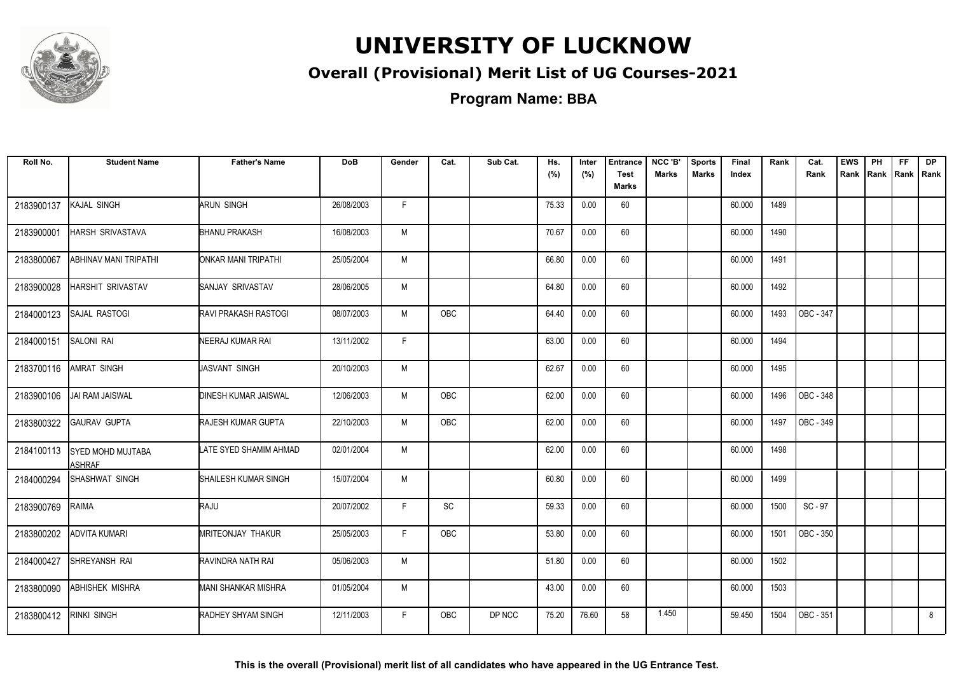

#### **Overall (Provisional) Merit List of UG Courses-2021**

**Program Name: BBA**

| Roll No.   | <b>Student Name</b>                | <b>Father's Name</b>        | <b>DoB</b> | Gender | Cat.       | Sub Cat. | Hs.<br>(%) | Inter<br>(%) | <b>Entrance</b><br><b>Test</b><br><b>Marks</b> | NCC 'B'<br><b>Marks</b> | <b>Sports</b><br><b>Marks</b> | Final<br>Index | Rank | Cat.<br>Rank | <b>EWS</b><br>Rank | PH<br>Rank | FF.<br>Rank   Rank | <b>DP</b> |
|------------|------------------------------------|-----------------------------|------------|--------|------------|----------|------------|--------------|------------------------------------------------|-------------------------|-------------------------------|----------------|------|--------------|--------------------|------------|--------------------|-----------|
| 2183900137 | KAJAL SINGH                        | ARUN SINGH                  | 26/08/2003 | F.     |            |          | 75.33      | 0.00         | 60                                             |                         |                               | 60.000         | 1489 |              |                    |            |                    |           |
| 2183900001 | HARSH SRIVASTAVA                   | <b>BHANU PRAKASH</b>        | 16/08/2003 | M      |            |          | 70.67      | 0.00         | 60                                             |                         |                               | 60.000         | 1490 |              |                    |            |                    |           |
| 2183800067 | ABHINAV MANI TRIPATHI              | ONKAR MANI TRIPATHI         | 25/05/2004 | M      |            |          | 66.80      | 0.00         | 60                                             |                         |                               | 60.000         | 1491 |              |                    |            |                    |           |
| 2183900028 | <b>HARSHIT SRIVASTAV</b>           | <b>SANJAY SRIVASTAV</b>     | 28/06/2005 | M      |            |          | 64.80      | 0.00         | 60                                             |                         |                               | 60.000         | 1492 |              |                    |            |                    |           |
| 2184000123 | SAJAL RASTOGI                      | RAVI PRAKASH RASTOGI        | 08/07/2003 | M      | OBC        |          | 64.40      | 0.00         | 60                                             |                         |                               | 60.000         | 1493 | OBC - 347    |                    |            |                    |           |
| 2184000151 | SALONI RAI                         | NEERAJ KUMAR RAI            | 13/11/2002 | F.     |            |          | 63.00      | 0.00         | 60                                             |                         |                               | 60.000         | 1494 |              |                    |            |                    |           |
| 2183700116 | AMRAT SINGH                        | JASVANT SINGH               | 20/10/2003 | M      |            |          | 62.67      | 0.00         | 60                                             |                         |                               | 60.000         | 1495 |              |                    |            |                    |           |
| 2183900106 | JAI RAM JAISWAL                    | <b>DINESH KUMAR JAISWAL</b> | 12/06/2003 | M      | <b>OBC</b> |          | 62.00      | 0.00         | 60                                             |                         |                               | 60.000         | 1496 | OBC - 348    |                    |            |                    |           |
| 2183800322 | <b>GAURAV GUPTA</b>                | <b>RAJESH KUMAR GUPTA</b>   | 22/10/2003 | M      | OBC        |          | 62.00      | 0.00         | 60                                             |                         |                               | 60.000         | 1497 | OBC - 349    |                    |            |                    |           |
| 2184100113 | SYED MOHD MUJTABA<br><b>ASHRAF</b> | LATE SYED SHAMIM AHMAD      | 02/01/2004 | M      |            |          | 62.00      | 0.00         | 60                                             |                         |                               | 60.000         | 1498 |              |                    |            |                    |           |
| 2184000294 | SHASHWAT SINGH                     | SHAILESH KUMAR SINGH        | 15/07/2004 | M      |            |          | 60.80      | 0.00         | 60                                             |                         |                               | 60.000         | 1499 |              |                    |            |                    |           |
| 2183900769 | RAIMA                              | RAJU                        | 20/07/2002 | F.     | SC         |          | 59.33      | 0.00         | 60                                             |                         |                               | 60.000         | 1500 | SC-97        |                    |            |                    |           |
| 2183800202 | <b>ADVITA KUMARI</b>               | MRITEONJAY THAKUR           | 25/05/2003 | F.     | OBC        |          | 53.80      | 0.00         | 60                                             |                         |                               | 60.000         | 1501 | OBC - 350    |                    |            |                    |           |
| 2184000427 | SHREYANSH RAI                      | RAVINDRA NATH RAI           | 05/06/2003 | M      |            |          | 51.80      | 0.00         | 60                                             |                         |                               | 60.000         | 1502 |              |                    |            |                    |           |
| 2183800090 | ABHISHEK MISHRA                    | <b>MANI SHANKAR MISHRA</b>  | 01/05/2004 | M      |            |          | 43.00      | 0.00         | 60                                             |                         |                               | 60.000         | 1503 |              |                    |            |                    |           |
| 2183800412 | <b>RINKI SINGH</b>                 | <b>RADHEY SHYAM SINGH</b>   | 12/11/2003 | F.     | <b>OBC</b> | DP NCC   | 75.20      | 76.60        | 58                                             | 1.450                   |                               | 59.450         | 1504 | OBC - 351    |                    |            |                    | 8         |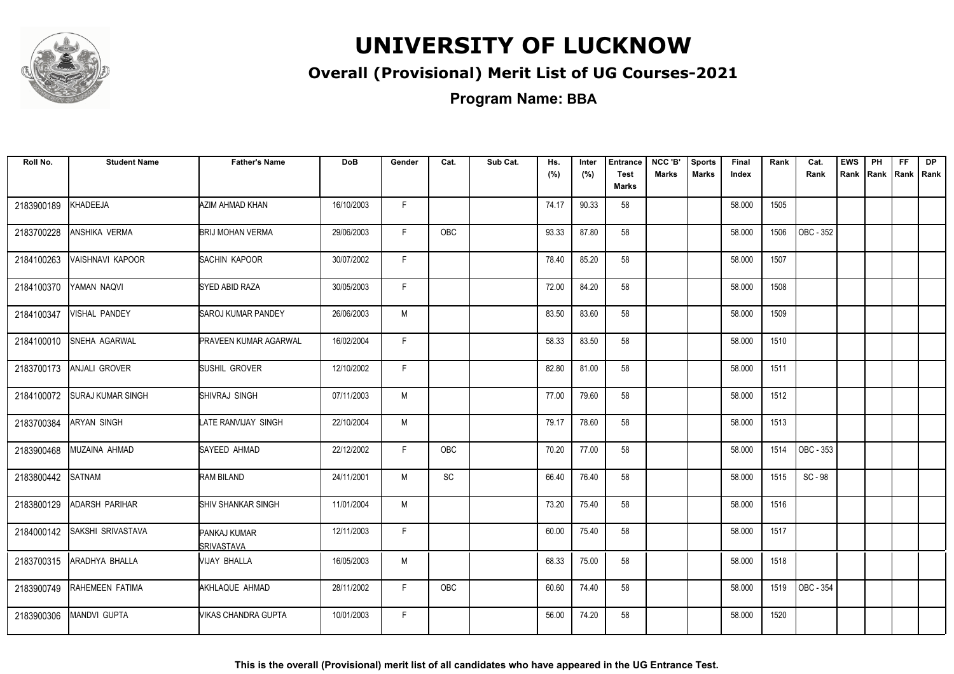

#### **Overall (Provisional) Merit List of UG Courses-2021**

**Program Name: BBA**

| Roll No.   | <b>Student Name</b>      | <b>Father's Name</b>              | <b>DoB</b> | Gender | Cat.          | Sub Cat. | Hs.<br>(%) | Inter<br>(%) | <b>Entrance</b><br><b>Test</b><br><b>Marks</b> | NCC 'B'<br><b>Marks</b> | <b>Sports</b><br><b>Marks</b> | Final<br>Index | Rank | Cat.<br>Rank | <b>EWS</b> | PH<br>Rank Rank | FF.<br>Rank   Rank | <b>DP</b> |
|------------|--------------------------|-----------------------------------|------------|--------|---------------|----------|------------|--------------|------------------------------------------------|-------------------------|-------------------------------|----------------|------|--------------|------------|-----------------|--------------------|-----------|
| 2183900189 | KHADEEJA                 | AZIM AHMAD KHAN                   | 16/10/2003 | F.     |               |          | 74.17      | 90.33        | 58                                             |                         |                               | 58.000         | 1505 |              |            |                 |                    |           |
| 2183700228 | ANSHIKA VERMA            | <b>BRIJ MOHAN VERMA</b>           | 29/06/2003 | F.     | OBC           |          | 93.33      | 87.80        | 58                                             |                         |                               | 58.000         | 1506 | OBC - 352    |            |                 |                    |           |
| 2184100263 | VAISHNAVI KAPOOR         | SACHIN KAPOOR                     | 30/07/2002 | F.     |               |          | 78.40      | 85.20        | 58                                             |                         |                               | 58.000         | 1507 |              |            |                 |                    |           |
| 2184100370 | YAMAN NAQVI              | <b>SYED ABID RAZA</b>             | 30/05/2003 | F.     |               |          | 72.00      | 84.20        | 58                                             |                         |                               | 58.000         | 1508 |              |            |                 |                    |           |
| 2184100347 | VISHAL PANDEY            | <b>SAROJ KUMAR PANDEY</b>         | 26/06/2003 | M      |               |          | 83.50      | 83.60        | 58                                             |                         |                               | 58.000         | 1509 |              |            |                 |                    |           |
| 2184100010 | SNEHA AGARWAL            | <b>PRAVEEN KUMAR AGARWAL</b>      | 16/02/2004 | F.     |               |          | 58.33      | 83.50        | 58                                             |                         |                               | 58.000         | 1510 |              |            |                 |                    |           |
| 2183700173 | ANJALI GROVER            | SUSHIL GROVER                     | 12/10/2002 | F.     |               |          | 82.80      | 81.00        | 58                                             |                         |                               | 58.000         | 1511 |              |            |                 |                    |           |
| 2184100072 | <b>SURAJ KUMAR SINGH</b> | <b>SHIVRAJ SINGH</b>              | 07/11/2003 | M      |               |          | 77.00      | 79.60        | 58                                             |                         |                               | 58.000         | 1512 |              |            |                 |                    |           |
| 2183700384 | <b>ARYAN SINGH</b>       | LATE RANVIJAY SINGH               | 22/10/2004 | M      |               |          | 79.17      | 78.60        | 58                                             |                         |                               | 58.000         | 1513 |              |            |                 |                    |           |
| 2183900468 | MUZAINA AHMAD            | SAYEED AHMAD                      | 22/12/2002 | F.     | OBC           |          | 70.20      | 77.00        | 58                                             |                         |                               | 58.000         | 1514 | OBC - 353    |            |                 |                    |           |
| 2183800442 | SATNAM                   | <b>RAM BILAND</b>                 | 24/11/2001 | M      | $\mathsf{SC}$ |          | 66.40      | 76.40        | 58                                             |                         |                               | 58.000         | 1515 | SC - 98      |            |                 |                    |           |
| 2183800129 | ADARSH PARIHAR           | <b>SHIV SHANKAR SINGH</b>         | 11/01/2004 | M      |               |          | 73.20      | 75.40        | 58                                             |                         |                               | 58.000         | 1516 |              |            |                 |                    |           |
| 2184000142 | SAKSHI SRIVASTAVA        | PANKAJ KUMAR<br><b>SRIVASTAVA</b> | 12/11/2003 | F      |               |          | 60.00      | 75.40        | 58                                             |                         |                               | 58.000         | 1517 |              |            |                 |                    |           |
| 2183700315 | ARADHYA BHALLA           | VIJAY BHALLA                      | 16/05/2003 | M      |               |          | 68.33      | 75.00        | 58                                             |                         |                               | 58.000         | 1518 |              |            |                 |                    |           |
| 2183900749 | RAHEMEEN FATIMA          | AKHLAQUE AHMAD                    | 28/11/2002 | F.     | OBC           |          | 60.60      | 74.40        | 58                                             |                         |                               | 58.000         | 1519 | OBC - 354    |            |                 |                    |           |
| 2183900306 | <b>MANDVI GUPTA</b>      | VIKAS CHANDRA GUPTA               | 10/01/2003 | F.     |               |          | 56.00      | 74.20        | 58                                             |                         |                               | 58.000         | 1520 |              |            |                 |                    |           |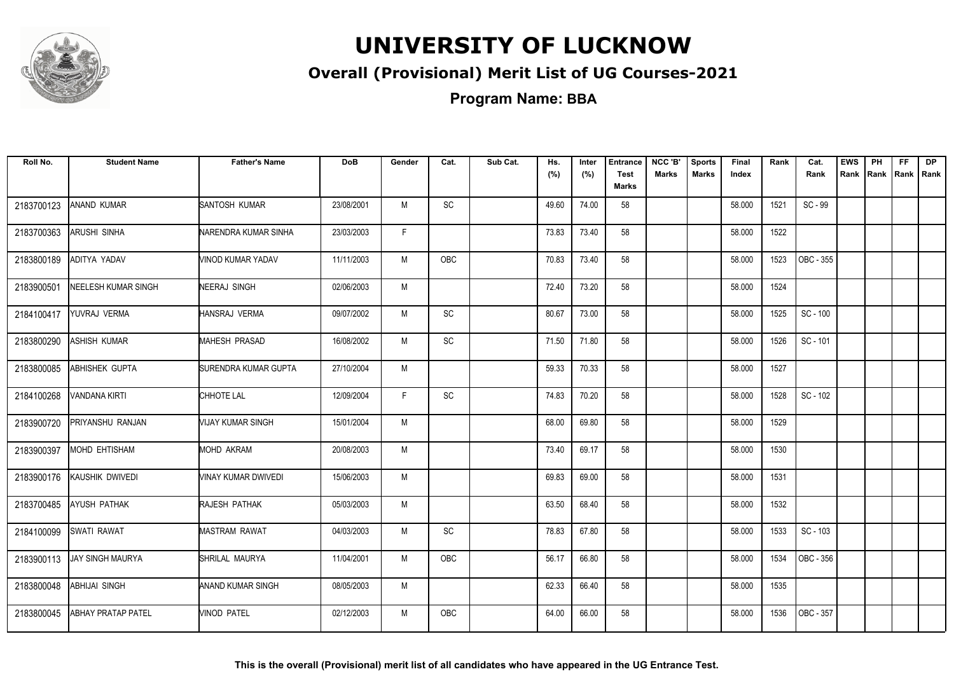

#### **Overall (Provisional) Merit List of UG Courses-2021**

**Program Name: BBA**

| Roll No.   | <b>Student Name</b>       | <b>Father's Name</b> | <b>DoB</b> | Gender | Cat.                         | Sub Cat. | Hs.<br>(%) | Inter<br>(%) | <b>Entrance</b><br><b>Test</b><br><b>Marks</b> | NCC 'B'<br><b>Marks</b> | <b>Sports</b><br><b>Marks</b> | Final<br>Index | Rank | Cat.<br>Rank | <b>EWS</b><br>Rank | PH<br>Rank | FF.<br>Rank   Rank | <b>DP</b> |
|------------|---------------------------|----------------------|------------|--------|------------------------------|----------|------------|--------------|------------------------------------------------|-------------------------|-------------------------------|----------------|------|--------------|--------------------|------------|--------------------|-----------|
| 2183700123 | <b>ANAND KUMAR</b>        | SANTOSH KUMAR        | 23/08/2001 | M      | $\mathsf{SC}$                |          | 49.60      | 74.00        | 58                                             |                         |                               | 58.000         | 1521 | SC - 99      |                    |            |                    |           |
| 2183700363 | <b>ARUSHI SINHA</b>       | NARENDRA KUMAR SINHA | 23/03/2003 | F.     |                              |          | 73.83      | 73.40        | 58                                             |                         |                               | 58.000         | 1522 |              |                    |            |                    |           |
| 2183800189 | ADITYA YADAV              | VINOD KUMAR YADAV    | 11/11/2003 | M      | <b>OBC</b>                   |          | 70.83      | 73.40        | 58                                             |                         |                               | 58.000         | 1523 | OBC - 355    |                    |            |                    |           |
| 2183900501 | NEELESH KUMAR SINGH       | NEERAJ SINGH         | 02/06/2003 | M      |                              |          | 72.40      | 73.20        | 58                                             |                         |                               | 58.000         | 1524 |              |                    |            |                    |           |
| 2184100417 | YUVRAJ VERMA              | HANSRAJ VERMA        | 09/07/2002 | M      | $\operatorname{\textsf{SC}}$ |          | 80.67      | 73.00        | 58                                             |                         |                               | 58.000         | 1525 | SC - 100     |                    |            |                    |           |
| 2183800290 | ASHISH KUMAR              | MAHESH PRASAD        | 16/08/2002 | M      | SC                           |          | 71.50      | 71.80        | 58                                             |                         |                               | 58.000         | 1526 | SC - 101     |                    |            |                    |           |
| 2183800085 | ABHISHEK GUPTA            | SURENDRA KUMAR GUPTA | 27/10/2004 | M      |                              |          | 59.33      | 70.33        | 58                                             |                         |                               | 58.000         | 1527 |              |                    |            |                    |           |
| 2184100268 | VANDANA KIRTI             | CHHOTE LAL           | 12/09/2004 | F      | $\operatorname{\textsf{SC}}$ |          | 74.83      | 70.20        | 58                                             |                         |                               | 58.000         | 1528 | SC - 102     |                    |            |                    |           |
| 2183900720 | PRIYANSHU RANJAN          | VIJAY KUMAR SINGH    | 15/01/2004 | M      |                              |          | 68.00      | 69.80        | 58                                             |                         |                               | 58.000         | 1529 |              |                    |            |                    |           |
| 2183900397 | MOHD EHTISHAM             | <b>MOHD AKRAM</b>    | 20/08/2003 | M      |                              |          | 73.40      | 69.17        | 58                                             |                         |                               | 58.000         | 1530 |              |                    |            |                    |           |
| 2183900176 | KAUSHIK DWIVEDI           | VINAY KUMAR DWIVEDI  | 15/06/2003 | M      |                              |          | 69.83      | 69.00        | 58                                             |                         |                               | 58.000         | 1531 |              |                    |            |                    |           |
| 2183700485 | <b>AYUSH PATHAK</b>       | RAJESH PATHAK        | 05/03/2003 | M      |                              |          | 63.50      | 68.40        | 58                                             |                         |                               | 58.000         | 1532 |              |                    |            |                    |           |
| 2184100099 | <b>SWATI RAWAT</b>        | <b>MASTRAM RAWAT</b> | 04/03/2003 | M      | SC                           |          | 78.83      | 67.80        | 58                                             |                         |                               | 58.000         | 1533 | SC - 103     |                    |            |                    |           |
| 2183900113 | <b>JAY SINGH MAURYA</b>   | SHRILAL MAURYA       | 11/04/2001 | M      | OBC                          |          | 56.17      | 66.80        | 58                                             |                         |                               | 58.000         | 1534 | OBC - 356    |                    |            |                    |           |
| 2183800048 | <b>ABHIJAI SINGH</b>      | ANAND KUMAR SINGH    | 08/05/2003 | M      |                              |          | 62.33      | 66.40        | 58                                             |                         |                               | 58.000         | 1535 |              |                    |            |                    |           |
| 2183800045 | <b>ABHAY PRATAP PATEL</b> | VINOD PATEL          | 02/12/2003 | M      | <b>OBC</b>                   |          | 64.00      | 66.00        | 58                                             |                         |                               | 58.000         | 1536 | OBC - 357    |                    |            |                    |           |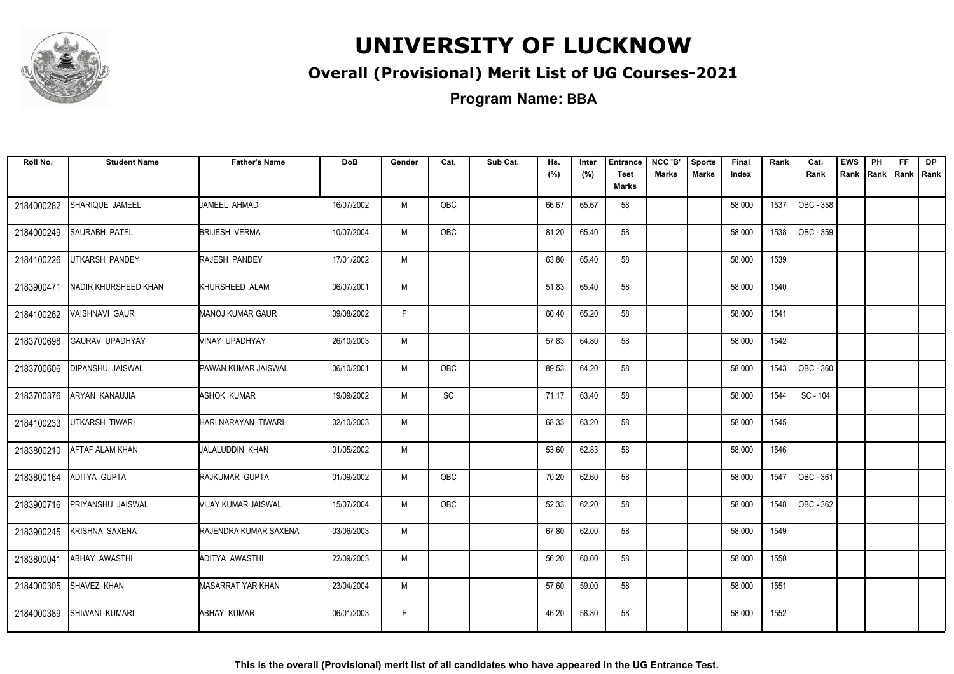

#### **Overall (Provisional) Merit List of UG Courses-2021**

**Program Name: BBA**

| Roll No.   | <b>Student Name</b>     | <b>Father's Name</b>       | <b>DoB</b> | Gender | Cat.       | Sub Cat. | Hs.<br>(%) | Inter<br>(%) | <b>Entrance</b><br><b>Test</b> | NCC 'B'<br><b>Marks</b> | <b>Sports</b><br><b>Marks</b> | Final<br>Index | Rank | Cat.<br>Rank | <b>EWS</b><br>Rank Rank Rank Rank | PH | FF. | <b>DP</b> |
|------------|-------------------------|----------------------------|------------|--------|------------|----------|------------|--------------|--------------------------------|-------------------------|-------------------------------|----------------|------|--------------|-----------------------------------|----|-----|-----------|
|            |                         |                            |            |        |            |          |            |              | Marks                          |                         |                               |                |      |              |                                   |    |     |           |
| 2184000282 | SHARIQUE JAMEEL         | JAMEEL AHMAD               | 16/07/2002 | M      | <b>OBC</b> |          | 66.67      | 65.67        | 58                             |                         |                               | 58.000         | 1537 | OBC - 358    |                                   |    |     |           |
| 2184000249 | <b>SAURABH PATEL</b>    | <b>BRIJESH VERMA</b>       | 10/07/2004 | M      | OBC        |          | 81.20      | 65.40        | 58                             |                         |                               | 58.000         | 1538 | OBC - 359    |                                   |    |     |           |
| 2184100226 | UTKARSH PANDEY          | <b>RAJESH PANDEY</b>       | 17/01/2002 | M      |            |          | 63.80      | 65.40        | 58                             |                         |                               | 58.000         | 1539 |              |                                   |    |     |           |
| 2183900471 | NADIR KHURSHEED KHAN    | KHURSHEED ALAM             | 06/07/2001 | M      |            |          | 51.83      | 65.40        | 58                             |                         |                               | 58.000         | 1540 |              |                                   |    |     |           |
| 2184100262 | VAISHNAVI GAUR          | <b>MANOJ KUMAR GAUR</b>    | 09/08/2002 | F.     |            |          | 60.40      | 65.20        | 58                             |                         |                               | 58.000         | 1541 |              |                                   |    |     |           |
| 2183700698 | GAURAV UPADHYAY         | VINAY UPADHYAY             | 26/10/2003 | M      |            |          | 57.83      | 64.80        | 58                             |                         |                               | 58.000         | 1542 |              |                                   |    |     |           |
| 2183700606 | <b>DIPANSHU JAISWAL</b> | <b>PAWAN KUMAR JAISWAL</b> | 06/10/2001 | M      | OBC        |          | 89.53      | 64.20        | 58                             |                         |                               | 58.000         | 1543 | OBC - 360    |                                   |    |     |           |
| 2183700376 | ARYAN KANAUJIA          | ASHOK KUMAR                | 19/09/2002 | M      | SC         |          | 71.17      | 63.40        | 58                             |                         |                               | 58.000         | 1544 | SC - 104     |                                   |    |     |           |
| 2184100233 | <b>UTKARSH TIWARI</b>   | HARI NARAYAN TIWARI        | 02/10/2003 | M      |            |          | 68.33      | 63.20        | 58                             |                         |                               | 58.000         | 1545 |              |                                   |    |     |           |
| 2183800210 | <b>AFTAF ALAM KHAN</b>  | JALALUDDIN KHAN            | 01/05/2002 | M      |            |          | 53.60      | 62.83        | 58                             |                         |                               | 58.000         | 1546 |              |                                   |    |     |           |
| 2183800164 | <b>ADITYA GUPTA</b>     | RAJKUMAR GUPTA             | 01/09/2002 | M      | OBC        |          | 70.20      | 62.60        | 58                             |                         |                               | 58.000         | 1547 | OBC - 361    |                                   |    |     |           |
| 2183900716 | PRIYANSHU JAISWAL       | VIJAY KUMAR JAISWAL        | 15/07/2004 | М      | OBC        |          | 52.33      | 62.20        | 58                             |                         |                               | 58.000         | 1548 | OBC - 362    |                                   |    |     |           |
| 2183900245 | KRISHNA SAXENA          | RAJENDRA KUMAR SAXENA      | 03/06/2003 | M      |            |          | 67.80      | 62.00        | 58                             |                         |                               | 58.000         | 1549 |              |                                   |    |     |           |
| 2183800041 | <b>ABHAY AWASTHI</b>    | ADITYA AWASTHI             | 22/09/2003 | M      |            |          | 56.20      | 60.00        | 58                             |                         |                               | 58.000         | 1550 |              |                                   |    |     |           |
| 2184000305 | SHAVEZ KHAN             | MASARRAT YAR KHAN          | 23/04/2004 | M      |            |          | 57.60      | 59.00        | 58                             |                         |                               | 58.000         | 1551 |              |                                   |    |     |           |
| 2184000389 | SHIWANI KUMARI          | <b>ABHAY KUMAR</b>         | 06/01/2003 | F.     |            |          | 46.20      | 58.80        | 58                             |                         |                               | 58.000         | 1552 |              |                                   |    |     |           |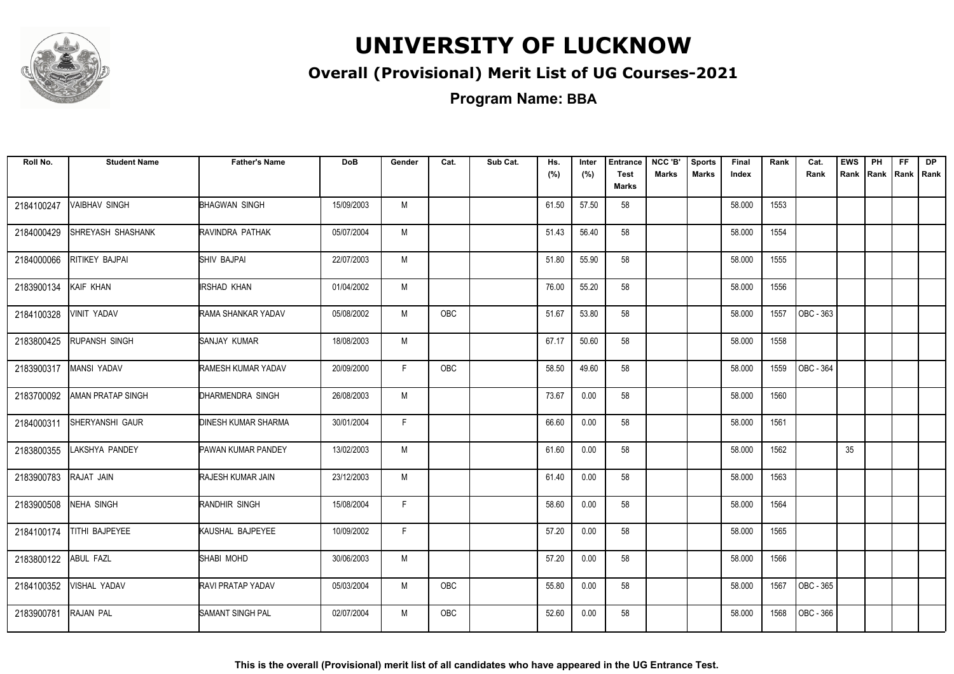

#### **Overall (Provisional) Merit List of UG Courses-2021**

**Program Name: BBA**

| Roll No.   | <b>Student Name</b>      | <b>Father's Name</b>       | <b>DoB</b> | Gender | Cat.       | Sub Cat. | Hs.<br>(%) | Inter<br>(%) | <b>Entrance</b><br><b>Test</b><br><b>Marks</b> | NCC 'B'<br><b>Marks</b> | <b>Sports</b><br><b>Marks</b> | Final<br>Index | Rank | Cat.<br>Rank | <b>EWS</b><br>Rank | PH<br>Rank | FF.<br>Rank   Rank | <b>DP</b> |
|------------|--------------------------|----------------------------|------------|--------|------------|----------|------------|--------------|------------------------------------------------|-------------------------|-------------------------------|----------------|------|--------------|--------------------|------------|--------------------|-----------|
| 2184100247 | <b>VAIBHAV SINGH</b>     | <b>BHAGWAN SINGH</b>       | 15/09/2003 | M      |            |          | 61.50      | 57.50        | 58                                             |                         |                               | 58.000         | 1553 |              |                    |            |                    |           |
| 2184000429 | SHREYASH SHASHANK        | RAVINDRA PATHAK            | 05/07/2004 | M      |            |          | 51.43      | 56.40        | 58                                             |                         |                               | 58.000         | 1554 |              |                    |            |                    |           |
| 2184000066 | RITIKEY BAJPAI           | SHIV BAJPAI                | 22/07/2003 | M      |            |          | 51.80      | 55.90        | 58                                             |                         |                               | 58.000         | 1555 |              |                    |            |                    |           |
| 2183900134 | KAIF KHAN                | <b>IRSHAD KHAN</b>         | 01/04/2002 | M      |            |          | 76.00      | 55.20        | 58                                             |                         |                               | 58.000         | 1556 |              |                    |            |                    |           |
| 2184100328 | VINIT YADAV              | RAMA SHANKAR YADAV         | 05/08/2002 | M      | OBC        |          | 51.67      | 53.80        | 58                                             |                         |                               | 58.000         | 1557 | OBC - 363    |                    |            |                    |           |
| 2183800425 | RUPANSH SINGH            | SANJAY KUMAR               | 18/08/2003 | M      |            |          | 67.17      | 50.60        | 58                                             |                         |                               | 58.000         | 1558 |              |                    |            |                    |           |
| 2183900317 | MANSI YADAV              | RAMESH KUMAR YADAV         | 20/09/2000 | F.     | OBC        |          | 58.50      | 49.60        | 58                                             |                         |                               | 58.000         | 1559 | OBC - 364    |                    |            |                    |           |
| 2183700092 | <b>AMAN PRATAP SINGH</b> | DHARMENDRA SINGH           | 26/08/2003 | M      |            |          | 73.67      | 0.00         | 58                                             |                         |                               | 58.000         | 1560 |              |                    |            |                    |           |
| 2184000311 | SHERYANSHI GAUR          | <b>DINESH KUMAR SHARMA</b> | 30/01/2004 | F.     |            |          | 66.60      | 0.00         | 58                                             |                         |                               | 58.000         | 1561 |              |                    |            |                    |           |
| 2183800355 | LAKSHYA PANDEY           | PAWAN KUMAR PANDEY         | 13/02/2003 | M      |            |          | 61.60      | 0.00         | 58                                             |                         |                               | 58.000         | 1562 |              | 35                 |            |                    |           |
| 2183900783 | RAJAT JAIN               | RAJESH KUMAR JAIN          | 23/12/2003 | M      |            |          | 61.40      | 0.00         | 58                                             |                         |                               | 58.000         | 1563 |              |                    |            |                    |           |
| 2183900508 | NEHA SINGH               | RANDHIR SINGH              | 15/08/2004 | F.     |            |          | 58.60      | 0.00         | 58                                             |                         |                               | 58.000         | 1564 |              |                    |            |                    |           |
| 2184100174 | TITHI BAJPEYEE           | KAUSHAL BAJPEYEE           | 10/09/2002 | F.     |            |          | 57.20      | 0.00         | 58                                             |                         |                               | 58.000         | 1565 |              |                    |            |                    |           |
| 2183800122 | <b>ABUL FAZL</b>         | SHABI MOHD                 | 30/06/2003 | M      |            |          | 57.20      | 0.00         | 58                                             |                         |                               | 58.000         | 1566 |              |                    |            |                    |           |
| 2184100352 | VISHAL YADAV             | RAVI PRATAP YADAV          | 05/03/2004 | M      | <b>OBC</b> |          | 55.80      | 0.00         | 58                                             |                         |                               | 58.000         | 1567 | OBC - 365    |                    |            |                    |           |
| 2183900781 | <b>RAJAN PAL</b>         | SAMANT SINGH PAL           | 02/07/2004 | M      | <b>OBC</b> |          | 52.60      | 0.00         | 58                                             |                         |                               | 58.000         | 1568 | OBC - 366    |                    |            |                    |           |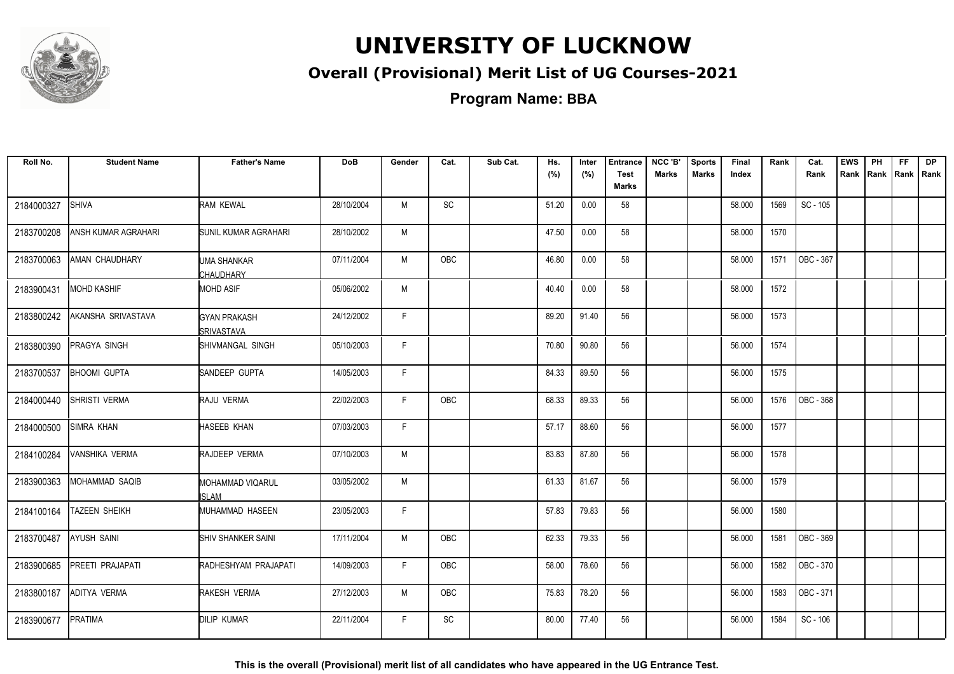

#### **Overall (Provisional) Merit List of UG Courses-2021**

**Program Name: BBA**

| Roll No.   | <b>Student Name</b>  | <b>Father's Name</b>                     | <b>DoB</b> | Gender | Cat.       | Sub Cat. | Hs.<br>(%) | Inter<br>(%) | <b>Entrance</b><br><b>Test</b> | NCC 'B'<br><b>Marks</b> | <b>Sports</b><br><b>Marks</b> | Final<br>Index | Rank | Cat.<br>Rank | <b>EWS</b><br>Rank | PH | FF.<br>Rank   Rank   Rank | <b>DP</b> |
|------------|----------------------|------------------------------------------|------------|--------|------------|----------|------------|--------------|--------------------------------|-------------------------|-------------------------------|----------------|------|--------------|--------------------|----|---------------------------|-----------|
|            |                      |                                          |            |        |            |          |            |              | Marks                          |                         |                               |                |      |              |                    |    |                           |           |
| 2184000327 | <b>SHIVA</b>         | RAM KEWAL                                | 28/10/2004 | M      | SC         |          | 51.20      | 0.00         | 58                             |                         |                               | 58.000         | 1569 | SC - 105     |                    |    |                           |           |
| 2183700208 | ANSH KUMAR AGRAHARI  | SUNIL KUMAR AGRAHARI                     | 28/10/2002 | М      |            |          | 47.50      | 0.00         | 58                             |                         |                               | 58.000         | 1570 |              |                    |    |                           |           |
| 2183700063 | AMAN CHAUDHARY       | UMA SHANKAR<br><b>CHAUDHARY</b>          | 07/11/2004 | M      | <b>OBC</b> |          | 46.80      | 0.00         | 58                             |                         |                               | 58.000         | 1571 | OBC - 367    |                    |    |                           |           |
| 2183900431 | <b>MOHD KASHIF</b>   | <b>MOHD ASIF</b>                         | 05/06/2002 | M      |            |          | 40.40      | 0.00         | 58                             |                         |                               | 58.000         | 1572 |              |                    |    |                           |           |
| 2183800242 | AKANSHA SRIVASTAVA   | <b>GYAN PRAKASH</b><br><b>SRIVASTAVA</b> | 24/12/2002 | F.     |            |          | 89.20      | 91.40        | 56                             |                         |                               | 56.000         | 1573 |              |                    |    |                           |           |
| 2183800390 | <b>PRAGYA SINGH</b>  | SHIVMANGAL SINGH                         | 05/10/2003 | F      |            |          | 70.80      | 90.80        | 56                             |                         |                               | 56.000         | 1574 |              |                    |    |                           |           |
| 2183700537 | <b>BHOOMI GUPTA</b>  | SANDEEP GUPTA                            | 14/05/2003 | F.     |            |          | 84.33      | 89.50        | 56                             |                         |                               | 56.000         | 1575 |              |                    |    |                           |           |
| 2184000440 | <b>SHRISTI VERMA</b> | RAJU VERMA                               | 22/02/2003 | F.     | OBC        |          | 68.33      | 89.33        | 56                             |                         |                               | 56.000         | 1576 | OBC - 368    |                    |    |                           |           |
| 2184000500 | SIMRA KHAN           | HASEEB KHAN                              | 07/03/2003 | F      |            |          | 57.17      | 88.60        | 56                             |                         |                               | 56.000         | 1577 |              |                    |    |                           |           |
| 2184100284 | VANSHIKA VERMA       | RAJDEEP VERMA                            | 07/10/2003 | M      |            |          | 83.83      | 87.80        | 56                             |                         |                               | 56.000         | 1578 |              |                    |    |                           |           |
| 2183900363 | MOHAMMAD SAQIB       | MOHAMMAD VIQARUL<br>ISLAM                | 03/05/2002 | M      |            |          | 61.33      | 81.67        | 56                             |                         |                               | 56.000         | 1579 |              |                    |    |                           |           |
| 2184100164 | <b>TAZEEN SHEIKH</b> | MUHAMMAD HASEEN                          | 23/05/2003 | F      |            |          | 57.83      | 79.83        | 56                             |                         |                               | 56.000         | 1580 |              |                    |    |                           |           |
| 2183700487 | AYUSH SAINI          | <b>SHIV SHANKER SAINI</b>                | 17/11/2004 | M      | OBC        |          | 62.33      | 79.33        | 56                             |                         |                               | 56.000         | 1581 | OBC - 369    |                    |    |                           |           |
| 2183900685 | PREETI PRAJAPATI     | RADHESHYAM PRAJAPATI                     | 14/09/2003 | F      | OBC        |          | 58.00      | 78.60        | 56                             |                         |                               | 56.000         | 1582 | OBC - 370    |                    |    |                           |           |
| 2183800187 | ADITYA VERMA         | RAKESH VERMA                             | 27/12/2003 | M      | OBC        |          | 75.83      | 78.20        | 56                             |                         |                               | 56.000         | 1583 | OBC - 371    |                    |    |                           |           |
| 2183900677 | PRATIMA              | <b>DILIP KUMAR</b>                       | 22/11/2004 | F      | SC         |          | 80.00      | 77.40        | 56                             |                         |                               | 56.000         | 1584 | SC - 106     |                    |    |                           |           |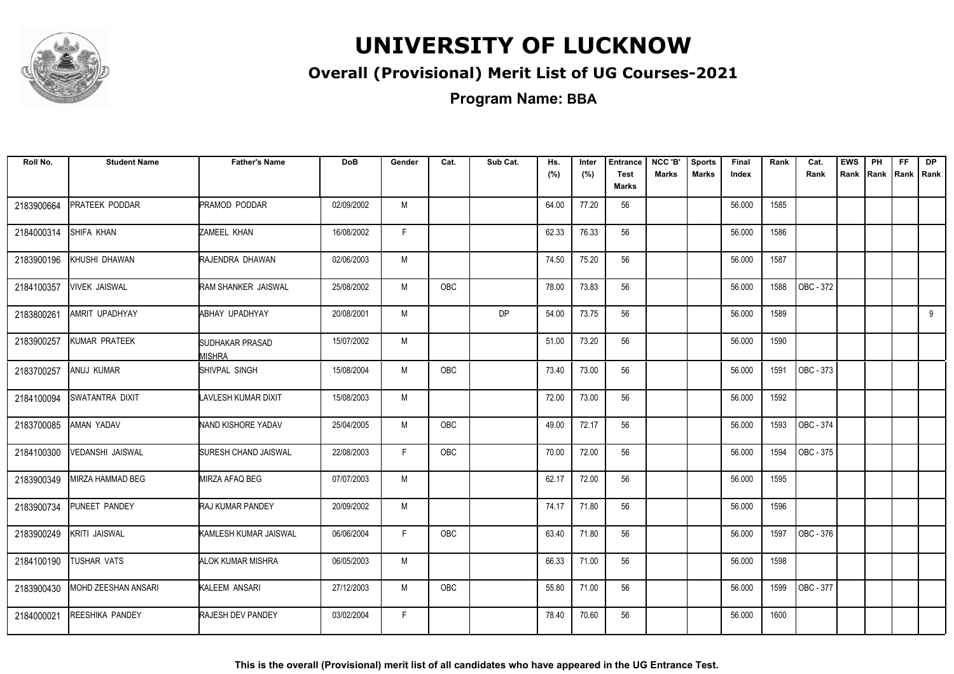

#### **Overall (Provisional) Merit List of UG Courses-2021**

**Program Name: BBA**

| Roll No.   | <b>Student Name</b>        | <b>Father's Name</b>                    | <b>DoB</b> | Gender | Cat.       | Sub Cat. | Hs.<br>(%) | Inter<br>(%) | <b>Entrance</b><br><b>Test</b><br><b>Marks</b> | NCC 'B'<br><b>Marks</b> | <b>Sports</b><br><b>Marks</b> | Final<br>Index | Rank | Cat.<br>Rank | <b>EWS</b><br>Rank | PH<br>Rank | FF.<br>Rank   Rank | <b>DP</b> |
|------------|----------------------------|-----------------------------------------|------------|--------|------------|----------|------------|--------------|------------------------------------------------|-------------------------|-------------------------------|----------------|------|--------------|--------------------|------------|--------------------|-----------|
| 2183900664 | PRATEEK PODDAR             | PRAMOD PODDAR                           | 02/09/2002 | M      |            |          | 64.00      | 77.20        | 56                                             |                         |                               | 56.000         | 1585 |              |                    |            |                    |           |
| 2184000314 | <b>SHIFA KHAN</b>          | ZAMEEL KHAN                             | 16/08/2002 | F.     |            |          | 62.33      | 76.33        | 56                                             |                         |                               | 56.000         | 1586 |              |                    |            |                    |           |
| 2183900196 | KHUSHI DHAWAN              | RAJENDRA DHAWAN                         | 02/06/2003 | M      |            |          | 74.50      | 75.20        | 56                                             |                         |                               | 56.000         | 1587 |              |                    |            |                    |           |
| 2184100357 | <b>VIVEK JAISWAL</b>       | <b>RAM SHANKER JAISWAL</b>              | 25/08/2002 | M      | OBC        |          | 78.00      | 73.83        | 56                                             |                         |                               | 56.000         | 1588 | OBC - 372    |                    |            |                    |           |
| 2183800261 | AMRIT UPADHYAY             | ABHAY UPADHYAY                          | 20/08/2001 | M      |            | DP       | 54.00      | 73.75        | 56                                             |                         |                               | 56.000         | 1589 |              |                    |            |                    | 9         |
| 2183900257 | KUMAR PRATEEK              | <b>SUDHAKAR PRASAD</b><br><b>MISHRA</b> | 15/07/2002 | M      |            |          | 51.00      | 73.20        | 56                                             |                         |                               | 56.000         | 1590 |              |                    |            |                    |           |
| 2183700257 | ANUJ KUMAR                 | SHIVPAL SINGH                           | 15/08/2004 | M      | <b>OBC</b> |          | 73.40      | 73.00        | 56                                             |                         |                               | 56.000         | 1591 | OBC - 373    |                    |            |                    |           |
| 2184100094 | SWATANTRA DIXIT            | LAVLESH KUMAR DIXIT                     | 15/08/2003 | M      |            |          | 72.00      | 73.00        | 56                                             |                         |                               | 56.000         | 1592 |              |                    |            |                    |           |
| 2183700085 | AMAN YADAV                 | NAND KISHORE YADAV                      | 25/04/2005 | M      | OBC        |          | 49.00      | 72.17        | 56                                             |                         |                               | 56.000         | 1593 | OBC - 374    |                    |            |                    |           |
| 2184100300 | VEDANSHI JAISWAL           | SURESH CHAND JAISWAL                    | 22/08/2003 | F      | OBC        |          | 70.00      | 72.00        | 56                                             |                         |                               | 56.000         | 1594 | OBC - 375    |                    |            |                    |           |
| 2183900349 | MIRZA HAMMAD BEG           | <b>MIRZA AFAQ BEG</b>                   | 07/07/2003 | M      |            |          | 62.17      | 72.00        | 56                                             |                         |                               | 56.000         | 1595 |              |                    |            |                    |           |
| 2183900734 | PUNEET PANDEY              | <b>RAJ KUMAR PANDEY</b>                 | 20/09/2002 | M      |            |          | 74.17      | 71.80        | 56                                             |                         |                               | 56.000         | 1596 |              |                    |            |                    |           |
| 2183900249 | KRITI JAISWAL              | KAMLESH KUMAR JAISWAL                   | 06/06/2004 | F.     | OBC        |          | 63.40      | 71.80        | 56                                             |                         |                               | 56.000         | 1597 | OBC - 376    |                    |            |                    |           |
| 2184100190 | <b>TUSHAR VATS</b>         | <b>ALOK KUMAR MISHRA</b>                | 06/05/2003 | M      |            |          | 66.33      | 71.00        | 56                                             |                         |                               | 56.000         | 1598 |              |                    |            |                    |           |
| 2183900430 | <b>MOHD ZEESHAN ANSARI</b> | KALEEM ANSARI                           | 27/12/2003 | M      | OBC        |          | 55.80      | 71.00        | 56                                             |                         |                               | 56.000         | 1599 | OBC - 377    |                    |            |                    |           |
| 2184000021 | <b>REESHIKA PANDEY</b>     | <b>RAJESH DEV PANDEY</b>                | 03/02/2004 | F.     |            |          | 78.40      | 70.60        | 56                                             |                         |                               | 56.000         | 1600 |              |                    |            |                    |           |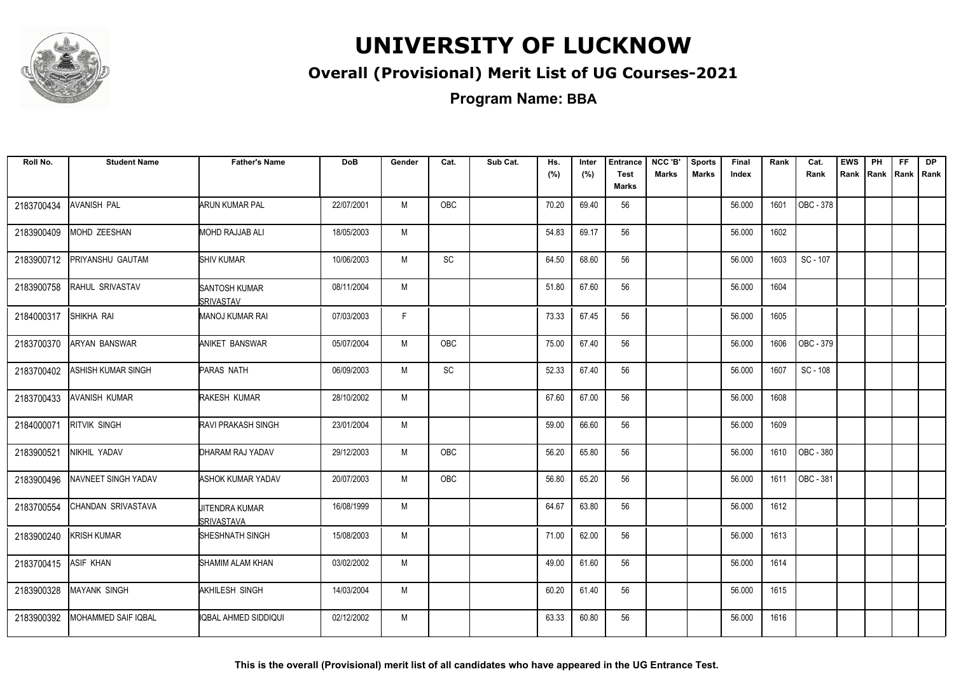

#### **Overall (Provisional) Merit List of UG Courses-2021**

**Program Name: BBA**

| Roll No.   | <b>Student Name</b>  | <b>Father's Name</b>                     | <b>DoB</b> | Gender | Cat.       | Sub Cat. | Hs.<br>(%) | Inter<br>(%) | <b>Entrance</b><br><b>Test</b> | NCC 'B'<br><b>Marks</b> | <b>Sports</b><br><b>Marks</b> | Final<br>Index | Rank | Cat.<br>Rank | <b>EWS</b><br>Rank | PH<br>Rank Rank | FF. | <b>DP</b><br>Rank |
|------------|----------------------|------------------------------------------|------------|--------|------------|----------|------------|--------------|--------------------------------|-------------------------|-------------------------------|----------------|------|--------------|--------------------|-----------------|-----|-------------------|
|            |                      |                                          |            |        |            |          |            |              | <b>Marks</b>                   |                         |                               |                |      |              |                    |                 |     |                   |
| 2183700434 | AVANISH PAL          | <b>ARUN KUMAR PAL</b>                    | 22/07/2001 | M      | OBC        |          | 70.20      | 69.40        | 56                             |                         |                               | 56.000         | 1601 | OBC - 378    |                    |                 |     |                   |
| 2183900409 | MOHD ZEESHAN         | MOHD RAJJAB ALI                          | 18/05/2003 | M      |            |          | 54.83      | 69.17        | 56                             |                         |                               | 56.000         | 1602 |              |                    |                 |     |                   |
| 2183900712 | PRIYANSHU GAUTAM     | <b>SHIV KUMAR</b>                        | 10/06/2003 | M      | SC         |          | 64.50      | 68.60        | 56                             |                         |                               | 56.000         | 1603 | SC - 107     |                    |                 |     |                   |
| 2183900758 | RAHUL SRIVASTAV      | <b>SANTOSH KUMAR</b><br><b>SRIVASTAV</b> | 08/11/2004 | M      |            |          | 51.80      | 67.60        | 56                             |                         |                               | 56.000         | 1604 |              |                    |                 |     |                   |
| 2184000317 | SHIKHA RAI           | <b>MANOJ KUMAR RAI</b>                   | 07/03/2003 | F      |            |          | 73.33      | 67.45        | 56                             |                         |                               | 56.000         | 1605 |              |                    |                 |     |                   |
| 2183700370 | <b>ARYAN BANSWAR</b> | <b>ANIKET BANSWAR</b>                    | 05/07/2004 | M      | <b>OBC</b> |          | 75.00      | 67.40        | 56                             |                         |                               | 56.000         | 1606 | OBC - 379    |                    |                 |     |                   |
| 2183700402 | ASHISH KUMAR SINGH   | <b>PARAS NATH</b>                        | 06/09/2003 | M      | SC         |          | 52.33      | 67.40        | 56                             |                         |                               | 56.000         | 1607 | SC - 108     |                    |                 |     |                   |
| 2183700433 | AVANISH KUMAR        | RAKESH KUMAR                             | 28/10/2002 | M      |            |          | 67.60      | 67.00        | 56                             |                         |                               | 56.000         | 1608 |              |                    |                 |     |                   |
| 2184000071 | <b>RITVIK SINGH</b>  | <b>RAVI PRAKASH SINGH</b>                | 23/01/2004 | M      |            |          | 59.00      | 66.60        | 56                             |                         |                               | 56.000         | 1609 |              |                    |                 |     |                   |
| 2183900521 | NIKHIL YADAV         | DHARAM RAJ YADAV                         | 29/12/2003 | M      | <b>OBC</b> |          | 56.20      | 65.80        | 56                             |                         |                               | 56.000         | 1610 | OBC - 380    |                    |                 |     |                   |
| 2183900496 | NAVNEET SINGH YADAV  | <b>ASHOK KUMAR YADAV</b>                 | 20/07/2003 | M      | <b>OBC</b> |          | 56.80      | 65.20        | 56                             |                         |                               | 56.000         | 1611 | OBC - 381    |                    |                 |     |                   |
| 2183700554 | CHANDAN SRIVASTAVA   | <b>JITENDRA KUMAR</b><br>SRIVASTAVA      | 16/08/1999 | M      |            |          | 64.67      | 63.80        | 56                             |                         |                               | 56.000         | 1612 |              |                    |                 |     |                   |
| 2183900240 | KRISH KUMAR          | SHESHNATH SINGH                          | 15/08/2003 | M      |            |          | 71.00      | 62.00        | 56                             |                         |                               | 56.000         | 1613 |              |                    |                 |     |                   |
| 2183700415 | <b>ASIF KHAN</b>     | SHAMIM ALAM KHAN                         | 03/02/2002 | M      |            |          | 49.00      | 61.60        | 56                             |                         |                               | 56.000         | 1614 |              |                    |                 |     |                   |
| 2183900328 | <b>MAYANK SINGH</b>  | AKHILESH SINGH                           | 14/03/2004 | M      |            |          | 60.20      | 61.40        | 56                             |                         |                               | 56.000         | 1615 |              |                    |                 |     |                   |
| 2183900392 | MOHAMMED SAIF IQBAL  | IQBAL AHMED SIDDIQUI                     | 02/12/2002 | M      |            |          | 63.33      | 60.80        | 56                             |                         |                               | 56.000         | 1616 |              |                    |                 |     |                   |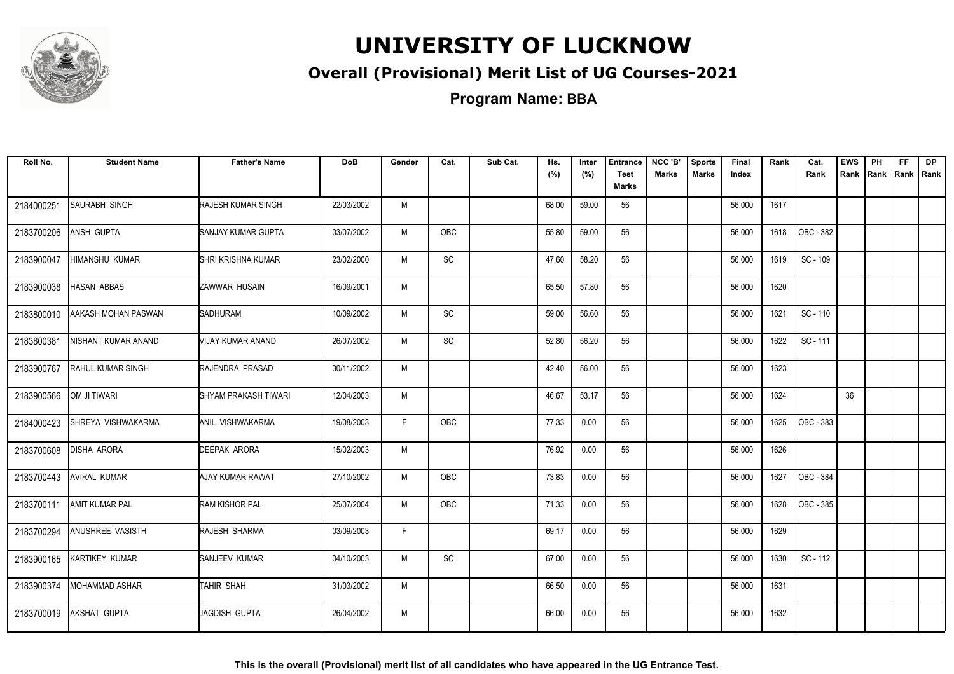

#### **Overall (Provisional) Merit List of UG Courses-2021**

**Program Name: BBA**

| Roll No.   | <b>Student Name</b>      | <b>Father's Name</b>      | <b>DoB</b> | Gender | Cat.          | Sub Cat. | Hs.<br>(%) | Inter<br>(%) | <b>Entrance</b><br><b>Test</b><br><b>Marks</b> | NCC 'B'<br><b>Marks</b> | <b>Sports</b><br><b>Marks</b> | Final<br>Index | Rank | Cat.<br>Rank | <b>EWS</b> | PH<br>Rank Rank | FF.<br> Rank   Rank | <b>DP</b> |
|------------|--------------------------|---------------------------|------------|--------|---------------|----------|------------|--------------|------------------------------------------------|-------------------------|-------------------------------|----------------|------|--------------|------------|-----------------|---------------------|-----------|
| 2184000251 | <b>SAURABH SINGH</b>     | <b>RAJESH KUMAR SINGH</b> | 22/03/2002 | M      |               |          | 68.00      | 59.00        | 56                                             |                         |                               | 56.000         | 1617 |              |            |                 |                     |           |
| 2183700206 | ANSH GUPTA               | SANJAY KUMAR GUPTA        | 03/07/2002 | M      | <b>OBC</b>    |          | 55.80      | 59.00        | 56                                             |                         |                               | 56.000         | 1618 | OBC - 382    |            |                 |                     |           |
| 2183900047 | HIMANSHU KUMAR           | <b>SHRI KRISHNA KUMAR</b> | 23/02/2000 | M      | $\mathsf{SC}$ |          | 47.60      | 58.20        | 56                                             |                         |                               | 56.000         | 1619 | SC - 109     |            |                 |                     |           |
| 2183900038 | <b>HASAN ABBAS</b>       | ZAWWAR HUSAIN             | 16/09/2001 | M      |               |          | 65.50      | 57.80        | 56                                             |                         |                               | 56.000         | 1620 |              |            |                 |                     |           |
| 2183800010 | AAKASH MOHAN PASWAN      | <b>SADHURAM</b>           | 10/09/2002 | M      | SC            |          | 59.00      | 56.60        | 56                                             |                         |                               | 56.000         | 1621 | SC - 110     |            |                 |                     |           |
| 2183800381 | NISHANT KUMAR ANAND      | VIJAY KUMAR ANAND         | 26/07/2002 | M      | SC            |          | 52.80      | 56.20        | 56                                             |                         |                               | 56.000         | 1622 | SC-111       |            |                 |                     |           |
| 2183900767 | <b>RAHUL KUMAR SINGH</b> | RAJENDRA PRASAD           | 30/11/2002 | M      |               |          | 42.40      | 56.00        | 56                                             |                         |                               | 56.000         | 1623 |              |            |                 |                     |           |
| 2183900566 | OM JI TIWARI             | SHYAM PRAKASH TIWARI      | 12/04/2003 | M      |               |          | 46.67      | 53.17        | 56                                             |                         |                               | 56.000         | 1624 |              | 36         |                 |                     |           |
| 2184000423 | SHREYA VISHWAKARMA       | ANIL VISHWAKARMA          | 19/08/2003 | F.     | OBC           |          | 77.33      | 0.00         | 56                                             |                         |                               | 56.000         | 1625 | OBC - 383    |            |                 |                     |           |
| 2183700608 | <b>DISHA ARORA</b>       | DEEPAK ARORA              | 15/02/2003 | M      |               |          | 76.92      | 0.00         | 56                                             |                         |                               | 56.000         | 1626 |              |            |                 |                     |           |
| 2183700443 | <b>AVIRAL KUMAR</b>      | AJAY KUMAR RAWAT          | 27/10/2002 | M      | OBC           |          | 73.83      | 0.00         | 56                                             |                         |                               | 56.000         | 1627 | OBC - 384    |            |                 |                     |           |
| 2183700111 | <b>AMIT KUMAR PAL</b>    | <b>RAM KISHOR PAL</b>     | 25/07/2004 | M      | OBC           |          | 71.33      | 0.00         | 56                                             |                         |                               | 56.000         | 1628 | OBC - 385    |            |                 |                     |           |
| 2183700294 | ANUSHREE VASISTH         | RAJESH SHARMA             | 03/09/2003 | F.     |               |          | 69.17      | 0.00         | 56                                             |                         |                               | 56.000         | 1629 |              |            |                 |                     |           |
| 2183900165 | KARTIKEY KUMAR           | SANJEEV KUMAR             | 04/10/2003 | M      | SC            |          | 67.00      | 0.00         | 56                                             |                         |                               | 56.000         | 1630 | SC - 112     |            |                 |                     |           |
| 2183900374 | MOHAMMAD ASHAR           | TAHIR SHAH                | 31/03/2002 | M      |               |          | 66.50      | 0.00         | 56                                             |                         |                               | 56.000         | 1631 |              |            |                 |                     |           |
| 2183700019 | AKSHAT GUPTA             | JAGDISH GUPTA             | 26/04/2002 | M      |               |          | 66.00      | 0.00         | 56                                             |                         |                               | 56.000         | 1632 |              |            |                 |                     |           |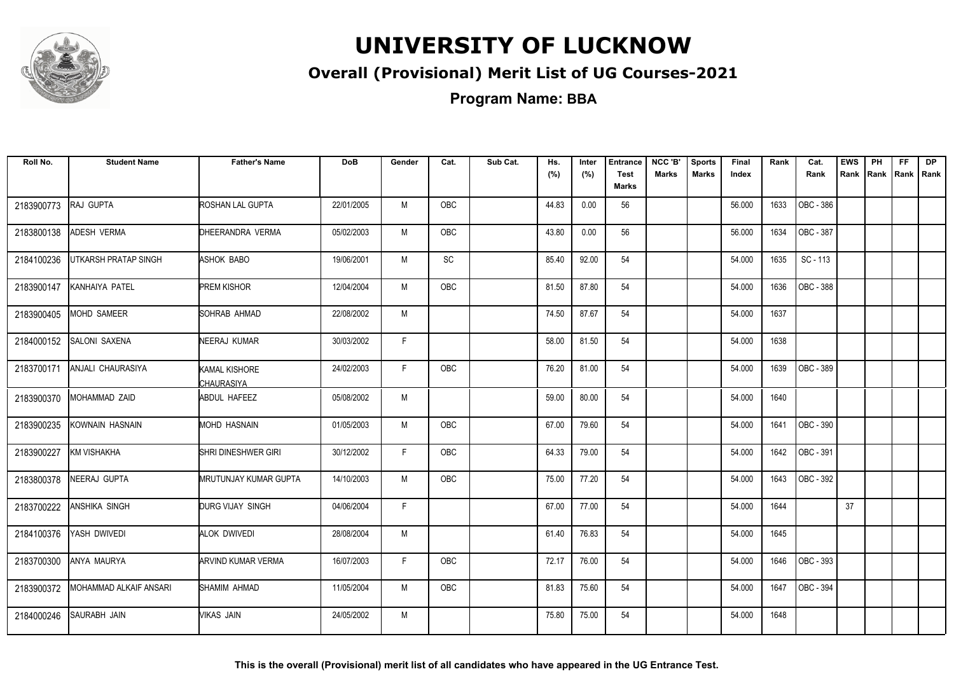

#### **Overall (Provisional) Merit List of UG Courses-2021**

**Program Name: BBA**

| Roll No.   | <b>Student Name</b>    | <b>Father's Name</b>        | <b>DoB</b> | Gender | Cat.       | Sub Cat. | Hs.<br>(%) | Inter<br>(%) | <b>Entrance</b><br><b>Test</b><br>Marks | NCC 'B'<br>Marks | <b>Sports</b><br><b>Marks</b> | Final<br>Index | Rank | Cat.<br>Rank | <b>EWS</b><br>Rank | PH | <b>FF</b><br>Rank Rank Rank | DP |
|------------|------------------------|-----------------------------|------------|--------|------------|----------|------------|--------------|-----------------------------------------|------------------|-------------------------------|----------------|------|--------------|--------------------|----|-----------------------------|----|
| 2183900773 | RAJ GUPTA              | ROSHAN LAL GUPTA            | 22/01/2005 | M      | OBC        |          | 44.83      | 0.00         | 56                                      |                  |                               | 56.000         | 1633 | OBC - 386    |                    |    |                             |    |
| 2183800138 | ADESH VERMA            | DHEERANDRA VERMA            | 05/02/2003 | M      | OBC        |          | 43.80      | 0.00         | 56                                      |                  |                               | 56.000         | 1634 | OBC - 387    |                    |    |                             |    |
| 2184100236 | UTKARSH PRATAP SINGH   | ASHOK BABO                  | 19/06/2001 | M      | <b>SC</b>  |          | 85.40      | 92.00        | 54                                      |                  |                               | 54.000         | 1635 | SC - 113     |                    |    |                             |    |
| 2183900147 | KANHAIYA PATEL         | <b>PREM KISHOR</b>          | 12/04/2004 | M      | OBC        |          | 81.50      | 87.80        | 54                                      |                  |                               | 54.000         | 1636 | OBC - 388    |                    |    |                             |    |
| 2183900405 | MOHD SAMEER            | SOHRAB AHMAD                | 22/08/2002 | M      |            |          | 74.50      | 87.67        | 54                                      |                  |                               | 54.000         | 1637 |              |                    |    |                             |    |
| 2184000152 | SALONI SAXENA          | NEERAJ KUMAR                | 30/03/2002 | F      |            |          | 58.00      | 81.50        | 54                                      |                  |                               | 54.000         | 1638 |              |                    |    |                             |    |
| 2183700171 | ANJALI CHAURASIYA      | KAMAL KISHORE<br>CHAURASIYA | 24/02/2003 | F      | OBC        |          | 76.20      | 81.00        | 54                                      |                  |                               | 54.000         | 1639 | OBC - 389    |                    |    |                             |    |
| 2183900370 | MOHAMMAD ZAID          | <b>ABDUL HAFEEZ</b>         | 05/08/2002 | M      |            |          | 59.00      | 80.00        | 54                                      |                  |                               | 54.000         | 1640 |              |                    |    |                             |    |
| 2183900235 | KOWNAIN HASNAIN        | MOHD HASNAIN                | 01/05/2003 | M      | OBC        |          | 67.00      | 79.60        | 54                                      |                  |                               | 54.000         | 1641 | OBC - 390    |                    |    |                             |    |
| 2183900227 | KM VISHAKHA            | SHRI DINESHWER GIRI         | 30/12/2002 | F.     | OBC        |          | 64.33      | 79.00        | 54                                      |                  |                               | 54.000         | 1642 | OBC - 391    |                    |    |                             |    |
| 2183800378 | NEERAJ GUPTA           | MRUTUNJAY KUMAR GUPTA       | 14/10/2003 | M      | <b>OBC</b> |          | 75.00      | 77.20        | 54                                      |                  |                               | 54.000         | 1643 | OBC - 392    |                    |    |                             |    |
| 2183700222 | <b>ANSHIKA SINGH</b>   | DURG VIJAY SINGH            | 04/06/2004 | F.     |            |          | 67.00      | 77.00        | 54                                      |                  |                               | 54.000         | 1644 |              | 37                 |    |                             |    |
| 2184100376 | YASH DWIVEDI           | <b>ALOK DWIVEDI</b>         | 28/08/2004 | M      |            |          | 61.40      | 76.83        | 54                                      |                  |                               | 54.000         | 1645 |              |                    |    |                             |    |
| 2183700300 | ANYA MAURYA            | <b>ARVIND KUMAR VERMA</b>   | 16/07/2003 | F      | OBC        |          | 72.17      | 76.00        | 54                                      |                  |                               | 54.000         | 1646 | OBC - 393    |                    |    |                             |    |
| 2183900372 | MOHAMMAD ALKAIF ANSARI | SHAMIM AHMAD                | 11/05/2004 | M      | OBC        |          | 81.83      | 75.60        | 54                                      |                  |                               | 54.000         | 1647 | OBC - 394    |                    |    |                             |    |
| 2184000246 | SAURABH JAIN           | Mikas jain                  | 24/05/2002 | M      |            |          | 75.80      | 75.00        | 54                                      |                  |                               | 54.000         | 1648 |              |                    |    |                             |    |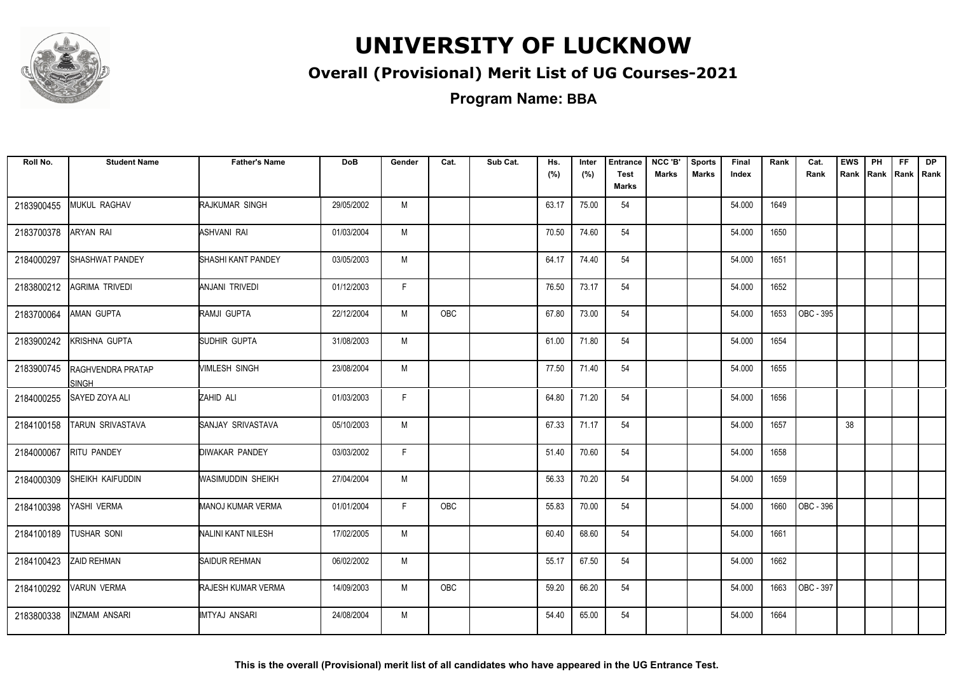

#### **Overall (Provisional) Merit List of UG Courses-2021**

**Program Name: BBA**

| Roll No.   | <b>Student Name</b>                      | <b>Father's Name</b>      | <b>DoB</b> | Gender | Cat.       | Sub Cat. | Hs.<br>(%) | Inter<br>(%) | <b>Entrance</b><br><b>Test</b><br><b>Marks</b> | NCC 'B'<br><b>Marks</b> | <b>Sports</b><br><b>Marks</b> | Final<br>Index | Rank | Cat.<br>Rank | <b>EWS</b> | PH<br>Rank Rank | FF.<br>Rank   Rank | <b>DP</b> |
|------------|------------------------------------------|---------------------------|------------|--------|------------|----------|------------|--------------|------------------------------------------------|-------------------------|-------------------------------|----------------|------|--------------|------------|-----------------|--------------------|-----------|
| 2183900455 | MUKUL RAGHAV                             | RAJKUMAR SINGH            | 29/05/2002 | M      |            |          | 63.17      | 75.00        | 54                                             |                         |                               | 54.000         | 1649 |              |            |                 |                    |           |
| 2183700378 | ARYAN RAI                                | ASHVANI RAI               | 01/03/2004 | M      |            |          | 70.50      | 74.60        | 54                                             |                         |                               | 54.000         | 1650 |              |            |                 |                    |           |
| 2184000297 | SHASHWAT PANDEY                          | <b>SHASHI KANT PANDEY</b> | 03/05/2003 | M      |            |          | 64.17      | 74.40        | 54                                             |                         |                               | 54.000         | 1651 |              |            |                 |                    |           |
| 2183800212 | AGRIMA TRIVEDI                           | ANJANI TRIVEDI            | 01/12/2003 | F.     |            |          | 76.50      | 73.17        | 54                                             |                         |                               | 54.000         | 1652 |              |            |                 |                    |           |
| 2183700064 | AMAN GUPTA                               | RAMJI GUPTA               | 22/12/2004 | M      | OBC        |          | 67.80      | 73.00        | 54                                             |                         |                               | 54.000         | 1653 | OBC - 395    |            |                 |                    |           |
| 2183900242 | KRISHNA GUPTA                            | SUDHIR GUPTA              | 31/08/2003 | M      |            |          | 61.00      | 71.80        | 54                                             |                         |                               | 54.000         | 1654 |              |            |                 |                    |           |
| 2183900745 | <b>RAGHVENDRA PRATAP</b><br><b>SINGH</b> | VIMLESH SINGH             | 23/08/2004 | M      |            |          | 77.50      | 71.40        | 54                                             |                         |                               | 54.000         | 1655 |              |            |                 |                    |           |
| 2184000255 | SAYED ZOYA ALI                           | ZAHID ALI                 | 01/03/2003 | F      |            |          | 64.80      | 71.20        | 54                                             |                         |                               | 54.000         | 1656 |              |            |                 |                    |           |
| 2184100158 | TARUN SRIVASTAVA                         | SANJAY SRIVASTAVA         | 05/10/2003 | M      |            |          | 67.33      | 71.17        | 54                                             |                         |                               | 54.000         | 1657 |              | 38         |                 |                    |           |
| 2184000067 | RITU PANDEY                              | <b>DIWAKAR PANDEY</b>     | 03/03/2002 | F.     |            |          | 51.40      | 70.60        | 54                                             |                         |                               | 54.000         | 1658 |              |            |                 |                    |           |
| 2184000309 | SHEIKH KAIFUDDIN                         | WASIMUDDIN SHEIKH         | 27/04/2004 | M      |            |          | 56.33      | 70.20        | 54                                             |                         |                               | 54.000         | 1659 |              |            |                 |                    |           |
| 2184100398 | YASHI VERMA                              | <b>MANOJ KUMAR VERMA</b>  | 01/01/2004 | F.     | <b>OBC</b> |          | 55.83      | 70.00        | 54                                             |                         |                               | 54.000         | 1660 | OBC - 396    |            |                 |                    |           |
| 2184100189 | <b>TUSHAR SONI</b>                       | NALINI KANT NILESH        | 17/02/2005 | M      |            |          | 60.40      | 68.60        | 54                                             |                         |                               | 54.000         | 1661 |              |            |                 |                    |           |
| 2184100423 | <b>ZAID REHMAN</b>                       | SAIDUR REHMAN             | 06/02/2002 | M      |            |          | 55.17      | 67.50        | 54                                             |                         |                               | 54.000         | 1662 |              |            |                 |                    |           |
| 2184100292 | <b>VARUN VERMA</b>                       | RAJESH KUMAR VERMA        | 14/09/2003 | M      | OBC        |          | 59.20      | 66.20        | 54                                             |                         |                               | 54.000         | 1663 | OBC - 397    |            |                 |                    |           |
| 2183800338 | INZMAM ANSARI                            | IMTYAJ ANSARI             | 24/08/2004 | M      |            |          | 54.40      | 65.00        | 54                                             |                         |                               | 54.000         | 1664 |              |            |                 |                    |           |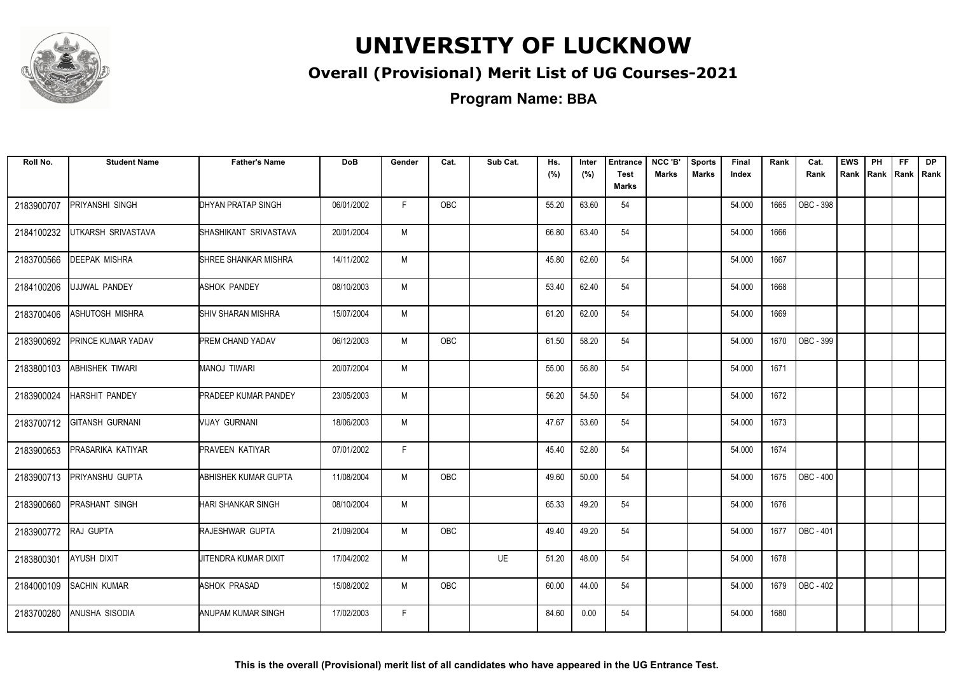

#### **Overall (Provisional) Merit List of UG Courses-2021**

**Program Name: BBA**

| Roll No.   | <b>Student Name</b>    | <b>Father's Name</b>        | <b>DoB</b> | Gender | Cat.       | Sub Cat.  | Hs.<br>(%) | Inter<br>(%) | <b>Entrance</b><br><b>Test</b><br><b>Marks</b> | NCC 'B'<br><b>Marks</b> | <b>Sports</b><br><b>Marks</b> | Final<br>Index | Rank | Cat.<br>Rank | <b>EWS</b><br>Rank | PH<br>Rank | FF.<br>Rank   Rank | <b>DP</b> |
|------------|------------------------|-----------------------------|------------|--------|------------|-----------|------------|--------------|------------------------------------------------|-------------------------|-------------------------------|----------------|------|--------------|--------------------|------------|--------------------|-----------|
| 2183900707 | PRIYANSHI SINGH        | <b>DHYAN PRATAP SINGH</b>   | 06/01/2002 | F      | <b>OBC</b> |           | 55.20      | 63.60        | 54                                             |                         |                               | 54.000         | 1665 | OBC - 398    |                    |            |                    |           |
| 2184100232 | UTKARSH SRIVASTAVA     | SHASHIKANT SRIVASTAVA       | 20/01/2004 | M      |            |           | 66.80      | 63.40        | 54                                             |                         |                               | 54.000         | 1666 |              |                    |            |                    |           |
| 2183700566 | <b>DEEPAK MISHRA</b>   | SHREE SHANKAR MISHRA        | 14/11/2002 | M      |            |           | 45.80      | 62.60        | 54                                             |                         |                               | 54.000         | 1667 |              |                    |            |                    |           |
| 2184100206 | UJJWAL PANDEY          | <b>ASHOK PANDEY</b>         | 08/10/2003 | M      |            |           | 53.40      | 62.40        | 54                                             |                         |                               | 54.000         | 1668 |              |                    |            |                    |           |
| 2183700406 | ASHUTOSH MISHRA        | <b>I</b> SHIV SHARAN MISHRA | 15/07/2004 | M      |            |           | 61.20      | 62.00        | 54                                             |                         |                               | 54.000         | 1669 |              |                    |            |                    |           |
| 2183900692 | PRINCE KUMAR YADAV     | <b>PREM CHAND YADAV</b>     | 06/12/2003 | M      | OBC        |           | 61.50      | 58.20        | 54                                             |                         |                               | 54.000         | 1670 | OBC - 399    |                    |            |                    |           |
| 2183800103 | ABHISHEK TIWARI        | MANOJ TIWARI                | 20/07/2004 | M      |            |           | 55.00      | 56.80        | 54                                             |                         |                               | 54.000         | 1671 |              |                    |            |                    |           |
| 2183900024 | HARSHIT PANDEY         | <b>PRADEEP KUMAR PANDEY</b> | 23/05/2003 | M      |            |           | 56.20      | 54.50        | 54                                             |                         |                               | 54.000         | 1672 |              |                    |            |                    |           |
| 2183700712 | <b>GITANSH GURNANI</b> | VIJAY GURNANI               | 18/06/2003 | M      |            |           | 47.67      | 53.60        | 54                                             |                         |                               | 54.000         | 1673 |              |                    |            |                    |           |
| 2183900653 | PRASARIKA KATIYAR      | <b>PRAVEEN KATIYAR</b>      | 07/01/2002 | F.     |            |           | 45.40      | 52.80        | 54                                             |                         |                               | 54.000         | 1674 |              |                    |            |                    |           |
| 2183900713 | PRIYANSHU GUPTA        | <b>ABHISHEK KUMAR GUPTA</b> | 11/08/2004 | M      | <b>OBC</b> |           | 49.60      | 50.00        | 54                                             |                         |                               | 54.000         | 1675 | OBC-400      |                    |            |                    |           |
| 2183900660 | PRASHANT SINGH         | HARI SHANKAR SINGH          | 08/10/2004 | M      |            |           | 65.33      | 49.20        | 54                                             |                         |                               | 54.000         | 1676 |              |                    |            |                    |           |
| 2183900772 | RAJ GUPTA              | <b>RAJESHWAR GUPTA</b>      | 21/09/2004 | M      | <b>OBC</b> |           | 49.40      | 49.20        | 54                                             |                         |                               | 54.000         | 1677 | OBC - 401    |                    |            |                    |           |
| 2183800301 | AYUSH DIXIT            | JITENDRA KUMAR DIXIT        | 17/04/2002 | M      |            | <b>UE</b> | 51.20      | 48.00        | 54                                             |                         |                               | 54.000         | 1678 |              |                    |            |                    |           |
| 2184000109 | <b>SACHIN KUMAR</b>    | <b>ASHOK PRASAD</b>         | 15/08/2002 | M      | OBC        |           | 60.00      | 44.00        | 54                                             |                         |                               | 54.000         | 1679 | OBC - 402    |                    |            |                    |           |
| 2183700280 | ANUSHA SISODIA         | ANUPAM KUMAR SINGH          | 17/02/2003 | F      |            |           | 84.60      | 0.00         | 54                                             |                         |                               | 54.000         | 1680 |              |                    |            |                    |           |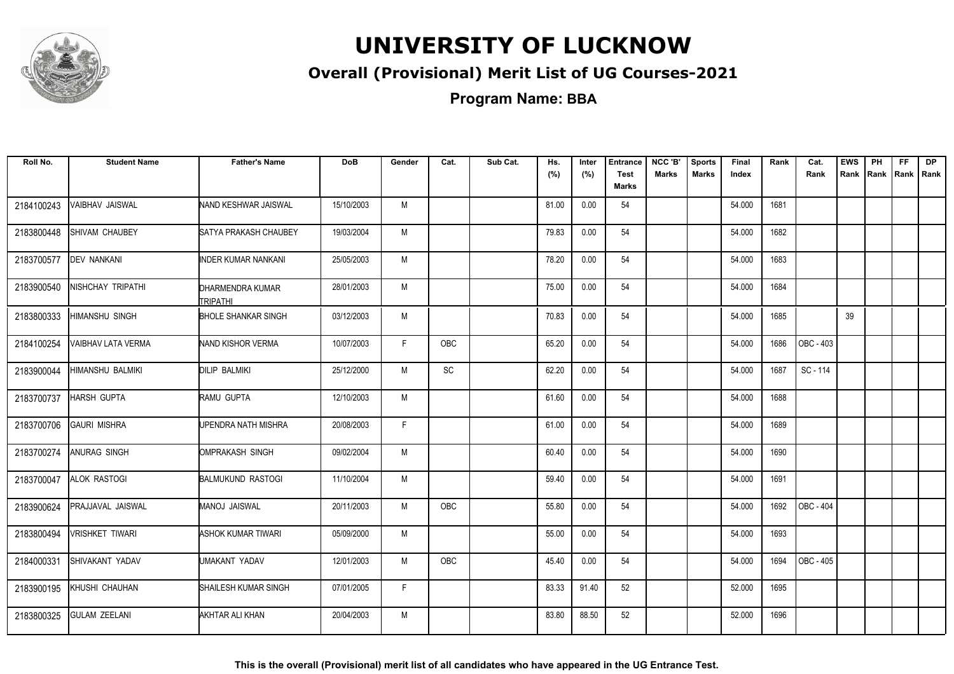

#### **Overall (Provisional) Merit List of UG Courses-2021**

| Roll No.   | <b>Student Name</b>    | <b>Father's Name</b>                | <b>DoB</b> | Gender | Cat. | Sub Cat. | Hs.<br>(%) | Inter<br>(%) | <b>Entrance</b><br><b>Test</b> | NCC 'B'<br><b>Marks</b> | <b>Sports</b><br><b>Marks</b> | Final<br>Index | Rank | Cat.<br>Rank | <b>EWS</b><br>Rank | PH<br>Rank   Rank   Rank | FF. | DP |
|------------|------------------------|-------------------------------------|------------|--------|------|----------|------------|--------------|--------------------------------|-------------------------|-------------------------------|----------------|------|--------------|--------------------|--------------------------|-----|----|
|            |                        |                                     |            |        |      |          |            |              | Marks                          |                         |                               |                |      |              |                    |                          |     |    |
| 2184100243 | VAIBHAV JAISWAL        | NAND KESHWAR JAISWAL                | 15/10/2003 | M      |      |          | 81.00      | 0.00         | 54                             |                         |                               | 54.000         | 1681 |              |                    |                          |     |    |
| 2183800448 | SHIVAM CHAUBEY         | ISATYA PRAKASH CHAUBEY              | 19/03/2004 | M      |      |          | 79.83      | 0.00         | 54                             |                         |                               | 54.000         | 1682 |              |                    |                          |     |    |
| 2183700577 | <b>DEV NANKANI</b>     | <b>INDER KUMAR NANKANI</b>          | 25/05/2003 | M      |      |          | 78.20      | 0.00         | 54                             |                         |                               | 54.000         | 1683 |              |                    |                          |     |    |
| 2183900540 | NISHCHAY TRIPATHI      | DHARMENDRA KUMAR<br><b>TRIPATHI</b> | 28/01/2003 | M      |      |          | 75.00      | 0.00         | 54                             |                         |                               | 54.000         | 1684 |              |                    |                          |     |    |
| 2183800333 | <b>HIMANSHU SINGH</b>  | <b>BHOLE SHANKAR SINGH</b>          | 03/12/2003 | M      |      |          | 70.83      | 0.00         | 54                             |                         |                               | 54.000         | 1685 |              | 39                 |                          |     |    |
| 2184100254 | VAIBHAV LATA VERMA     | <b>NAND KISHOR VERMA</b>            | 10/07/2003 | F.     | OBC  |          | 65.20      | 0.00         | 54                             |                         |                               | 54.000         | 1686 | OBC - 403    |                    |                          |     |    |
| 2183900044 | HIMANSHU BALMIKI       | <b>DILIP BALMIKI</b>                | 25/12/2000 | М      | SC   |          | 62.20      | 0.00         | 54                             |                         |                               | 54.000         | 1687 | SC - 114     |                    |                          |     |    |
| 2183700737 | <b>HARSH GUPTA</b>     | RAMU GUPTA                          | 12/10/2003 | M      |      |          | 61.60      | 0.00         | 54                             |                         |                               | 54.000         | 1688 |              |                    |                          |     |    |
| 2183700706 | <b>GAURI MISHRA</b>    | UPENDRA NATH MISHRA                 | 20/08/2003 | F.     |      |          | 61.00      | 0.00         | 54                             |                         |                               | 54.000         | 1689 |              |                    |                          |     |    |
| 2183700274 | ANURAG SINGH           | OMPRAKASH SINGH                     | 09/02/2004 | M      |      |          | 60.40      | 0.00         | 54                             |                         |                               | 54.000         | 1690 |              |                    |                          |     |    |
| 2183700047 | ALOK RASTOGI           | <b>BALMUKUND RASTOGI</b>            | 11/10/2004 | M      |      |          | 59.40      | 0.00         | 54                             |                         |                               | 54.000         | 1691 |              |                    |                          |     |    |
| 2183900624 | PRAJJAVAL JAISWAL      | MANOJ JAISWAL                       | 20/11/2003 | M      | OBC  |          | 55.80      | 0.00         | 54                             |                         |                               | 54.000         | 1692 | OBC - 404    |                    |                          |     |    |
| 2183800494 | <b>VRISHKET TIWARI</b> | ASHOK KUMAR TIWARI                  | 05/09/2000 | M      |      |          | 55.00      | 0.00         | 54                             |                         |                               | 54.000         | 1693 |              |                    |                          |     |    |
| 2184000331 | SHIVAKANT YADAV        | UMAKANT YADAV                       | 12/01/2003 | M      | OBC  |          | 45.40      | 0.00         | 54                             |                         |                               | 54.000         | 1694 | OBC - 405    |                    |                          |     |    |
| 2183900195 | KHUSHI CHAUHAN         | SHAILESH KUMAR SINGH                | 07/01/2005 | F.     |      |          | 83.33      | 91.40        | 52                             |                         |                               | 52.000         | 1695 |              |                    |                          |     |    |
| 2183800325 | <b>GULAM ZEELANI</b>   | AKHTAR ALI KHAN                     | 20/04/2003 | M      |      |          | 83.80      | 88.50        | 52                             |                         |                               | 52.000         | 1696 |              |                    |                          |     |    |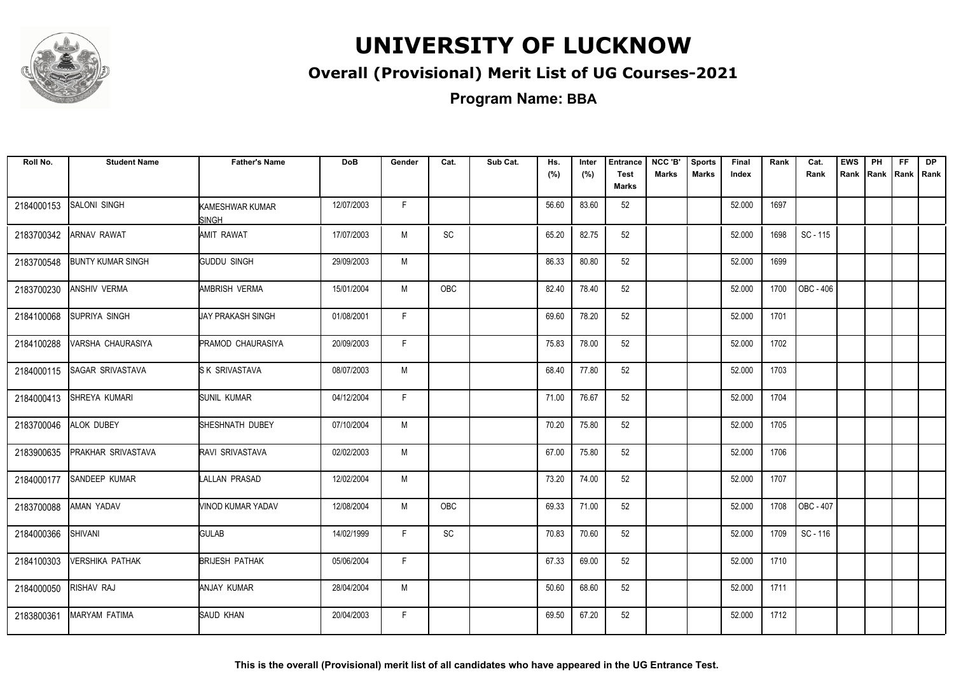

#### **Overall (Provisional) Merit List of UG Courses-2021**

| Roll No.   | <b>Student Name</b>      | <b>Father's Name</b>     | <b>DoB</b> | Gender | Cat.       | Sub Cat. | Hs.<br>(%) | Inter<br>(%) | <b>Entrance</b><br><b>Test</b><br><b>Marks</b> | NCC 'B'<br><b>Marks</b> | <b>Sports</b><br><b>Marks</b> | Final<br>Index | Rank | Cat.<br>Rank | <b>EWS</b> | PH | FF. | <b>DP</b><br>Rank Rank Rank Rank |
|------------|--------------------------|--------------------------|------------|--------|------------|----------|------------|--------------|------------------------------------------------|-------------------------|-------------------------------|----------------|------|--------------|------------|----|-----|----------------------------------|
| 2184000153 | <b>SALONI SINGH</b>      | KAMESHWAR KUMAR<br>SINGH | 12/07/2003 | F.     |            |          | 56.60      | 83.60        | 52                                             |                         |                               | 52.000         | 1697 |              |            |    |     |                                  |
| 2183700342 | <b>ARNAV RAWAT</b>       | AMIT RAWAT               | 17/07/2003 | M      | SC         |          | 65.20      | 82.75        | 52                                             |                         |                               | 52.000         | 1698 | SC - 115     |            |    |     |                                  |
| 2183700548 | <b>BUNTY KUMAR SINGH</b> | <b>GUDDU SINGH</b>       | 29/09/2003 | M      |            |          | 86.33      | 80.80        | 52                                             |                         |                               | 52.000         | 1699 |              |            |    |     |                                  |
| 2183700230 | <b>ANSHIV VERMA</b>      | AMBRISH VERMA            | 15/01/2004 | M      | OBC        |          | 82.40      | 78.40        | 52                                             |                         |                               | 52.000         | 1700 | OBC - 406    |            |    |     |                                  |
| 2184100068 | <b>SUPRIYA SINGH</b>     | UAY PRAKASH SINGH        | 01/08/2001 | F.     |            |          | 69.60      | 78.20        | 52                                             |                         |                               | 52.000         | 1701 |              |            |    |     |                                  |
| 2184100288 | VARSHA CHAURASIYA        | <b>PRAMOD CHAURASIYA</b> | 20/09/2003 | F.     |            |          | 75.83      | 78.00        | 52                                             |                         |                               | 52.000         | 1702 |              |            |    |     |                                  |
| 2184000115 | <b>SAGAR SRIVASTAVA</b>  | <b>SK SRIVASTAVA</b>     | 08/07/2003 | M      |            |          | 68.40      | 77.80        | 52                                             |                         |                               | 52.000         | 1703 |              |            |    |     |                                  |
| 2184000413 | SHREYA KUMARI            | <b>SUNIL KUMAR</b>       | 04/12/2004 | F.     |            |          | 71.00      | 76.67        | 52                                             |                         |                               | 52.000         | 1704 |              |            |    |     |                                  |
| 2183700046 | <b>ALOK DUBEY</b>        | SHESHNATH DUBEY          | 07/10/2004 | M      |            |          | 70.20      | 75.80        | 52                                             |                         |                               | 52.000         | 1705 |              |            |    |     |                                  |
| 2183900635 | PRAKHAR SRIVASTAVA       | <b>RAVI SRIVASTAVA</b>   | 02/02/2003 | M      |            |          | 67.00      | 75.80        | 52                                             |                         |                               | 52.000         | 1706 |              |            |    |     |                                  |
| 2184000177 | SANDEEP KUMAR            | LALLAN PRASAD            | 12/02/2004 | M      |            |          | 73.20      | 74.00        | 52                                             |                         |                               | 52.000         | 1707 |              |            |    |     |                                  |
| 2183700088 | AMAN YADAV               | VINOD KUMAR YADAV        | 12/08/2004 | M      | <b>OBC</b> |          | 69.33      | 71.00        | 52                                             |                         |                               | 52.000         | 1708 | OBC - 407    |            |    |     |                                  |
| 2184000366 | SHIVANI                  | <b>GULAB</b>             | 14/02/1999 | F.     | SC         |          | 70.83      | 70.60        | 52                                             |                         |                               | 52.000         | 1709 | SC - 116     |            |    |     |                                  |
| 2184100303 | <b>VERSHIKA PATHAK</b>   | <b>BRIJESH PATHAK</b>    | 05/06/2004 | F.     |            |          | 67.33      | 69.00        | 52                                             |                         |                               | 52.000         | 1710 |              |            |    |     |                                  |
| 2184000050 | RISHAV RAJ               | ANJAY KUMAR              | 28/04/2004 | M      |            |          | 50.60      | 68.60        | 52                                             |                         |                               | 52.000         | 1711 |              |            |    |     |                                  |
| 2183800361 | <b>MARYAM FATIMA</b>     | SAUD KHAN                | 20/04/2003 | F.     |            |          | 69.50      | 67.20        | 52                                             |                         |                               | 52.000         | 1712 |              |            |    |     |                                  |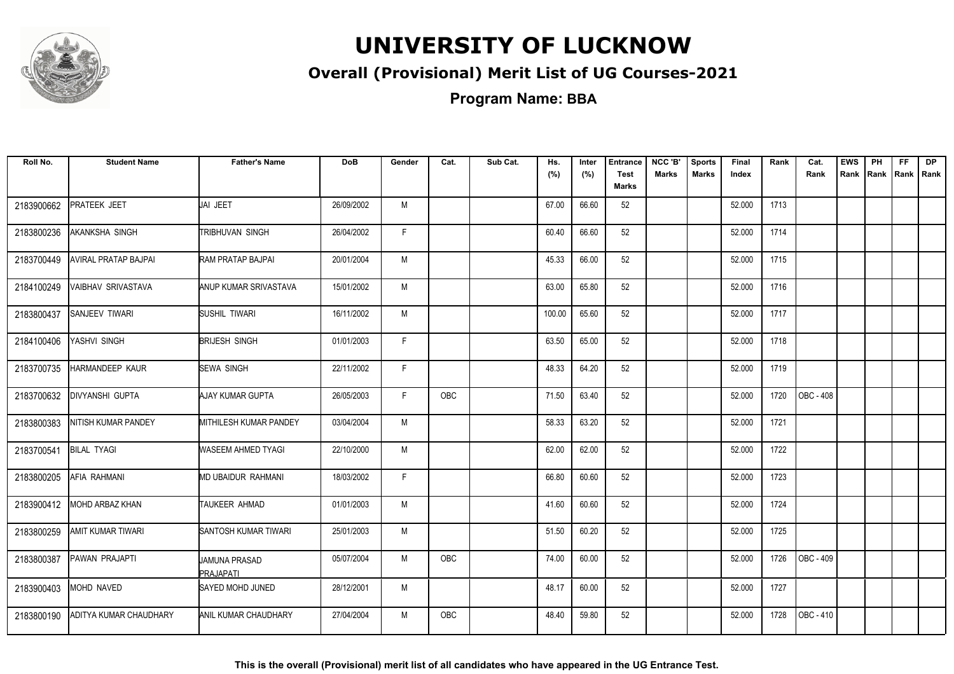

#### **Overall (Provisional) Merit List of UG Courses-2021**

**Program Name: BBA**

| Roll No.   | <b>Student Name</b>            | <b>Father's Name</b>              | <b>DoB</b> | Gender | Cat.       | Sub Cat. | Hs.<br>(%) | Inter<br>(%) | <b>Entrance</b><br><b>Test</b><br>Marks | NCC 'B'<br><b>Marks</b> | <b>Sports</b><br><b>Marks</b> | Final<br>Index | Rank | Cat.<br>Rank     | <b>EWS</b><br>Rank | PH | FF<br>Rank Rank | <b>DP</b><br>Rank |
|------------|--------------------------------|-----------------------------------|------------|--------|------------|----------|------------|--------------|-----------------------------------------|-------------------------|-------------------------------|----------------|------|------------------|--------------------|----|-----------------|-------------------|
| 2183900662 | <b>PRATEEK JEET</b>            | JAI JEET                          | 26/09/2002 | M      |            |          | 67.00      | 66.60        | 52                                      |                         |                               | 52.000         | 1713 |                  |                    |    |                 |                   |
| 2183800236 | <b>AKANKSHA SINGH</b>          | TRIBHUVAN SINGH                   | 26/04/2002 | F.     |            |          | 60.40      | 66.60        | 52                                      |                         |                               | 52.000         | 1714 |                  |                    |    |                 |                   |
| 2183700449 | <b>AVIRAL PRATAP BAJPAI</b>    | RAM PRATAP BAJPAI                 | 20/01/2004 | M      |            |          | 45.33      | 66.00        | 52                                      |                         |                               | 52.000         | 1715 |                  |                    |    |                 |                   |
| 2184100249 | <b>VAIBHAV SRIVASTAVA</b>      | ANUP KUMAR SRIVASTAVA             | 15/01/2002 | M      |            |          | 63.00      | 65.80        | 52                                      |                         |                               | 52.000         | 1716 |                  |                    |    |                 |                   |
| 2183800437 | <b>SANJEEV TIWARI</b>          | SUSHIL TIWARI                     | 16/11/2002 | M      |            |          | 100.00     | 65.60        | 52                                      |                         |                               | 52.000         | 1717 |                  |                    |    |                 |                   |
| 2184100406 | YASHVI SINGH                   | <b>BRIJESH SINGH</b>              | 01/01/2003 | F.     |            |          | 63.50      | 65.00        | 52                                      |                         |                               | 52.000         | 1718 |                  |                    |    |                 |                   |
| 2183700735 | <b>HARMANDEEP KAUR</b>         | <b>SEWA SINGH</b>                 | 22/11/2002 | F.     |            |          | 48.33      | 64.20        | 52                                      |                         |                               | 52.000         | 1719 |                  |                    |    |                 |                   |
| 2183700632 | <b>DIVYANSHI GUPTA</b>         | AJAY KUMAR GUPTA                  | 26/05/2003 | F.     | <b>OBC</b> |          | 71.50      | 63.40        | 52                                      |                         |                               | 52.000         | 1720 | <b>OBC - 408</b> |                    |    |                 |                   |
| 2183800383 | <b>NITISH KUMAR PANDEY</b>     | <b>MITHILESH KUMAR PANDEY</b>     | 03/04/2004 | M      |            |          | 58.33      | 63.20        | 52                                      |                         |                               | 52.000         | 1721 |                  |                    |    |                 |                   |
| 2183700541 | <b>BILAL TYAGI</b>             | WASEEM AHMED TYAGI                | 22/10/2000 | M      |            |          | 62.00      | 62.00        | 52                                      |                         |                               | 52.000         | 1722 |                  |                    |    |                 |                   |
| 2183800205 | <b>AFIA RAHMANI</b>            | MD UBAIDUR RAHMANI                | 18/03/2002 | F.     |            |          | 66.80      | 60.60        | 52                                      |                         |                               | 52.000         | 1723 |                  |                    |    |                 |                   |
| 2183900412 | <b>MOHD ARBAZ KHAN</b>         | TAUKEER AHMAD                     | 01/01/2003 | M      |            |          | 41.60      | 60.60        | 52                                      |                         |                               | 52.000         | 1724 |                  |                    |    |                 |                   |
| 2183800259 | <b>AMIT KUMAR TIWARI</b>       | SANTOSH KUMAR TIWARI              | 25/01/2003 | М      |            |          | 51.50      | 60.20        | 52                                      |                         |                               | 52.000         | 1725 |                  |                    |    |                 |                   |
| 2183800387 | PAWAN PRAJAPTI                 | <b>JAMUNA PRASAD</b><br>PRAJAPATI | 05/07/2004 | M      | <b>OBC</b> |          | 74.00      | 60.00        | 52                                      |                         |                               | 52.000         | 1726 | OBC - 409        |                    |    |                 |                   |
| 2183900403 | <b>MOHD NAVED</b>              | <b>SAYED MOHD JUNED</b>           | 28/12/2001 | М      |            |          | 48.17      | 60.00        | 52                                      |                         |                               | 52.000         | 1727 |                  |                    |    |                 |                   |
| 2183800190 | <b>JADITYA KUMAR CHAUDHARY</b> | IANIL KUMAR CHAUDHARY             | 27/04/2004 | М      | <b>OBC</b> |          | 48.40      | 59.80        | 52                                      |                         |                               | 52.000         | 1728 | OBC - 410        |                    |    |                 |                   |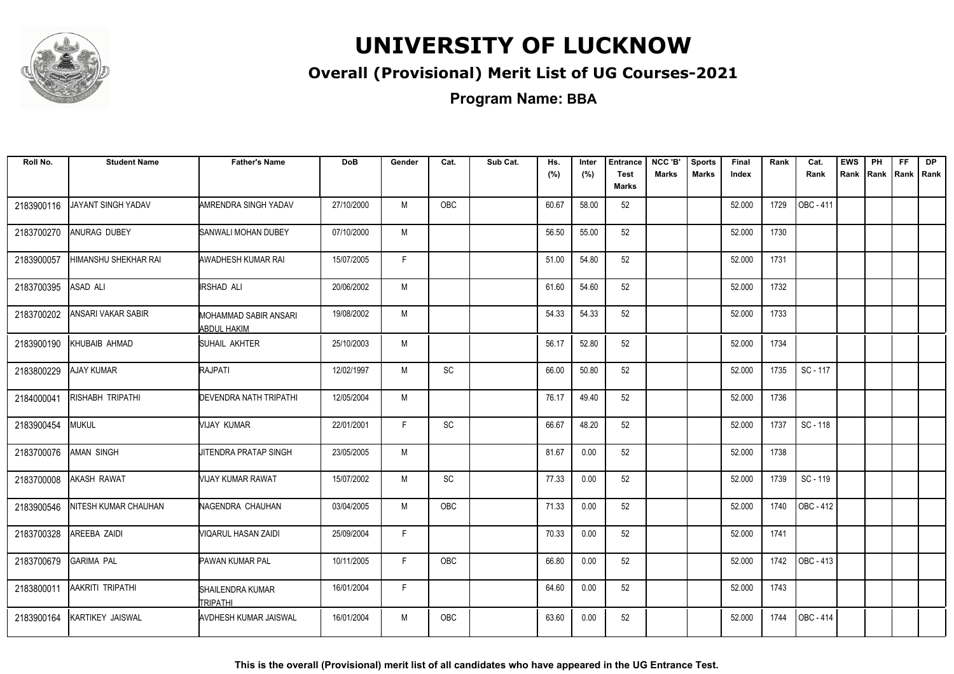

#### **Overall (Provisional) Merit List of UG Courses-2021**

**Program Name: BBA**

| Roll No.   | <b>Student Name</b>       | <b>Father's Name</b>                        | <b>DoB</b> | Gender | Cat.       | Sub Cat. | Hs.<br>(%) | Inter<br>(%) | <b>Entrance</b><br><b>Test</b> | NCC 'B'<br><b>Marks</b> | <b>Sports</b><br>Marks | Final<br>Index | Rank | Cat.<br>Rank | <b>EWS</b><br>Rank | PH | FF<br>Rank Rank Rank | <b>DP</b> |
|------------|---------------------------|---------------------------------------------|------------|--------|------------|----------|------------|--------------|--------------------------------|-------------------------|------------------------|----------------|------|--------------|--------------------|----|----------------------|-----------|
|            |                           |                                             |            |        |            |          |            |              | <b>Marks</b>                   |                         |                        |                |      |              |                    |    |                      |           |
| 2183900116 | JAYANT SINGH YADAV        | AMRENDRA SINGH YADAV                        | 27/10/2000 | M      | OBC        |          | 60.67      | 58.00        | 52                             |                         |                        | 52.000         | 1729 | OBC - 411    |                    |    |                      |           |
| 2183700270 | ANURAG DUBEY              | <b>SANWALI MOHAN DUBEY</b>                  | 07/10/2000 | M      |            |          | 56.50      | 55.00        | 52                             |                         |                        | 52.000         | 1730 |              |                    |    |                      |           |
| 2183900057 | HIMANSHU SHEKHAR RAI      | <b>AWADHESH KUMAR RAI</b>                   | 15/07/2005 | F.     |            |          | 51.00      | 54.80        | 52                             |                         |                        | 52.000         | 1731 |              |                    |    |                      |           |
| 2183700395 | ASAD ALI                  | <b>IRSHAD ALI</b>                           | 20/06/2002 | M      |            |          | 61.60      | 54.60        | 52                             |                         |                        | 52.000         | 1732 |              |                    |    |                      |           |
| 2183700202 | <b>ANSARI VAKAR SABIR</b> | MOHAMMAD SABIR ANSARI<br><b>ABDUL HAKIM</b> | 19/08/2002 | М      |            |          | 54.33      | 54.33        | 52                             |                         |                        | 52.000         | 1733 |              |                    |    |                      |           |
| 2183900190 | KHUBAIB AHMAD             | SUHAIL AKHTER                               | 25/10/2003 | М      |            |          | 56.17      | 52.80        | 52                             |                         |                        | 52.000         | 1734 |              |                    |    |                      |           |
| 2183800229 | <b>AJAY KUMAR</b>         | RAJPATI                                     | 12/02/1997 | M      | SC         |          | 66.00      | 50.80        | 52                             |                         |                        | 52.000         | 1735 | SC - 117     |                    |    |                      |           |
| 2184000041 | RISHABH TRIPATHI          | <b>DEVENDRA NATH TRIPATHI</b>               | 12/05/2004 | M      |            |          | 76.17      | 49.40        | 52                             |                         |                        | 52.000         | 1736 |              |                    |    |                      |           |
| 2183900454 | <b>MUKUL</b>              | <b>VIJAY KUMAR</b>                          | 22/01/2001 | F.     | SC         |          | 66.67      | 48.20        | 52                             |                         |                        | 52.000         | 1737 | SC - 118     |                    |    |                      |           |
| 2183700076 | <b>AMAN SINGH</b>         | UITENDRA PRATAP SINGH                       | 23/05/2005 | M      |            |          | 81.67      | 0.00         | 52                             |                         |                        | 52.000         | 1738 |              |                    |    |                      |           |
| 2183700008 | <b>AKASH RAWAT</b>        | <b>NIJAY KUMAR RAWAT</b>                    | 15/07/2002 | M      | <b>SC</b>  |          | 77.33      | 0.00         | 52                             |                         |                        | 52.000         | 1739 | SC - 119     |                    |    |                      |           |
| 2183900546 | NITESH KUMAR CHAUHAN      | NAGENDRA CHAUHAN                            | 03/04/2005 | M      | <b>OBC</b> |          | 71.33      | 0.00         | 52                             |                         |                        | 52.000         | 1740 | OBC - 412    |                    |    |                      |           |
| 2183700328 | AREEBA ZAIDI              | VIQARUL HASAN ZAIDI                         | 25/09/2004 | F.     |            |          | 70.33      | 0.00         | 52                             |                         |                        | 52.000         | 1741 |              |                    |    |                      |           |
| 2183700679 | <b>GARIMA PAL</b>         | <b>PAWAN KUMAR PAL</b>                      | 10/11/2005 | F.     | <b>OBC</b> |          | 66.80      | 0.00         | 52                             |                         |                        | 52.000         | 1742 | OBC - 413    |                    |    |                      |           |
| 2183800011 | AAKRITI TRIPATHI          | SHAILENDRA KUMAR<br><b>TRIPATHI</b>         | 16/01/2004 | F.     |            |          | 64.60      | 0.00         | 52                             |                         |                        | 52.000         | 1743 |              |                    |    |                      |           |
| 2183900164 | <b>KARTIKEY JAISWAL</b>   | <b>AVDHESH KUMAR JAISWAL</b>                | 16/01/2004 | M      | OBC        |          | 63.60      | 0.00         | 52                             |                         |                        | 52.000         | 1744 | OBC - 414    |                    |    |                      |           |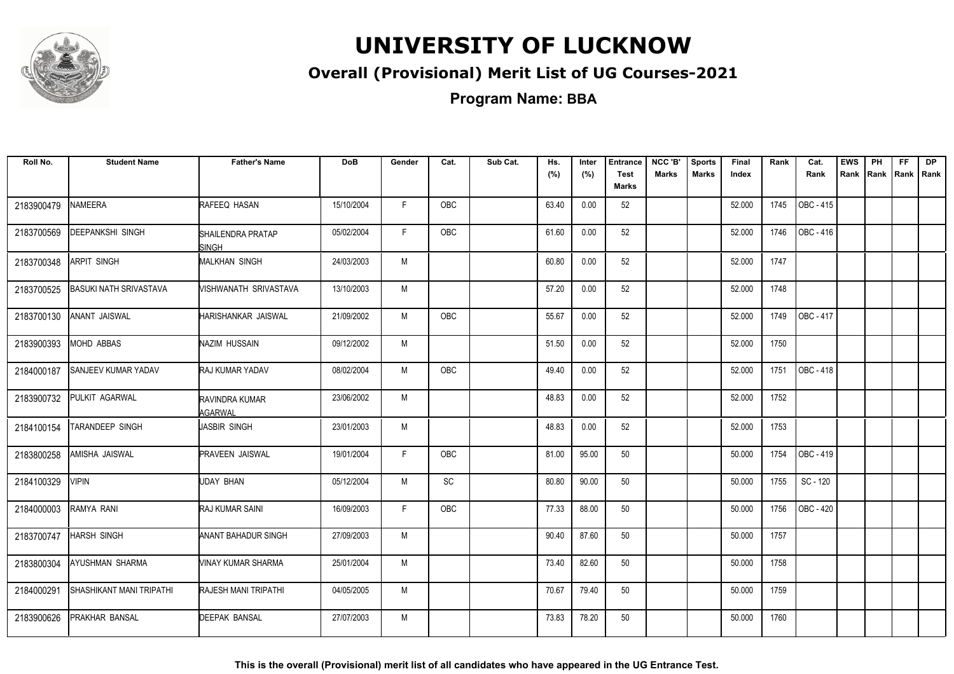

#### **Overall (Provisional) Merit List of UG Courses-2021**

**Program Name: BBA**

| Roll No.   | <b>Student Name</b>             | <b>Father's Name</b>              | <b>DoB</b> | Gender | Cat.       | Sub Cat. | Hs.<br>(%) | Inter<br>(%) | <b>Entrance</b><br><b>Test</b> | NCC 'B'<br><b>Marks</b> | <b>Sports</b><br>Marks | Final<br>Index | Rank | Cat.<br>Rank | <b>EWS</b><br>Rank | PH<br>Rank Rank | FF | <b>DP</b><br>Rank |
|------------|---------------------------------|-----------------------------------|------------|--------|------------|----------|------------|--------------|--------------------------------|-------------------------|------------------------|----------------|------|--------------|--------------------|-----------------|----|-------------------|
|            |                                 |                                   |            |        |            |          |            |              | <b>Marks</b>                   |                         |                        |                |      |              |                    |                 |    |                   |
| 2183900479 | NAMEERA                         | RAFEEQ HASAN                      | 15/10/2004 | F.     | OBC        |          | 63.40      | 0.00         | 52                             |                         |                        | 52.000         | 1745 | OBC - 415    |                    |                 |    |                   |
| 2183700569 | <b>DEEPANKSHI SINGH</b>         | SHAILENDRA PRATAP<br><b>SINGH</b> | 05/02/2004 | F.     | OBC        |          | 61.60      | 0.00         | 52                             |                         |                        | 52.000         | 1746 | OBC - 416    |                    |                 |    |                   |
| 2183700348 | <b>ARPIT SINGH</b>              | <b>MALKHAN SINGH</b>              | 24/03/2003 | M      |            |          | 60.80      | 0.00         | 52                             |                         |                        | 52.000         | 1747 |              |                    |                 |    |                   |
| 2183700525 | <b>BASUKI NATH SRIVASTAVA</b>   | VISHWANATH SRIVASTAVA             | 13/10/2003 | M      |            |          | 57.20      | 0.00         | 52                             |                         |                        | 52.000         | 1748 |              |                    |                 |    |                   |
| 2183700130 | ANANT JAISWAL                   | HARISHANKAR JAISWAL               | 21/09/2002 | M      | <b>OBC</b> |          | 55.67      | 0.00         | 52                             |                         |                        | 52.000         | 1749 | OBC - 417    |                    |                 |    |                   |
| 2183900393 | <b>MOHD ABBAS</b>               | NAZIM HUSSAIN                     | 09/12/2002 | M      |            |          | 51.50      | 0.00         | 52                             |                         |                        | 52.000         | 1750 |              |                    |                 |    |                   |
| 2184000187 | <b>SANJEEV KUMAR YADAV</b>      | RAJ KUMAR YADAV                   | 08/02/2004 | M      | OBC        |          | 49.40      | 0.00         | 52                             |                         |                        | 52.000         | 1751 | OBC - 418    |                    |                 |    |                   |
| 2183900732 | PULKIT AGARWAL                  | RAVINDRA KUMAR<br>AGARWAL         | 23/06/2002 | M      |            |          | 48.83      | 0.00         | 52                             |                         |                        | 52.000         | 1752 |              |                    |                 |    |                   |
| 2184100154 | TARANDEEP SINGH                 | JASBIR SINGH                      | 23/01/2003 | M      |            |          | 48.83      | 0.00         | 52                             |                         |                        | 52.000         | 1753 |              |                    |                 |    |                   |
| 2183800258 | AMISHA JAISWAL                  | <b>PRAVEEN JAISWAL</b>            | 19/01/2004 | F.     | <b>OBC</b> |          | 81.00      | 95.00        | 50                             |                         |                        | 50.000         | 1754 | OBC - 419    |                    |                 |    |                   |
| 2184100329 | <b>VIPIN</b>                    | UDAY BHAN                         | 05/12/2004 | M      | SC         |          | 80.80      | 90.00        | 50                             |                         |                        | 50.000         | 1755 | SC - 120     |                    |                 |    |                   |
| 2184000003 | RAMYA RANI                      | <b>RAJ KUMAR SAINI</b>            | 16/09/2003 | F      | <b>OBC</b> |          | 77.33      | 88.00        | 50                             |                         |                        | 50.000         | 1756 | OBC - 420    |                    |                 |    |                   |
| 2183700747 | <b>HARSH SINGH</b>              | <b>ANANT BAHADUR SINGH</b>        | 27/09/2003 | M      |            |          | 90.40      | 87.60        | 50                             |                         |                        | 50.000         | 1757 |              |                    |                 |    |                   |
| 2183800304 | AYUSHMAN SHARMA                 | <b>VINAY KUMAR SHARMA</b>         | 25/01/2004 | M      |            |          | 73.40      | 82.60        | 50                             |                         |                        | 50.000         | 1758 |              |                    |                 |    |                   |
| 2184000291 | <b>SHASHIKANT MANI TRIPATHI</b> | <b>RAJESH MANI TRIPATHI</b>       | 04/05/2005 | M      |            |          | 70.67      | 79.40        | 50                             |                         |                        | 50.000         | 1759 |              |                    |                 |    |                   |
| 2183900626 | <b>PRAKHAR BANSAL</b>           | <b>DEEPAK BANSAL</b>              | 27/07/2003 | M      |            |          | 73.83      | 78.20        | 50                             |                         |                        | 50.000         | 1760 |              |                    |                 |    |                   |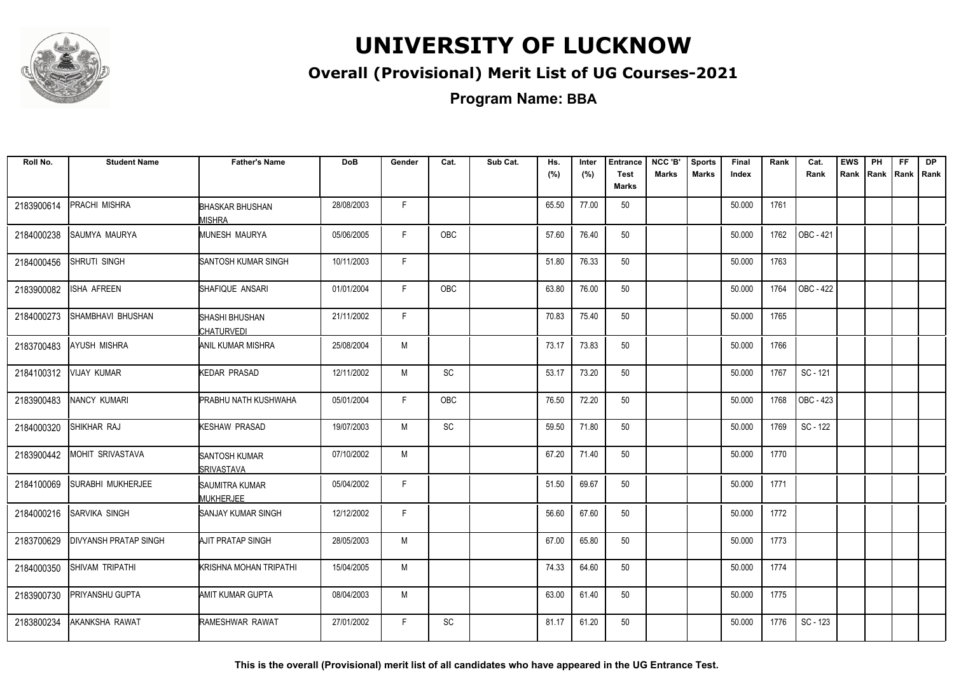

#### **Overall (Provisional) Merit List of UG Courses-2021**

**Program Name: BBA**

| Roll No.   | <b>Student Name</b>      | <b>Father's Name</b>                           | <b>DoB</b> | Gender | Cat.       | Sub Cat. | Hs.   | Inter | <b>Entrance</b>             | NCC 'B'      | <b>Sports</b> | <b>Final</b> | Rank | Cat.      | <b>EWS</b> | PH   | FF          | <b>DP</b> |
|------------|--------------------------|------------------------------------------------|------------|--------|------------|----------|-------|-------|-----------------------------|--------------|---------------|--------------|------|-----------|------------|------|-------------|-----------|
|            |                          |                                                |            |        |            |          | (%)   | (%)   | <b>Test</b><br><b>Marks</b> | <b>Marks</b> | <b>Marks</b>  | Index        |      | Rank      | Rank       | Rank | Rank   Rank |           |
| 2183900614 | <b>PRACHI MISHRA</b>     | <b>BHASKAR BHUSHAN</b><br><b><i>A</i>ISHRA</b> | 28/08/2003 | F      |            |          | 65.50 | 77.00 | 50                          |              |               | 50.000       | 1761 |           |            |      |             |           |
| 2184000238 | SAUMYA MAURYA            | <b>MUNESH MAURYA</b>                           | 05/06/2005 | F      | OBC        |          | 57.60 | 76.40 | 50                          |              |               | 50.000       | 1762 | OBC - 421 |            |      |             |           |
| 2184000456 | SHRUTI SINGH             | <b>SANTOSH KUMAR SINGH</b>                     | 10/11/2003 | F      |            |          | 51.80 | 76.33 | 50                          |              |               | 50.000       | 1763 |           |            |      |             |           |
| 2183900082 | ISHA AFREEN              | ISHAFIQUE ANSARI                               | 01/01/2004 | F      | <b>OBC</b> |          | 63.80 | 76.00 | 50                          |              |               | 50.000       | 1764 | OBC - 422 |            |      |             |           |
| 2184000273 | SHAMBHAVI BHUSHAN        | <b>SHASHI BHUSHAN</b><br><b>CHATURVEDI</b>     | 21/11/2002 | F      |            |          | 70.83 | 75.40 | 50                          |              |               | 50.000       | 1765 |           |            |      |             |           |
| 2183700483 | <b>AYUSH MISHRA</b>      | ANIL KUMAR MISHRA                              | 25/08/2004 | M      |            |          | 73.17 | 73.83 | 50                          |              |               | 50.000       | 1766 |           |            |      |             |           |
| 2184100312 | <b>VIJAY KUMAR</b>       | <b>KEDAR PRASAD</b>                            | 12/11/2002 | M      | SC         |          | 53.17 | 73.20 | 50                          |              |               | 50.000       | 1767 | SC - 121  |            |      |             |           |
| 2183900483 | NANCY KUMARI             | <b>PRABHU NATH KUSHWAHA</b>                    | 05/01/2004 | F      | OBC        |          | 76.50 | 72.20 | 50                          |              |               | 50.000       | 1768 | OBC - 423 |            |      |             |           |
| 2184000320 | SHIKHAR RAJ              | KESHAW PRASAD                                  | 19/07/2003 | M      | SC         |          | 59.50 | 71.80 | 50                          |              |               | 50.000       | 1769 | SC - 122  |            |      |             |           |
| 2183900442 | MOHIT SRIVASTAVA         | <b>SANTOSH KUMAR</b><br><b>I</b> SRIVASTAVA    | 07/10/2002 | M      |            |          | 67.20 | 71.40 | 50                          |              |               | 50.000       | 1770 |           |            |      |             |           |
| 2184100069 | <b>SURABHI MUKHERJEE</b> | <b>I</b> SAUMITRA KUMAR<br><b>MUKHERJEE</b>    | 05/04/2002 | F      |            |          | 51.50 | 69.67 | 50                          |              |               | 50.000       | 1771 |           |            |      |             |           |
| 2184000216 | SARVIKA SINGH            | SANJAY KUMAR SINGH                             | 12/12/2002 | F      |            |          | 56.60 | 67.60 | 50                          |              |               | 50.000       | 1772 |           |            |      |             |           |
| 2183700629 | IDIVYANSH PRATAP SINGH   | AJIT PRATAP SINGH                              | 28/05/2003 | M      |            |          | 67.00 | 65.80 | 50                          |              |               | 50.000       | 1773 |           |            |      |             |           |
| 2184000350 | <b>SHIVAM TRIPATHI</b>   | KRISHNA MOHAN TRIPATHI                         | 15/04/2005 | M      |            |          | 74.33 | 64.60 | 50                          |              |               | 50.000       | 1774 |           |            |      |             |           |
| 2183900730 | PRIYANSHU GUPTA          | AMIT KUMAR GUPTA                               | 08/04/2003 | M      |            |          | 63.00 | 61.40 | 50                          |              |               | 50.000       | 1775 |           |            |      |             |           |
| 2183800234 | AKANKSHA RAWAT           | <b>RAMESHWAR RAWAT</b>                         | 27/01/2002 | F      | SC         |          | 81.17 | 61.20 | 50                          |              |               | 50.000       | 1776 | SC - 123  |            |      |             |           |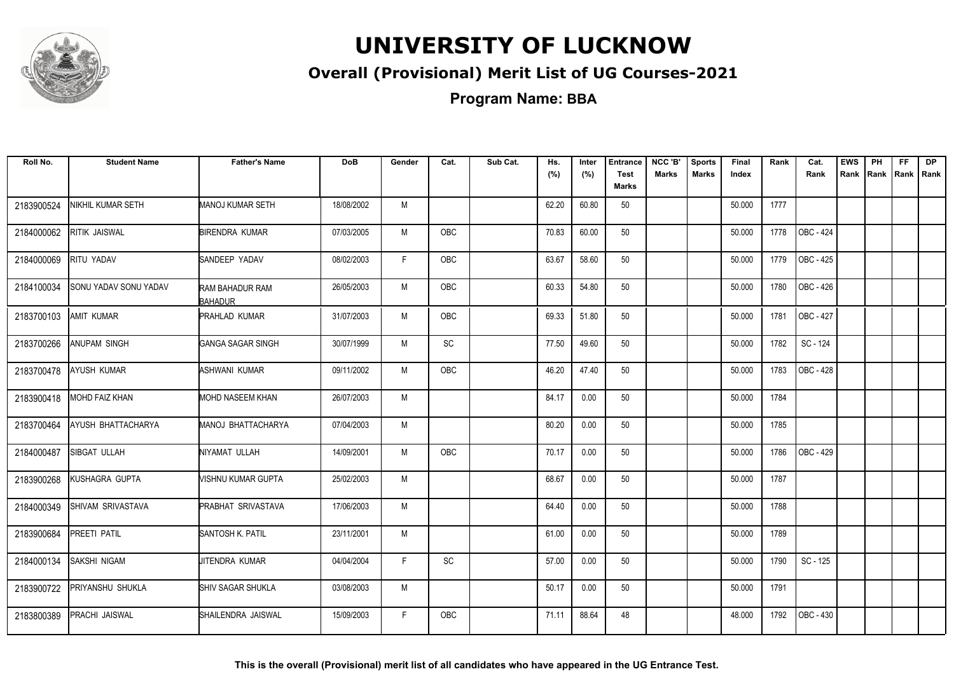

#### **Overall (Provisional) Merit List of UG Courses-2021**

**Program Name: BBA**

| Roll No.   | <b>Student Name</b>      | <b>Father's Name</b>              | <b>DoB</b> | Gender | Cat.       | Sub Cat. | Hs.<br>(%) | Inter<br>(%) | <b>Entrance</b><br><b>Test</b> | NCC 'B'<br><b>Marks</b> | <b>Sports</b><br><b>Marks</b> | Final<br>Index | Rank | Cat.<br>Rank     | <b>EWS</b> | PH | FF. | <b>DP</b><br>Rank Rank Rank Rank |
|------------|--------------------------|-----------------------------------|------------|--------|------------|----------|------------|--------------|--------------------------------|-------------------------|-------------------------------|----------------|------|------------------|------------|----|-----|----------------------------------|
|            |                          |                                   |            |        |            |          |            |              | Marks                          |                         |                               |                |      |                  |            |    |     |                                  |
| 2183900524 | NIKHIL KUMAR SETH        | MANOJ KUMAR SETH                  | 18/08/2002 | M      |            |          | 62.20      | 60.80        | 50                             |                         |                               | 50.000         | 1777 |                  |            |    |     |                                  |
| 2184000062 | <b>RITIK JAISWAL</b>     | BIRENDRA KUMAR                    | 07/03/2005 | M      | <b>OBC</b> |          | 70.83      | 60.00        | 50                             |                         |                               | 50.000         | 1778 | OBC - 424        |            |    |     |                                  |
| 2184000069 | RITU YADAV               | SANDEEP YADAV                     | 08/02/2003 | F.     | OBC        |          | 63.67      | 58.60        | 50                             |                         |                               | 50.000         | 1779 | OBC - 425        |            |    |     |                                  |
| 2184100034 | SONU YADAV SONU YADAV    | RAM BAHADUR RAM<br><b>BAHADUR</b> | 26/05/2003 | M      | OBC        |          | 60.33      | 54.80        | 50                             |                         |                               | 50.000         | 1780 | OBC - 426        |            |    |     |                                  |
| 2183700103 | <b>AMIT KUMAR</b>        | <b>PRAHLAD KUMAR</b>              | 31/07/2003 | M      | <b>OBC</b> |          | 69.33      | 51.80        | 50                             |                         |                               | 50.000         | 1781 | OBC - 427        |            |    |     |                                  |
| 2183700266 | <b>ANUPAM SINGH</b>      | <b>GANGA SAGAR SINGH</b>          | 30/07/1999 | M      | SC         |          | 77.50      | 49.60        | 50                             |                         |                               | 50.000         | 1782 | SC - 124         |            |    |     |                                  |
| 2183700478 | <b>AYUSH KUMAR</b>       | ASHWANI KUMAR                     | 09/11/2002 | М      | OBC        |          | 46.20      | 47.40        | 50                             |                         |                               | 50.000         | 1783 | OBC - 428        |            |    |     |                                  |
| 2183900418 | <b>MOHD FAIZ KHAN</b>    | MOHD NASEEM KHAN                  | 26/07/2003 | М      |            |          | 84.17      | 0.00         | 50                             |                         |                               | 50.000         | 1784 |                  |            |    |     |                                  |
| 2183700464 | AYUSH BHATTACHARYA       | MANOJ BHATTACHARYA                | 07/04/2003 | M      |            |          | 80.20      | 0.00         | 50                             |                         |                               | 50.000         | 1785 |                  |            |    |     |                                  |
| 2184000487 | SIBGAT ULLAH             | NIYAMAT ULLAH                     | 14/09/2001 | M      | <b>OBC</b> |          | 70.17      | 0.00         | 50                             |                         |                               | 50.000         | 1786 | <b>OBC - 429</b> |            |    |     |                                  |
| 2183900268 | KUSHAGRA GUPTA           | VISHNU KUMAR GUPTA                | 25/02/2003 | M      |            |          | 68.67      | 0.00         | 50                             |                         |                               | 50.000         | 1787 |                  |            |    |     |                                  |
| 2184000349 | <b>SHIVAM SRIVASTAVA</b> | PRABHAT SRIVASTAVA                | 17/06/2003 | M      |            |          | 64.40      | 0.00         | 50                             |                         |                               | 50.000         | 1788 |                  |            |    |     |                                  |
| 2183900684 | PREETI PATIL             | SANTOSH K. PATIL                  | 23/11/2001 | M      |            |          | 61.00      | 0.00         | 50                             |                         |                               | 50.000         | 1789 |                  |            |    |     |                                  |
| 2184000134 | <b>SAKSHI NIGAM</b>      | JITENDRA KUMAR                    | 04/04/2004 | F.     | SC         |          | 57.00      | 0.00         | 50                             |                         |                               | 50.000         | 1790 | SC - 125         |            |    |     |                                  |
| 2183900722 | PRIYANSHU SHUKLA         | <b>SHIV SAGAR SHUKLA</b>          | 03/08/2003 | M      |            |          | 50.17      | 0.00         | 50                             |                         |                               | 50.000         | 1791 |                  |            |    |     |                                  |
| 2183800389 | <b>PRACHI JAISWAL</b>    | SHAILENDRA JAISWAL                | 15/09/2003 | F.     | <b>OBC</b> |          | 71.11      | 88.64        | 48                             |                         |                               | 48.000         | 1792 | OBC - 430        |            |    |     |                                  |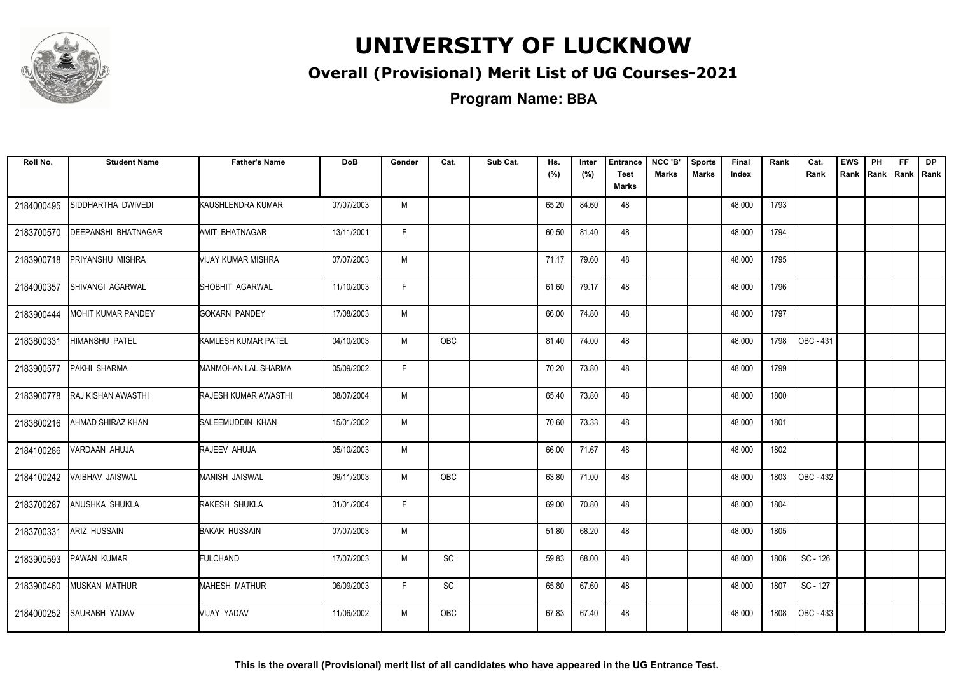

#### **Overall (Provisional) Merit List of UG Courses-2021**

**Program Name: BBA**

| Roll No.   | <b>Student Name</b>       | <b>Father's Name</b>  | <b>DoB</b> | Gender | Cat.          | Sub Cat. | Hs.<br>(%) | Inter<br>(%) | <b>Entrance</b><br><b>Test</b><br><b>Marks</b> | NCC 'B'<br><b>Marks</b> | <b>Sports</b><br><b>Marks</b> | Final<br>Index | Rank | Cat.<br>Rank | <b>EWS</b><br>Rank | PH<br>Rank | FF.<br>Rank   Rank | <b>DP</b> |
|------------|---------------------------|-----------------------|------------|--------|---------------|----------|------------|--------------|------------------------------------------------|-------------------------|-------------------------------|----------------|------|--------------|--------------------|------------|--------------------|-----------|
| 2184000495 | SIDDHARTHA DWIVEDI        | KAUSHLENDRA KUMAR     | 07/07/2003 | M      |               |          | 65.20      | 84.60        | 48                                             |                         |                               | 48.000         | 1793 |              |                    |            |                    |           |
| 2183700570 | DEEPANSHI BHATNAGAR       | AMIT BHATNAGAR        | 13/11/2001 | F.     |               |          | 60.50      | 81.40        | 48                                             |                         |                               | 48.000         | 1794 |              |                    |            |                    |           |
| 2183900718 | PRIYANSHU MISHRA          | VIJAY KUMAR MISHRA    | 07/07/2003 | M      |               |          | 71.17      | 79.60        | 48                                             |                         |                               | 48.000         | 1795 |              |                    |            |                    |           |
| 2184000357 | SHIVANGI AGARWAL          | SHOBHIT AGARWAL       | 11/10/2003 | F      |               |          | 61.60      | 79.17        | 48                                             |                         |                               | 48.000         | 1796 |              |                    |            |                    |           |
| 2183900444 | MOHIT KUMAR PANDEY        | <b>GOKARN PANDEY</b>  | 17/08/2003 | M      |               |          | 66.00      | 74.80        | 48                                             |                         |                               | 48.000         | 1797 |              |                    |            |                    |           |
| 2183800331 | <b>HIMANSHU PATEL</b>     | KAMLESH KUMAR PATEL   | 04/10/2003 | M      | OBC           |          | 81.40      | 74.00        | 48                                             |                         |                               | 48.000         | 1798 | OBC - 431    |                    |            |                    |           |
| 2183900577 | PAKHI SHARMA              | MANMOHAN LAL SHARMA   | 05/09/2002 | F.     |               |          | 70.20      | 73.80        | 48                                             |                         |                               | 48.000         | 1799 |              |                    |            |                    |           |
| 2183900778 | <b>RAJ KISHAN AWASTHI</b> | RAJESH KUMAR AWASTHI  | 08/07/2004 | M      |               |          | 65.40      | 73.80        | 48                                             |                         |                               | 48.000         | 1800 |              |                    |            |                    |           |
| 2183800216 | AHMAD SHIRAZ KHAN         | SALEEMUDDIN KHAN      | 15/01/2002 | M      |               |          | 70.60      | 73.33        | 48                                             |                         |                               | 48.000         | 1801 |              |                    |            |                    |           |
| 2184100286 | VARDAAN AHUJA             | RAJEEV AHUJA          | 05/10/2003 | M      |               |          | 66.00      | 71.67        | 48                                             |                         |                               | 48.000         | 1802 |              |                    |            |                    |           |
| 2184100242 | VAIBHAV JAISWAL           | <b>MANISH JAISWAL</b> | 09/11/2003 | M      | <b>OBC</b>    |          | 63.80      | 71.00        | 48                                             |                         |                               | 48.000         | 1803 | OBC - 432    |                    |            |                    |           |
| 2183700287 | ANUSHKA SHUKLA            | RAKESH SHUKLA         | 01/01/2004 | F      |               |          | 69.00      | 70.80        | 48                                             |                         |                               | 48.000         | 1804 |              |                    |            |                    |           |
| 2183700331 | ARIZ HUSSAIN              | <b>BAKAR HUSSAIN</b>  | 07/07/2003 | M      |               |          | 51.80      | 68.20        | 48                                             |                         |                               | 48.000         | 1805 |              |                    |            |                    |           |
| 2183900593 | PAWAN KUMAR               | <b>FULCHAND</b>       | 17/07/2003 | M      | SC            |          | 59.83      | 68.00        | 48                                             |                         |                               | 48.000         | 1806 | SC - 126     |                    |            |                    |           |
| 2183900460 | <b>MUSKAN MATHUR</b>      | MAHESH MATHUR         | 06/09/2003 | F.     | $\mathsf{SC}$ |          | 65.80      | 67.60        | 48                                             |                         |                               | 48.000         | 1807 | SC - 127     |                    |            |                    |           |
| 2184000252 | SAURABH YADAV             | VIJAY YADAV           | 11/06/2002 | M      | <b>OBC</b>    |          | 67.83      | 67.40        | 48                                             |                         |                               | 48.000         | 1808 | OBC - 433    |                    |            |                    |           |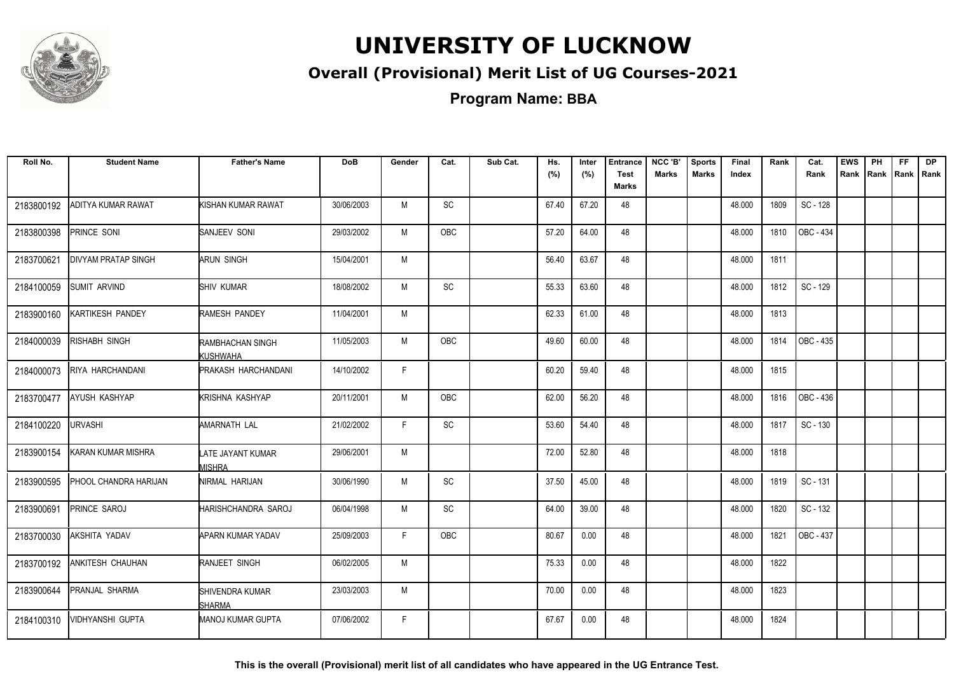

#### **Overall (Provisional) Merit List of UG Courses-2021**

**Program Name: BBA**

| Roll No.   | <b>Student Name</b>        | <b>Father's Name</b>               | <b>DoB</b> | Gender | Cat.       | Sub Cat. | Hs.   | Inter | <b>Entrance</b>             | NCC 'B'      | <b>Sports</b> | Final  | Rank | Cat.      | <b>EWS</b> | PH | FF                 | <b>DP</b> |
|------------|----------------------------|------------------------------------|------------|--------|------------|----------|-------|-------|-----------------------------|--------------|---------------|--------|------|-----------|------------|----|--------------------|-----------|
|            |                            |                                    |            |        |            |          | (%)   | (%)   | <b>Test</b><br><b>Marks</b> | <b>Marks</b> | <b>Marks</b>  | Index  |      | Rank      | Rank       |    | Rank   Rank   Rank |           |
| 2183800192 | ADITYA KUMAR RAWAT         | KISHAN KUMAR RAWAT                 | 30/06/2003 | M      | SC         |          | 67.40 | 67.20 | 48                          |              |               | 48.000 | 1809 | SC - 128  |            |    |                    |           |
| 2183800398 | PRINCE SONI                | SANJEEV SONI                       | 29/03/2002 | М      | OBC        |          | 57.20 | 64.00 | 48                          |              |               | 48.000 | 1810 | OBC - 434 |            |    |                    |           |
| 2183700621 | <b>DIVYAM PRATAP SINGH</b> | ARUN SINGH                         | 15/04/2001 | M      |            |          | 56.40 | 63.67 | 48                          |              |               | 48.000 | 1811 |           |            |    |                    |           |
| 2184100059 | <b>SUMIT ARVIND</b>        | SHIV KUMAR                         | 18/08/2002 | M      | <b>SC</b>  |          | 55.33 | 63.60 | 48                          |              |               | 48.000 | 1812 | SC - 129  |            |    |                    |           |
| 2183900160 | KARTIKESH PANDEY           | RAMESH PANDEY                      | 11/04/2001 | M      |            |          | 62.33 | 61.00 | 48                          |              |               | 48.000 | 1813 |           |            |    |                    |           |
| 2184000039 | RISHABH SINGH              | RAMBHACHAN SINGH<br>KUSHWAHA       | 11/05/2003 | M      | <b>OBC</b> |          | 49.60 | 60.00 | 48                          |              |               | 48.000 | 1814 | OBC - 435 |            |    |                    |           |
| 2184000073 | RIYA HARCHANDANI           | PRAKASH HARCHANDANI                | 14/10/2002 | F      |            |          | 60.20 | 59.40 | 48                          |              |               | 48.000 | 1815 |           |            |    |                    |           |
| 2183700477 | <b>AYUSH KASHYAP</b>       | KRISHNA KASHYAP                    | 20/11/2001 | M      | <b>OBC</b> |          | 62.00 | 56.20 | 48                          |              |               | 48.000 | 1816 | OBC - 436 |            |    |                    |           |
| 2184100220 | <b>URVASHI</b>             | AMARNATH LAL                       | 21/02/2002 | F      | <b>SC</b>  |          | 53.60 | 54.40 | 48                          |              |               | 48.000 | 1817 | SC - 130  |            |    |                    |           |
| 2183900154 | KARAN KUMAR MISHRA         | LATE JAYANT KUMAR<br><b>MISHRA</b> | 29/06/2001 | M      |            |          | 72.00 | 52.80 | 48                          |              |               | 48.000 | 1818 |           |            |    |                    |           |
| 2183900595 | PHOOL CHANDRA HARIJAN      | NIRMAL HARIJAN                     | 30/06/1990 | M      | <b>SC</b>  |          | 37.50 | 45.00 | 48                          |              |               | 48.000 | 1819 | SC - 131  |            |    |                    |           |
| 2183900691 | PRINCE SAROJ               | HARISHCHANDRA SAROJ                | 06/04/1998 | M      | SC         |          | 64.00 | 39.00 | 48                          |              |               | 48.000 | 1820 | SC - 132  |            |    |                    |           |
| 2183700030 | AKSHITA YADAV              | <b>APARN KUMAR YADAV</b>           | 25/09/2003 | F      | <b>OBC</b> |          | 80.67 | 0.00  | 48                          |              |               | 48.000 | 1821 | OBC - 437 |            |    |                    |           |
| 2183700192 | <b>ANKITESH CHAUHAN</b>    | RANJEET SINGH                      | 06/02/2005 | M      |            |          | 75.33 | 0.00  | 48                          |              |               | 48.000 | 1822 |           |            |    |                    |           |
| 2183900644 | PRANJAL SHARMA             | SHIVENDRA KUMAR<br>SHARMA          | 23/03/2003 | M      |            |          | 70.00 | 0.00  | 48                          |              |               | 48.000 | 1823 |           |            |    |                    |           |
| 2184100310 | VIDHYANSHI GUPTA           | MANOJ KUMAR GUPTA                  | 07/06/2002 | F      |            |          | 67.67 | 0.00  | 48                          |              |               | 48.000 | 1824 |           |            |    |                    |           |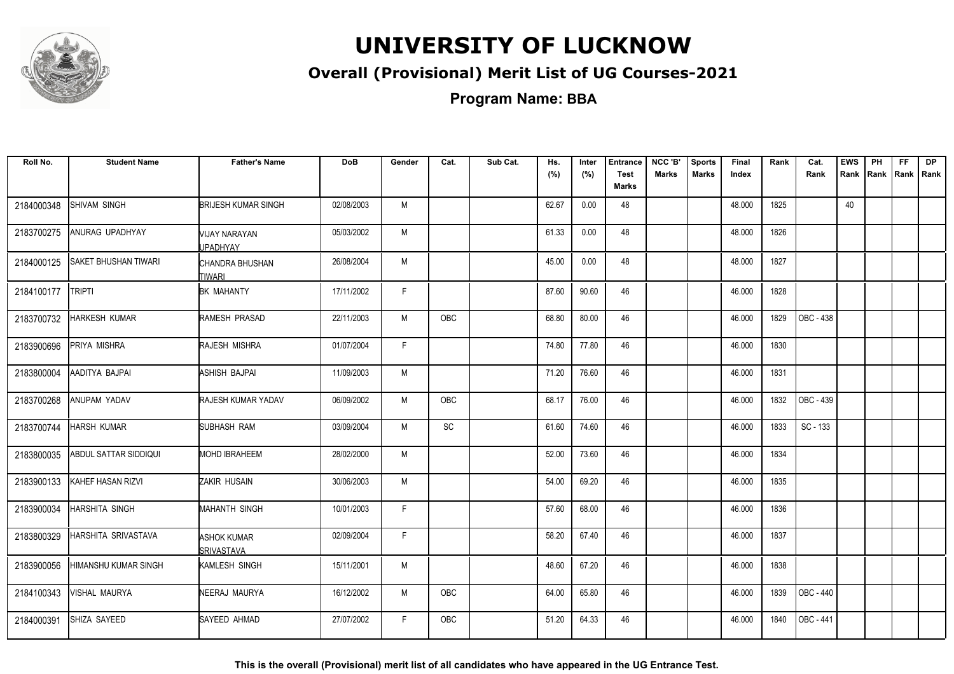

#### **Overall (Provisional) Merit List of UG Courses-2021**

**Program Name: BBA**

| Roll No.   | <b>Student Name</b>         | <b>Father's Name</b>                    | <b>DoB</b> | Gender | Cat.       | Sub Cat. | Hs.<br>(%) | Inter<br>(%) | <b>Entrance</b><br><b>Test</b> | NCC 'B'<br><b>Marks</b> | <b>Sports</b><br><b>Marks</b> | Final<br>Index | Rank | Cat.<br>Rank | <b>EWS</b><br>Rank | PH<br>Rank Rank | FF | <b>DP</b><br>I Rank |
|------------|-----------------------------|-----------------------------------------|------------|--------|------------|----------|------------|--------------|--------------------------------|-------------------------|-------------------------------|----------------|------|--------------|--------------------|-----------------|----|---------------------|
|            |                             |                                         |            |        |            |          |            |              | Marks                          |                         |                               |                |      |              |                    |                 |    |                     |
| 2184000348 | SHIVAM SINGH                | <b>BRIJESH KUMAR SINGH</b>              | 02/08/2003 | M      |            |          | 62.67      | 0.00         | 48                             |                         |                               | 48.000         | 1825 |              | 40                 |                 |    |                     |
| 2183700275 | ANURAG UPADHYAY             | MIJAY NARAYAN<br><b>JPADHYAY</b>        | 05/03/2002 | М      |            |          | 61.33      | 0.00         | 48                             |                         |                               | 48.000         | 1826 |              |                    |                 |    |                     |
| 2184000125 | <b>SAKET BHUSHAN TIWARI</b> | CHANDRA BHUSHAN<br><b>TIWARI</b>        | 26/08/2004 | M      |            |          | 45.00      | 0.00         | 48                             |                         |                               | 48.000         | 1827 |              |                    |                 |    |                     |
| 2184100177 | <b>TRIPTI</b>               | <b>BK MAHANTY</b>                       | 17/11/2002 | F      |            |          | 87.60      | 90.60        | 46                             |                         |                               | 46.000         | 1828 |              |                    |                 |    |                     |
| 2183700732 | HARKESH KUMAR               | RAMESH PRASAD                           | 22/11/2003 | M      | OBC        |          | 68.80      | 80.00        | 46                             |                         |                               | 46.000         | 1829 | OBC - 438    |                    |                 |    |                     |
| 2183900696 | PRIYA MISHRA                | RAJESH MISHRA                           | 01/07/2004 | F      |            |          | 74.80      | 77.80        | 46                             |                         |                               | 46.000         | 1830 |              |                    |                 |    |                     |
| 2183800004 | AADITYA BAJPAI              | ASHISH BAJPAI                           | 11/09/2003 | M      |            |          | 71.20      | 76.60        | 46                             |                         |                               | 46.000         | 1831 |              |                    |                 |    |                     |
| 2183700268 | ANUPAM YADAV                | RAJESH KUMAR YADAV                      | 06/09/2002 | M      | OBC        |          | 68.17      | 76.00        | 46                             |                         |                               | 46.000         | 1832 | OBC - 439    |                    |                 |    |                     |
| 2183700744 | <b>HARSH KUMAR</b>          | <b>SUBHASH RAM</b>                      | 03/09/2004 | M      | SC         |          | 61.60      | 74.60        | 46                             |                         |                               | 46.000         | 1833 | SC - 133     |                    |                 |    |                     |
| 2183800035 | ABDUL SATTAR SIDDIQUI       | <b>MOHD IBRAHEEM</b>                    | 28/02/2000 | M      |            |          | 52.00      | 73.60        | 46                             |                         |                               | 46.000         | 1834 |              |                    |                 |    |                     |
| 2183900133 | KAHEF HASAN RIZVI           | <b>ZAKIR HUSAIN</b>                     | 30/06/2003 | M      |            |          | 54.00      | 69.20        | 46                             |                         |                               | 46.000         | 1835 |              |                    |                 |    |                     |
| 2183900034 | HARSHITA SINGH              | <b>MAHANTH SINGH</b>                    | 10/01/2003 | F.     |            |          | 57.60      | 68.00        | 46                             |                         |                               | 46.000         | 1836 |              |                    |                 |    |                     |
| 2183800329 | HARSHITA SRIVASTAVA         | <b>ASHOK KUMAR</b><br><b>SRIVASTAVA</b> | 02/09/2004 | F.     |            |          | 58.20      | 67.40        | 46                             |                         |                               | 46.000         | 1837 |              |                    |                 |    |                     |
| 2183900056 | HIMANSHU KUMAR SINGH        | KAMLESH SINGH                           | 15/11/2001 | M      |            |          | 48.60      | 67.20        | 46                             |                         |                               | 46.000         | 1838 |              |                    |                 |    |                     |
| 2184100343 | <b>VISHAL MAURYA</b>        | NEERAJ MAURYA                           | 16/12/2002 | M      | <b>OBC</b> |          | 64.00      | 65.80        | 46                             |                         |                               | 46.000         | 1839 | OBC - 440    |                    |                 |    |                     |
| 2184000391 | SHIZA SAYEED                | SAYEED AHMAD                            | 27/07/2002 | F.     | OBC        |          | 51.20      | 64.33        | 46                             |                         |                               | 46.000         | 1840 | OBC - 441    |                    |                 |    |                     |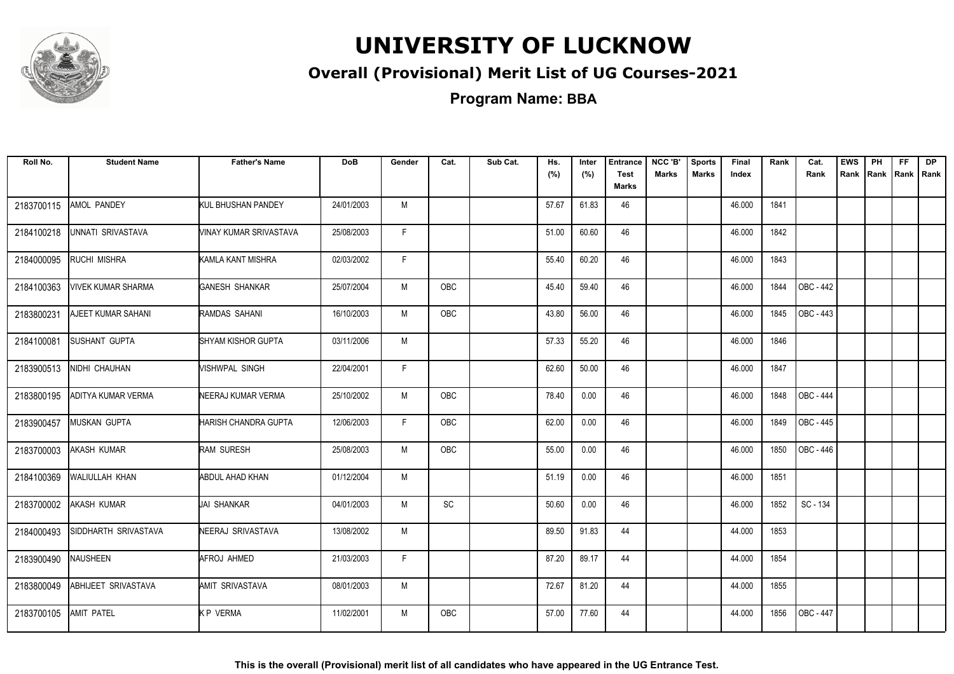

#### **Overall (Provisional) Merit List of UG Courses-2021**

**Program Name: BBA**

| Roll No.   | <b>Student Name</b>  | <b>Father's Name</b>   | <b>DoB</b> | Gender | Cat.                         | Sub Cat. | Hs.<br>(%) | Inter<br>(%) | <b>Entrance</b><br><b>Test</b><br><b>Marks</b> | NCC 'B'<br><b>Marks</b> | <b>Sports</b><br><b>Marks</b> | Final<br>Index | Rank | Cat.<br>Rank     | <b>EWS</b> | PH<br>Rank Rank | FF.<br> Rank   Rank | <b>DP</b> |
|------------|----------------------|------------------------|------------|--------|------------------------------|----------|------------|--------------|------------------------------------------------|-------------------------|-------------------------------|----------------|------|------------------|------------|-----------------|---------------------|-----------|
| 2183700115 | AMOL PANDEY          | KUL BHUSHAN PANDEY     | 24/01/2003 | M      |                              |          | 57.67      | 61.83        | 46                                             |                         |                               | 46.000         | 1841 |                  |            |                 |                     |           |
| 2184100218 | UNNATI SRIVASTAVA    | VINAY KUMAR SRIVASTAVA | 25/08/2003 | F.     |                              |          | 51.00      | 60.60        | 46                                             |                         |                               | 46.000         | 1842 |                  |            |                 |                     |           |
| 2184000095 | RUCHI MISHRA         | KAMLA KANT MISHRA      | 02/03/2002 | F      |                              |          | 55.40      | 60.20        | 46                                             |                         |                               | 46.000         | 1843 |                  |            |                 |                     |           |
| 2184100363 | VIVEK KUMAR SHARMA   | GANESH SHANKAR         | 25/07/2004 | M      | <b>OBC</b>                   |          | 45.40      | 59.40        | 46                                             |                         |                               | 46.000         | 1844 | <b>OBC - 442</b> |            |                 |                     |           |
| 2183800231 | AJEET KUMAR SAHANI   | RAMDAS SAHANI          | 16/10/2003 | M      | OBC                          |          | 43.80      | 56.00        | 46                                             |                         |                               | 46.000         | 1845 | OBC - 443        |            |                 |                     |           |
| 2184100081 | <b>SUSHANT GUPTA</b> | SHYAM KISHOR GUPTA     | 03/11/2006 | M      |                              |          | 57.33      | 55.20        | 46                                             |                         |                               | 46.000         | 1846 |                  |            |                 |                     |           |
| 2183900513 | NIDHI CHAUHAN        | VISHWPAL SINGH         | 22/04/2001 | F.     |                              |          | 62.60      | 50.00        | 46                                             |                         |                               | 46.000         | 1847 |                  |            |                 |                     |           |
| 2183800195 | ADITYA KUMAR VERMA   | NEERAJ KUMAR VERMA     | 25/10/2002 | M      | OBC                          |          | 78.40      | 0.00         | 46                                             |                         |                               | 46.000         | 1848 | <b>OBC - 444</b> |            |                 |                     |           |
| 2183900457 | MUSKAN GUPTA         | HARISH CHANDRA GUPTA   | 12/06/2003 | F.     | OBC                          |          | 62.00      | 0.00         | 46                                             |                         |                               | 46.000         | 1849 | OBC - 445        |            |                 |                     |           |
| 2183700003 | AKASH KUMAR          | <b>RAM SURESH</b>      | 25/08/2003 | M      | <b>OBC</b>                   |          | 55.00      | 0.00         | 46                                             |                         |                               | 46.000         | 1850 | OBC - 446        |            |                 |                     |           |
| 2184100369 | WALIULLAH KHAN       | <b>ABDUL AHAD KHAN</b> | 01/12/2004 | M      |                              |          | 51.19      | 0.00         | 46                                             |                         |                               | 46.000         | 1851 |                  |            |                 |                     |           |
| 2183700002 | <b>AKASH KUMAR</b>   | <b>JAI SHANKAR</b>     | 04/01/2003 | M      | $\operatorname{\textsf{SC}}$ |          | 50.60      | 0.00         | 46                                             |                         |                               | 46.000         | 1852 | SC - 134         |            |                 |                     |           |
| 2184000493 | SIDDHARTH SRIVASTAVA | NEERAJ SRIVASTAVA      | 13/08/2002 | M      |                              |          | 89.50      | 91.83        | 44                                             |                         |                               | 44.000         | 1853 |                  |            |                 |                     |           |
| 2183900490 | NAUSHEEN             | AFROJ AHMED            | 21/03/2003 | F.     |                              |          | 87.20      | 89.17        | 44                                             |                         |                               | 44.000         | 1854 |                  |            |                 |                     |           |
| 2183800049 | ABHIJEET SRIVASTAVA  | AMIT SRIVASTAVA        | 08/01/2003 | M      |                              |          | 72.67      | 81.20        | 44                                             |                         |                               | 44.000         | 1855 |                  |            |                 |                     |           |
| 2183700105 | <b>AMIT PATEL</b>    | <b>KP VERMA</b>        | 11/02/2001 | M      | OBC                          |          | 57.00      | 77.60        | 44                                             |                         |                               | 44.000         | 1856 | OBC - 447        |            |                 |                     |           |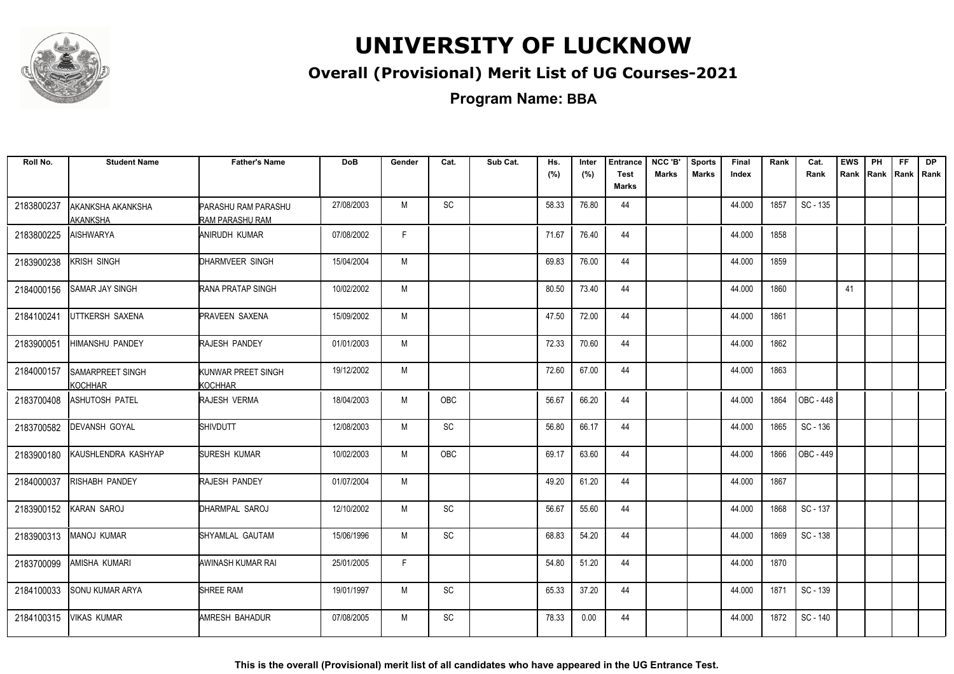

#### **Overall (Provisional) Merit List of UG Courses-2021**

**Program Name: BBA**

| Roll No.   | <b>Student Name</b>                | <b>Father's Name</b>                          | <b>DoB</b> | Gender | Cat.       | Sub Cat. | Hs.<br>(%) | Inter<br>(%) | <b>Entrance</b><br><b>Test</b><br><b>Marks</b> | NCC 'B'<br><b>Marks</b> | <b>Sports</b><br><b>Marks</b> | Final<br>Index | Rank | Cat.<br>Rank | <b>EWS</b><br>Rank | PH<br>Rank Rank | FF. | <b>DP</b><br>Rank |
|------------|------------------------------------|-----------------------------------------------|------------|--------|------------|----------|------------|--------------|------------------------------------------------|-------------------------|-------------------------------|----------------|------|--------------|--------------------|-----------------|-----|-------------------|
| 2183800237 | AKANKSHA AKANKSHA<br>AKANKSHA      | <b>PARASHU RAM PARASHU</b><br>RAM PARASHU RAM | 27/08/2003 | M      | SC         |          | 58.33      | 76.80        | 44                                             |                         |                               | 44.000         | 1857 | SC - 135     |                    |                 |     |                   |
| 2183800225 | <b>AISHWARYA</b>                   | ANIRUDH KUMAR                                 | 07/08/2002 | F      |            |          | 71.67      | 76.40        | 44                                             |                         |                               | 44.000         | 1858 |              |                    |                 |     |                   |
| 2183900238 | KRISH SINGH                        | DHARMVEER SINGH                               | 15/04/2004 | M      |            |          | 69.83      | 76.00        | 44                                             |                         |                               | 44.000         | 1859 |              |                    |                 |     |                   |
| 2184000156 | SAMAR JAY SINGH                    | <b>RANA PRATAP SINGH</b>                      | 10/02/2002 | M      |            |          | 80.50      | 73.40        | 44                                             |                         |                               | 44.000         | 1860 |              | 41                 |                 |     |                   |
| 2184100241 | UTTKERSH SAXENA                    | <b>PRAVEEN SAXENA</b>                         | 15/09/2002 | M      |            |          | 47.50      | 72.00        | 44                                             |                         |                               | 44.000         | 1861 |              |                    |                 |     |                   |
| 2183900051 | <b>HIMANSHU PANDEY</b>             | <b>RAJESH PANDEY</b>                          | 01/01/2003 | M      |            |          | 72.33      | 70.60        | 44                                             |                         |                               | 44.000         | 1862 |              |                    |                 |     |                   |
| 2184000157 | <b>SAMARPREET SINGH</b><br>KOCHHAR | KUNWAR PREET SINGH<br>KOCHHAR                 | 19/12/2002 | M      |            |          | 72.60      | 67.00        | 44                                             |                         |                               | 44.000         | 1863 |              |                    |                 |     |                   |
| 2183700408 | ASHUTOSH PATEL                     | RAJESH VERMA                                  | 18/04/2003 | M      | <b>OBC</b> |          | 56.67      | 66.20        | 44                                             |                         |                               | 44.000         | 1864 | OBC - 448    |                    |                 |     |                   |
| 2183700582 | <b>DEVANSH GOYAL</b>               | <b>SHIVDUTT</b>                               | 12/08/2003 | M      | SC         |          | 56.80      | 66.17        | 44                                             |                         |                               | 44.000         | 1865 | SC - 136     |                    |                 |     |                   |
| 2183900180 | KAUSHLENDRA KASHYAP                | SURESH KUMAR                                  | 10/02/2003 | M      | <b>OBC</b> |          | 69.17      | 63.60        | 44                                             |                         |                               | 44.000         | 1866 | OBC - 449    |                    |                 |     |                   |
| 2184000037 | RISHABH PANDEY                     | RAJESH PANDEY                                 | 01/07/2004 | M      |            |          | 49.20      | 61.20        | 44                                             |                         |                               | 44.000         | 1867 |              |                    |                 |     |                   |
| 2183900152 | KARAN SAROJ                        | DHARMPAL SAROJ                                | 12/10/2002 | M      | <b>SC</b>  |          | 56.67      | 55.60        | 44                                             |                         |                               | 44.000         | 1868 | SC - 137     |                    |                 |     |                   |
| 2183900313 | MANOJ KUMAR                        | SHYAMLAL GAUTAM                               | 15/06/1996 | M      | SC         |          | 68.83      | 54.20        | 44                                             |                         |                               | 44.000         | 1869 | SC - 138     |                    |                 |     |                   |
| 2183700099 | AMISHA KUMARI                      | AWINASH KUMAR RAI                             | 25/01/2005 | F      |            |          | 54.80      | 51.20        | 44                                             |                         |                               | 44.000         | 1870 |              |                    |                 |     |                   |
| 2184100033 | <b>SONU KUMAR ARYA</b>             | <b>SHREE RAM</b>                              | 19/01/1997 | M      | SC         |          | 65.33      | 37.20        | 44                                             |                         |                               | 44.000         | 1871 | SC - 139     |                    |                 |     |                   |
| 2184100315 | <b>VIKAS KUMAR</b>                 | <b>AMRESH BAHADUR</b>                         | 07/08/2005 | M      | SC         |          | 78.33      | 0.00         | 44                                             |                         |                               | 44.000         | 1872 | SC - 140     |                    |                 |     |                   |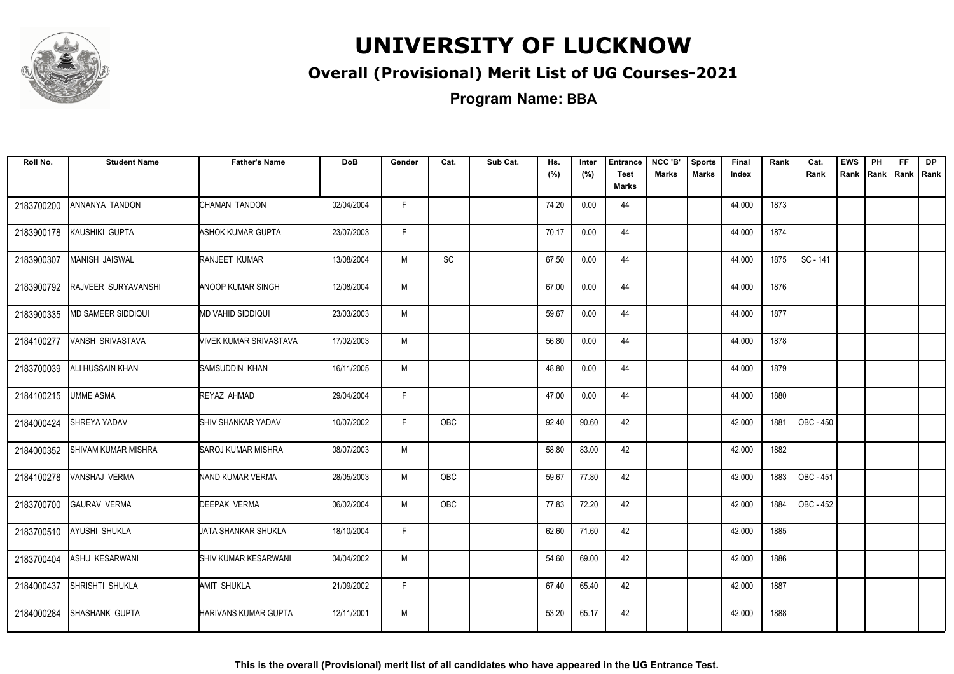

#### **Overall (Provisional) Merit List of UG Courses-2021**

**Program Name: BBA**

| Roll No.   | <b>Student Name</b>     | <b>Father's Name</b>      | <b>DoB</b> | Gender | Cat.          | Sub Cat. | Hs.<br>(%) | Inter<br>(%) | <b>Entrance</b><br><b>Test</b><br><b>Marks</b> | NCC 'B'<br><b>Marks</b> | <b>Sports</b><br><b>Marks</b> | Final<br>Index | Rank | Cat.<br>Rank            | <b>EWS</b> | PH<br>Rank Rank | FF.<br> Rank   Rank | <b>DP</b> |
|------------|-------------------------|---------------------------|------------|--------|---------------|----------|------------|--------------|------------------------------------------------|-------------------------|-------------------------------|----------------|------|-------------------------|------------|-----------------|---------------------|-----------|
| 2183700200 | ANNANYA TANDON          | CHAMAN TANDON             | 02/04/2004 | F.     |               |          | 74.20      | 0.00         | 44                                             |                         |                               | 44.000         | 1873 |                         |            |                 |                     |           |
| 2183900178 | KAUSHIKI GUPTA          | ASHOK KUMAR GUPTA         | 23/07/2003 | F.     |               |          | 70.17      | 0.00         | 44                                             |                         |                               | 44.000         | 1874 |                         |            |                 |                     |           |
| 2183900307 | MANISH JAISWAL          | RANJEET KUMAR             | 13/08/2004 | M      | $\mathsf{SC}$ |          | 67.50      | 0.00         | 44                                             |                         |                               | 44.000         | 1875 | SC - 141                |            |                 |                     |           |
| 2183900792 | RAJVEER SURYAVANSHI     | ANOOP KUMAR SINGH         | 12/08/2004 | M      |               |          | 67.00      | 0.00         | 44                                             |                         |                               | 44.000         | 1876 |                         |            |                 |                     |           |
| 2183900335 | MD SAMEER SIDDIQUI      | MD VAHID SIDDIQUI         | 23/03/2003 | M      |               |          | 59.67      | 0.00         | 44                                             |                         |                               | 44.000         | 1877 |                         |            |                 |                     |           |
| 2184100277 | VANSH SRIVASTAVA        | VIVEK KUMAR SRIVASTAVA    | 17/02/2003 | M      |               |          | 56.80      | 0.00         | 44                                             |                         |                               | 44.000         | 1878 |                         |            |                 |                     |           |
| 2183700039 | <b>ALI HUSSAIN KHAN</b> | SAMSUDDIN KHAN            | 16/11/2005 | M      |               |          | 48.80      | 0.00         | 44                                             |                         |                               | 44.000         | 1879 |                         |            |                 |                     |           |
| 2184100215 | <b>UMME ASMA</b>        | REYAZ AHMAD               | 29/04/2004 | F      |               |          | 47.00      | 0.00         | 44                                             |                         |                               | 44.000         | 1880 |                         |            |                 |                     |           |
| 2184000424 | SHREYA YADAV            | SHIV SHANKAR YADAV        | 10/07/2002 | F.     | OBC           |          | 92.40      | 90.60        | 42                                             |                         |                               | 42.000         | 1881 | $\overline{)$ OBC - 450 |            |                 |                     |           |
| 2184000352 | SHIVAM KUMAR MISHRA     | <b>SAROJ KUMAR MISHRA</b> | 08/07/2003 | M      |               |          | 58.80      | 83.00        | 42                                             |                         |                               | 42.000         | 1882 |                         |            |                 |                     |           |
| 2184100278 | VANSHAJ VERMA           | NAND KUMAR VERMA          | 28/05/2003 | M      | <b>OBC</b>    |          | 59.67      | 77.80        | 42                                             |                         |                               | 42.000         | 1883 | OBC - 451               |            |                 |                     |           |
| 2183700700 | <b>GAURAV VERMA</b>     | <b>DEEPAK VERMA</b>       | 06/02/2004 | M      | OBC           |          | 77.83      | 72.20        | 42                                             |                         |                               | 42.000         | 1884 | OBC - 452               |            |                 |                     |           |
| 2183700510 | AYUSHI SHUKLA           | UATA SHANKAR SHUKLA       | 18/10/2004 | F.     |               |          | 62.60      | 71.60        | 42                                             |                         |                               | 42.000         | 1885 |                         |            |                 |                     |           |
| 2183700404 | <b>ASHU KESARWANI</b>   | SHIV KUMAR KESARWANI      | 04/04/2002 | M      |               |          | 54.60      | 69.00        | 42                                             |                         |                               | 42.000         | 1886 |                         |            |                 |                     |           |
| 2184000437 | SHRISHTI SHUKLA         | AMIT SHUKLA               | 21/09/2002 | F.     |               |          | 67.40      | 65.40        | 42                                             |                         |                               | 42.000         | 1887 |                         |            |                 |                     |           |
| 2184000284 | SHASHANK GUPTA          | HARIVANS KUMAR GUPTA      | 12/11/2001 | M      |               |          | 53.20      | 65.17        | 42                                             |                         |                               | 42.000         | 1888 |                         |            |                 |                     |           |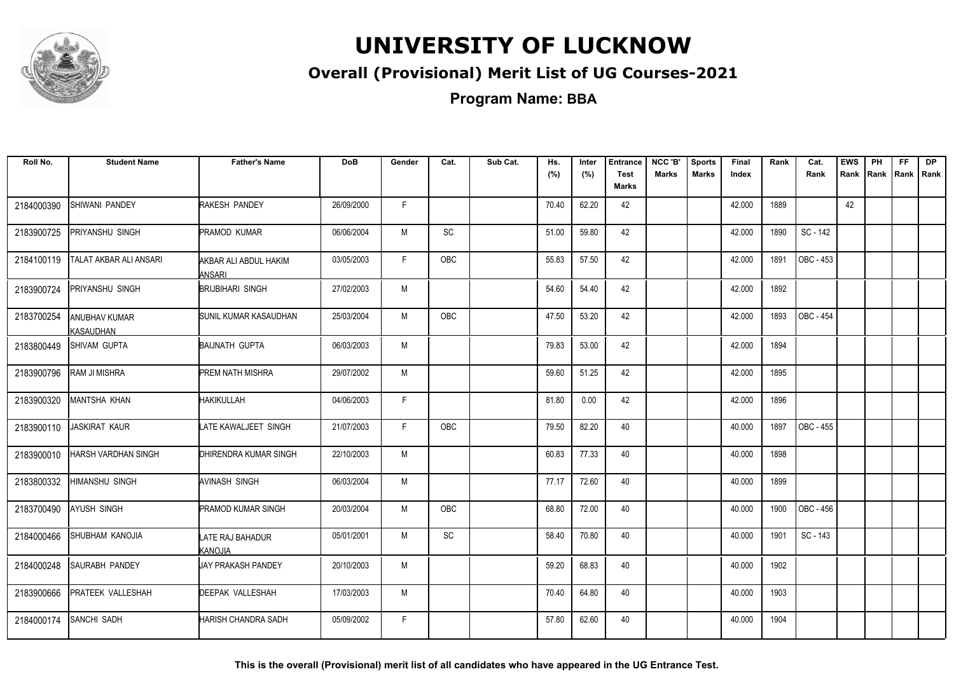

#### **Overall (Provisional) Merit List of UG Courses-2021**

**Program Name: BBA**

| Roll No.   | <b>Student Name</b>               | <b>Father's Name</b>                   | <b>DoB</b> | Gender | Cat.       | Sub Cat. | Hs.<br>(%) | Inter<br>(%) | <b>Entrance</b><br><b>Test</b> | NCC 'B'<br><b>Marks</b> | <b>Sports</b><br><b>Marks</b> | Final<br>Index | Rank | Cat.<br>Rank | <b>EWS</b><br>Rank | PH | FF<br>Rank Rank Rank | <b>DP</b> |
|------------|-----------------------------------|----------------------------------------|------------|--------|------------|----------|------------|--------------|--------------------------------|-------------------------|-------------------------------|----------------|------|--------------|--------------------|----|----------------------|-----------|
|            |                                   |                                        |            |        |            |          |            |              | <b>Marks</b>                   |                         |                               |                |      |              |                    |    |                      |           |
| 2184000390 | SHIWANI PANDEY                    | <b>RAKESH PANDEY</b>                   | 26/09/2000 | F.     |            |          | 70.40      | 62.20        | 42                             |                         |                               | 42.000         | 1889 |              | 42                 |    |                      |           |
| 2183900725 | PRIYANSHU SINGH                   | PRAMOD KUMAR                           | 06/06/2004 | М      | SC         |          | 51.00      | 59.80        | 42                             |                         |                               | 42.000         | 1890 | SC - 142     |                    |    |                      |           |
| 2184100119 | TALAT AKBAR ALI ANSARI            | AKBAR ALI ABDUL HAKIM<br><b>ANSARI</b> | 03/05/2003 | F.     | <b>OBC</b> |          | 55.83      | 57.50        | 42                             |                         |                               | 42.000         | 1891 | OBC - 453    |                    |    |                      |           |
| 2183900724 | PRIYANSHU SINGH                   | <b>BRIJBIHARI SINGH</b>                | 27/02/2003 | М      |            |          | 54.60      | 54.40        | 42                             |                         |                               | 42.000         | 1892 |              |                    |    |                      |           |
| 2183700254 | <b>ANUBHAV KUMAR</b><br>KASAUDHAN | <b>SUNIL KUMAR KASAUDHAN</b>           | 25/03/2004 | М      | OBC        |          | 47.50      | 53.20        | 42                             |                         |                               | 42.000         | 1893 | OBC - 454    |                    |    |                      |           |
| 2183800449 | SHIVAM GUPTA                      | <b>BAIJNATH GUPTA</b>                  | 06/03/2003 | М      |            |          | 79.83      | 53.00        | 42                             |                         |                               | 42.000         | 1894 |              |                    |    |                      |           |
| 2183900796 | RAM JI MISHRA                     | <b>PREM NATH MISHRA</b>                | 29/07/2002 | M      |            |          | 59.60      | 51.25        | 42                             |                         |                               | 42.000         | 1895 |              |                    |    |                      |           |
| 2183900320 | MANTSHA KHAN                      | <b>HAKIKULLAH</b>                      | 04/06/2003 | F.     |            |          | 81.80      | 0.00         | 42                             |                         |                               | 42.000         | 1896 |              |                    |    |                      |           |
| 2183900110 | <b>JASKIRAT KAUR</b>              | LATE KAWALJEET SINGH                   | 21/07/2003 | F.     | <b>OBC</b> |          | 79.50      | 82.20        | 40                             |                         |                               | 40.000         | 1897 | OBC - 455    |                    |    |                      |           |
| 2183900010 | HARSH VARDHAN SINGH               | <b>IDHIRENDRA KUMAR SINGH</b>          | 22/10/2003 | M      |            |          | 60.83      | 77.33        | 40                             |                         |                               | 40.000         | 1898 |              |                    |    |                      |           |
| 2183800332 | <b>HIMANSHU SINGH</b>             | <b>AVINASH SINGH</b>                   | 06/03/2004 | M      |            |          | 77.17      | 72.60        | 40                             |                         |                               | 40.000         | 1899 |              |                    |    |                      |           |
| 2183700490 | <b>AYUSH SINGH</b>                | <b>PRAMOD KUMAR SINGH</b>              | 20/03/2004 | M      | OBC        |          | 68.80      | 72.00        | 40                             |                         |                               | 40.000         | 1900 | OBC - 456    |                    |    |                      |           |
| 2184000466 | <b>SHUBHAM KANOJIA</b>            | LATE RAJ BAHADUR<br>KANOJIA            | 05/01/2001 | M      | SC         |          | 58.40      | 70.80        | 40                             |                         |                               | 40.000         | 1901 | SC - 143     |                    |    |                      |           |
| 2184000248 | SAURABH PANDEY                    | <b>JAY PRAKASH PANDEY</b>              | 20/10/2003 | М      |            |          | 59.20      | 68.83        | 40                             |                         |                               | 40.000         | 1902 |              |                    |    |                      |           |
| 2183900666 | <b>PRATEEK VALLESHAH</b>          | DEEPAK VALLESHAH                       | 17/03/2003 | М      |            |          | 70.40      | 64.80        | 40                             |                         |                               | 40.000         | 1903 |              |                    |    |                      |           |
| 2184000174 | <b>SANCHI SADH</b>                | HARISH CHANDRA SADH                    | 05/09/2002 | F.     |            |          | 57.80      | 62.60        | 40                             |                         |                               | 40.000         | 1904 |              |                    |    |                      |           |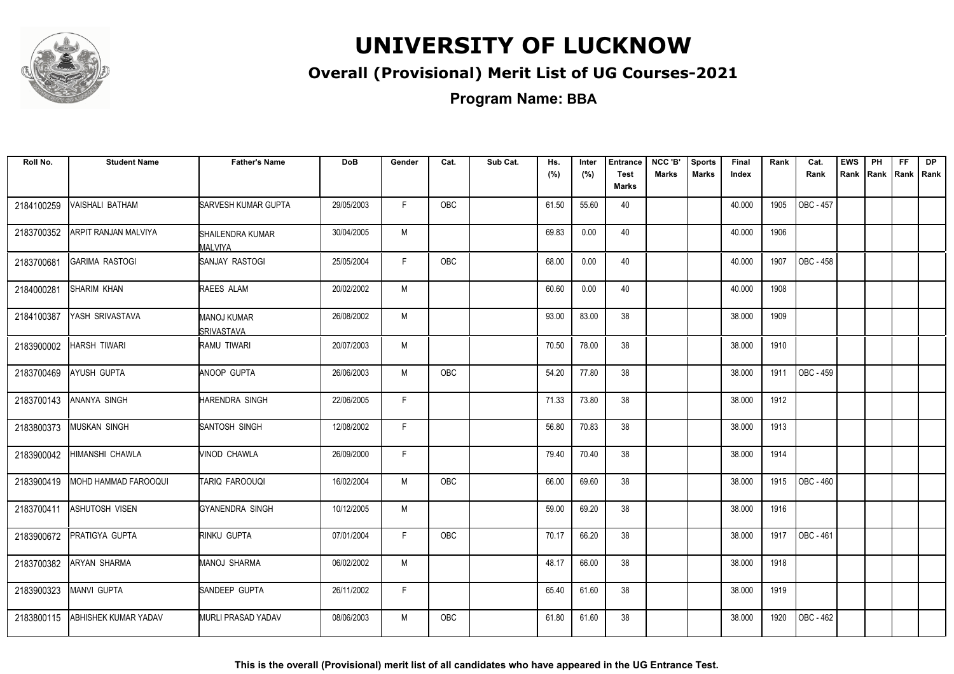

#### **Overall (Provisional) Merit List of UG Courses-2021**

**Program Name: BBA**

| Roll No.   | <b>Student Name</b>   | <b>Father's Name</b>                        | <b>DoB</b> | Gender | Cat.       | Sub Cat. | Hs.   | Inter | <b>Entrance</b>             | NCC 'B'      | <b>Sports</b> | Final  | Rank | Cat.             | <b>EWS</b> | PH   | FF.  | <b>DP</b> |
|------------|-----------------------|---------------------------------------------|------------|--------|------------|----------|-------|-------|-----------------------------|--------------|---------------|--------|------|------------------|------------|------|------|-----------|
|            |                       |                                             |            |        |            |          | (%)   | (%)   | <b>Test</b><br><b>Marks</b> | <b>Marks</b> | <b>Marks</b>  | Index  |      | Rank             | Rank       | Rank | Rank | Rank      |
| 2184100259 | VAISHALI BATHAM       | SARVESH KUMAR GUPTA                         | 29/05/2003 | F.     | <b>OBC</b> |          | 61.50 | 55.60 | 40                          |              |               | 40.000 | 1905 | OBC - 457        |            |      |      |           |
| 2183700352 | ARPIT RANJAN MALVIYA  | <b>I</b> SHAILENDRA KUMAR<br><b>MALVIYA</b> | 30/04/2005 | M      |            |          | 69.83 | 0.00  | 40                          |              |               | 40.000 | 1906 |                  |            |      |      |           |
| 2183700681 | <b>GARIMA RASTOGI</b> | SANJAY RASTOGI                              | 25/05/2004 | F      | OBC        |          | 68.00 | 0.00  | 40                          |              |               | 40.000 | 1907 | OBC - 458        |            |      |      |           |
| 2184000281 | <b>SHARIM KHAN</b>    | RAEES ALAM                                  | 20/02/2002 | M      |            |          | 60.60 | 0.00  | 40                          |              |               | 40.000 | 1908 |                  |            |      |      |           |
| 2184100387 | YASH SRIVASTAVA       | MANOJ KUMAR<br><b>SRIVASTAVA</b>            | 26/08/2002 | M      |            |          | 93.00 | 83.00 | 38                          |              |               | 38.000 | 1909 |                  |            |      |      |           |
| 2183900002 | HARSH TIWARI          | RAMU TIWARI                                 | 20/07/2003 | M      |            |          | 70.50 | 78.00 | 38                          |              |               | 38.000 | 1910 |                  |            |      |      |           |
| 2183700469 | <b>AYUSH GUPTA</b>    | <b>ANOOP GUPTA</b>                          | 26/06/2003 | M      | OBC        |          | 54.20 | 77.80 | 38                          |              |               | 38.000 | 1911 | OBC - 459        |            |      |      |           |
| 2183700143 | ANANYA SINGH          | HARENDRA SINGH                              | 22/06/2005 | F.     |            |          | 71.33 | 73.80 | 38                          |              |               | 38.000 | 1912 |                  |            |      |      |           |
| 2183800373 | MUSKAN SINGH          | <b>SANTOSH SINGH</b>                        | 12/08/2002 | F      |            |          | 56.80 | 70.83 | 38                          |              |               | 38.000 | 1913 |                  |            |      |      |           |
| 2183900042 | HIMANSHI CHAWLA       | MINOD CHAWLA                                | 26/09/2000 | F      |            |          | 79.40 | 70.40 | 38                          |              |               | 38.000 | 1914 |                  |            |      |      |           |
| 2183900419 | MOHD HAMMAD FAROOQUI  | <b>TARIQ FAROOUQI</b>                       | 16/02/2004 | M      | <b>OBC</b> |          | 66.00 | 69.60 | 38                          |              |               | 38.000 | 1915 | <b>OBC - 460</b> |            |      |      |           |
| 2183700411 | <b>ASHUTOSH VISEN</b> | GYANENDRA SINGH                             | 10/12/2005 | M      |            |          | 59.00 | 69.20 | 38                          |              |               | 38.000 | 1916 |                  |            |      |      |           |
| 2183900672 | PRATIGYA GUPTA        | RINKU GUPTA                                 | 07/01/2004 | F      | <b>OBC</b> |          | 70.17 | 66.20 | 38                          |              |               | 38.000 | 1917 | OBC - 461        |            |      |      |           |
| 2183700382 | <b>ARYAN SHARMA</b>   | <b>MANOJ SHARMA</b>                         | 06/02/2002 | M      |            |          | 48.17 | 66.00 | 38                          |              |               | 38.000 | 1918 |                  |            |      |      |           |
| 2183900323 | MANVI GUPTA           | SANDEEP GUPTA                               | 26/11/2002 | F      |            |          | 65.40 | 61.60 | 38                          |              |               | 38.000 | 1919 |                  |            |      |      |           |
| 2183800115 | ABHISHEK KUMAR YADAV  | <b>MURLI PRASAD YADAV</b>                   | 08/06/2003 | M      | OBC        |          | 61.80 | 61.60 | 38                          |              |               | 38.000 | 1920 | OBC - 462        |            |      |      |           |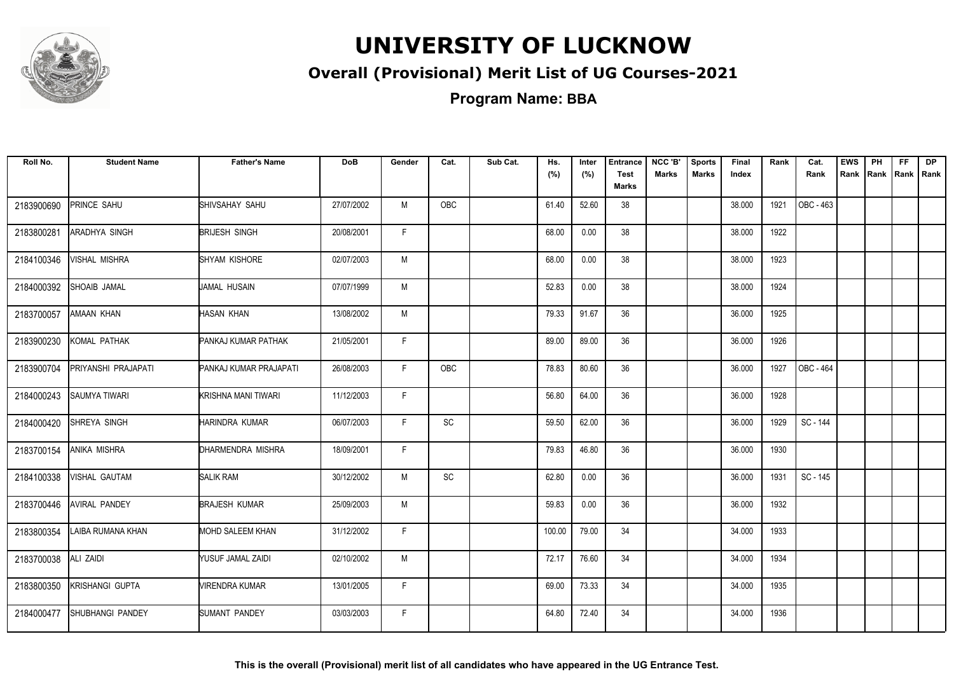

#### **Overall (Provisional) Merit List of UG Courses-2021**

**Program Name: BBA**

| Roll No.   | <b>Student Name</b>     | <b>Father's Name</b>          | <b>DoB</b> | Gender | Cat.      | Sub Cat. | Hs.<br>(%) | Inter<br>(%) | <b>Entrance</b><br><b>Test</b><br><b>Marks</b> | NCC 'B'<br><b>Marks</b> | <b>Sports</b><br><b>Marks</b> | Final<br>Index | Rank | Cat.<br>Rank | <b>EWS</b> | PH<br>Rank Rank | <b>FF</b><br> Rank   Rank | <b>DP</b> |
|------------|-------------------------|-------------------------------|------------|--------|-----------|----------|------------|--------------|------------------------------------------------|-------------------------|-------------------------------|----------------|------|--------------|------------|-----------------|---------------------------|-----------|
| 2183900690 | <b>PRINCE SAHU</b>      | SHIVSAHAY SAHU                | 27/07/2002 | M      | OBC       |          | 61.40      | 52.60        | 38                                             |                         |                               | 38.000         | 1921 | OBC - 463    |            |                 |                           |           |
| 2183800281 | ARADHYA SINGH           | <b>BRIJESH SINGH</b>          | 20/08/2001 | F.     |           |          | 68.00      | 0.00         | 38                                             |                         |                               | 38.000         | 1922 |              |            |                 |                           |           |
| 2184100346 | VISHAL MISHRA           | SHYAM KISHORE                 | 02/07/2003 | M      |           |          | 68.00      | 0.00         | 38                                             |                         |                               | 38.000         | 1923 |              |            |                 |                           |           |
| 2184000392 | SHOAIB JAMAL            | JAMAL HUSAIN                  | 07/07/1999 | M      |           |          | 52.83      | 0.00         | 38                                             |                         |                               | 38.000         | 1924 |              |            |                 |                           |           |
| 2183700057 | AMAAN KHAN              | HASAN KHAN                    | 13/08/2002 | M      |           |          | 79.33      | 91.67        | 36                                             |                         |                               | 36.000         | 1925 |              |            |                 |                           |           |
| 2183900230 | KOMAL PATHAK            | <b>PANKAJ KUMAR PATHAK</b>    | 21/05/2001 | F.     |           |          | 89.00      | 89.00        | 36                                             |                         |                               | 36.000         | 1926 |              |            |                 |                           |           |
| 2183900704 | PRIYANSHI PRAJAPATI     | <b>PANKAJ KUMAR PRAJAPATI</b> | 26/08/2003 | F.     | OBC       |          | 78.83      | 80.60        | 36                                             |                         |                               | 36.000         | 1927 | OBC - 464    |            |                 |                           |           |
| 2184000243 | <b>SAUMYA TIWARI</b>    | KRISHNA MANI TIWARI           | 11/12/2003 | F.     |           |          | 56.80      | 64.00        | 36                                             |                         |                               | 36.000         | 1928 |              |            |                 |                           |           |
| 2184000420 | SHREYA SINGH            | HARINDRA KUMAR                | 06/07/2003 | F.     | SC        |          | 59.50      | 62.00        | 36                                             |                         |                               | 36.000         | 1929 | SC - 144     |            |                 |                           |           |
| 2183700154 | ANIKA MISHRA            | DHARMENDRA MISHRA             | 18/09/2001 | F.     |           |          | 79.83      | 46.80        | 36                                             |                         |                               | 36.000         | 1930 |              |            |                 |                           |           |
| 2184100338 | VISHAL GAUTAM           | <b>SALIK RAM</b>              | 30/12/2002 | M      | <b>SC</b> |          | 62.80      | 0.00         | 36                                             |                         |                               | 36.000         | 1931 | SC - 145     |            |                 |                           |           |
| 2183700446 | <b>AVIRAL PANDEY</b>    | <b>BRAJESH KUMAR</b>          | 25/09/2003 | M      |           |          | 59.83      | 0.00         | 36                                             |                         |                               | 36.000         | 1932 |              |            |                 |                           |           |
| 2183800354 | LAIBA RUMANA KHAN       | <b>MOHD SALEEM KHAN</b>       | 31/12/2002 | F.     |           |          | 100.00     | 79.00        | 34                                             |                         |                               | 34.000         | 1933 |              |            |                 |                           |           |
| 2183700038 | <b>ALI ZAIDI</b>        | YUSUF JAMAL ZAIDI             | 02/10/2002 | M      |           |          | 72.17      | 76.60        | 34                                             |                         |                               | 34.000         | 1934 |              |            |                 |                           |           |
| 2183800350 | <b>KRISHANGI GUPTA</b>  | <b>VIRENDRA KUMAR</b>         | 13/01/2005 | F.     |           |          | 69.00      | 73.33        | 34                                             |                         |                               | 34.000         | 1935 |              |            |                 |                           |           |
| 2184000477 | <b>SHUBHANGI PANDEY</b> | SUMANT PANDEY                 | 03/03/2003 | F.     |           |          | 64.80      | 72.40        | 34                                             |                         |                               | 34.000         | 1936 |              |            |                 |                           |           |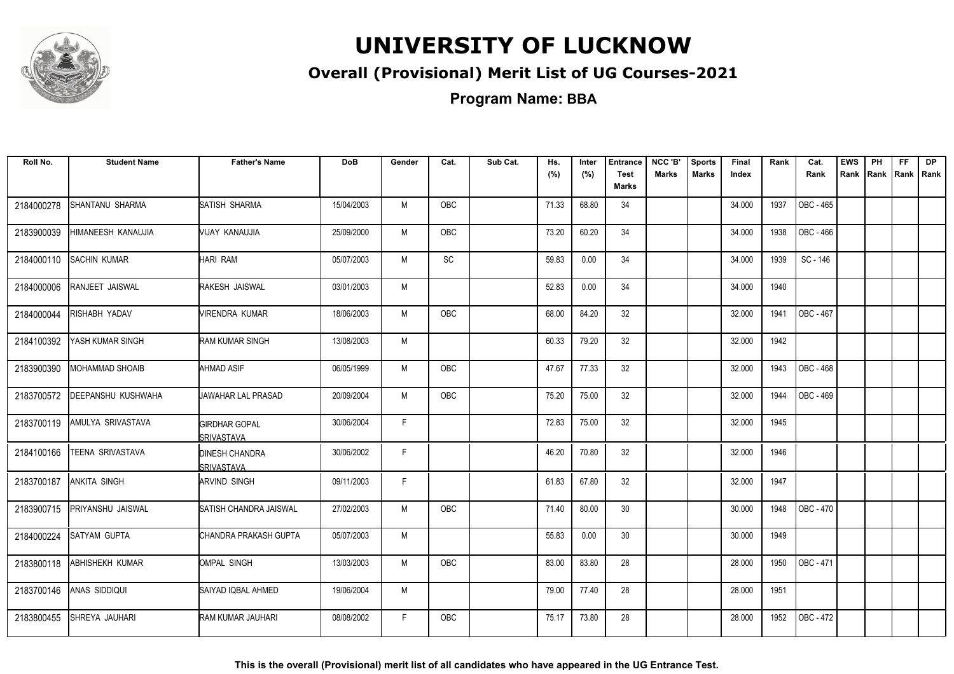

#### **Overall (Provisional) Merit List of UG Courses-2021**

**Program Name: BBA**

| Roll No.   | <b>Student Name</b>       | <b>Father's Name</b>                        | DoB        | Gender | Cat.       | Sub Cat. | Hs.<br>(%) | Inter<br>(%) | <b>Entrance</b><br><b>Test</b> | NCC 'B'<br><b>Marks</b> | <b>Sports</b><br><b>Marks</b> | Final<br>Index | Rank | Cat.<br>Rank     | <b>EWS</b><br>Rank | PH<br>Rank Rank | FF. | <b>DP</b><br>Rank |
|------------|---------------------------|---------------------------------------------|------------|--------|------------|----------|------------|--------------|--------------------------------|-------------------------|-------------------------------|----------------|------|------------------|--------------------|-----------------|-----|-------------------|
|            |                           |                                             |            |        |            |          |            |              | Marks                          |                         |                               |                |      |                  |                    |                 |     |                   |
| 2184000278 | SHANTANU SHARMA           | SATISH SHARMA                               | 15/04/2003 | M      | OBC        |          | 71.33      | 68.80        | 34                             |                         |                               | 34.000         | 1937 | OBC - 465        |                    |                 |     |                   |
| 2183900039 | HIMANEESH KANAUJIA        | VIJAY KANAUJIA                              | 25/09/2000 | M      | OBC        |          | 73.20      | 60.20        | 34                             |                         |                               | 34.000         | 1938 | OBC - 466        |                    |                 |     |                   |
| 2184000110 | <b>SACHIN KUMAR</b>       | HARI RAM                                    | 05/07/2003 | M      | SC         |          | 59.83      | 0.00         | 34                             |                         |                               | 34.000         | 1939 | SC - 146         |                    |                 |     |                   |
| 2184000006 | <b>RANJEET JAISWAL</b>    | RAKESH JAISWAL                              | 03/01/2003 | M      |            |          | 52.83      | 0.00         | 34                             |                         |                               | 34.000         | 1940 |                  |                    |                 |     |                   |
| 2184000044 | <b>RISHABH YADAV</b>      | VIRENDRA KUMAR                              | 18/06/2003 | M      | <b>OBC</b> |          | 68.00      | 84.20        | 32                             |                         |                               | 32.000         | 1941 | OBC - 467        |                    |                 |     |                   |
| 2184100392 | YASH KUMAR SINGH          | <b>RAM KUMAR SINGH</b>                      | 13/08/2003 | М      |            |          | 60.33      | 79.20        | 32                             |                         |                               | 32.000         | 1942 |                  |                    |                 |     |                   |
| 2183900390 | <b>MOHAMMAD SHOAIB</b>    | AHMAD ASIF                                  | 06/05/1999 | M      | OBC        |          | 47.67      | 77.33        | 32                             |                         |                               | 32.000         | 1943 | OBC - 468        |                    |                 |     |                   |
| 2183700572 | <b>DEEPANSHU KUSHWAHA</b> | <b>UAWAHAR LAL PRASAD</b>                   | 20/09/2004 | M      | OBC        |          | 75.20      | 75.00        | 32                             |                         |                               | 32.000         | 1944 | OBC - 469        |                    |                 |     |                   |
| 2183700119 | <b>AMULYA SRIVASTAVA</b>  | <b>GIRDHAR GOPAL</b><br><b>SRIVASTAVA</b>   | 30/06/2004 | F.     |            |          | 72.83      | 75.00        | 32                             |                         |                               | 32.000         | 1945 |                  |                    |                 |     |                   |
| 2184100166 | <b>TEENA SRIVASTAVA</b>   | <b>DINESH CHANDRA</b><br><b>ISRIVASTAVA</b> | 30/06/2002 | F      |            |          | 46.20      | 70.80        | 32                             |                         |                               | 32.000         | 1946 |                  |                    |                 |     |                   |
| 2183700187 | <b>ANKITA SINGH</b>       | ARVIND SINGH                                | 09/11/2003 | F      |            |          | 61.83      | 67.80        | 32                             |                         |                               | 32.000         | 1947 |                  |                    |                 |     |                   |
| 2183900715 | <b>PRIYANSHU JAISWAL</b>  | <b>SATISH CHANDRA JAISWAL</b>               | 27/02/2003 | M      | <b>OBC</b> |          | 71.40      | 80.00        | 30                             |                         |                               | 30.000         | 1948 | <b>OBC - 470</b> |                    |                 |     |                   |
| 2184000224 | <b>SATYAM GUPTA</b>       | CHANDRA PRAKASH GUPTA                       | 05/07/2003 | M      |            |          | 55.83      | 0.00         | 30                             |                         |                               | 30.000         | 1949 |                  |                    |                 |     |                   |
| 2183800118 | <b>ABHISHEKH KUMAR</b>    | OMPAL SINGH                                 | 13/03/2003 | M      | OBC        |          | 83.00      | 83.80        | 28                             |                         |                               | 28.000         | 1950 | OBC - 471        |                    |                 |     |                   |
| 2183700146 | ANAS SIDDIQUI             | SAIYAD IQBAL AHMED                          | 19/06/2004 | M      |            |          | 79.00      | 77.40        | 28                             |                         |                               | 28.000         | 1951 |                  |                    |                 |     |                   |
| 2183800455 | SHREYA JAUHARI            | RAM KUMAR JAUHARI                           | 08/08/2002 | F.     | <b>OBC</b> |          | 75.17      | 73.80        | 28                             |                         |                               | 28.000         | 1952 | OBC - 472        |                    |                 |     |                   |